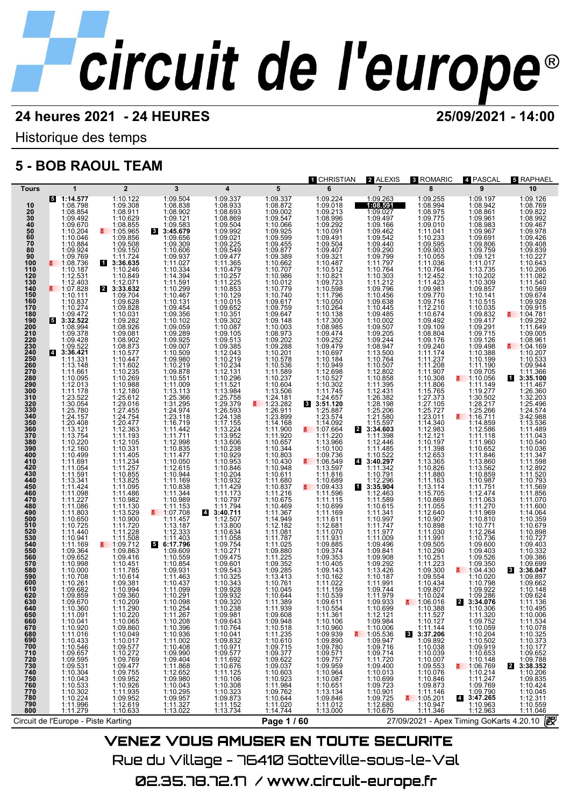Historique des temps

## **5 - BOB RAOUL TEAM**

|                       |                                                                                          |                                                                                                                                                                             |                                                                                                                                          |                                                                                                          |                                                                                                                                                                    | 1 CHRISTIAN                                                                                                                                                                              | 2 ALEXIS                                                                             | <b>3 ROMARIC</b>                                                            | 4 PASCAL                                                                                                        | <del>រ</del> RAPHAEL                                     |
|-----------------------|------------------------------------------------------------------------------------------|-----------------------------------------------------------------------------------------------------------------------------------------------------------------------------|------------------------------------------------------------------------------------------------------------------------------------------|----------------------------------------------------------------------------------------------------------|--------------------------------------------------------------------------------------------------------------------------------------------------------------------|------------------------------------------------------------------------------------------------------------------------------------------------------------------------------------------|--------------------------------------------------------------------------------------|-----------------------------------------------------------------------------|-----------------------------------------------------------------------------------------------------------------|----------------------------------------------------------|
| Tours                 | 1                                                                                        | $\overline{2}$                                                                                                                                                              | 3                                                                                                                                        | $\overline{\mathbf{4}}$                                                                                  | 5                                                                                                                                                                  | 6                                                                                                                                                                                        | $\overline{7}$                                                                       | 8                                                                           | 9                                                                                                               | 10                                                       |
| 10                    | 1:14.577<br>1:08.798                                                                     | 1:10.122<br>1:09.308                                                                                                                                                        | 1:09.504<br>1:08.838                                                                                                                     | 1:09.337<br>1:08.933                                                                                     | 1:09.337<br>1:08.872                                                                                                                                               | 1:09.224                                                                                                                                                                                 | 1:09.263<br>1:08.591                                                                 | 1:09.255<br>1:08.994                                                        | 1:09.197<br>1:08.942                                                                                            | 1:09.126<br>1:08.769                                     |
| 20<br>30<br>40<br>50  | 1:08.854                                                                                 | 1:08.911                                                                                                                                                                    | $1:08.902$<br>$1:09.121$<br>$1:09.583$                                                                                                   | 1:08.693                                                                                                 | 1:09.002<br>1:09.002<br>1:10.066                                                                                                                                   | 1:09.018<br>1:09.213<br>1:08.996<br>1:09.292                                                                                                                                             | 1:09.027<br>1:09.497                                                                 | 1:08.975<br>1:09.775                                                        | 1:08.861                                                                                                        | 1:09.822                                                 |
|                       | 1:09.492<br>1:09.670                                                                     | 1:10.629<br>1:08.855                                                                                                                                                        |                                                                                                                                          | 1:09.504                                                                                                 |                                                                                                                                                                    |                                                                                                                                                                                          | 1:09.166                                                                             | 1:09.010                                                                    | 1:08.983                                                                                                        | 1:08.992<br>1:09.467                                     |
|                       | 1:10.204                                                                                 | 1:05.965                                                                                                                                                                    | 3:45.679                                                                                                                                 | 1:09.992                                                                                                 | 1:09.925                                                                                                                                                           | 1:10.091                                                                                                                                                                                 | 1:09.100<br>1:09.442<br>1:09.440<br>1:09.799<br>1:11.797<br>1:11.797                 | 1:11.041                                                                    | 1:09.967                                                                                                        | 1:09.978                                                 |
| 60<br>$\overline{70}$ | 1:10.046<br>1:10.884                                                                     | 1:09.856<br>1:09.508                                                                                                                                                        | 1:09.656<br>1:09.309                                                                                                                     | 1:09.021<br>1:09.225                                                                                     | 1:09.599<br>1:09.455                                                                                                                                               | $1:09.491$<br>$1:09.504$<br>$1:09.407$<br>$1:09.321$<br>$1:10.487$                                                                                                                       |                                                                                      | 1:10.233<br>1:09.595                                                        | 1:09.691<br>1:09.806                                                                                            | 1:09.426<br>1:09.408                                     |
| 80                    | 1:09.924                                                                                 | 1:09.150                                                                                                                                                                    | 1:10.606                                                                                                                                 | 1:09.549                                                                                                 | 1:09.877<br>1:09.389                                                                                                                                               |                                                                                                                                                                                          |                                                                                      | 1:09.903                                                                    | 1:09.759                                                                                                        | 1:09.839                                                 |
| 90<br>100             | 1:09.769<br>$\frac{2}{1}$ 1:08.736                                                       | 1:11.724<br>3:36.635                                                                                                                                                        | 1:09.937<br>1:11.027                                                                                                                     | 1:11.365                                                                                                 | 1:10.662                                                                                                                                                           |                                                                                                                                                                                          |                                                                                      | 1:10.055<br>1:11.036                                                        | 1:09.121<br>1:11.017                                                                                            | 1:10.227<br>1:10.643                                     |
| 110                   | 1:10.187                                                                                 | 1:10.246                                                                                                                                                                    | 1:10.334<br>1:14.394                                                                                                                     |                                                                                                          | 1:10.707                                                                                                                                                           | 1:10.512<br>1:10.821                                                                                                                                                                     | 1:10.764<br>1:10.303                                                                 | 1:10.764<br>1:12.452                                                        | 1:13.735<br>1:10.202                                                                                            | 1:10.206                                                 |
| 120<br>130            | 1:12.531<br>$\frac{1:12.403}{1:07.828}$                                                  | 1:10.849                                                                                                                                                                    |                                                                                                                                          | $\begin{array}{r}\n 1:10.479 \\  1:10.257 \\  1:11.225 \\  1:10.853\n \end{array}$                       | 1:10.986                                                                                                                                                           |                                                                                                                                                                                          |                                                                                      |                                                                             |                                                                                                                 | 1:11.082<br>1:11.540                                     |
| 140<br>150            | 1:10.111                                                                                 | $2$ $1:12.071$<br>3:33.632                                                                                                                                                  | 1:11.591<br>1:10.299<br>1:10.467                                                                                                         |                                                                                                          | 1:10.012<br>1:10.779                                                                                                                                               | 1:09.723<br>1:10.598                                                                                                                                                                     | 1:11.212<br>1:09.796                                                                 | 1:11.423                                                                    | 1:10.309<br>1:09.857                                                                                            | 1:10.569<br>1:09.674                                     |
| 160                   | 1:10.837                                                                                 | 1:09.704<br>1:09.628                                                                                                                                                        | 1:10.131                                                                                                                                 | $\begin{array}{r} 1:10.129 \\ 1:10.015 \\ 1:09.652 \end{array}$                                          | 1:10.740<br>1:09.617                                                                                                                                               |                                                                                                                                                                                          | 1:10.456<br>1:09.638                                                                 | 1:09.770<br>1:09.716                                                        | 1:10.141<br>1:10.515                                                                                            | 1:09.928                                                 |
| 170<br>180            | 1:10.274                                                                                 | 1:09.828                                                                                                                                                                    | 1:09.454<br>1:09.356                                                                                                                     |                                                                                                          | 1:09.759<br>1:09.647                                                                                                                                               |                                                                                                                                                                                          | 1:10.445                                                                             | 1:12.210<br>1:10.674                                                        | 1:10.035<br>1:09.832                                                                                            | 1:09.915<br>1:04.781                                     |
| 190                   | $1:09.472$<br>3:32.522                                                                   | 1:10.031<br>1:09.282<br>1:08.926                                                                                                                                            | 1:10.102                                                                                                                                 | $1:10.351$<br>$1:09.302$                                                                                 | 1:09.148                                                                                                                                                           | $1:11.796$ $1:10.050$ $1:10.264$ $1:10.138$ $1:17.300$                                                                                                                                   | $\begin{array}{l} 1.103443 \\ 1.100485 \\ 1.10002 \\ 1.09507 \\ 1.09205 \end{array}$ |                                                                             | 1:09.417                                                                                                        | 1:09.292                                                 |
| 200<br>210            | 1:08.994<br>1:09.378                                                                     | 1:09.081                                                                                                                                                                    | $1:09.059$<br>$1:09.289$<br>$1:09.925$<br>$1:09.007$                                                                                     | 1:10.087<br>1:09.105                                                                                     | $\begin{array}{r}\n 1:90.140 \\  1:10.003 \\  1:08.973 \\  1:09.202 \\  1:09.288\n \end{array}$                                                                    | $1:08.985$<br>$1:09.474$<br>$1:09.252$                                                                                                                                                   |                                                                                      | $1:09.492$<br>$1:09.109$<br>$1:08.804$                                      | 1:09.291<br>1:09.715                                                                                            | 1:11.649<br>1:09.005                                     |
| 220<br>230            |                                                                                          | 1:08.902<br>1:08.873                                                                                                                                                        |                                                                                                                                          | 1:09.513<br>1:09.385                                                                                     |                                                                                                                                                                    |                                                                                                                                                                                          | $1:09.244$<br>$1:08.947$<br>$1:13.500$<br>$1:10.764$                                 |                                                                             | 1:09.126                                                                                                        | 1:08.961                                                 |
| 240                   | $1:09.428$<br>$1:09.522$<br>3:36.421                                                     |                                                                                                                                                                             |                                                                                                                                          |                                                                                                          |                                                                                                                                                                    | 1:09.479<br>1:10.697<br>1:10.184                                                                                                                                                         |                                                                                      |                                                                             | 1:09.498<br>1:10.388<br>1:10.199                                                                                | ₹ 1:04.169                                               |
| 250                   | 1:11.331                                                                                 | 1:10.577<br>1:10.447                                                                                                                                                        | 1:10.509<br>1:09.980                                                                                                                     | 1:12.043                                                                                                 |                                                                                                                                                                    |                                                                                                                                                                                          |                                                                                      |                                                                             |                                                                                                                 | 1:10.207<br>1:10.533                                     |
| 260<br>270            | 1:13.148<br>1:11.661                                                                     | 1:11.602<br>1:10.235                                                                                                                                                        | 1:10.219<br>1:09.878                                                                                                                     | 1:10.234                                                                                                 | $\begin{array}{r}\n 1:10.201 \\  1:10.578 \\  1:10.536 \\  1:11.589\n \end{array}$                                                                                 | 1:10.949                                                                                                                                                                                 | 1:10.507<br>1:12.802                                                                 | 1:09.176<br>1:09.240<br>1:11.174<br>1:11.208<br>1:11.907                    | 1:11.190<br>1:09.705                                                                                            | 1:09.944<br>1:11.366                                     |
| 280                   | 1:10.095                                                                                 | 1:10.269                                                                                                                                                                    |                                                                                                                                          | $1:12.131$<br>$1:10.296$                                                                                 | 1:10.237                                                                                                                                                           |                                                                                                                                                                                          | 1:10.858                                                                             | 1:10.308                                                                    | $\frac{2}{1}$ 1:10.056                                                                                          | 13:35.100                                                |
| 290<br>300            | 1:12.013<br>1:11.178                                                                     | 1:10.988<br>1:12.180                                                                                                                                                        | 1:10.551<br>1:11.009<br>1:13.113                                                                                                         | 1:11.521<br>1:13.984                                                                                     | 1:10.604<br>1:13.506                                                                                                                                               | 1:10.527<br>1:10.302<br>1:11.745                                                                                                                                                         | $1:11.395$<br>$1:12.431$                                                             | 1:11.806<br>1:15.765                                                        | 1:11.149                                                                                                        | 1:11.467<br>1:26.360                                     |
| 310<br>320            | 1:23.522<br>1:30.054                                                                     | 1:25.612<br>1:29.016                                                                                                                                                        | 1:25.366<br>1:31.295                                                                                                                     | 1:25.758<br>1:29.379                                                                                     | 1:24.181<br>1:23.282<br>E.                                                                                                                                         | $1:24.657$<br>3:51.120                                                                                                                                                                   | 1:26.382<br>1:28.198                                                                 | 1:27.373<br>1:27.105                                                        | 1:30.502                                                                                                        | 1:32.203<br>1:25.496                                     |
| 330                   | 1:25.780<br>1:24.157                                                                     | 1:27.455<br>1:24.754                                                                                                                                                        | 1:24.974<br>1:23.118                                                                                                                     | 1:26.593<br>1:24.138                                                                                     | 1:26.911                                                                                                                                                           | 1:25.887                                                                                                                                                                                 | 1:25.206<br>1:21.580                                                                 | 1:25.727<br>1:23.011                                                        | 1:28.217                                                                                                        | 1:24.574                                                 |
| 340<br>350            | 1:20.408                                                                                 | 1:20.477                                                                                                                                                                    | 1:16.719                                                                                                                                 | 1:17.155                                                                                                 | 1:14.168                                                                                                                                                           | 1:14.092                                                                                                                                                                                 | 1:15.597                                                                             | 1:14.340                                                                    | 1:16.711<br>1:14.859                                                                                            | 3:42.988<br>1:13.536                                     |
| 360                   | 1:13.121                                                                                 | 1:12.363                                                                                                                                                                    | $1:11.442$<br>$1:11.711$                                                                                                                 | 1:13.224                                                                                                 | 1:11.900                                                                                                                                                           | ₹ 1:07.664                                                                                                                                                                               | 2 3:34.603                                                                           | 1:12.983                                                                    | 1:12.586                                                                                                        | 1:11.489                                                 |
| 370                   | 1:13.754<br>1:10.220                                                                     | 1:11.193<br>1:12.105                                                                                                                                                        |                                                                                                                                          | 1:13.952                                                                                                 | 1:11.920<br>1:10.657                                                                                                                                               | 1:11.220                                                                                                                                                                                 | 1:11.398<br>1:12.446                                                                 | 1:12.121<br>1:10.197                                                        | 1:11.118<br>1:11.960                                                                                            | 1:11.043<br>1:10.540                                     |
| 380<br>390            | 1:12.160                                                                                 |                                                                                                                                                                             |                                                                                                                                          |                                                                                                          | 1:10.344<br>1:10.803                                                                                                                                               |                                                                                                                                                                                          |                                                                                      | 1:11.398                                                                    | 1:10.652                                                                                                        | 1:10.036                                                 |
| 400<br>410            | 1:10.499<br>1:11.691                                                                     | $1:10.331$<br>$1:11.405$<br>$1:11.234$<br>$1:11.257$<br>$1:10.855$                                                                                                          | $1:11.711$<br>$1:12.998$<br>$1:10.835$<br>$1:11.477$<br>$1:10.050$<br>$1:12.615$<br>$1:10.844$<br>$1:11.169$<br>$1:11.344$               | 1:13.932<br>1:13.606<br>1:10.238<br>1:10.953<br>1:10.846<br>1:10.204                                     | 1:10.430                                                                                                                                                           | $1:11.220$<br>1:13.966<br>1:10.100<br>1:09.736<br>5.1:06.549                                                                                                                             | $1:11.485$<br>1:10.522<br>3:40.297                                                   | 1:12.653<br>1:13.365                                                        | $1:11.846$<br>$1:13.860$<br>$1:13.562$<br>$1:10.859$                                                            | 1:11.347<br>1:11.598                                     |
| 420<br>430            | 1:11.054<br>1:11.591                                                                     |                                                                                                                                                                             |                                                                                                                                          |                                                                                                          | 1:10.948<br>1:10.611                                                                                                                                               | 1:13.597<br>1:11.816                                                                                                                                                                     | 1:11.342<br>1:10.791                                                                 | 1:10.826<br>1:11.880                                                        |                                                                                                                 | 1:12.892                                                 |
| 440                   | 1:13.341<br>1:11.424                                                                     | 1:13.825<br>1:11.095                                                                                                                                                        |                                                                                                                                          | 1:10.932<br>1:11.429                                                                                     | 1:11.680<br>1:10.837                                                                                                                                               | $1:10.689$<br>1:09.433                                                                                                                                                                   | $1:12.296$<br>3:35.904                                                               | 1:11.163                                                                    | $1:10.987$<br>$1:11.751$                                                                                        | 1:11.520<br>1:10.793                                     |
| 450<br>460            | 1:11.098                                                                                 | 1:11.486                                                                                                                                                                    |                                                                                                                                          | 1:11.173                                                                                                 | 1:11.216                                                                                                                                                           |                                                                                                                                                                                          | 1:12.463                                                                             | 1:13.114<br>1:15.705                                                        | 1:12.474                                                                                                        | 1:11.569<br>1:11.856                                     |
| 470                   | 1:11.227<br>1:11.086                                                                     | 1:10.982                                                                                                                                                                    | 1:11.344<br>1:10.989                                                                                                                     |                                                                                                          | 1:10.675                                                                                                                                                           | 1:11.596<br>1:11.115                                                                                                                                                                     | 1:11.589                                                                             | 1:10.869                                                                    | 1:11.063                                                                                                        | 1:11.070                                                 |
| 480<br>490            |                                                                                          | 1:11.130                                                                                                                                                                    | 1:11.153                                                                                                                                 | $1:10.797$<br>1:11.794<br>3:40.711                                                                       | 1:10.469                                                                                                                                                           | $\begin{array}{r} 1:10.699 \\ 1:11.169 \\ 1:11.611 \\ 1:12.681 \\ 1:11.070 \\ \end{array}$                                                                                               | 1:10.615                                                                             | 1:11.055                                                                    | $1:11.270$ $1:11.969$ $1:10.810$ $1:10.771$ $1:12.264$                                                          | 1:11.600<br>1:14.064                                     |
| 500                   | 1:11.803<br>1:10.650                                                                     | 1:13.529<br>1:10.900                                                                                                                                                        | $\frac{1107.708}{1.11.457}$                                                                                                              | 1:12.507                                                                                                 | 1:11.367<br>1:14.949                                                                                                                                               |                                                                                                                                                                                          |                                                                                      | 1:12.640<br>1:10.907                                                        |                                                                                                                 | 1:10.359                                                 |
| 510<br>520            | 1:10.725<br>1:11.440                                                                     | 1:11.720<br>1:11.228                                                                                                                                                        | $1:13.187$<br>1:12.333                                                                                                                   | 1:13.800<br>1:10.634                                                                                     | 1:12.182<br>1:11.081                                                                                                                                               |                                                                                                                                                                                          | $\begin{array}{c} 1:11.341 \\ 1:10.997 \\ 1:11.747 \\ 1:11.977 \end{array}$          | 1:10.898<br>1:11.030                                                        |                                                                                                                 | 1:10.679<br>1:10.898                                     |
| 530                   | 1:10.941                                                                                 | 1:11.508                                                                                                                                                                    | $\frac{1:11.403}{6:17.796}$                                                                                                              | 1:11.058                                                                                                 | 1:11.787<br>1:11.025                                                                                                                                               | $1:11.931$<br>$1:09.885$<br>$1:09.374$<br>$1:09.353$                                                                                                                                     | 1:11.009<br>1:09.496                                                                 | 1:11.991                                                                    | 1:10.736                                                                                                        | 1:10.727                                                 |
| 540<br>550            | 1:11.169<br>1:09.364                                                                     | 1:09.863                                                                                                                                                                    | 1:09.609                                                                                                                                 | 1:09.754<br>1:10.271                                                                                     | 1:09.880                                                                                                                                                           |                                                                                                                                                                                          |                                                                                      | 1:09.505                                                                    | 1:09.600<br>1:09.403                                                                                            | 1:09.403<br>1:10.332                                     |
| 560<br>570            | 1:09.652<br>1:10.998                                                                     | 1:09.416<br>1:10.451                                                                                                                                                        | 1:10.559<br>1:10.854                                                                                                                     | 1:09.475<br>1:09.601                                                                                     | 1:11.225<br>1:09.352                                                                                                                                               | 1:10.405                                                                                                                                                                                 | 1:09.841                                                                             | 1:10.290<br>1:10.251                                                        | 1:09.526<br>1:09.350                                                                                            | 1:09.386<br>1:09.699                                     |
| 580                   | 1:10.000                                                                                 | 1:11.785                                                                                                                                                                    | 1:09.931                                                                                                                                 | 1:09.543                                                                                                 | 1:09.285                                                                                                                                                           | 1:09.143                                                                                                                                                                                 | 1:09.292<br>1:13.426                                                                 | 1:11.223<br>1:09.300                                                        | $\frac{2}{5}$ 1:04.430                                                                                          | 3:36.047<br>3                                            |
| 590<br>600            | 1:10.708<br>1:10.261                                                                     | 1:10.614<br>1:09.381                                                                                                                                                        | 1:11.463                                                                                                                                 |                                                                                                          | 1:13.413<br>1:10.761                                                                                                                                               |                                                                                                                                                                                          |                                                                                      | 1:09.554<br>1:10.434                                                        | 1:10.020                                                                                                        | 1:09.897<br>1:09.662                                     |
| 610                   | 1:09.682                                                                                 | 1:10.994                                                                                                                                                                    | $1:10.437$<br>$1:11.099$                                                                                                                 | 1:10.343<br>1:09.928                                                                                     | 1:10.045                                                                                                                                                           | 1:10.162<br>1:11.022<br>1:11.159                                                                                                                                                         | 1:10.187<br>1:11.991<br>1:09.744                                                     | 1:09.807                                                                    | 1:09.922                                                                                                        | 1:10.148                                                 |
| 620<br>630            | 1:09.859<br>1:09.670                                                                     | 1:09.360<br>1:10.209                                                                                                                                                        | 1:10.291<br>1:10.098                                                                                                                     | 1:09.932<br>1:09.320                                                                                     | 1:10.644<br>1:11.389                                                                                                                                               | 1:10.539<br>1:09.611                                                                                                                                                                     | 1:11.979<br>1:09.933                                                                 | 1:10.024<br>$\frac{3}{2}$ 1:06.016                                          | 1:09.286<br>2 3:34.076                                                                                          | 1:09.624<br>1:11.136                                     |
| 640                   | 1:10.360                                                                                 | 1:11.290<br>1:10.220                                                                                                                                                        | 1:10.254<br>1:11.267                                                                                                                     | 1:10.238<br>1:09.981                                                                                     | 1:11.939<br>1:09.608                                                                                                                                               | 1:10.554<br>1:11.361                                                                                                                                                                     | 1:10.699                                                                             | 1:10.388                                                                    | 1:10.306                                                                                                        | 1:10.495                                                 |
| 650                   | 1:11.091                                                                                 |                                                                                                                                                                             |                                                                                                                                          |                                                                                                          |                                                                                                                                                                    |                                                                                                                                                                                          | 1:12.121                                                                             | 1:11.527                                                                    | 1:11.320                                                                                                        | 1:10.006                                                 |
| 660<br>670            | 1:10.041<br>1:10.920<br>1:11.016                                                         |                                                                                                                                                                             | $1:11.207$<br>$1:10.208$<br>$1:10.396$<br>$1:10.936$<br>$1:10.408$<br>$1:09.404$<br>$1:11.868$<br>$1:12.652$<br>$1:09.990$<br>$1:09.404$ | 1:09.643<br>1:10.764                                                                                     |                                                                                                                                                                    |                                                                                                                                                                                          | 1:09.984<br>1:10.006                                                                 | $1:10.127$ $1:11.144$ $3:37.206$ $1:09.892$ $1:10.038$                      | 1:09.752<br>1:10.059                                                                                            | $1:11.534\n1:10.078\n1:10.325\n1:10.373\n1:10.177$       |
| 680<br>690<br>700     | 1:10.433<br>1:10.546                                                                     |                                                                                                                                                                             |                                                                                                                                          | 1:10.041<br>1:09.832<br>1:10.971                                                                         |                                                                                                                                                                    |                                                                                                                                                                                          | $\begin{array}{r}\n 1:05.536 \\  1:09.947 \\  1:09.716\n \end{array}$                |                                                                             | $\begin{array}{c} 1:10.204 \\ 1:10.502 \\ 1:09.919 \end{array}$                                                 |                                                          |
| 710                   |                                                                                          |                                                                                                                                                                             |                                                                                                                                          |                                                                                                          |                                                                                                                                                                    |                                                                                                                                                                                          |                                                                                      |                                                                             | 1:10.653                                                                                                        |                                                          |
|                       |                                                                                          |                                                                                                                                                                             |                                                                                                                                          |                                                                                                          |                                                                                                                                                                    |                                                                                                                                                                                          | 1:09.714                                                                             | 1:10.039<br>1:10.007                                                        |                                                                                                                 | 1:09.652<br>1:09.788                                     |
| 720<br>730<br>740     |                                                                                          |                                                                                                                                                                             |                                                                                                                                          |                                                                                                          |                                                                                                                                                                    |                                                                                                                                                                                          |                                                                                      | $\begin{array}{c} 1.09.553 \\ 1.10.076 \\ 1.10.846 \\ 1.09.873 \end{array}$ |                                                                                                                 | 2 3:38.352                                               |
| 750<br>760            |                                                                                          |                                                                                                                                                                             |                                                                                                                                          |                                                                                                          |                                                                                                                                                                    |                                                                                                                                                                                          |                                                                                      |                                                                             |                                                                                                                 | 1:10.206<br>1:09.835                                     |
| 770                   |                                                                                          |                                                                                                                                                                             |                                                                                                                                          |                                                                                                          |                                                                                                                                                                    |                                                                                                                                                                                          |                                                                                      |                                                                             |                                                                                                                 |                                                          |
| 780                   | $1:09.657$ $1:09.595$ $1:09.531$ $1:10.304$ $1:10.633$ $1:10.3024$ $1:10.224$ $1:11.906$ |                                                                                                                                                                             |                                                                                                                                          |                                                                                                          |                                                                                                                                                                    |                                                                                                                                                                                          |                                                                                      |                                                                             | $\begin{array}{r} 1.10.148 \\ 1.10.769 \\ 1.10.214 \\ 1.11.247 \\ 1.09.769 \\ 1.09.790 \\ 3.47.265 \end{array}$ |                                                          |
| 790<br>800            | 1:11.996                                                                                 | $\begin{array}{c} 1:10.065 \\ 1:09.860 \\ 1:10.049 \\ 1:10.017 \\ 1:09.577 \\ 1:09.769 \\ 1:09.755 \\ 1:09.755 \\ 1:10.926 \\ 1:11.935 \\ 1:12.619 \\ 1:12.633 \end{array}$ | 1:09:500<br>1:10.043<br>1:10.295<br>1:09.957<br>1:11.327                                                                                 | 1:10.971<br>1:09.577<br>1:11.697<br>1:11.697<br>1:11.125<br>1:10.308<br>1:10.323<br>1:11.152<br>1:13.734 | $\begin{array}{c} 1.09.948\\ 1:10.518\\ 1:11.235\\ 1:10.610\\ 1:09.715\\ 1:09.622\\ 1:09.622\\ 1:09.623\\ 1:11.984\\ 1:09.762\\ 1:10.644\\ 1:14.744\\ \end{array}$ | $\begin{array}{c} 1:10.106\\ 1:10.960\\ 1:09.839\\ 1:09.890\\ 1:09.780\\ 1:09.757\\ 1:09.959\\ 1:10.964\\ 1:10.087\\ 1:10.651\\ 1:13.134\\ 1:19.846\\ 1:11.012\\ 1:13.000\\ \end{array}$ | 1:11.720<br>1:09.400<br>1:10.013<br>1:10.699<br>1:09.725<br>1:12.680<br>1:10.675     | $1:11.146$ $1:05.201$ $1:10.947$ $1:11.346$                                 | 1:10.963<br>1:12.963                                                                                            | 1:09:033<br>1:10.424<br>1:10.045<br>1:12.311<br>1:10.559 |
|                       | Circuit de l'Europe - Piste Karting                                                      |                                                                                                                                                                             |                                                                                                                                          |                                                                                                          | Page 1 / 60                                                                                                                                                        |                                                                                                                                                                                          |                                                                                      | 27/09/2021 - Apex Timing GoKarts 4.20.10 2                                  |                                                                                                                 |                                                          |
|                       |                                                                                          |                                                                                                                                                                             |                                                                                                                                          |                                                                                                          |                                                                                                                                                                    |                                                                                                                                                                                          |                                                                                      |                                                                             |                                                                                                                 |                                                          |
|                       |                                                                                          |                                                                                                                                                                             |                                                                                                                                          |                                                                                                          | --------------                                                                                                                                                     |                                                                                                                                                                                          |                                                                                      |                                                                             |                                                                                                                 |                                                          |

VENEZ VOUS AMUSER EN TOUTE SECURITE Rue du Village – 76410 Sotteville–sous–le–Val 02.35.78.72.17 / www.circuit-europe.fr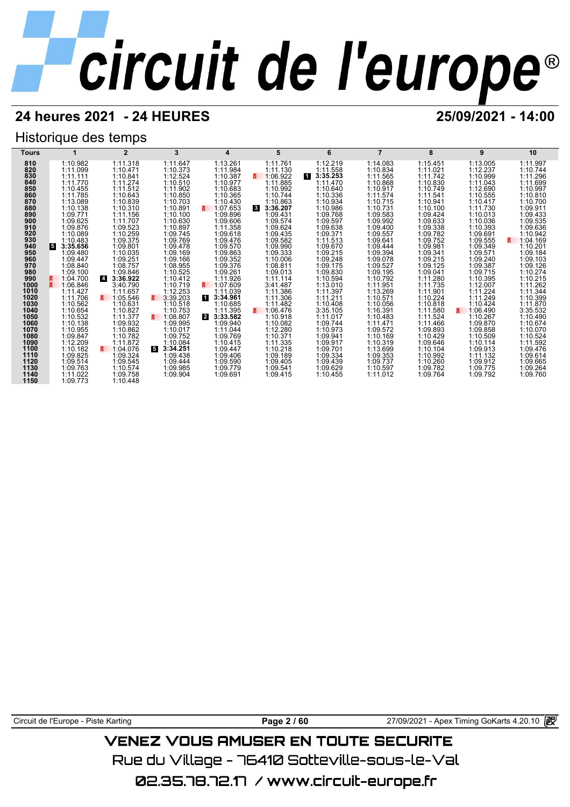## **24 heures 2021 - 24 HEURES 25/09/2021 - 14:00**

## Historique des temps

| Tours        |                      | $\mathbf{2}$               | 3                    | 4                          | 5                    | 6                    |                      | 8                    | 9                    | 10                   |
|--------------|----------------------|----------------------------|----------------------|----------------------------|----------------------|----------------------|----------------------|----------------------|----------------------|----------------------|
| 810          | 1:10.982             | 1:11.318                   | 1:11.647             | 1:13.261                   | 1:11.761             | 1:12.219             | 1:14.083             | 1:15.451             | 1:13.005             | 1:11.997             |
| 820          | 1:11.099             | 1:10.471                   | 1:10.373             | 1:11.984                   | 1:11.130             | 1:11.558             | 1:10.834             | 1:11.021             | 1:12.237             | 1:10.744             |
| 830          | 1:11.111             | 1:10.841                   | 1:12.524             | 1:10.387                   | 1:06.922             | 11<br>3:35.253       | 1:11.565             | 1:11.742             | 1:10.999             | 1:11.296             |
| 840          | 1:11.770             | 1:11.274                   | 1:10.510             | 1:10.977                   | 1:11.885             | 1:11.470             | 1:10.868             | 1:10.830             | 1:11.043             | 1:11.699             |
| 850          | 1:10.455             | 1:11.512                   | 1:11.902             | 1:10.683                   | 1:10.992             | 1:10.640             | 1:10.917             | 1:10.749             | 1:12.690             | 1:10.997             |
| 860<br>870   | 1:11.785<br>1:13.089 | 1:10.643<br>1:10.839       | 1:10.850<br>1:10.703 | 1:10.365<br>1:10.430       | 1:10.744<br>1:10.863 | 1:10.336<br>1:10.934 | 1:11.574             | 1:11.541<br>1:10.941 | 1:10.555<br>1:10.417 | 1:10.810<br>1:10.700 |
| 880          | 1:10.138             | 1:10.310                   | 1:10.891             | 1:07.653<br>3              | 3:36.207<br><b>3</b> | 1:10.986             | 1:10.715<br>1:10.731 | 1:10.100             | 1:11.730             | 1:09.911             |
| 890          | 1:09.771             | 1:11.156                   | 1:10.100             | 1:09.896                   | 1:09.431             | 1:09.768             | 1:09.583             | 1:09.424             | 1:10.013             | 1:09.433             |
| 900          | 1:09.625             | 1:11.707                   | 1:10.630             | 1:09.606                   | 1:09.574             | 1:09.597             | 1:09.992             | 1:09.633             | 1:10.036             | 1:09.535             |
| 910          | 1:09.876             | 1:09.523                   | 1:10.897             | 1:11.358                   | 1:09.624             | 1:09.638             | 1:09.400             | 1:09.338             | 1:10.393             | 1:09.636             |
| 920          | 1:10.089             | 1:10.259                   | 1:09.745             | 1:09.618                   | 1:09.435             | 1:09.371             | 1:09.557             | 1:09.782             | 1:09.691             | 1:10.942             |
| 930          | 1:10.483             | 1:09.375                   | 1:09.769             | 1:09.476                   | 1:09.582             | 1:11.513             | 1:09.641             | 1:09.752             | 1:09.555             | 1:04.169<br>3.       |
| 940          | 3:35.656<br>6        | 1:09.801                   | 1:09.478             | 1:09.570                   | 1:09.990             | 1:09.670             | 1:09.444             | 1:09.981             | 1:09.349             | 1:10.201             |
| 950          | 1:09.480             | 1:10.035                   | 1:09.169             | 1:09.863                   | 1:09.333             | 1:09.215             | 1:09.394             | 1:09.341             | 1:09.571             | 1:09.184             |
| 960          | 1:09.447             | 1:09.251                   | 1:09.166             | 1:09.352                   | 1:10.006             | 1:09.248             | 1:09.078             | 1:09.215             | 1:09.240             | 1:09.103             |
| 970<br>980   | 1:08.840<br>1:09.100 | 1:08.757<br>1:09.846       | 1:08.955<br>1:10.525 | 1:09.376<br>1:09.261       | 1:08.811             | 1:09.175             | 1:09.527             | 1:09.125             | 1:09.387<br>1:09.715 | 1:09.126             |
| 990          | 1:04.700             | 3:36.922<br>$\overline{4}$ | 1:10.412             | 1:11.926                   | 1:09.013<br>1:11.114 | 1:09.830<br>1:10.594 | 1:09.195<br>1:10.792 | 1:09.041<br>1:11.280 | 1:10.395             | 1:10.274<br>1:10.215 |
| 1000         | 1:06.846             | 3:40.790                   | 1:10.719             | 1:07.609<br>š.             | 3:41.487             | 1:13.010             | 1:11.951             | 1:11.735             | 1:12.007             | 1:11.262             |
| 1010         | 1:11.427             | 1:11.657                   | 1:12.253             | 1:11.039                   | 1:11.386             | 1:11.397             | 1:13.269             | 1:11.901             | 1:11.224             | 1:11.344             |
| 1020         | 1:11.706             | 1:05.546                   | 3:39.203             | $\mathbf{1}$<br>3:34.961   | 1:11.306             | 1:11.211             | 1:10.571             | 1:10.224             | 1:11.249             | 1:10.399             |
| 1030         | 1:10.562             | 1:10.631                   | 1:10.518             | 1:10.685                   | 1:11.482             | 1:10.408             | 1:10.056             | 1:10.818             | 1:10.424             | 1:11.870             |
| 1040         | 1:10.654             | 1:10.827                   | 1:10.753             | 1:11.395                   | 1:06.476<br>3.       | 3:35.105             | 1:16.391             | 1:11.580             | 1:06.490<br>z.       | 3:35.532             |
| 1050         | 1:10.532             | 1:11.377                   | 1:08.807             | $\overline{2}$<br>3:33.582 | 1:10.918             | 1:11.017             | 1:10.483             | 1:11.524             | 1:10.267             | 1:10.490             |
| 1060         | 1:10.138             | 1:09.932                   | 1:09.995             | 1:09.940                   | 1:10.082             | 1:09.744             | 1:11.471             | 1:11.466             | 1:09.870             | 1:10.674             |
| 1070         | 1:10.955             | 1:10.862<br>1:10.782       | 1:10.017             | 1:11.044                   | 1:12.280             | 1:10.973             | 1:09.572             | 1:09.893             | 1:09.858             | 1:10.070             |
| 1080<br>1090 | 1:09.847<br>1:12.209 | 1:11.872                   | 1:09.752<br>1:10.084 | 1:09.769<br>1:10.415       | 1:10.371<br>1:11.335 | 1:09.941<br>1:09.917 | 1:10.169<br>1:10.319 | 1:10.429<br>1:09.646 | 1:10.509<br>1:10.114 | 1:10.524<br>1:11.592 |
| 1100         | 1:10.182             | 1:04.076                   | 3:34.251             | 1:09.447                   | 1:10.218             | 1:09.701             | 1:13.699             | 1:10.104             | 1:09.913             | 1:09.476             |
| 1110         | 1:09.825             | 1:09.324                   | 1:09.438             | 1:09.406                   | 1:09.189             | 1:09.334             | 1:09.353             | 1:10.992             | 1:11.132             | 1:09.614             |
| 1120         | 1:09.514             | 1:09.545                   | 1:09.444             | 1:09.590                   | 1:09.405             | 1:09.439             | 1:09.737             | 1:10.260             | 1:09.912             | 1:09.665             |
| 1130         | 1:09.763             | 1:10.574                   | 1:09.985             | 1:09.779                   | 1:09.541             | 1:09.629             | 1:10.597             | 1:09.782             | 1:09.775             | 1:09.264             |
| 1140         | 1:11.022             | 1:09.758                   | 1:09.904             | 1:09.691                   | 1:09.415             | 1:10.455             | 1:11.012             | 1:09.764             | 1:09.792             | 1:09.760             |
| 1150         | 1:09.773             | 1:10.448                   |                      |                            |                      |                      |                      |                      |                      |                      |

Circuit de l'Europe - Piste Karting **Page 2 / 60** Page 2 / 60 27/09/2021 - Apex Timing GoKarts 4.20.10 图

## **VENEZ VOUS AMUSER EN TOUTE SECURITE**

Rue du Village – 76410 Sotteville-sous-le-Val

02.35.78.72.17 /www.circuit-europe.fr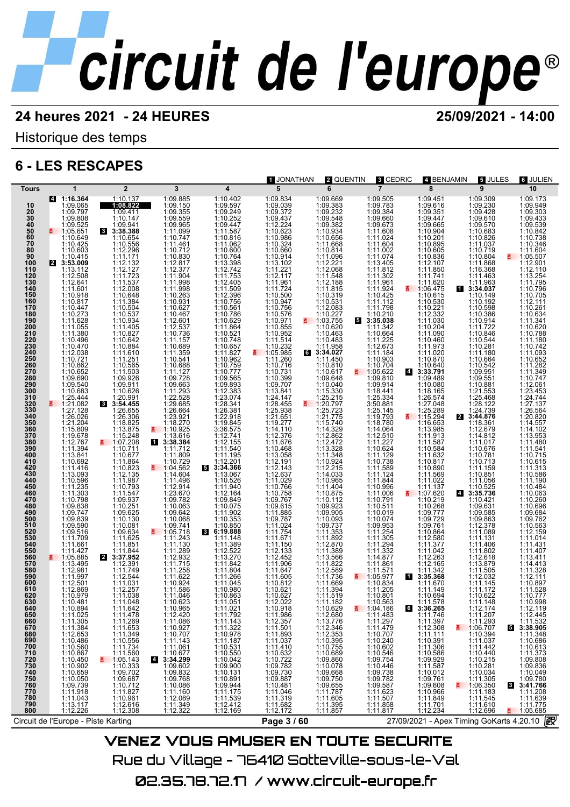## **24 heures 2021 - 24 HEURES 25/09/2021 - 14:00**

Historique des temps

## **6 - LES RESCAPES**



Rue du Village – 76410 Sotteville-sous-le-Val 02.35.78.72.17 / www.circuit-europe.fr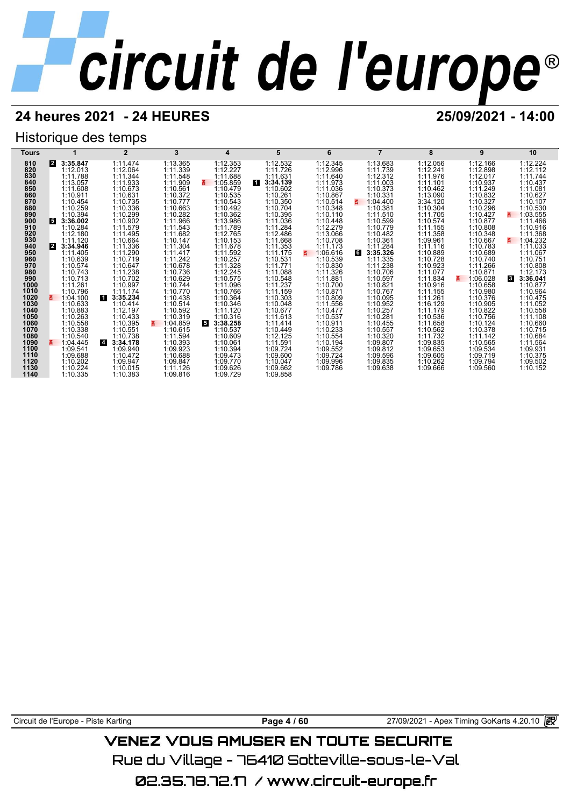## **24 heures 2021 - 24 HEURES 25/09/2021 - 14:00**

## Historique des temps

| Tours        |                      | $\mathbf{2}$                           | 3                    | 4                    | 5                    | 6                    |                      | 8                    | 9                    | 10                       |
|--------------|----------------------|----------------------------------------|----------------------|----------------------|----------------------|----------------------|----------------------|----------------------|----------------------|--------------------------|
| 810          | 3:35.847<br>2        | 1:11.474                               | 1:13.365             | 1:12.353             | 1:12.532             | 1:12.345             | 1:13.683             | 1:12.056             | 1:12.166             | 1:12.224                 |
| 820          | 1:12.013             | 1:12.064                               | 1:11.339             | 1:12.227             | 1:11.726             | 1:12.996             | 1:11.739             | 1:12.241             | 1:12.898             | 1:12.112                 |
| 830          | 1:11.788             | 1:11.344                               | 1:11.548             | 1:11.688             | 1:11.631             | 1:11.640             | 1:12.312             | 1:11.976             | 1:12.017             | 1:11.744                 |
| 840          | 1:13.057             | 1:11.933                               | 1:11.909             | 1:05.859<br>3.       | И<br>3:34.139        | 1:11.973             | 1:11.003             | 1:11.101             | 1:10.937             | 1:10.437                 |
| 850          | 1:11.608             | 1:10.673                               | 1:10.561             | 1:10.479             | 1:10.602             | 1:11.036             | 1:10.373             | 1:10.462             | 1:11.249             | 1:11.081                 |
| 860<br>870   | 1:10.911             | 1:10.631<br>1:10.735                   | 1:10.372             | 1:10.535             | 1:10.261             | 1:10.867<br>1:10.514 | 1:10.331             | 1:13.090             | 1:10.832<br>1:10.327 | 1:10.627                 |
| 880          | 1:10.454<br>1:10.259 | 1:10.336                               | 1:10.777<br>1:10.663 | 1:10.543<br>1:10.492 | 1:10.350<br>1:10.704 | 1:10.348             | 1:04.400<br>1:10.381 | 3:34.120<br>1:10.304 | 1:10.296             | 1:10.107<br>1:10.530     |
| 890          | 1:10.394             | 1:10.299                               | 1:10.282             | 1:10.362             | 1:10.395             | 1:10.110             | 1:11.510             | 1:11.705             | 1:10.427             | 1:03.555<br>3.           |
| 900          | 5<br>3:36.002        | 1:10.902                               | 1:11.966             | 1:13.986             | 1:11.036             | 1:10.448             | 1:10.599             | 1:10.574             | 1:10.877             | 1:11.466                 |
| 910          | 1:10.284             | 1:11.579                               | 1:11.543             | 1:11.789             | 1:11.284             | 1:12.279             | 1:10.779             | 1:11.155             | 1:10.808             | 1:10.916                 |
| 920          | 1:12.180             | 1:11.495                               | 1:11.682             | 1:12.765             | 1:12.486             | 1:13.066             | 1:10.482             | 1:11.358             | 1:10.348             | 1:11.368                 |
| 930          | 1:11.120             | 1:10.664                               | 1:10.147             | 1:10.153             | 1:11.668             | 1:10.708             | 1:10.361             | 1:09.961             | 1:10.667             | 1:04.232<br>3.           |
| 940          | 3:34.946<br><b>2</b> | 1:11.336                               | 1:11.304             | 1:11.678             | 1:11.353             | 1:11.173             | 1:11.284             | 1:11.116             | 1:10.783             | 1:11.033                 |
| 950          | 1:11.405             | 1:11.290                               | 1:11.417             | 1:11.592             | 1:11.175             | 1:06.616<br>3.       | 6<br>3:35.326        | 1:10.889             | 1:10.689             | 1:11.067                 |
| 960          | 1:10.639             | 1:10.719                               | 1:11.242             | 1:10.257             | 1:10.531             | 1:10.539             | 1:11.335             | 1:10.728             | 1:10.740             | 1:10.751                 |
| 970<br>980   | 1:10.574<br>1:10.743 | 1:10.647<br>1:11.238                   | 1:10.678<br>1:10.736 | 1:11.328<br>1:12.245 | 1:11.771<br>1:11.088 | 1:10.830<br>1:11.326 | 1:11.238<br>1:10.706 | 1:10.923<br>1:11.077 | 1:11.266<br>1:10.871 | 1:10.808<br>1:12.173     |
| 990          | 1:10.713             | 1:10.702                               | 1:10.629             | 1:10.575             | 1:10.548             | 1:11.881             | 1:10.597             | 1:11.834             | 1:06.028<br>3.       | 3:36.041<br>$\mathbf{3}$ |
| 1000         | 1:11.261             | 1:10.997                               | 1:10.744             | 1:11.096             | 1:11.237             | 1:10.700             | 1:10.821             | 1:10.916             | 1:10.658             | 1:10.877                 |
| 1010         | 1:10.796             | 1:11.174                               | 1:10.770             | 1:10.766             | 1:11.159             | 1:10.871             | 1:10.767             | 1:11.155             | 1:10.980             | 1:10.964                 |
| 1020         | 1:04.100             | и<br>3:35.234                          | 1:10.438             | 1:10.364             | 1:10.303             | 1:10.809             | 1:10.095             | 1:11.261             | 1:10.376             | 1:10.475                 |
| 1030         | 1:10.633             | 1:10.414                               | 1:10.514             | 1:10.346             | 1:10.048             | 1:11.556             | 1:10.952             | 1:16.129             | 1:10.905             | 1:11.052                 |
| 1040         | 1:10.883             | 1:12.197                               | 1:10.592             | 1:11.120             | 1:10.677             | 1:10.477             | 1:10.257             | 1:11.179             | 1:10.822             | 1:10.558                 |
| 1050         | 1:10.263             | 1:10.433                               | 1:10.319             | 1:10.316             | 1:11.613             | 1:10.537             | 1:10.281             | 1:10.536             | 1:10.756             | 1:11.108                 |
| 1060         | 1:10.558             | 1:10.395                               | E.<br>1:04.859       | 5<br>3:38.258        | 1:11.414             | 1:10.911             | 1:10.455             | 1:11.658             | 1:10.124             | 1:10.660                 |
| 1070<br>1080 | 1:10.338             | 1:10.551                               | 1:10.615             | 1:10.537             | 1:10.449             | 1:10.233             | 1:10.557             | 1:10.562             | 1:10.378             | 1:10.715                 |
| 1090         | 1:10.540<br>1:04.445 | 1:10.738<br>$\overline{4}$<br>3:34.178 | 1:11.594<br>1:10.393 | 1:10.609<br>1:10.061 | 1:12.125<br>1:11.591 | 1:10.554<br>1:10.194 | 1:10.320<br>1:09.807 | 1:11.732<br>1:09.835 | 1:11.142<br>1:10.565 | 1:10.684<br>1:11.564     |
| 1100         | 1:09.541             | 1:09.940                               | 1:09.923             | 1:10.394             | 1:09.724             | 1:09.552             | 1:09.812             | 1:09.653             | 1:09.534             | 1:09.931                 |
| 1110         | 1:09.688             | 1:10.472                               | 1:10.688             | 1:09.473             | 1:09.600             | 1:09.724             | 1:09.596             | 1:09.605             | 1:09.719             | 1:10.375                 |
| 1120         | 1:10.202             | 1:09.947                               | 1:09.847             | 1:09.770             | 1:10.047             | 1:09.996             | 1:09.835             | 1:10.262             | 1:09.794             | 1:09.502                 |
| 1130         | 1:10.224             | 1:10.015                               | 1:11.126             | 1:09.626             | 1:09.662             | 1:09.786             | 1:09.638             | 1:09.666             | 1:09.560             | 1:10.152                 |
| 1140         | 1:10.335             | 1:10.383                               | 1:09.816             | 1:09.729             | 1:09.858             |                      |                      |                      |                      |                          |

Circuit de l'Europe - Piste Karting **Page 4 / 60** Page 4 / 60 27/09/2021 - Apex Timing GoKarts 4.20.10 **图** 

## **VENEZ VOUS AMUSER EN TOUTE SECURITE**

Rue du Village – 76410 Sotteville-sous-le-Val

02.35.78.72.17 /www.circuit-europe.fr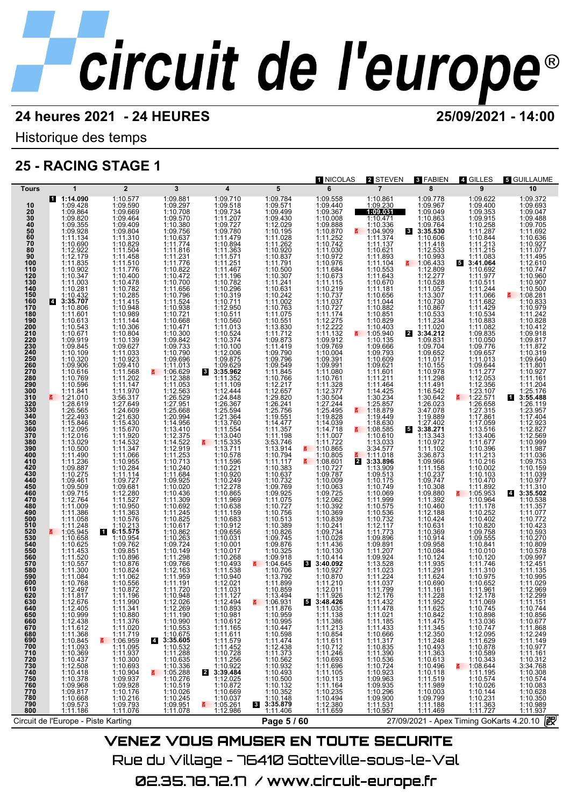NICOLAS **2** STEVEN **3** FABIEN **4** GILLES **5** GUILLAUME

Historique des temps

## **25 - RACING STAGE 1**

| Tours                           | $\mathbf 1$                                                                      | $\overline{2}$                                                                                           | 3                                                                                                                                                                                                                                                                                | 4                                                                                                                                              | 5                                                                                | 6                      | $\overline{7}$                                                                                      | 8                                                                                                                                                                                       | 9                                                                                | 10                                                                                                                                       |
|---------------------------------|----------------------------------------------------------------------------------|----------------------------------------------------------------------------------------------------------|----------------------------------------------------------------------------------------------------------------------------------------------------------------------------------------------------------------------------------------------------------------------------------|------------------------------------------------------------------------------------------------------------------------------------------------|----------------------------------------------------------------------------------|------------------------|-----------------------------------------------------------------------------------------------------|-----------------------------------------------------------------------------------------------------------------------------------------------------------------------------------------|----------------------------------------------------------------------------------|------------------------------------------------------------------------------------------------------------------------------------------|
| 10                              | 1:14.090<br>1:09.428                                                             | 1:10.577<br>1:09.590                                                                                     | 1:09.881<br>1:09.297                                                                                                                                                                                                                                                             | 1:09.710<br>1:09.518                                                                                                                           | 1:09.784<br>1:09.571                                                             | 1:09.558<br>1:09.440   | 1:10.861<br>1:09.230                                                                                | 1:09.778<br>1:09.967                                                                                                                                                                    | 1:09.622<br>1:09.400                                                             | 1:09.372<br>1:09.693                                                                                                                     |
| $\frac{20}{30}$                 | 1:09.864                                                                         | 1:09.669                                                                                                 | 1:10.708                                                                                                                                                                                                                                                                         | 1:09.734                                                                                                                                       | 1:09.499                                                                         | 1:09.367               | 1:09.031                                                                                            | 1:09.049                                                                                                                                                                                | 1:09.353                                                                         | 1:09.047<br>1:09.488                                                                                                                     |
| 40                              | 1:09.820<br>1:09.355                                                             | 1:09.464<br>1:09.409                                                                                     | 1:09.570<br>1:10.380                                                                                                                                                                                                                                                             | 1:11.207<br>1:09.727                                                                                                                           | 1:09.430<br>1:12.029                                                             | 1:10.008<br>1:09.888   | 1:10.471<br>1:10.336                                                                                | 1:10.863<br>1:09.764                                                                                                                                                                    | 1:09.915<br>1:10.258                                                             | 1:09.705                                                                                                                                 |
| 50<br>60                        | 1:09.928<br>1:11.134                                                             | 1:09.804<br>1:11.310                                                                                     | 1:09.756<br>1:10.637                                                                                                                                                                                                                                                             | 1:09.780<br>1:11.479                                                                                                                           | 1:10.195<br>1:11.028                                                             | 1:10.870<br>1:11.252   | ₹ 1:04.909<br>1:11.374                                                                              | 3<br>3:35.530<br>1:10.606                                                                                                                                                               | 1:11.287<br>1:10.844                                                             | 1:11.692<br>1:10.636                                                                                                                     |
| 70<br>80                        | 1:10.690                                                                         | 1:10.829                                                                                                 | 1:11.774                                                                                                                                                                                                                                                                         | 1:10.894                                                                                                                                       | 1:11.262                                                                         | 1:10.742               | 1:11.137                                                                                            | 1:11.418                                                                                                                                                                                | 1:11.213                                                                         | 1:10.927                                                                                                                                 |
| 90                              | 1:12.922<br>1:12.179                                                             | 1:11.504<br>1:11.458                                                                                     | 1:11.816<br>1:11.231                                                                                                                                                                                                                                                             | 1:11.363<br>1:11.571                                                                                                                           | 1:10.920<br>1:10.837                                                             | 1:11.030<br>1:10.972   | 1:10.621<br>1:11.893                                                                                | 1:12.533<br>1:10.993                                                                                                                                                                    | 1:11.215<br>1:11.083                                                             | 1:11.077<br>1:11.495                                                                                                                     |
| 100<br>110                      | 1:11.835<br>1:10.902                                                             | 1:11.510<br>1:11.776                                                                                     | 1:11.776<br>1:10.822                                                                                                                                                                                                                                                             | 1:11.251<br>1:11.467                                                                                                                           | 1:11.791<br>1:10.500                                                             | 1:10.976<br>1:11.684   | 1:11.104<br>1:10.553                                                                                | $\frac{2}{9}$ 1:06.433<br>1:12.809                                                                                                                                                      | 53:41.064<br>1:10.692                                                            | 1:12.610<br>1:10.747                                                                                                                     |
| 120<br>130                      | 1:10.347                                                                         | 1:10.400                                                                                                 | 1:10.472                                                                                                                                                                                                                                                                         | 1:11.196                                                                                                                                       | 1:10.307                                                                         | 1:10.673               | 1:11.643                                                                                            | 1:12.277<br>1:10.528                                                                                                                                                                    | 1:11.977                                                                         | 1:10.960                                                                                                                                 |
| 140                             | 1:11.003<br>1:10.281                                                             | 1:10.478<br>1:10.782                                                                                     | 1:10.700<br>1:11.656                                                                                                                                                                                                                                                             | 1:10.782<br>1:10.296                                                                                                                           | 1:11.241<br>1:10.631                                                             | 1:11.115<br>1:10.219   | 1:10.670<br>1:11.181                                                                                | 1:11.057                                                                                                                                                                                | 1:10.511<br>1:11.244                                                             | 1:10.907<br>1:10.500                                                                                                                     |
| 150<br>160                      | 1:10.432<br>3:35.707<br><b>14</b>                                                | 1:10.285<br>1:11.415                                                                                     | 1:10.796<br>1:11.524                                                                                                                                                                                                                                                             | 1:10.319<br>1:10.711                                                                                                                           | 1:10.242<br>1:11.002                                                             | 1:10.737<br>1:11.037   | 1:10.656<br>1:11.044                                                                                | 1:13.307<br>1:10.730                                                                                                                                                                    | 1:11.066<br>1:11.682                                                             | <b>M</b> 1:08.281<br>1:10.833                                                                                                            |
| 170<br>180                      | 1:10.806                                                                         | 1:10.948                                                                                                 | 1:10.938<br>1:10.721                                                                                                                                                                                                                                                             | 1:12.950<br>1:10.511                                                                                                                           | 1:10.763                                                                         | 1:10.727<br>1:11.174   | 1:10.882                                                                                            | 1:10.867<br>1:10.533                                                                                                                                                                    | 1:11.429                                                                         | 1:10.979                                                                                                                                 |
| 190                             | 1:11.601<br>1:10.613                                                             | 1:10.989<br>1:11.144                                                                                     | 1:10.668                                                                                                                                                                                                                                                                         | 1:10.560                                                                                                                                       | 1:11.075<br>1:10.551                                                             | 1:12.275<br>1:12.222   | 1:10.851<br>1:10.829                                                                                | 1:11.234                                                                                                                                                                                | 1:10.534<br>1:10.883                                                             | 1:11.242<br>1:10.828                                                                                                                     |
| 200<br>210                      | 1:10.543<br>1:10.671                                                             | 1:10.306<br>1:10.804                                                                                     | 1:10.471<br>1:10.300                                                                                                                                                                                                                                                             | 1:11.013<br>1:10.524                                                                                                                           | 1:13.830<br>1:11.712                                                             | 1:11.132               | 1:10.403<br>1:05.940                                                                                | 1:11.020<br>2<br>3:34.212                                                                                                                                                               | 1:11.082<br>1:09.835                                                             | 1:10.412<br>1:09.918                                                                                                                     |
| 220<br>230                      | 1:09.919                                                                         | 1:10.139                                                                                                 | 1:09.842                                                                                                                                                                                                                                                                         | 1:10.374<br>1:10.100                                                                                                                           | 1:09.873                                                                         | 1:09.912<br>1:09.769   | 1:10.135<br>1:09.666                                                                                | 1:09.831                                                                                                                                                                                | 1:10.050<br>1:09.776                                                             | 1:09.817                                                                                                                                 |
| 240                             | 1:09.845<br>1:10.109                                                             | 1:09.627<br>1:11.033                                                                                     | 1:09.733<br>1:10.790                                                                                                                                                                                                                                                             | 1:12.006                                                                                                                                       | 1:11.419<br>1:09.790                                                             | 1:10.004               | 1:09.793                                                                                            | 1:09.704<br>1:09.652                                                                                                                                                                    | 1:09.657                                                                         | 1:11.872<br>1:10.319                                                                                                                     |
| 250<br>260                      | 1:10.320<br>1:09.906                                                             | 1:10.923<br>1:09.410                                                                                     | 1:09.696<br>1:11.013                                                                                                                                                                                                                                                             | 1:09.875<br>1:09.629                                                                                                                           | 1:09.796<br>1:09.549                                                             | 1:09.391<br>1:09.991   | 1:10.609<br>1:09.621                                                                                | 1:11.017<br>1:10.155                                                                                                                                                                    | 1:11.013<br>1:09.644                                                             | 1:09.640<br>1:11.801                                                                                                                     |
| 270<br>280                      | 1:10.616<br>1:10.769                                                             | 1:11.568<br>1:11.202                                                                                     | $\frac{2}{9}$ 1:06.629<br>1:12.388                                                                                                                                                                                                                                               | 8 3:35.962<br>1:11.352                                                                                                                         | 1:11.845<br>1:10.766                                                             | 1:11.080<br>1:10.761   | 1:11.601<br>1:11.211                                                                                | 1:10.978<br>1:11.298                                                                                                                                                                    | 1:11.277<br>1:12.053                                                             | 1:10.927<br>1:11.161                                                                                                                     |
| 290                             | 1:10.596                                                                         | 1:11.147                                                                                                 | 1:11.053                                                                                                                                                                                                                                                                         | 1:11.109                                                                                                                                       | 1:12.217                                                                         | 1:11.328<br>1:12.377   | 1:11.464                                                                                            | 1:11.491                                                                                                                                                                                | 1:12.356                                                                         | 1:11.204                                                                                                                                 |
| 300<br>310                      | 1:11.841<br>■ 1:21.010                                                           | 1:11.970<br>3:56.317                                                                                     | 1:12.563<br>1:26.529                                                                                                                                                                                                                                                             | 1:12.444<br>1:24.848                                                                                                                           | 1:12.657<br>1:29.820                                                             | 1:30.504               | 1:14.425<br>1:30.234                                                                                | 1:16.542<br>1:30.642                                                                                                                                                                    | $1:23.107$<br>1:22.571                                                           | 1:25.176<br>1 3:55.488                                                                                                                   |
| 320<br>330                      | 1:28.619<br>1:26.565                                                             | 1:27.649<br>1:24.609                                                                                     | 1:27.951<br>1:25.668                                                                                                                                                                                                                                                             | 1:26.367<br>1:25.594                                                                                                                           | 1:26.241<br>1:25.756                                                             | 1:27.244<br>1:25.495   | 1:25.857<br>1:18.879<br>š.                                                                          | 1:26.023<br>3:47.078                                                                                                                                                                    | 1:26.658<br>1:27.315                                                             | 1:26.119<br>1:23.957                                                                                                                     |
| 340                             | 1:22.493                                                                         | 1:21.630                                                                                                 | 1:20.994                                                                                                                                                                                                                                                                         | 1:21.364                                                                                                                                       | 1:19.551<br>1:14.477                                                             | 1:19.828               | 1:19.449                                                                                            | 1:19.889                                                                                                                                                                                | 1:17.861                                                                         | 1:17.404                                                                                                                                 |
| 350<br>360                      | 1:15.846<br>1:12.095                                                             | 1:15.430<br>1:15.670                                                                                     | 1:14.956<br>1:13.410                                                                                                                                                                                                                                                             | 1:13.760<br>1:11.554                                                                                                                           | 1:11.357                                                                         | 1:14.718               | 1:18.630<br>$\frac{2}{9}$ 1:08.585                                                                  | 1:27.402<br>5<br>3:38.271                                                                                                                                                               | 1:17.059<br>1:13.516                                                             | 1:12.923<br>1:12.827                                                                                                                     |
| 370<br>380                      | 1:12.016<br>1:13.029                                                             | 1:11.920<br>1:14.532                                                                                     | 1:12.375<br>1:14.522                                                                                                                                                                                                                                                             | 1:13.040<br>$\frac{2}{1}$ 1:15.335                                                                                                             | 1:11.198<br>3:53.746                                                             | 1:11.007<br>1:11.722   | 1:10.610<br>1:13.033                                                                                | 1:13.343<br>1:10.972                                                                                                                                                                    | 1:13.406<br>1:11.677                                                             | 1:12.569<br>1:10.999                                                                                                                     |
| 390<br>400                      | 1:10.500<br>1:11.490                                                             | 1:11.347<br>1:11.066                                                                                     | 1:12.919<br>1:11.253                                                                                                                                                                                                                                                             | 1:13.711                                                                                                                                       | 1:13.914                                                                         | $\frac{2}{1}$ 1:10.865 | 3:34.577<br>1:11.018                                                                                | 1:11.102                                                                                                                                                                                | 1:10.396                                                                         | 1:11.987<br>1:11.036                                                                                                                     |
| 410                             | 1:11.236                                                                         | 1:10.955                                                                                                 | 1:10.713                                                                                                                                                                                                                                                                         | 1:10.578<br>1:11.596                                                                                                                           | 1:10.794<br>1:11.117                                                             | 1:10.805<br>1:08.601   | 2 3:33.896                                                                                          | 3:36.873<br>1:09.966                                                                                                                                                                    | 1:11.213<br>1:10.216                                                             | 1:09.753                                                                                                                                 |
| 420<br>430                      | 1:09.887<br>1:10.275                                                             | 1:10.284<br>1:11.114                                                                                     | 1:10.240                                                                                                                                                                                                                                                                         | 1:10.221<br>1:10.920                                                                                                                           | 1:10.383<br>1:10.637                                                             | 1:10.727<br>1:09.787   | 1:13.909<br>1:09.513                                                                                | 1:11.158<br>1:10.237                                                                                                                                                                    | 1:10.002<br>1:10.103                                                             | 1:10.159<br>1:11.039                                                                                                                     |
| 440<br>450                      | 1:09.461<br>1:09.509                                                             | 1:09.727<br>1:09.681                                                                                     | 1:11.684<br>1:09.925<br>1:10.020                                                                                                                                                                                                                                                 | 1:10.249<br>1:12.278                                                                                                                           | 1:10.732<br>1:09.769                                                             | 1:10.009<br>1:10.063   | 1:10.175<br>1:10.749                                                                                | 1:09.747<br>1:10.308                                                                                                                                                                    | 1:10.470<br>1:11.892                                                             | 1:10.977<br>1:11.310                                                                                                                     |
| 460                             | 1:09.715                                                                         | 1:12.280                                                                                                 | 1:10.436                                                                                                                                                                                                                                                                         | 1:10.865                                                                                                                                       | 1:09.925                                                                         | 1:09.725               | 1:10.069                                                                                            | 1:09.880                                                                                                                                                                                | ₹ 1:05.953                                                                       | 4 3:35.502                                                                                                                               |
| 470<br>480                      | 1:12.764<br>1:11.009                                                             | 1:11.527<br>1:10.950                                                                                     | 1:11.309<br>1:10.692                                                                                                                                                                                                                                                             | 1:11.969<br>1:10.638                                                                                                                           | 1:11.075<br>1:10.727                                                             | 1:12.062<br>1:10.392   | 1:11.999<br>1:10.575                                                                                | 1:11.392<br>1:10.460                                                                                                                                                                    | 1:10.964<br>1:11.178                                                             | 1:10.538<br>1:11.357                                                                                                                     |
| 490<br>500                      | 1:11.386<br>1:11.058                                                             | 1:11.363<br>1:10.576                                                                                     | 1:11.245<br>1:10.825                                                                                                                                                                                                                                                             | 1:11.159<br>1:10.683                                                                                                                           | 1:10.756<br>1:10.513                                                             | 1:10.369<br>1:10.839   | 1:10.536<br>1:10.732                                                                                | 1:12.188<br>1:10.424                                                                                                                                                                    | 1:10.252<br>1:10.402                                                             | 1:11.077<br>1:10.772                                                                                                                     |
| 510                             | 1:11.248                                                                         | 1:10.213                                                                                                 | 1:10.617                                                                                                                                                                                                                                                                         | 1:10.912<br>1:09.656                                                                                                                           | 1:10.389                                                                         | 1:10.241               | 1:12.117                                                                                            | 1:10.631                                                                                                                                                                                | 1:10.820                                                                         | 1:10.423                                                                                                                                 |
| 520<br>530                      | 1:05.945<br>昌<br>1:10.658                                                        | 6:15.575<br>1:10.954                                                                                     | 1:10.862<br>1:10.263                                                                                                                                                                                                                                                             | 1:10.031                                                                                                                                       | 1:10.826<br>1:09.745                                                             | 1:09.734<br>1:10.028   | 1:11.773<br>1:09.896                                                                                | 1:10.369<br>1:10.914                                                                                                                                                                    | 1:09.758<br>1:09.555                                                             | 1:10.593<br>1:10.270                                                                                                                     |
| 540<br>550                      | 1:10.625<br>1:11.453                                                             | 1:09.762<br>1:09.851                                                                                     | 1:09.724<br>1:10.149                                                                                                                                                                                                                                                             | 1:10.001<br>1:10.017                                                                                                                           | 1:09.876<br>1:10.325                                                             | 1:11.436<br>1:10.130   | 1:09.891<br>1:11.207                                                                                | 1:09.958<br>1:10.084                                                                                                                                                                    | 1:10.841<br>1:10.010                                                             | 1:10.809<br>1:10.578                                                                                                                     |
| 560<br>570                      | 1:11.520<br>1:10.557                                                             | 1:10.896<br>1:10.876                                                                                     | 1:11.298<br>1:09.766                                                                                                                                                                                                                                                             | 1:10.268<br>1:10.493                                                                                                                           | 1:09.918<br>$\frac{2}{9}$ 1:04.645                                               | 1:10.414<br>8 3:40.092 | 1:09.924<br>1:13.528                                                                                | 1:10.124<br>1:11.935                                                                                                                                                                    | 1:10.120<br>1:11.746                                                             | 1:09.997<br>1:12.451                                                                                                                     |
| 580                             | 1:11.300                                                                         | 1:10.824                                                                                                 | 1:12.163                                                                                                                                                                                                                                                                         | 1:11.538                                                                                                                                       | 1:10.706                                                                         | 1:10.927               | 1:11.023                                                                                            | 1:11.291                                                                                                                                                                                | 1:11.310                                                                         | 1:11.135                                                                                                                                 |
| 590<br>600                      | 1:11.084<br>1:10.768                                                             | 1:11.062<br>1:10.556                                                                                     | 1:11.959<br>1:11.191                                                                                                                                                                                                                                                             | 1:10.940<br>1:12.021                                                                                                                           | 1:13.792<br>1:11.899                                                             | 1:10.870<br>1:11.210   | 1:11.224<br>1:11.037                                                                                | 1:11.624<br>1:10.690                                                                                                                                                                    | 1:10.975<br>1:10.652                                                             | 1:10.995<br>1:11.029                                                                                                                     |
| 610<br>620                      | 1:12.497<br>1:11.817                                                             | 1:10.872<br>1:11.196                                                                                     | 1:11.720<br>1:10.948                                                                                                                                                                                                                                                             | 1:11.031<br>1:11.127                                                                                                                           | 1:10.859<br>1:13.494                                                             | 1:12.011<br>1:11.926   | 1:11.799<br>1:12.176                                                                                | 1:11.161<br>1:11.228                                                                                                                                                                    | 1:11.961<br>1:12.178                                                             | 1:12.969<br>1:12.299                                                                                                                     |
| 630                             | 1:12.676                                                                         | 1:11.990                                                                                                 | 1:12.026                                                                                                                                                                                                                                                                         | 1:12.494                                                                                                                                       | $\frac{2}{5}$ 1:06.931                                                           | 53:48.426              | 1:11.432                                                                                            | 1:11.952                                                                                                                                                                                | 1:11.069                                                                         | 1:11.151                                                                                                                                 |
| 640<br>650<br>660               | 1:12.405                                                                         | 1:11.341                                                                                                 | 1:12.269                                                                                                                                                                                                                                                                         | 1:10.893                                                                                                                                       | 1:11.876<br>1:10.959                                                             | 1:11.035               | 1:11.478<br>1:11.021                                                                                | 1:11.625                                                                                                                                                                                | 1:10.745                                                                         | 1:10.744                                                                                                                                 |
| 670                             |                                                                                  |                                                                                                          |                                                                                                                                                                                                                                                                                  | 1:10.981<br>1:10.612<br>1:11.165                                                                                                               | 1:10.995<br>1:10.447<br>1:10.598                                                 |                        |                                                                                                     |                                                                                                                                                                                         |                                                                                  |                                                                                                                                          |
| 680<br>690                      | $1:10.999$<br>$1:12.438$<br>$1:11.612$<br>$1:11.368$<br>$1:10.845$<br>$1:11.093$ | 1:10.880<br>1:11.376<br>1:11.719<br>1:06.959<br>1:11.095                                                 |                                                                                                                                                                                                                                                                                  |                                                                                                                                                |                                                                                  |                        | $\begin{array}{r} 1:11.185 \\ 1:11.433 \\ 1:10.666 \\ 1:11.317 \\ 1:10.835 \\ 1:44.330 \end{array}$ |                                                                                                                                                                                         | $1:10.898$<br>$1:13.036$<br>$1:10.747$<br>$1:12.095$<br>$1:11.629$<br>$1:10.878$ | $1:10.856$<br>$1:10.677$<br>$1:11.868$<br>$1:12.249$<br>$1:11.149$<br>$1:10.977$                                                         |
| $\overline{200}$                |                                                                                  |                                                                                                          |                                                                                                                                                                                                                                                                                  | 1:11.611<br>1:11.579<br>1:11.452                                                                                                               | 1:11.474<br>1:12.438<br>1:11.373                                                 |                        |                                                                                                     |                                                                                                                                                                                         |                                                                                  |                                                                                                                                          |
| 710                             |                                                                                  | 1:11.937                                                                                                 |                                                                                                                                                                                                                                                                                  |                                                                                                                                                | 1:10.562                                                                         |                        | 1:11.390                                                                                            |                                                                                                                                                                                         | 1:10.589                                                                         |                                                                                                                                          |
| 720<br>730<br>740<br>750<br>750 |                                                                                  |                                                                                                          |                                                                                                                                                                                                                                                                                  |                                                                                                                                                | 1:10.932                                                                         |                        |                                                                                                     |                                                                                                                                                                                         | 1:10.343                                                                         |                                                                                                                                          |
|                                 |                                                                                  |                                                                                                          |                                                                                                                                                                                                                                                                                  |                                                                                                                                                |                                                                                  |                        |                                                                                                     |                                                                                                                                                                                         |                                                                                  |                                                                                                                                          |
| 760<br>770                      | $1:10.369$ $1:10.437$ $1:12.508$ $1:10.418$ $1:09.868$ $1:09.817$ $1:06.67$      |                                                                                                          |                                                                                                                                                                                                                                                                                  |                                                                                                                                                |                                                                                  |                        |                                                                                                     |                                                                                                                                                                                         |                                                                                  |                                                                                                                                          |
| 780<br>790                      | 1:10.668<br>1:09.573                                                             |                                                                                                          |                                                                                                                                                                                                                                                                                  |                                                                                                                                                | $1:10.493$<br>$1:10.500$<br>$1:10.132$<br>$1:10.352$<br>$1:10.148$<br>$3:35.879$ |                        |                                                                                                     | $\begin{array}{l} 1:10.842 \\ 1:11.475 \\ 1:11.345 \\ 1:12.350 \\ 1:11.248 \\ 1:11.248 \\ 1:11.363 \\ 1:10.613 \\ 1:10.003 \\ 1:11.189 \\ 1:11.989 \\ 1:10.030 \\ 1:11.188 \end{array}$ | 1:06.044<br>1:11.195<br>1:10.574<br>1:10.026<br>1:10.144<br>1:10.231<br>1:11.363 |                                                                                                                                          |
| 800                             | 1:11.186                                                                         | 1:10.300<br>1:10.300<br>1:10.693<br>1:10.904<br>1:09.928<br>1:10.176<br>1:10.216<br>1:09.793<br>1:11.076 | 1:12.269<br>1:11.990<br>1:10.953<br>1:10.653<br>3:35.6 <b>05</b><br>1:10.532<br>1:11.288<br>1:10.338<br>1:10.338<br>1:10.338<br>1:10.338<br>1:10.338<br>1:10.338<br>1:10.338<br>1:10.338<br>1:10.338<br>1:10.338<br>1:10.338<br>1:10.026<br>1:10.519<br>1:10.519<br>1:10.519<br> | $1:10.728$ $1:10.268$ $1:10.922$ $2:12.025$ $1:10.872$ $1:10.699$ $1:10.637$ $1:10.637$ $1:10.637$ $1:10.637$ $1:10.637$ $1:10.637$ $1:12.986$ | 1:11.406                                                                         |                        | 1:11.390<br>1:10.724<br>1:10.723<br>1:09.963<br>1:09.900<br>1:11.531<br>1:11.531<br>1:11.531        | 1:11.469                                                                                                                                                                                |                                                                                  | $1:10.377$<br>$1:11.161$<br>$1:10.312$<br>$3:34.768$<br>$1:10.308$<br>$1:10.628$<br>$1:10.628$<br>$1:10.350$<br>$1:10.989$<br>$1:11.937$ |
|                                 | Circuit de l'Europe - Piste Karting                                              |                                                                                                          |                                                                                                                                                                                                                                                                                  |                                                                                                                                                | Page 5 / 60                                                                      |                        |                                                                                                     | 27/09/2021 - Apex Timing GoKarts 4.20.10 图                                                                                                                                              |                                                                                  |                                                                                                                                          |
|                                 |                                                                                  |                                                                                                          |                                                                                                                                                                                                                                                                                  |                                                                                                                                                |                                                                                  |                        |                                                                                                     |                                                                                                                                                                                         |                                                                                  |                                                                                                                                          |

VENEZ VOUS AMUSER EN TOUTE SECURITE Rue du Village – 76410 Sotteville-sous-le-Val 02.35.78.72.17 / www.circuit-europe.fr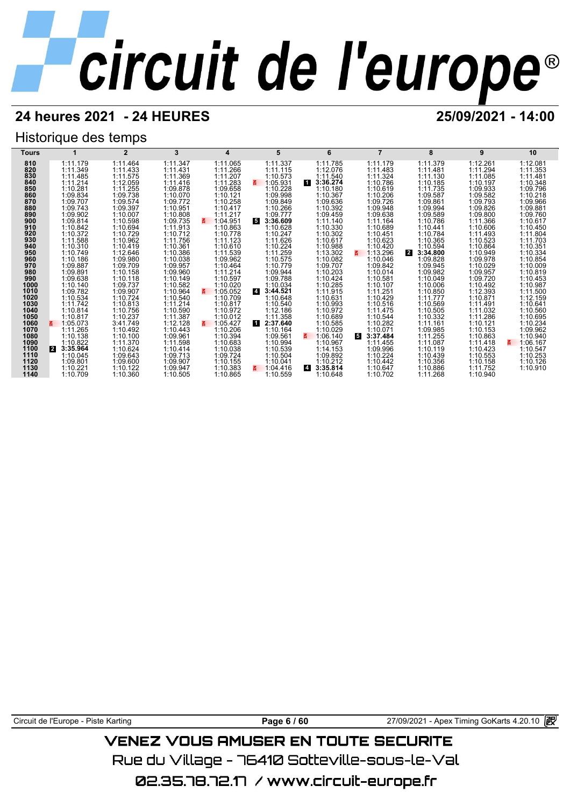## **24 heures 2021 - 24 HEURES 25/09/2021 - 14:00**

## Historique des temps

| Tours        |                            | $\overline{2}$       | 3                    | 4                    | 5                          | 6                          |                             | 8                    | 9                    | 10                   |
|--------------|----------------------------|----------------------|----------------------|----------------------|----------------------------|----------------------------|-----------------------------|----------------------|----------------------|----------------------|
| 810          | 1:11.179                   | 1:11.464             | 1:11.347             | 1:11.065             | 1:11.337                   | 1:11.785                   | 1:11.179                    | 1:11.379             | 1:12.261             | 1:12.081             |
| 820          | 1:11.349                   | 1:11.433             | 1:11.431             | 1:11.266             | 1:11.115                   | 1:12.076                   | 1:11.483                    | 1:11.481             | 1:11.294             | 1:11.353             |
| 830          | 1:11.485                   | 1:11.575             | 1:11.369             | 1:11.207             | 1:10.573                   | 1:11.540                   | 1:11.324                    | 1:11.130             | 1:11.085             | 1:11.481             |
| 840          | 1:11.214                   | 1:12.059             | 1:11.416             | 1:11.283             | 1:05.931<br>$\mathbf{z}$   | и.<br>3:36.274             | 1:10.786                    | 1:10.185             | 1:10.197             | 1:10.348             |
| 850          | 1:10.281                   | 1:11.255             | 1:09.878             | 1:09.658             | 1:10.228                   | 1:10.180                   | 1:10.619                    | 1:11.735             | 1:09.933             | 1:09.796             |
| 860<br>870   | 1:09.834                   | 1:09.738             | 1:10.070             | 1:10.121             | 1:09.998                   | 1:10.367                   | 1:10.206                    | 1:09.587             | 1:09.582             | 1:10.218             |
| 880          | 1:09.707<br>1:09.743       | 1:09.574<br>1:09.397 | 1:09.772<br>1:10.951 | 1:10.258<br>1:10.417 | 1:09.849<br>1:10.266       | 1:09.636<br>1:10.392       | 1:09.726<br>1:09.948        | 1:09.861<br>1:09.994 | 1:09.793<br>1:09.826 | 1:09.966<br>1:09.881 |
| 890          | 1:09.902                   | 1:10.007             | 1:10.808             | 1:11.217             | 1:09.777                   | 1:09.459                   | 1:09.638                    | 1:09.589             | 1:09.800             | 1:09.760             |
| 900          | 1:09.814                   | 1:10.598             | 1:09.735             | 1:04.951             | 5.<br>3:36.609             | 1:11.140                   | 1:11.164                    | 1:10.786             | 1:11.366             | 1:10.617             |
| 910          | 1:10.842                   | 1:10.694             | 1:11.913             | 1:10.863             | 1:10.628                   | 1:10.330                   | 1:10.689                    | 1:10.441             | 1:10.606             | 1:10.450             |
| 920          | 1:10.372                   | 1:10.729             | 1:10.712             | 1:10.778             | 1:10.247                   | 1:10.302                   | 1:10.451                    | 1:10.784             | 1:11.493             | 1:11.804             |
| 930          | 1:11.588                   | 1:10.962             | 1:11.756             | 1:11.123             | 1:11.626                   | 1:10.617                   | 1:10.623                    | 1:10.365             | 1:10.523             | 1:11.703             |
| 940          | 1:10.310                   | 1:10.419             | 1:10.361             | 1:10.610             | 1:10.224                   | 1:10.988                   | 1:10.420                    | 1:10.594             | 1:10.864             | 1:10.351             |
| 950          | 1:10.749                   | 1:12.646             | 1:10.386             | 1:11.539             | 1:11.259                   | 1:13.302                   | 1:13.296                    | 2<br>3:34.800        | 1:10.949             | 1:10.334             |
| 960          | 1:10.186                   | 1:09.980             | 1:10.038             | 1:09.962             | 1:10.575                   | 1:10.082                   | 1:10.046                    | 1:09.828             | 1:09.978             | 1:10.854             |
| 970          | 1:09.887                   | 1:09.709             | 1:09.957             | 1:10.464             | 1:10.779                   | 1:09.707                   | 1:09.842                    | 1:09.945             | 1:10.029             | 1:10.009             |
| 980          | 1:09.891                   | 1:10.158             | 1:09.960             | 1:11.214             | 1:09.944                   | 1:10.203                   | 1:10.014                    | 1:09.982             | 1:09.957             | 1:10.819             |
| 990<br>1000  | 1:09.638<br>1:10.140       | 1:10.118<br>1:09.737 | 1:10.149<br>1:10.582 | 1:10.597<br>1:10.020 | 1:09.788<br>1:10.034       | 1:10.424<br>1:10.285       | 1:10.581<br>1:10.107        | 1:10.049<br>1:10.006 | 1:09.720<br>1:10.492 | 1:10.453<br>1:10.987 |
| 1010         | 1:09.782                   | 1:09.907             | 1:10.964             | 1:05.052             | $\overline{4}$<br>3:44.521 | 1:11.915                   | 1:11.251                    | 1:10.850             | 1:12.393             | 1:11.500             |
| 1020         | 1:10.534                   | 1:10.724             | 1:10.540             | 1:10.709             | 1:10.648                   | 1:10.631                   | 1:10.429                    | 1:11.777             | 1:10.871             | 1:12.159             |
| 1030         | 1:11.742                   | 1:10.813             | 1:11.214             | 1:10.817             | 1:10.540                   | 1:10.993                   | 1:10.516                    | 1:10.569             | 1:11.491             | 1:10.641             |
| 1040         | 1:10.814                   | 1:10.756             | 1:10.590             | 1:10.972             | 1:12.186                   | 1:10.972                   | 1:11.475                    | 1:10.505             | 1:11.032             | 1:10.560             |
| 1050         | 1:10.817                   | 1:10.237             | 1:11.387             | 1:10.012             | 1:11.358                   | 1:10.689                   | 1:10.544                    | 1:10.332             | 1:11.286             | 1:10.695             |
| 1060         | 1:05.073                   | 3:41.749             | 1:12.128             | 1:05.427<br>3.       | И<br>2:37.640              | 1:10.585                   | 1:10.282                    | 1:11.161             | 1:10.121             | 1:10.234             |
| 1070         | 1:11.265                   | 1:10.492             | 1:10.443             | 1:10.206             | 1:10.164                   | 1:10.029                   | 1:10.071                    | 1:09.985             | 1:10.153             | 1:09.962             |
| 1080         | 1:10.138                   | 1:10.100             | 1:09.961             | 1:10.394             | 1:09.561                   | 1:06.140                   | $5\overline{5}$<br>3:37.484 | 1:11.255             | 1:10.863             | 1:10.940             |
| 1090         | 1:10.822                   | 1:11.370             | 1:11.598             | 1:10.683             | 1:10.994                   | 1:10.967                   | 1:11.455                    | 1:11.087             | 1:11.418             | 1:06.167<br>吾        |
| 1100<br>1110 | 3:35.964<br>12<br>1:10.045 | 1:10.624<br>1:09.643 | 1:10.414<br>1:09.713 | 1:10.038<br>1:09.724 | 1:10.539<br>1:10.504       | 1:14.153<br>1:09.892       | 1:09.996<br>1:10.224        | 1:10.119<br>1:10.439 | 1:10.423<br>1:10.553 | 1:10.547<br>1:10.253 |
| 1120         | 1:09.801                   | 1:09.600             | 1:09.907             | 1:10.155             | 1:10.041                   | 1:10.212                   | 1:10.442                    | 1:10.356             | 1:10.158             | 1:10.126             |
| 1130         | 1:10.221                   | 1:10.122             | 1:09.947             | 1:10.383             | 1:04.416                   | 3:35.814<br>$\overline{4}$ | 1:10.647                    | 1:10.886             | 1:11.752             | 1:10.910             |
| 1140         | 1:10.709                   | 1:10.360             | 1:10.505             | 1:10.865             | 1:10.559                   | 1:10.648                   | 1:10.702                    | 1:11.268             | 1:10.940             |                      |

Circuit de l'Europe - Piste Karting **Page 6 / 60** Page 6 / 60 27/09/2021 - Apex Timing GoKarts 4.20.10 **图** 

## **VENEZ VOUS AMUSER EN TOUTE SECURITE**

Rue du Village – 76410 Sotteville-sous-le-Val

02.35.78.72.17 /www.circuit-europe.fr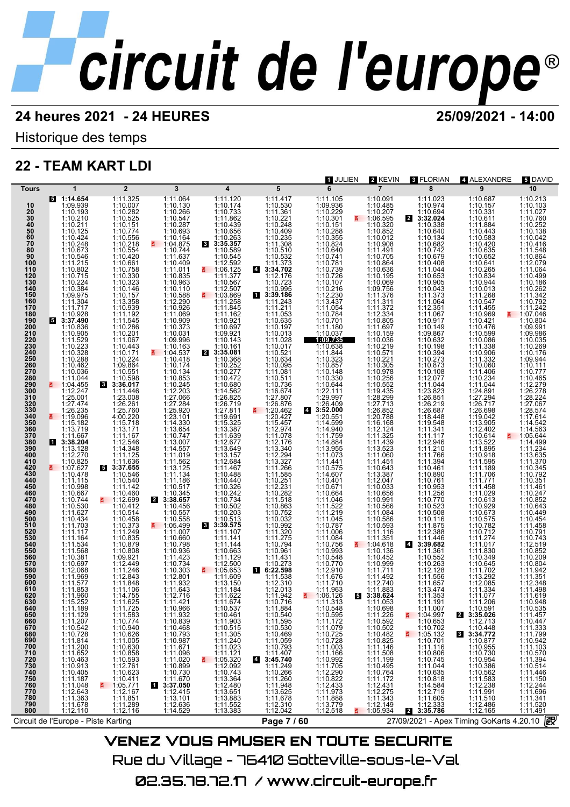Historique des temps

## **22 - TEAM KART LDI**

|                       |                                                          |                                                                                                                                        |                                                                                                                                                                                                                                                                                                              |                                                                                                                                                                                                                                                                                                        |                                                                                                                                                              | 1 JULIEN                                                                                                             | 2 KEVIN                                                                                 | <b>8 FLORIAN</b>                                                                                                                      | 4 ALEXANDRE                                                                                            | 5 DAVID                                                            |
|-----------------------|----------------------------------------------------------|----------------------------------------------------------------------------------------------------------------------------------------|--------------------------------------------------------------------------------------------------------------------------------------------------------------------------------------------------------------------------------------------------------------------------------------------------------------|--------------------------------------------------------------------------------------------------------------------------------------------------------------------------------------------------------------------------------------------------------------------------------------------------------|--------------------------------------------------------------------------------------------------------------------------------------------------------------|----------------------------------------------------------------------------------------------------------------------|-----------------------------------------------------------------------------------------|---------------------------------------------------------------------------------------------------------------------------------------|--------------------------------------------------------------------------------------------------------|--------------------------------------------------------------------|
| Tours                 | 1                                                        | $\overline{2}$                                                                                                                         | 3                                                                                                                                                                                                                                                                                                            | $\overline{\mathbf{4}}$                                                                                                                                                                                                                                                                                | 5                                                                                                                                                            | 6                                                                                                                    | $\overline{7}$                                                                          | 8                                                                                                                                     | 9                                                                                                      | 10                                                                 |
| 10                    | $5 - 1:14.654$<br>1:09.939                               | 1:11.325<br>1:10.007                                                                                                                   | 1:11.064                                                                                                                                                                                                                                                                                                     | 1:11.120<br>1:10.174                                                                                                                                                                                                                                                                                   | 1:11.417<br>1:10.530<br>1:11.361<br>1:10.221<br>1:10.248                                                                                                     | 1:11.105<br>1:09.936                                                                                                 | 1:10.091<br>1:10.485                                                                    | 1:11.023                                                                                                                              | 1:10.687<br>1:10.157                                                                                   | 1:10.213<br>1:10.103                                               |
| $\frac{20}{30}$<br>40 | 1:10.193<br>1:10.210                                     | 1:10.282<br>1:10.525<br>1:10.151                                                                                                       | $\begin{array}{c} 1:10.130 \\ 1:10.266 \\ 1:10.547 \\ 1:10.287 \end{array}$                                                                                                                                                                                                                                  | 1:10.733<br>1:11.862<br>1:10.439                                                                                                                                                                                                                                                                       |                                                                                                                                                              | 1:10.229                                                                                                             | $\frac{1:10.207}{1:06.595}$                                                             | $1:10.974$<br>$1:10.694$<br>$3:32.024$<br>$\mathbf{2}$                                                                                | $\begin{array}{c} 1:10.331 \\ 1:10.611 \\ 1:11.884 \end{array}$                                        | 1:11.027<br>1:10.760                                               |
|                       | 1:10.211<br>1:10.125                                     | 1:10.774                                                                                                                               | 1:10.693                                                                                                                                                                                                                                                                                                     |                                                                                                                                                                                                                                                                                                        |                                                                                                                                                              | 1:10.151                                                                                                             | 1:10.852                                                                                | 1:10.338<br>1:10.640                                                                                                                  | 1:10.443                                                                                               | 1:10.252<br>1:10.138                                               |
| $\frac{50}{60}$       | 1:10.424                                                 | 1:10.556                                                                                                                               | 1:10.164                                                                                                                                                                                                                                                                                                     | 1:10.656<br>1:10.263                                                                                                                                                                                                                                                                                   |                                                                                                                                                              | 1:10.288<br>1:10.355                                                                                                 | 1:10.012                                                                                | 1:10.134                                                                                                                              | 1:10.583                                                                                               | 1:10.042                                                           |
| $\frac{70}{80}$       | 1:10.248<br>1:10.673                                     | 1:10.218<br>1:10.554<br>1:10.420                                                                                                       | $\begin{array}{r}\n 1.101.104 \\  - 1.04.875 \\  1.10.744 \\  1.11.637 \\  1.10.409\n \end{array}$                                                                                                                                                                                                           | $\begin{array}{r} 61 \quad 3:35.357 \\ 1:10.589 \\ 1:10.545 \end{array}$                                                                                                                                                                                                                               | $1:10.248$<br>1:10.409<br>1:11.308<br>1:11.308<br>1:10.532<br>1:11.373<br>3:34.702<br>1:12.176                                                               | $1:10.824$ $1:10.640$ $1:10.741$ $1:10.781$                                                                          | 1:10.908<br>1:11.491<br>1:10.705                                                        | $1:10.134$<br>$1:10.682$<br>$1:10.742$<br>$1:10.404$<br>$1:11.044$<br>$1:10.053$<br>$1:10.905$<br>$1:10.343$                          | $1:10.420$<br>$1:10.635$<br>$1:10.652$                                                                 | $1:10.416$<br>$1:11.548$<br>$1:10.864$                             |
| 90<br>100             | 1:10.546                                                 | 1:10.661                                                                                                                               |                                                                                                                                                                                                                                                                                                              | 1:12.592                                                                                                                                                                                                                                                                                               |                                                                                                                                                              |                                                                                                                      | 1:10.864                                                                                |                                                                                                                                       | 1:10.641                                                                                               | 1:12.079                                                           |
| 110                   | $1:11.215$<br>$1:10.802$                                 | 1:10.758                                                                                                                               | $\begin{array}{r} 1:11.011 \\ 1:10.835 \\ 1:10.963 \\ 1:10.110 \end{array}$                                                                                                                                                                                                                                  | $\frac{2}{5}$ 1:06.125                                                                                                                                                                                                                                                                                 |                                                                                                                                                              | 1:10.739<br>1:10.726                                                                                                 | 1:10.636<br>1:10.195                                                                    |                                                                                                                                       | $\begin{array}{r} 1.10.265 \\ 1.10.834 \\ 1.10.944 \\ 1.10.013 \\ 1.11.263 \end{array}$                | 1:11.064                                                           |
| 120<br>130            | 1:10.715<br>1:10.224<br>1:10.384                         | 1:10.330<br>1:10.323                                                                                                                   |                                                                                                                                                                                                                                                                                                              |                                                                                                                                                                                                                                                                                                        |                                                                                                                                                              | 1:10.107                                                                                                             | 1:10.069                                                                                |                                                                                                                                       |                                                                                                        | 1:10.499<br>1:10.186                                               |
| 140<br>150            | 1:09.975                                                 | 1:10.146<br>1:10.157                                                                                                                   | 1:10.588                                                                                                                                                                                                                                                                                                     | $1:10.567$<br>1:12.507<br>1:03.869                                                                                                                                                                                                                                                                     | $1:10.723$<br>1:10.995<br>3:39.186                                                                                                                           | 1:10.216<br>1:12.230                                                                                                 | 1:09.756<br>1:11.376                                                                    | 1:11.373                                                                                                                              |                                                                                                        | 1:10.262<br>1:11.342                                               |
| 160<br>170            | 1:11.304<br>1:11.717                                     | 1:13.358<br>1:10.939                                                                                                                   | 1:12.290<br>1:10.926                                                                                                                                                                                                                                                                                         | 1:11.258<br>1:11.845                                                                                                                                                                                                                                                                                   | 1:11.243<br>1:11.211                                                                                                                                         | $1:13.437$<br>$1:11.054$                                                                                             | 1:11.311<br>1:11.372                                                                    | 1:11.064<br>1:12.351                                                                                                                  | 1:10.547<br>1:11.455                                                                                   | 1:10.792<br>1:11.242                                               |
| 180                   | $\frac{1:10.928}{3:37.490}$                              | 1:11.192                                                                                                                               |                                                                                                                                                                                                                                                                                                              | 1:11.162                                                                                                                                                                                                                                                                                               |                                                                                                                                                              | 1:10.784                                                                                                             | 1:12.334<br>1:10.805                                                                    | $1:12.351$<br>$1:11.067$<br>$1:10.149$<br>$1:09.867$<br>$1:10.632$<br>$1:10.394$<br>$1:10.273$                                        | 1:10.969                                                                                               | ₹ 1:07.046                                                         |
| 190<br>200            | 1:10.836                                                 | $1:11.545$<br>$1:10.286$<br>$1:10.201$                                                                                                 |                                                                                                                                                                                                                                                                                                              | $\begin{array}{c} 1:10.921 \\ 1:10.697 \\ 1:09.921 \end{array}$                                                                                                                                                                                                                                        | $\begin{array}{r} 1:11.053 \\ 1:10.635 \\ 1:10.197 \\ 1:10.013 \end{array}$                                                                                  |                                                                                                                      |                                                                                         |                                                                                                                                       | 1:10.421<br>1:10.476<br>1:10.599                                                                       | 1:10.804<br>1:09.991                                               |
| 210                   | 1:10.905<br>1:11.529                                     | 1:11.067                                                                                                                               | $1:11.069$<br>$1:10.909$<br>$1:10.373$<br>$1:10.031$<br>$1:09.996$<br>$1:10.163$                                                                                                                                                                                                                             | 1:10.143                                                                                                                                                                                                                                                                                               |                                                                                                                                                              | 1:11.180<br>1:10.037<br>1:09.735                                                                                     | 1:11.697<br>1:10.159<br>1:10.036                                                        |                                                                                                                                       | 1:10.086                                                                                               | 1:09.986<br>1:10.035                                               |
| 220<br>230            | 1:10.223<br>1:10.328                                     | 1:10.443                                                                                                                               |                                                                                                                                                                                                                                                                                                              | 1:10.161                                                                                                                                                                                                                                                                                               | 1:11.028<br>1:10.017                                                                                                                                         | 1:10.638                                                                                                             | 1:10.219                                                                                |                                                                                                                                       | 1:11.338                                                                                               | 1:10.269                                                           |
| 240<br>250<br>260     | 1:10.288                                                 | 1:10.171<br>1:10.224<br>1:09.864                                                                                                       | ■ 1:04.537<br>1:10.418                                                                                                                                                                                                                                                                                       | 2 3:35.081<br>1:10.368<br>1:10.252                                                                                                                                                                                                                                                                     | 1:10.521<br>1:10.634                                                                                                                                         | 1:11.844<br>1:10.323<br>1:10.857                                                                                     | 1:10.571<br>$1:10.221$<br>$1:10.305$                                                    |                                                                                                                                       | 1:10.906<br>1:11.332                                                                                   | 1:10.176<br>1:09.944                                               |
|                       | 1:10.462<br>1:10.036                                     |                                                                                                                                        | 1:10.174                                                                                                                                                                                                                                                                                                     | 1:10.277                                                                                                                                                                                                                                                                                               | 1:10.095<br>1:11.081                                                                                                                                         |                                                                                                                      | 1:10.978                                                                                | 1:10.873<br>1:10.108                                                                                                                  | 1:10.060                                                                                               | 1:10.111<br>1:10.777                                               |
| 270<br>280<br>290     | 1:11.044                                                 | 1:10.551<br>1:10.598<br>8 3:36.017                                                                                                     | $1:10.134$<br>$1:10.853$<br>$1:10.245$<br>$1:12.203$                                                                                                                                                                                                                                                         | 1:10.472                                                                                                                                                                                                                                                                                               | 1:10.511                                                                                                                                                     | $\begin{array}{c} 1:10.148 \\ 1:10.330 \\ 1:10.644 \\ 1:22.111 \end{array}$                                          | 1:10.256<br>1:10.552                                                                    | 1:12.077<br>1:11.044<br>1:23.823                                                                                                      | 1:11.406<br>1:10.234<br>1:11.044                                                                       | 1:10.465<br>1:12.279                                               |
| 300                   | $\frac{2}{5}$ 1:04.455                                   | 1:11.446                                                                                                                               |                                                                                                                                                                                                                                                                                                              |                                                                                                                                                                                                                                                                                                        | 1:10.736<br>1:16.674                                                                                                                                         |                                                                                                                      | 1:19.435                                                                                |                                                                                                                                       |                                                                                                        | 1:26.278                                                           |
| 310<br>320<br>330     | 1:25.001<br>1:27.474                                     | 1:23.008<br>1:26.261                                                                                                                   | 1:27.066<br>1:27.284                                                                                                                                                                                                                                                                                         | 1:10.680<br>1:14.562<br>1:26.825<br>1:26.719                                                                                                                                                                                                                                                           | 1:27.807<br>1:26.876                                                                                                                                         | 1:29.997<br>1:26.409                                                                                                 | 1:28.299<br>1:27.713                                                                    | 1:26.851<br>1:26.219                                                                                                                  | $1:24.891$ $1:27.294$ $1:26.717$                                                                       | 1:28.224<br>1:27.067                                               |
|                       | 1:26.235<br><b>M</b> 1:19.096                            | 1:25.760                                                                                                                               | 1:25.920                                                                                                                                                                                                                                                                                                     | 1:27.811                                                                                                                                                                                                                                                                                               | ₹ 1:20.462                                                                                                                                                   | 43:52.000                                                                                                            | 1:26.852<br>1:20.788                                                                    | 1:26.687<br>1:18.448<br>1:19.548                                                                                                      | 1:26.698<br>1:19.042                                                                                   | 1:28.574                                                           |
| 340<br>350            | 1:15.182<br>1:13.719                                     | 4:00.220<br>1:15.718<br>1:13.171                                                                                                       | 1:23.101<br>1:14.330                                                                                                                                                                                                                                                                                         | $\begin{array}{r} 1:19.691 \\ 1:15.325 \\ 1:13.387 \\ 1:11.639 \end{array}$                                                                                                                                                                                                                            | 1:20.427<br>1:15.457                                                                                                                                         | 1:20.551<br>1:14.599<br>1:14.940                                                                                     | 1:16.168                                                                                |                                                                                                                                       | 1:13.905<br>1:12.402                                                                                   | 1:17.614<br>1:14.563                                               |
| 360<br>370            | 1:11.667                                                 | 1:11.167                                                                                                                               |                                                                                                                                                                                                                                                                                                              |                                                                                                                                                                                                                                                                                                        |                                                                                                                                                              | 1:11.759                                                                                                             | 1:12.124<br>1:11.325                                                                    | 1:11.341<br>1:11.117                                                                                                                  | 1:10.614                                                                                               | $\frac{2}{5}$ 1:05.644                                             |
| 380<br>390            | 13:38.204<br>1:13.128                                    | 1:12.546<br>1:14.348                                                                                                                   |                                                                                                                                                                                                                                                                                                              | 1:12.677<br>1:13.649                                                                                                                                                                                                                                                                                   |                                                                                                                                                              | $1:14.884$<br>$1:13.955$<br>$1:11.073$                                                                               | 1:11.439<br>1:13.523                                                                    |                                                                                                                                       | 1:13.522<br>1:11.895                                                                                   | 1:14.499<br>1:11.234                                               |
| 400<br>410            | 1:12.270<br>1:10.825                                     | 1:11.125<br>1:11.636                                                                                                                   | 1:13.654<br>1:10.747<br>1:13.007<br>1:14.557<br>1:11.019<br>1:11.562                                                                                                                                                                                                                                         | 1:13.157<br>1:12.684                                                                                                                                                                                                                                                                                   | $1:12.974$ $1:12.176$ $1:13.340$ $1:12.294$ $1:13.327$ $1:14.266$                                                                                            | 1:11.441                                                                                                             | 1:11.060<br>1:11.451                                                                    | $\begin{array}{r} 1:12.946 \\ 1:11.210 \\ 1:11.766 \\ 1:11.394 \\ \end{array}$                                                        | $1:10.918$<br>$1:11.595$                                                                               | 1:13.635<br>1:11.370                                               |
|                       | ₹ 1:07.627                                               | 53:37.655                                                                                                                              | 1:13.125<br>1:11.134                                                                                                                                                                                                                                                                                         | 1:11.467                                                                                                                                                                                                                                                                                               | 1:11.266<br>1:11.585                                                                                                                                         | 1:10.575<br>1:14.607                                                                                                 | 1:10.643<br>1:13.387                                                                    | 1:10.461                                                                                                                              | 1:11.189                                                                                               | 1:10.345                                                           |
| 420<br>430<br>440     | 1:10.478<br>1:11.115                                     | 1:10.546<br>1:10.540<br>1:11.142                                                                                                       |                                                                                                                                                                                                                                                                                                              | $1:10.488$ $1:10.440$ $1:10.326$ $1:10.242$ $1:10.502$ $1:10.513$ $1:10.513$ $1:28.575$                                                                                                                                                                                                                |                                                                                                                                                              |                                                                                                                      | 1:12.047<br>1:10.033                                                                    | 1:10.890<br>1:10.761<br>1:10.953<br>1:11.256<br>1:10.770                                                                              | 1:11.706<br>1:11.771                                                                                   | 1:10.792<br>1:10.351                                               |
| 450<br>460            | 1:10.998                                                 | 1:10.460                                                                                                                               | $\begin{array}{c} 1:11.186 \\ 1:10.517 \\ 1:10.345 \end{array}$                                                                                                                                                                                                                                              |                                                                                                                                                                                                                                                                                                        | $1:10.251$ $1:10.282$ $1:11.518$ $1:10.863$ $1:10.863$                                                                                                       | $1:10.401$ $1:10.671$ $1:10.664$ $1:11.046$ $1:11.522$                                                               | 1:10.656                                                                                |                                                                                                                                       | 1:11.458<br>1:11.029                                                                                   | 1:11.461<br>1:10.247                                               |
| 470<br>480            | 1:10.667<br>1:10.744<br>1:10.530                         | ₹ 1:12.699<br>1:10.412                                                                                                                 | 3:38.657<br>$\mathbf{2}$<br>1:10.456                                                                                                                                                                                                                                                                         |                                                                                                                                                                                                                                                                                                        |                                                                                                                                                              |                                                                                                                      | 1:10.991<br>1:10.566                                                                    | 1:10.523                                                                                                                              | 1:10.613<br>1:10.929                                                                                   | 1:10.852<br>1:10.643                                               |
| 490<br>500            | 1:11.627<br>1:10.434                                     | 1:10.514<br>1:10.458                                                                                                                   | 1:10.557<br>1:10.558                                                                                                                                                                                                                                                                                         |                                                                                                                                                                                                                                                                                                        | 1:10.752<br>1:10.032                                                                                                                                         | 1:11.219<br>1:11.045                                                                                                 | 1:11.084<br>1:10.586                                                                    | 1:10.508<br>1:10.116                                                                                                                  | 1:10.673                                                                                               | 1:10.449<br>1:10.454                                               |
| 510                   | 1:11.703                                                 | 1:10.373                                                                                                                               | ₹ 1:05.499                                                                                                                                                                                                                                                                                                   | 8 3:39.575                                                                                                                                                                                                                                                                                             | 1:10.992<br>1:11.320                                                                                                                                         | 1:10.787<br>1:11.006                                                                                                 | 1:10.593                                                                                | 1:11.875<br>1:12.388                                                                                                                  | 1:10.782<br>1:10.712                                                                                   | 1:11.458                                                           |
| 520<br>530            | 1:11.117<br>1:11.164                                     | 1:11.249                                                                                                                               | 1:11.007                                                                                                                                                                                                                                                                                                     | 1:11.107<br>1:11.141                                                                                                                                                                                                                                                                                   |                                                                                                                                                              | 1:11.084                                                                                                             | 1:11.116                                                                                | 1:11.446                                                                                                                              | 1:11.274                                                                                               | 1:10.791<br>1:10.743                                               |
| 540<br>550            | $1:11.534$<br>$1:11.568$                                 | 1:10.835<br>1:10.879<br>1:10.808                                                                                                       | $1:11.066$<br>$1:10.798$<br>$1:10.798$<br>$1:11.423$<br>$1:10.734$<br>$1:10.303$<br>$1:12.801$<br>$1:11.643$<br>$1:11.643$<br>$1:11.643$<br>$1:11.643$                                                                                                                                                       | $1:11.144$<br>$1:10.663$                                                                                                                                                                                                                                                                               | 1:11.275<br>1:10.794<br>1:10.961                                                                                                                             | 1:10.756<br>1:10.993                                                                                                 | $\begin{array}{r} 1:11.351 \\ 4:104.618 \\ 1:10.136 \end{array}$                        | $\overline{4}$<br>3:39.682<br>1:11.361                                                                                                | $1:11.017$<br>$1:11.830$                                                                               | 1:12.519<br>1:10.852                                               |
| 560<br>570            | 1:10.381                                                 | 1:09.921                                                                                                                               |                                                                                                                                                                                                                                                                                                              | 1:11.129                                                                                                                                                                                                                                                                                               | 1:11.431                                                                                                                                                     | 1:10.548                                                                                                             | 1:10.452                                                                                | 1:10.552<br>1:10.263                                                                                                                  | 1:10.349<br>1:10.645                                                                                   | 1:10.209                                                           |
| 580                   | 1:10.697<br>1:12.068                                     | 1:12.449<br>$1:11.246$<br>1:12.843                                                                                                     |                                                                                                                                                                                                                                                                                                              | 1:12.500<br>$\frac{11.05.653}{1.11.609}$                                                                                                                                                                                                                                                               | 1:10.273                                                                                                                                                     |                                                                                                                      | 1:10.999<br>1:11.711                                                                    | 1:12.128                                                                                                                              |                                                                                                        | 1:10.804<br>1:11.942<br>1:11.351                                   |
| 590<br>600            | 1:11.969                                                 |                                                                                                                                        |                                                                                                                                                                                                                                                                                                              |                                                                                                                                                                                                                                                                                                        | $\begin{array}{r} 6:22.598 \\ 1:11.538 \\ 1:12.310 \end{array}$                                                                                              | 1:12.910<br>1:11.676<br>1:11.710                                                                                     | 1:11.492<br>1:12.740<br>1:11.883                                                        | 1:11.556                                                                                                                              | $1:11.702$<br>$1:13.292$<br>$1:12.085$<br>$1:11.334$                                                   |                                                                    |
| 610<br>620            | 1:11.577<br>1:11.853<br>1:11.960                         | 1:11.848<br>1:14.755                                                                                                                   | 1:12.716                                                                                                                                                                                                                                                                                                     | $1:13.150$<br>1:11.184<br>1:11.622                                                                                                                                                                                                                                                                     | 1:12.013                                                                                                                                                     | 1:11.963<br>₹ 1:06.126                                                                                               | 53:38.624                                                                               | 1:11.657<br>1:13.474<br>1:11.353                                                                                                      | 1:11.077                                                                                               | 1:12.348<br>1:11.498<br>1:11.619                                   |
| 630                   | 1:15.252                                                 | 1:11.625                                                                                                                               | 1:11.421                                                                                                                                                                                                                                                                                                     | 1:11.674                                                                                                                                                                                                                                                                                               | 1:11.942<br>1:10.716                                                                                                                                         | 1:11.313                                                                                                             | 1:11.053                                                                                | 1:11.191                                                                                                                              | 1:11.206                                                                                               | 1:10.948                                                           |
|                       | 1:11.189<br>1:11.129                                     | 1:11.725<br>1:11.583<br>1:10.774                                                                                                       |                                                                                                                                                                                                                                                                                                              |                                                                                                                                                                                                                                                                                                        | 1:11.884<br>1:10.540<br>1:11.595                                                                                                                             | $1:10.548$<br>$1:10.595$<br>$1:11.172$                                                                               | $\begin{array}{c} 1:11:398 \\ 1:10.698 \\ 1:11.226 \\ 1:10.592 \end{array}$             | 1:11.007<br>1:04.997<br>1:10.653                                                                                                      | 1:10.591<br>3:35.026<br>$\overline{2}$                                                                 | 1:10.535<br>1:11.457                                               |
|                       | 1:11.207                                                 |                                                                                                                                        |                                                                                                                                                                                                                                                                                                              |                                                                                                                                                                                                                                                                                                        |                                                                                                                                                              |                                                                                                                      | 1:10.502                                                                                | 1:10.702                                                                                                                              | 1:12.713                                                                                               | 1:10.447<br>1:11.333<br>1:11.799                                   |
|                       | 1:10.542                                                 |                                                                                                                                        |                                                                                                                                                                                                                                                                                                              |                                                                                                                                                                                                                                                                                                        | 1:10.530<br>1:10.469                                                                                                                                         | $\begin{array}{c} 1:11.079 \\ 1:10.725 \\ 1:10.728 \\ 1:11.003 \\ 1:14.466 \end{array}$                              | 1:10.482<br>1:10.825<br>1:11.146                                                        |                                                                                                                                       | 1:10.448<br>3:34.772<br>3                                                                              |                                                                    |
|                       | 1:11.814<br>1:11.200                                     |                                                                                                                                        |                                                                                                                                                                                                                                                                                                              |                                                                                                                                                                                                                                                                                                        | 1:11.059                                                                                                                                                     |                                                                                                                      |                                                                                         |                                                                                                                                       |                                                                                                        | 1:10.942<br>1:11.103                                               |
|                       |                                                          |                                                                                                                                        |                                                                                                                                                                                                                                                                                                              |                                                                                                                                                                                                                                                                                                        |                                                                                                                                                              |                                                                                                                      |                                                                                         |                                                                                                                                       |                                                                                                        |                                                                    |
|                       | $1:11.652$ $1:10.463$ $1:10.405$ $1:11.187$              |                                                                                                                                        |                                                                                                                                                                                                                                                                                                              |                                                                                                                                                                                                                                                                                                        |                                                                                                                                                              |                                                                                                                      | $\begin{array}{r} 1:11.508 \\ 1:11.199 \\ 1:10.495 \\ 1:10.764 \\ 1:11.172 \end{array}$ |                                                                                                                                       |                                                                                                        | $1:10.570$<br>$1:11.394$<br>$1:10.514$<br>$1:11.446$<br>$1:11.150$ |
|                       |                                                          | 1:10.774<br>1:10.940<br>1:11.005<br>1:10.630<br>1:10.639<br>1:10.593<br>1:10.593<br>1:10.5771<br>1:11.12.76<br>1:10.5771<br>1:11.12.76 | П                                                                                                                                                                                                                                                                                                            |                                                                                                                                                                                                                                                                                                        |                                                                                                                                                              |                                                                                                                      |                                                                                         |                                                                                                                                       | 3.3477<br>1:10.875<br>1:10.730<br>1:10.954<br>1:10.386<br>1:10.562<br>1:11.583<br>1:11.583<br>1:11.910 |                                                                    |
|                       |                                                          |                                                                                                                                        |                                                                                                                                                                                                                                                                                                              |                                                                                                                                                                                                                                                                                                        |                                                                                                                                                              |                                                                                                                      | $1:12.431$<br>$1:12.275$<br>$1:11.343$                                                  |                                                                                                                                       |                                                                                                        | 1:12.244<br>1:11.696                                               |
| 780<br>790            | 1:11.048<br>1:12.643<br>1:11.363<br>1:11.678<br>1:12.110 | 1:11.851<br>1:11.289<br>1:12.116                                                                                                       | 1:10.932<br>1:10.839<br>1:10.839<br>1:10.839<br>1:10.887<br>1:10.887<br>1:11.020<br>1:10.87<br>1:10.87<br>1:11.02<br>1:11.0730<br>1:11.0730<br>1:11.0730<br>1:11.07<br>1:11.07<br>1:11.07<br>1:11.07<br>1:11.07<br>1:11.07<br>1:11.07<br>1:11.07<br>1:11.07<br>1:11.07<br>1:11.07<br>1:11.07<br>1:11.07<br>1 |                                                                                                                                                                                                                                                                                                        | $\begin{array}{rl} 111.407 \\ 111.407 \\ 3:45.740 \\ 1:11.249 \\ 1:11.260 \\ 1:11.626 \\ 1:11.625 \\ 1:11.678 \\ 1:12.310 \\ 1:12.042 \\ \hline \end{array}$ | 1:11.003<br>1:11.169<br>1:11.705<br>1:12.290<br>1:10.822<br>1:12.433<br>1:11.973<br>1:11.888<br>1:13.779<br>1:12.518 | 1:12.149<br>1:05.934                                                                    | $1:05.732$ $1:00.701$ $1:11.116$ $1:10.745$ $1:10.745$ $1:10.745$ $1:10.6358$ $1:11.6838$ $1:11.695$ $1:12.333$ $3:35.786$ $1:12.333$ | 1:11.510<br>1:12.486<br>1:12.165                                                                       | 1:11.341<br>1:11.520<br>1:11.491                                   |
| 800                   | Circuit de l'Europe - Piste Karting                      |                                                                                                                                        |                                                                                                                                                                                                                                                                                                              | 1:11.674<br>1:10.461<br>1:10.461<br>1:11.903<br>1:11.324<br>1:11.240<br>1:11.2240<br>1:11.2240<br>1:12.092<br>1:12.2480<br>1:12.480<br>1:12.480<br>1:12.364<br>1:12.364<br>1:13.364<br>1:12.480<br>1:13.364<br>1:13.364<br>1:13.364<br>1:13.364<br>1:13.364<br>1:13.364<br>1:13.364<br>1:13.364<br>1:1 | Page 7 / 60                                                                                                                                                  |                                                                                                                      |                                                                                         |                                                                                                                                       | 27/09/2021 - Apex Timing GoKarts 4.20.10 2                                                             |                                                                    |
|                       |                                                          |                                                                                                                                        |                                                                                                                                                                                                                                                                                                              |                                                                                                                                                                                                                                                                                                        |                                                                                                                                                              |                                                                                                                      |                                                                                         |                                                                                                                                       |                                                                                                        |                                                                    |
|                       |                                                          |                                                                                                                                        |                                                                                                                                                                                                                                                                                                              |                                                                                                                                                                                                                                                                                                        |                                                                                                                                                              | <b>VENEZ VOUS AMUSER EN TOUTE SECURITE</b>                                                                           |                                                                                         |                                                                                                                                       |                                                                                                        |                                                                    |

Rue du Village – 76410 Sotteville-sous-le-Val 02.35.78.72.17 / www.circuit-europe.fr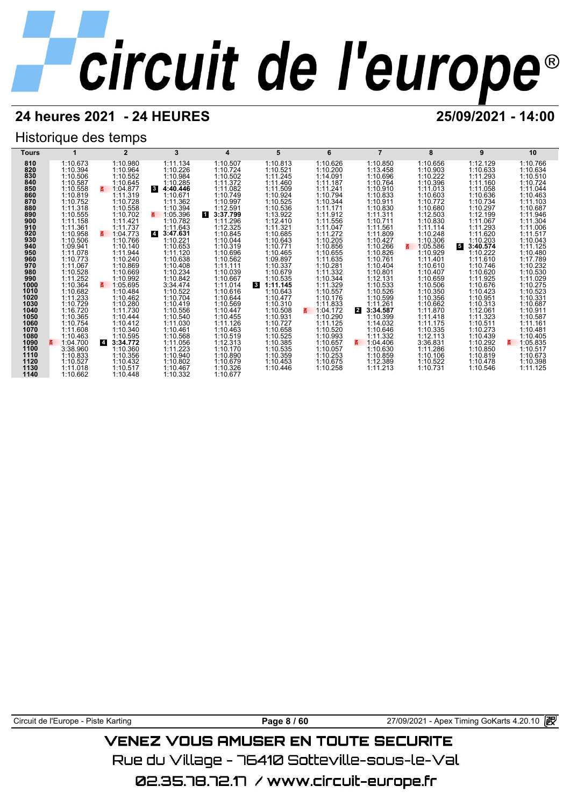## **24 heures 2021 - 24 HEURES 25/09/2021 - 14:00**

## Historique des temps



Circuit de l'Europe - Piste Karting **Page 8 / 60** 27/09/2021 - Apex Timing GoKarts 4.20.10

## VENEZ VOUS AMUSER EN TOUTE SECURITE

Rue du Village – 76410 Sotteville-sous-le-Val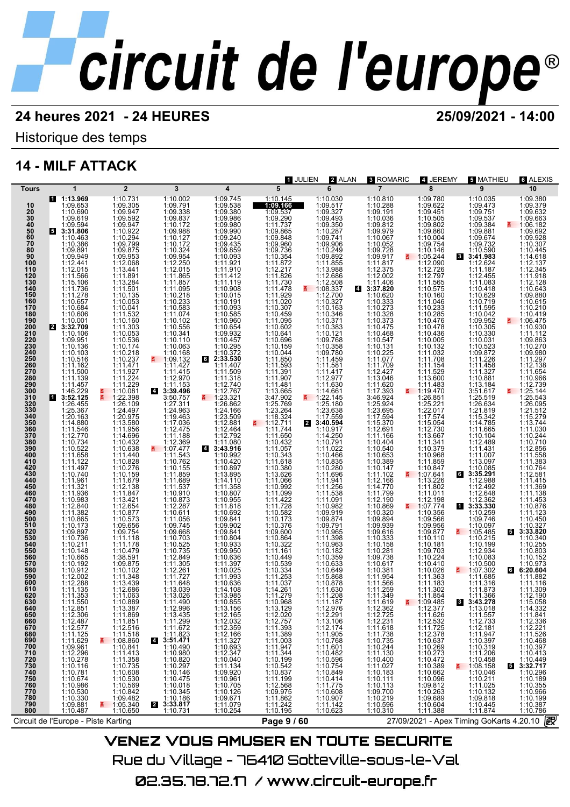Historique des temps

## **14 - MILF ATTACK**

| <b>Tours</b>                                                                                                                                                                                                                                                                                                                                                                                                                                                 | $\mathbf{1}$                                                                                                                                                                                                                                                                                                                                                                                                                                                                                                                                                                                                                      |                                                                                                                                                                                                                                                                                                                                                                                                                                                                                                                      |                                                                                                                                                                                                                                    |                                                                                                                                                                                                    |                                                                                                                                                                                                                                           |                                                                                                                                                                                                        |                                                                                                                                                                                              |                                                                                                                                                                                                                    |                                                                                                                                                                                                                        |                                                                                                                                                                                                                                                                                                                                                                                                                                                                                                                                                                                                                                                                                                                                                                                                                                                                                                                                                        |
|--------------------------------------------------------------------------------------------------------------------------------------------------------------------------------------------------------------------------------------------------------------------------------------------------------------------------------------------------------------------------------------------------------------------------------------------------------------|-----------------------------------------------------------------------------------------------------------------------------------------------------------------------------------------------------------------------------------------------------------------------------------------------------------------------------------------------------------------------------------------------------------------------------------------------------------------------------------------------------------------------------------------------------------------------------------------------------------------------------------|----------------------------------------------------------------------------------------------------------------------------------------------------------------------------------------------------------------------------------------------------------------------------------------------------------------------------------------------------------------------------------------------------------------------------------------------------------------------------------------------------------------------|------------------------------------------------------------------------------------------------------------------------------------------------------------------------------------------------------------------------------------|----------------------------------------------------------------------------------------------------------------------------------------------------------------------------------------------------|-------------------------------------------------------------------------------------------------------------------------------------------------------------------------------------------------------------------------------------------|--------------------------------------------------------------------------------------------------------------------------------------------------------------------------------------------------------|----------------------------------------------------------------------------------------------------------------------------------------------------------------------------------------------|--------------------------------------------------------------------------------------------------------------------------------------------------------------------------------------------------------------------|------------------------------------------------------------------------------------------------------------------------------------------------------------------------------------------------------------------------|--------------------------------------------------------------------------------------------------------------------------------------------------------------------------------------------------------------------------------------------------------------------------------------------------------------------------------------------------------------------------------------------------------------------------------------------------------------------------------------------------------------------------------------------------------------------------------------------------------------------------------------------------------------------------------------------------------------------------------------------------------------------------------------------------------------------------------------------------------------------------------------------------------------------------------------------------------|
| 10<br>20<br>30<br>40<br>50<br>50<br>70<br>70<br>80<br>$\frac{90}{100}$<br>110<br>120<br>130<br>140<br>150<br>150<br>170<br>180<br>200<br>210<br>220<br>230<br>240<br>250<br>250<br>260<br>270<br>280<br>290<br>300<br>$\begin{array}{c} 310 \\ 320 \\ 330 \\ 340 \\ 350 \\ 360 \\ 370 \\ 380 \\ 400 \\ 410 \\ 440 \\ 440 \\ 450 \\ 490 \\ 490 \\ 500 \end{array}$<br>510<br>520<br>530<br>530<br>540<br>550<br>560<br>570<br>600<br>610<br>610<br>620<br>630 | 1 1:13.969<br>1:09.653<br>1:00.690<br>1:10.690<br>1:00.691<br>1:00.691<br>1:00.691<br>1:00.691<br>1:10.386<br>1:10.386<br>1:10.386<br>1:10.386<br>1:10.386<br>1:10.386<br>1:10.463<br>1:10.463<br>1:10.99.94<br>1:11.736<br>1:11.736<br>1:11.736<br>1:11.736<br>1:11.736<br>1:11.736<br>1:11.736<br>1:11.736<br>1:11.736<br>1:1<br>1:09.951<br>110.1361<br>1110.1361<br>1111.1600<br>1111.500<br>1111.500<br>1111.500<br>1111.500<br>1111.500<br>1111.500<br>1111.500<br>1111.500<br>1111.500<br>1111.500<br>1111.522<br>1111.177734<br>1111.17774<br>1111.17961<br>1111.17961<br>1111.17961<br>1111.17961<br>1111.17961<br>1111. | $\overline{2}$<br>$1:0.731\n1:09.304\n1:09.947\n1:09.947\n1:09.947\n1:09.947\n1:09.947\n1:09.947\n1:09.875\n1:09.875\n1:09.875\n1:09.875\n1:09.875\n1:09.875\n1:09.875\n1:09.875\n1:09.875\n1:09.875\n1:09.875\n1:09.875\n1:09.875\n1:09.875\n1:09.875\n1:09.875\n1:09.$<br>NI. NI<br>$1:24.497\,1:13.580\,0.580\,0.580\,0.580\,0.580\,0.580\,0.580\,0.580\,0.432\,0.432\,0.580\,0.580\,0.580\,0.580\,0.580\,0.580\,0.580\,0.580\,0.580\,0.580\,0.580\,0.580\,0.580\,0.580\,0.580\,0.580\,0.580\,0.580\,0.580\,0.58$ | 3<br>1:10.002 1:10.3872 1:11.2005 8372 1:2008 1:11.42 1:12.389 1:12.476 1:10.000 1:10.000 1:10.38877 1:10.3887 1:10.3887 1:10.3887 1:10.3887 1:10.3887 1:10.3887 1:10.3887 1:11.4215 0:300 4:11.11.12.2015 1:11.4215 0:300 4:11.11 | 4<br>1:09.745                                                                                                                                                                                      | 1 JULIEN<br>$\overline{5}$<br>1:10.145<br>1:09.166                                                                                                                                                                                        | 2 ALAN<br>6                                                                                                                                                                                            | <b>3 ROMARIC</b>                                                                                                                                                                             | 4 JEREMY<br>8                                                                                                                                                                                                      | <b>5 MATHIEU</b><br>$\overline{9}$                                                                                                                                                                                     | <b>6 ALEXIS</b><br>10<br>1:09.380<br>1:09.379<br>$1:09.632$<br>$1:09.663$<br>$\overline{.} 1:06.182$<br>$1:09.692$<br>$1:09.928$<br>$1:10.307$<br>$1:10.445$<br>$1:14.618$<br>$1:12.345$<br>$1:11.918$<br>$111.918\n1:12.28\n1:10.643\n1:09.880\n1:10.615\n1:10.419\n1:06.475\n1:10.930\n1:11.11.412\n1:09.863\n1:10.930\n1:10.930$<br>1:11:12<br>1:09.863<br>1:10.270<br>1:11.297<br>1:12.138<br>1:11.654<br>$1:10.966$<br>$1:12.739$<br>$\overline{5}$ $1:25.144$<br>$1:25.144$<br>$1:26.095$<br>$1:21.512$<br>$1:11.5279$<br>$1:11.3744$<br>$1:11.30710$<br>$1:11.588$<br>$1:11.383$<br>$1:10.764$<br>$1:11.588$<br>$1:11.383$<br>$1:10.764$<br>$1:11.415$<br>1:11.415<br>1:11.369<br>$1:11.389$<br>$1:11.433$<br>$1:10.876$<br>$1:11.123$<br>$1:10.450$<br>$1:10.327$<br>3:33.820<br>$\begin{array}{r} 1:10.340 \\ 1:10.255 \\ 1:10.803 \\ 1:10.152 \end{array}$<br>$1:10.973$ $1:10.973$ $1:11.882$ $1:11.116$ $1:11.309$<br>1:12.190<br>1:15.058 |
| 640<br>650<br>660<br>670<br>680<br>690<br>700<br>710<br>720<br>730<br>740<br>750<br>760<br>770<br>780<br>790<br>800                                                                                                                                                                                                                                                                                                                                          | 1:12.851<br>1:12.306<br>1:12.487<br>1:12.577<br>1:11.125<br>1:11.629<br>1:09.961<br>1:12.296<br>1:10.278<br>$1:10.116$<br>$1:10.781$<br>$1:10.674$<br>$1:10.986$<br>1:10.530<br>1:10.330<br>1:09.881<br>1:10.487                                                                                                                                                                                                                                                                                                                                                                                                                  | 1:13.387<br>1:11.869<br>$\begin{array}{r} 1:11.851 \\ 1:12.516 \\ 1:11.518 \\ 1:08.860 \\ \end{array}$<br>1:10.841<br>1:11.413<br>1:11.358<br>1:10.735<br>1:10.608<br>1:10.530<br>1:10.569<br>1:10.842<br>1:09.482<br>$\frac{2}{1}$ 1:05.340<br>1:10.650                                                                                                                                                                                                                                                             | 1:12.996<br>1:13.435<br>1:11.299<br>1:11.672<br>$4:11.823$<br>3:51.471<br>1:10.490<br>1:10.980<br>1:10.820<br>1:10.297<br>1:10.146<br>1:10.475<br>1:10.018<br>1:10.345<br>1:10.186<br>2 3:33.817<br>1:10.731                       | 1:13.156<br>1:12.165<br>1:12.100<br>1:12.359<br>1:12.359<br>1:12.166<br>1:11.327<br>1:10.040<br>1:11.134<br>1:10.961<br>1:10.040<br>$1:10.705$<br>$1:10.126$<br>$1:09.671$<br>1:11.079<br>1:10.254 | 1:13.129<br>1:12.020<br>$1:12.757$<br>1:11.393<br>1:11.389<br>1:11.003<br>1:11.947<br>1:11.344<br>1:10.199<br>$\begin{array}{r} 1.10.542 \\ 1.10.837 \\ 1.11.199 \\ 1.12.568 \\ 1.09.975 \end{array}$<br>1:11.862<br>1:11.242<br>1:10.195 | 1:12.976<br>1:12.291<br>$1:13.106$ $1:12.174$ $1:11.905$ $1:10.768$ $1:11.601$<br>1:10.482<br>1:10.596<br>1:10.754<br>1:10.849<br>1:10.414<br>1:11.775<br>1:10.608<br>1:10.907<br>1:11.142<br>1:10.623 | 1:12.362<br>1:12.725<br>1:12.231<br>1:11.618<br>1:11.738<br>1:10.735<br>1:10.244<br>1:11.130<br>1:11.130<br>1:11.027<br>1:11.027<br>1:10.111<br>1:10.113<br>1:10.219<br>1:10.219<br>1:10.596 | 1:12.377<br>1:11.626<br>1:12.532<br>1:11.725<br>$1:12.378$ $1:10.637$ $1:10.269$ $1:10.273$ $1:10.472$<br>$1:10.389$<br>$1:10.662$<br>$1:10.096$<br>$1:09.812$<br>$1:10.263$<br>$1:09.689$<br>1:10.604<br>1:11.388 | 1:13.018<br>1:11.557<br>1:12.733<br>1:12.181<br>1:11.947<br>1:10.397<br>1:10.319<br>1:11.206<br>1:10.458<br>$\frac{2}{5}$ 1:08.158<br>1:10.046<br>1:10.211<br>1:11.025<br>1:10.132<br>1:09.818<br>1:10.445<br>1:11.874 | 1:14.332<br>1:11.841<br>1:12.336<br>1:12.221<br>1:11.526<br>1:10.468<br>1:10.397<br>$\begin{array}{r}\n 1:10.413 \\  1:10.449 \\  \hline\n 5:32.717\n \end{array}$<br>1:10.296<br>1:10.189<br>1:10.355<br>1:10.966<br>1:10.199<br>1:10.387<br>1:10.786                                                                                                                                                                                                                                                                                                                                                                                                                                                                                                                                                                                                                                                                                                 |
|                                                                                                                                                                                                                                                                                                                                                                                                                                                              | Circuit de l'Europe - Piste Karting                                                                                                                                                                                                                                                                                                                                                                                                                                                                                                                                                                                               |                                                                                                                                                                                                                                                                                                                                                                                                                                                                                                                      |                                                                                                                                                                                                                                    |                                                                                                                                                                                                    | Page 9 / 60                                                                                                                                                                                                                               |                                                                                                                                                                                                        |                                                                                                                                                                                              |                                                                                                                                                                                                                    | 27/09/2021 - Apex Timing GoKarts 4.20.10                                                                                                                                                                               | 毆                                                                                                                                                                                                                                                                                                                                                                                                                                                                                                                                                                                                                                                                                                                                                                                                                                                                                                                                                      |
|                                                                                                                                                                                                                                                                                                                                                                                                                                                              |                                                                                                                                                                                                                                                                                                                                                                                                                                                                                                                                                                                                                                   |                                                                                                                                                                                                                                                                                                                                                                                                                                                                                                                      |                                                                                                                                                                                                                                    |                                                                                                                                                                                                    |                                                                                                                                                                                                                                           |                                                                                                                                                                                                        |                                                                                                                                                                                              |                                                                                                                                                                                                                    |                                                                                                                                                                                                                        |                                                                                                                                                                                                                                                                                                                                                                                                                                                                                                                                                                                                                                                                                                                                                                                                                                                                                                                                                        |
|                                                                                                                                                                                                                                                                                                                                                                                                                                                              |                                                                                                                                                                                                                                                                                                                                                                                                                                                                                                                                                                                                                                   |                                                                                                                                                                                                                                                                                                                                                                                                                                                                                                                      |                                                                                                                                                                                                                                    |                                                                                                                                                                                                    | \/=\!=ㅋ \/^! !^ ^\! !^=^ =\! ?^! !?~ ^=^! !^!?=                                                                                                                                                                                           |                                                                                                                                                                                                        |                                                                                                                                                                                              |                                                                                                                                                                                                                    |                                                                                                                                                                                                                        |                                                                                                                                                                                                                                                                                                                                                                                                                                                                                                                                                                                                                                                                                                                                                                                                                                                                                                                                                        |

VENEZ VOUS AMUSER EN TOUTE SECURITE Rue du Village – 76410 Sotteville-sous-le-Val 02.35.78.72.17 / www.circuit-europe.fr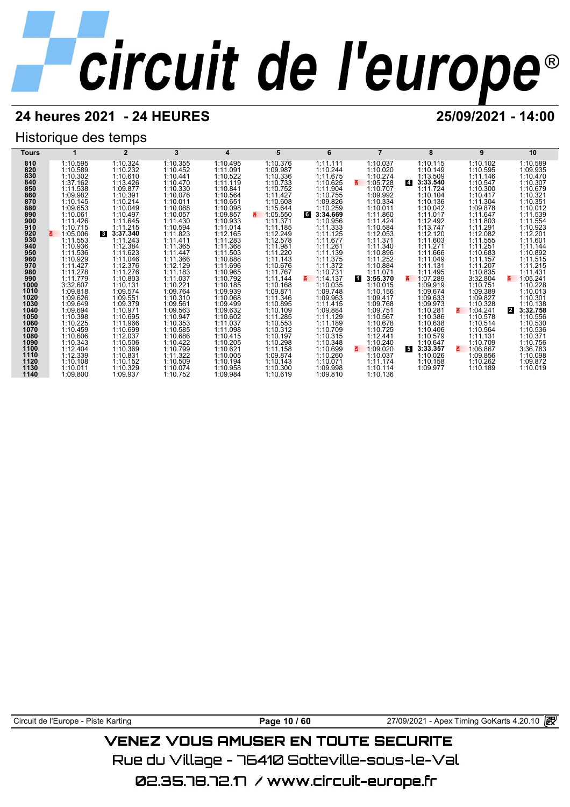## **24 heures 2021 - 24 HEURES 25/09/2021 - 14:00**

## Historique des temps

| Tours        |                      | $\overline{2}$           | 3                    | 4                    | 5                    | 6                    |                           | 8                          | 9                    | 10                         |
|--------------|----------------------|--------------------------|----------------------|----------------------|----------------------|----------------------|---------------------------|----------------------------|----------------------|----------------------------|
| 810          | 1:10.595             | 1:10.324                 | 1:10.355             | 1:10.495             | 1:10.376             | 1:11.111             | 1:10.037                  | 1:10.115                   | 1:10.102             | 1:10.589                   |
| 820          | 1:10.589             | 1:10.232                 | 1:10.452             | 1:11.091             | 1:09.987             | 1:10.244             | 1:10.020                  | 1:10.149                   | 1:10.595             | 1:09.935                   |
| 830          | 1:10.302             | 1:10.610                 | 1:10.441             | 1:10.522             | 1:10.336             | 1:11.675             | 1:10.274                  | 1:13.509                   | 1:11.146             | 1:10.470                   |
| 840          | 1:37.162             | 1:13.426                 | 1:10.470             | 1:11.119             | 1:10.733             | 1:10.625             | 1:05.728<br>z             | $\overline{4}$<br>3:33.540 | 1:10.547             | 1:10.307                   |
| 850<br>860   | 1:11.538             | 1:09.877                 | 1:10.330             | 1:10.841             | 1:10.752             | 1:11.904             | 1:10.707                  | 1:11.724                   | 1:10.300             | 1:10.679                   |
| 870          | 1:09.982<br>1:10.145 | 1:10.391<br>1:10.214     | 1:10.076<br>1:10.011 | 1:10.564<br>1:10.651 | 1:11.427<br>1:10.608 | 1:10.755<br>1:09.826 | 1:09.992<br>1:10.334      | 1:10.104<br>1:10.136       | 1:10.417<br>1:11.304 | 1:10.321<br>1:10.351       |
| 880          | 1:09.653             | 1:10.049                 | 1:10.088             | 1:10.098             | 1:15.644             | 1:10.259             | 1:10.011                  | 1:10.042                   | 1:09.878             | 1:10.012                   |
| 890          | 1:10.061             | 1:10.497                 | 1:10.057             | 1:09.857             | 1:05.550<br>3.       | 6<br>3:34.669        | 1:11.860                  | 1:11.017                   | 1:11.647             | 1:11.539                   |
| 900          | 1:11.426             | 1:11.645                 | 1:11.430             | 1:10.933             | 1:11.371             | 1:10.956             | 1:11.424                  | 1:12.492                   | 1:11.803             | 1:11.554                   |
| 910          | 1:10.715             | 1:11.215                 | 1:10.594             | 1:11.014             | 1:11.185             | 1:11.333             | 1:10.584                  | 1:13.747                   | 1:11.291             | 1:10.923                   |
| 920          | 1:05.006             | $\mathbf{3}$<br>3:37.340 | 1:11.823             | 1:12.165             | 1:12.249             | 1:11.125             | 1:12.053                  | 1:12.120                   | 1:12.082             | 1:12.201                   |
| 930          | 1:11.553             | 1:11.243                 | 1:11.411             | 1:11.283             | 1:12.578             | 1:11.677             | 1:11.371                  | 1:11.603                   | 1:11.555             | 1:11.601                   |
| 940          | 1:10.936             | 1:12.384                 | 1:11.365             | 1:11.368             | 1:11.981             | 1:11.261             | 1:11.340                  | 1:11.271                   | 1:11.251             | 1:11.144                   |
| 950          | 1:11.536             | 1:11.623                 | 1:11.447             | 1:11.503             | 1:11.220             | 1:11.139             | 1:10.896                  | 1:11.666                   | 1:10.683             | 1:10.892                   |
| 960          | 1:10.929             | 1:11.046                 | 1:11.366             | 1:10.888             | 1:11.143             | 1:11.375             | 1:11.252                  | 1:11.049                   | 1:11.157             | 1:11.515                   |
| 970<br>980   | 1:11.427             | 1:12.376                 | 1:12.129             | 1:11.696             | 1:10.676             | 1:11.372             | 1:10.884                  | 1:11.131                   | 1:11.207             | 1:11.215                   |
| 990          | 1:11.278<br>1:11.779 | 1:11.276<br>1:10.803     | 1:11.183<br>1:11.037 | 1:10.965<br>1:10.792 | 1:11.767<br>1:11.144 | 1:10.731<br>1:14.137 | 1:11.071<br>И<br>3:55.370 | 1:11.495<br>1:07.289       | 1:10.835<br>3:32.804 | 1:11.431<br>1:05.241<br>3. |
| 1000         | 3:32.607             | 1:10.131                 | 1:10.221             | 1:10.185             | 1:10.168             | 1:10.035             | 1:10.015                  | 1:09.919                   | 1:10.751             | 1:10.228                   |
| 1010         | 1:09.818             | 1:09.574                 | 1:09.764             | 1:09.939             | 1:09.871             | 1:09.748             | 1:10.156                  | 1:09.674                   | 1:09.389             | 1:10.013                   |
| 1020         | 1:09.626             | 1:09.551                 | 1:10.310             | 1:10.068             | 1:11.346             | 1:09.963             | 1:09.417                  | 1:09.633                   | 1:09.827             | 1:10.301                   |
| 1030         | 1:09.649             | 1:09.379                 | 1:09.561             | 1:09.499             | 1:10.895             | 1:11.415             | 1:09.768                  | 1:09.973                   | 1:10.328             | 1:10.138                   |
| 1040         | 1:09.694             | 1:10.971                 | 1:09.563             | 1:09.632             | 1:10.109             | 1:09.884             | 1:09.751                  | 1:10.281                   | 1:04.241<br>3.       | 3:32.758<br>$\mathbf{2}$   |
| 1050         | 1:10.398             | 1:10.695                 | 1:10.947             | 1:10.602             | 1:11.285             | 1:11.129             | 1:10.567                  | 1:10.386                   | 1:10.578             | 1:10.556                   |
| 1060         | 1:10.225             | 1:11.966                 | 1:10.353             | 1:11.037             | 1:10.553             | 1:11.189             | 1:10.678                  | 1:10.638                   | 1:10.514             | 1:10.530                   |
| 1070         | 1:10.459             | 1:10.699                 | 1:10.585             | 1:11.098             | 1:10.312             | 1:10.709             | 1:10.725                  | 1:10.406                   | 1:10.564             | 1:10.536                   |
| 1080<br>1090 | 1:10.606<br>1:10.343 | 1:12.037<br>1:10.506     | 1:10.686<br>1:10.422 | 1:10.415<br>1:10.205 | 1:10.197<br>1:10.298 | 1:10.315<br>1:10.348 | 1:12.441<br>1:10.240      | 1:10.579<br>1:10.647       | 1:11.131<br>1:10.709 | 1:10.371<br>1:10.756       |
| 1100         | 1:12.404             | 1:10.369                 | 1:10.799             | 1:10.621             | 1:11.158             | 1:10.699             | 1:09.020                  | 5<br>3:33.357              | 1:06.867<br>z.       | 3:36.783                   |
| 1110         | 1:12.339             | 1:10.831                 | 1:11.322             | 1:10.005             | 1:09.874             | 1:10.260             | 1:10.037                  | 1:10.026                   | 1:09.856             | 1:10.098                   |
| 1120         | 1:10.108             | 1:10.152                 | 1:10.509             | 1:10.194             | 1:10.143             | 1:10.071             | 1:11.174                  | 1:10.158                   | 1:10.262             | 1:09.872                   |
| 1130         | 1:10.011             | 1:10.329                 | 1:10.074             | 1:10.958             | 1:10.300             | 1:09.998             | 1:10.114                  | 1:09.977                   | 1:10.189             | 1:10.019                   |
| 1140         | 1:09.800             | 1:09.937                 | 1:10.752             | 1:09.984             | 1:10.619             | 1:09.810             | 1:10.136                  |                            |                      |                            |

Circuit de l'Europe - Piste Karting **Page 10 / 60** Page 10 / 60 27/09/2021 - Apex Timing GoKarts 4.20.10 图

## **VENEZ VOUS AMUSER EN TOUTE SECURITE**

Rue du Village – 76410 Sotteville-sous-le-Val

02.35.78.72.17 / www.circuit-europe.fr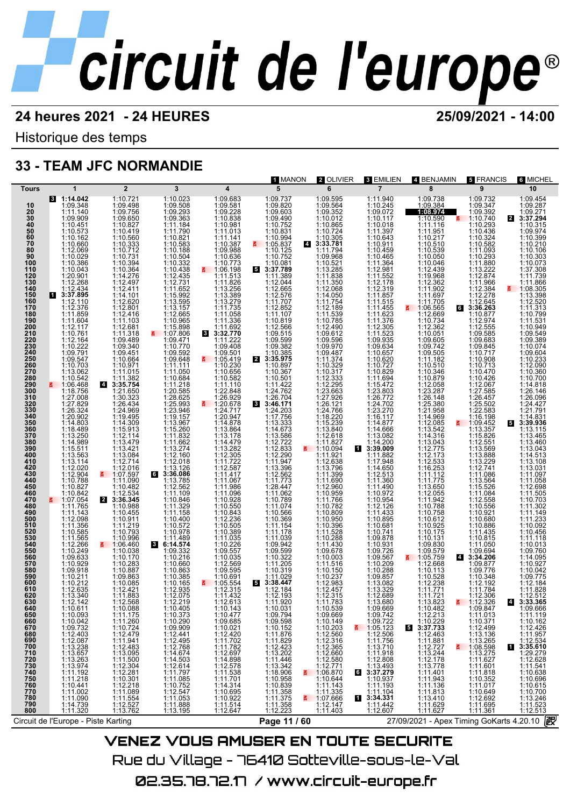Historique des temps

## **33 - TEAM JFC NORMANDIE**

| 1:10.721<br>1:09.498<br>1:09.756<br>1:09.650<br>1:10.827<br>1:09.737<br>1:09.820<br>1:09.603<br>1:09.490<br>1:10.752<br>1:09.595<br>1:09.564<br>1:09.352<br>1:10.865<br>1:10.724<br>1:10.305<br>3:33.781<br>1:10.968<br>1:09.968<br>1:11.940<br>1:10.245<br>1:09.738<br>1:09.384<br>1:09.732<br>1:09.454<br>8 1:14.042<br>1:10.023<br>1:09.683<br>1:09.581<br>1:09.347<br>1:09.287<br>1:09.348<br>$1:09.363$<br>$1:09.363$<br>$1:10.363$<br>$1:11.184$<br>$1:11.790$<br>$1:11.792$<br>$1:10.583$<br>$1:10.504$<br>$1:10.504$<br>$1:10.533$<br>$1:12.435$<br>$1:12.731$<br>$1:11.6992$<br>$1:13.3597$<br>$1:12.665$<br>$1:15.999$<br>$1:13.3157$<br>$1:12.665$<br>$1:15.898$<br>$1:07.806$<br>10<br>$1:09.228$<br>$1:10.838$<br>$1:10.981$<br>1:09.072<br>1:10.117<br>1:08.974<br>1:09.392<br>$4:09.271$<br>3:37.294<br>20<br>30<br>40<br>50<br>50<br>70<br>80<br>1:11.140<br>1:09.909<br>1:10.451<br>1:10.590<br>1:11.116517<br>1:11.116517<br>1:10.530<br>1:10.050<br>1:10.050<br>1:11.2002<br>1:11.705<br>1:11.705<br>1:11.705<br>1:11.705<br>1:11.11.705<br>1:10.293<br>1:10.436<br>1:10.018<br>1:10.315<br>$\begin{array}{r} 1.10.901 \\ 1.11.013 \\ 1.11.141 \\ 1.10.387 \\ 1.09.988 \\ 1.10.636 \end{array}$<br>$1:10.831$<br>1:10.994<br>1:05.837<br>$1:10.018$<br>$1:11.397$<br>$1:10.643$<br>$1:10.459$<br>$1:10.465$<br>$1:11.364$<br>$1:11.398$<br>$1:11.552$<br>$1:12.319$<br>$1:11.657$<br>$1:11.615$<br>$1:11.615$<br>1:10.573<br>1:10.419<br>1:10.560<br>1:10.333<br>1:10.712<br>1:10.731<br>1:10.384<br>1:12.497<br>1:14.411<br>1:14.411<br>1:09.974<br>$1:10.162$<br>$1:10.660$<br>$1:12.069$<br>1:10.432<br>1:10.582<br>1:10.582<br>1:10.293<br>1:10.293<br>1:12.882<br>1:12.87<br>1:12.84<br>1:12.84<br>1:12.84<br>1:12.84<br>1:12.84<br>1:12.84<br>1:12.84<br>1:12.84<br>1:12.84<br>1:12.84<br>1:12.84<br>1:12.84<br>1:12.84<br>1:12.84<br>1:12.84<br>1:10.399<br>1:10.210<br>1:10.125<br>1:10.106<br>1:10.029<br>1:10.386<br>1:11.794<br>1:10.521<br>1:10.521<br>1:11.838<br>1:11.338<br>1:12.068<br>1:11.754<br>1:11.754<br>1:11.754<br>1:11.785<br>1:12.490<br>1:10.785<br>1:12.490<br>1:12.490<br>1:12.490<br>90<br>1:10.303<br>100<br>1:10.773<br>1:10.081<br>1:10.073<br>1:10.043<br>1:20.901<br>1:10.73<br>1:11.513<br>1:11.513<br>1:11.826<br>1:13.256<br>1:13.279<br>1:11.735<br>1:11.735<br>1:11.336<br>1:11.336<br>1:11.336<br>1:11.735<br>$\begin{array}{r} 5 \ \ 3:37.789 \\ 1:11.389 \end{array}$<br>110<br>1:37.308<br>120<br>130<br>1:11.739<br>1:12.268<br>1:11.389<br>1:12.66576<br>1:12.6767<br>1:11.707<br>1:11.707<br>1:11.707<br>1:11.807<br>1:10.8666<br>1:09.599<br>1:09.382<br>3:35.975<br>1:10.89<br>1:10.89<br>1:10.89<br>1:10.89<br>1:10.89<br>1:10.89<br>1:10.89<br>1:10.89<br>1:10.89<br>1:10.89<br>1:10.89<br>1:10.89<br><br>1:11.866<br>140<br>1:08.305<br>150<br>$\begin{array}{r}\n 3:37.895 \\  1:12.110 \\  1:12.376\n \end{array}$<br>$\begin{array}{c} 1:14.101 \\ 1:12.620 \\ 1:12.801 \\ 1:12.416 \end{array}$<br>1:13.398<br>160<br>1:12.520<br>170<br>a<br>106.5669<br>110.734<br>110.734<br>110.742<br>110.951<br>109.565<br>110.954<br>109.565<br>109.742<br>109.742<br>110.346<br>110.346<br>110.346<br>110.346<br>110.342<br>110.540<br>112.32<br>287<br>112.32<br>287<br>112.542<br>112.54<br>112.54<br>112.54<br>112.54<br>112.54<br>112.54<br>112.54<br>112.54<br>112.5<br>1:11.515<br>1:11.623<br>1:11.623<br>1:11.523<br>1:11.523<br>1:00.637<br>1:10.620<br>1:10.622<br>1:10.822<br>1:10.822<br>1:11.638<br>1:10.82<br>1:11.622<br>1:11.622<br>1:11.622<br>1:11.622<br>1:11.622<br>1:11.622<br>1:11.622<br>63:36.263<br>1:11.313<br>180<br>1:11.859<br>1:10.877<br>1:10.799<br>1:11.103<br>1:12.974<br>190<br>$1:11.604$<br>$1:12.117$<br>$1:10.761$<br>1:11.531<br>200<br>210<br>$1:12.681$<br>1:11.318<br>$1:11.692$<br>3:32.770<br>1:12.555<br>1:09.585<br>1:10.949<br>1:09.549<br>220<br>230<br>$\begin{array}{l} 1.12.164 \\ 1.10.222 \\ 1.09.791 \\ 1.09.547 \\ 1.10.703 \end{array}$<br>1:11.318<br>1:09.340<br>1:09.340<br>1:10.664<br>1:11.057<br>1:11.382<br>3:35.754<br>1:21.650<br>1:21.30.32<br>1:11.222<br>1:09.408<br>$1.09.976$<br>$1.09.487$<br>$1.09.474$<br>$1.03217$<br>$1.1374$<br>$1.10.317$<br>$1.12.296$<br>$1.24.766$<br>$1.24.766$<br>$1.24.766$<br>$1.24.766$<br>$1.24.766$<br>$1.24.766$<br>$1.24.766$<br>$1.24.766$<br>$1.24.766$<br>$1.26.476$<br>$1.2884$<br>$1.11.827$<br>$1.11.626$<br>$1.11.$<br>$1:09.683$<br>$1:09.683$<br>$1:10.717$<br>$1:10.908$<br>$1:10.713$<br>$1:10.470$<br>1:09.389<br>1:10.074<br>240<br>1:09.501<br>1:09.604<br>250<br>1:10.230<br>260<br>1:12.090<br>1:10.656<br>1:10.367<br>270<br>280<br>1:13.062<br>1:10.360<br>$\begin{array}{c} 1:10.426 \\ 1:12.067 \\ 1:27.585 \end{array}$<br>1:10.542<br>1:10.582<br>$1:10.501$<br>$1:24.762$<br>$1:24.762$<br>$1:24.762$<br>$1:24.203$<br>$1:24.203$<br>$1:24.203$<br>$1:12.7568$<br>$1:12.722$<br>$1:13.3306$<br>$1:12.2833$<br>$1:12.2804$<br>$1:12.773$<br>$1:12.562$<br>$1:12.562$<br>$1:12.562$<br>$1:12.562$<br>$1:12.562$<br>$1:12.562$<br>$1:12.56$<br>1:10.700<br>290<br>300<br>$\frac{2}{5}$ 1:06.468<br>1:11.110<br>1:14.818<br>1:22.848<br>1:26.146<br>310<br>320<br>320<br>330<br>340<br>350<br>1:27.008<br>1:27.829<br>1:26.324<br>1:20.902<br>1:14.803<br>1:30.323<br>1:26.434<br>1:24.969<br>1:19.495<br>1:14.309<br>1:15.913<br>$1:26.929$<br>1:20.678<br>1:26.772<br>1:24.702<br>1:23.270<br>1:16.117<br>1:14.877<br>1:14.866<br>1:14.082<br>1:26.457<br>1:25.502<br>1:22.583<br>1:16.198<br>1:26.096<br>1:24.427<br>$\begin{smallmatrix} 1.24.717\\ 1.24.8784\\ 1.120.947\\ 1.14.8786\\ 1.14.479282\\ 1.14.479223\\ 1.14.479233\\ 1.14.479235\\ 1.11.2587\\ 1.11.986\\ 1.11.0961\\ 1.11.0961\\ 1.11.0961\\ 1.10.5501\\ 1.10.511\\ 1.11.011\\ 1.11.011\\ 1.11.0101\\ 1.11.0101\\ 1$<br>1:21.791<br>1:14.831<br>E.<br>1:16.198<br>1:13.357<br>1:13.357<br>1:13.569<br>1:13.569<br>1:13.564<br>1:11.086<br>1:13.564<br>1:11.086<br>1:11.084<br>3:39.936<br>5<br>360<br>1:18.489<br>1:13.115<br>$1:13.250$<br>$1:14.989$<br>$1:15.511$<br>$1:13.563$<br>370<br>1:12.114<br>1:13.465<br>380<br>390<br>1:13.479<br>$1:14.200$<br>3:39.009<br>1:13.460<br>$\begin{array}{c} 1.18.421 \\ 1.13.084 \\ 1.12.714 \end{array}$<br>1:13.043<br>400<br>3:39.0092<br>1:17.948<br>1:17.948<br>1:12.513<br>1:11.360<br>1:11.490<br>1:11.0972<br>1:11.432<br>1:11.433<br>1:14.513<br>410<br>1:13.114<br>1:12.020<br>1:12.904<br>1:13.108<br>420<br>430<br>$\begin{array}{r}\n 1:12.714 \\  \hline\n 1:12.016 \\  \hline\n 5:107.597 \\  1:11.090 \\  1:10.482\n \end{array}$<br>1:13.031<br>1:11.097<br>440<br>1:10.788<br>1:10.827<br>1:13.785<br>1:12.562<br>1:11.175<br>1:13.650<br>1:12.055<br>1:11.942<br>1:10.758<br>1:10.612<br>1:10.925<br>1:10.13<br>1:11.058<br>450<br>1:12.698<br>$\overline{2}$ 1:12.534<br>3:36.345<br>1:10.988<br>1:11.109<br>1:11.10846<br>1:11.329<br>1:11.158<br>1:10.572<br>1:11.978<br>460<br>1:10.842<br>$1:12.584$<br>$1:12.556$<br>$1:10.556$<br>$1:10.921$<br>$1:10.680$<br>$1:11.435$<br>$1:11.055$<br>$1:10.694$<br>1:11.505<br>470<br>480<br>$\frac{2}{5}$ 1:07.054<br>1:10.703<br>1:11.302<br>490<br>500<br>$\begin{array}{c} 1.10.906 \\ 1.10.455 \\ 1.11.219 \\ 1.10.793 \end{array}$<br>1:11.433<br>1:10.895<br>1:10.681<br>1:10.741<br>1:09.878<br>1:10.931<br>1:09.726<br>$\begin{array}{r} 1:11.143 \\ 1:12.098 \\ 1:11.356 \\ 1:10.585 \end{array}$<br>1:11.149<br>1:11.233<br>1:10.092<br>510<br>520<br>530<br>1:10.456<br>$1:11.565$<br>$1:12.266$<br>$1:10.249$<br>$1:10.996$<br>1:06.460<br>1:10.038<br>$1:11.489$<br>6:14.574<br>$\begin{array}{r} 1:11.035 \\ 1:10.226 \\ 1:09.557 \\ 1:10.035 \end{array}$<br>1:11.1/8<br>1:09.942<br>1:09.942<br>1:09.599<br>1:10.322<br>1:11.029<br>1:11.029<br>3:38.447<br>1:12.184<br>1:12.184<br>1:10.131<br>1:11.118<br>540<br>$1:09.830$ $1:09.579$ $1:05.759$ $1:12.668$<br>1:10.013<br>550<br>1:09.332<br>$1:09.694$<br>3:34.206<br>1:09.760<br>560<br>1:09.633<br>1:10.929<br>1:09.918<br>1:10.211<br>1:10.212<br>1:10.170<br>1:09.332<br>1:10.216<br>1:10.863<br>1:10.385<br>1:12.935<br>1:12.075<br>1:12.075<br>1:09.567<br>1:10.209<br>1:14.095<br>1:12.569<br>1:09.595<br>1:09.877<br>1:09.776<br>1:10.348<br>1:12.192<br>1:11.784<br>570<br>$\begin{array}{l} 1.10.176 \\ 1.10.283 \\ 1.10.887 \\ 1.09.863 \\ 1.10.085 \\ 1.12.421 \end{array}$<br>1:10.927<br>580<br>590<br>$1:10.288$<br>$1:09.857$<br>$1:13.082$<br>$1:13.329$<br>1:10.113<br>1:10.042<br>$\begin{array}{r}\n 1:10.691 \\  - 1:05.554 \\  \hline\n 1:12.315\n \end{array}$<br>$\begin{array}{c} 1:10.528 \\ 1:12.238 \\ 1:11.771 \end{array}$<br>1:09.775<br>600<br>1:12.184<br>610<br>1:12.635<br>1:11.828<br>1:11.883<br>1:12.193<br>1:12.689<br>1:11.721<br>1:12.306<br>620<br>1:13.340<br>1:11.432<br>$4:12.512$<br>3:33.365<br>630<br>1:12.568<br>1:12.219<br>1:12.613<br>1:13.680<br>₹ 1:12.326<br>1:12.142<br>1:11.920<br>1:13.823<br>640<br>1:10.611<br>1:10.093<br>1:10.088<br>1:10.405<br>1:10.143<br>1:10.031<br>1:10.539<br>1:09.669<br>1:09.742<br>$1:10.482\n1:12.213\n1:10.229\n3:37.733\n1:12.463\n1:11.881$<br>1:09.847<br>1:11.013<br>1:09.666<br>650<br>1:10.373<br>1:09.669<br>1:11.175<br>1:10.477<br>1:09.794<br>1:11.119<br>1:10.042<br>1:10.042<br>1:12.403<br>1:12.087<br>1:13.238<br>1:11.260<br>1:10.724<br>1:12.479<br>1:11.941<br>1:13.095<br>1:11.500<br>$1:10.290$ $1:02.909$ $1:12.495$ $1:12.768$ $1:14.674$ $1:14.679$ $1:11.0795$ $1:10.752$ $1:11.633$ $1:10.752$ $1:11.638$ $1:13.195$<br>1:09.685<br>1:10.021<br>1:12.420<br>1:11.702<br>1:11.782<br>1:09.598<br>1:09.009<br>1:10.149<br>1:12.560<br>1:12.365<br>1:12.580<br>1:12.580<br>$1.09.722$<br>$1.05.123$<br>$1.12.506$<br>$1.11.756$<br>$1.11.798$<br>$1.12.808$<br>$1.13.493$<br>$3.37.279$<br>$1.10.937$<br>1:10.371<br>1:12.499<br>660<br>$1:10.162$ $1:12.426$ $1:11.957$ $1:12.534$ $3:35.610$ $1:00.770$<br>670<br>680<br>1:10.152<br>$\begin{array}{r} 1.12.736 \\ 1.13.136 \\ 1.08.598 \\ 1.13.275 \\ 1.11.627 \\ \end{array}$<br>$1:11.876$ $1:11.829$ $1:12.423$ $1:13.202$ $1:11.446$<br>690<br>700<br>$\begin{array}{c} 1:11.881 \\ 1:12.727 \\ 1:13.244 \\ 1:12.178 \end{array}$<br>1<br>710<br>720<br>730<br>1:13.657<br>1:13.263<br>1:12.697<br>1:14.898<br>1:12.578<br>1:11.538<br>1:11.701<br>1:29.279<br>1:12.628<br>1:13.974<br>1:13.342<br>1:12.771<br>1:11.541<br>1:12.304<br>1:13.778<br>1:11.601<br>740<br>$\begin{array}{c} 1:11.192 \\ 1:11.218 \\ 1:10.441 \\ 1:11.002 \end{array}$<br>1:12.281<br>1:10.301<br>1:12.218<br>1:11.089<br>1:18.906<br>1:10.958<br>$\begin{array}{r} 1.12.77 \\ -1.12.77 \\ 1:10.644 \\ 1:11.143 \\ 1:11.335 \\ \hline \textbf{5} & 1:07.666 \\ 1:12.147 \\ 1:11.403 \end{array}$<br>1:11.401<br>1:11.943<br>1:11.136<br>1:11.818<br>1:10.352<br>1:11.017<br>1:10.638<br>1:10.696<br>750<br>760<br>1:10.937<br>1:11.193<br>1:10.839<br>1:10.615<br>1:11.358<br>770<br>1:11.104<br>1:10.700<br>780<br>1:11.090<br>13:34.331<br>790<br>1:14.739<br>1:11.320<br>1:11.442<br>1:12.607<br>800 |       |              |                                  |   |                                                          | 1 MANON                                 | 2 OLIVIER | 3 EMILIEN      | 4 BENJAMIN                                   | 5 FRANCIS                                    | 6 MICHEL                              |
|------------------------------------------------------------------------------------------------------------------------------------------------------------------------------------------------------------------------------------------------------------------------------------------------------------------------------------------------------------------------------------------------------------------------------------------------------------------------------------------------------------------------------------------------------------------------------------------------------------------------------------------------------------------------------------------------------------------------------------------------------------------------------------------------------------------------------------------------------------------------------------------------------------------------------------------------------------------------------------------------------------------------------------------------------------------------------------------------------------------------------------------------------------------------------------------------------------------------------------------------------------------------------------------------------------------------------------------------------------------------------------------------------------------------------------------------------------------------------------------------------------------------------------------------------------------------------------------------------------------------------------------------------------------------------------------------------------------------------------------------------------------------------------------------------------------------------------------------------------------------------------------------------------------------------------------------------------------------------------------------------------------------------------------------------------------------------------------------------------------------------------------------------------------------------------------------------------------------------------------------------------------------------------------------------------------------------------------------------------------------------------------------------------------------------------------------------------------------------------------------------------------------------------------------------------------------------------------------------------------------------------------------------------------------------------------------------------------------------------------------------------------------------------------------------------------------------------------------------------------------------------------------------------------------------------------------------------------------------------------------------------------------------------------------------------------------------------------------------------------------------------------------------------------------------------------------------------------------------------------------------------------------------------------------------------------------------------------------------------------------------------------------------------------------------------------------------------------------------------------------------------------------------------------------------------------------------------------------------------------------------------------------------------------------------------------------------------------------------------------------------------------------------------------------------------------------------------------------------------------------------------------------------------------------------------------------------------------------------------------------------------------------------------------------------------------------------------------------------------------------------------------------------------------------------------------------------------------------------------------------------------------------------------------------------------------------------------------------------------------------------------------------------------------------------------------------------------------------------------------------------------------------------------------------------------------------------------------------------------------------------------------------------------------------------------------------------------------------------------------------------------------------------------------------------------------------------------------------------------------------------------------------------------------------------------------------------------------------------------------------------------------------------------------------------------------------------------------------------------------------------------------------------------------------------------------------------------------------------------------------------------------------------------------------------------------------------------------------------------------------------------------------------------------------------------------------------------------------------------------------------------------------------------------------------------------------------------------------------------------------------------------------------------------------------------------------------------------------------------------------------------------------------------------------------------------------------------------------------------------------------------------------------------------------------------------------------------------------------------------------------------------------------------------------------------------------------------------------------------------------------------------------------------------------------------------------------------------------------------------------------------------------------------------------------------------------------------------------------------------------------------------------------------------------------------------------------------------------------------------------------------------------------------------------------------------------------------------------------------------------------------------------------------------------------------------------------------------------------------------------------------------------------------------------------------------------------------------------------------------------------------------------------------------------------------------------------------------------------------------------------------------------------------------------------------------------------------------------------------------------------------------------------------------------------------------------------------------------------------------------------------------------------------------------------------------------------------------------------------------------------------------------------------------------------------------------------------------------------------------------------------------------------------------------------------------------------------------------------------------------------------------------------------------------------------------------------------------------------------------------------------------------------------------------------------------------------------------------------------------------------------------------------------------------------------------------------------------------------------------------------------------------------------------------------------------------------------------------------------------------------------------------------------------------------------------------------------------------------------------------------------------------------------------------------------------------------------------------------------------------------------------------------------------------------------------------------------------------------------------------------------------------------------------------------------------------------------------------------------------------------------------------------------------------------------------------------------------------------------------------------------------------------------------------------------------------------------------------------------------------------------------------------------------------------------------------------------------------------------------------------------------------------------------------------------------------------------------------------------------------------------------------------------------------------------------------------------------------------------------------------------------------------------------------------------------------------------------------------------------------------------------------------------------------------------------------------------------------------------------------------------------------------------------------------------------------------------------------------------------------------------------------------------------------------------------------------------------------------------------------------------------------------------------------------------------------------------------------------------------------------------------------------------------------------------------------------------------------------------------------------------------------------------------------------------------------------------------------------------------------------------------------------------------------------------------------------------------------------------------------------------------------------------------------------------------------------------------------------------------------------------------------------------------------------------------------------------------------------------------------------------------------------------------------------------------------------------------------------------------------------------------------------------------------------------------------------------------------------------------------------------------------------------------------------------------------------------------------------------------------------------------------------------------------------------------------------------------------------------------------------------|-------|--------------|----------------------------------|---|----------------------------------------------------------|-----------------------------------------|-----------|----------------|----------------------------------------------|----------------------------------------------|---------------------------------------|
|                                                                                                                                                                                                                                                                                                                                                                                                                                                                                                                                                                                                                                                                                                                                                                                                                                                                                                                                                                                                                                                                                                                                                                                                                                                                                                                                                                                                                                                                                                                                                                                                                                                                                                                                                                                                                                                                                                                                                                                                                                                                                                                                                                                                                                                                                                                                                                                                                                                                                                                                                                                                                                                                                                                                                                                                                                                                                                                                                                                                                                                                                                                                                                                                                                                                                                                                                                                                                                                                                                                                                                                                                                                                                                                                                                                                                                                                                                                                                                                                                                                                                                                                                                                                                                                                                                                                                                                                                                                                                                                                                                                                                                                                                                                                                                                                                                                                                                                                                                                                                                                                                                                                                                                                                                                                                                                                                                                                                                                                                                                                                                                                                                                                                                                                                                                                                                                                                                                                                                                                                                                                                                                                                                                                                                                                                                                                                                                                                                                                                                                                                                                                                                                                                                                                                                                                                                                                                                                                                                                                                                                                                                                                                                                                                                                                                                                                                                                                                                                                                                                                                                                                                                                                                                                                                                                                                                                                                                                                                                                                                                                                                                                                                                                                                                                                                                                                                                                                                                                                                                                                                                                                                                                                                                                                                                                                                                                                                                                                                                                                                                                                                                                                                                                                                                                                                                                                                                                                                                                                                                                                                                                                                                                                                                                                                                                                                                                                                                                                                                                                                                                                                                                                                                                                                                                                                                                                                                                                                                                                                                                                                                                                                                                                                                                                                                                                                                                                                                                                                                                                            | Tours | $\mathbf{1}$ |                                  |   |                                                          |                                         |           |                |                                              |                                              |                                       |
|                                                                                                                                                                                                                                                                                                                                                                                                                                                                                                                                                                                                                                                                                                                                                                                                                                                                                                                                                                                                                                                                                                                                                                                                                                                                                                                                                                                                                                                                                                                                                                                                                                                                                                                                                                                                                                                                                                                                                                                                                                                                                                                                                                                                                                                                                                                                                                                                                                                                                                                                                                                                                                                                                                                                                                                                                                                                                                                                                                                                                                                                                                                                                                                                                                                                                                                                                                                                                                                                                                                                                                                                                                                                                                                                                                                                                                                                                                                                                                                                                                                                                                                                                                                                                                                                                                                                                                                                                                                                                                                                                                                                                                                                                                                                                                                                                                                                                                                                                                                                                                                                                                                                                                                                                                                                                                                                                                                                                                                                                                                                                                                                                                                                                                                                                                                                                                                                                                                                                                                                                                                                                                                                                                                                                                                                                                                                                                                                                                                                                                                                                                                                                                                                                                                                                                                                                                                                                                                                                                                                                                                                                                                                                                                                                                                                                                                                                                                                                                                                                                                                                                                                                                                                                                                                                                                                                                                                                                                                                                                                                                                                                                                                                                                                                                                                                                                                                                                                                                                                                                                                                                                                                                                                                                                                                                                                                                                                                                                                                                                                                                                                                                                                                                                                                                                                                                                                                                                                                                                                                                                                                                                                                                                                                                                                                                                                                                                                                                                                                                                                                                                                                                                                                                                                                                                                                                                                                                                                                                                                                                                                                                                                                                                                                                                                                                                                                                                                                                                                                                                                            |       |              | $\overline{2}$                   | 3 | $\overline{\mathbf{4}}$                                  | 5                                       | 6         | $\overline{7}$ | 8                                            | 9                                            | 10                                    |
|                                                                                                                                                                                                                                                                                                                                                                                                                                                                                                                                                                                                                                                                                                                                                                                                                                                                                                                                                                                                                                                                                                                                                                                                                                                                                                                                                                                                                                                                                                                                                                                                                                                                                                                                                                                                                                                                                                                                                                                                                                                                                                                                                                                                                                                                                                                                                                                                                                                                                                                                                                                                                                                                                                                                                                                                                                                                                                                                                                                                                                                                                                                                                                                                                                                                                                                                                                                                                                                                                                                                                                                                                                                                                                                                                                                                                                                                                                                                                                                                                                                                                                                                                                                                                                                                                                                                                                                                                                                                                                                                                                                                                                                                                                                                                                                                                                                                                                                                                                                                                                                                                                                                                                                                                                                                                                                                                                                                                                                                                                                                                                                                                                                                                                                                                                                                                                                                                                                                                                                                                                                                                                                                                                                                                                                                                                                                                                                                                                                                                                                                                                                                                                                                                                                                                                                                                                                                                                                                                                                                                                                                                                                                                                                                                                                                                                                                                                                                                                                                                                                                                                                                                                                                                                                                                                                                                                                                                                                                                                                                                                                                                                                                                                                                                                                                                                                                                                                                                                                                                                                                                                                                                                                                                                                                                                                                                                                                                                                                                                                                                                                                                                                                                                                                                                                                                                                                                                                                                                                                                                                                                                                                                                                                                                                                                                                                                                                                                                                                                                                                                                                                                                                                                                                                                                                                                                                                                                                                                                                                                                                                                                                                                                                                                                                                                                                                                                                                                                                                                                                                            |       |              |                                  |   |                                                          |                                         |           |                |                                              |                                              |                                       |
|                                                                                                                                                                                                                                                                                                                                                                                                                                                                                                                                                                                                                                                                                                                                                                                                                                                                                                                                                                                                                                                                                                                                                                                                                                                                                                                                                                                                                                                                                                                                                                                                                                                                                                                                                                                                                                                                                                                                                                                                                                                                                                                                                                                                                                                                                                                                                                                                                                                                                                                                                                                                                                                                                                                                                                                                                                                                                                                                                                                                                                                                                                                                                                                                                                                                                                                                                                                                                                                                                                                                                                                                                                                                                                                                                                                                                                                                                                                                                                                                                                                                                                                                                                                                                                                                                                                                                                                                                                                                                                                                                                                                                                                                                                                                                                                                                                                                                                                                                                                                                                                                                                                                                                                                                                                                                                                                                                                                                                                                                                                                                                                                                                                                                                                                                                                                                                                                                                                                                                                                                                                                                                                                                                                                                                                                                                                                                                                                                                                                                                                                                                                                                                                                                                                                                                                                                                                                                                                                                                                                                                                                                                                                                                                                                                                                                                                                                                                                                                                                                                                                                                                                                                                                                                                                                                                                                                                                                                                                                                                                                                                                                                                                                                                                                                                                                                                                                                                                                                                                                                                                                                                                                                                                                                                                                                                                                                                                                                                                                                                                                                                                                                                                                                                                                                                                                                                                                                                                                                                                                                                                                                                                                                                                                                                                                                                                                                                                                                                                                                                                                                                                                                                                                                                                                                                                                                                                                                                                                                                                                                                                                                                                                                                                                                                                                                                                                                                                                                                                                                                                            |       |              | $1:11.554$ $1:12.527$ $1:13.762$ |   | 1:11.701<br>1:14.314<br>1:10.695<br>1:11.514<br>1:12.647 | 1:11.375<br>1:11.358<br><u>1:12.223</u> |           |                | 1:11.813<br>1:13.410<br>1:11.629<br>1:11.627 | 1:10.649<br>1:12.692<br>1:11.695<br>1:11.361 | 1:13.246<br>1:11.523<br>1:12.513<br>毆 |
| Page 11 / 60<br>27/09/2021 - Apex Timing GoKarts 4.20.10<br>Circuit de l'Europe - Piste Karting                                                                                                                                                                                                                                                                                                                                                                                                                                                                                                                                                                                                                                                                                                                                                                                                                                                                                                                                                                                                                                                                                                                                                                                                                                                                                                                                                                                                                                                                                                                                                                                                                                                                                                                                                                                                                                                                                                                                                                                                                                                                                                                                                                                                                                                                                                                                                                                                                                                                                                                                                                                                                                                                                                                                                                                                                                                                                                                                                                                                                                                                                                                                                                                                                                                                                                                                                                                                                                                                                                                                                                                                                                                                                                                                                                                                                                                                                                                                                                                                                                                                                                                                                                                                                                                                                                                                                                                                                                                                                                                                                                                                                                                                                                                                                                                                                                                                                                                                                                                                                                                                                                                                                                                                                                                                                                                                                                                                                                                                                                                                                                                                                                                                                                                                                                                                                                                                                                                                                                                                                                                                                                                                                                                                                                                                                                                                                                                                                                                                                                                                                                                                                                                                                                                                                                                                                                                                                                                                                                                                                                                                                                                                                                                                                                                                                                                                                                                                                                                                                                                                                                                                                                                                                                                                                                                                                                                                                                                                                                                                                                                                                                                                                                                                                                                                                                                                                                                                                                                                                                                                                                                                                                                                                                                                                                                                                                                                                                                                                                                                                                                                                                                                                                                                                                                                                                                                                                                                                                                                                                                                                                                                                                                                                                                                                                                                                                                                                                                                                                                                                                                                                                                                                                                                                                                                                                                                                                                                                                                                                                                                                                                                                                                                                                                                                                                                                                                                                                            |       |              |                                  |   |                                                          |                                         |           |                |                                              |                                              |                                       |

VENEZ VOUS AMUSER EN TOUTE SECURITE Rue du Village – 76410 Sotteville–sous–le–Val 02.35.78.72.17 / www.circuit-europe.fr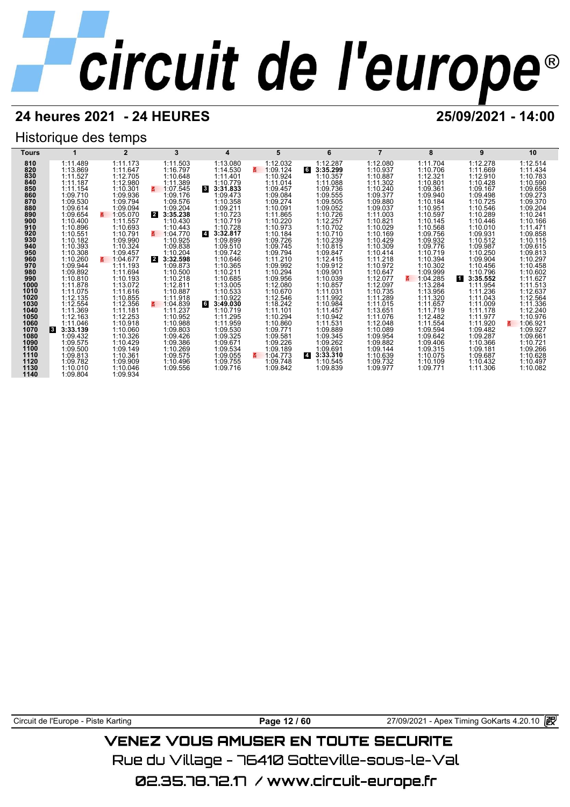## **24 heures 2021 - 24 HEURES 25/09/2021 - 14:00**

## Historique des temps

| Tours        |                      | $\mathbf{2}$         | 3                          | 4                                   | 5                        | 6                          |                      | 8                    | 9                        | 10                   |
|--------------|----------------------|----------------------|----------------------------|-------------------------------------|--------------------------|----------------------------|----------------------|----------------------|--------------------------|----------------------|
| 810          | 1:11.489             | 1:11.173             | 1:11.503                   | 1:13.080                            | 1:12.032                 | 1:12.287                   | 1:12.080             | 1:11.704             | 1:12.278                 | 1:12.514             |
| 820          | 1:13.869             | 1:11.647             | 1:16.797                   | 1:14.530                            | 1:09.124<br>3.           | 6<br>3:35.299              | 1:10.937             | 1:10.706             | 1:11.669                 | 1:11.434             |
| 830          | 1:11.527             | 1:12.705             | 1:10.648                   | 1:11.401                            | 1:10.924                 | 1:10.357                   | 1:10.887             | 1:12.321             | 1:12.910                 | 1:10.783             |
| 840          | 1:11.187             | 1:12.980             | 1:11.389                   | 1:10.779                            | 1:11.014                 | 1:11.088                   | 1:11.302             | 1:10.801             | 1:10.428                 | 1:10.590             |
| 850<br>860   | 1:11.154             | 1:10.301             | E.<br>1:07.545             | 3:31.833<br>$\overline{\mathbf{3}}$ | 1:09.457                 | 1:09.736                   | 1:10.240             | 1:09.361             | 1:09.167                 | 1:09.658             |
| 870          | 1:09.710<br>1:09.530 | 1:09.936<br>1:09.794 | 1:09.176<br>1:09.576       | 1:09.473<br>1:10.358                | 1:09.084<br>1:09.274     | 1:09.555<br>1:09.505       | 1:09.377<br>1:09.880 | 1:09.940<br>1:10.184 | 1:09.498<br>1:10.725     | 1:09.273<br>1:09.370 |
| 880          | 1:09.614             | 1:09.094             | 1:09.204                   | 1:09.211                            | 1:10.091                 | 1:09.052                   | 1:09.037             | 1:10.951             | 1:10.546                 | 1:09.204             |
| 890          | 1:09.654             | 1:05.070             | 3:35.238<br>$\overline{2}$ | 1:10.723                            | 1:11.865                 | 1:10.726                   | 1:11.003             | 1:10.597             | 1:10.289                 | 1:10.241             |
| 900          | 1:10.400             | 1:11.557             | 1:10.430                   | 1:10.719                            | 1:10.220                 | 1:12.257                   | 1:10.821             | 1:10.145             | 1:10.446                 | 1:10.166             |
| 910          | 1:10.896             | 1:10.693             | 1:10.443                   | 1:10.728                            | 1:10.973                 | 1:10.702                   | 1:10.029             | 1:10.568             | 1:10.010                 | 1:11.471             |
| 920          | 1:10.551             | 1:10.791             | 1:04.770                   | $\overline{a}$<br>3:32.817          | 1:10.184                 | 1:10.710                   | 1:10.169             | 1:09.756             | 1:09.931                 | 1:09.858             |
| 930          | 1:10.182             | 1:09.990             | 1:10.925                   | 1:09.899                            | 1:09.726                 | 1:10.239                   | 1:10.429             | 1:09.932             | 1:10.512                 | 1:10.115             |
| 940          | 1:10.393             | 1:10.324             | 1:09.838                   | 1:09.510                            | 1:09.745                 | 1:10.815                   | 1:10.309             | 1:09.776             | 1:09.987                 | 1:09.615             |
| 950          | 1:10.308             | 1:09.457             | 1:10.204                   | 1:09.742                            | 1:09.794                 | 1:09.847                   | 1:10.414             | 1:10.719             | 1:10.250                 | 1:09.813             |
| 960          | 1:10.260             | z.<br>1:04.677       | 3:32.598<br>$\mathbf{2}$   | 1:10.646                            | 1:11.210                 | 1:12.415                   | 1:11.218             | 1:10.394             | 1:09.904                 | 1:10.297             |
| 970<br>980   | 1:09.944<br>1:09.892 | 1:11.193<br>1:11.694 | 1:09.873<br>1:10.500       | 1:10.365<br>1:10.211                | 1:09.992<br>1:10.294     | 1:09.912<br>1:09.901       | 1:10.972<br>1:10.647 | 1:10.302<br>1:09.999 | 1:10.456<br>1:10.796     | 1:10.458<br>1:10.602 |
| 990          | 1:10.810             | 1:10.193             | 1:10.218                   | 1:10.685                            | 1:09.956                 | 1:10.039                   | 1:12.077             | 1:04.285<br>z        | $\mathbf{1}$<br>3:35.552 | 1:11.627             |
| 1000         | 1:11.878             | 1:13.072             | 1:12.811                   | 1:13.005                            | 1:12.080                 | 1:10.857                   | 1:12.097             | 1:13.284             | 1:11.954                 | 1:11.513             |
| 1010         | 1:11.075             | 1:11.616             | 1:10.887                   | 1:10.533                            | 1:10.670                 | 1:11.031                   | 1:10.735             | 1:13.956             | 1:11.236                 | 1:12.637             |
| 1020         | 1:12.135             | 1:10.855             | 1:11.918                   | 1:10.922                            | 1:12.546                 | 1:11.992                   | 1:11.289             | 1:11.320             | 1:11.043                 | 1:12.564             |
| 1030         | 1:12.554             | 1:12.356             | 1:04.839<br>3.             | 3:49.030<br>6                       | 1:18.242                 | 1:10.984                   | 1:11.015             | 1:11.657             | 1:11.009                 | 1:11.336             |
| 1040         | 1:11.369             | 1:11.181             | 1:11.237                   | 1:10.719                            | 1:11.101                 | 1:11.457                   | 1:13.651             | 1:11.719             | 1:11.178                 | 1:12.240             |
| 1050         | 1:12.163             | 1:12.253             | 1:10.952                   | 1:11.295                            | 1:10.294                 | 1:10.942                   | 1:11.076             | 1:12.482             | 1:11.977                 | 1:10.976             |
| 1060         | 1:11.046             | 1:10.918             | 1:10.988                   | 1:11.959                            | 1:10.860                 | 1:11.531                   | 1:12.048             | 1:11.554             | 1:11.920                 | 1:06.921<br>3.       |
| 1070         | 3:33.139<br><b>3</b> | 1:10.060             | 1:09.803                   | 1:09.530                            | 1:09.771                 | 1:09.889                   | 1:10.089             | 1:09.594             | 1:09.482                 | 1:09.927             |
| 1080<br>1090 | 1:09.432<br>1:09.575 | 1:10.326<br>1:10.429 | 1:09.426<br>1:09.386       | 1:09.325<br>1:09.671                | 1:09.581<br>1:09.226     | 1:09.345<br>1:09.262       | 1:09.954<br>1:09.882 | 1:09.642<br>1:09.406 | 1:09.287<br>1:10.366     | 1:09.661<br>1:10.721 |
| 1100         | 1:09.500             | 1:09.149             | 1:10.269                   | 1:09.534                            | 1:09.189                 | 1:09.691                   | 1:09.144             | 1:09.315             | 1:09.181                 | 1:09.266             |
| 1110         | 1:09.813             | 1:10.361             | 1:09.575                   | 1:09.055                            | 1:04.773<br>$\mathbf{g}$ | $\overline{4}$<br>3:33.310 | 1:10.639             | 1:10.075             | 1:09.687                 | 1:10.628             |
| 1120         | 1:09.782             | 1:09.909             | 1:10.496                   | 1:09.755                            | 1:09.748                 | 1:10.545                   | 1:09.732             | 1:10.109             | 1:10.432                 | 1:10.497             |
| 1130         | 1:10.010             | 1:10.046             | 1:09.556                   | 1:09.716                            | 1:09.842                 | 1:09.839                   | 1:09.977             | 1:09.771             | 1:11.306                 | 1:10.082             |
| 1140         | 1:09.804             | 1:09.934             |                            |                                     |                          |                            |                      |                      |                          |                      |

Circuit de l'Europe - Piste Karting **Page 12 / 60** Page 12 / 60 27/09/2021 - Apex Timing GoKarts 4.20.10 图

## **VENEZ VOUS AMUSER EN TOUTE SECURITE**

Rue du Village – 76410 Sotteville-sous-le-Val

02.35.78.72.17 /www.circuit-europe.fr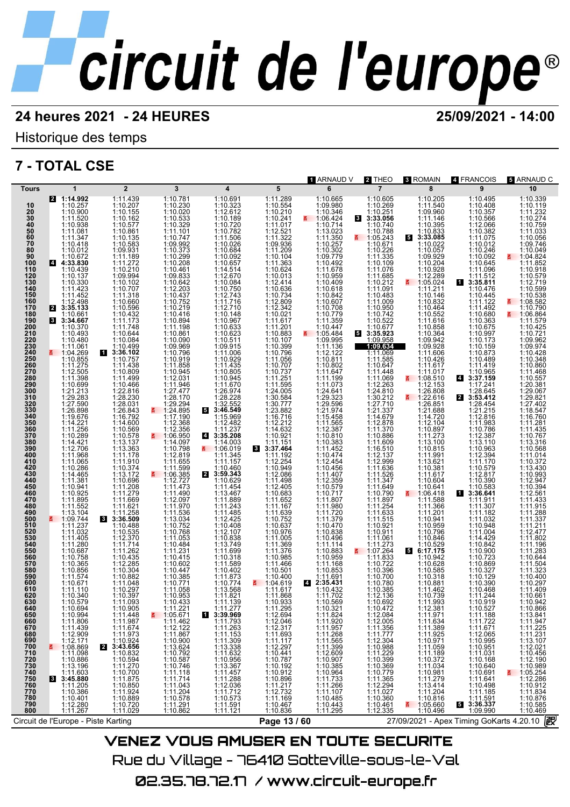## **24 heures 2021 - 24 HEURES 25/09/2021 - 14:00**

Historique des temps

## **7 - TOTAL CSE**



VENEZ VOUS AMUSER EN TOUTE SECURITE Rue du Village – 76410 Sotteville-sous-le-Val 02.35.78.72.17 / www.circuit-europe.fr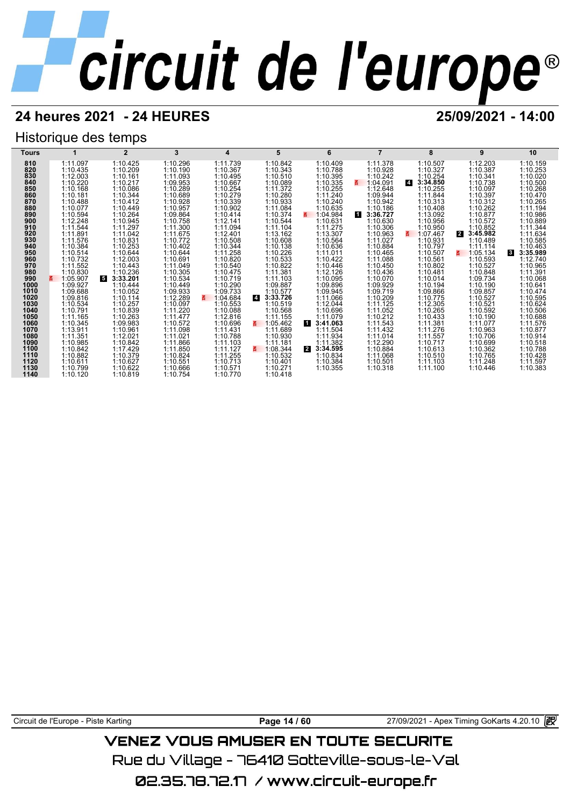## **24 heures 2021 - 24 HEURES 25/09/2021 - 14:00**

## Historique des temps

| Tours        |                      | $\mathbf{2}$         | 3                    | 4                    | 5                          | 6                                      |                      | 8                          | 9                          | 10                       |
|--------------|----------------------|----------------------|----------------------|----------------------|----------------------------|----------------------------------------|----------------------|----------------------------|----------------------------|--------------------------|
| 810          | 1:11.097             | 1:10.425             | 1:10.296             | 1:11.739             | 1:10.842                   | 1:10.409                               | 1:11.378             | 1:10.507                   | 1:12.203                   | 1:10.159                 |
| 820          | 1:10.435             | 1:10.209             | 1:10.190             | 1:10.367             | 1:10.343                   | 1:10.788                               | 1:10.928             | 1:10.327                   | 1:10.387                   | 1:10.253                 |
| 830          | 1:12.003             | 1:10.161             | 1:11.093             | 1:10.495             | 1:10.510                   | 1:10.395                               | 1:10.242             | 1:10.254                   | 1:10.341                   | 1:10.020                 |
| 840          | 1:10.220             | 1:10.217             | 1:09.953             | 1:10.667             | 1:10.089                   | 1:10.335                               | 1:04.091             | $\overline{4}$<br>3:34.850 | 1:10.738                   | 1:10.500                 |
| 850<br>860   | 1:10.168             | 1:10.086             | 1:10.289             | 1:10.254             | 1:11.372                   | 1:10.255                               | 1:12.648             | 1:10.255                   | 1:10.097                   | 1:10.268                 |
| 870          | 1:10.181<br>1:10.488 | 1:10.344<br>1:10.412 | 1:10.689<br>1:10.928 | 1:10.279<br>1:10.339 | 1:10.280<br>1:10.933       | 1:11.240<br>1:10.240                   | 1:09.944<br>1:10.942 | 1:11.844<br>1:10.313       | 1:10.397<br>1:10.312       | 1:10.470<br>1:10.265     |
| 880          | 1:10.077             | 1:10.449             | 1:10.957             | 1:10.902             | 1:11.084                   | 1:10.635                               | 1:10.186             | 1:10.408                   | 1:10.262                   | 1:11.194                 |
| 890          | 1:10.594             | 1:10.264             | 1:09.864             | 1:10.414             | 1:10.374                   | 1:04.984                               | 3:36.727<br>И.       | 1:13.092                   | 1:10.877                   | 1:10.986                 |
| 900          | 1:12.248             | 1:10.945             | 1:10.758             | 1:12.141             | 1:10.544                   | 1:10.631                               | 1:10.630             | 1:10.956                   | 1:10.572                   | 1:10.889                 |
| 910          | 1:11.544             | 1:11.297             | 1:11.300             | 1:11.094             | 1:11.104                   | 1:11.275                               | 1:10.306             | 1:10.950                   | 1:10.852                   | 1:11.344                 |
| 920          | 1:11.891             | 1:11.042             | 1:11.675             | 1:12.401             | 1:13.162                   | 1:13.307                               | 1:10.963             | 1:07.467                   | $\overline{2}$<br>3:45.982 | 1:11.634                 |
| 930          | 1:11.576             | 1:10.831             | 1:10.772             | 1:10.508             | 1:10.608                   | 1:10.564                               | 1:11.027             | 1:10.931                   | 1:10.489                   | 1:10.585                 |
| 940          | 1:10.384             | 1:10.253             | 1:10.402             | 1:10.344             | 1:10.138                   | 1:10.636                               | 1:10.884             | 1:10.797                   | 1:11.114                   | 1:10.463                 |
| 950          | 1:10.514             | 1:10.644             | 1:10.644             | 1:11.258             | 1:10.226                   | 1:11.011                               | 1:10.465             | 1:10.507                   | 1:05.134<br>$\mathbf{z}$   | 3:35.989<br>$\mathbf{3}$ |
| 960          | 1:10.732             | 1:12.003             | 1:10.691             | 1:10.820             | 1:10.533                   | 1:10.422                               | 1:11.088             | 1:10.561                   | 1:10.593                   | 1:12.740                 |
| 970<br>980   | 1:11.552             | 1:10.443<br>1:10.236 | 1:11.049<br>1:10.305 | 1:10.540             | 1:10.822                   | 1:10.446                               | 1:10.450             | 1:10.802                   | 1:10.527                   | 1:10.965                 |
| 990          | 1:10.830<br>1:05.907 | 5.<br>3:33.201       | 1:10.534             | 1:10.475<br>1:10.719 | 1:11.381<br>1:11.103       | 1:12.126<br>1:10.095                   | 1:10.436<br>1:10.070 | 1:10.481<br>1:10.014       | 1:10.848<br>1:09.734       | 1:11.391<br>1:10.068     |
| 1000         | 1:09.927             | 1:10.444             | 1:10.449             | 1:10.290             | 1:09.887                   | 1:09.896                               | 1:09.929             | 1:10.194                   | 1:10.190                   | 1:10.641                 |
| 1010         | 1:09.688             | 1:10.052             | 1:09.933             | 1:09.733             | 1:10.577                   | 1:09.945                               | 1:09.719             | 1:09.866                   | 1:09.857                   | 1:10.474                 |
| 1020         | 1:09.816             | 1:10.114             | 1:12.289             | 3.<br>1:04.684       | $\overline{4}$<br>3:33.726 | 1:11.066                               | 1:10.209             | 1:10.775                   | 1:10.527                   | 1:10.595                 |
| 1030         | 1:10.534             | 1:10.257             | 1:10.097             | 1:10.553             | 1:10.519                   | 1:12.044                               | 1:11.125             | 1:12.305                   | 1:10.521                   | 1:10.624                 |
| 1040         | 1:10.791             | 1:10.839             | 1:11.220             | 1:10.088             | 1:10.568                   | 1:10.696                               | 1:11.052             | 1:10.265                   | 1:10.592                   | 1:10.506                 |
| 1050         | 1:11.165             | 1:10.263             | 1:11.477             | 1:12.816             | 1:11.155                   | 1:11.079                               | 1:10.212             | 1:10.433                   | 1:10.190                   | 1:10.688                 |
| 1060         | 1:10.345             | 1:09.983             | 1:10.572             | 1:10.696             | 1:05.462<br>3.             | 3:41.063<br>П                          | 1:11.543             | 1:11.381                   | 1:11.077                   | 1:11.576                 |
| 1070         | 1:13.911             | 1:10.961             | 1:11.098<br>1:11.021 | 1:11.431             | 1:11.689                   | 1:11.504                               | 1:11.432             | 1:11.276                   | 1:10.963                   | 1:10.877                 |
| 1080         | 1:11.351             | 1:12.021             |                      | 1:10.788             | 1:10.930                   | 1:11.934                               | 1:11.014             | 1:11.557                   | 1:10.706                   | 1:10.914                 |
| 1090<br>1100 | 1:10.985<br>1:10.842 | 1:10.842<br>1:17.429 | 1:11.866<br>1:11.850 | 1:11.103<br>1:11.127 | 1:11.181<br>1:08.344<br>る  | 1:11.382<br>$\overline{2}$<br>3:34.595 | 1:12.290<br>1:10.884 | 1:10.717<br>1:10.613       | 1:10.699<br>1:10.362       | 1:10.518<br>1:10.788     |
| 1110         | 1:10.882             | 1:10.379             | 1:10.824             | 1:11.255             | 1:10.532                   | 1:10.834                               | 1:11.068             | 1:10.510                   | 1:10.765                   | 1:10.428                 |
| 1120         | 1:10.611             | 1:10.627             | 1:10.551             | 1:10.713             | 1:10.401                   | 1:10.384                               | 1:10.501             | 1:11.103                   | 1:11.248                   | 1:11.597                 |
| 1130         | 1:10.799             | 1:10.622             | 1:10.666             | 1:10.571             | 1:10.271                   | 1:10.355                               | 1:10.318             | 1:11.100                   | 1:10.446                   | 1:10.383                 |
| 1140         | 1:10.120             | 1:10.819             | 1:10.754             | 1:10.770             | 1:10.418                   |                                        |                      |                            |                            |                          |

Circuit de l'Europe - Piste Karting **Page 14 / 60** Page 14 / 60 27/09/2021 - Apex Timing GoKarts 4.20.10 图

## **VENEZ VOUS AMUSER EN TOUTE SECURITE**

Rue du Village – 76410 Sotteville-sous-le-Val

02.35.78.72.17 / www.circuit-europe.fr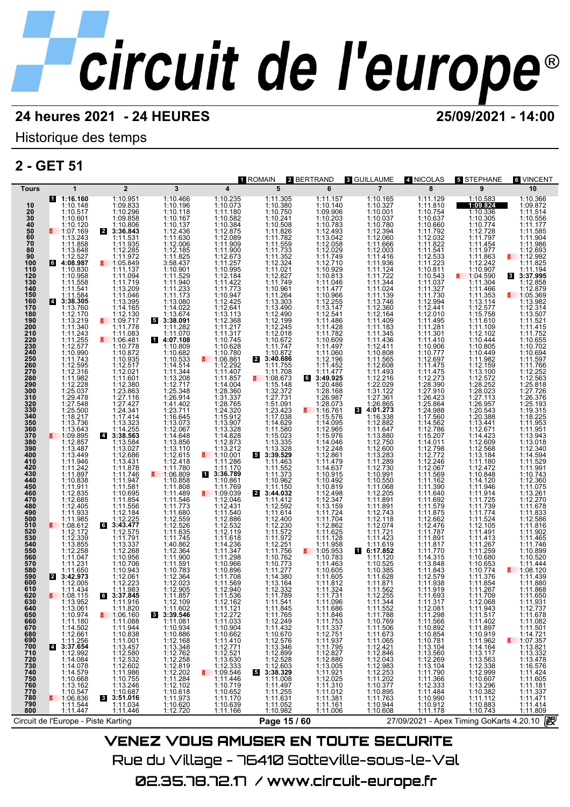## Historique des temps

## **2 - GET 51**

| Tours<br>10<br>20<br>30<br>40<br>50<br>50<br>70<br>80<br>90<br>100<br>110<br>120<br>130<br>140<br>150<br>160<br>170<br>180<br>190<br>200<br>210<br>220<br>230<br>240<br>250<br>260<br>270<br>280<br>290<br>300<br>310<br>320<br>330<br>340<br>350<br>360<br>370<br>380<br>390<br>400<br>410<br>420<br>430<br>440<br>450<br>460<br>470<br>480<br>490<br>500<br>510<br>520<br>530<br>540<br>550<br>560<br>570<br>580<br>590<br>600<br>610<br>620<br>630<br>640<br>650<br>660 | 1<br>1:16.160<br>1:10.148<br>1:10.517<br>1:10.601<br>1:10.120<br>₹ 1:07.169<br>1:13.243<br>1:11.858<br>1:13.648<br>1:12.527<br>64:08.987<br>1:10.830<br>1:10.958<br>1:11.558<br>1:11.541<br>1:11.584<br>3:38.305<br><b>14</b><br>1:13.760<br>1:12.170<br>1:13.219<br>$1:11.340$<br>$1:11.243$<br>$1:11.255$<br>1:12.577<br>1:10.990<br>1:11.743<br>1:12.595<br>1:12.316<br>1:11.982<br>1:12.228<br>1:25.037<br>1:29.478<br>1:27.548<br>1:25.500<br>1:18.217<br>1:13.736<br>1:13.643<br>₹ 1:09.895<br>1:12.857<br>1:13.487<br>1:13.449<br>1:11.946<br>1:11.242<br>1:11.897<br>1:10.838<br>1:11.911<br>1:12.835<br>1:12.685<br>1:12.405<br>$1:11.933$<br>1:11.985<br>₹ 1:08.612<br>1:12.172<br>1:12.339<br>1:13.855<br>1:12.258<br>1:11.047<br>1:11.231<br>1:11.650<br>2 3:42.973<br>1:12.005<br>1:11.434<br>■ 1:08.115<br>1:13.952<br>1:13.061<br>1:10.974 | $\overline{2}$<br>1:10.951<br>1:09.833<br>1:10.296<br>1:09.858<br>1:10.806<br>2<br>3:36.843<br>1:11.531<br>1:11.935<br>1:12.285<br>$1:1\overline{1}.972$<br>₹ 1:05.849<br>1:11.137<br>1:11.094<br>1:11.719<br>1:13.209<br>1:11.046<br>1:13.395<br>1:14.165<br>$1:12.130$<br>1:09.717<br>1:11.778<br>1:11.083<br>1:06.481<br>1:10.778<br>1:10.872<br>1:10.935<br>1:12.517<br>1:12.021<br>1:11.601<br>1:12.380<br>1:23.863<br>1:27.116<br>1:27.427<br>1:24.341<br>1:17.414<br>1:13.323<br>1:14.255<br>4 3:38.563<br>1:13.584<br>1:13.027<br>1:12.686<br>1:13.431<br>1:11.878<br>1:11.746<br>1:11.947<br>1:11.581<br>1:10.695<br>1:11.854<br>1:11.556<br>$1:12.184$<br>$1:12.225$<br>3:43.477<br>1:12.575<br>6<br>1:11.791<br>1:13.337<br>1:12.268<br>1:10.956<br>1:10.706<br>1:10.943<br>1:12.061<br>1:12.223<br>1:11.983<br>3:37.845<br>6<br>1:11.916<br>1:11.820<br>1:06.160 | $\mathbf{3}$<br>1:10.466<br>1:10.196<br>1:10.118<br>1:10.167<br>1:10.137<br>1:12.436<br>1:11.630<br>1:12.006<br>1:12.185<br>3:58.437<br>1:10.901<br>1:11.529<br>1:11.940<br>1:11.173<br>1:13.080<br>1:14.022<br>1:13.674<br>53:38.091<br>1:11.282<br>1:11.070<br>14:07.108<br>1:10.809<br>1:10.682<br>1:10.533<br>1:14.514<br>1:11.344<br>$1:13.208$<br>$1:12.717$<br>1:25.348<br>1:26.914<br>$\begin{array}{c} 1:23.711 \\ 1:16.645 \\ 1:13.073 \end{array}$<br>1:12.067<br>1:14.648<br>1:13.856<br>1:13.110<br>1:12.615<br>1:12.418<br>1:11.780<br>1:10.858<br>1:11.489<br>1:11.546<br>$1:11.770$<br>$1:12.559$<br>$1:12.526$<br>$1:11.635$<br>$\begin{array}{r} 1:11.745 \\ 1:40.862 \\ 1:12.364 \\ 1:11.900 \\ \end{array}$<br>1:11.591<br>1:10.783<br>1:12.364<br>1:12.023<br>1:12.905<br>1:11.857<br>1:12.109<br>$81.11.602$<br>3:39.546<br>1:11.081<br>1:10.934 | $\overline{\mathbf{4}}$<br>1:10.235<br>1:10.073<br>1:11.180<br>1:10.582<br>1:10.384<br>1:12.875<br>1:12.089<br>1:11.900<br>1:12.673<br>1:11.257<br>1:10.995<br>$1:11.422$<br>$1:11.773$<br>1:10.947<br>1:12.425<br>1:12.641<br>1:13.113<br>1:12.368<br>$\begin{array}{c} 1:11.217 \\ 1:11.317 \\ 1:10.745 \end{array}$<br>1:10.628<br>$\frac{1:10.780}{1:06.861}$<br>1:12.292<br>1:11.407<br>1:11.857<br>1:14.004<br>1:28.360<br>1:31.337<br>1:28.765<br>1:24.320<br>1:15.912<br>1:13.907<br>1:13.328<br>1:14.828<br>1:12.873<br>$\begin{array}{r}\n 1:13.212 \\  \hline\n 5:1:10.001 \\  \hline\n 1:11.286\n \end{array}$<br>1:11.170<br>3:36.789<br>1:10.861<br>1:11.769<br>$\frac{2}{9}$ 1:09.039<br>1:12.046<br>1:12.431<br>1:11.540<br>1:12.532<br>1:12.119<br>1:11.618<br>1:14.236<br>1:11.347<br>1:11.298<br>1:10.966<br>1:10.896<br>1:11.708<br>1:11.569<br>1:12.940<br>1:11.536<br>1:12.162 | 1 ROMAIN<br>5<br>1:11.305<br>1:10.380<br>1:10.750<br>$1:10.241$<br>$1:10.508$<br>1:11.826<br>1:11.782<br>$\begin{array}{r} 1:11.559 \\ 1:11.733 \\ 1:11.352 \\ 1:12.324 \end{array}$<br>$1:11.021$<br>1:12.827<br>1:11.749<br>1:10.961<br>1:11.264<br>1:13.303<br>1:13.490<br>1:12.490<br>1:12.199<br>1:12.245<br>1:12.018<br>1:10.672<br>1:11.747<br>$4:10.872$<br>3:40.686<br>1:11.755<br>1:11.708<br>₹ 1:08.673<br>1:15.148<br>1:27.731<br>1:51.091<br>1:23.423<br>1:17.038<br>1:14.629<br>1:11.580<br>1:15.023<br>1:13.335<br>1:13.328<br>5 3:39.529<br>1:11.463<br>1:11.552<br>1:11.373<br>1:10.962<br>1:11.150<br>2 3:44.032<br>1:11.412<br>1:12.592<br>1:11.614<br>1:12.400<br>1:12.230<br>1:11.572<br>$1:11.972$<br>$1:12.251$<br>1:11.756<br>1:10.762<br>1:10.773<br>1:11.277<br>1:14.380<br>1:13.164<br>1:12.332<br>1:11.789<br>1:11.541<br>1:11.845<br>1:11.765 | 2 BERTRAND<br>6<br>1:11.157<br>1:10.140<br>1:09.906<br>1:10.203<br>1:10.783<br>1:12.493<br>1:13.042<br>1:12.058<br>1:12.029<br>1:11.749<br>1:12.710<br>1:10.929<br>1:10.813<br>1:11.046<br>$1:11.970$<br>$1:10.966$<br>$1:12.255$<br>1:13.147<br>1:12.541<br>1:11.486<br>1:11.428<br>1:11.782<br>1:10.609<br>1:11.497<br>1:11.060<br>1:12.196<br>1:11.452<br>1:11.477<br>3:49.925<br>1:20.486<br>1:28.168<br>1:26.987<br>1:28.073<br>₹ 1:16.761<br>1:15.576<br>1:14.095<br>1:12.965<br>1:15.976<br>$1:14.046$<br>$1:12.248$<br>1:12.861<br>1:11.479<br>1:14.637<br>1:10.915<br>1:10.492<br>1:10.819<br>1:12.498<br>1:12.347<br>1:13.159<br>$1:11.724$<br>$1:11.704$<br>1:12.862<br>1:11.625<br>1:11.128<br>1:11.958<br>$\frac{11.05.953}{1.10.783}$<br>1:11.463<br>1:10.605<br>1:11.605<br>$1:11.812$<br>$1:11.324$<br>1:11.731<br>1:11.096 | <b>3 GUILLAUME</b><br>$\overline{7}$<br>1:10.165<br>1:10.327<br>1:10.001<br>1:10.037<br>1:10.780<br>1:12.394<br>1:12.060<br>1:11.666<br>1:12.003<br>1:11.416<br>1:11.936<br>1:11.124<br>1:11.722<br>$1:11.344$<br>$1:11.024$<br>1:11.139<br>1:13.746<br>1:12.360<br>1:12.164<br>1:11.409<br>$1:11.183$<br>$1:11.345$<br>1:11.436<br>1:12.411<br>1:10.808<br>1:11.565<br>1:12.608<br>1:11.493<br>1:12.216<br>1:22.029<br>1:31.122<br>1:27.361<br>1:26.865<br>4:01.273<br>1:16.338<br>3<br>1:12.882<br>1:11.647<br>$1:13.880$<br>$1:12.750$<br>$1:12.600$<br>$1:13.283$<br>$1:11.289$<br>$1:12.730$<br>1:10.991<br>1:10.550<br>1:11.068<br>1:12.205<br>1:17.891<br>1:11.891<br>$1:12.743$<br>$1:12.118$<br>1:12.074<br>1:11.721<br>1:11.423<br>1 6:17.852<br>1:11.120<br>1:10.525<br>1:10.385<br>1:11.628<br>$1:11.871$<br>$1:11.562$<br>1:12.255<br>1:11.344<br>1:11.552<br>1:11.788 | 4 NICOLAS<br>8<br>1:11.129<br>1:11.810<br>1:10.754<br>1:10.637<br>1:10.660<br>1:11.792<br>1:12.032<br>1:11.822<br>$1:11.541$<br>$1:12.533$<br>$1:11.223$<br>1:10.811<br>1:10.543<br>1:11.037<br>1:11.327<br>1:11.730<br>1:12.994<br>1:12.441<br>1:12.010<br>1:11.495<br>$1:11.281$<br>$1:11.301$<br>1:11.410<br>1:10.906<br>1:10.777<br>1:12.697<br>1:11.475<br>1:11.475<br>1:12.273<br>1:28.390<br>1:27.910<br>1:26.423<br>1:25.864<br>1:24.988<br>1:14.562<br>1:12.786<br>1:15.207<br>$1:14.011$ $1:12.798$ $1:12.772$ $1:12.246$<br>1:12.067<br>1:11.569<br>1:11.162<br>1:11.390<br>1:11.640<br>1:11.692<br>1:11.579<br>1:11.875<br>1:12.662<br>1:12.476<br>1:11.787<br>1:11.891<br>1:11.817<br>1:11.770<br>1:14.315<br>1:13.848<br>1:11.843<br>1:12.579<br>1:11.938<br>1:11.919<br>1:11.693<br>1:11.317 | 5 STEPHANE<br>9<br>1:10.583<br>1:09.824<br>1:10.336<br>1:10.305<br>1:10.774<br>1:12.728<br>1:11.797<br>1:11.454<br>1:11.977<br>1:11.863<br>1:12.242<br>1:10.907<br>₹ 1:04.590<br>1:11.304<br>1:11.466<br>1:11.353<br>1:13.114<br>1:12.577<br>1:15.758<br>1:11.610<br>1:11.109<br>1:12.102<br>1:10.444<br>1:10.805<br>1:10.449<br>1:12.159<br>1:13.100<br>1:12.572<br>1:28.252<br>1:28.023<br>1:27.113<br>1:26.957<br>1:20.543<br>1:13.441<br>1:12.671<br>1:14.423<br>1:12.609<br>1:12.568<br>1:13.184<br>1:11.180<br>1:12.472<br>1:10.848<br>1:14.120<br>1:11.946<br>1:11.914<br>1:11.725<br>1:11.739<br>1:11.774<br>1:11.524<br>1:12.105<br>1:11.491<br>1:11.413<br>1:11.267<br>1:11.259<br>1:10.680<br>1:10.653<br>1:10.774<br>1:11.376<br>1:11.854<br>1:11.267<br>1:11.709<br>1:12.068<br>1:11.943<br>1:11.517 | 6 VINCENT<br>10<br>1:10.366<br>1:09.872<br>1:11.514<br>1:10.556<br>1:11.177<br>1:11.585<br>1:11.904<br>1:11.986<br>1:12.693<br>4.12.992<br>1:11.825<br>1:11.194<br>8 3:37.995<br>1:12.858<br>1:12.879<br>$\frac{2}{9}$ 1:05.369<br>1:13.982<br>1:12.314<br>1:13.507<br>1:11.521<br>1:11.415<br>1:11.752<br>1:10.655<br>1:10.702<br>1:10.694<br>1:11.597<br>1:11.766<br>1:12.252<br>1:12.563<br>1:25.818<br>1:27.726<br>1:26.376<br>1:25.193<br>1:19.315<br>1:18.225<br>1:11.953<br>1:11.951<br>1:13.943<br>1:13.018<br>1:12.340<br>1:14.594<br>1:11.529<br>1:11.991<br>1:10.743<br>1:12.360<br>1:11.075<br>1:13.261<br>1:12.270<br>1:11.678<br>1:11.833<br>1:12.586<br>1:11.816<br>1:11.902<br>1:11.465<br>1:11.746<br>1:10.899<br>1:10.520<br>1:11.444<br>₹ 1:08.120<br>1:11.439<br>1:11.880<br>1:11.868<br>1:11.650<br>1:11.931<br>1:12.737<br>1:11.678<br>1:11.082 |
|----------------------------------------------------------------------------------------------------------------------------------------------------------------------------------------------------------------------------------------------------------------------------------------------------------------------------------------------------------------------------------------------------------------------------------------------------------------------------|-----------------------------------------------------------------------------------------------------------------------------------------------------------------------------------------------------------------------------------------------------------------------------------------------------------------------------------------------------------------------------------------------------------------------------------------------------------------------------------------------------------------------------------------------------------------------------------------------------------------------------------------------------------------------------------------------------------------------------------------------------------------------------------------------------------------------------------------------------------|------------------------------------------------------------------------------------------------------------------------------------------------------------------------------------------------------------------------------------------------------------------------------------------------------------------------------------------------------------------------------------------------------------------------------------------------------------------------------------------------------------------------------------------------------------------------------------------------------------------------------------------------------------------------------------------------------------------------------------------------------------------------------------------------------------------------------------------------------------------------------|------------------------------------------------------------------------------------------------------------------------------------------------------------------------------------------------------------------------------------------------------------------------------------------------------------------------------------------------------------------------------------------------------------------------------------------------------------------------------------------------------------------------------------------------------------------------------------------------------------------------------------------------------------------------------------------------------------------------------------------------------------------------------------------------------------------------------------------------------------------------|------------------------------------------------------------------------------------------------------------------------------------------------------------------------------------------------------------------------------------------------------------------------------------------------------------------------------------------------------------------------------------------------------------------------------------------------------------------------------------------------------------------------------------------------------------------------------------------------------------------------------------------------------------------------------------------------------------------------------------------------------------------------------------------------------------------------------------------------------------------------------------------------------|----------------------------------------------------------------------------------------------------------------------------------------------------------------------------------------------------------------------------------------------------------------------------------------------------------------------------------------------------------------------------------------------------------------------------------------------------------------------------------------------------------------------------------------------------------------------------------------------------------------------------------------------------------------------------------------------------------------------------------------------------------------------------------------------------------------------------------------------------------------------------|---------------------------------------------------------------------------------------------------------------------------------------------------------------------------------------------------------------------------------------------------------------------------------------------------------------------------------------------------------------------------------------------------------------------------------------------------------------------------------------------------------------------------------------------------------------------------------------------------------------------------------------------------------------------------------------------------------------------------------------------------------------------------------------------------------------------------------------------|-------------------------------------------------------------------------------------------------------------------------------------------------------------------------------------------------------------------------------------------------------------------------------------------------------------------------------------------------------------------------------------------------------------------------------------------------------------------------------------------------------------------------------------------------------------------------------------------------------------------------------------------------------------------------------------------------------------------------------------------------------------------------------------------------------------------------------------------------------------------------------------|-------------------------------------------------------------------------------------------------------------------------------------------------------------------------------------------------------------------------------------------------------------------------------------------------------------------------------------------------------------------------------------------------------------------------------------------------------------------------------------------------------------------------------------------------------------------------------------------------------------------------------------------------------------------------------------------------------------------------------------------------------------------------------------------------------------|-------------------------------------------------------------------------------------------------------------------------------------------------------------------------------------------------------------------------------------------------------------------------------------------------------------------------------------------------------------------------------------------------------------------------------------------------------------------------------------------------------------------------------------------------------------------------------------------------------------------------------------------------------------------------------------------------------------------------------------------------------------------------------------------------------------------|-----------------------------------------------------------------------------------------------------------------------------------------------------------------------------------------------------------------------------------------------------------------------------------------------------------------------------------------------------------------------------------------------------------------------------------------------------------------------------------------------------------------------------------------------------------------------------------------------------------------------------------------------------------------------------------------------------------------------------------------------------------------------------------------------------------------------------------------------------------------------|
| 670<br>680<br>690<br>700<br>710<br>720<br>730<br>730<br>740<br>750<br>760<br>770<br>780<br>790<br>800                                                                                                                                                                                                                                                                                                                                                                      | $\begin{array}{c} 1:11.180 \\ 1:14.502 \\ 1:12.661 \\ 1:11.256 \\ \end{array}$<br>4 3:37.654<br>1:12.992<br>1:14.084<br>1:14.078<br>1:14.579<br>1:10.668<br>1:13.162<br>1:10.547<br>₹ 1:06.836<br>1:11.544<br>1:11.447                                                                                                                                                                                                                                                                                                                                                                                                                                                                                                                                                                                                                                    | $1:11.088$<br>$1:11.944$<br>$1:10.838$<br>$1:11.001$<br>$1:13.457$<br>$1:12.532$<br>$1:12.632$<br>$1:12.602$<br>$1:11.986$<br>$1:10.755$<br>$1:13.246$<br>$1:10.687$<br><b>8.151.016</b><br>1:11.034<br>1:11.446                                                                                                                                                                                                                                                                                                                                                                                                                                                                                                                                                                                                                                                             | $1:10.886$<br>$1:12.168$<br>$1:13.348$<br>$1:12.762$<br>$1:12.258$<br>1:12.299<br>1:12.202<br>1:11.284<br>1:11.284<br>1:10.618<br>1:11.973<br>1:10.620<br>1:12.720                                                                                                                                                                                                                                                                                                                                                                                                                                                                                                                                                                                                                                                                                                     | 1:11.121<br>1:12.272<br>1:11.033<br>1:10.904<br>1:10.662<br>1:11.410<br>1:12.771<br>1:12.521<br>1:13.630<br>1:12.333<br>5<br>1:11.446<br>$1:11.446$<br>$1:10.719$<br>$1:10.652$<br>$1:11.170$<br>1:10.639<br>1:11.166                                                                                                                                                                                                                                                                                                                                                                                                                                                                                                                                                                                                                                                                                | $1:11.432$<br>$1:11.432$<br>$1:11.432$<br>$1:10.670$<br>$1:12.576$<br>$1:12.528$<br>$1:12.603$<br>$3:383.329$<br>$1:11.008$<br>1:11.008<br>$1:11.497$<br>$1:11.255$<br>1:11.631<br>1:11.052<br>1:10.982                                                                                                                                                                                                                                                                                                                                                                                                                                                                                                                                                                                                                                                                    | 1:11.886<br>1:11.753<br>1:11.753<br>1:11.7937<br>1:11.795<br>1:11.795<br>1:11.2021<br>1:11.381<br>1:11.381<br>1:11.381<br>1:11.381<br>1:11.381<br>1:11.381<br>1:11.381                                                                                                                                                                                                                                                                                                                                                                                                                                                                                                                                                                                                                                                                      | 1:11.788<br>1:11.506<br>1:11.505<br>1:11.665<br>1:11.065<br>1:12.284<br>1:12.283<br>1:11.222<br>1:11.763<br>1:11.763<br>1:11.763<br>1:11.0895<br>1:10.944<br>1:10.608                                                                                                                                                                                                                                                                                                                                                                                                                                                                                                                                                                                                                                                                                                               | 1:12.081<br>1:12.0882<br>1:11.566<br>1:10.884<br>1:10.884<br>1:11.3.560<br>1:11.3.104<br>1:11.484<br>1:11.484<br>1:11.484<br>1:11.484<br>1:10.990<br>1:10.912<br>1:11.178                                                                                                                                                                                                                                                                                                                                                                                                                                                                                                                                                                                                                                   | $1:11.917$<br>$1:11.402$<br>$1:11.897$<br>$1:10.919$<br>$1:11.962$<br>$1:13.117$<br>$1:13.563$<br>$1:12.999$<br>$1:10.607$<br>$1:10.382$<br>$1:10.607$<br>$1:11.42$<br>$1:10.883$<br>1:10.883<br>1:10.743                                                                                                                                                                                                                                                                                                                                                                                                                                                                                                                                                                                                         | $\begin{array}{r}\n 1:11.002 \\  1:14.721 \\  \hline\n 5:107.357 \\  1:13.821\n \end{array}$<br>1:13.332<br>1:13.478<br>$1:16.576$<br>$1:11.424$<br>$1:11.605$<br>$1:11.337$<br>$1:11.337$<br>1:11.471<br>1:11.414<br>1:11.809                                                                                                                                                                                                                                                                                                                                                                                                                                                                                                                                                                                                                                        |
|                                                                                                                                                                                                                                                                                                                                                                                                                                                                            |                                                                                                                                                                                                                                                                                                                                                                                                                                                                                                                                                                                                                                                                                                                                                                                                                                                           |                                                                                                                                                                                                                                                                                                                                                                                                                                                                                                                                                                                                                                                                                                                                                                                                                                                                              |                                                                                                                                                                                                                                                                                                                                                                                                                                                                                                                                                                                                                                                                                                                                                                                                                                                                        |                                                                                                                                                                                                                                                                                                                                                                                                                                                                                                                                                                                                                                                                                                                                                                                                                                                                                                      |                                                                                                                                                                                                                                                                                                                                                                                                                                                                                                                                                                                                                                                                                                                                                                                                                                                                            |                                                                                                                                                                                                                                                                                                                                                                                                                                                                                                                                                                                                                                                                                                                                                                                                                                             |                                                                                                                                                                                                                                                                                                                                                                                                                                                                                                                                                                                                                                                                                                                                                                                                                                                                                     |                                                                                                                                                                                                                                                                                                                                                                                                                                                                                                                                                                                                                                                                                                                                                                                                             |                                                                                                                                                                                                                                                                                                                                                                                                                                                                                                                                                                                                                                                                                                                                                                                                                   |                                                                                                                                                                                                                                                                                                                                                                                                                                                                                                                                                                                                                                                                                                                                                                                                                                                                       |
|                                                                                                                                                                                                                                                                                                                                                                                                                                                                            | Circuit de l'Europe - Piste Karting                                                                                                                                                                                                                                                                                                                                                                                                                                                                                                                                                                                                                                                                                                                                                                                                                       |                                                                                                                                                                                                                                                                                                                                                                                                                                                                                                                                                                                                                                                                                                                                                                                                                                                                              |                                                                                                                                                                                                                                                                                                                                                                                                                                                                                                                                                                                                                                                                                                                                                                                                                                                                        |                                                                                                                                                                                                                                                                                                                                                                                                                                                                                                                                                                                                                                                                                                                                                                                                                                                                                                      | Page 15 / 60                                                                                                                                                                                                                                                                                                                                                                                                                                                                                                                                                                                                                                                                                                                                                                                                                                                               |                                                                                                                                                                                                                                                                                                                                                                                                                                                                                                                                                                                                                                                                                                                                                                                                                                             |                                                                                                                                                                                                                                                                                                                                                                                                                                                                                                                                                                                                                                                                                                                                                                                                                                                                                     |                                                                                                                                                                                                                                                                                                                                                                                                                                                                                                                                                                                                                                                                                                                                                                                                             | 27/09/2021 - Apex Timing GoKarts 4.20.10 2                                                                                                                                                                                                                                                                                                                                                                                                                                                                                                                                                                                                                                                                                                                                                                        |                                                                                                                                                                                                                                                                                                                                                                                                                                                                                                                                                                                                                                                                                                                                                                                                                                                                       |
|                                                                                                                                                                                                                                                                                                                                                                                                                                                                            |                                                                                                                                                                                                                                                                                                                                                                                                                                                                                                                                                                                                                                                                                                                                                                                                                                                           |                                                                                                                                                                                                                                                                                                                                                                                                                                                                                                                                                                                                                                                                                                                                                                                                                                                                              | \/=\!=ㅋ \/^! !^ ^\! !^=^ =\! ?^! !?~ ^=^! !^!?=                                                                                                                                                                                                                                                                                                                                                                                                                                                                                                                                                                                                                                                                                                                                                                                                                        |                                                                                                                                                                                                                                                                                                                                                                                                                                                                                                                                                                                                                                                                                                                                                                                                                                                                                                      |                                                                                                                                                                                                                                                                                                                                                                                                                                                                                                                                                                                                                                                                                                                                                                                                                                                                            |                                                                                                                                                                                                                                                                                                                                                                                                                                                                                                                                                                                                                                                                                                                                                                                                                                             |                                                                                                                                                                                                                                                                                                                                                                                                                                                                                                                                                                                                                                                                                                                                                                                                                                                                                     |                                                                                                                                                                                                                                                                                                                                                                                                                                                                                                                                                                                                                                                                                                                                                                                                             |                                                                                                                                                                                                                                                                                                                                                                                                                                                                                                                                                                                                                                                                                                                                                                                                                   |                                                                                                                                                                                                                                                                                                                                                                                                                                                                                                                                                                                                                                                                                                                                                                                                                                                                       |

VENEZ VOUS AMUSER EN TOUTE SECURITE Rue du Village – 76410 Sotteville–sous–le–Val 02.35.78.72.17 / www.circuit-europe.fr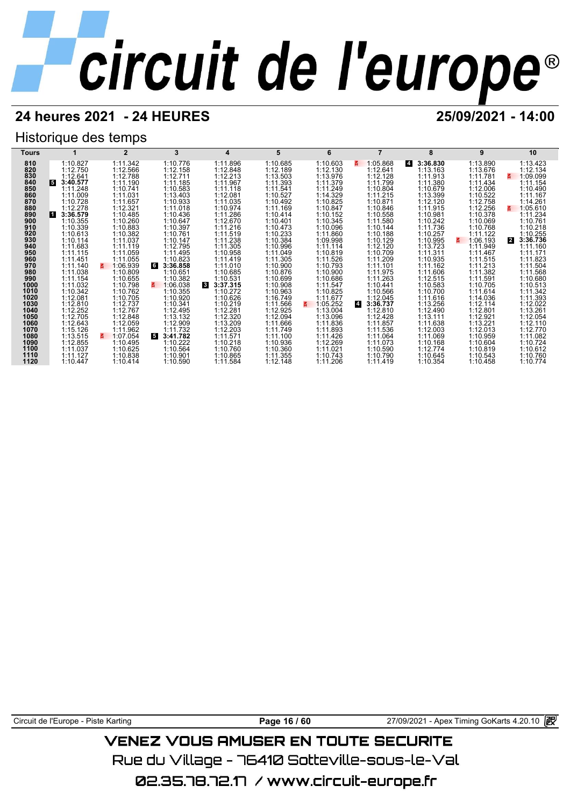## **24 heures 2021 - 24 HEURES 25/09/2021 - 14:00**

## Historique des temps

| Tours        |                      |                      | 3                          | 4                                    | 5                    | 6                    |                            | ឧ                          | 9                          | 10                               |
|--------------|----------------------|----------------------|----------------------------|--------------------------------------|----------------------|----------------------|----------------------------|----------------------------|----------------------------|----------------------------------|
| 810          | 1:10.827             | 1:11.342             | 1:10.776                   | 1:11.896                             | 1:10.685             | 1:10.603             | 1:05.868                   | 3:36.830<br>$\overline{a}$ | 1:13.890                   | 1:13.423                         |
| 820          | 1:12.750             | 1:12.566             | 1:12.158                   | 1:12.848                             | 1:12.189             | 1:12.130             | 1:12.641                   | 1:13.163                   | 1:13.676                   | 1:12.134                         |
| 830          | 1:12.641             | 1:12.788             | 1:12.711                   | 1:12.213                             | 1:13.503             | 1:13.976             | 1:12.128                   | 1:11.913                   | 1:11.781                   | 1:09.099                         |
| 840          | 3:40.577<br>15.      | 1:11.190             | 1:11.185                   | 1:11.967                             | 1:11.393             | 1:11.379             | 1:11.799                   | 1:11.380                   | 1:11.434                   | 1:11.154                         |
| 850<br>860   | 1:11.248<br>1:11.009 | 1:10.741<br>1:11.031 | 1:10.583<br>1:13.403       | 1:11.118<br>1:12.081                 | 1:11.541<br>1:10.527 | 1:11.249<br>1:14.329 | 1:10.804<br>1:11.215       | 1:10.679<br>1:13.399       | 1:12.006<br>1:10.522       | 1:10.490<br>1:11.167             |
| 870          | 1:10.728             | 1:11.657             | 1:10.933                   | 1:11.035                             | 1:10.492             | 1:10.825             | 1:10.871                   | 1:12.120                   | 1:12.758                   | 1:14.261                         |
| 880          | 1:12.278             | 1:12.321             | 1:11.018                   | 1:10.974                             | 1:11.169             | 1:10.847             | 1:10.846                   | 1:11.915                   | 1:12.256                   | 1:05.610<br>3.                   |
| 890          | 3:36.579<br>и        | 1:10.485             | 1:10.436                   | 1:11.286                             | 1:10.414             | 1:10.152             | 1:10.558                   | 1:10.981                   | 1:10.378                   | 1:11.234                         |
| 900          | 1:10.355             | 1:10.260             | 1:10.647                   | 1:12.670                             | 1:10.401             | 1:10.345             | 1:11.580                   | 1:10.242                   | 1:10.069                   | 1:10.761                         |
| 910          | 1:10.339             | 1:10.883             | 1:10.397                   | 1:11.216                             | 1:10.473             | 1:10.096             | 1:10.144                   | 1:11.736                   | 1:10.768                   | 1:10.218                         |
| 920<br>930   | 1:10.613<br>1:10.114 | 1:10.382<br>1:11.037 | 1:10.761<br>1:10.147       | 1:11.519<br>1:11.238                 | 1:10.233<br>1:10.384 | 1:11.860<br>1:09.998 | 1:10.188<br>1:10.129       | 1:10.257<br>1:10.995       | 1:11.122<br>1:06.193<br>3. | 1:10.255<br>3:36.736<br><b>2</b> |
| 940          | 1:11.683             | 1:11.119             | 1:12.795                   | 1:11.305                             | 1:10.996             | 1:11.114             | 1:12.120                   | 1:13.723                   | 1:11.949                   | 1:11.160                         |
| 950          | 1:11.115             | 1:11.059             | 1:11.495                   | 1:10.958                             | 1:11.049             | 1:10.819             | 1:10.709                   | 1:11.311                   | 1:11.467                   | 1:11.171                         |
| 960          | 1:11.451             | 1:11.055             | 1:10.823                   | 1:11.419                             | 1:11.305             | 1:11.526             | 1:11.209                   | 1:10.935                   | 1:11.515                   | 1:11.823                         |
| 970          | 1:11.140             | 1:06.939             | <b>G</b><br>3:36.858       | 1:11.010                             | 1:10.900             | 1:10.793             | 1:11.101                   | 1:11.162                   | 1:11.213                   | 1:11.504                         |
| 980          | 1:11.038             | 1:10.809             | 1:10.651                   | 1:10.685                             | 1:10.876             | 1:10.900             | 1:11.975                   | 1:11.606                   | 1:11.382                   | 1:11.568                         |
| 990          | 1:11.154             | 1:10.655             | 1:10.382                   | 1:10.531                             | 1:10.699             | 1:10.686             | 1:11.263                   | 1:12.515                   | 1:11.591                   | 1:10.680                         |
| 1000<br>1010 | 1:11.032<br>1:10.342 | 1:10.798<br>1:10.762 | 1:06.038<br>z.<br>1:10.355 | $\mathbf{3}$<br>3:37.315<br>1:10.272 | 1:10.908<br>1:10.963 | 1:11.547<br>1:10.825 | 1:10.441<br>1:10.566       | 1:10.583<br>1:10.700       | 1:10.705<br>1:11.614       | 1:10.513<br>1:11.342             |
| 1020         | 1:12.081             | 1:10.705             | 1:10.920                   | 1:10.626                             | 1:16.749             | 1:11.677             | 1:12.045                   | 1:11.616                   | 1:14.036                   | 1:11.393                         |
| 1030         | 1:12.810             | 1:12.737             | 1:10.341                   | 1:10.219                             | 1:11.566             | 1:05.252             | $\overline{4}$<br>3:36.737 | 1:13.256                   | 1:12.114                   | 1:12.022                         |
| 1040         | 1:12.252             | 1:12.767             | 1:12.495                   | 1:12.281                             | 1:12.925             | 1:13.004             | 1:12.810                   | 1:12.490                   | 1:12.801                   | 1:13.261                         |
| 1050         | 1:12.705             | 1:12.848             | 1:13.132                   | 1:12.320                             | 1:12.094             | 1:13.096             | 1:12.428                   | 1:13.111                   | 1:12.921                   | 1:12.054                         |
| 1060         | 1:12.643             | 1:12.059             | 1:12.909                   | 1:13.209                             | 1:11.666             | 1:11.836             | 1:11.857                   | 1:11.638                   | 1:13.221                   | 1:12.110                         |
| 1070<br>1080 | 1:15.126<br>1:13.515 | 1:11.962<br>1:07.054 | 1:11.732<br>5<br>3:41.782  | 1:12.203<br>1:11.571                 | 1:11.749<br>1:11.100 | 1:11.893<br>1:11.426 | 1:11.536<br>1:11.064       | 1:12.003<br>1:11.069       | 1:12.013<br>1:10.959       | 1:12.770<br>1:11.082             |
| 1090         | 1:12.855             | 1:10.495             | 1:10.222                   | 1:10.218                             | 1:10.936             | 1:12.269             | 1:11.073                   | 1:10.168                   | 1:10.604                   | 1:10.724                         |
| 1100         | 1:11.037             | 1:10.625             | 1:10.564                   | 1:10.760                             | 1:10.360             | 1:11.021             | 1:10.590                   | 1:12.774                   | 1:10.819                   | 1:10.612                         |
| 1110         | 1:11.127             | 1:10.838             | 1:10.901                   | 1:10.865                             | 1:11.355             | 1:10.743             | 1:10.790                   | 1:10.645                   | 1:10.543                   | 1:10.760                         |
| 1120         | 1:10.447             | 1:10.414             | 1:10.590                   | 1:11.584                             | 1:12.148             | 1:11.206             | 1:11.419                   | 1:10.354                   | 1:10.458                   | 1:10.774                         |

Circuit de l'Europe - Piste Karting **Page 16 / 60** Page 16 / 60 27/09/2021 - Apex Timing GoKarts 4.20.10 **图** 

## **VENEZ VOUS AMUSER EN TOUTE SECURITE**

Rue du Village – 76410 Sotteville-sous-le-Val

02.35.78.72.17 / www.circuit-europe.fr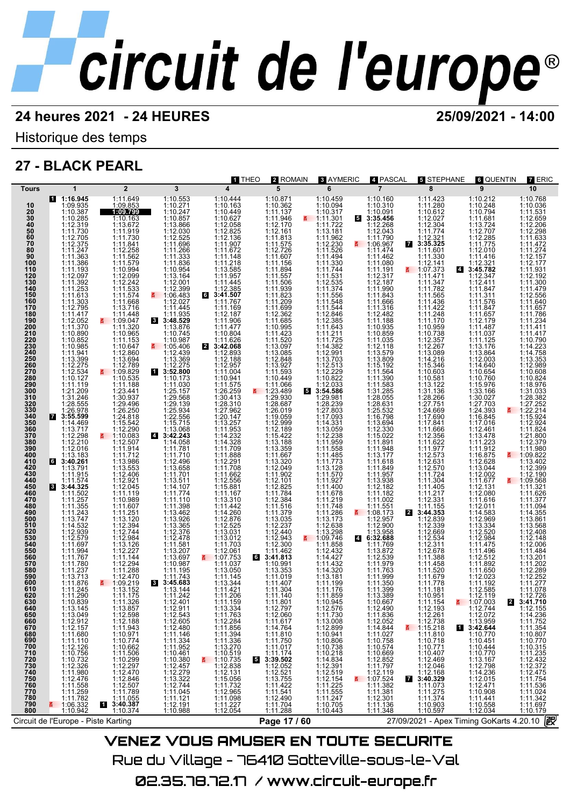## **24 heures 2021 - 24 HEURES 25/09/2021 - 14:00**

Historique des temps

## **27 - BLACK PEARL**



Rue du Village – 76410 Sotteville-sous-le-Val 02.35.78.72.17 / www.circuit-europe.fr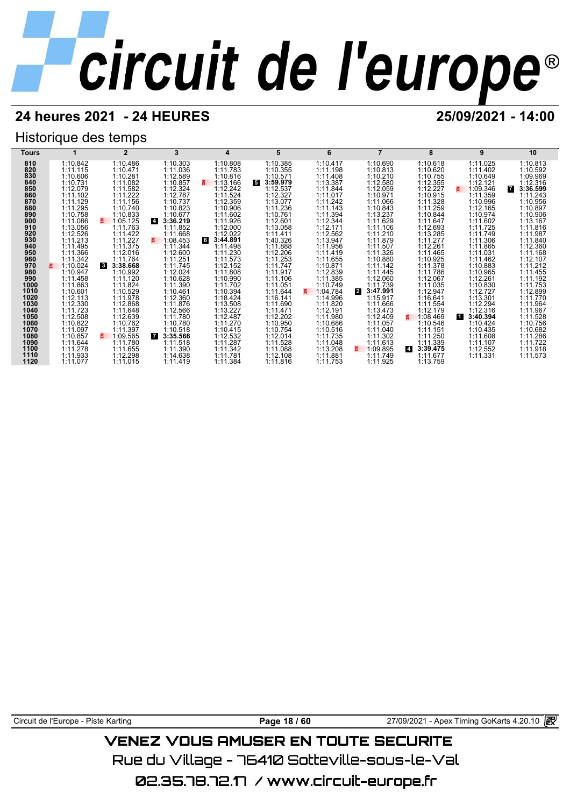## **24 heures 2021 - 24 HEURES 25/09/2021 - 14:00**

## Historique des temps



Circuit de l'Europe - Piste Karting **Page 18 / 60** 27/09/2021 - Apex Timing GoKarts 4.20.10

## VENEZ VOUS AMUSER EN TOUTE SECURITE

Rue du Village – 76410 Sotteville-sous-le-Val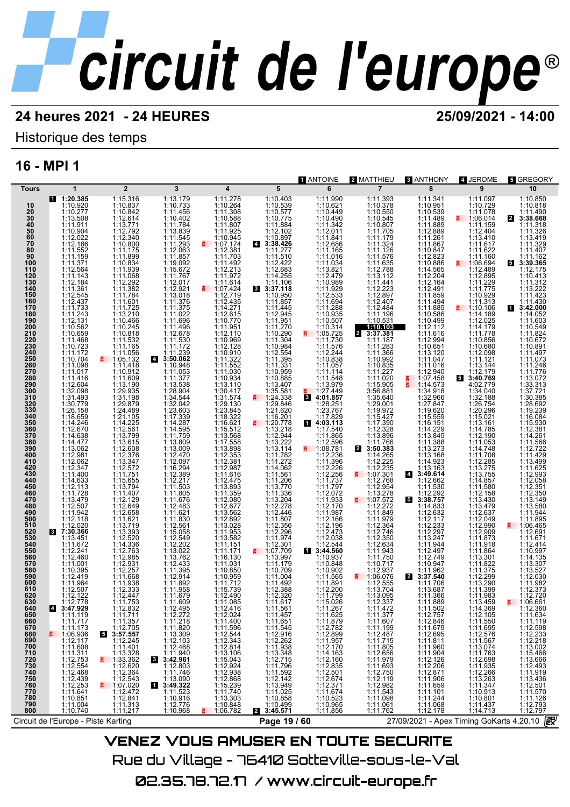## **24 heures 2021 - 24 HEURES 25/09/2021 - 14:00**

## Historique des temps

## **16 - MPI 1**

|                                                                                                                                                                                                                                                                                                                                                                                                                                                                            |                                                                                                                                                                                                                                                                                                                                                                                                                                                                                                                                                                                                                                                                                                                                                                                                                                                                                    |                                                                                                                                                                                                                                                                                                                                                                                                                                                                                                                                                                                                                                                                                                                                                                                                                                                                                                      |                                                                                                                                                                                                                                                                                                                                                                                                                                                                                                                                                                                                                                                                                                                                                                                                     |                                                                                                                                                                                                                                                                                                                                                                                                                                                                                                                                                                                                                                                                                                                                                                                                                                                                                                    |                                                                                                                                                                                                                                                                                                                                                                                                                                                                                                                                                                                                                                                                                                                                                                                                                                                                                                                                                            | <b>T</b> ANTOINE                                                                                                                                                                                                                                                                                                                                                                                                                                                                                                                                                                                                                                                                                                                                                                                                                          | 2 MATTHIEU                                                                                                                                                                                                                                                                                                                                                                                                                                                                                                                                                                                                                                                                                                                                                                                                                                                                      | <b>8 ANTHONY</b>                                                                                                                                                                                                                                                                                                                                                                                                                                                                                                                                                                                                                                                                                                                                                                                                                    | 4 JEROME                                                                                                                                                                                                                                                                                                                                                                                                                                                                                                                                                                                                                                                                                                                                                                                                                                                                                                                | <b>5 GREGORY</b>                                                                                                                                                                                                                                                                                                                                                                                                                                                                                                                                                                                                                                                                                                                                                                                                                                                                                         |
|----------------------------------------------------------------------------------------------------------------------------------------------------------------------------------------------------------------------------------------------------------------------------------------------------------------------------------------------------------------------------------------------------------------------------------------------------------------------------|------------------------------------------------------------------------------------------------------------------------------------------------------------------------------------------------------------------------------------------------------------------------------------------------------------------------------------------------------------------------------------------------------------------------------------------------------------------------------------------------------------------------------------------------------------------------------------------------------------------------------------------------------------------------------------------------------------------------------------------------------------------------------------------------------------------------------------------------------------------------------------|------------------------------------------------------------------------------------------------------------------------------------------------------------------------------------------------------------------------------------------------------------------------------------------------------------------------------------------------------------------------------------------------------------------------------------------------------------------------------------------------------------------------------------------------------------------------------------------------------------------------------------------------------------------------------------------------------------------------------------------------------------------------------------------------------------------------------------------------------------------------------------------------------|-----------------------------------------------------------------------------------------------------------------------------------------------------------------------------------------------------------------------------------------------------------------------------------------------------------------------------------------------------------------------------------------------------------------------------------------------------------------------------------------------------------------------------------------------------------------------------------------------------------------------------------------------------------------------------------------------------------------------------------------------------------------------------------------------------|----------------------------------------------------------------------------------------------------------------------------------------------------------------------------------------------------------------------------------------------------------------------------------------------------------------------------------------------------------------------------------------------------------------------------------------------------------------------------------------------------------------------------------------------------------------------------------------------------------------------------------------------------------------------------------------------------------------------------------------------------------------------------------------------------------------------------------------------------------------------------------------------------|------------------------------------------------------------------------------------------------------------------------------------------------------------------------------------------------------------------------------------------------------------------------------------------------------------------------------------------------------------------------------------------------------------------------------------------------------------------------------------------------------------------------------------------------------------------------------------------------------------------------------------------------------------------------------------------------------------------------------------------------------------------------------------------------------------------------------------------------------------------------------------------------------------------------------------------------------------|-------------------------------------------------------------------------------------------------------------------------------------------------------------------------------------------------------------------------------------------------------------------------------------------------------------------------------------------------------------------------------------------------------------------------------------------------------------------------------------------------------------------------------------------------------------------------------------------------------------------------------------------------------------------------------------------------------------------------------------------------------------------------------------------------------------------------------------------|---------------------------------------------------------------------------------------------------------------------------------------------------------------------------------------------------------------------------------------------------------------------------------------------------------------------------------------------------------------------------------------------------------------------------------------------------------------------------------------------------------------------------------------------------------------------------------------------------------------------------------------------------------------------------------------------------------------------------------------------------------------------------------------------------------------------------------------------------------------------------------|-------------------------------------------------------------------------------------------------------------------------------------------------------------------------------------------------------------------------------------------------------------------------------------------------------------------------------------------------------------------------------------------------------------------------------------------------------------------------------------------------------------------------------------------------------------------------------------------------------------------------------------------------------------------------------------------------------------------------------------------------------------------------------------------------------------------------------------|-------------------------------------------------------------------------------------------------------------------------------------------------------------------------------------------------------------------------------------------------------------------------------------------------------------------------------------------------------------------------------------------------------------------------------------------------------------------------------------------------------------------------------------------------------------------------------------------------------------------------------------------------------------------------------------------------------------------------------------------------------------------------------------------------------------------------------------------------------------------------------------------------------------------------|----------------------------------------------------------------------------------------------------------------------------------------------------------------------------------------------------------------------------------------------------------------------------------------------------------------------------------------------------------------------------------------------------------------------------------------------------------------------------------------------------------------------------------------------------------------------------------------------------------------------------------------------------------------------------------------------------------------------------------------------------------------------------------------------------------------------------------------------------------------------------------------------------------|
|                                                                                                                                                                                                                                                                                                                                                                                                                                                                            |                                                                                                                                                                                                                                                                                                                                                                                                                                                                                                                                                                                                                                                                                                                                                                                                                                                                                    |                                                                                                                                                                                                                                                                                                                                                                                                                                                                                                                                                                                                                                                                                                                                                                                                                                                                                                      |                                                                                                                                                                                                                                                                                                                                                                                                                                                                                                                                                                                                                                                                                                                                                                                                     |                                                                                                                                                                                                                                                                                                                                                                                                                                                                                                                                                                                                                                                                                                                                                                                                                                                                                                    |                                                                                                                                                                                                                                                                                                                                                                                                                                                                                                                                                                                                                                                                                                                                                                                                                                                                                                                                                            |                                                                                                                                                                                                                                                                                                                                                                                                                                                                                                                                                                                                                                                                                                                                                                                                                                           |                                                                                                                                                                                                                                                                                                                                                                                                                                                                                                                                                                                                                                                                                                                                                                                                                                                                                 |                                                                                                                                                                                                                                                                                                                                                                                                                                                                                                                                                                                                                                                                                                                                                                                                                                     |                                                                                                                                                                                                                                                                                                                                                                                                                                                                                                                                                                                                                                                                                                                                                                                                                                                                                                                         |                                                                                                                                                                                                                                                                                                                                                                                                                                                                                                                                                                                                                                                                                                                                                                                                                                                                                                          |
| Tours<br>10<br>20<br>30<br>40<br>50<br>60<br>70<br>80<br>90<br>100<br>110<br>120<br>130<br>140<br>150<br>160<br>170<br>180<br>190<br>200<br>210<br>220<br>230<br>240<br>250<br>260<br>270<br>280<br>290<br>300<br>310<br>320<br>330<br>340<br>350<br>360<br>370<br>380<br>390<br>400<br>410<br>420<br>430<br>440<br>450<br>460<br>470<br>480<br>490<br>500<br>510<br>520<br>530<br>540<br>550<br>560<br>570<br>580<br>590<br>600<br>610<br>620<br>630<br>640<br>650<br>660 | 1<br>1:20.385<br>1:10.920<br>1:10.277<br>1:13.508<br>1:11.911<br>1:10.904<br>1:12.022<br>1:12.186<br>1:11.552<br>1:11.159<br>1:11.371<br>1:12.564<br>1:11.143<br>1:12.184<br>1:11.361<br>1:12.545<br>1:12.437<br>1:11.733<br>1:11.243<br>1:12.131<br>1:10.562<br>1:10.659<br>1:11.468<br>1:10.723<br>1:11.172<br>1:10.704<br>1:11.098<br>1:11.017<br>1:11.416<br>1:12.604<br>1:32.098<br>1:31.493<br>1:30.779<br>1:26.158<br>1:18.659<br>1:14.246<br>1:12.670<br>1:14.638<br>1:14.477<br>1:13.062<br>1:12.981<br>1:12.062<br>1:12.347<br>1:11.400<br>1:14.633<br>1:12.113<br>1:11.728<br>1:13.479<br>1:12.507<br>1:11.942<br>1:12.118<br>1:12.020<br>8 7:30.366<br>1:13.451<br>1:11.672<br>1:12.241<br>1:12.460<br>1:11.001<br>1:10.395<br>1:12.419<br>1:11.964<br>1:12.507<br>1:12.122<br>1:12.778<br>3:47.929<br><b>4</b><br>1:11.119<br>1:11.717<br>1:11.173<br>$\leq$ 1:06.936 | $\overline{2}$<br>1:15.316<br>1:10.837<br>1:10.842<br>1:12.614<br>1:13.771<br>1:12.792<br>1:12.340<br>1:10.800<br>1:11.175<br>1:11.899<br>1:10.834<br>1:11.939<br>1:11.068<br>1:12.292<br>1:11.382<br>1:11.784<br>1:11.601<br>1:11.725<br>1:13.210<br>1:10.466<br>1:10.245<br>1:10.818<br>1:11.532<br>1:11.165<br>1:11.056<br>1:05.132<br>1:11.418<br>1:10.912<br>1:11.609<br>1:13.190<br>1:29.935<br>1:31.198<br>1:29.879<br>1:24.489<br>1:21.105<br>1:14.225<br>1:12.561<br>1:13.799<br>1:13.615<br>1:12.608<br>1:12.376<br>1:13.347<br>1:12.572<br>1:11.751<br>1:15.655<br>1:13.794<br>1:11.407<br>1:12.129<br>1:12.649<br>1:12.658<br>1:11.621<br>1:13.719<br>1:13.393<br>1:12.520<br>1:14.336<br>1:12.763<br>1:12.985<br>1:12.931<br>1:12.257<br>1:11.668<br>1:11.938<br>1:12.333<br>1:12.447<br>1:11.753<br>1:12.832<br>1:11.711<br>$1:11.357$<br>1:12.705<br>3:57.557<br>1:12.245<br>1:11.401 | 3<br>1:13.179<br>1:10.733<br>1:11.456<br>1:10.402<br>1:11.784<br>1:13.839<br>1:11.545<br>1:11.293<br>1:12.063<br>1:11.857<br>1:19.092<br>1:15.672<br>1:11.767<br>1:12.017<br>1:12.921<br>1:13.018<br>1:11.376<br>1:11.375<br>1:11.022<br>1:11.696<br>1:11.496<br>1:12.678<br>1:11.530<br>1:11.172<br>1:11.239<br>4 3:50.062<br>1:10.948<br>1:11.053<br>1:11.377<br>1:13.538<br>1:28.904<br>1:34.544<br>1:32.042<br>1:23.603<br>1:17.339<br>1:14.287<br>1:14.595<br>1:11.759<br>1:13.809<br>1:13.009<br>1:12.470<br>1:12.097<br>1:16.294<br>1:12.389<br>1:12.217<br>1:11.503<br>1:11.805<br>1:11.676<br>1:12.483<br>1:11.621<br>1:11.830<br>1:12.561<br>1:15.058<br>1:12.549<br>1:12.202<br>1:13.022<br>1:13.762<br>1:12.433<br>1:11.395<br>1:12.914<br>1:11.892<br>1:11.958<br>1:11.679<br>1:11.609 | 4<br>1:11.278<br>1:10.264<br>1:11.308<br>1:10.588<br>1:11.807<br>1:11.925<br>1:10.945<br>1:07.174<br>昌<br>1:12.381<br>1:11.703<br>1:11.492<br>1:12.213<br>1:11.972<br>1:11.614<br>1:07.424<br>1:12.719<br>1:12.435<br>1:14.271<br>1:12.615<br>1:10.770<br>1:11.951<br>1:12.110<br>1:10.969<br>1:12.128<br>1:10.910<br>1:11.322<br>1:11.552<br>1:11.030<br>1:10.934<br>1:13.110<br>1:30.417<br>1:31.574<br>1:29.130<br>1:23.845<br>1:18.322<br>1:16.621<br>1:15.512<br>1:13.568<br>1:17.558<br>1:13.898<br>1:12.353<br>1:12.381<br>1:12.987<br>1:11.616<br>1:12.475<br>1:13.893<br>1:11.359<br>1:12.080<br>1:12.677<br>1:13.562<br>1:12.892<br>1:13.028<br>1:11.953<br>1:13.582<br>1:11.151<br>1:11.171<br>1:16.130<br>1:11.031<br>1:10.850<br>1:10.959<br>1:11.712<br>1:15.739<br>1:12.490<br>1:11.085<br>1:12.416<br>1:12.024<br>1:11.400<br>$1:11.596$<br>$1:12.544$<br>$1:12.343$<br>$1:12.814$ | 5<br>1:10.403<br>1:10.539<br>1:10.577<br>1:10.775<br>1:11.884<br>1:12.102<br>1:10.897<br>4 3:38.426<br>1:11.277<br>1:11.510<br>1:12.422<br>1:12.683<br>1:14.255<br>1:11.106<br>83:37.118<br>1:10.950<br>1:11.857<br>1:11.445<br>1:12.945<br>1:11.951<br>1:11.270<br>1:10.290<br>1:11.304<br>1:10.984<br>1:12.554<br>1:11.395<br>1:11.331<br>1:10.959<br>1:10.885<br>1:13.407<br>1:35.581<br>$\frac{2}{9}$ 1:24.338<br>1:29.846<br>1:21.620<br>1:16.201<br>₹ 1:20.778<br>1:13.218<br>1:12.944<br>1:13.222<br>1:13.114<br>1:11.782<br>1:11.272<br>1:14.062<br>1:11.561<br>1:11.206<br>1:13.770<br>1:11.336<br>1:13.204<br>1:12.278<br>1:12.446<br>1:11.807<br>1:12.356<br>1:12.296<br>1:11.974<br>$\frac{1:12.301}{1:07.709}$<br>1:13.997<br>1:11.179<br>1:10.709<br>1:11.004<br>1:11.492<br>1:12.388<br>1:12.320<br>1:11.617<br>1:11.561<br>1:11.457<br>$\begin{array}{r} 1:11.651 \\ 1:11.545 \\ 1:12.916 \\ 1:12.262 \\ 1:11.938 \\ 1:13.348 \end{array}$ | 6<br>1:11.990<br>1:10.621<br>1:10.449<br>1:10.490<br>1:11.342<br>1:12.011<br>1:11.841<br>1:12.686<br>1:11.165<br>1:11.016<br>1:11.034<br>1:13.821<br>1:12.479<br>1:10.989<br>1:11.929<br>1:12.533<br>1:11.694<br>1:11.288<br>1:10.935<br>1:10.507<br>1:10.314<br>1:05.725<br>s.<br>1:11.730<br>1:11.576<br>1:12.244<br>1:10.838<br>1:11.057<br>1:11.114<br>1:11.548<br>1:13.979<br>1:27.449<br>4:01.857<br>$\mathbf{3}$<br>1:28.251<br>1:23.767<br>1:17.829<br>14:03.113<br>1:17.540<br>1:11.865<br>1:12.596<br>$\frac{2}{100}$ 1:08.781<br>1:12.236<br>1:11.396<br>1:12.226<br>1:12.256<br>1:11.737<br>1:11.797<br>1:12.072<br>1:11.933<br>1:12.170<br>1:11.987<br>1:12.166<br>1:12.196<br>1:12.473<br>1:12.038<br>1:12.544<br>13:44.560<br>1:10.937<br>1:10.848<br>1:10.902<br>1:11.565<br>1:11.891<br>1:12.200<br>1:11.799<br>1:15.026 | $\overline{7}$<br>1:11.393<br>1:10.378<br>1:10.550<br>1:10.545<br>1:10.807<br>1:11.705<br>1:11.179<br>1:11.324<br>1:11.126<br>1:11.576<br>1:11.635<br>1:12.788<br>1:13.112<br>1:11.441<br>1:12.223<br>1:12.897<br>1:12.407<br>1:12.484<br>1:11.196<br>1:10.531<br>1:10.103<br>3:37.381<br>$\overline{2}$<br>1:11.187<br>1:11.283<br>1:11.366<br>1:10.992<br>1:10.835<br>1:11.227<br>1:11.020<br>1:15.905<br>3:56.881<br>1:35.640<br>1:29.001<br>1:19.972<br>1:15.427<br>1:17.390<br>1:12.328<br>1:13.896<br>1:11.766<br>2 3:50.383<br>1:14.265<br>1:12.225<br>1:12.235<br>■ 1:07.301<br>1:12.768<br>1:12.954<br>1:13.278<br>$\leq$ 1:07.572<br>1:12.272<br>1:11.849<br>1:11.979<br>1:12.364<br>1:12.746<br>1:12.350<br>1:12.634<br>1:11.943<br>1:11.750<br>1:10.717<br>1:12.937<br>1:06.076<br>1:12.555<br>1:13.704<br>1:13.095<br>1:12.337<br>1:11.472<br>1:11.377<br>1:11.607 | 8<br>1:11.341<br>1:10.951<br>1:10.539<br>1:11.489<br>1:11.889<br>1:12.889<br>1:11.261<br>1:11.867<br>1:10.847<br>1:12.823<br>1:10.886<br>1:14.565<br>1:12.204<br>1:12.164<br>1:12.491<br>1:11.859<br>1:11.494<br>1:11.885<br>1:10.586<br>1:10.499<br>1:12.112<br>1:11.616<br>1:12.994<br>1:10.651<br>1:13.120<br>1:11.047<br>1:11.016<br>1:12.940<br>Ã<br>1:07.458<br>š.<br>1:14.573<br>1:34.918<br>1:32.966<br>1:27.847<br>1:19.620<br>1:15.559<br>1:16.151<br>1:14.229<br>1:13.845<br>1:11.388<br>1:13.273<br>1:13.168<br>1:14.923<br>1:13.163<br>4 3:49.614<br>1:12.662<br>1:11.530<br>1:12.292<br>3:38.757<br>5<br>1:14.833<br>1:12.632<br>1:12.117<br>1:12.233<br>1:12.297<br>1:13.247<br>1:11.944<br>1:12.497<br>1:12.749<br>1:10.947<br>1:11.962<br>$\mathbf{2}$<br>3:37.540<br>1:11.706<br>1:13.687<br>1:11.366<br>1:11.889 | 9<br>1:11.097<br>1:10.729<br>1:11.078<br>1:06.014<br>1:11.159<br>1:12.404<br>1:13.410<br>1:11.617<br>1:11.622<br>1:11.160<br>$\frac{2}{5}$ 1:06.694<br>1:12.489<br>1:12.895<br>1:11.229<br>1:11.775<br>1:10.929<br>1:11.313<br>$\leq$ 1:10.106<br>1:14.189<br>1:12.025<br>1:14.179<br>1:11.778<br>1:10.856<br>1:10.680<br>1:12.098<br>1:11.121<br>1:13.144<br>1:12.179<br>3:40.769<br>5<br>4:02.779<br>1:34.040<br>1:32.188<br>1:26.754<br>1:20.296<br>1:15.021<br>1:13.161<br>1:14.785<br>1:12.190<br>1:11.053<br>1:14.748<br>1:11.708<br>1:12.285<br>1:13.275<br>1:13.755<br>1:14.857<br>1:11.580<br>1:12.158<br>1:13.430<br>1:13.479<br>1:12.637<br>1:12.049<br>1:12.990<br>1:12.909<br>1:11.873<br>1:11.918<br>1:11.864<br>1:13.301<br>1:11.822<br>1:11.375<br>1:12.299<br>1:13.290<br>1:11.399<br>1:11.983<br>1:13.459<br>1:14.369<br>1:12.105<br>1:11.550<br>$1:11.695$<br>$1:12.576$<br>$1:11.567$<br>$1:13.074$ | 10<br>1:10.850<br>1:10.818<br>1:11.490<br>2 3:38.668<br>1:11.318<br>1:11.326<br>1:13.419<br>1:11.329<br>1:11.407<br>1:11.162<br>3:39.365<br>1:12.175<br>1:10.413<br>1:11.312<br>1:13.222<br>1:11.423<br>1:11.430<br>13:42.000<br>1:14.052<br>1:11.603<br>1:10.549<br>1:11.824<br>1:10.672<br>1:10.891<br>1:11.497<br>1:11.073<br>1:11.246<br>1:11.776<br>1:13.072<br>1:33.313<br>1:37.721<br>1:30.385<br>1:28.692<br>1:19.239<br>1:16.084<br>1:15.930<br>1:12.381<br>1:14.261<br>1:11.566<br>1:12.722<br>1:11.429<br>1:13.499<br>1:11.625<br>1:12.993<br>1:12.058<br>1:12.351<br>1:12.350<br>1:13.149<br>1:13.580<br>1:11.944<br>1:11.895<br>₹ 1:06.465<br>1:12.691<br>1:11.671<br>1:12.414<br>1:10.997<br>1:14.135<br>1:13.307<br>1:13.527<br>1:12.030<br>1:11.982<br>1:12.373<br>1:12.720<br>昌<br>1:06.661<br>1:12.360<br>1:11.634<br>1:11.119<br>$1:12.598$<br>$1:12.233$<br>$1:12.218$<br>$1:13.002$ |
| 670<br>680<br>690<br>700<br>710<br>720<br>730<br>740<br>750<br>760<br>770<br>780<br>790<br>800                                                                                                                                                                                                                                                                                                                                                                             | 1:08.930<br>1:12.117<br>1:11.311<br>1:12.753<br>1:12.468<br>1:12.439<br>1:11.2.433<br>1:11.641<br>$1:10.851$<br>$1:11.004$<br>$1:10.740$                                                                                                                                                                                                                                                                                                                                                                                                                                                                                                                                                                                                                                                                                                                                           | 1:11.401<br>1:13.328<br>1:33.362<br>1:12.543<br>1:12.543<br>1:07.020<br>1:12.472<br>1:12.841<br>1:11.313<br>1:11.217                                                                                                                                                                                                                                                                                                                                                                                                                                                                                                                                                                                                                                                                                                                                                                                 | 1:11.609<br>1:12.272<br>1:11.21820<br>1:11.3309<br>1:11.3.309<br>1:11.4040<br>1:11.746<br>1:11.746<br>3:49.322<br>1:11.523<br>1:11.523<br>1:11.523<br>1:11.523<br>1:11.523<br>1:11.523<br>1:11.523<br>1:11.523<br>1:11.523<br>1:10.916<br>1:12.776<br>1:10.968                                                                                                                                                                                                                                                                                                                                                                                                                                                                                                                                      | 1:13.106<br>1:15.043<br>1:12.924<br>1:12.868<br>1:15.239<br>1:11.740<br>1:13.303<br>1:10.848<br>1:06.782                                                                                                                                                                                                                                                                                                                                                                                                                                                                                                                                                                                                                                                                                                                                                                                           | 1:13.348<br>1:12.715<br>1:11.796<br>1:11.592<br>1:13.949<br>1:10.025<br>1:10.858<br>1:10.499<br>2 3:45.571                                                                                                                                                                                                                                                                                                                                                                                                                                                                                                                                                                                                                                                                                                                                                                                                                                                 | $\begin{array}{l} 1:11.267\\ 1:11.625\\ 1:12.782\\ 1:12.782\\ 1:12.899\\ 1:11.957\\ 1:14.163\\ 1:12.160\\ 1:12.835\\ 1:12.674\\ 1:12.371\\ 1:11.674\\ \end{array}$<br>1:10.523<br>1:10.965<br>1:11.856                                                                                                                                                                                                                                                                                                                                                                                                                                                                                                                                                                                                                                    | $1:11.607$<br>$1:12.487$<br>$1:12.487$<br>$1:11.715$<br>$1:11.805$<br>$1:12.656$<br>$1:11.693$<br>$1:12.750$<br>$1:12.750$<br>$1:12.982$<br>$1:11.643$<br>1:11.098<br>1:11.061<br>1:11.762                                                                                                                                                                                                                                                                                                                                                                                                                                                                                                                                                                                                                                                                                      | $\begin{array}{l} 1:12.757\\ 1:12.846\\ 1:12.846\\ 1:12.895\\ 1:11.679\\ 1:11.900\\ 1:11.904\\ 1:11.2206\\ 1:12.287\\ 1:11.659\\ 1:11.1244\\ 1:11.1244\\ 1:11.1248\\ 1:12.178 \end{array}$                                                                                                                                                                                                                                                                                                                                                                                                                                                                                                                                                                                                                                          | 1:11.763<br>1:12.698<br>1:11.935<br>1:12.266<br>1:13.263<br>1:11.347<br>1:10.913<br>1:10.801<br>1:11.437<br>1:14.713                                                                                                                                                                                                                                                                                                                                                                                                                                                                                                                                                                                                                                                                                                                                                                                                    | $1:15.466$<br>$1:13.666$<br>$1:12.493$<br>$1:11.919$<br>$1:13.436$<br>$1:12.501$<br>1:11.570<br>1:11.126<br>1:12.793<br>1:12.797                                                                                                                                                                                                                                                                                                                                                                                                                                                                                                                                                                                                                                                                                                                                                                         |
|                                                                                                                                                                                                                                                                                                                                                                                                                                                                            | Circuit de l'Europe - Piste Karting                                                                                                                                                                                                                                                                                                                                                                                                                                                                                                                                                                                                                                                                                                                                                                                                                                                |                                                                                                                                                                                                                                                                                                                                                                                                                                                                                                                                                                                                                                                                                                                                                                                                                                                                                                      |                                                                                                                                                                                                                                                                                                                                                                                                                                                                                                                                                                                                                                                                                                                                                                                                     |                                                                                                                                                                                                                                                                                                                                                                                                                                                                                                                                                                                                                                                                                                                                                                                                                                                                                                    | Page 19 / 60                                                                                                                                                                                                                                                                                                                                                                                                                                                                                                                                                                                                                                                                                                                                                                                                                                                                                                                                               |                                                                                                                                                                                                                                                                                                                                                                                                                                                                                                                                                                                                                                                                                                                                                                                                                                           |                                                                                                                                                                                                                                                                                                                                                                                                                                                                                                                                                                                                                                                                                                                                                                                                                                                                                 | 27/09/2021 - Apex Timing GoKarts 4.20.10 2                                                                                                                                                                                                                                                                                                                                                                                                                                                                                                                                                                                                                                                                                                                                                                                          |                                                                                                                                                                                                                                                                                                                                                                                                                                                                                                                                                                                                                                                                                                                                                                                                                                                                                                                         |                                                                                                                                                                                                                                                                                                                                                                                                                                                                                                                                                                                                                                                                                                                                                                                                                                                                                                          |
|                                                                                                                                                                                                                                                                                                                                                                                                                                                                            |                                                                                                                                                                                                                                                                                                                                                                                                                                                                                                                                                                                                                                                                                                                                                                                                                                                                                    |                                                                                                                                                                                                                                                                                                                                                                                                                                                                                                                                                                                                                                                                                                                                                                                                                                                                                                      |                                                                                                                                                                                                                                                                                                                                                                                                                                                                                                                                                                                                                                                                                                                                                                                                     |                                                                                                                                                                                                                                                                                                                                                                                                                                                                                                                                                                                                                                                                                                                                                                                                                                                                                                    |                                                                                                                                                                                                                                                                                                                                                                                                                                                                                                                                                                                                                                                                                                                                                                                                                                                                                                                                                            |                                                                                                                                                                                                                                                                                                                                                                                                                                                                                                                                                                                                                                                                                                                                                                                                                                           | <b>VENEZ VOUS AMUSER EN TOUTE SECURITE</b>                                                                                                                                                                                                                                                                                                                                                                                                                                                                                                                                                                                                                                                                                                                                                                                                                                      |                                                                                                                                                                                                                                                                                                                                                                                                                                                                                                                                                                                                                                                                                                                                                                                                                                     |                                                                                                                                                                                                                                                                                                                                                                                                                                                                                                                                                                                                                                                                                                                                                                                                                                                                                                                         |                                                                                                                                                                                                                                                                                                                                                                                                                                                                                                                                                                                                                                                                                                                                                                                                                                                                                                          |

Rue du Village – 76410 Sotteville-sous-le-Val 02.35.78.72.17 / www.circuit-europe.fr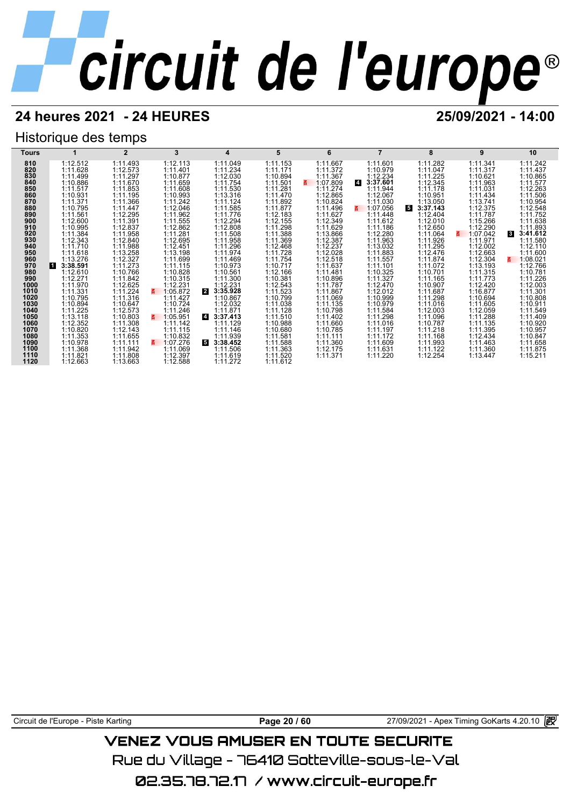## **24 heures 2021 - 24 HEURES 25/09/2021 - 14:00**

## Historique des temps

| Tours        |                      | $\overline{2}$       | 3                    | 4                          | 5                    | 6                    |                            | 8                    | 9                    | 10                               |
|--------------|----------------------|----------------------|----------------------|----------------------------|----------------------|----------------------|----------------------------|----------------------|----------------------|----------------------------------|
| 810          | 1:12.512             | 1:11.493             | 1:12.113             | 1:11.049                   | 1:11.153             | 1:11.667             | 1:11.601                   | 1:11.282             | 1:11.341             | 1:11.242                         |
| 820          | 1:11.628             | 1:12.573             | 1:11.401             | 1:11.234                   | 1:11.171             | 1:11.372             | 1:10.979                   | 1:11.047             | 1:11.317             | 1:11.437                         |
| 830          | 1:11.499             | 1:11.297             | 1:10.877             | 1:12.030                   | 1:10.894             | 1:11.367             | 1:12.234                   | 1:11.225             | 1:10.621             | 1:10.865                         |
| 840          | 1:10.886             | 1:11.670             | 1:11.659             | 1:11.754                   | 1:11.501             | 1:07.809             | 3:37.601<br>$\overline{4}$ | 1:12.345             | 1:11.963             | 1:11.577                         |
| 850          | 1:11.517             | 1:11.853             | 1:11.608             | 1:11.530                   | 1:11.281             | 1:11.274             | 1:11.944                   | 1:11.178             | 1:11.031             | 1:12.263                         |
| 860          | 1:10.931             | 1:11.195             | 1:10.993             | 1:13.316                   | 1:11.470             | 1:12.865             | 1:12.067                   | 1:10.951             | 1:11.434             | 1:11.506                         |
| 870          | 1:11.371             | 1:11.366             | 1:11.242             | 1:11.124                   | 1:11.892             | 1:10.824             | 1:11.030                   | 1:13.050             | 1:13.741             | 1:10.954                         |
| 880          | 1:10.795             | 1:11.447             | 1:12.046             | 1:11.585                   | 1:11.877             | 1:11.496             | 1:07.056                   | 5<br>3:37.143        | 1:12.375             | 1:12.548                         |
| 890          | 1:11.561             | 1:12.295             | 1:11.962             | 1:11.776                   | 1:12.183             | 1:11.627             | 1:11.448                   | 1:12.404             | 1:11.787             | 1:11.752                         |
| 900<br>910   | 1:12.600<br>1:10.995 | 1:11.391             | 1:11.555             | 1:12.294                   | 1:12.155             | 1:12.349             | 1:11.612                   | 1:12.010             | 1:15.266             | 1:11.638                         |
| 920          | 1:11.384             | 1:12.837<br>1:11.958 | 1:12.862<br>1:11.281 | 1:12.808<br>1:11.508       | 1:11.298<br>1:11.388 | 1:11.629<br>1:13.866 | 1:11.186<br>1:12.280       | 1:12.650<br>1:11.064 | 1:12.290<br>1:07.042 | 1:11.893<br>3:41.612<br><b>3</b> |
| 930          | 1:12.343             | 1:12.840             | 1:12.695             | 1:11.958                   | 1:11.369             | 1:12.387             | 1:11.963                   | 1:11.926             | 1:11.971             | 1:11.580                         |
| 940          | 1:11.710             | 1:11.988             | 1:12.451             | 1:11.296                   | 1:12.468             | 1:12.237             | 1:13.032                   | 1:11.295             | 1:12.002             | 1:12.110                         |
| 950          | 1:11.618             | 1:13.258             | 1:13.198             | 1:11.974                   | 1:11.728             | 1:12.028             | 1:11.883                   | 1:12.476             | 1:12.663             | 1:11.600                         |
| 960          | 1:13.276             | 1:12.327             | 1:11.699             | 1:11.469                   | 1:11.754             | 1:12.518             | 1:11.557                   | 1:11.874             | 1:12.304             | 1:08.021<br>3.                   |
| 970          | 3:38.591<br>l 1      | 1:11.273             | 1:11.115             | 1:10.973                   | 1:10.717             | 1:11.637             | 1:11.101                   | 1:11.072             | 1:13.193             | 1:12.766                         |
| 980          | 1:12.610             | 1:10.766             | 1:10.828             | 1:10.561                   | 1:12.166             | 1:11.481             | 1:10.325                   | 1:10.701             | 1:11.315             | 1:10.781                         |
| 990          | 1:12.271             | 1:11.842             | 1:10.315             | 1:11.300                   | 1:10.381             | 1:10.896             | 1:11.327                   | 1:11.165             | 1:11.773             | 1:11.226                         |
| 1000         | 1:11.970             | 1:12.625             | 1:12.231             | 1:12.231                   | 1:12.543             | 1:11.787             | 1:12.470                   | 1:10.907             | 1:12.420             | 1:12.003                         |
| 1010         | 1:11.331             | 1:11.224             | 1:05.872             | $\mathbf{2}$<br>3:35.928   | 1:11.523             | 1:11.867             | 1:12.012                   | 1:11.687             | 1:16.877             | 1:11.301                         |
| 1020         | 1:10.795             | 1:11.316             | 1:11.427             | 1:10.867                   | 1:10.799             | 1:11.069             | 1:10.999                   | 1:11.298             | 1:10.694             | 1:10.808                         |
| 1030         | 1:10.894             | 1:10.647             | 1:10.724             | 1:12.032                   | 1:11.038             | 1:11.135             | 1:10.979                   | 1:11.016             | 1:11.605             | 1:10.911                         |
| 1040         | 1:11.225             | 1:12.573             | 1:11.246             | 1:11.871                   | 1:11.128             | 1:10.798             | 1:11.584                   | 1:12.003             | 1:12.059             | 1:11.549                         |
| 1050         | 1:13.118             | 1:10.803             | 1:05.951<br>z.       | $\overline{4}$<br>3:37.413 | 1:11.510             | 1:11.402             | 1:11.298                   | 1:11.096             | 1:11.288             | 1:11.409                         |
| 1060         | 1:12.352             | 1:11.308             | 1:11.142             | 1:11.129                   | 1:10.988             | 1:11.660             | 1:11.016                   | 1:10.787             | 1:11.135             | 1:10.920                         |
| 1070<br>1080 | 1:10.820<br>1:11.353 | 1:12.143<br>1:11.655 | 1:11.115<br>1:10.832 | 1:11.146<br>1:11.939       | 1:10.680<br>1:11.581 | 1:10.785<br>1:11.111 | 1:11.197<br>1:11.172       | 1:11.218<br>1:11.168 | 1:11.395<br>1:12.434 | 1:10.957<br>1:10.847             |
| 1090         | 1:10.978             | 1:11.111             | 1:07.276<br>z.       | 5<br>3:38.452              | 1:11.588             | 1:11.360             | 1:11.609                   | 1:11.993             | 1:11.463             | 1:11.658                         |
| 1100         | 1:11.368             | 1:11.942             | 1:11.069             | 1:11.506                   | 1:11.363             | 1:12.175             | 1:11.631                   | 1:11.122             | 1:11.360             | 1:11.875                         |
| 1110         | 1:11.821             | 1:11.808             | 1:12.397             | 1:11.619                   | 1:11.520             | 1:11.371             | 1:11.220                   | 1:12.254             | 1:13.447             | 1:15.211                         |
| 1120         | 1:12.663             | 1:13.663             | 1:12.588             | 1:11.272                   | 1:11.612             |                      |                            |                      |                      |                                  |

Circuit de l'Europe - Piste Karting **Page 20 / 60** Page 20 / 60 27/09/2021 - Apex Timing GoKarts 4.20.10 图

## **VENEZ VOUS AMUSER EN TOUTE SECURITE**

Rue du Village – 76410 Sotteville-sous-le-Val

02.35.78.72.17 / www.circuit-europe.fr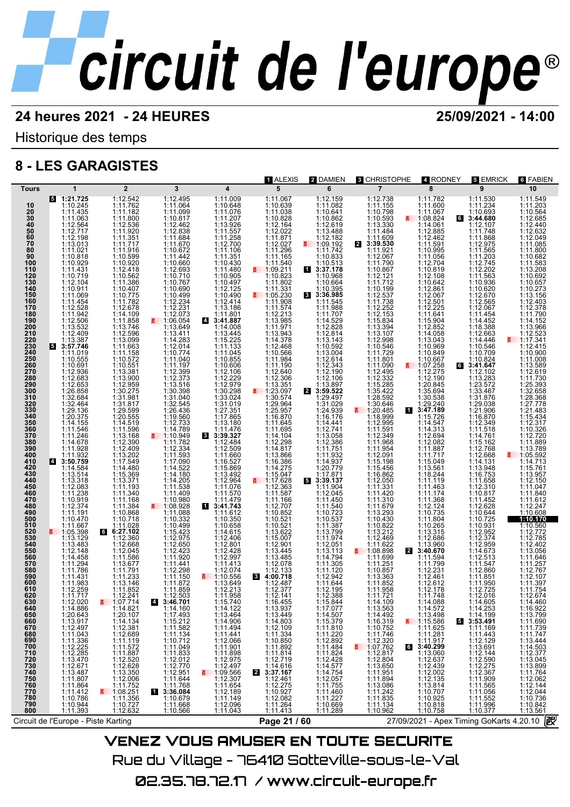Historique des temps

## **8 - LES GARAGISTES**

| <b>Tours</b>                                                                                                                                                                                                                                                                                                                                                                                                                                                                                 |                                                                                                                                                                                                                                                                                                                                                                                                                                                                                                                                                                                                                                                                                                                                                                                                                                                                                                                                                                                                      |                                                                                                                                                                                                                                                                                                                                                                                                                                                                                                                                                                                                                                                                                                                                                                                                                   |                                                                                                                                                                                                                                                                                                                                                                                                                                                                                                                                                                                                                                                                                                                                                                                                                                                                                                                                                    |                                                                                                                                                                                                                                                                                                                                                                                                                                                                                                                                                                                                                                                                                                                                                        |                                                                                                                                                                                                                                                                                                                                                                                                                                                                                                                                                                                                                                                                                                                                                                     |                                                                                                                                                                                                                                                                                                                                                                                                                                                                                                                                                                                                                                                                                                                                                                                                                                                                                                                                                                                           |                                                                                                                                                                                                                                                                                                                                                                                                                                                                                           |                                                                                                                                                                                                                                                                                                                                                                                                                                                                                                                                                                                                                                                                                                                                                                                                                                                                       |                                                                                                                                                                                                                                                                                                                                                                                                                                                                                                                                                                                                                                                                                                                                                                                                                              |                                                                                                                                                                                                                                                                                                                                                                                                                                                                                                                                                                                                                                                                                                                                                                                                                                                                                                                                |
|----------------------------------------------------------------------------------------------------------------------------------------------------------------------------------------------------------------------------------------------------------------------------------------------------------------------------------------------------------------------------------------------------------------------------------------------------------------------------------------------|------------------------------------------------------------------------------------------------------------------------------------------------------------------------------------------------------------------------------------------------------------------------------------------------------------------------------------------------------------------------------------------------------------------------------------------------------------------------------------------------------------------------------------------------------------------------------------------------------------------------------------------------------------------------------------------------------------------------------------------------------------------------------------------------------------------------------------------------------------------------------------------------------------------------------------------------------------------------------------------------------|-------------------------------------------------------------------------------------------------------------------------------------------------------------------------------------------------------------------------------------------------------------------------------------------------------------------------------------------------------------------------------------------------------------------------------------------------------------------------------------------------------------------------------------------------------------------------------------------------------------------------------------------------------------------------------------------------------------------------------------------------------------------------------------------------------------------|----------------------------------------------------------------------------------------------------------------------------------------------------------------------------------------------------------------------------------------------------------------------------------------------------------------------------------------------------------------------------------------------------------------------------------------------------------------------------------------------------------------------------------------------------------------------------------------------------------------------------------------------------------------------------------------------------------------------------------------------------------------------------------------------------------------------------------------------------------------------------------------------------------------------------------------------------|--------------------------------------------------------------------------------------------------------------------------------------------------------------------------------------------------------------------------------------------------------------------------------------------------------------------------------------------------------------------------------------------------------------------------------------------------------------------------------------------------------------------------------------------------------------------------------------------------------------------------------------------------------------------------------------------------------------------------------------------------------|---------------------------------------------------------------------------------------------------------------------------------------------------------------------------------------------------------------------------------------------------------------------------------------------------------------------------------------------------------------------------------------------------------------------------------------------------------------------------------------------------------------------------------------------------------------------------------------------------------------------------------------------------------------------------------------------------------------------------------------------------------------------|-------------------------------------------------------------------------------------------------------------------------------------------------------------------------------------------------------------------------------------------------------------------------------------------------------------------------------------------------------------------------------------------------------------------------------------------------------------------------------------------------------------------------------------------------------------------------------------------------------------------------------------------------------------------------------------------------------------------------------------------------------------------------------------------------------------------------------------------------------------------------------------------------------------------------------------------------------------------------------------------|-------------------------------------------------------------------------------------------------------------------------------------------------------------------------------------------------------------------------------------------------------------------------------------------------------------------------------------------------------------------------------------------------------------------------------------------------------------------------------------------|-----------------------------------------------------------------------------------------------------------------------------------------------------------------------------------------------------------------------------------------------------------------------------------------------------------------------------------------------------------------------------------------------------------------------------------------------------------------------------------------------------------------------------------------------------------------------------------------------------------------------------------------------------------------------------------------------------------------------------------------------------------------------------------------------------------------------------------------------------------------------|------------------------------------------------------------------------------------------------------------------------------------------------------------------------------------------------------------------------------------------------------------------------------------------------------------------------------------------------------------------------------------------------------------------------------------------------------------------------------------------------------------------------------------------------------------------------------------------------------------------------------------------------------------------------------------------------------------------------------------------------------------------------------------------------------------------------------|--------------------------------------------------------------------------------------------------------------------------------------------------------------------------------------------------------------------------------------------------------------------------------------------------------------------------------------------------------------------------------------------------------------------------------------------------------------------------------------------------------------------------------------------------------------------------------------------------------------------------------------------------------------------------------------------------------------------------------------------------------------------------------------------------------------------------------------------------------------------------------------------------------------------------------|
| 10<br>20<br>30<br>40<br>50<br>50<br>60<br>70<br>80<br>90<br>100<br>110<br>120<br>130<br>140<br>150<br>160<br>160<br>170<br>180<br>190<br>200<br>210<br>220<br>230<br>230<br>240<br>250<br>260<br>270<br>270<br>280<br>290<br>300<br>310<br>320<br>330<br>330<br>340<br>350<br>360<br>370<br>380<br>390<br>400<br>410<br>$\frac{420}{430}$<br>$\frac{430}{450}$<br>460<br>470<br>480<br>490<br>500<br>510<br>520<br>530<br>540<br>550<br>560<br>570<br>580<br>590<br>600<br>610<br>620<br>630 | $\mathbf{1}$<br>$5$ 1:21.725<br>1:10.245<br>$\begin{array}{r} 1:11.435 \\ 1:11.063 \\ 1:12.564 \\ 1:12.717 \end{array}$<br>$\begin{array}{r} 1:12.198 \\ 1:13.013 \\ 1:11.021 \\ 1:10.818 \\ 1:10.929 \end{array}$<br>1:11.431<br>1:10.719<br>1:10.719<br>1:10.911<br>1:11.069<br>1:11.454<br>1:12.528<br>1:12.506<br>1:13.532<br>1:12.409<br>$\overline{5}$ 1:13.387<br>1:11.019<br>1:10.555<br>$1:10.691$<br>$1:12.936$<br>$1:12.683$<br>$1:26.853$<br>$1:26.853$<br>1:26.858<br>1:32.464<br>1:32.464<br>1:32.464<br>1:32.464<br>1:14.155<br>1:11.546<br>1:11.932<br>1:11.932<br>3:54.75<br>1:11.932<br>3:14.56<br>1:11.932<br>3:14.56<br>1:14.55<br>2:54.75<br>1:11.932<br>3:14.55<br>$1:14.584$<br>$1:13.514$<br>$1:13.318$<br>$1:12.083$<br>1:11.238<br>$\begin{array}{c} 1:10.919 \\ 1:12.374 \\ 1:11.191 \\ 1:10.470 \end{array}$<br>1:11.667<br>1:05.398<br>1:13.129<br>1:12.148<br>1:12.148<br>1:11.294<br>1:11.786<br>1:11.717<br>1:11.717<br>1:11.717<br>1:11.717<br>1:11.717<br>1:12.020 | $\overline{2}$<br>1:12.542<br>1:11.762<br>1:11.762<br>1:11.800<br>1:11.800<br>1:11.920<br>1:11.351<br>1:11.950<br>1:12.418<br>1:11.562<br>1:11.562<br>1:11.562<br>$1:10.302$ $1:10.407$ $1:10.775$ $1:11.782$ $1:12.678$ $1:14.109$<br>1:14.1098<br>1:13.746<br>1:13.746<br>1:13.746<br>1:13.099<br>1:11.1572<br>1:10.551<br>1:13.900<br>1:12.959<br>1:31.275<br>1:31.98<br>1:31.13.275<br>$\begin{array}{c} 1.31.981 \\ 1.31.817 \\ 1.29.599 \\ 1.20.555 \end{array}$<br>1:14.519<br>1:11.596<br>1:13.168<br>1:12.390<br>1:12.409<br>1:13.202<br>1:17.549<br>1:14.480<br>1:15.369<br>1:13.371<br>1:11.193<br>1:11.188<br>1:11.188<br>1:11.384<br>1:10.868<br>$1:11.028$<br>6:27.102<br>6<br>1:12.360<br>$1:12.045$ $1:11.586$ $1:13.677$ $1:11.233$ $1:13.146$ $1:11.8524$<br>1:12.247<br>$\frac{2}{1}$ 1:07.714 | $\mathbf{3}$<br>1:12.495<br>1:11.064<br>1:11.099<br>1:12.462<br>$\begin{array}{rl} 1:12.838\\ 1:11.684\\ 1:11.670\\ 1:10.672\\ 1:11.442\\ 1:10.660\\ 1:10.767\\ 1:10.767\\ 1:10.767\\ 1:10.690\\ 1:11.2.234\\ 1:12.231\\ 1:12.073 \end{array}$<br>$\frac{1106.054}{1:13.649}$<br>$1:13.411$<br>$1:14.283$<br>$1:12.014$<br>$1:10.774$<br>$1:11.040$<br>$1:11.197$<br>$1:12.399$<br>$1:12.373$<br>$1:13.516$<br>$1:30.398$<br>1:31.040<br>1:32.545<br>1:26.436<br>1:19.560<br>1:12.733<br>1:14.789<br>1:10.949<br>1:11.782<br>1:11.782<br>1:11.782<br>1:11.789<br>1:11.593<br>1:11.44.205<br>1:11.44.205<br>1:11.490<br>1:11.490<br>1:11.490<br>1:11.490<br>1:11.490<br>1:11.490<br>1:10.980<br>$1:108.928$<br>$1:11.088$<br>$1:10.332$<br>$1:10.499$<br>$1:15.423$<br>$1:12.975$<br>$1:12.650$<br>$1:12.423$<br>$1:11.421$<br>$\begin{array}{r} 1:11.441 \\ 1:12.298 \\ 1:11.150 \\ 1:11.872 \\ 1:11.859 \\ \end{array}$<br>$4:12.503$<br>3:46.701 | $\overline{\mathbf{4}}$<br>1:11.009<br>1:10.648<br>$[ \begin{smallmatrix} 111.648 \\ 111.1207 \\ 111.207 \\ 111.258 \\ 111.258 \\ 111.258 \\ 1111.258 \\ 1111.258 \\ 1111.258 \\ 1111.351 \\ 1111.430 \\ 1111.430 \\ 1111.430 \\ 1111.430 \\ 1111.430 \\ 1111.414 \\ 1111.41 \\ 1111.416 \\ 1111.318 \\ 1111.80 \\ 1111.80 \\ 1111.80 \\ 1$<br>$[3.39.327]$ $[11.4/6]$ $[112.484]$ $[112.480]$ $[116.527]$ $[116.527]$ $[111.676]$ $[111.476]$ $[111.479]$ $[111.474]$ $[111.474]$ $[111.474]$ $[111.474]$<br>$3:41.743$<br>$1:11.656$<br>$1:11.656$<br>$1:12.406$<br>$1:12.406$<br>$1:12.428$<br>$1:12.428$<br>$1:11.413$<br>$1:12.997$<br>$1:11.2074$<br>$1:12.656$<br>$1:13.649$<br>$1:11.2613$<br>$1:12.313$<br>$1:12.358$<br>1:11.958<br>1:15.740 | 1 ALEXIS<br>5<br>1:11.067<br>1:10.639<br>$1:10.039$ $1:11.038$ $1:12.164$ $1:12.027$ $1:11.296$ $1:11.165$ $1:11.66$<br>1:11.540<br>$\frac{110.340}{1:10.823}$<br>1:10.823<br>1:11.802<br>1:11.331<br>$\frac{11.05.230}{1.11.908}$<br>1:11.574<br>1:11.574<br>1:12.2138<br>1:11.971<br>1:13.943<br>1:11.32468<br>1:11.954<br>1:11.954<br>1:11.2.305<br>1:11.3351<br>$\frac{1:13.351}{1:23.097}$<br>$1:23.0974$ $1:29.964$ $1:29.967$ $1:16.8470$ $1:11.645$ $1:11.2298$ $1:13.866$ $1:14.275$ $1:15.047$ $1:17.624$<br>1:17.628<br>В<br>$1:12.363$<br>$1:11.166$<br>$1:11.166$<br>$1:11.166$<br>$1:11.166$<br>$1:10.521$<br>$1:10.521$<br>$1:10.522$<br>$1:15.007$<br>$1:12.934$<br>$1:12.078$<br>$1:12.133$<br>$1:12.487$<br>3<br>1:12.487<br>1:12.141<br>1:16.455 | 2 DAMIEN<br>6<br>1:12.159<br>1:11.082<br>1:10.641<br>1:10.862<br>1:12.619<br>1:13.488<br>$1:12.482$<br>1:09.192<br>1:11.742<br>1:10.833<br>1:10.513<br>13:37.178<br>1:10.968<br>$1:10.968$<br>$1:10.395$<br>$1:10.395$<br>$3:36.985$<br>$1:11.968$<br>$1:11.9707$<br>$1:11.2.8143$<br>$1:11.2.3143$<br>$1:12.3143$<br>$1:12.343$<br>$1:12.343$<br>$1:12.343$<br>$1:12.343$<br>$1:12.349$<br>$1:29.497$<br>2 3:59.522<br>1:29.4939<br>1:31.029<br>1:31.029<br>1:4.444<br>1:14.444<br>1:14.3588<br>1:11.1551<br>1:12.0779<br>1:17.871<br>3:39.137<br>1:12.045<br>1:11.932<br>1:11.937<br>1:11.937<br>1:11.937<br>1:11.937<br>1:11.937<br>1:11.937<br>1:11.937<br>1:11.937<br>1:11.9<br>$1:11.904$<br>$1:11.450$<br>$1:11.450$<br>$1:11.540$<br>$1:10.723$<br>$1:10.537$<br>$1:11.3794$<br>$1:11.3794$<br>$1:11.3051$<br>$1:11.3051$<br>$1:11.301$<br>$1:11.301$<br>$1:11.301$<br>1:11.120<br>$\begin{array}{r}\n 1:12.942 \\  1:11.644 \\  1:12.195 \\  1:12.388\n \end{array}$<br>1:15.844 | <b>8 CHRISTOPHE</b><br>$\overline{7}$<br>1:12.738<br>1:11.155<br>$1:11.1998$<br>$1:10.593$<br>$1:13.330$<br>$1:11.484$<br>$1:11.609$<br>$3:39.530$<br>$1:11.7997$<br>$1:12.067$<br>$1:10.867$<br>$\mathbf{z}$<br>$\begin{array}{l} 1:11.331\\ 1:11.420\\ 1:11.310\\ 1:11.310\\ 1:11.679\\ 1:10.430\\ 1:10.822\\ 1:12.469\\ 1:11.622\\ 1:11.622\\ 1:11.622\\ 1:11.630\\ 1:11.251\\ 1:11.6362\\ 1:11.251\\ 1:11.652\\ 1:11.6362\\ 1:11.6362\\ 1:11.652\\ 1:11.652\\ 1:11.652\\$<br>1:14.109 | 4 RODNEY<br>8<br>1:11.782<br>1:11.600<br>$\begin{array}{r}\n 1:11.067 \\  - 1:08.824 \\  \hline\n 1:14.061\n \end{array}$<br>1:12.885<br>1:12.462<br>1:11.591<br>1:10.995<br>1:11.056<br>1:12.704<br>1:12.704<br>1:12.108 1:12.861<br>1:12.861<br>1:12.861<br>1:12.225<br>1:11.641<br>1:15.904<br>1:14.058<br>1:13.04<br>1:13.04<br>$1:13.043\n1:10.849\n1:10.667\n1:07.258\n1:12.275$<br>3.<br>1:12.190<br>1:20.845<br>$\begin{smallmatrix} 1.30.538\\ 1.29.240\\ 1.12.184\\ 1.15.726\\ 1.14.547\\ 1.14.547\\ 1.12.082\\ 1.11.2082\\ 1.11.887\\ 1.15.049\\ 1.13.561\\ 1.11.119\\ 1.11.463\\ \end{smallmatrix}$<br>11<br>$[ \begin{smallmatrix} 111.463\ 111.748\ 111.746\ 111.746\ 111.368\ 112.124\ 111.804\ 111.804\ 111.804\ 111.804\ 111.804\ 111.804\ 111.804\ 111.804\ 111.804\ 111.799\ 111.711\ 11.723\ 111.749\ 111.749\ 111.749\ 111.749\ 111.749\ 111.74$ | 5 EMRICK<br>9<br>1:11.530<br>1:11.234<br>1:10.693<br>1:12.107<br>1:11.748<br>1:11.568<br>1:11.568<br>1:11.565<br>1:11.203<br>1:12.745<br>1:11.203<br>1:12.745<br>$1:12.743$ $1:11.563$ $1:10.936$ $1:10.620$ $1:12.655$ $1:12.067$ $1:11.453$<br>$1:14.452$<br>$1:18.388$<br>$1:12.663$<br>$1:14.446\n1:10.546\n1:10.709\n1:10.824\n1:12.102\n1:12.102$<br>$\begin{smallmatrix} 1:13.283\\ 1:23.572\\ 1:33.467\\ 1:31.876\\ 1:29.038\\ 1:12.1906\\ 1:16.870\\ 1:11.516\\ 1:11.5176\\ 1:12.768\\ 1:13.948\\ 1:13.948\\ 1:16.753 \end{smallmatrix}$<br>$\mathbf{g}$<br>1:11.658<br>1:12.310<br>$1:10.817$<br>$1:11.452$<br>$1:12.628$<br>$1:10.644$<br>$1:10.725$<br>1:10.931<br>1:12.952<br>1:12.374<br>1:12.375<br>1:14.673<br>1:14.673<br>1:11.547<br>1:12.860<br>1:11.950<br>1:12.725<br>1:14.605<br>1:11.4065<br>1:14.605 | 6 FABIEN<br>10<br>1:11.549<br>1:11.203<br>1:10.564<br>1:12.440<br>1:12.632<br>1:12.049<br>1:11.085<br>1:11.800<br>1:10.682<br>1:11.583<br>1:13.208<br>1:10.692<br>1:10.657<br>1:10.273<br>$1:13.156$<br>$1:12.403$<br>$1:12.378$<br>$1:11.790$<br>$1:14.152$<br>1:13.966<br>1:12.523<br>$1:17.341$<br>$1:12.415$<br>$1:10.900$<br>$1:11.008$<br>$\overline{a}$<br>1:13.589<br>1:12.619<br>1:11.730<br>1:25.393<br>1:32.658<br>1:28.368<br>1:27.778<br>1:21.483<br>1:15.434<br>1:12.317<br>1:10.326<br>1:12.720<br>1:11.889<br>1:13.789<br>1:05.592<br>1:14.713<br>$1:15.761$<br>$1:13.957$<br>$1:12.150$<br>$1:11.047$<br>$\begin{array}{r} 1:11.840 \\ 1:11.612 \\ 1:12.247 \\ 1:10.608 \\ \hline \textbf{H0} \textbf{1} \textbf{1} \textbf{0} \end{array}$<br>1:10.560<br>1:12.772<br>$1:12.772$<br>$1:12.785$<br>$1:13.056$<br>$1:13.056$<br>$1:11.646$<br>$1:11.257$<br>$1:12.767$<br>$1:12.674$<br>$1:14.460$<br>1:14.460 |
|                                                                                                                                                                                                                                                                                                                                                                                                                                                                                              |                                                                                                                                                                                                                                                                                                                                                                                                                                                                                                                                                                                                                                                                                                                                                                                                                                                                                                                                                                                                      |                                                                                                                                                                                                                                                                                                                                                                                                                                                                                                                                                                                                                                                                                                                                                                                                                   |                                                                                                                                                                                                                                                                                                                                                                                                                                                                                                                                                                                                                                                                                                                                                                                                                                                                                                                                                    |                                                                                                                                                                                                                                                                                                                                                                                                                                                                                                                                                                                                                                                                                                                                                        |                                                                                                                                                                                                                                                                                                                                                                                                                                                                                                                                                                                                                                                                                                                                                                     |                                                                                                                                                                                                                                                                                                                                                                                                                                                                                                                                                                                                                                                                                                                                                                                                                                                                                                                                                                                           |                                                                                                                                                                                                                                                                                                                                                                                                                                                                                           |                                                                                                                                                                                                                                                                                                                                                                                                                                                                                                                                                                                                                                                                                                                                                                                                                                                                       |                                                                                                                                                                                                                                                                                                                                                                                                                                                                                                                                                                                                                                                                                                                                                                                                                              |                                                                                                                                                                                                                                                                                                                                                                                                                                                                                                                                                                                                                                                                                                                                                                                                                                                                                                                                |
| 640<br>650<br>660<br>670<br>680<br>690<br>700<br><b>710<br/>720<br/>730<br/>740<br/>750<br/>760</b><br>770<br>780<br>790<br>800                                                                                                                                                                                                                                                                                                                                                              | 1:14.886<br>1:20.643<br>1:13.917<br>1:12.497<br>1:11.043<br>1:11.336<br>1:12.225<br>1:13.479<br>1:12.671<br>$1:13.487$ $1:11.807$ $1:11.864$ $1:11.412$ $1:10.786$<br>1:10.944<br>1:11.393                                                                                                                                                                                                                                                                                                                                                                                                                                                                                                                                                                                                                                                                                                                                                                                                           | 1:14.821<br>1:20.107<br>$1:14.134$ $1:12.381$ $1:12.689$ $1:11.179$ $1:11.572$<br>1:11.887<br>1:12.520<br>1:12.628<br>1:13.350<br>1:13.350<br>1:12.006<br>1:11.752<br>1:08.251<br>1:11.356<br>1:10.727<br>1:12.632                                                                                                                                                                                                                                                                                                                                                                                                                                                                                                                                                                                                | 1:14.160<br>1:17.493<br>$1:15.212$ $1:11.582$ $1:11.134$ $1:10.712$ $1:11.049$ $1:14.933$<br>1:11.833<br>1:12.012<br>1:12.770<br>1:12.951<br>1:11.644<br>1:11.768<br>13:36.084<br>1:10.679<br>1:11.668<br>1:10.566                                                                                                                                                                                                                                                                                                                                                                                                                                                                                                                                                                                                                                                                                                                                 | 1:14.122<br>1:13.464<br>1:14.906<br>1:11.494<br>1:11.441<br>1:12.066<br>1:11.901<br>1:11.901<br>1:12.975<br>1:12.975<br>1:12.497<br>1:12.307<br>1:11.1654<br>1:11.149<br>1:11.149<br>1:11.149<br>1:11.043                                                                                                                                                                                                                                                                                                                                                                                                                                                                                                                                              | 1:13.937<br>1:13.449<br>$\begin{array}{r} 1:14.803 \\ 1:12.109 \\ 1:11.334 \\ 1:10.850 \\ 1:11.892 \end{array}$<br>1:11.814<br>1:12.719<br>1:14.616<br>3:37.167<br>$\overline{a}$<br>1:12.461<br>1:12.275<br>1:10.927<br>1:12.082<br>1:11.264<br>1:11.413                                                                                                                                                                                                                                                                                                                                                                                                                                                                                                           | 1:17.077<br>1:14.507<br>1:15.379<br>1:11.810<br>1:11.220<br>1:12.892<br>1:11.484<br>1:11.824<br>1:12.428<br>1:14.577<br>1:14.754<br>1:12.057<br>1:11.755<br>1:11.460<br>1:11.227<br>1:10.669<br>1:11.289                                                                                                                                                                                                                                                                                                                                                                                                                                                                                                                                                                                                                                                                                                                                                                                  | 1:13.563<br>1:14.492<br>1:14:492<br>1:16.319<br>1:10.752<br>1:12.320<br>1:07.762<br>$1:12.817$<br>1:12.804<br>1:13.650<br>1:11.951<br>1:11.894<br>1:11.242<br>1:11.242<br>1:11.894<br>1:11.134<br>1:10.962                                                                                                                                                                                                                                                                                | 1:14.088<br>1:14.572<br>1:13.498<br>$\frac{2}{1}$ 1:15.586<br>1:11.625<br>1:11.281<br>$\begin{array}{r}\n 1:11.917 \\  \hline\n 3:40.299 \\  1:13.060 \\  1:12.637\n \end{array}$<br>1:12.439<br>1:12.439<br>1:12.135<br>1:13.814<br>1:10.707<br>1:10.925<br>1:10.818<br>1:10.758                                                                                                                                                                                                                                                                                                                                                                                                                                                                                                                                                                                     | 1:14.253<br>1:14.199<br>$\begin{array}{r} 6 \ \ 1 \ \ 3:53.491 \ \ 1:11.169 \end{array}$<br>$1:11.443$ $1:12.129$ $1:13.691$ $1:12.144$ $1:12.590$ $1:13.6975$<br>$\begin{array}{c} 1:12.275 \\ 1:12.367 \\ 1:11.909 \end{array}$<br>$1:11.565$<br>$1:11.056$<br>$1:11.552$<br>1:11.996<br>1:10.377                                                                                                                                                                                                                                                                                                                                                                                                                                                                                                                          | 1:16.922<br>1:13.799<br>1:11.690<br>1:11.739<br>1:11.747<br>1:13.444<br>1:14.503<br>1:12.377<br>1:13.045<br>1:13.043<br>1:11.764<br>1:12.062<br>1:12.144<br>1:12.044<br>1:10.736<br>1:10.842<br>1:13.561                                                                                                                                                                                                                                                                                                                                                                                                                                                                                                                                                                                                                                                                                                                       |
|                                                                                                                                                                                                                                                                                                                                                                                                                                                                                              | Circuit de l'Europe - Piste Karting                                                                                                                                                                                                                                                                                                                                                                                                                                                                                                                                                                                                                                                                                                                                                                                                                                                                                                                                                                  |                                                                                                                                                                                                                                                                                                                                                                                                                                                                                                                                                                                                                                                                                                                                                                                                                   |                                                                                                                                                                                                                                                                                                                                                                                                                                                                                                                                                                                                                                                                                                                                                                                                                                                                                                                                                    |                                                                                                                                                                                                                                                                                                                                                                                                                                                                                                                                                                                                                                                                                                                                                        | Page 21 / 60                                                                                                                                                                                                                                                                                                                                                                                                                                                                                                                                                                                                                                                                                                                                                        |                                                                                                                                                                                                                                                                                                                                                                                                                                                                                                                                                                                                                                                                                                                                                                                                                                                                                                                                                                                           |                                                                                                                                                                                                                                                                                                                                                                                                                                                                                           | 27/09/2021 - Apex Timing GoKarts 4.20.10                                                                                                                                                                                                                                                                                                                                                                                                                                                                                                                                                                                                                                                                                                                                                                                                                              |                                                                                                                                                                                                                                                                                                                                                                                                                                                                                                                                                                                                                                                                                                                                                                                                                              | 毆                                                                                                                                                                                                                                                                                                                                                                                                                                                                                                                                                                                                                                                                                                                                                                                                                                                                                                                              |
|                                                                                                                                                                                                                                                                                                                                                                                                                                                                                              |                                                                                                                                                                                                                                                                                                                                                                                                                                                                                                                                                                                                                                                                                                                                                                                                                                                                                                                                                                                                      |                                                                                                                                                                                                                                                                                                                                                                                                                                                                                                                                                                                                                                                                                                                                                                                                                   |                                                                                                                                                                                                                                                                                                                                                                                                                                                                                                                                                                                                                                                                                                                                                                                                                                                                                                                                                    |                                                                                                                                                                                                                                                                                                                                                                                                                                                                                                                                                                                                                                                                                                                                                        |                                                                                                                                                                                                                                                                                                                                                                                                                                                                                                                                                                                                                                                                                                                                                                     |                                                                                                                                                                                                                                                                                                                                                                                                                                                                                                                                                                                                                                                                                                                                                                                                                                                                                                                                                                                           |                                                                                                                                                                                                                                                                                                                                                                                                                                                                                           |                                                                                                                                                                                                                                                                                                                                                                                                                                                                                                                                                                                                                                                                                                                                                                                                                                                                       |                                                                                                                                                                                                                                                                                                                                                                                                                                                                                                                                                                                                                                                                                                                                                                                                                              |                                                                                                                                                                                                                                                                                                                                                                                                                                                                                                                                                                                                                                                                                                                                                                                                                                                                                                                                |
|                                                                                                                                                                                                                                                                                                                                                                                                                                                                                              |                                                                                                                                                                                                                                                                                                                                                                                                                                                                                                                                                                                                                                                                                                                                                                                                                                                                                                                                                                                                      |                                                                                                                                                                                                                                                                                                                                                                                                                                                                                                                                                                                                                                                                                                                                                                                                                   |                                                                                                                                                                                                                                                                                                                                                                                                                                                                                                                                                                                                                                                                                                                                                                                                                                                                                                                                                    |                                                                                                                                                                                                                                                                                                                                                                                                                                                                                                                                                                                                                                                                                                                                                        | VENEZ VOLIE OMLIEED EN TOLITE EECLIDITE                                                                                                                                                                                                                                                                                                                                                                                                                                                                                                                                                                                                                                                                                                                             |                                                                                                                                                                                                                                                                                                                                                                                                                                                                                                                                                                                                                                                                                                                                                                                                                                                                                                                                                                                           |                                                                                                                                                                                                                                                                                                                                                                                                                                                                                           |                                                                                                                                                                                                                                                                                                                                                                                                                                                                                                                                                                                                                                                                                                                                                                                                                                                                       |                                                                                                                                                                                                                                                                                                                                                                                                                                                                                                                                                                                                                                                                                                                                                                                                                              |                                                                                                                                                                                                                                                                                                                                                                                                                                                                                                                                                                                                                                                                                                                                                                                                                                                                                                                                |

Rue du Village – 76410 Sotteville-sous-le-Val 02.35.78.72.17 / www.circuit-europe.fr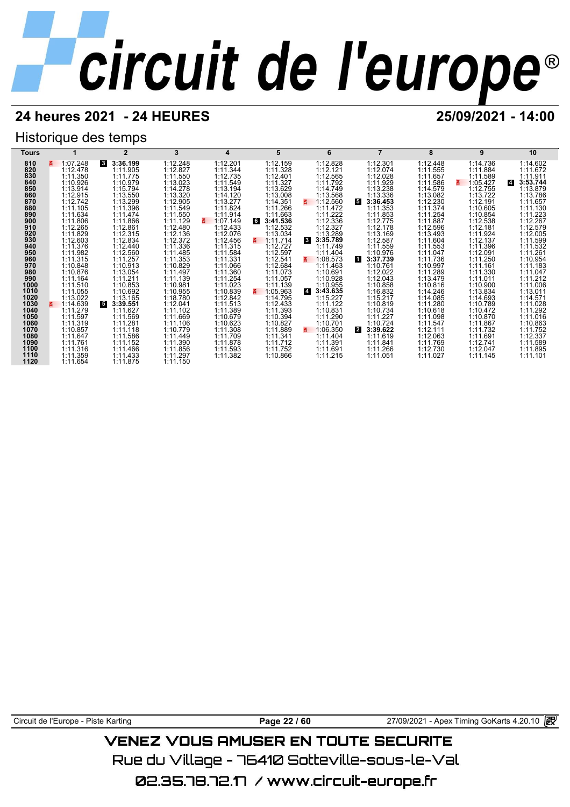## Historique des temps

| Tours        |                      | $\overline{2}$            | 3                    | 4                    | 5                    | 6                          |                          | 8                    | 9                    | 10                         |
|--------------|----------------------|---------------------------|----------------------|----------------------|----------------------|----------------------------|--------------------------|----------------------|----------------------|----------------------------|
| 810          | 1:07.248<br>3.       | 3<br>3:36.199             | 1:12.248             | 1:12.201             | 1:12.159             | 1:12.828                   | 1:12.301                 | 1:12.448             | 1:14.736             | 1:14.602                   |
| 820          | 1:12.478             | 1:11.905                  | 1:12.827             | 1:11.344             | 1:11.328             | 1:12.121                   | 1:12.074                 | 1:11.555             | 1:11.884             | 1:11.672                   |
| 830          | 1:11.350             | 1:11.775                  | 1:11.550             | 1:12.735             | 1:12.401             | 1:12.565                   | 1:12.028                 | 1:11.657             | 1:11.589             | 1:11.911                   |
| 840          | 1:10.926             | 1:10.979                  | 1:13.023             | 1:11.549             | 1:11.327             | 1:11.792                   | 1:11.929                 | 1:11.586             | 1:05.427             | 3:53.744<br>$\overline{4}$ |
| 850          | 1:13.914             | 1:15.794                  | 1:14.278             | 1:13.194             | 1:13.629             | 1:14.749                   | 1:13.238                 | 1:14.579             | 1:12.755             | 1:13.879                   |
| 860          | 1:12.915             | 1:13.550                  | 1:13.320             | 1:14.120             | 1:13.008             | 1:13.568                   | 1:13.336                 | 1:13.082             | 1:13.722             | 1:13.786                   |
| 870          | 1:12.742             | 1:13.299                  | 1:12.905             | 1:13.277             | 1:14.351             | 1:12.560<br>3.             | 5.<br>3:36.453           | 1:12.230             | 1:12.191             | 1:11.657                   |
| 880          | 1:11.105             | 1:11.396                  | 1:11.549             | 1:11.824             | 1:11.266             | 1:11.472                   | 1:11.353                 | 1:11.374             | 1:10.605             | 1:11.130                   |
| 890          | 1:11.634             | 1:11.474                  | 1:11.550             | 1:11.914             | 1:11.663             | 1:11.222                   | 1:11.853                 | 1:11.254             | 1:10.854             | 1:11.223                   |
| 900          | 1:11.806             | 1:11.866                  | 1:11.129             | 1:07.149<br>3.       | 3:41.536<br>6        | 1:12.336                   | 1:12.775                 | 1:11.887             | 1:12.538             | 1:12.267                   |
| 910          | 1:12.265             | 1:12.861                  | 1:12.480             | 1:12.433             | 1:12.532             | 1:12.327                   | 1:12.178                 | 1:12.596             | 1:12.181             | 1:12.579                   |
| 920          | 1:11.829             | 1:12.315                  | 1:12.136             | 1:12.076             | 1:13.034             | 1:13.289                   | 1:13.169                 | 1:13.493             | 1:11.924             | 1:12.005                   |
| 930          | 1:12.603             | 1:12.834                  | 1:12.372             | 1:12.456             | 1:11.714             | $\mathbf{3}$<br>3:35.789   | 1:12.587                 | 1:11.604             | 1:12.137             | 1:11.599                   |
| 940          | 1:11.376             | 1:12.440                  | 1:11.336             | 1:11.315             | 1:12.727             | 1:11.749                   | 1:11.559                 | 1:11.553             | 1:11.396             | 1:11.532                   |
| 950          | 1:11.982             | 1:12.560                  | 1:11.485             | 1:11.584             | 1:12.597             | 1:11.404                   | 1:10.976                 | 1:11.047             | 1:12.091             | 1:11.261                   |
| 960          | 1:11.315             | 1:11.257                  | 1:11.353             | 1:11.331             | 1:12.541             | 1:08.573                   | 11<br>3:37.739           | 1:11.736             | 1:11.250             | 1:10.954                   |
| 970          | 1:10.848             | 1:10.913                  | 1:10.829             | 1:11.066             | 1:12.684             | 1:11.463                   | 1:10.761                 | 1:10.997             | 1:11.161             | 1:11.183                   |
| 980          | 1:10.876             | 1:13.054                  | 1:11.497             | 1:11.360             | 1:11.073             | 1:10.691                   | 1:12.022                 | 1:11.289             | 1:11.330             | 1:11.047                   |
| 990          | 1:11.164             | 1:11.211                  | 1:11.139             | 1:11.254             | 1:11.057             | 1:10.928                   | 1:12.043                 | 1:13.479             | 1:11.011             | 1:11.212                   |
| 1000         | 1:11.510             | 1:10.853                  | 1:10.981             | 1:11.023             | 1:11.139             | 1:10.955                   | 1:10.858                 | 1:10.816             | 1:10.900             | 1:11.006                   |
| 1010         | 1:11.055             | 1:10.692                  | 1:10.955             | 1:10.839             | 1:05.963<br>3.       | 3:43.635<br>$\overline{4}$ | 1:16.832                 | 1:14.246             | 1:13.834             | 1:13.011                   |
| 1020         | 1:13.022<br>1:14.639 | 1:13.165                  | 1:18.780             | 1:12.842<br>1:11.513 | 1:14.795             | 1:15.227<br>1:11.122       | 1:15.217                 | 1:14.085<br>1:11.280 | 1:14.693<br>1:10.789 | 1:14.571<br>1:11.028       |
| 1030<br>1040 | 3.<br>1:11.279       | 5<br>3:39.551<br>1:11.627 | 1:12.041<br>1:11.102 | 1:11.389             | 1:12.433<br>1:11.393 | 1:10.831                   | 1:10.819<br>1:10.734     | 1:10.618             | 1:10.472             | 1:11.292                   |
| 1050         | 1:11.597             | 1:11.569                  | 1:11.669             | 1:10.679             | 1:10.394             | 1:11.290                   | 1:11.227                 | 1:11.098             | 1:10.870             | 1:11.016                   |
| 1060         | 1:11.319             | 1:11.281                  | 1:11.106             | 1:10.623             | 1:10.827             | 1:10.701                   | 1:10.724                 | 1:11.547             | 1:11.867             | 1:10.863                   |
| 1070         | 1:10.857             | 1:11.118                  | 1:10.779             | 1:11.308             | 1:11.889             | 1:06.350<br>3.             | $\mathbf{2}$<br>3:39.622 | 1:12.111             | 1:11.732             | 1:11.752                   |
| 1080         | 1:11.647             | 1:11.586                  | 1:11.449             | 1:11.709             | 1:11.341             | 1:11.404                   | 1:11.619                 | 1:12.063             | 1:11.691             | 1:12.337                   |
| 1090         | 1:11.761             | 1:11.152                  | 1:11.390             | 1:11.878             | 1:11.712             | 1:11.391                   | 1:11.841                 | 1:11.769             | 1:12.741             | 1:11.589                   |
| 1100         | 1:11.316             | 1:11.466                  | 1:11.856             | 1:11.593             | 1:11.752             | 1:11.691                   | 1:11.266                 | 1:12.730             | 1:12.047             | 1:11.895                   |
| 1110         | 1:11.359             | 1:11.433                  | 1:11.297             | 1:11.382             | 1:10.866             | 1:11.215                   | 1:11.051                 | 1:11.027             | 1:11.145             | 1:11.101                   |
| 1120         | 1:11.654             | 1:11.875                  | 1:11.150             |                      |                      |                            |                          |                      |                      |                            |

Circuit de l'Europe - Piste Karting **Page 22 / 60 Page 22 / 60** 27/09/2021 - Apex Timing GoKarts 4.20.10

## **VENEZ VOUS AMUSER EN TOUTE SECURITE**

Rue du Village – 76410 Sotteville-sous-le-Val

02.35.78.72.17 / www.circuit-europe.fr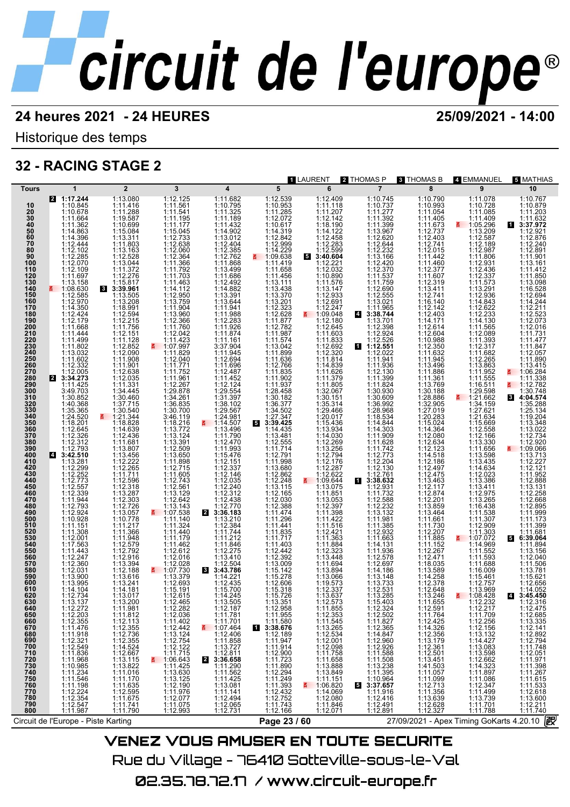LAURENT **2** THOMAS P **3** THOMAS B **4** EMMANUEL **5** MATHIAS

Historique des temps

## **32 - RACING STAGE 2**

| <b>Tours</b>                           | $\mathbf{1}$                                         | $\overline{2}$                                                                          | 3                                                                                                                                                      | $\overline{\mathbf{4}}$                                  | 5                                                  | --------<br>6                                                                                                | .<br>$\overline{7}$                                  | .v.v. .v u<br>8                                                                  | – דשר שיוויים<br>9                                                                                                   | ,,,,,,,,<br>10                                                                               |
|----------------------------------------|------------------------------------------------------|-----------------------------------------------------------------------------------------|--------------------------------------------------------------------------------------------------------------------------------------------------------|----------------------------------------------------------|----------------------------------------------------|--------------------------------------------------------------------------------------------------------------|------------------------------------------------------|----------------------------------------------------------------------------------|----------------------------------------------------------------------------------------------------------------------|----------------------------------------------------------------------------------------------|
| 10                                     | 2 1:17.244<br>1:10.845                               | 1:13.080<br>1:11.416                                                                    | 1:12.125<br>1:11.561                                                                                                                                   | 1:11.682<br>1:10.795                                     | 1:12.539<br>1:10.953                               | 1:12.409<br>1:11.118                                                                                         | 1:10.745<br>1:10.737                                 | 1:10.790<br>1:10.993                                                             | 1:11.078<br>1:10.728                                                                                                 | 1:10.767<br>1:10.879                                                                         |
| 20                                     | 1:10.678                                             | 1:11.288                                                                                | 1:11.541                                                                                                                                               | 1:11.325                                                 | 1:11.285                                           | 1:11.207                                                                                                     | 1:11.277                                             | 1:11.054                                                                         | 1:11.085                                                                                                             | 1:11.203                                                                                     |
| 30<br>40                               | 1:11.664<br>1:11.362                                 | 1:19.587<br>1:10.699                                                                    | 1:11.195<br>1:11.177                                                                                                                                   | 1:11.189<br>1:11.432                                     | 1:12.072<br>1:10.617                               | 1:12.142<br>1:18.190                                                                                         | 1:11.392<br>1:11.399                                 | 1:11.405<br>1:11.673                                                             | 1:11.409<br>$\frac{2}{5}$ 1:05.296                                                                                   | 1:11.632<br>3:37.972                                                                         |
| 50<br>60                               | 1:14.863<br>1:14.396                                 | 1:15.084<br>1:13.311                                                                    | 1:15.045                                                                                                                                               | 1:14.902<br>1:13.012                                     | 1:14.319                                           | 1:14.122                                                                                                     | 1:13.967<br>1:12.620                                 | 1:12.737                                                                         | 1:13.209<br>1:12.587                                                                                                 | 1:12.921<br>1:12.876                                                                         |
| 70<br>80                               | 1:12.444<br>1:12.102                                 | 1:11.803                                                                                | 1:12.733<br>1:12.638                                                                                                                                   | 1:12.404<br>1:12.385                                     | 1:12.842<br>1:12.999                               | 1:12.458<br>1:12.283<br>1:12.599                                                                             | 1:12.644                                             | 1:12.403<br>1:12.741<br>1:12.015                                                 | 1:12.189<br>1:12.987                                                                                                 | 1:12.240<br>1:12.891                                                                         |
| 90                                     | 1:12.285                                             | 1:13.163<br>1:12.528                                                                    | 1:12.060<br>1:12.364                                                                                                                                   | 1:12.762                                                 | $1:14.229$<br>1:09.638                             | 53:40.604                                                                                                    | 1:12.232<br>1:13.166                                 | 1:11.442                                                                         | 1:11.806                                                                                                             | 1:11.901                                                                                     |
| 100<br>110                             | 1:12.070<br>1:12.109                                 | 1:13.044<br>1:11.372                                                                    | 1:11.366<br>1:11.792                                                                                                                                   | 1:11.868<br>1:13.499                                     | 1:11.419<br>1:11.658                               | 1:12.221<br>1:12.032                                                                                         | 1:12.420<br>1:12.370                                 | 1:11.460<br>1:12.377                                                             | 1:12.931<br>1:12.436                                                                                                 | 1:13.161<br>1:11.412                                                                         |
| 120<br>130                             | 1:11.697<br>1:13.158                                 | 1:12.276<br>1:15.817                                                                    | 1:11.703<br>1:11.463                                                                                                                                   | 1:11.686<br>1:12.492                                     | 1:11.456<br>1:13.111                               | 1:10.890<br>1:11.576                                                                                         | 1:11.537<br>1:11.759                                 | 1:11.607<br>1:12.319                                                             | 1:12.337<br>1:11.573                                                                                                 | 1:11.850<br>1:13.098                                                                         |
| 140<br>150                             | $\frac{2}{5}$ 1:08.630<br>1:12.585                   | 8 3:39.961<br>1:13.505                                                                  | 1:14.112<br>1:12.950                                                                                                                                   | 1:14.882<br>1:13.391                                     | 1:13.438                                           | 1:13.147                                                                                                     | 1:12.690<br>1:12.555                                 | 1:13.411<br>1:12.741                                                             | 1:13.291<br>1:12.936                                                                                                 | 1:16.528<br>1:12.694                                                                         |
| 160                                    | 1:12.970                                             | 1:13.208                                                                                | 1:13.759                                                                                                                                               | 1:13.644                                                 | 1:13.370<br>1:13.201                               | 1:12.933<br>1:12.691                                                                                         | 1:13.021                                             | 1:16.140                                                                         | 1:14.843                                                                                                             | 1:14.244                                                                                     |
| 170<br>180                             | 1:14.350<br>1:12.424                                 | 1:18.991<br>1:12.594                                                                    | 1:11.904<br>1:13.960                                                                                                                                   | 1:11.941<br>1:11.988                                     | 1:12.323<br>1:12.628                               | 1:12.247<br>$\frac{2}{5}$ 1:09.048                                                                           | 1:11.965<br>4 3:38.744                               | 1:12.142<br>1:12.403                                                             | 1:12.622<br>1:12.233                                                                                                 | 1:12.211<br>1:12.523                                                                         |
| 190<br>200                             | 1:12.179<br>1:11.668                                 | 1:12.215<br>1:11.756                                                                    | 1:12.366<br>1:11.760                                                                                                                                   | 1:12.283<br>1:11.926                                     | 1:11.877<br>1:12.782                               | 1:12.180<br>1:12.645                                                                                         | 1:13.701<br>1:12.398                                 | 1:14.171<br>1:12.614                                                             | 1:14.130<br>1:11.565                                                                                                 | 1:12.073<br>1:12.016                                                                         |
| 210<br>220                             | 1:11.444<br>1:11.499                                 | 1:12.151<br>1:11.128                                                                    | 1:12.042<br>1:11.423                                                                                                                                   | 1:11.874<br>1:11.161                                     | 1:11.987<br>1:11.574                               | 1:11.603<br>1:11.833                                                                                         | 1:12.924                                             | 1:12.604<br>1:10.988                                                             | 1:12.089<br>1:11.393                                                                                                 | 1:11.731<br>1:11.477                                                                         |
| 230                                    | 1:11.802                                             | 1:12.852                                                                                | ₹ 1:07.997                                                                                                                                             | 3:37.904                                                 | 1:13.042                                           | 1:12.692                                                                                                     | $1:12.526$<br>1:12.551                               | 1:12.350                                                                         | 1:12.317                                                                                                             | 1:11.847                                                                                     |
| 240<br>250                             | 1:13.032<br>1:11.602                                 | 1:12.090<br>1:11.908                                                                    | 1:11.829<br>1:12.040                                                                                                                                   | 1:11.945<br>1:12.694                                     | 1:11.899<br>1:11.636                               | 1:12.320<br>1:11.814                                                                                         | 1:12.022<br>1:11.941                                 | 1:11.632<br>1:11.945                                                             | 1:11.682<br>1:12.265                                                                                                 | 1:12.057<br>1:11.890                                                                         |
| 260<br>270                             | 1:12.332<br>1:12.005                                 | 1:11.901<br>1:12.638                                                                    | 1:11.771<br>1:11.752                                                                                                                                   | 1:11.696<br>1:12.487                                     | 1:12.766<br>1:11.835                               | 1:14.839<br>1:11.626                                                                                         | 1:11.936<br>1:12.130                                 | 1:13.496<br>1:11.886                                                             | 1:13.863<br>1:11.952                                                                                                 | 1:13.415<br>₹ 1:06.284                                                                       |
| 280<br>290                             | 2 3:34.273<br>1:11.425                               | 1:12.035<br>1:11.331                                                                    | $\begin{array}{c} 1:11.961 \\ 1:12.267 \\ 1:29.878 \end{array}$                                                                                        | 1:11.452<br>1:12.124                                     | 1:11.902<br>1:11.937                               | 1:11.379<br>1:11.805                                                                                         | 1:11.399<br>1:11.824                                 | 1:11.361<br>1:13.769                                                             | 1:11.555<br>1:16.511                                                                                                 | 1:11.338<br><b>∄</b> 1:12.782                                                                |
| 300                                    | 3:49.703                                             | 1:34.445                                                                                | 1:34.261                                                                                                                                               | 1:29.554<br>1:31.397                                     | 1:28.458                                           | 1:32.067<br>1:30.151                                                                                         | 1:30.930<br>1:30.609                                 | 1:30.188                                                                         | 1:29.598                                                                                                             | 1:30.748                                                                                     |
| 310<br>320                             | 1:30.852<br>1:40.368                                 | 1:30.460<br>1:37.715                                                                    | 1:36.835                                                                                                                                               | 1:38.102                                                 | 1:30.182<br>1:36.377                               | 1:35.314                                                                                                     | 1:36.992                                             | 1:28.886<br>1:32.905                                                             | ₹ 1:21.662<br>1:34.159                                                                                               | 8 4:04.574<br>1:35.288                                                                       |
| 330<br>340                             | 1:35.365<br>1:24.520                                 | 1:30.540<br>$\frac{2}{1}$ 1:21.344                                                      | 1:30.700<br>3:46.119                                                                                                                                   | 1:29.567<br>1:24.981                                     | 1:34.502<br>1:27.347                               | 1:29.466<br>1:20.017                                                                                         | 1:28.968<br>1:18.534                                 | 1:27.019<br>1:20.283                                                             | 1:27.621<br>1:21.634                                                                                                 | 1:25.134<br>1:19.204                                                                         |
| 350<br>360                             | 1:18.201<br>1:12.645                                 | 1:18.828<br>1:14.639                                                                    | 1:18.216<br>1:13.772                                                                                                                                   | ₹ 1:14.507<br>1:13.496                                   | 3:39.425<br>1:14.435                               | 1:15.436<br>1:13.934                                                                                         | 1:14.844<br>1:14.303                                 | 1:15.024<br>1:14.364                                                             | 1:15.669<br>1:12.558                                                                                                 | 1:13.348<br>1:13.022                                                                         |
| 370<br>380                             | 1:12.326                                             | 1:12.436                                                                                | 1:13.124                                                                                                                                               | 1:11.790                                                 | 1:13.481                                           | 1:14.030                                                                                                     | 1:11.909                                             | 1:12.080                                                                         | 1:12.166                                                                                                             | 1:12.734                                                                                     |
| 390                                    | 1:12.312<br>1:12.793                                 | 1:11.681<br>1:13.807                                                                    | 1:13.391<br>1:12.509<br>1:13.650                                                                                                                       | 1:12.470<br>1:11.993<br>1:15.476                         | 1:12.555<br>1:11.714                               | 1:12.269<br>1:13.256<br>1:12.794                                                                             | 1:11.628<br>$1:11.742$<br>1:12.773                   | 1:12.634<br>1:12.123                                                             | 1:13.330<br>1:11.656                                                                                                 | 1:12.920<br>₹ 1:09.066                                                                       |
| 400<br>410                             | 4 3:42.510<br>1:13.281                               | 1:13.456<br>1:12.222                                                                    | 1:11.898<br>1:12.715                                                                                                                                   | 1:12.151                                                 | 1:12.791                                           | 1:12.176                                                                                                     |                                                      | 1:14.518<br>1:12.186                                                             | 1:13.598<br>1:13.435                                                                                                 | 1:13.713<br>1:12.227                                                                         |
| 420<br>430                             | 1:12.299<br>1:12.252                                 | 1:12.265<br>1:11.711                                                                    | 1:11.605                                                                                                                                               | 1:12.337<br>1:12.146                                     | 1:11.998<br>1:13.680<br>1:12.862                   | 1:12.287<br>1:12.622                                                                                         | 1:12.204<br>1:12.130<br>1:12.761                     | 1:12.497<br>1:12.475                                                             | 1:14.634<br>1:12.023                                                                                                 | 1:12.121<br>1:11.952                                                                         |
| 440<br>450                             | 1:12.773<br>1:12.557                                 | 1:12.596<br>1:12.318                                                                    | 1:12.743<br>1:12.561                                                                                                                                   | 1:12.035<br>1:12.240                                     | $1:12.248$<br>$1:13.115$                           | $\frac{2}{1}$ 1:09.644<br>1:13.075                                                                           | 13:38.632<br>1:12.931                                | 1:13.463<br>1:12.117                                                             | 1:13.386<br>1:13.411                                                                                                 | 1:12.888<br>1:13.131                                                                         |
| 460                                    | 1:12.339                                             | 1:13.287                                                                                | 1:13.129                                                                                                                                               | 1:12.312                                                 | 1:12.165                                           | 1:11.851                                                                                                     | 1:11.732                                             | 1:12.874                                                                         | 1:12.975                                                                                                             | 1:12.258                                                                                     |
| 470<br>480                             | 1:11.944<br>1:12.793                                 | 1:12.303<br>1:12.726                                                                    | 1:12.642<br>1:13.143                                                                                                                                   | 1:12.438<br>1:12.770                                     | 1:12.030<br>1:12.388                               | 1:13.053<br>1:12.397                                                                                         | 1:12.588<br>1:12.232                                 | 1:12.201<br>1:13.859                                                             | 1:13.265<br>1:16.438                                                                                                 | 1:12.668<br>1:12.895                                                                         |
| 490<br>500                             | 1:12.924<br>1:10.928                                 | 1:13.057<br>1:10.778                                                                    | ₹ 1:07.538<br>1:11.140                                                                                                                                 | $\mathbf{2}$<br>3:36.183<br>1:13.210                     | $1:11.474$<br>$1:11.296$<br>$1:11.441$             | 1:11.398<br>1:11.422                                                                                         | 1:13.132<br>1:11.981                                 | 1:13.464<br>1:11.661                                                             | 1:11.307                                                                                                             | 1:11.999<br>1:11.173                                                                         |
| 510<br>520                             | 1:11.151<br>1:11.308                                 | 1:11.217<br>1:11.366                                                                    | 1:11.324<br>1:11.440                                                                                                                                   | 1:12.384<br>1:11.744                                     |                                                    | 1:11.516<br>1:12.421                                                                                         | 1:11.385<br>1:12.932                                 | 1:11.730<br>1:12.207                                                             | 1:12.909<br>1:11.303                                                                                                 | 1:11.399<br>1:11.681                                                                         |
| 530<br>540                             | 1:12.001                                             | 1:11.948                                                                                | 1:11.179                                                                                                                                               | 1:11.212                                                 | 1:11.835<br>1:11.717                               | 1:11.363                                                                                                     | 1:11.663                                             | 1:11.885                                                                         | ₹ 1:07.072                                                                                                           | 5 6:39.064                                                                                   |
| 550                                    | 1:17.563<br>1:11.443                                 | 1:12.579<br>1:12.792                                                                    | 1:11.462<br>1:12.612                                                                                                                                   | 1:11.846<br>1:12.275                                     | 1:11.403<br>1:12.442                               | 1:11.884<br>1:12.323                                                                                         | 1:14.131<br>1:11.936                                 | 1:11.152<br>1:12.267                                                             | 1:14.969<br>1:11.552                                                                                                 | 1:11.894<br>1:13.156                                                                         |
| 560<br>570                             | 1:12.247<br>1:12.360                                 | 1:12.916<br>1:13.394                                                                    | 1:12.016<br>1:12.028                                                                                                                                   | 1:13.410<br>1:12.504                                     | 1:12.392<br>1:13.009                               | 1:13.448<br>1:11.694                                                                                         | 1:12.578<br>1:12.697                                 | 1:12.471<br>1:18.035                                                             | 1:11.593<br>1:11.688                                                                                                 | 1:12.040<br>1:11.506                                                                         |
| 580<br>590                             | 1:12.031<br>1:13.900                                 | 1:12.188<br>1:13.616                                                                    | $\frac{2}{1}$ 1:07.730                                                                                                                                 | 3:43.786<br>$\mathbf{3}$<br>1:14.221                     | 1:15.142                                           | 1:13.894<br>1:13.066                                                                                         | 1:14.186                                             | 1:13.589                                                                         | 1:16.009                                                                                                             | 1:13.781<br>1:15.621                                                                         |
| 600<br>610                             | 1:13.995<br>1:14.104                                 | 1:13.241<br>1:14.181                                                                    | 1:13.379<br>1:12.693<br>1:15.191                                                                                                                       | 1:12.435<br>1:15.700                                     | 1:15.278<br>1:12.606<br>1:15.318                   | 1:19.573<br>1:12.337                                                                                         | 1:13.148<br>1:13.733<br>1:12.531                     | 1:14.258<br>1:12.378<br>1:12.648                                                 | 1:15.461<br>1:12.757<br>1:13.969                                                                                     | 1:12.656<br>1:14.052                                                                         |
| 620                                    | 1:12.734                                             | 1:13.017                                                                                | 1:12.615                                                                                                                                               | 1:14.245                                                 | 1:15.726                                           | 1:13.637                                                                                                     | 1:13.285                                             | 1:13.246                                                                         | ■ 1:08.428                                                                                                           | 4 3:45.450                                                                                   |
| 630<br>640                             | 1:13.137                                             | 1:13.200<br>1:11.981                                                                    | 1:12.465                                                                                                                                               | 1:13.505<br>1:12.187                                     | 1:13.351<br>1:12.958                               | 1:12.573                                                                                                     | 1:15.403<br>1:12.324                                 | 1:11.655<br>1:12.591                                                             | 1:12.232<br>1:12.217                                                                                                 | 1:12.316<br>1:12.475                                                                         |
| 650<br>660<br>670                      | 1:12.272<br>1:12.203<br>1:12.355                     |                                                                                         |                                                                                                                                                        | 1:11.781<br>1:11.701                                     | $1:11.955$<br>1:11.580<br>3:38.676                 |                                                                                                              | $1:12.502$<br>$1:11.827$                             |                                                                                  | 1:11.709                                                                                                             |                                                                                              |
| 680                                    | 1:11.476                                             | $1:11.812$<br>$1:12.113$<br>$1:12.355$<br>$1:12.736$<br>$1:14.524$<br>$1:14.524$        | $1:12.282\n1:12.036\n1:11.402\n1:12.442\n1:13.124\n1:12.754\n1:14.742$                                                                                 | 1:07.464                                                 |                                                    | $1:12.355$<br>$1:12.353$<br>$1:11.545$<br>$1:13.263$<br>$1:12.098$<br>$1:12.098$<br>$1:11.758$               | 1:12.365                                             | 1:11.764<br>1:12.425<br>1:14.326<br>1:12.356<br>1:12.501<br>1:12.501             | $1:12.256$ $1:12.156$ $1:13.132$ $1:14.427$                                                                          | $1:12.685$ $1:13.335$ $1:12.141$ $1:12.892$ $1:12.794$ $1:11.748$                            |
| 690                                    | $1:11.918$<br>$1:12.321$<br>$1:12.549$               |                                                                                         |                                                                                                                                                        | 1:12.406<br>1:11.858<br>1:13.727                         | $1:12.189$<br>$1:11.947$<br>$1:11.914$             |                                                                                                              | 1:14.847<br>1:12.960<br>1:12.926                     |                                                                                  | 1:13.083                                                                                                             |                                                                                              |
|                                        |                                                      | 1:12.667                                                                                | 1:11.715                                                                                                                                               |                                                          |                                                    |                                                                                                              | 1:11.588                                             |                                                                                  |                                                                                                                      |                                                                                              |
| 700<br>710<br>720<br>730<br>740<br>740 | $1:11.836$<br>$1:11.968$<br>$1:10.985$<br>$1:11.234$ |                                                                                         |                                                                                                                                                        | 1:12.811<br><b>3:36.658</b><br>1:11.290<br>$\mathbf{z}$  |                                                    |                                                                                                              |                                                      |                                                                                  |                                                                                                                      |                                                                                              |
|                                        | 1:11.546                                             | $\begin{array}{c} 1:13.115 \\ 1:13.822 \\ 1:11.016 \\ 1:11.170 \\ 1:14.025 \end{array}$ |                                                                                                                                                        | 1:11.562<br>1:11.425                                     | $1:12.900\n1:11.723\n1:12.294\n1:11.249\n1:14.293$ |                                                                                                              | $1:11.508$<br>$1:13.238$<br>$1:11.395$<br>$1:10.964$ |                                                                                  |                                                                                                                      |                                                                                              |
| 750<br>760                             | 1:11.198                                             | 1:11.635                                                                                |                                                                                                                                                        |                                                          | 1:11.393<br>1:12.432<br>1:12.752                   |                                                                                                              | 3:37.657<br>5<br>1:11.916                            |                                                                                  |                                                                                                                      |                                                                                              |
| 770<br>780<br>790                      | 1:12.224<br>1:12.354                                 | 1:12.595<br>1:11.675                                                                    |                                                                                                                                                        |                                                          |                                                    | $1:11.758$<br>$1:11.658$<br>$1:13.888$<br>$1:13.849$<br>$1:11.151$<br>$1:06.820$<br>$1:14.069$<br>$1:11.808$ | 1:12.416                                             | 1:13.451<br>1:41.503<br>1:11.057<br>1:11.099<br>1:12.713<br>1:13.639<br>1:12.622 |                                                                                                                      |                                                                                              |
| 800                                    | 1:12.547<br>1:11.987                                 | $1:11.\overline{7}41$<br>1:11.790                                                       | $\begin{array}{r} 11.06643\\ \textbf{2} & 1.06643\\ 1:11.425\\ 1:13.630\\ 1:13.125\\ 1:12.077\\ 1:11.976\\ 1:12.077\\ 1:11.075\\ 1:12.993 \end{array}$ | 1:13.081<br>1:11.141<br>1:12.494<br>1:12.065<br>1:12.731 | 1:11.743<br>1:12.166                               | 1:11.846<br>1:12.071                                                                                         | 1:12.491<br>1:12.891                                 | 1:12.327                                                                         | 1:13.098<br>1:12.662<br>1:14.323<br>1:11.897<br>1:11.086<br>1:12.347<br>1:11.499<br>1:13.739<br>1:11.701<br>1:11.701 | 1.11.740<br>1.11.971<br>1.11.398<br>1.11.267<br>1.11.533<br>1.12.618<br>1.12.211<br>1.11.740 |
|                                        | Circuit de l'Europe - Piste Karting                  |                                                                                         |                                                                                                                                                        |                                                          | Page 23 / 60                                       |                                                                                                              |                                                      | 27/09/2021 - Apex Timing GoKarts 4.20.10 2                                       |                                                                                                                      |                                                                                              |
|                                        |                                                      |                                                                                         |                                                                                                                                                        |                                                          |                                                    |                                                                                                              | VENEZ VOUC OMLIGED EN TOUTE GECURITE                 |                                                                                  |                                                                                                                      |                                                                                              |

VENEZ VOUS AMUSER EN TOUTE SECURITE Rue du Village – 76410 Sotteville-sous-le-Val 02.35.78.72.17 / www.circuit-europe.fr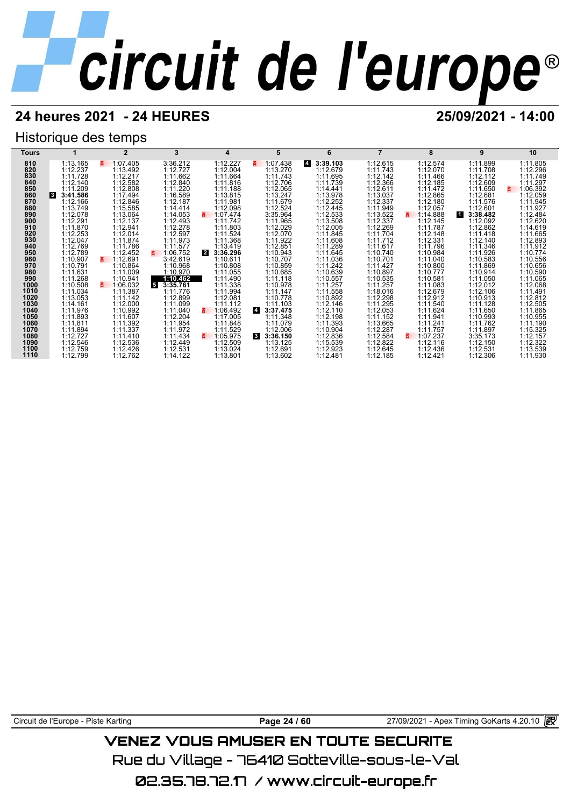## **24 heures 2021 - 24 HEURES 25/09/2021 - 14:00**

## Historique des temps



Circuit de l'Europe - Piste Karting **Page 24 / 60** 27/09/2021 - Apex Timing GoKarts 4.20.10 **P** 

## VENEZ VOUS AMUSER EN TOUTE SECURITE

Rue du Village – 76410 Sotteville-sous-le-Val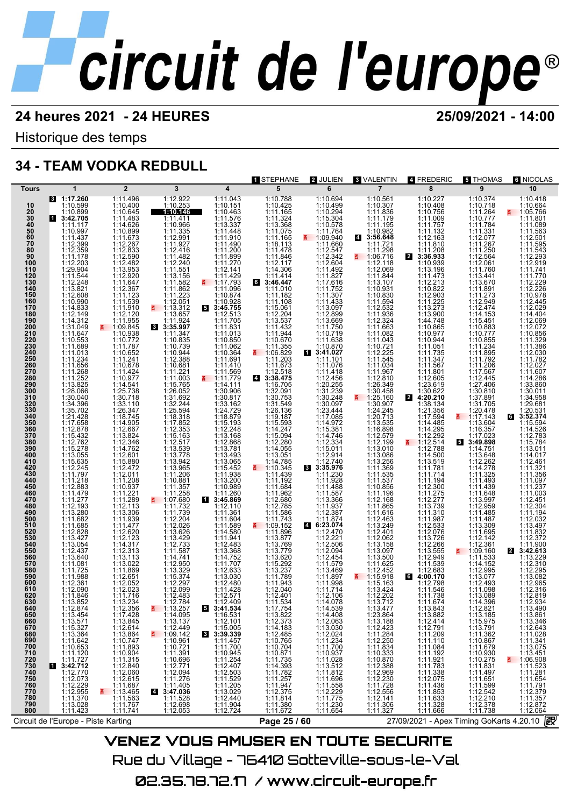Historique des temps

## **34 - TEAM VODKA REDBULL**

| Tours                                                                                                                                                                                                                                                                                                                                                                                                                                                     |                                                                                                                                                                                                                                                                                                                                                                                                                                                                                                                                                                                                                                                                                                                                                                                                                                                                                                        |                                                                                                                                                                                                                                                                                                                                                                                                                                                                                                                                                                                                                                                                                                                                                                                                                                                                                                                                      |                                                                                                                                                                                                                                                                                                                                                                                                                                                                                                                                                                                                                                                                                                                                                                                                                                                                  |                                                                                                                                                                                                                                                                                                                                                                                                                                                                                                                                                                                                                                                                                                                                                                                                                                                                                               |                                                                                                                                                                                                                                                                                                                                                                                                                                                                                                                                                                                                                                                                                                                                                                                                                                                                                                                                                                                                                       |                                                                                                                                                                                                                                                                                                                                                                                                                                                                                                                                                                                                                                                                                                                                                                                                                                                                                                                                                          |                                                                                                                                                                                                                                                                                                                                                                                                                                                                                                                                                                                                                                                                                                                                                                                                                                                                                                   |                                                                                                                                                                                                                                                                                                                                                                                                                                                                                                                                                                                                                                                                                                                                                                                                                                            |                                                                                                                                                                                                                                                                                                                                                                                                                                                                                                                                                                                                                                                                                                                                                                                                                                                                                                                   |                                                                                                                                                                                                                                                                                                                                                                                                                                                                                                                                                                                                                                                                                                                                                                                                                          |
|-----------------------------------------------------------------------------------------------------------------------------------------------------------------------------------------------------------------------------------------------------------------------------------------------------------------------------------------------------------------------------------------------------------------------------------------------------------|--------------------------------------------------------------------------------------------------------------------------------------------------------------------------------------------------------------------------------------------------------------------------------------------------------------------------------------------------------------------------------------------------------------------------------------------------------------------------------------------------------------------------------------------------------------------------------------------------------------------------------------------------------------------------------------------------------------------------------------------------------------------------------------------------------------------------------------------------------------------------------------------------------|--------------------------------------------------------------------------------------------------------------------------------------------------------------------------------------------------------------------------------------------------------------------------------------------------------------------------------------------------------------------------------------------------------------------------------------------------------------------------------------------------------------------------------------------------------------------------------------------------------------------------------------------------------------------------------------------------------------------------------------------------------------------------------------------------------------------------------------------------------------------------------------------------------------------------------------|------------------------------------------------------------------------------------------------------------------------------------------------------------------------------------------------------------------------------------------------------------------------------------------------------------------------------------------------------------------------------------------------------------------------------------------------------------------------------------------------------------------------------------------------------------------------------------------------------------------------------------------------------------------------------------------------------------------------------------------------------------------------------------------------------------------------------------------------------------------|-----------------------------------------------------------------------------------------------------------------------------------------------------------------------------------------------------------------------------------------------------------------------------------------------------------------------------------------------------------------------------------------------------------------------------------------------------------------------------------------------------------------------------------------------------------------------------------------------------------------------------------------------------------------------------------------------------------------------------------------------------------------------------------------------------------------------------------------------------------------------------------------------|-----------------------------------------------------------------------------------------------------------------------------------------------------------------------------------------------------------------------------------------------------------------------------------------------------------------------------------------------------------------------------------------------------------------------------------------------------------------------------------------------------------------------------------------------------------------------------------------------------------------------------------------------------------------------------------------------------------------------------------------------------------------------------------------------------------------------------------------------------------------------------------------------------------------------------------------------------------------------------------------------------------------------|----------------------------------------------------------------------------------------------------------------------------------------------------------------------------------------------------------------------------------------------------------------------------------------------------------------------------------------------------------------------------------------------------------------------------------------------------------------------------------------------------------------------------------------------------------------------------------------------------------------------------------------------------------------------------------------------------------------------------------------------------------------------------------------------------------------------------------------------------------------------------------------------------------------------------------------------------------|---------------------------------------------------------------------------------------------------------------------------------------------------------------------------------------------------------------------------------------------------------------------------------------------------------------------------------------------------------------------------------------------------------------------------------------------------------------------------------------------------------------------------------------------------------------------------------------------------------------------------------------------------------------------------------------------------------------------------------------------------------------------------------------------------------------------------------------------------------------------------------------------------|--------------------------------------------------------------------------------------------------------------------------------------------------------------------------------------------------------------------------------------------------------------------------------------------------------------------------------------------------------------------------------------------------------------------------------------------------------------------------------------------------------------------------------------------------------------------------------------------------------------------------------------------------------------------------------------------------------------------------------------------------------------------------------------------------------------------------------------------|-------------------------------------------------------------------------------------------------------------------------------------------------------------------------------------------------------------------------------------------------------------------------------------------------------------------------------------------------------------------------------------------------------------------------------------------------------------------------------------------------------------------------------------------------------------------------------------------------------------------------------------------------------------------------------------------------------------------------------------------------------------------------------------------------------------------------------------------------------------------------------------------------------------------|--------------------------------------------------------------------------------------------------------------------------------------------------------------------------------------------------------------------------------------------------------------------------------------------------------------------------------------------------------------------------------------------------------------------------------------------------------------------------------------------------------------------------------------------------------------------------------------------------------------------------------------------------------------------------------------------------------------------------------------------------------------------------------------------------------------------------|
| 10<br>20<br>30<br>40<br>50<br>50<br>60<br>70<br>80<br>90<br>100<br>110<br>120<br>130<br>140<br>150<br>160<br>170<br>180<br>190<br>200<br>210<br>220<br>230<br>240<br>250<br>260<br>270<br>280<br>290<br>300<br>310<br>320<br>320<br>330<br>340<br>350<br>360<br>370<br>380<br>390<br>400<br>410<br>420<br>430<br>440<br>450<br>460<br>470<br>480<br>490<br>500<br>510<br>520<br>540<br>550<br>560<br>570<br>580<br>590<br>600<br>610<br>620<br>630<br>640 | $\mathbf 1$<br>3 1:17.260<br>1:10.599<br>1:10.899<br>13:42.705<br>1:11.117<br>1:10.997<br>1:11.437<br>1:12.399<br>1:12.359<br>1:11.178<br>1:12.203<br>$1:29.904$<br>$1:11.544$<br>$1:12.248$<br>$1:13.821$<br>$\begin{array}{r} 1:12.608 \\ 1:10.990 \\ 1:14.833 \\ 1:12.149 \end{array}$<br>$1:14.312$<br>$1:31.049$<br>$1:11.647$<br>$1:10.553$<br>$1:11.689$<br>$1:11.234$<br>$1:11.234$<br>$1:11.268$<br>$1:11.269$<br>1:11.252<br>1:13.825<br>1:28.066<br>1:30.040<br>1:34.396<br>1:35.702<br>1:35.702<br>1:12.878<br>1:12.878<br>1:15.432<br>1:15.779<br>1:15.278<br>1:13.055<br>1:15.635<br>1:12.245<br>1:11.797<br>1:11.218<br>1:11.479<br>1:11.277<br>1:12.193<br>$\begin{array}{r} 1.12.180 \\ 1.13.280 \\ 1.11.682 \\ 1.11.685 \\ 1.12.828 \end{array}$<br>1:13.427<br>1:13.054<br>1:12.437<br>1:13.640<br>1:11.081<br>1:11.725<br>1:11.988<br>1:12.361<br>1:12.090<br>1:11.846<br>1:13.852 | $\overline{2}$<br>1:11.496<br>1:10.400<br>1:10.645<br>1:11.483<br>1:14.626<br>1:10.899<br>$\begin{array}{r} 1.11.673 \\ 1.11.673 \\ 1.12.267 \\ 1.12.833 \\ 1.12.482 \\ 1.12.482 \end{array}$<br>1:13.953<br>$1:11.647$ $1:12.367$ $1:11.123$ $1:11.539$<br>$\begin{array}{l} 111.539\\ 111.4201\\ 111.4203\\ 111.42054\\ 111.9554\\ 110.9384\\ 111.7787\\ 111.71.644\\ 111.4247\\ 111.4247\\ 111.4541\\ 111.4574\\ 112.5.738\\ 1133.110 \end{array}$<br>$1:30.718$<br>$1:33.110$<br>$1:26.347$<br>$1:18.745$<br>$1:14.905$<br>$1:12.667$<br>$1:13.824$<br>$1:14.762$<br>$1:14.762$<br>$1:15.880$<br>$1:12.472$<br>$1:11.201$<br>1:11.208<br>1:10.937<br>1:11.221<br>1:11.289<br>$1:12.113$<br>$1:13.306$<br>$1:11.939$<br>$1:11.477$<br>$1:12.620$<br>$1:12.123$<br>1:14.317<br>1:12.313<br>1:13.113<br>1:13.022<br>$\begin{array}{l} 1.19.022 \\ 1.11.869 \\ 1.12.651 \\ 1.12.052 \\ 1.12.023 \end{array}$<br>1:11.716<br>1:13.234 | 3<br>1:12.922<br>1:10.253<br>1:10.146<br>1:11.411<br>1:10.966<br>1:11.335<br>$1:12.991$<br>$1:12.416$<br>$1:11.482$<br>$1:12.240$<br>$1:11.551$<br>$1:13.156$<br>1:13.156<br>$\begin{array}{r} 1:11.582 \\ 1:11.862 \\ 1:11.223 \\ 1:12.051 \end{array}$<br>$\frac{2}{9}$ 1:13.312<br>1:13.657<br>1:11.924<br>8 3:35.997<br>1:11.347<br>1:10.835<br>1:10.739<br>1:10.944<br>1:12.388<br>1:10.681<br>$1:11.221$ $1:11.003$ $1:15.765$ $1:26.052$<br>$126.052$<br>$131.31692$<br>$132.244$<br>$125.594$<br>$117.852$<br>$1117.853$<br>$1117.3378$<br>$1117.31778$<br>$1111.2366$<br>$1111.2366$<br>$1111.236$<br>$1111.236$<br>$1111.236$<br>$1111.236$<br>$1111.739$<br>$1111.739$<br>1:11.732<br>1:12.2026<br>1:12.2026<br>1:13.626<br>1:12.733<br>1:11.587<br>1:14.741<br>1:13.329<br>1:12.297<br>1:12.297<br>1:12.297<br>1:12.297<br>1:12.483<br>1:12.784<br>5 | $\overline{\mathbf{4}}$<br>1:11.043<br>1:10.151<br>1:10.463<br>1:11.576<br>1:11.576<br>1:11.576<br>1:11.576<br>1:11.90<br>1:11.270<br>1:11.270<br>1:11.42<br>1:11.42<br>1:11.42<br>1:11.44<br>1:11.44<br>1:11.44<br>1:11.44<br>1:11.44<br>1:11.44<br>1:11.270<br>1:10.874<br>1:10.928<br>53:45.755<br>1:12.513<br>1:11.705<br>$1:11.703\n1:11.831\n1:10.850\n1:11.062\n1:10.364\n1:11.411\n1:14.410$<br>1:11.569<br>■ 1:11.779<br>1:14.111<br>1:30.906<br>$\begin{array}{l} 1.30.817\\ 1.33.162\\ 1.24.729\\ 1.18.879\\ 1.15.193\\ 1.13.248\\ 1.13.168\\ 1.13.781\\ 1.13.781\\ 1.13.781\\ 1.13.065\\ 1.15.452\\ 1.13.200\\ 1.10.989\\ \end{array}$<br>1:11.260<br>13:45.869<br>1:12.110<br>1:11.361<br>1:11.604<br>1:11.589<br>1:14.580<br>$1:14.580$<br>$1:12.483$<br>$1:12.483$<br>$1:14.752$<br>$1:11.707$<br>$1:12.633$<br>$1:13.030$<br>$1:12.480$<br>$1:14.423$<br>1:12.571<br>1:12.409 | 1 STEPHANE<br>5<br>1:10.788<br>1:10.425<br>$\begin{array}{r} 1111165 \\ 1111324 \\ 113368 \end{array}$<br>1:11.075<br>1:11.165<br>1:18.113<br>1:11.478<br>$1:12.117$ $1:14.306$ $1:11.414$ $3:46.447$<br>1:11.010<br>$1:11.108$<br>$1:11.108$<br>$1:11.108$<br>$1:12.204$<br>$1:13.537$<br>$1:11.332$<br>$1:11.344$<br>$1:10.670$<br>$1:10.359$<br>$\frac{11.06.829}{1.11.203}$<br>1:11.673<br>1:11.673<br><b>1:12.518</b><br><b>1:32.953</b><br>1:30.753<br>1:30.753<br>1:30.753<br>1:30.753<br>1:30.753<br>1:30.753<br>1:14.224<br>1:114.224<br>1:114.224<br>1:114.224<br>1:114.224<br>1:114.224<br>1:114.224<br>1:114.28<br>1:114.28<br>1:114.28<br>1:114.28<br>1:114.28<br>1<br>$\frac{111.345}{111.439}$<br>1:11.439<br>1:11.192<br>1:11.684<br>$\begin{array}{r} 1:11.962 \\ 1:12.680 \\ 1:12.785 \\ 1:11.586 \\ 1:11.743 \end{array}$<br><b>∄</b> 1:09.152<br>1:11.896<br>$1:11.897$<br>$1:13.779$<br>$1:13.799$<br>$1:13.620$<br>$1:15.292$<br>$1:13.237$<br>$1:11.943$<br>$1:12.401$<br>1:12.401<br>1:11.534 | 2 JULIEN<br>6<br>1:10.694<br>1:10.499<br>1:10.294<br>1:15.304<br>1:10.578<br>1:11.764<br>$\frac{11.09.940}{1.11.660}$<br>$1:12.547$<br>$1:12.342$<br>$1:12.604$<br>1:11.492<br>1:11.827<br>$1:11.827$<br>$1:11.762$<br>$1:11.752$<br>$1:11.433$<br>$1:13.097$<br>$1:12.899$<br>$1:13.669$<br>$1:11.750$<br>$1:11.799$<br>$1:11.638$ $1:10.870$ $3:41.027$ $1:11.101$<br>1:11.076<br>$\begin{array}{r} 1:11.418 \\ 1:12.456 \\ 1:20.255 \\ 1:31.239 \end{array}$<br>$1:31.239$<br>$1:30.097$<br>$1:23.444$<br>$1:14.972$<br>$1:14.972$<br>$1:14.974$<br>$1:14.974$<br>$1:12.334$<br>$1:12.334$<br>$1:12.304$<br>$1:12.304$<br>$1:12.304$<br>$1:12.304$<br>$1:11.230$<br>1:11.928<br>1:11.587<br>1:13.366<br>1:11.937<br>$1:12.387$<br>$1:11.874$<br>$6:23.074$<br>1:12.470<br>1:12.221<br>1:12.506<br>1:12.094<br>1:11.579<br>1:11.579<br>$\begin{array}{c} 1:13.469 \\ 1:11.897 \\ 1:11.998 \\ 1:11.714 \end{array}$<br>1:12.106<br>1:14.078<br>1:14.539 | <b>8 VALENTIN</b><br>$\overline{7}$<br>1:10.561<br>1:10.307<br>1:11.836<br>1:11.179<br>1:11.195<br>1:10.982<br>4 3:56.648<br>1:11.721<br>$\frac{1:11.298}{1:06.716}$<br>1:12.118<br>1:12.069<br>1:13.107330<br>1:13.108330<br>1:11.5894<br>1:11.5832<br>1:11.5632<br>1:12.3224<br>1:11.03225<br>1:11.0324<br>1:11.034<br>1:11.034<br>1:11.032<br>1:11.032<br>1:11.032<br>1:11.032<br>1:11.032<br>1:11.032<br>1:11.032<br>1:11.032<br>1:11.032<br>1:11.032<br>1:11.032<br>1:11.032<br>1:<br>1:25.160<br>E.<br>$1:24.245$<br>$1:20.713$<br>$1:13.535$<br>$1:16.898$<br>1:12.579<br>1:12.199<br>$1:13.010$<br>1:13.086<br>1:13.256<br>1:11.535<br>1:11.535<br>1:11.535<br>1:11.535<br>1:11.196<br>1:12.168<br>1:11.865<br>1:11.616<br>1:12.463<br>1:12.401<br>1:12.062<br>1:13.158<br>1:13.097<br>1:13.500<br>1:11.625<br>1:12.452<br>$\frac{115.918}{1:15.163}$<br>1:13.424<br>1:12.202<br>1:13.712 | 4 FREDERIC<br>8<br>1:10.227<br>1:10.408<br>1:10.756<br>1:11.009<br>1:11.757<br>$\begin{array}{c} 1.11.737 \\ 1.11.132 \\ 1.12.163 \\ 1.11.810 \\ 1.11.208 \\ \textbf{3:36.933} \end{array}$<br>2<br>1:10.939<br>1:13.196<br>$1:11.473$<br>$1:12.213$<br>$1:10.822$<br>1:12.903<br>1:11.225<br>1:13.273<br>1:13.900<br>1:44.748<br>1:10.974<br>$1:10.944$ $1:11.051$ $1:11.347$ $1:11.567$<br>$1:11.801$ $1:12.605$ $1:23.619$ $1:30.622$ $1:38.134$<br>$\mathbf{2}$<br>$1:38.136$ $1:17.594$ $1:14.485$ $1:12.292$ $1:12.514$ $1:12.788$ $1:12.509$ $1:13.519$ $1:11.781$ $1:11.744$<br>1:11.194<br>1:11.275<br>1:12.277<br>1:13.739<br>$1:11.310$<br>$1:11.310$<br>$1:12.533$<br>$1:12.076$<br>$1:13.726$<br>$1:12.266$<br>$1:13.555$<br>$1:12.949$<br>$1:11.539$<br>1:12.683<br>1:12.798<br>1:11.546<br>1:11.738<br>1:11.674<br>1:13.843 | ឆ THOMAS<br>9<br>1:10.374<br>1:10.718<br>$\begin{array}{c} 1101110 \\ 1111264 \\ 110.777 \\ 111.784 \end{array}$<br>1:11.331<br>1:12.077<br>1:12.07<br>1:11.250<br>1:12.564<br>1:12.061<br>1:11.760<br>$1:13.441$<br>$1:13.670$<br>$1:11.891$<br>$1:11.273$<br>$1:12.949$<br>1:12.474<br>$1:14.153$<br>$1:15.451$<br>$1:10.883$<br>1:10.777<br>$1:10.855$<br>$1:11.234$<br>$1:11.895$<br>$1:11.792$<br>$1:11.206$<br>$1:17.567$<br>1:12.445<br>1:27.406<br>1:30.810<br>1:37.891<br>1:31.705<br>1:20.478<br>1:13.604<br>1:16.357<br>1:17.023<br>53:49.898<br>1:14.751<br>1:13.648<br>1:12.262<br>1:14.278<br>1:11.493<br>1:11.439<br>1:11.648<br>1:13.997<br>1:12.959<br>$1:11.485$<br>$1:11.487$<br>$1:13.309$<br>$1:11.695$<br>$1:12.142$<br>$1:12.361$<br>₹ 1:09.160<br>1:11.533<br>1:14.152<br>$\begin{array}{r} 1.14.132 \\ 1.12.995 \\ 1.13.077 \\ 1.12.493 \\ 1.11.098 \end{array}$<br>1:13.089<br>1:14.396 | 6 NICOLAS<br>10<br>1:10.418<br>1:10.664<br>₹ 1:05.766<br>1:11.801<br>1:11.089<br>1:11.563<br>1:12.501<br>1:11.595<br>1:11.543<br>1:12.293<br>1:12.919<br>1:11.741<br>1:11.770<br>1:12.229<br>1:12.226<br>1:10.978<br>1:12.445<br>1:12.029<br>1:14.404<br>1:12.069<br>1:12.072<br>1:10.856<br>1:11.329<br>1:11.386<br>1:12.030<br>1:11.782<br>1:12.027<br>1:11.607<br>1:14.286<br>1:33.860<br>1:30.011<br>1:34.958<br>1:29.681<br>1:20.531<br>63:52.374<br>1:15.594<br>1:14.526<br>1:12.783<br>1:15.784<br>1:13.011<br>1:14.017<br>1:12.461<br>1:11.321<br>1:11.356<br>1:11.097<br>1:11.237<br>1:11.003<br>1:12.451<br>1:12.304<br>$1:11.194$<br>$1:12.032$<br>1:13.497<br>1:11.832<br>1:12.372<br>1:11.900<br>2 3:42.613<br>1:13.229<br>1:12.310<br>1:12.295<br>1:13.082<br>1:12.965<br>1:12.316<br>1:12.819<br>1:12.934 |
|                                                                                                                                                                                                                                                                                                                                                                                                                                                           |                                                                                                                                                                                                                                                                                                                                                                                                                                                                                                                                                                                                                                                                                                                                                                                                                                                                                                        |                                                                                                                                                                                                                                                                                                                                                                                                                                                                                                                                                                                                                                                                                                                                                                                                                                                                                                                                      |                                                                                                                                                                                                                                                                                                                                                                                                                                                                                                                                                                                                                                                                                                                                                                                                                                                                  |                                                                                                                                                                                                                                                                                                                                                                                                                                                                                                                                                                                                                                                                                                                                                                                                                                                                                               |                                                                                                                                                                                                                                                                                                                                                                                                                                                                                                                                                                                                                                                                                                                                                                                                                                                                                                                                                                                                                       |                                                                                                                                                                                                                                                                                                                                                                                                                                                                                                                                                                                                                                                                                                                                                                                                                                                                                                                                                          |                                                                                                                                                                                                                                                                                                                                                                                                                                                                                                                                                                                                                                                                                                                                                                                                                                                                                                   |                                                                                                                                                                                                                                                                                                                                                                                                                                                                                                                                                                                                                                                                                                                                                                                                                                            |                                                                                                                                                                                                                                                                                                                                                                                                                                                                                                                                                                                                                                                                                                                                                                                                                                                                                                                   |                                                                                                                                                                                                                                                                                                                                                                                                                                                                                                                                                                                                                                                                                                                                                                                                                          |
| 650<br>660<br>670<br>680<br>690<br>700<br><b>710<br/>720<br/>730<br/>740<br/>750<br/>760</b><br>770<br>780<br>790                                                                                                                                                                                                                                                                                                                                         | 1:12.874<br>1:13.454<br>$\begin{array}{r} 1:13.571 \\ 1:15.327 \\ 1:13.364 \\ 1:11.642 \\ 1:10.653 \end{array}$<br>$1:11.120$<br>$1:11.727$<br>3:42.712<br>И<br>1:12.770<br>1:12.073<br>1:12.229<br>1:12.955<br>1:11.370<br>1:13.028<br>1:11.423                                                                                                                                                                                                                                                                                                                                                                                                                                                                                                                                                                                                                                                       | 1:12.356<br>1:17.428<br>$1:13.845$ $1:12.614$ $1:13.864$ $1:10.747$ $1:11.893$<br>1:10.904<br>$1:12.840$<br>$1:12.060$<br>$1:12.615$<br>$1:11.687$<br>$1:13.465$ $1:11.563$ $1:11.767$ $1:11.741$                                                                                                                                                                                                                                                                                                                                                                                                                                                                                                                                                                                                                                                                                                                                    | $\frac{2}{1}$ 1:13.257<br>1:14.095<br>1:13.137<br>$\begin{array}{r}\n 1.15.137 \\  1.12.449 \\  \hline\n 4.109.142 \\  1.10.961 \\  1.10.721\n \end{array}$<br>1:11.391<br>1:10.696<br>1:12.771<br>1:12.094<br>1:11.276<br>1:11.405<br>3:47.036<br>1:11.528<br>1:12.698<br>1:12.053                                                                                                                                                                                                                                                                                                                                                                                                                                                                                                                                                                              | <b>3:41.534</b><br>1:16.531<br>$1:12.101$<br>1:15.005<br>3:39.339<br>1:11.457<br>1:11.700<br>1:11.700<br>1:11.254<br>1:12.407<br>1:12.407<br>1:11.529<br>1:11.205<br>1:12.440<br>1:12.440<br>1:12.724                                                                                                                                                                                                                                                                                                                                                                                                                                                                                                                                                                                                                                                                                         | 1:17.754<br>1:13.822<br>$1:12.373$ $1:14.183$ $1:12.485$ $1:10.765$ $1:10.704$<br>$1:10.704$<br>$1:11.735$<br>$1:14.393$<br>$1:11.782$<br>$1:11.947$<br>$1:12.375$<br>$1:11.814$<br>$1:11.849$<br>1:11.380<br>1:11.672                                                                                                                                                                                                                                                                                                                                                                                                                                                                                                                                                                                                                                                                                                                                                                                                | 1:14.408<br>1:12.063<br>1:13.030<br>1:12.024<br>1:11.234<br>1:11.700<br>$1:10.937$<br>$1:11.028$<br>$1:13.512$<br>$1:11.812$ $1:11.696$ $1:11.558$ $1:12.229$ $1:14.375$<br>1:11.775<br>1:11.230<br>1:11.654                                                                                                                                                                                                                                                                                                                                                                                                                                                                                                                                                                                                                                                                                                                                             | 1:13.477<br>1:23.864<br>$\begin{array}{r} 1.23.388 \\ 1.12.423 \\ 1.11.284 \\ 1.12.250 \\ 1.11.834 \\ \end{array}$<br>$1:10.334\n1:10.870\n1:12.388\n1:12.969\n1:11.728\n1:11.728\n1:12.556\n1:11.304\n1:11.304$<br>1:11.306<br>1:11.327                                                                                                                                                                                                                                                                                                                                                                                                                                                                                                                                                                                                                                                          | 1:13.882<br>$1:12.414$ $1:12.791$ $1:11.1084$ $1:11.084$<br>1:11.192<br>1:11.921<br>1:11.783<br>$\begin{array}{r} 1.11.338 \\ 1.11.338 \\ 1.12.075 \\ 1.11.436 \\ 1.11.633 \\ 1.11.633 \end{array}$<br>1:11.328<br>1:11.666                                                                                                                                                                                                                                                                                                                                                                                                                                                                                                                                                                                                                | 1:12.821<br>1:13.185<br>1:15.975<br>1:13.791<br>1:11.362<br>1:10.867<br>1:11.679<br>1:10.930<br>1:10.275<br>1:11.831<br>1:11.497<br>1:11.651<br>1:11.599<br>1:12.542<br>1:12.210<br>1:12.378<br>1:11.738                                                                                                                                                                                                                                                                                                                                                                                                                                                                                                                                                                                                                                                                                                          | 1:13.490<br>1:13.861<br>1:13.346<br>1:12.643<br>1:11.028<br>$1:11.341$<br>$1:13.075$<br>1:13.451<br>$\frac{2}{1}$ 1:06.908<br>1:11.281<br>1:11.654<br>1:11.791<br>1:12.379<br>1:11.357<br>1:12.872<br>1:12.064                                                                                                                                                                                                                                                                                                                                                                                                                                                                                                                                                                                                           |
| 800                                                                                                                                                                                                                                                                                                                                                                                                                                                       |                                                                                                                                                                                                                                                                                                                                                                                                                                                                                                                                                                                                                                                                                                                                                                                                                                                                                                        |                                                                                                                                                                                                                                                                                                                                                                                                                                                                                                                                                                                                                                                                                                                                                                                                                                                                                                                                      |                                                                                                                                                                                                                                                                                                                                                                                                                                                                                                                                                                                                                                                                                                                                                                                                                                                                  |                                                                                                                                                                                                                                                                                                                                                                                                                                                                                                                                                                                                                                                                                                                                                                                                                                                                                               |                                                                                                                                                                                                                                                                                                                                                                                                                                                                                                                                                                                                                                                                                                                                                                                                                                                                                                                                                                                                                       |                                                                                                                                                                                                                                                                                                                                                                                                                                                                                                                                                                                                                                                                                                                                                                                                                                                                                                                                                          |                                                                                                                                                                                                                                                                                                                                                                                                                                                                                                                                                                                                                                                                                                                                                                                                                                                                                                   |                                                                                                                                                                                                                                                                                                                                                                                                                                                                                                                                                                                                                                                                                                                                                                                                                                            |                                                                                                                                                                                                                                                                                                                                                                                                                                                                                                                                                                                                                                                                                                                                                                                                                                                                                                                   |                                                                                                                                                                                                                                                                                                                                                                                                                                                                                                                                                                                                                                                                                                                                                                                                                          |
|                                                                                                                                                                                                                                                                                                                                                                                                                                                           | Circuit de l'Europe - Piste Karting                                                                                                                                                                                                                                                                                                                                                                                                                                                                                                                                                                                                                                                                                                                                                                                                                                                                    |                                                                                                                                                                                                                                                                                                                                                                                                                                                                                                                                                                                                                                                                                                                                                                                                                                                                                                                                      |                                                                                                                                                                                                                                                                                                                                                                                                                                                                                                                                                                                                                                                                                                                                                                                                                                                                  |                                                                                                                                                                                                                                                                                                                                                                                                                                                                                                                                                                                                                                                                                                                                                                                                                                                                                               | Page 25 / 60                                                                                                                                                                                                                                                                                                                                                                                                                                                                                                                                                                                                                                                                                                                                                                                                                                                                                                                                                                                                          |                                                                                                                                                                                                                                                                                                                                                                                                                                                                                                                                                                                                                                                                                                                                                                                                                                                                                                                                                          |                                                                                                                                                                                                                                                                                                                                                                                                                                                                                                                                                                                                                                                                                                                                                                                                                                                                                                   | 27/09/2021 - Apex Timing GoKarts 4.20.10                                                                                                                                                                                                                                                                                                                                                                                                                                                                                                                                                                                                                                                                                                                                                                                                   |                                                                                                                                                                                                                                                                                                                                                                                                                                                                                                                                                                                                                                                                                                                                                                                                                                                                                                                   | 霰                                                                                                                                                                                                                                                                                                                                                                                                                                                                                                                                                                                                                                                                                                                                                                                                                        |
|                                                                                                                                                                                                                                                                                                                                                                                                                                                           |                                                                                                                                                                                                                                                                                                                                                                                                                                                                                                                                                                                                                                                                                                                                                                                                                                                                                                        |                                                                                                                                                                                                                                                                                                                                                                                                                                                                                                                                                                                                                                                                                                                                                                                                                                                                                                                                      | <b>VENEZ VOUS AMUSER EN TOUTE SECURITE</b>                                                                                                                                                                                                                                                                                                                                                                                                                                                                                                                                                                                                                                                                                                                                                                                                                       |                                                                                                                                                                                                                                                                                                                                                                                                                                                                                                                                                                                                                                                                                                                                                                                                                                                                                               |                                                                                                                                                                                                                                                                                                                                                                                                                                                                                                                                                                                                                                                                                                                                                                                                                                                                                                                                                                                                                       |                                                                                                                                                                                                                                                                                                                                                                                                                                                                                                                                                                                                                                                                                                                                                                                                                                                                                                                                                          |                                                                                                                                                                                                                                                                                                                                                                                                                                                                                                                                                                                                                                                                                                                                                                                                                                                                                                   |                                                                                                                                                                                                                                                                                                                                                                                                                                                                                                                                                                                                                                                                                                                                                                                                                                            |                                                                                                                                                                                                                                                                                                                                                                                                                                                                                                                                                                                                                                                                                                                                                                                                                                                                                                                   |                                                                                                                                                                                                                                                                                                                                                                                                                                                                                                                                                                                                                                                                                                                                                                                                                          |

Rue du Village – 76410 Sotteville-sous-le-Val 02.35.78.72.17 /www.circuit-europe.fr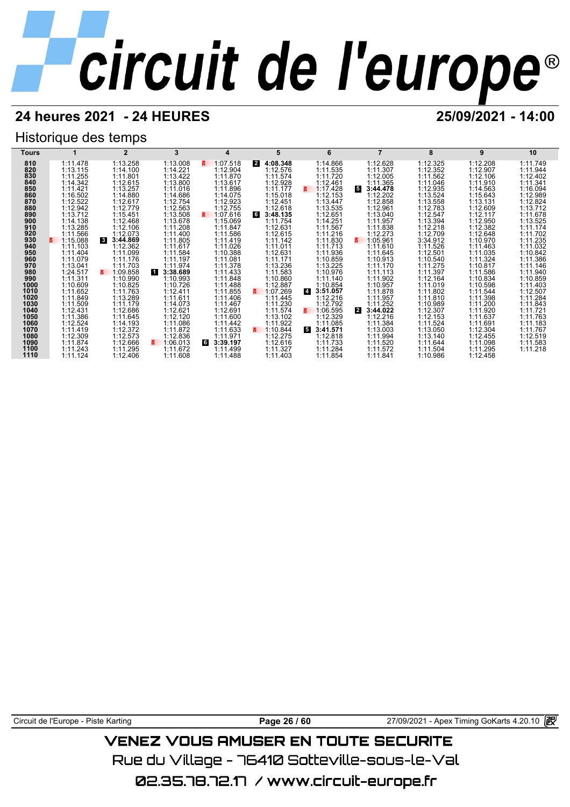## **24 heures 2021 - 24 HEURES 25/09/2021 - 14:00**

## Historique des temps

| Tours       |                      | $\overline{2}$             | 3                    | 4                    |                           | 6                                   |                          | 8                    | 9                    | 10                   |
|-------------|----------------------|----------------------------|----------------------|----------------------|---------------------------|-------------------------------------|--------------------------|----------------------|----------------------|----------------------|
| 810         | 1:11.478             | 1:13.258                   | 1:13.008             | 1:07.518<br>E.       | 4:08.348<br>2             | 1:14.866                            | 1:12.628                 | 1:12.325             | 1:12.208             | 1:11.749             |
| 820         | 1:13.115             | 1:14.100                   | 1:14.221             | 1:12.904             | 1:12.576                  | 1:11.535                            | 1:11.307                 | 1:12.352             | 1:12.907             | 1:11.944             |
| 830         | 1:11.255             | 1:11.801                   | 1:13.422             | 1:11.870             | 1:11.574                  | 1:11.720                            | 1:12.005                 | 1:11.562             | 1:12.106             | 1:12.402             |
| 840         | 1:14.342             | 1:12.615                   | 1:13.800             | 1:13.617             | 1:12.928                  | 1:12.461                            | 1:11.365                 | 1:11.046             | 1:11.910             | 1:11.341             |
| 850         | 1:11.421             | 1:13.257                   | 1:11.016             | 1:11.896             | 1:11.177                  | 1:17.428<br>$\overline{\mathbf{a}}$ | 53:44.478                | 1:12.935             | 1:14.563             | 1:16.094             |
| 860         | 1:16.502             | 1:14.880                   | 1:14.686             | 1:14.075             | 1:15.018                  | 1:12.153                            | 1:12.202                 | 1:13.524             | 1:15.643             | 1:12.989             |
| 870         | 1:12.522             | 1:12.617<br>1:12.779       | 1:12.754             | 1:12.923<br>1:12.755 | 1:12.451                  | 1:13.447                            | 1:12.858                 | 1:13.558             | 1:13.131             | 1:12.824             |
| 880<br>890  | 1:12.942<br>1:13.712 | 1:15.451                   | 1:12.563<br>1:13.508 | 1:07.616<br>z.       | 1:12.618<br>6<br>3:48.135 | 1:13.535<br>1:12.651                | 1:12.961<br>1:13.040     | 1:12.783<br>1:12.547 | 1:12.609<br>1:12.117 | 1:13.712<br>1:11.678 |
| 900         | 1:14.138             | 1:12.468                   | 1:13.678             | 1:15.069             | 1:11.754                  | 1:14.251                            | 1:11.957                 | 1:13.394             | 1:12.950             | 1:13.525             |
| 910         | 1:13.285             | 1:12.106                   | 1:11.208             | 1:11.847             | 1:12.631                  | 1:11.567                            | 1:11.838                 | 1:12.218             | 1:12.382             | 1:11.174             |
| 920         | 1:11.566             | 1:12.073                   | 1:11.400             | 1:11.586             | 1:12.615                  | 1:11.216                            | 1:12.273                 | 1:12.709             | 1:12.648             | 1:11.702             |
| 930         | 1:15.088             | $\overline{3}$<br>3:44.869 | 1:11.805             | 1:11.419             | 1:11.142                  | 1:11.830                            | 1:05.961                 | 3:34.912             | 1:10.970             | 1:11.235             |
| 940         | 1:11.103             | 1:12.362                   | 1:11.617             | 1:11.026             | 1:11.011                  | 1:11.713                            | 1:11.610                 | 1:11.526             | 1:11.463             | 1:11.032             |
| 950         | 1:11.404             | 1:11.099                   | 1:11.584             | 1:10.388             | 1:12.631                  | 1:11.936                            | 1:11.645                 | 1:12.501             | 1:11.035             | 1:10.842             |
| 960         | 1:11.079             | 1:11.176                   | 1:11.197             | 1:11.081             | 1:11.171                  | 1:10.859                            | 1:10.913                 | 1:10.540             | 1:11.324             | 1:11.386             |
| 970         | 1:13.041             | 1:11.703                   | 1:11.974             | 1:11.378             | 1:13.236                  | 1:13.225                            | 1:11.170                 | 1:11.275             | 1:10.817             | 1:11.146             |
| 980         | 1:24.517             | 1:09.858                   | и<br>3:38.689        | 1:11.433             | 1:11.583                  | 1:10.976                            | 1:11.113                 | 1:11.397             | 1:11.586             | 1:11.940             |
| 990<br>1000 | 1:11.311<br>1:10.609 | 1:10.990<br>1:10.825       | 1:10.993<br>1:10.726 | 1:11.848<br>1:11.488 | 1:10.860<br>1:12.887      | 1:11.140<br>1:10.854                | 1:11.902<br>1:10.957     | 1:12.164<br>1:11.019 | 1:10.834<br>1:10.598 | 1:10.859<br>1:11.403 |
| 1010        | 1:11.652             | 1:11.763                   | 1:12.411             | 1:11.855             | 1:07.269<br>$\mathbf{z}$  | $\overline{4}$<br>3:51.057          | 1:11.878                 | 1:11.802             | 1:11.544             | 1:12.507             |
| 1020        | 1:11.849             | 1:13.289                   | 1:11.611             | 1:11.406             | 1:11.445                  | 1:12.216                            | 1:11.957                 | 1:11.810             | 1:11.398             | 1:11.284             |
| 1030        | 1:11.509             | 1:11.179                   | 1:14.073             | 1:11.467             | 1:11.230                  | 1:12.792                            | 1:11.252                 | 1:10.989             | 1:11.200             | 1:11.843             |
| 1040        | 1:12.431             | 1:12.686                   | 1:12.621             | 1:12.691             | 1:11.574                  | 1:06.595<br>3.                      | $\mathbf{z}$<br>3:44.022 | 1:12.307             | 1:11.920             | 1:11.721             |
| 1050        | 1:11.386             | 1:11.645                   | 1:12.120             | 1:11.600             | 1:13.102                  | 1:12.329                            | 1:12.216                 | 1:12.153             | 1:11.637             | 1:11.763             |
| 1060        | 1:12.524             | 1:14.193                   | 1:11.086             | 1:11.442             | 1:11.922                  | 1:11.085                            | 1:11.384                 | 1:11.524             | 1:11.691             | 1:11.183             |
| 1070        | 1:11.419             | 1:12.372                   | 1:11.872             | 1:11.633             | 1:10.844                  | 5<br>3:41.571                       | 1:13.003                 | 1:13.050             | 1:12.304             | 1:11.767             |
| 1080        | 1:12.309             | 1:12.573                   | 1:12.836             | 1:11.971             | 1:12.275                  | 1:12.818                            | 1:11.994                 | 1:13.140             | 1:12.455             | 1:12.519             |
| 1090        | 1:11.874             | 1:12.666                   | 1:06.013<br>叾        | 3:39.197<br>6        | 1:12.616                  | 1:11.733                            | 1:11.520                 | 1:11.644             | 1:11.098             | 1:11.583             |
| 1100        | 1:11.243             | 1:11.295                   | 1:11.672             | 1:11.499             | 1:11.327                  | 1:11.284                            | 1:11.572                 | 1:11.504             | 1:11.295             | 1:11.218             |
| 1110        | 1:11.124             | 1:12.406                   | 1:11.608             | 1:11.488             | 1:11.403                  | 1:11.854                            | 1:11.841                 | 1:10.986             | 1:12.458             |                      |

Circuit de l'Europe - Piste Karting **Page 26 / 60 Page 26 / 60** 27/09/2021 - Apex Timing GoKarts 4.20.10 图

## **VENEZ VOUS AMUSER EN TOUTE SECURITE**

Rue du Village – 76410 Sotteville-sous-le-Val

02.35.78.72.17 / www.circuit-europe.fr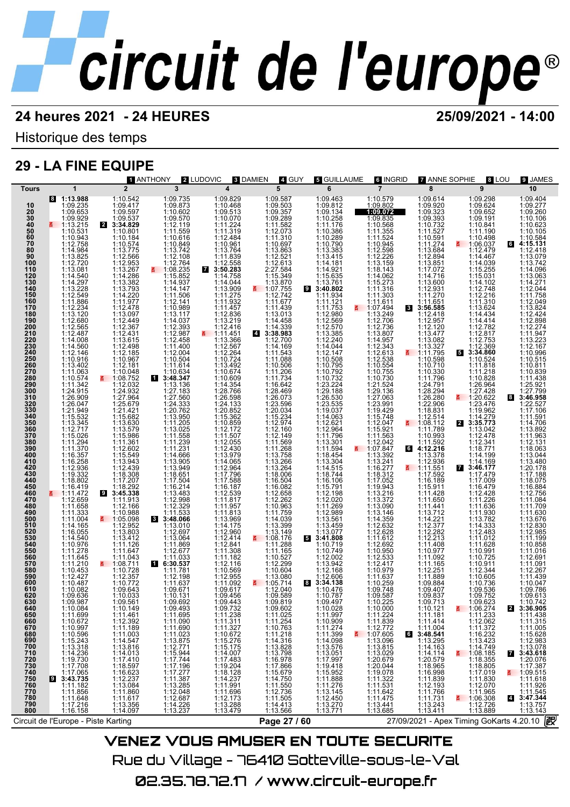Historique des temps

## **29 - LA FINE EQUIPE**

|                                        |                                                                                                                                                                                                                                           | <b>1 ANTHONY</b>                                                                                                                                                                                                                    | 2 LUDOVIC                                              | 3 DAMIEN                                                                                                                                                          | 4. GUY                                                                                                                                                                        | <b>5</b> GUILLAUME                                                             | <b>6 INGRID</b>                                                                                                                                                                            | <b>7 ANNE SOPHIE</b><br>8 LOU                                                                                                                  | <b>9 JAMES</b>                                                                                                                                                                                                                  |
|----------------------------------------|-------------------------------------------------------------------------------------------------------------------------------------------------------------------------------------------------------------------------------------------|-------------------------------------------------------------------------------------------------------------------------------------------------------------------------------------------------------------------------------------|--------------------------------------------------------|-------------------------------------------------------------------------------------------------------------------------------------------------------------------|-------------------------------------------------------------------------------------------------------------------------------------------------------------------------------|--------------------------------------------------------------------------------|--------------------------------------------------------------------------------------------------------------------------------------------------------------------------------------------|------------------------------------------------------------------------------------------------------------------------------------------------|---------------------------------------------------------------------------------------------------------------------------------------------------------------------------------------------------------------------------------|
| <b>Tours</b>                           | $\mathbf{1}$                                                                                                                                                                                                                              | $\overline{2}$                                                                                                                                                                                                                      | $\overline{\mathbf{3}}$                                | $\overline{\mathbf{4}}$                                                                                                                                           | 5 <sup>5</sup>                                                                                                                                                                |                                                                                | $\overline{7}$                                                                                                                                                                             | $\overline{\mathbf{8}}$<br>$\mathbf{9}$                                                                                                        | 10<br>1:09.404                                                                                                                                                                                                                  |
|                                        | 1:13.988<br>1:09.235<br>1:09.9292<br>1:10.5478 1:10.9438 2:228 9:228 2:228 2:238 1:09.929 1:10.5478 1:09.929<br>1:10.5478 1:11.2.720 1:11.886 4:228 2:238 1:12.234 1:238 2:238 1:11.12.234 1:12.234 1:12.234 1:12.234 1:12.234 1:12.234 1 | 1:09.735202714966744289277284589277112239787311112311112311112311112311112311112211112211112211122111221111231<br>1:09.871995719911112.14983744445474769921111233111233220276221112332202762211112.2005221112.20051224438341327<br> |                                                        |                                                                                                                                                                   |                                                                                                                                                                               |                                                                                | 1:10.579<br>1:09.802<br>1:09.072                                                                                                                                                           |                                                                                                                                                | $1:09.404$<br>$1:09.276$<br>$1:10.10623$<br>$1:10.1063$<br>$1:10.584$<br>$1:12.418$<br>$1:13.079$<br>$1:14.096$<br>$1:13.063$<br>$1:12.044$<br>$1:11.768$<br>$1:12.044$<br>$1:11.768$<br>$1:12.044$<br>$1:11.768$<br>$1:12.044$ |
|                                        |                                                                                                                                                                                                                                           |                                                                                                                                                                                                                                     |                                                        |                                                                                                                                                                   |                                                                                                                                                                               |                                                                                |                                                                                                                                                                                            |                                                                                                                                                |                                                                                                                                                                                                                                 |
|                                        |                                                                                                                                                                                                                                           |                                                                                                                                                                                                                                     |                                                        |                                                                                                                                                                   |                                                                                                                                                                               |                                                                                |                                                                                                                                                                                            |                                                                                                                                                |                                                                                                                                                                                                                                 |
|                                        |                                                                                                                                                                                                                                           |                                                                                                                                                                                                                                     |                                                        |                                                                                                                                                                   |                                                                                                                                                                               |                                                                                |                                                                                                                                                                                            |                                                                                                                                                |                                                                                                                                                                                                                                 |
|                                        |                                                                                                                                                                                                                                           |                                                                                                                                                                                                                                     |                                                        |                                                                                                                                                                   |                                                                                                                                                                               |                                                                                |                                                                                                                                                                                            |                                                                                                                                                |                                                                                                                                                                                                                                 |
|                                        |                                                                                                                                                                                                                                           |                                                                                                                                                                                                                                     |                                                        |                                                                                                                                                                   |                                                                                                                                                                               |                                                                                |                                                                                                                                                                                            |                                                                                                                                                |                                                                                                                                                                                                                                 |
|                                        |                                                                                                                                                                                                                                           |                                                                                                                                                                                                                                     |                                                        |                                                                                                                                                                   |                                                                                                                                                                               |                                                                                |                                                                                                                                                                                            |                                                                                                                                                |                                                                                                                                                                                                                                 |
|                                        |                                                                                                                                                                                                                                           |                                                                                                                                                                                                                                     |                                                        |                                                                                                                                                                   |                                                                                                                                                                               |                                                                                |                                                                                                                                                                                            |                                                                                                                                                |                                                                                                                                                                                                                                 |
|                                        |                                                                                                                                                                                                                                           |                                                                                                                                                                                                                                     |                                                        |                                                                                                                                                                   |                                                                                                                                                                               |                                                                                |                                                                                                                                                                                            |                                                                                                                                                |                                                                                                                                                                                                                                 |
|                                        |                                                                                                                                                                                                                                           |                                                                                                                                                                                                                                     |                                                        |                                                                                                                                                                   |                                                                                                                                                                               |                                                                                |                                                                                                                                                                                            |                                                                                                                                                |                                                                                                                                                                                                                                 |
|                                        |                                                                                                                                                                                                                                           |                                                                                                                                                                                                                                     |                                                        |                                                                                                                                                                   |                                                                                                                                                                               |                                                                                |                                                                                                                                                                                            |                                                                                                                                                |                                                                                                                                                                                                                                 |
|                                        |                                                                                                                                                                                                                                           |                                                                                                                                                                                                                                     |                                                        |                                                                                                                                                                   |                                                                                                                                                                               |                                                                                |                                                                                                                                                                                            |                                                                                                                                                |                                                                                                                                                                                                                                 |
|                                        |                                                                                                                                                                                                                                           |                                                                                                                                                                                                                                     |                                                        |                                                                                                                                                                   |                                                                                                                                                                               |                                                                                |                                                                                                                                                                                            |                                                                                                                                                | 1:12.049<br>1:13.824<br>1:12.898<br>1:12.274<br>1:11.947<br>1:12.167<br>1:10.914<br>1:10.914                                                                                                                                    |
|                                        |                                                                                                                                                                                                                                           |                                                                                                                                                                                                                                     |                                                        |                                                                                                                                                                   |                                                                                                                                                                               |                                                                                |                                                                                                                                                                                            |                                                                                                                                                |                                                                                                                                                                                                                                 |
|                                        |                                                                                                                                                                                                                                           |                                                                                                                                                                                                                                     |                                                        |                                                                                                                                                                   |                                                                                                                                                                               |                                                                                |                                                                                                                                                                                            |                                                                                                                                                |                                                                                                                                                                                                                                 |
|                                        |                                                                                                                                                                                                                                           |                                                                                                                                                                                                                                     |                                                        |                                                                                                                                                                   |                                                                                                                                                                               |                                                                                |                                                                                                                                                                                            |                                                                                                                                                |                                                                                                                                                                                                                                 |
|                                        |                                                                                                                                                                                                                                           |                                                                                                                                                                                                                                     |                                                        |                                                                                                                                                                   |                                                                                                                                                                               |                                                                                |                                                                                                                                                                                            |                                                                                                                                                |                                                                                                                                                                                                                                 |
|                                        |                                                                                                                                                                                                                                           |                                                                                                                                                                                                                                     |                                                        |                                                                                                                                                                   |                                                                                                                                                                               |                                                                                |                                                                                                                                                                                            |                                                                                                                                                | $1:10.811$ $1:10.839$ $1:11.438$ $1:25.921$ $1:27.799$ $3:46.958$                                                                                                                                                               |
|                                        |                                                                                                                                                                                                                                           |                                                                                                                                                                                                                                     |                                                        |                                                                                                                                                                   |                                                                                                                                                                               |                                                                                |                                                                                                                                                                                            |                                                                                                                                                | 1:22.527<br>1:17.106                                                                                                                                                                                                            |
|                                        |                                                                                                                                                                                                                                           |                                                                                                                                                                                                                                     |                                                        |                                                                                                                                                                   |                                                                                                                                                                               |                                                                                |                                                                                                                                                                                            |                                                                                                                                                | $\begin{array}{r} 1.11.591 \\ 1.14.706 \\ 1.13.892 \\ 1.11.963 \\ 1.12.131 \end{array}$                                                                                                                                         |
|                                        |                                                                                                                                                                                                                                           |                                                                                                                                                                                                                                     |                                                        |                                                                                                                                                                   |                                                                                                                                                                               |                                                                                |                                                                                                                                                                                            |                                                                                                                                                |                                                                                                                                                                                                                                 |
|                                        |                                                                                                                                                                                                                                           |                                                                                                                                                                                                                                     |                                                        |                                                                                                                                                                   |                                                                                                                                                                               |                                                                                |                                                                                                                                                                                            |                                                                                                                                                |                                                                                                                                                                                                                                 |
|                                        |                                                                                                                                                                                                                                           |                                                                                                                                                                                                                                     |                                                        |                                                                                                                                                                   |                                                                                                                                                                               |                                                                                |                                                                                                                                                                                            |                                                                                                                                                | 1:18.063<br>1:13.044<br>1:13.480<br>1:20.178                                                                                                                                                                                    |
|                                        |                                                                                                                                                                                                                                           |                                                                                                                                                                                                                                     |                                                        |                                                                                                                                                                   |                                                                                                                                                                               |                                                                                |                                                                                                                                                                                            |                                                                                                                                                |                                                                                                                                                                                                                                 |
|                                        |                                                                                                                                                                                                                                           |                                                                                                                                                                                                                                     |                                                        |                                                                                                                                                                   |                                                                                                                                                                               |                                                                                |                                                                                                                                                                                            |                                                                                                                                                |                                                                                                                                                                                                                                 |
|                                        |                                                                                                                                                                                                                                           |                                                                                                                                                                                                                                     |                                                        |                                                                                                                                                                   |                                                                                                                                                                               |                                                                                |                                                                                                                                                                                            |                                                                                                                                                |                                                                                                                                                                                                                                 |
|                                        |                                                                                                                                                                                                                                           |                                                                                                                                                                                                                                     |                                                        |                                                                                                                                                                   |                                                                                                                                                                               |                                                                                |                                                                                                                                                                                            |                                                                                                                                                |                                                                                                                                                                                                                                 |
|                                        |                                                                                                                                                                                                                                           |                                                                                                                                                                                                                                     |                                                        |                                                                                                                                                                   |                                                                                                                                                                               |                                                                                |                                                                                                                                                                                            |                                                                                                                                                |                                                                                                                                                                                                                                 |
|                                        |                                                                                                                                                                                                                                           |                                                                                                                                                                                                                                     |                                                        |                                                                                                                                                                   |                                                                                                                                                                               |                                                                                |                                                                                                                                                                                            |                                                                                                                                                |                                                                                                                                                                                                                                 |
|                                        |                                                                                                                                                                                                                                           |                                                                                                                                                                                                                                     |                                                        |                                                                                                                                                                   |                                                                                                                                                                               |                                                                                |                                                                                                                                                                                            |                                                                                                                                                |                                                                                                                                                                                                                                 |
|                                        |                                                                                                                                                                                                                                           |                                                                                                                                                                                                                                     |                                                        |                                                                                                                                                                   |                                                                                                                                                                               |                                                                                |                                                                                                                                                                                            |                                                                                                                                                |                                                                                                                                                                                                                                 |
|                                        |                                                                                                                                                                                                                                           |                                                                                                                                                                                                                                     |                                                        |                                                                                                                                                                   |                                                                                                                                                                               |                                                                                |                                                                                                                                                                                            |                                                                                                                                                |                                                                                                                                                                                                                                 |
|                                        |                                                                                                                                                                                                                                           |                                                                                                                                                                                                                                     |                                                        |                                                                                                                                                                   |                                                                                                                                                                               |                                                                                |                                                                                                                                                                                            |                                                                                                                                                |                                                                                                                                                                                                                                 |
|                                        |                                                                                                                                                                                                                                           |                                                                                                                                                                                                                                     |                                                        |                                                                                                                                                                   |                                                                                                                                                                               |                                                                                |                                                                                                                                                                                            |                                                                                                                                                |                                                                                                                                                                                                                                 |
|                                        |                                                                                                                                                                                                                                           |                                                                                                                                                                                                                                     |                                                        |                                                                                                                                                                   |                                                                                                                                                                               |                                                                                |                                                                                                                                                                                            |                                                                                                                                                | 1:09.613                                                                                                                                                                                                                        |
| 620<br>630                             |                                                                                                                                                                                                                                           |                                                                                                                                                                                                                                     |                                                        |                                                                                                                                                                   |                                                                                                                                                                               |                                                                                |                                                                                                                                                                                            |                                                                                                                                                | 1:10.742                                                                                                                                                                                                                        |
| 640<br>650                             | 1:10.084<br>1:11.699                                                                                                                                                                                                                      | 1:10.149<br>1:11.461                                                                                                                                                                                                                | 1:09.493<br>1:11.695                                   | 1:09.732<br>1:11.238                                                                                                                                              | 1:09.602<br>1:11.025                                                                                                                                                          | 1:10.028<br>1:11.997                                                           | 1:10.000<br>1:11.224                                                                                                                                                                       | $\frac{2}{1.06.274}$<br>1:11.233<br>1:10.121<br>$\mathbf{z}$<br>1:11.181                                                                       | 3:36.905<br>1:11.438                                                                                                                                                                                                            |
| 660<br>670                             | 1:10.672<br>1:10.997                                                                                                                                                                                                                      | 1:12.392<br>1:11.189                                                                                                                                                                                                                | 1:11.090<br>1:11.690                                   |                                                                                                                                                                   |                                                                                                                                                                               | 1:10.909<br>1:11.274                                                           |                                                                                                                                                                                            | 1:12.062<br>1:11.372                                                                                                                           | 1:11.315<br>1:11.005                                                                                                                                                                                                            |
| 680<br>690<br>700                      | $1:10.596$<br>$1:15.243$<br>$1:13.318$<br>$1:14.236$<br>$1:19.730$<br>$1:17.708$                                                                                                                                                          | 1:11.189<br>1:11.003<br>1:13.846<br>1:14.013<br>1:17.410<br>1:16.623<br>1:12.237<br>1:11.860<br>1:11.860                                                                                                                            | $1:11.023$<br>$1:13.875$<br>$1:12.771$<br>$1:15.944$   |                                                                                                                                                                   | 1:11.025<br>1:10.763<br>1:10.763<br>1:12.78<br>1:14.31798<br>1:13.798<br>1:15.55<br>1:11.55<br>1:11.55<br>1:11.55<br>1:11.55<br>1:11.55<br>1:11.55<br>1:11.55<br>1:11.55<br>1 | $\begin{array}{r} 1:11.399 \\ 1:14.098 \\ 1:13.576 \\ 1:13.051 \\ \end{array}$ | $1:11.224$<br>$1:12.772$<br>$1:07.605$<br>$1:13.096$<br>$1:13.044$<br>$1:13.20.044$<br>$1:19.078$<br>$1:11.522$<br>$1:11.642$<br>$1:11.642$<br>$1:11.642$<br>$1:11.642$<br>$1:11.642$<br>6 | $\begin{array}{r} 1:11.414 \\ 1:11.004 \\ 3:48.541 \\ 1:13.295 \\ 1:14.163 \end{array}$<br>$1:16.232\n1:13.423\n1:14.749\n1:108.185\n1:18.355$ | $1:15.628$ $1:12.983$ $1:13.078$ $3:43.618$ $1:20.076$                                                                                                                                                                          |
| 710                                    |                                                                                                                                                                                                                                           |                                                                                                                                                                                                                                     |                                                        |                                                                                                                                                                   |                                                                                                                                                                               |                                                                                |                                                                                                                                                                                            | 1:14.114                                                                                                                                       | $\overline{7}$                                                                                                                                                                                                                  |
|                                        |                                                                                                                                                                                                                                           |                                                                                                                                                                                                                                     | 1:17.744                                               |                                                                                                                                                                   |                                                                                                                                                                               | 1:17.997                                                                       |                                                                                                                                                                                            |                                                                                                                                                |                                                                                                                                                                                                                                 |
|                                        |                                                                                                                                                                                                                                           |                                                                                                                                                                                                                                     |                                                        |                                                                                                                                                                   |                                                                                                                                                                               | 1:19.418<br>1:15.952<br>1:11.888                                               |                                                                                                                                                                                            | 1:18.805                                                                                                                                       | 1:17.387                                                                                                                                                                                                                        |
| 720<br>730<br>740<br>750<br>750<br>760 | 1:17.065<br>3:43.735<br>1:11.182<br>19.                                                                                                                                                                                                   |                                                                                                                                                                                                                                     | $1:17.196$ $1:17.277$ $1:11.387$ $1:13.285$ $1:12.048$ |                                                                                                                                                                   |                                                                                                                                                                               | 1:11.276                                                                       |                                                                                                                                                                                            | $1:20.579$ $1:18.965$ $1:16.998$ $1:11.839$ $1:12.193$ $1:11.766$ $1:14.734$<br>1:17.019<br>1:11.830<br>1:12.070                               | $\frac{1109.515}{1:11.618}$<br>1:11.618                                                                                                                                                                                         |
| 770<br>780                             | 1:11.856                                                                                                                                                                                                                                  | 1:11.617                                                                                                                                                                                                                            |                                                        |                                                                                                                                                                   | 1:11.505                                                                                                                                                                      | 1:13.145                                                                       |                                                                                                                                                                                            | 1:11.965<br>1:11.731                                                                                                                           | $4:11.545$<br>3:47.344                                                                                                                                                                                                          |
| 790<br>800                             | 1:11.648<br>1:17.216<br>1:16.158                                                                                                                                                                                                          | 1:13.356<br>1:14.097                                                                                                                                                                                                                | 1:12.687<br>1:14.226<br>1:13.237                       | $\begin{array}{c} 1:11.311\\ 1:11.327\\ 1:10.672\\ 1:15.775\\ 1:14.007\\ 1:14.007\\ 1:17.483\\ 1:19.204\\ 1:18.1237\\ 1:11.696\\ 1:13.273\\ 1:13.479 \end{array}$ | 1:14.413<br>1:13.566                                                                                                                                                          | 1:12.450<br>1:13.270<br>1:13.771                                               | 1:13.441<br>1:13.685                                                                                                                                                                       | $\frac{1106.308}{1:12.726}$<br>1:13.889<br>$1:13.243$<br>$1:13.411$                                                                            | 1:13.757<br>1:13.143                                                                                                                                                                                                            |
|                                        | Circuit de l'Europe - Piste Karting                                                                                                                                                                                                       |                                                                                                                                                                                                                                     |                                                        |                                                                                                                                                                   | Page 27 / 60                                                                                                                                                                  |                                                                                |                                                                                                                                                                                            | 27/09/2021 - Apex Timing GoKarts 4.20.10                                                                                                       | 霰                                                                                                                                                                                                                               |
|                                        |                                                                                                                                                                                                                                           |                                                                                                                                                                                                                                     |                                                        |                                                                                                                                                                   |                                                                                                                                                                               |                                                                                |                                                                                                                                                                                            |                                                                                                                                                |                                                                                                                                                                                                                                 |
|                                        |                                                                                                                                                                                                                                           | VENEZ VOLIS OMLISER EN TOLITE SECLIRITE                                                                                                                                                                                             |                                                        |                                                                                                                                                                   |                                                                                                                                                                               |                                                                                |                                                                                                                                                                                            |                                                                                                                                                |                                                                                                                                                                                                                                 |

Rue du Village – 76410 Sotteville-sous-le-Val 02.35.78.72.17 / www.circuit-europe.fr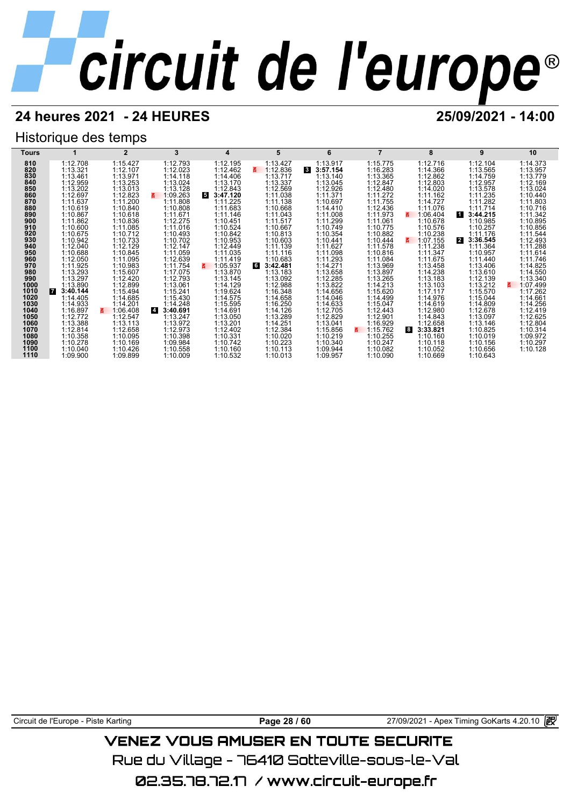## **24 heures 2021 - 24 HEURES 25/09/2021 - 14:00**

## Historique des temps



Circuit de l'Europe - Piste Karting **Page 28 / 60** 27/09/2021 - Apex Timing GoKarts 4.20.10

## VENEZ VOUS AMUSER EN TOUTE SECURITE

Rue du Village – 76410 Sotteville-sous-le-Val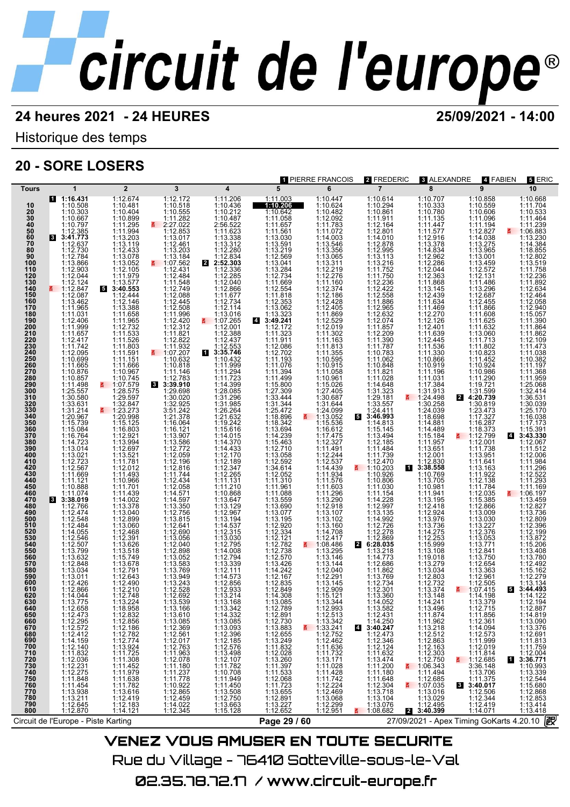## **24 heures 2021 - 24 HEURES 25/09/2021 - 14:00**

Historique des temps

## **20 - SORE LOSERS**



02.35.78.72.17 / www.circuit-europe.fr

Rue du Village – 76410 Sotteville-sous-le-Val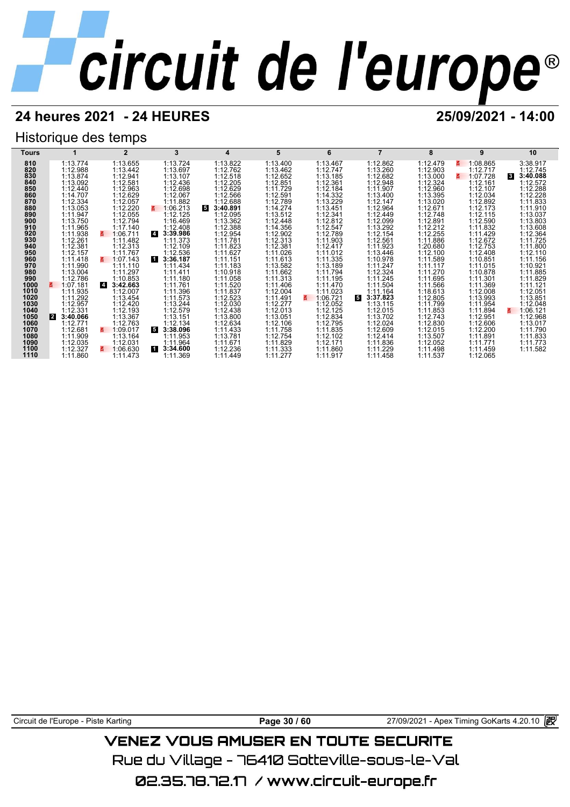## **24 heures 2021 - 24 HEURES 25/09/2021 - 14:00**

## Historique des temps

| Tours        |                          |                            | 3                          | 4                       | 5                    | 6                          |                           | 8                    | 9                    | 10                    |
|--------------|--------------------------|----------------------------|----------------------------|-------------------------|----------------------|----------------------------|---------------------------|----------------------|----------------------|-----------------------|
| 810          | 1:13.774                 | 1:13.655                   | 1:13.724                   | 1:13.822                | 1:13.400             | 1:13.467                   | 1:12.862                  | 1:12.479             | 1:08.865<br>ē.       | 3:38.917              |
| 820          | 1:12.988                 | 1:13.442                   | 1:13.697                   | 1:12.762                | 1:13.462             | 1:12.747                   | 1:13.260                  | 1:12.903             | 1:12.717             | 1:12.745              |
| 830          | 1:13.874                 | 1:12.941                   | 1:13.107                   | 1:12.518                | 1:12.652             | 1:13.185                   | 1:12.682                  | 1:13.000             | 1:07.728             | 3:40.088<br>$\vert$ 3 |
| 840          | 1:13.092                 | 1:12.581                   | 1:12.436                   | 1:12.205                | 1:12.851             | 1:12.361                   | 1:12.948                  | 1:12.324             | 1:12.161             | 1:12.572              |
| 850<br>860   | 1:12.440                 | 1:12.963                   | 1:12.698                   | 1:12.629                | 1:11.729             | 1:12.184                   | 1:11.907                  | 1:12.960             | 1:12.107             | 1:12.288              |
| 870          | 1:14.707<br>1:12.334     | 1:12.629<br>1:12.057       | 1:12.067<br>1:11.882       | 1:12.566<br>1:12.688    | 1:12.591<br>1:12.789 | 1:14.332<br>1:13.229       | 1:13.400<br>1:12.147      | 1:13.395<br>1:13.020 | 1:12.034<br>1:12.892 | 1:12.228<br>1:11.833  |
| 880          | 1:13.053                 | 1:12.220                   | 1:06.213                   | $5^{\circ}$<br>3:40.891 | 1:14.274             | 1:13.451                   | 1:12.964                  | 1:12.671             | 1:12.173             | 1:11.910              |
| 890          | 1:11.947                 | 1:12.055                   | 1:12.125                   | 1:12.095                | 1:13.512             | 1:12.341                   | 1:12.449                  | 1:12.748             | 1:12.115             | 1:13.037              |
| 900          | 1:13.750                 | 1:12.794                   | 1:16.469                   | 1:13.362                | 1:12.448             | 1:12.812                   | 1:12.099                  | 1:12.891             | 1:12.590             | 1:13.803              |
| 910          | 1:11.965                 | 1:17.140                   | 1:12.408                   | 1:12.388                | 1:14.356             | 1:12.547                   | 1:13.292                  | 1:12.212             | 1:11.832             | 1:13.608              |
| 920          | 1:11.938                 | 1:06.711                   | $\overline{4}$<br>3:39.986 | 1:12.954                | 1:12.902             | 1:12.789                   | 1:12.154                  | 1:12.255             | 1:11.429             | 1:12.364              |
| 930          | 1:12.261                 | 1:11.482                   | 1:11.373                   | 1:11.781                | 1:12.313             | 1:11.903                   | 1:12.561                  | 1:11.886             | 1:12.672             | 1:11.725              |
| 940<br>950   | 1:12.381<br>1:12.157     | 1:12.313<br>1:11.767       | 1:12.109<br>1:12.536       | 1:11.823<br>1:11.627    | 1:12.381<br>1:11.026 | 1:12.417<br>1:11.012       | 1:11.923<br>1:13.446      | 1:20.680<br>1:12.100 | 1:12.753<br>1:12.408 | 1:11.800<br>1:12.110  |
| 960          | 1:11.418                 | 1:07.143                   | И<br>3:36.187              | 1:11.151                | 1:11.613             | 1:11.335                   | 1:10.978                  | 1:11.589             | 1:10.851             | 1:11.156              |
| 970          | 1:11.990                 | 1:11.110                   | 1:11.434                   | 1:11.183                | 1:13.582             | 1:13.189                   | 1:11.247                  | 1:11.117             | 1:11.015             | 1:10.921              |
| 980          | 1:13.004                 | 1:11.297                   | 1:11.411                   | 1:10.918                | 1:11.662             | 1:11.794                   | 1:12.324                  | 1:11.270             | 1:10.878             | 1:11.885              |
| 990          | 1:12.786                 | 1:10.853                   | 1:11.180                   | 1:11.058                | 1:11.313             | 1:11.195                   | 1:11.245                  | 1:11.695             | 1:11.301             | 1:11.829              |
| 1000         | 1:07.181                 | $\overline{4}$<br>3:42.663 | 1:11.761                   | 1:11.520                | 1:11.406             | 1:11.470                   | 1:11.504                  | 1:11.566             | 1:11.369             | 1:11.121              |
| 1010         | 1:11.935                 | 1:12.007                   | 1:11.396                   | 1:11.837                | 1:12.004             | 1:11.023                   | 1:11.164                  | 1:18.613             | 1:12.008             | 1:12.051              |
| 1020<br>1030 | 1:11.292<br>1:12.957     | 1:13.454<br>1:12.420       | 1:11.573<br>1:13.244       | 1:12.523<br>1:12.030    | 1:11.491<br>1:12.277 | 1:06.721<br>3.<br>1:12.052 | 3:37.823<br>5<br>1:13.115 | 1:12.805<br>1:11.799 | 1:13.993<br>1:11.954 | 1:13.851<br>1:12.048  |
| 1040         | 1:12.331                 | 1:12.193                   | 1:12.579                   | 1:12.438                | 1:12.013             | 1:12.125                   | 1:12.015                  | 1:11.853             | 1:11.894             | 1:06.121              |
| 1050         | $\mathbf{2}$<br>3:40.066 | 1:13.367                   | 1:13.151                   | 1:13.800                | 1:13.051             | 1:12.834                   | 1:13.702                  | 1:12.743             | 1:12.951             | 1:12.968              |
| 1060         | 1:12.771                 | 1:12.763                   | 1:12.134                   | 1:12.634                | 1:12.106             | 1:12.795                   | 1:12.024                  | 1:12.830             | 1:12.606             | 1:13.017              |
| 1070         | 1:12.681                 | 1:09.017                   | 5<br>3:38.096              | 1:11.433                | 1:11.758             | 1:11.835                   | 1:12.609                  | 1:12.015             | 1:12.200             | 1:11.790              |
| 1080         | 1:11.909                 | 1:13.164                   | 1:11.953                   | 1:13.781                | 1:12.754             | 1:12.102                   | 1:12.414                  | 1:13.507             | 1:11.891             | 1:11.833              |
| 1090         | 1:12.035                 | 1:12.031                   | 1:11.964                   | 1:11.671                | 1:11.829             | 1:12.171                   | 1:11.836                  | 1:12.052             | 1:11.771             | 1:11.773              |
| 1100<br>1110 | 1:12.327                 | 1:06.630                   | 11<br>3:34.600             | 1:12.236                | 1:11.333             | 1:11.860                   | 1:11.229                  | 1:11.498             | 1:11.459             | 1:11.582              |
|              | 1:11.860                 | 1:11.473                   | 1:11.369                   | 1:11.449                | 1:11.277             | 1:11.917                   | 1:11.458                  | 1:11.537             | 1:12.065             |                       |

Circuit de l'Europe - Piste Karting **Page 30 / 60** Page 30 / 60 27/09/2021 - Apex Timing GoKarts 4.20.10 图

## **VENEZ VOUS AMUSER EN TOUTE SECURITE**

Rue du Village – 76410 Sotteville-sous-le-Val

02.35.78.72.17 /www.circuit-europe.fr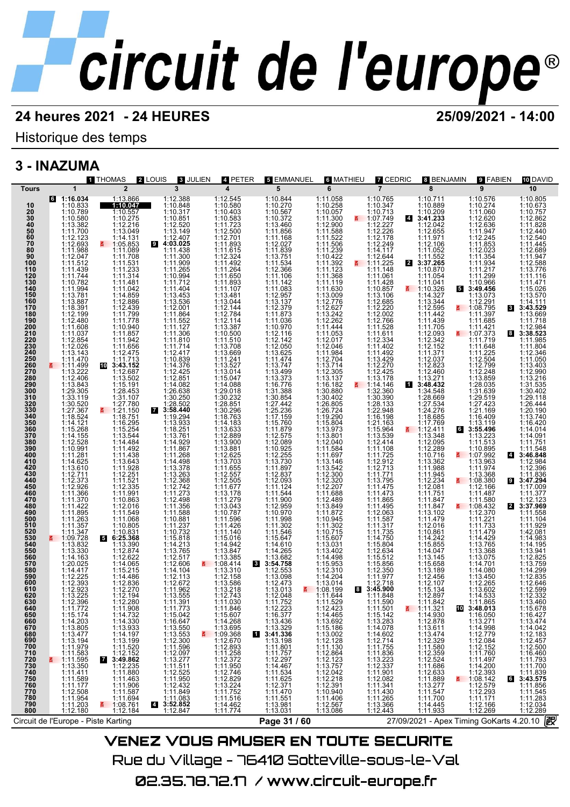## Historique des temps

## **3 - INAZUMA**

| <b>1 THOMAS</b>                                                                                                                                                                                                                                                                                          | <b>2</b> LOUIS<br><b>3 JULIEN</b>                                                | 4 PETER                                                                                                                                                                                                                                     | <b>5 EMMANUEL</b>                                                                       | <b>6 MATHIEU</b>                                                                                                     | <b>Z</b> CEDRIC                                                                                                                                                                                               | <b>8 BENJAMIN</b>                                                                                                                           | 9 FABIEN                                                                                                    | 10 DAVID                                                                                                                                                                                                                                                                    |
|----------------------------------------------------------------------------------------------------------------------------------------------------------------------------------------------------------------------------------------------------------------------------------------------------------|----------------------------------------------------------------------------------|---------------------------------------------------------------------------------------------------------------------------------------------------------------------------------------------------------------------------------------------|-----------------------------------------------------------------------------------------|----------------------------------------------------------------------------------------------------------------------|---------------------------------------------------------------------------------------------------------------------------------------------------------------------------------------------------------------|---------------------------------------------------------------------------------------------------------------------------------------------|-------------------------------------------------------------------------------------------------------------|-----------------------------------------------------------------------------------------------------------------------------------------------------------------------------------------------------------------------------------------------------------------------------|
| $\overline{2}$<br>$\mathbf{1}$<br>Tours                                                                                                                                                                                                                                                                  | 3                                                                                | 4                                                                                                                                                                                                                                           | 5                                                                                       | 6                                                                                                                    | $\overline{7}$                                                                                                                                                                                                | 8                                                                                                                                           | 9                                                                                                           | 10                                                                                                                                                                                                                                                                          |
| $6$ 1:16.034<br>1:13.866<br>1:10.833<br>1:10.789<br>10<br>1:10.047<br>$\frac{20}{30}$                                                                                                                                                                                                                    | 1:12.388<br>1:10.848<br>1:10.317                                                 | 1:12.545<br>1:10.580<br>1:10.403                                                                                                                                                                                                            | 1:10.844<br>1:10.270<br>1:10.567                                                        | 1:11.058<br>1:10.258<br>1:10.057                                                                                     | 1:10.765<br>1:10.347<br>1:10.713                                                                                                                                                                              | 1:10.711<br>$1:10.889$<br>1:10.209<br>3:41.233                                                                                              | 1:10.576<br>1:10.274<br>1:11.060                                                                            | 1:10.805<br>1:10.673<br>1:10.757<br>1:12.862                                                                                                                                                                                                                                |
| 1:10.557<br>1:10.275<br>1:12.216<br>1:13.049<br>$1:10.789\n1:13.382\n1:11.700\n1:12.123\n1:12.693\n1:11.988\n1:14.547$<br>40<br>50<br>60<br>1:14.131                                                                                                                                                     | 1:10.851<br>1:12.520<br>1:13.149<br>1:12.407                                     |                                                                                                                                                                                                                                             | $\begin{array}{c} 1:10.372 \\ 1:13.460 \\ 1:11.856 \\ 1:11.168 \end{array}$             | 1:11.300<br>1:12.900<br>1:11.588<br>1:11.522                                                                         | $\frac{1107.749}{112.227}$<br>1:12.226<br>1:12.178                                                                                                                                                            | 1:12.042<br>1:12.655<br>1:11.971                                                                                                            | 1:12.620<br>1:12.636<br>1:11.947<br>1:12.245                                                                | 1:11.828<br>1:12.440<br>1:12.540                                                                                                                                                                                                                                            |
| $\frac{2}{1}$ 1:05.853<br>1:11.089<br>100                                                                                                                                                                                                                                                                | $\begin{array}{r} 1.03.025 \\ 1.11.438 \\ 1.11.300 \end{array}$                  |                                                                                                                                                                                                                                             | 1:12.027<br>1:11.839<br>1:13.751                                                        | 1:11.506<br>1:11.239<br>1:10.422<br>1:11.392                                                                         | $\begin{array}{c} 1:12.249 \\ 1:14.117 \\ 1:12.644 \end{array}$<br>$\frac{2}{5}$ 1:11.225                                                                                                                     | 1:12.106<br>$1:11.052$<br>$1:11.552$<br>2 3:37.265                                                                                          | 1:11.853<br>1:12.023<br>1:11.354                                                                            | 1:11.445<br>1:12.689<br>1:11.947<br>1:12.588                                                                                                                                                                                                                                |
| 1:11.531<br>1:11.233<br>110<br>120<br>130<br>1:11.314                                                                                                                                                                                                                                                    |                                                                                  |                                                                                                                                                                                                                                             | 1:11.534<br>1:12.366<br>1:11.106                                                        | 1:11.123<br>1:11.368<br>1:11.119                                                                                     | 1:11.148                                                                                                                                                                                                      | 1:10.870<br>1:11.054<br>1:11.041                                                                                                            | 1:11.934<br>1:11.217<br>$1:11.299$ $1:10.966$ $3:49.456$ $1:13.073$                                         | 1:13.776<br>1:11.116                                                                                                                                                                                                                                                        |
| $1:12.047$ $1:11.512$ $1:11.744$ $1:10.782$ $1:13.887$ $1:13.887$ $1:12.391$ $1:12.391$<br>$\begin{array}{r} 1:11.314 \\ 1:11.042 \\ 1:14.859 \\ 1:12.886 \end{array}$<br>140<br>150<br>160<br>1:12.439<br>170                                                                                           | $1:11.300\n1:11.265\n1:10.994\n1:11.712\n1:11.404\n1:13.453\n1:12.001\n1:12.004$ | $\begin{array}{c} 1:10.583 \\ 1:11.723 \\ 1:12.700 \\ 1:12.701 \\ 1:11.893 \\ 1:12.324 \\ 1:11.264 \\ 1:11.264 \\ 1:11.650 \\ 1:11.304 \\ 1:11.304 \\ 1:11.304 \\ 1:12.144 \end{array}$                                                     | 1:11.100<br>1:11.142<br>1:12.957<br>1:13.137<br>1:12.379                                | 1:11.630<br>1:13.009<br>1:12.776<br>1:12.627                                                                         |                                                                                                                                                                                                               | $\frac{1110.326}{1.14.327}$<br>1:13.344<br>1:12.595                                                                                         | 1:12.291<br>$\frac{2}{1}$ 1:08.795                                                                          | 1:11.471<br>1:15.026<br>1:13.570<br>1:14.111                                                                                                                                                                                                                                |
| 1:11.799<br>180<br>1:12.199<br>190<br>200<br>1:12.480<br>1:11.608<br>1:11.778<br>1:10.940                                                                                                                                                                                                                | 1:11.864<br>$1:11.552$<br>$1:11.127$                                             | $1:12.784$<br>$1:12.114$<br>$1:13.387$                                                                                                                                                                                                      | 1:11.873<br>1:11.036<br>1:10.970                                                        | 1:13.242<br>1:12.262<br>1:11.444                                                                                     | 1:11.148<br>1:11.428<br>1:11.428<br>1:12.685<br>1:12.220<br>1:12.766<br>1:11.523<br>1:11.53                                                                                                                   | 1:11.442<br>1:11.439<br>1:11.705                                                                                                            | 1:11.397<br>1:11.685<br>1:11.421                                                                            | 3 3:43.529<br>1:13.669<br>1:11.718<br>1:12.984                                                                                                                                                                                                                              |
| 210<br>1:11.037<br>1:12.854<br>1:12.026<br>1:13.143<br>1:11.470<br>$1:11.857$ $1:11.857$ $1:11.656$ $1:12.475$ $1:11.713$<br>220<br>230                                                                                                                                                                  | 1:11.306<br>1:11.810<br>1:11.714                                                 |                                                                                                                                                                                                                                             | 1:12.116                                                                                | 1:11.053<br>1:12.017<br>1:12.046                                                                                     |                                                                                                                                                                                                               | $1:12.093$ $1:12.342$ $1:11.371$ $1:12.037$                                                                                                 | $\frac{2}{11}$ 1:07.373                                                                                     | 8 3:38.523<br>1:11.985<br>1:11.804                                                                                                                                                                                                                                          |
| 240<br>250<br>260<br>₹ 1:11.499<br>10<br>3:43.152<br>270<br>1:12.687                                                                                                                                                                                                                                     | 1:12.417<br>1:10.839<br>1:14.376<br>1:12.425                                     | $1:13.387$<br>$1:11.510$<br>$1:13.708$<br>$1:13.669$<br>$1:11.241$<br>$1:13.014$<br>$1:15.047$<br>$1:14.088$                                                                                                                                | 1:12.110<br>1:12.050<br>1:13.625<br>1:11.474<br>1:13.747<br>1:13.499                    | $1:11.984$<br>$1:12.704$<br>$1:13.714$<br>1:12.305                                                                   | $1:11.526$ $1:11.611$ $1:11.402$ $1:11.492$ $1:12.429$ $1:12.4245$                                                                                                                                            | 1:12.823<br>1:12.460                                                                                                                        | 1:11.648<br>1:11.225<br>1:12.504<br>1:12.799<br>1:12.248                                                    | 1:12.346<br>1:11.050<br>1:13.403<br>1:12.990                                                                                                                                                                                                                                |
| 1:13.222<br>1:12.406<br>280<br>290<br>1:13.502<br>$1:13.843$<br>$1:29.305$<br>1:15.191<br>1:28.453<br>300                                                                                                                                                                                                | $1:12.851$<br>$1:14.082$                                                         |                                                                                                                                                                                                                                             | 1:13.373<br>1:16.776                                                                    | $1:13.137$<br>$1:16.182$<br>1:30.880                                                                                 | 1:13.178                                                                                                                                                                                                      | $1:13.271$<br>3:48.432<br>1:34.548<br>1:28.669                                                                                              | 1:13.859<br>1:28.035<br>1:31.639                                                                            | 1:13.216<br>1:31.535<br>1:30.402                                                                                                                                                                                                                                            |
| 310<br>1:33.119<br>1:31.107<br>320<br>330<br>$1:30.520$<br>$1:27.367$<br>$1:18.524$<br>$1:14.121$<br>1:27.780<br>₹ 1:21.150                                                                                                                                                                              | $1:26.638$<br>$1:30.250$<br>$1:28.502$<br>73:58.440<br>1:19.294                  | $1:29.018$<br>$1:29.018$<br>$1:28.851$<br>$1:30.296$<br>$1:18.763$<br>$1:14.183$                                                                                                                                                            | $1:31.388$ $1:30.854$ $1:27.442$ $1:25.236$                                             | 1:30.402<br>1:26.805<br>1:26.724                                                                                     |                                                                                                                                                                                                               | 1:27.534<br>1:24.276                                                                                                                        | 1:29.519<br>1:27.423<br>1:21.169                                                                            | 1:29.118<br>1:26.444<br>1:20.190                                                                                                                                                                                                                                            |
| 340<br>350<br>$1:18.751$<br>$1:16.295$<br>$1:15.254$<br>360<br>1:15.268<br>1:14.155<br>370<br>$1:13.544$<br>$1:14.484$                                                                                                                                                                                   | 1:13.933                                                                         | 1:13.633<br>1:12.889                                                                                                                                                                                                                        | 1:17.159<br>1:15.760<br>1:11.879<br>1:12.575                                            | 1:19.290<br>1:15.804<br>1:13.973<br>1:13.801                                                                         |                                                                                                                                                                                                               | 1:18.685<br>$\frac{3}{2}$ 1:12.411<br>1:13.348                                                                                              | 1:16.409<br>1:13.119<br>3:55.496<br>1:13.223                                                                | $1:13.740$<br>$1:16.420$<br>1:14.014<br>1:14.091                                                                                                                                                                                                                            |
| 380<br>1:12.528<br>390<br>400<br>1:10.991<br>1:11.281<br>1:14.625<br>1:13.610<br>$1:11.492$<br>$1:11.438$<br>410                                                                                                                                                                                         | 1:18.251<br>1:18.251<br>1:14.929<br>1:11.867<br>1:11.268<br>1:13.378             | 1:13.900<br>1:13.881<br>1:12.625<br>1:13.703<br>1:11.655                                                                                                                                                                                    | 1:12.089<br>$1:10.925$ $1:12.255$ $1:13.730$ $1:11.897$                                 | 1:12.040<br>1:11.584<br>1:13.146                                                                                     | $1:14.178$<br>$1:32.360$<br>$1:22.948$<br>$1:22.948$<br>$1:22.948$<br>$1:22.948$<br>$1:21.163$<br>$1:12.1163$<br>$1:12.414$<br>$1:11.1725$<br>$1:11.1725$<br>$1:11.1727$<br>$1:11.1727$                       | 1:12.095<br>1:12.289<br>1:10.716                                                                                                            | 1:11.513<br>$\begin{array}{r}\n 1:10.895 \\  \hline\n 1:07.992\n \end{array}$<br>$\overline{a}$<br>1:13.963 | 1:11.751<br>1:11.548<br>3:46.848<br>1:12.984                                                                                                                                                                                                                                |
| $1:13.643$<br>$1:11.928$<br>$1:12.251$<br>$1:11.521$<br>420<br>430<br>$1:12.711$<br>$1:12.373$<br>440                                                                                                                                                                                                    | $1:13.263$<br>$1:12.368$<br>$1:12.742$                                           | 1:12.557<br>1:12.505                                                                                                                                                                                                                        | $1:12.837$<br>$1:12.093$<br>$1:11.124$                                                  | 1:13.542<br>$\begin{array}{r} 1:12.300 \\ 1:12.320 \\ 1:12.207 \\ 1:11.688 \end{array}$                              |                                                                                                                                                                                                               | 1:13.362<br>1:11.988<br>1:11.945                                                                                                            | 1:11.974<br>1:13.368<br>$\frac{2}{1}$ 1:08.380                                                              | 1:12.396<br>1:11.836<br>$9$ 3:47.294                                                                                                                                                                                                                                        |
| 450<br>$1:12.3/3$<br>1:11.366<br>1:11.370<br>1:11.422<br>1:11.428<br>1:11.347<br>1:11.347<br>1:13.47<br>1:13.47<br>1:13.47<br>1:12.335<br>460<br>1:11.991<br>470<br>1:10.863<br>1:12.016                                                                                                                 | $1:1\overline{1}.27\overline{3}$                                                 | 1:11.677<br>1:13.178<br>1:11.279                                                                                                                                                                                                            | 1:11.544<br>1:11.900                                                                    | 1:12.489<br>1:13.849                                                                                                 | $\begin{smallmatrix} 1:1771\\ 1:13.795\\ 1:14.475\\ 1:11.475\\ 1:11.4965\\ 1:11.4965\\ 1:11.3877\\ 1:11.7350\\ 1:11.7350\\ 1:15.804\\ 1:15.812\\ 1:15.856\\ 1:12.778\\ 1:11.977\\ 1:12.778 \end{smallmatrix}$ | 1:12.081<br>1:11.751<br>1:11.847<br>1:11.847                                                                                                | 1:12.166<br>1:11.487<br>1:11.580<br>$\frac{2}{5}$ 1:08.432                                                  | 1:17.009<br>1:11.377<br>$\frac{1:12.123}{3:37.969}$                                                                                                                                                                                                                         |
| 480<br>490<br>$1:11.549$<br>$1:11.068$<br>$1:10.805$<br>500<br>510                                                                                                                                                                                                                                       | $1:12.498$ $1:11.356$ $1:11.588$ $1:10.881$ $1:11.237$ $1:10.732$ $1:15.339$     | $\begin{array}{l} 1:13.043 \\ 1:10.787 \\ 1:11.596 \\ 1:11.426 \end{array}$                                                                                                                                                                 | $\begin{array}{l} 1.11.900 \\ 1.12.959 \\ 1.10.970 \\ 1.11.998 \\ 1.11.302 \end{array}$ | 1:11.872<br>1:10.945<br>1:11.302                                                                                     |                                                                                                                                                                                                               | 1:13.102<br>1:11.479<br>1:12.016                                                                                                            | $1:12.370$<br>$1:11.221$<br>1:11.733                                                                        | 1:11.558<br>1:11.104<br>1:11.929                                                                                                                                                                                                                                            |
| 1:10.831<br>520<br>530<br>56:25.368<br>540<br>1:13.832<br>1:13.390<br>550<br>1:12.874                                                                                                                                                                                                                    | 1:15.818<br>1:14.213<br>1:13.765                                                 | $1:11.140$<br>$1:15.016$<br>$1:14.942$<br>$1:13.847$                                                                                                                                                                                        | 1:11.546<br>1:15.647<br>1:14.610<br>1:14.265                                            | 1:10.715<br>1:15.607<br>1:13.031<br>1:13.402                                                                         |                                                                                                                                                                                                               | 1:10.861<br>1:14.242<br>1:15.855                                                                                                            | 1:11.479<br>1:14.429<br>1:13.765<br>1:13.368                                                                | 1:42.081<br>1:14.983<br>1:14.195<br>1:13.941                                                                                                                                                                                                                                |
| 560<br>1:14.163<br>1:12.622<br>570<br>1:20.025<br>1:14.065<br>580                                                                                                                                                                                                                                        | 1:12.517<br>1:12.606<br>1:14.104                                                 | 3                                                                                                                                                                                                                                           | 1:13.682<br>3:54.758                                                                    | 1:14.498<br>1:15.953<br>1:12.310<br>1:14.204                                                                         |                                                                                                                                                                                                               | 1:13.145<br>1:15.658                                                                                                                        | 1:13.075<br>1:14.701<br>1:14.080                                                                            | 1:12.825<br>1:13.759<br>1:14.299<br>1:12.835                                                                                                                                                                                                                                |
| $\begin{array}{c} 1:14.417 \\ 1:12.225 \\ 1:12.393 \end{array}$<br>1:15.215<br>1:14.486<br>1:12.836<br>590<br>600<br>1:12.923<br>1:13.225<br>1:12.270<br>610<br>1:12.194<br>620                                                                                                                          | 1:12.113<br>1:12.672<br>1:11.962<br>1:13.555                                     | $1:13.385$ $1:13.310$ $1:12.158$ $1:13.586$ $1:13.218$ $1:14.743$                                                                                                                                                                           | 1:12.553<br>1:13.098<br>1:12.473<br>1:13.013<br>1:12.048                                | 1:13.014<br>$\frac{2}{9}$ 1:08.199<br>1:11.644                                                                       | 8 3:45.900<br>1:11.848                                                                                                                                                                                        | 1:13.189<br>1:12.456<br>1:12.107<br>1:15.134<br>1:12.897                                                                                    | 1:13.450<br>1:12.265<br>1:13.602<br>1:14.533                                                                | 1:12.646<br>1:12.599<br>1:12.332                                                                                                                                                                                                                                            |
| 630<br>1:12.396<br>1:12.280<br>640<br>1:11.772<br>650                                                                                                                                                                                                                                                    | 1:11.391<br>1:11.773                                                             | 1:11.030                                                                                                                                                                                                                                    | 1:11.752<br>1:12.223<br>1:16.377                                                        | 1:11.529<br>1:12.423                                                                                                 | 1:11.590<br>E.                                                                                                                                                                                                | 1:11.842<br>1:11.32'<br>10<br>1:14.930                                                                                                      | 1:11.865<br>3:48.013                                                                                        | 1:13.460<br>1:15.678                                                                                                                                                                                                                                                        |
| $1:11.908$<br>$1:14.732$<br>$1:14.330$<br>$1:13.937$<br>$1:11.520$<br>$1:11.542$<br>660<br>670<br>680<br>690                                                                                                                                                                                             | $1:15.042\n1:16.647\n1:13.550\n1:13.553\n1:12.300\n1:11.596\n1:12.007$           | и                                                                                                                                                                                                                                           | $1:13.436$<br>$1:13.329$<br>$3:41.336$                                                  | $1:14.465$<br>1:13.692<br>1:15.186<br>1:13.002<br>1:12.128<br>1:11.130                                               |                                                                                                                                                                                                               |                                                                                                                                             | 1:16.050<br>1:13.271<br>1:14.998<br>1:12.779                                                                |                                                                                                                                                                                                                                                                             |
| 700<br>710<br>1:12.152                                                                                                                                                                                                                                                                                   | 1:12.097                                                                         |                                                                                                                                                                                                                                             | 1:13.198<br>1:11.801<br>1:11.757                                                        |                                                                                                                      |                                                                                                                                                                                                               |                                                                                                                                             | 1:12.084<br>1:11.760                                                                                        |                                                                                                                                                                                                                                                                             |
| 720<br>730<br>740<br>750<br>760<br>770<br>$112.132\n1:12.235\n1:11.880\n1:11.463\n1:11.906\n1:11.587\n1:14.587$                                                                                                                                                                                          | $1:13.277$<br>$1:11.511$<br>$1:12.525$<br>$1:11.950$                             | 1:11.846<br>1:15.607<br>1:14.268<br>1:15.607<br>1:14.268<br>1:09.368<br>1:12.89<br>1:11.282<br>1:11.282<br>1:11.752<br>1:11.752<br>1:11.752<br>1:11.752<br>1:11.755<br>1:11.755<br>1:11.755<br>1:11.755<br>1:11.755<br>1:11.755<br>1:11.755 | $1:11.757$ $1:14.467$ $1:11.534$ $1:11.625$ $1:12.371$ $1:14.470$                       |                                                                                                                      |                                                                                                                                                                                                               | 1:12.878<br>1:13.474<br>1:13.474<br>1:13.329<br>1:15.88<br>1:12.524<br>1:11.586<br>1:11.547<br>1:11.547<br>1:11.547<br>1:11.547<br>1:11.547 | $1:11.497$<br>$1:14.200$<br>$1:12.393$<br>$\overline{5}$ $1:08.142$                                         |                                                                                                                                                                                                                                                                             |
| $1:15.174\n1:14.203\n1:13.805\n1:13.477\n1:11.979\n1:11.595\n1:11.595\n1:11.595\n1:11.595\n1:11.598\n1:11.598\n1:11.598\n1:11.203\n1:11.203\n1:11.203\n1:11.203\n1:11.203\n1:11.203\n1:11.203\n1:11.203\n1:12.180\n1:12.508\n1:12.508\n1:12.508\n1:12$<br>780<br>790<br>1:11.694<br>1:08.761<br>1:12.184 | 1:12.432<br>1:11.849<br>$1:11.083$<br>3:52.852<br>$\overline{a}$                 | 1:11.516<br>1:14.462<br>1:11.774                                                                                                                                                                                                            | 1:11.551<br>1:13.981<br><u>1:13.031</u>                                                 | 1:11.130<br>1:12.864<br>1:13.757<br>1:13.757<br>1:12.218<br>1:12.391<br>1:10.940<br>1:11.406<br>1:12.567<br>1:13.086 | $\begin{array}{l} 1:1501\\ 1:15.42\\ 1:14.078\\ 1:14.078\\ 1:14.002\\ 1:17.755\\ 1:17.755\\ 1:11.836\\ 1:12.337\\ 1:11.344\\ 1:11.265\\ 1:12.443\\ 1:11.265\\ 1:12.443 \end{array}$                           | 1:11.700<br>1:14.445                                                                                                                        | 1:12.579<br>1:12.293<br>1:11.171<br>1:12.166<br>1:12.269                                                    | 1:15.678<br>1:13.474<br>1:13.474<br>1:14.042<br>1:12.487<br>1:12.487<br>1:11.700<br>1:11.700<br>3:43.575<br>1:11.839<br>1:11.839<br>1:11.89<br>1:11.89<br>1:11.89<br>1:11.89<br>1:11.89<br>1:11.89<br>1:11.89<br>1:11.89<br>1:11.89<br>1:11.89<br>1:11.89<br>1:11.89<br>1:1 |
| 800<br>Circuit de l'Europe - Piste Karting                                                                                                                                                                                                                                                               | 1:12.847                                                                         |                                                                                                                                                                                                                                             | Page 31 / 60                                                                            |                                                                                                                      |                                                                                                                                                                                                               | 1:11.933<br>27/09/2021 - Apex Timing GoKarts 4.20.10                                                                                        |                                                                                                             | 骰                                                                                                                                                                                                                                                                           |
|                                                                                                                                                                                                                                                                                                          | VENEZ VOLIE OMLIEED EN TOLITE EECLIDITE                                          |                                                                                                                                                                                                                                             |                                                                                         |                                                                                                                      |                                                                                                                                                                                                               |                                                                                                                                             |                                                                                                             |                                                                                                                                                                                                                                                                             |

Rue du Village – 76410 Sotteville-sous-le-Val 02.35.78.72.17 / www.circuit-europe.fr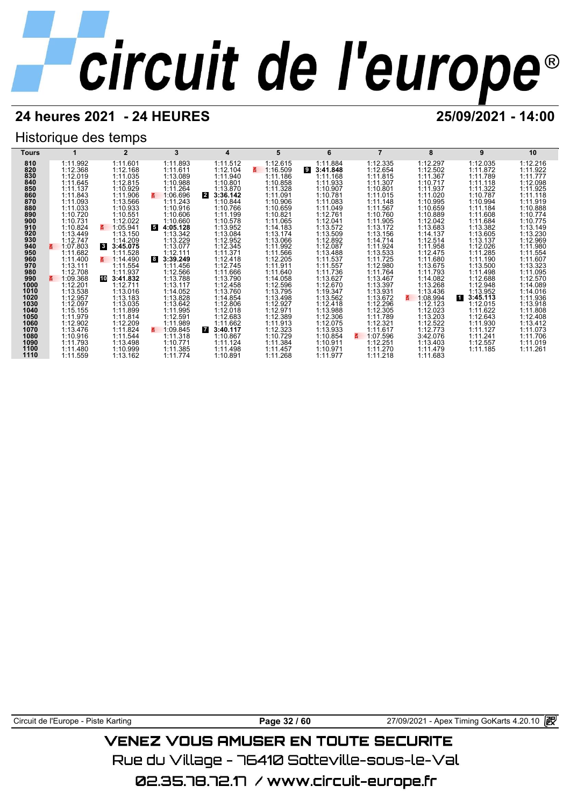## **24 heures 2021 - 24 HEURES 25/09/2021 - 14:00**

## Historique des temps



Circuit de l'Europe - Piste Karting **Page 32 / 60** 27/09/2021 - Apex Timing GoKarts 4.20.10

## VENEZ VOUS AMUSER EN TOUTE SECURITE

Rue du Village – 76410 Sotteville-sous-le-Val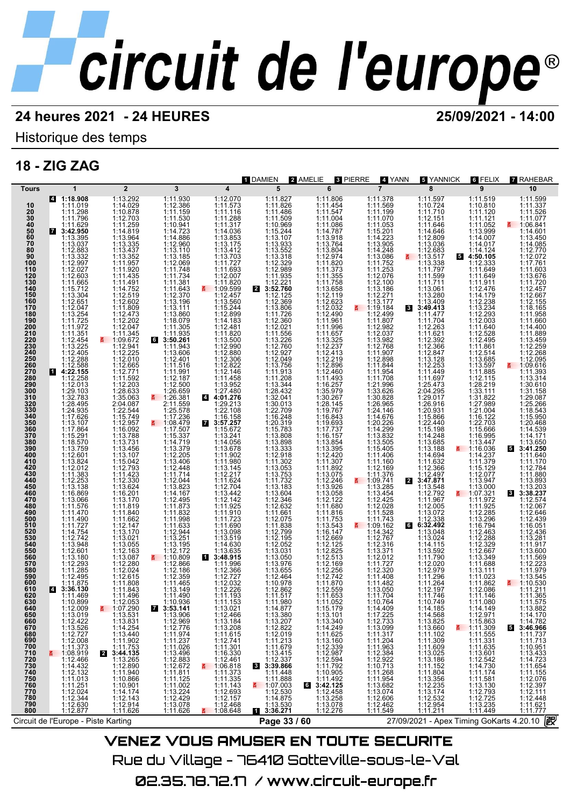## **24 heures 2021 - 24 HEURES 25/09/2021 - 14:00**

Historique des temps

## **18 - ZIG ZAG**



Rue du Village – 76410 Sotteville-sous-le-Val 02.35.78.72.17 / www.circuit-europe.fr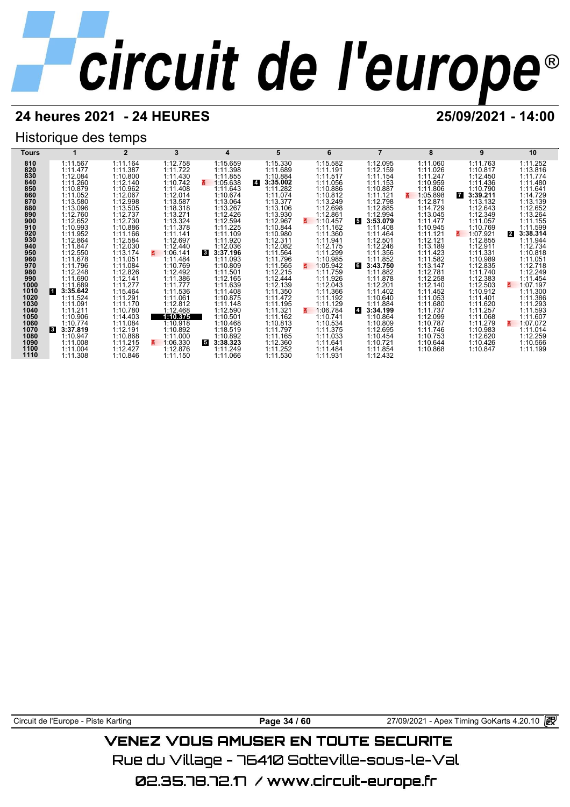## **24 heures 2021 - 24 HEURES 25/09/2021 - 14:00**

## Historique des temps



Circuit de l'Europe - Piste Karting **Page 34 / 60** 27/09/2021 - Apex Timing GoKarts 4.20.10

## VENEZ VOUS AMUSER EN TOUTE SECURITE

Rue du Village – 76410 Sotteville-sous-le-Val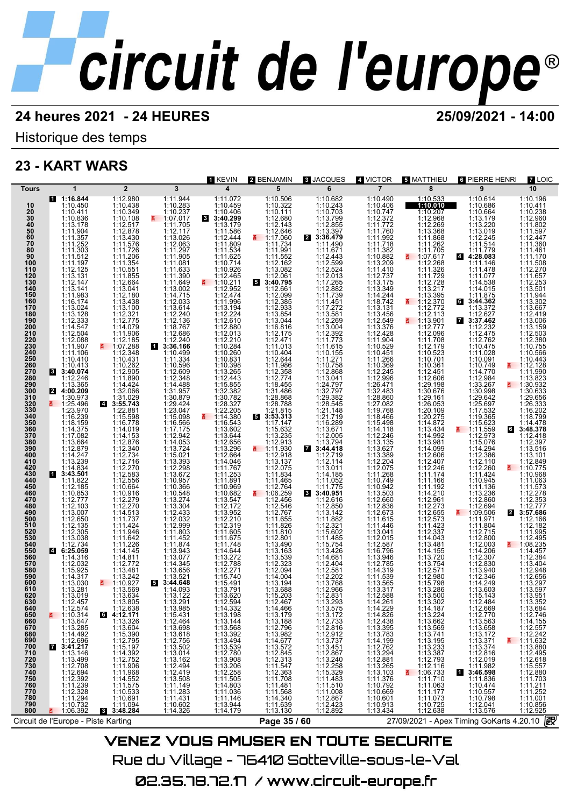Historique des temps

## **23 - KART WARS**

| <b>Tours</b>                                                                                                                                                                                                                                                                                                                                                                                                                                                                               |                                                                                                                                                                                                                                                                                                                                                                                                                                                                                                                                                                                                                                                                                                                                                                                                                                                                                                   |                                                                                                                                                                                                                                                                                                                                                                                                                                                                                                                                                                                                                                                                                                                                                                                                                                                                                                           |                                                                                                                                                                                                                                                                                                                                                                                                                                                                                                                                                                                                                                                                                                              |                                                                                                                                                                                                                |                                                                                                                                                                                                                                                                                                                                                                                                                                                                                                                                                                                                                                                                                                                                                                                                                                                                                                                                                                                                        |                                                                                                                                                                                                                                                                                                                                                                |                                                                                                                                                                   |                                                                                                                                                                                                                                                                                                                                                                                                                                                                                                                                                                                                                                                                                                                                                                                                                                                                               |                                                                                                                                                                                                                                                                                                                                                                                                                                                                                                                                                                                                                                                                                                                                                                                                                                                                                                      |                                                                                                                                                                                                                                                                                                                                                                                                                                                                                                                                                                                                                                                                                                                                                                                                                                                                      |
|--------------------------------------------------------------------------------------------------------------------------------------------------------------------------------------------------------------------------------------------------------------------------------------------------------------------------------------------------------------------------------------------------------------------------------------------------------------------------------------------|---------------------------------------------------------------------------------------------------------------------------------------------------------------------------------------------------------------------------------------------------------------------------------------------------------------------------------------------------------------------------------------------------------------------------------------------------------------------------------------------------------------------------------------------------------------------------------------------------------------------------------------------------------------------------------------------------------------------------------------------------------------------------------------------------------------------------------------------------------------------------------------------------|-----------------------------------------------------------------------------------------------------------------------------------------------------------------------------------------------------------------------------------------------------------------------------------------------------------------------------------------------------------------------------------------------------------------------------------------------------------------------------------------------------------------------------------------------------------------------------------------------------------------------------------------------------------------------------------------------------------------------------------------------------------------------------------------------------------------------------------------------------------------------------------------------------------|--------------------------------------------------------------------------------------------------------------------------------------------------------------------------------------------------------------------------------------------------------------------------------------------------------------------------------------------------------------------------------------------------------------------------------------------------------------------------------------------------------------------------------------------------------------------------------------------------------------------------------------------------------------------------------------------------------------|----------------------------------------------------------------------------------------------------------------------------------------------------------------------------------------------------------------|--------------------------------------------------------------------------------------------------------------------------------------------------------------------------------------------------------------------------------------------------------------------------------------------------------------------------------------------------------------------------------------------------------------------------------------------------------------------------------------------------------------------------------------------------------------------------------------------------------------------------------------------------------------------------------------------------------------------------------------------------------------------------------------------------------------------------------------------------------------------------------------------------------------------------------------------------------------------------------------------------------|----------------------------------------------------------------------------------------------------------------------------------------------------------------------------------------------------------------------------------------------------------------------------------------------------------------------------------------------------------------|-------------------------------------------------------------------------------------------------------------------------------------------------------------------|-------------------------------------------------------------------------------------------------------------------------------------------------------------------------------------------------------------------------------------------------------------------------------------------------------------------------------------------------------------------------------------------------------------------------------------------------------------------------------------------------------------------------------------------------------------------------------------------------------------------------------------------------------------------------------------------------------------------------------------------------------------------------------------------------------------------------------------------------------------------------------|------------------------------------------------------------------------------------------------------------------------------------------------------------------------------------------------------------------------------------------------------------------------------------------------------------------------------------------------------------------------------------------------------------------------------------------------------------------------------------------------------------------------------------------------------------------------------------------------------------------------------------------------------------------------------------------------------------------------------------------------------------------------------------------------------------------------------------------------------------------------------------------------------|----------------------------------------------------------------------------------------------------------------------------------------------------------------------------------------------------------------------------------------------------------------------------------------------------------------------------------------------------------------------------------------------------------------------------------------------------------------------------------------------------------------------------------------------------------------------------------------------------------------------------------------------------------------------------------------------------------------------------------------------------------------------------------------------------------------------------------------------------------------------|
| 10<br>20<br>30<br>40<br>50<br>50<br>60<br>70<br>80<br>90<br>100<br>110<br>120<br>130<br>140<br>150<br>160<br>170<br>180<br>190<br>200<br>210<br>220<br>230<br>240<br>250<br>260<br>270<br>280<br>290<br>300<br><b>2</b><br>310<br>320<br>320<br>330<br>340<br>350<br>360<br>370<br>380<br>390<br>400<br>410<br>420<br>430<br>440<br>450<br>460<br>470<br>480<br>490<br>500<br>510<br>520<br>530<br>540<br>550<br>560<br>570<br>580<br>590<br>600<br>610<br>620<br>630<br>640<br>650<br>660 | 1<br>1:16.844<br>1:10.450<br>$1:10.430\n1:10.411\n1:10.836\n1:13.178\n1:11.367\n1:11.362\n1:11.303\n1:14.142$<br>1:11.197<br>$\begin{array}{c} 1:12.125 \\ 1:13.131 \\ 1:147 \\ 1:1471.983 \\ 1:13.144 \\ 1:11.983 \\ 1:13.024 \\ 1:13.1283 \\ 1:12.333 \\ 1:12.594 \\ 1:11.907 \\ 1:11.106 \\ 1:11.106 \\ 1:10.410 \end{array}$<br>1:10.413<br>8 3:40.074<br>1:12.246<br>1:13.365<br>4:00.209<br>21 4:00.209<br>1:25.496<br>1:25.496<br>1:25.496<br>1:25.970<br>1:16.239<br>1:14.247<br>1:14.247<br>1:14.834<br>1:14.834<br>1:14.834<br>1:14.834<br>1:14.834<br>1:14.834<br>1:14.834<br>1:11.822<br>1:12.185<br>1:10.853<br>1:12.777<br>$1:12.103$<br>$1:13.007$<br>$1:12.650$<br>$1:12.135$<br>$1:12.305$<br>1:13.038<br>1:12.734<br>4 6:25.059<br>1:14.316<br>$1:12.032$<br>$1:15.925$<br>$1:14.317$<br>$1:13.030$<br>$1:13.281$<br>1:13.019<br>1:12.457<br>1:12.574<br>$\frac{2}{5}$ 1:10.314 | $\overline{2}$<br>1:12.980<br>1:10.438<br>1:10.349<br>1:10.108<br>1:12.877<br>1:13.430<br>1:11.576<br>1:11.576<br>1:11.7206<br>1:11.2064<br>1:12.684<br>1:12.480<br>1:12.775<br>1:11.2.32<br>1:12.775<br>1:11.40<br>1:12.775<br>1:11.40<br>1:12.775<br>1:11.40<br>1:12.775<br>$\begin{array}{rl} 1:11.900 \\ 1:07.288 \\ 1:107.288 \\ 1:12.348 \\ 1:10.431 \\ 1:12.905 \\ 1:11.890 \\ 1:14.424 \\ 1:31.090 \end{array}$<br>$21.31.029\n1:31.029\n1:22.881\n1:15.598\n1:16.778\n1:14.019$<br>1:14.153<br>1:12.876<br>1:12.340<br>1:12.734<br>1:12.716<br>1:12.556<br>1:12.556<br>1:10.664<br>$1:10.664$<br>$1:12.279$<br>$1:12.270$<br>$1:14.513$<br>$1:11.737$<br>$1:11.424$<br>$1:11.246$<br>$1:11.246$<br>$1:11.272$<br>$1:11.2772$<br>$1:11.2772$<br>$1:11.2772$<br>$1:11.2772$<br>$1:13.481$<br>$1:13.242$<br>$1:10.927$<br>1:13.569<br>1:13.634<br>1:13.805<br>$6$ $4:12.638$<br><b>6</b> $4:12.171$ | 3<br>1:11.944<br>$4:10.283$ $1:10.237$ $1:07.017$ $1:11.705$<br>1:12.117<br>$1:12.117$ $1:12.063$ $1:11.297$ $1:11.081$ $1:11.633$ $1:11.390$<br>$\begin{array}{c} 1:11.649 \\ 1:13.002 \\ 1:14.715 \\ 1:12.033 \end{array}$<br>1:13.614<br>1:12.240<br>1:12.136<br>1:18.767<br>1:12.686<br>1:12.2406 1:14.3346 1:15.2406 1:14.3346 1:15.356 1:15.356 1:15.596 1:14.0597 1:15.3947 1:15.3947 1:15.3947 1:15.3947 1:15.3947 1:15.3947 1:15.3947 1:15.3938 1:13.3938 1:13.3938 1:13.3938 1:13.3938 1:13.3938 1:13.2942 4:15<br>$1:11.452$<br>$1:11.874$<br>$1:13.943$<br>$1:13.077$<br>$1:14.345$<br>$1:13.656$<br>$1:13.521$<br>$3:44.648$<br>$1:14.093$<br>5<br>1:13.122<br>1:13.291<br>1:13.985<br>1:15.431 | 1 KEVIN<br>$\overline{\mathbf{4}}$<br>1:11.072<br>1:10.459<br>$1:10.406$<br>3:40.299<br>1:13.179<br>1:13.620<br>1:12.594<br>1:14.332<br>1:13.198                                                               | 2 BENJAMIN<br>5<br>1:10.506<br>1:10.322<br>$1:10.111$<br>$1:12.680$<br>1:12.143<br>$1:12.143$ $1:12.646$ $1:11.734$ $1:11.991$ $1:11.552$ $1:12.162$<br>$1:13.082$<br>$1:12.061$<br>$3:40.795$<br>$\overline{\mathbf{5}}$<br>1:12.099<br>1:12.099<br>1:12.3855<br>1:12.3855<br>1:12.933<br>1:13.854<br>1:12.47<br>1:12.644<br>1:12.358<br>1:12.47<br>1:12.358<br>1:12.358<br>1:12.47<br>1:12.358<br>1:12.47<br>1:12.358<br>1:12.44<br>1:12.358<br>1:12.44<br>1:12.358<br>1:12.44<br>1:12.358<br>1:12.55<br>1:12.55<br>1:12.55<br>1:12.5<br>5<br>1:17.147<br>1:15.632<br>$\begin{array}{r} 1.13.235 \\ 1.12.913 \\ 1.11.930 \\ 1.11.930 \\ 1.12.918 \\ 1.13.137 \\ 1.13.137 \\ 1.14.84 \\ 1.14.465 \end{array}$<br>1:11.465<br>1:12.764<br>$\frac{2}{1}$ 1:06.259<br>$1:12.456$<br>$1:12.546$<br>$1:12.767$<br>$1:11.820$<br>$1:11.810$<br>$1:12.801$<br>$1:13.490$<br>$1:13.539$<br>$1:13.532$<br>$1:14.004$<br>$1:15.203$<br>$1:14.004$<br>$1:15.203$<br>1:15.203<br>1:12.467<br>1:14.466<br>1:13.179 | 8 JACQUES<br>6<br>1:11.775<br>1:12.650<br>1:12.850<br>1:12.850<br>1:11.862<br>1:11.860<br>1:11.4664<br>1:12.404<br>1:12.404<br>1:12.404<br>1:12.202<br>1:12.32<br>1:11.404<br>1:11.404<br>1:11.404<br>1:11.404<br>1:11.404<br>1:11.404<br>1:11.404<br>1:11.404<br>1:11.404<br>1:11.404<br>1:11.404<br>1:11.404<br>1:12.831<br>1:13.293<br>1:13.575<br>1:13.172 | 4 VICTOR<br>$\overline{7}$<br>1:12.588<br>1:14.261<br>1:14.229<br>1:14.826                                                                                        | 5 MATTHIEU<br>8<br>1:10.533<br>1:10.010<br>1:12.207<br>1:12.268<br>1:12.269<br>1:13.368<br>1:11.262<br>1:11.705<br>1:07.617<br>1:11.326<br>$1:12.728$<br>1:13.217<br>1:13.395<br>$\frac{1112.370}{112.772}$<br>1:12.113<br>$\frac{1113.901}{1.12.777}$<br>1:12.096<br>$1:12.090$<br>$1:12.179$<br>$1:10.523$<br>$1:10.701$<br>$1:10.361$<br>$1:12.451$<br>$1:29.198$<br>$1:29.198$<br>$1:30.676$<br>1:29.161<br>1:26.053<br>1:20.109<br>1:20.275<br>1:14.872<br>1:13.434<br>1:14.992<br>1:13.981<br>1:14.099<br>1:12.606<br>1:12.407<br>1:11.174<br>1:11.174<br>$\begin{array}{c} 1:11.166 \\ 1:11.192 \\ 1:14.210 \\ 1:12.961 \end{array}$<br>1:12.273<br>$\begin{array}{l} 1:12.655\\ 1:12.573\\ 1:14.237\\ 1:14.2337\\ 1:12.337\\ 1:14.043\\ 1:13.481\\ 1:13.754\\ 1:13.754\\ 1:12.980\\ 1:13.206\\ 1:13.206\\ 1:13.500\\ \end{array}$<br>1:13.302<br>1:14.187<br>1:13.224 | <b>6 PIERRE HENRI</b><br>9<br>1:10.614<br>1:10.686<br>$1:10.664$<br>$1:13.179$<br>$1:13.220$<br>1:13.019<br>$1:12.245$<br>$1:11.514$<br>$1:11.779$<br>$4:28.083$<br>1:11.146<br>1:11.478<br>1:11.077<br>$1:14.538$ $1:14.015$ $1:11.875$ $3:44.362$<br>1:13.372<br>$1:13.372$<br>$1:12.622$<br>$1:12.762$<br>$1:12.762$<br>$1:12.762$<br>$1:10.475$<br>$1:10.091$<br>$1:11.770$<br>$1:11.796$<br>$1:12.984$<br>$1:33.267$<br>$1:29.994$<br>$1:29.642$<br>$1:25.697$<br>$1:17.532$<br>$1:19.365$<br>$1:15.623$<br>$\frac{2}{1}$ 1:11.559<br>$1:12.973$<br>$1:15.076$<br>$1:14.294$<br>$1:12.386$<br>$1:12.110$<br>$1:12.260$<br>$1:11.1326$<br>$1:11.1336$<br>1:13.236<br>1:12.860<br>$1:12.694$<br>1:09.506<br>1:11.971<br>2<br>1:11.804<br>1:12.715<br>1:12.800<br>1:12.003<br>1:12.830<br>1:12.830<br>1:13.940<br>1:12.346<br>1:14.249<br>1:13.603<br>1:15.143<br>1:12.484<br>1:12.669<br>1:12.770 | 7 LOIC<br>10<br>1:10.196<br>1:10.411<br>$1:10.238$<br>$1:12.960$<br>$1:11.802$<br>1:11.597<br>1:12.447<br>1:11.360<br>1:11.461<br>1:11.170<br>1:11.508<br>$1:12.270$<br>$1:11.657$<br>$1:12.253$<br>$1:13.501$<br>1:11.944<br>1:13.302<br>1:13.667<br>1:12.419<br>1:13.006<br>$1:13.159$<br>$1:12.503$<br>$1:12.380$<br>$1:10.755$<br>$1:10.566$<br>$1:10.443$<br>$\frac{2}{9}$ 1:12.128<br>1:11.990<br>1:13.823<br>$\frac{2}{1}$ 1:30.932<br>1:30.633<br>1:29.656<br>1:26.333<br>1:16.202<br>1:18.799<br>1:14.478<br>3:48.378<br>1:12.418<br>1:12.397<br>1:13.516<br>1:13.101<br>1:12.849<br>1:10.775<br>1:10.968<br>1:11.063<br>$1:12.278$<br>$1:12.353$<br>$1:12.777$<br>$3:57.686$<br>1:12.166<br>1:12.182<br>1:11.995<br>1:12.495<br>1:14.457<br>1:12.384<br>1:13.404<br>1:12.948<br>$1:13.297$<br>$1:13.597$<br>$1:13.951$<br>1:13.352<br>1:13.684<br>1:12.746 |
| 670<br>680                                                                                                                                                                                                                                                                                                                                                                                                                                                                                 | $1:13.647$ $1:13.285$ $1:14.492$ $1:12.696$ $3:41.217$                                                                                                                                                                                                                                                                                                                                                                                                                                                                                                                                                                                                                                                                                                                                                                                                                                            | 1:13.326<br>1:13.604                                                                                                                                                                                                                                                                                                                                                                                                                                                                                                                                                                                                                                                                                                                                                                                                                                                                                      | 1:12.464<br>1:13.698                                                                                                                                                                                                                                                                                                                                                                                                                                                                                                                                                                                                                                                                                         |                                                                                                                                                                                                                |                                                                                                                                                                                                                                                                                                                                                                                                                                                                                                                                                                                                                                                                                                                                                                                                                                                                                                                                                                                                        | 1:12.733<br>1:12.816                                                                                                                                                                                                                                                                                                                                           |                                                                                                                                                                   |                                                                                                                                                                                                                                                                                                                                                                                                                                                                                                                                                                                                                                                                                                                                                                                                                                                                               |                                                                                                                                                                                                                                                                                                                                                                                                                                                                                                                                                                                                                                                                                                                                                                                                                                                                                                      |                                                                                                                                                                                                                                                                                                                                                                                                                                                                                                                                                                                                                                                                                                                                                                                                                                                                      |
| 690<br>700<br>7<br>710<br>720<br>730<br>740<br>750<br>760<br>770<br>780<br>790<br>800<br>青                                                                                                                                                                                                                                                                                                                                                                                                 | 1:13.146<br>1:13.149<br>1:12.708<br>1:12.392<br>1:11.239<br>1:11.294<br>1:10.732<br>1:06.392<br>1:06.392                                                                                                                                                                                                                                                                                                                                                                                                                                                                                                                                                                                                                                                                                                                                                                                          | 1:13.004<br>1:12.795<br>1:15.197<br>1:14.392<br>1:14.392<br>1:11.906<br>1:11.575<br>1:11.575<br>1:11.069<br>1:11.004<br>$1:11.094$<br><b>8</b> 3:48.284                                                                                                                                                                                                                                                                                                                                                                                                                                                                                                                                                                                                                                                                                                                                                   | $1:13.618$<br>$1:12.756$<br>$1:13.502$<br>1:13.014<br>1:13.162<br>$\begin{array}{r} 1:12.494 \\ 1:12.419 \\ 1:13.508 \\ 1:11.149 \\ \end{array}$<br>$1:11.283$<br>$1:11.431$<br>1:10.602<br>1:14.326                                                                                                                                                                                                                                                                                                                                                                                                                                                                                                         | $\begin{array}{l} 1:13 \, .144 \\ 1:13 \, .568 \\ 1:13 \, .494 \\ 1:13 \, .539 \\ 1:13 \, .539 \\ 1:13 \, .508 \\ 1:13 \, .206 \\ 1:12 \, .258 \\ 1:14 \, .603 \\ 1:11 \, .144 \\ 1:14 \, .179 \\ \end{array}$ | $\begin{array}{l} 1:13.188\\ 1:12.796\\ 1:13.982\\ 1:14.677\\ 1:13.572\\ 1:12.343\\ 1:11.547\\ 1:12.363\\ 1:11.434\\ 1:11.568\\ 1:11.639\\ 1:13.130 \end{array}$                                                                                                                                                                                                                                                                                                                                                                                                                                                                                                                                                                                                                                                                                                                                                                                                                                       | $1:12.8102$<br>$1:13.737$<br>$1:13.451$<br>$1:12.867$<br>$1:13.240$<br>$1:12.258$<br>$1:15.329$<br>$1:11.4830$<br>$1:11.41008$<br>1:11.008<br>1:12.867<br>1:12.423<br>1:12.892                                                                                                                                                                                 | $\begin{array}{l} 1:12.438\\ 1:13.395\\ 1:14.199\\ 1:12.762\\ 1:12.294\\ 1:12.2881\\ 1:12.285\\ 1:13.103\\ 1:10.792\\ 1:10.669\\ 1:10.911\\ 1:13.434 \end{array}$ | $1:13.662$ $1:13.669$ $1:13.741$ $1:13.195$ $1:13.387$ $1:12.7496$<br>$1:12.116$<br>1:06.733<br>1:11.710<br>1:11.063<br>1:11.177<br>1:11.073<br>1:10.725<br>1:12.638                                                                                                                                                                                                                                                                                                                                                                                                                                                                                                                                                                                                                                                                                                          | $112.70$<br>1:13.668<br>1:13.172<br>1:13.374<br>1:13.374<br>1:12.878<br>1:12.019<br>1:11.982<br>3:46.598<br>$1:11.836$ $1:10.474$ $1:10.557$ $1:10.798$<br>$1:12.041$<br>$1:13.576$                                                                                                                                                                                                                                                                                                                                                                                                                                                                                                                                                                                                                                                                                                                  |                                                                                                                                                                                                                                                                                                                                                                                                                                                                                                                                                                                                                                                                                                                                                                                                                                                                      |
|                                                                                                                                                                                                                                                                                                                                                                                                                                                                                            |                                                                                                                                                                                                                                                                                                                                                                                                                                                                                                                                                                                                                                                                                                                                                                                                                                                                                                   |                                                                                                                                                                                                                                                                                                                                                                                                                                                                                                                                                                                                                                                                                                                                                                                                                                                                                                           |                                                                                                                                                                                                                                                                                                                                                                                                                                                                                                                                                                                                                                                                                                              |                                                                                                                                                                                                                |                                                                                                                                                                                                                                                                                                                                                                                                                                                                                                                                                                                                                                                                                                                                                                                                                                                                                                                                                                                                        |                                                                                                                                                                                                                                                                                                                                                                |                                                                                                                                                                   |                                                                                                                                                                                                                                                                                                                                                                                                                                                                                                                                                                                                                                                                                                                                                                                                                                                                               |                                                                                                                                                                                                                                                                                                                                                                                                                                                                                                                                                                                                                                                                                                                                                                                                                                                                                                      |                                                                                                                                                                                                                                                                                                                                                                                                                                                                                                                                                                                                                                                                                                                                                                                                                                                                      |
| Circuit de l'Europe - Piste Karting                                                                                                                                                                                                                                                                                                                                                                                                                                                        |                                                                                                                                                                                                                                                                                                                                                                                                                                                                                                                                                                                                                                                                                                                                                                                                                                                                                                   |                                                                                                                                                                                                                                                                                                                                                                                                                                                                                                                                                                                                                                                                                                                                                                                                                                                                                                           |                                                                                                                                                                                                                                                                                                                                                                                                                                                                                                                                                                                                                                                                                                              |                                                                                                                                                                                                                | Page 35 / 60                                                                                                                                                                                                                                                                                                                                                                                                                                                                                                                                                                                                                                                                                                                                                                                                                                                                                                                                                                                           |                                                                                                                                                                                                                                                                                                                                                                |                                                                                                                                                                   |                                                                                                                                                                                                                                                                                                                                                                                                                                                                                                                                                                                                                                                                                                                                                                                                                                                                               | 27/09/2021 - Apex Timing GoKarts 4.20.10 2                                                                                                                                                                                                                                                                                                                                                                                                                                                                                                                                                                                                                                                                                                                                                                                                                                                           |                                                                                                                                                                                                                                                                                                                                                                                                                                                                                                                                                                                                                                                                                                                                                                                                                                                                      |

VENEZ VOUS AMUSER EN TOUTE SECURITE Rue du Village – 76410 Sotteville–sous–le–Val 02.35.78.72.17 / www.circuit-europe.fr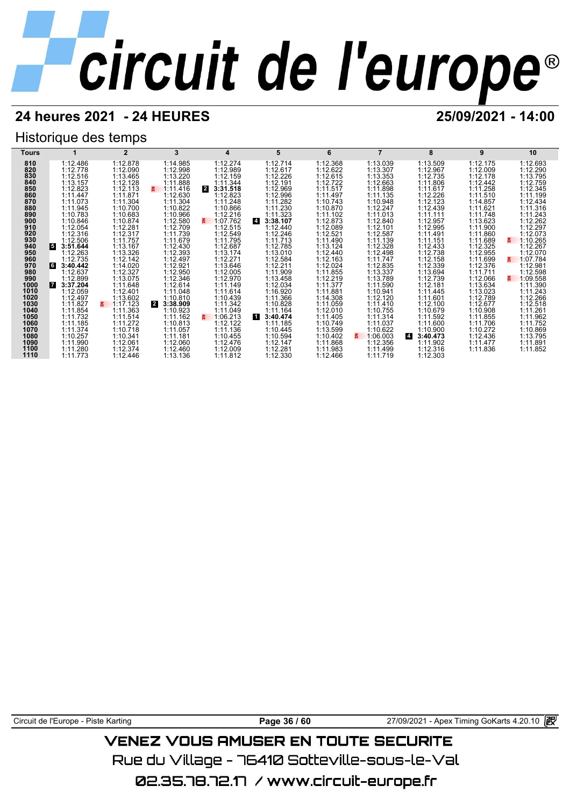## **24 heures 2021 - 24 HEURES 25/09/2021 - 14:00**

## Historique des temps



Circuit de l'Europe - Piste Karting **Page 36 / 60** 27/09/2021 - Apex Timing GoKarts 4.20.10

## VENEZ VOUS AMUSER EN TOUTE SECURITE

Rue du Village – 76410 Sotteville-sous-le-Val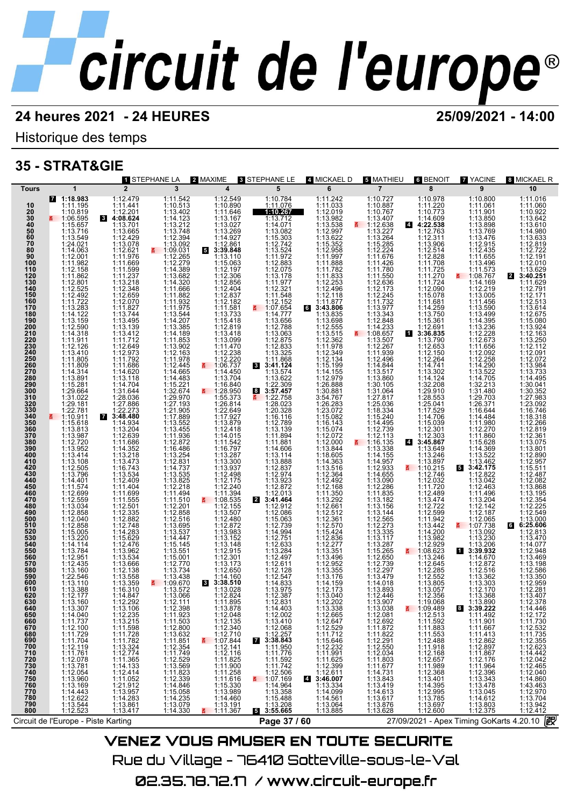Historique des temps

## **35 - STRAT&GIE**

|                      |                                                                                |                                                                             | 1 STEPHANE LA                                        | 2 MAXIME                                                                              | 8 STEPHANE LE                                                                                          | 4 MICKAEL D                                                                                    | 5 MATHIEU                                                            | 6 BENOIT                                                           | <b>7 YACINE</b>                                            | 8 MICKAEL R                                                        |
|----------------------|--------------------------------------------------------------------------------|-----------------------------------------------------------------------------|------------------------------------------------------|---------------------------------------------------------------------------------------|--------------------------------------------------------------------------------------------------------|------------------------------------------------------------------------------------------------|----------------------------------------------------------------------|--------------------------------------------------------------------|------------------------------------------------------------|--------------------------------------------------------------------|
| <b>Tours</b>         | 1                                                                              | $\overline{2}$                                                              | 3                                                    | $\overline{\mathbf{4}}$                                                               | 5                                                                                                      | 6                                                                                              | $\overline{7}$                                                       | 8                                                                  | 9                                                          | 10                                                                 |
|                      | 7 1:18.983                                                                     | 1:12.479<br>1:11.441                                                        | 1:11.542<br>1:10.513                                 | 1:12.549<br>1:10.890                                                                  | 1:10.784                                                                                               | 1:11.242<br>1:11.033                                                                           | 1:10.727<br>1:10.887                                                 | 1:10.978<br>1:11.220                                               | 1:10.800                                                   | 1:11.016                                                           |
| 10                   | 1:11.195<br>1:10.819                                                           |                                                                             | 1:13.402                                             |                                                                                       | 1:11.076<br>1:10.267                                                                                   | 1:12.019                                                                                       | 1:10.767                                                             | 1:10.773                                                           | 1:11.061                                                   | 1:11.060<br>1:10.922                                               |
|                      |                                                                                | $1:12.201$<br>4:08.624                                                      |                                                      | 1:11.646<br>1:13.167<br>1:13.027                                                      | 1:13.712                                                                                               |                                                                                                |                                                                      | 1:14.609                                                           | 1:11.901<br>1:13.850<br>1:13.898                           | 1:13.642                                                           |
| 20<br>30<br>40<br>50 | $\frac{2}{1}$ 1:06.595<br>1:15.657                                             | 1:13.701                                                                    | $1:14.123$<br>$1:13.212$                             |                                                                                       | 1:14.071                                                                                               | 1:13.982<br>1:13.538                                                                           | $\frac{1:13.407}{1:12.638}$                                          | $\overline{4}$<br>4:22.538                                         |                                                            | 1:13.610                                                           |
| 60                   | 1:13.716<br>1:13.549                                                           | 1:13.665                                                                    | 1:13.748<br>1:12.394                                 | 1:13.269                                                                              | 1:13.082                                                                                               | 1:12.997                                                                                       | 1:13.227<br>1:13.264<br>1:15.285<br>1:12.224                         | 1:12.763                                                           | 1:13.769<br>1:13.476                                       | 1:14.980<br>1:13.633                                               |
| 70                   | 1:24.021                                                                       | 1:12.429<br>1:13.078                                                        | 1:13.092                                             | $1:14.927$<br>1:12.861<br>3:39.848                                                    | $1:15.303$<br>$1:12.742$                                                                               | $1:13.622$<br>$1:15.352$<br>$1:12.958$<br>$1:11.997$                                           |                                                                      | 1:12.311<br>1:13.906                                               | 1:12.915                                                   | 1:12.819                                                           |
| 80                   | 1:14.063                                                                       | 1:12.621                                                                    |                                                      |                                                                                       | $1:13.524$<br>$1:11.972$                                                                               |                                                                                                |                                                                      | 1:12.514<br>1:12.828                                               | 1:12.435                                                   | 1:12.722                                                           |
| 90                   | 1:12.001                                                                       |                                                                             | $\frac{1109.031}{112.265}$<br>1:12.279               | 1:13.110                                                                              |                                                                                                        |                                                                                                | 1:11.676                                                             |                                                                    | 1:11.655                                                   | 1:12.191                                                           |
| 100<br>110           | 1:11.982<br>1:12.158                                                           | 1:11.669                                                                    | 1:14.389                                             | 1:15.063<br>1:12.197                                                                  | 1:12.883<br>1:12.075                                                                                   | 1:11.888<br>1:11.782                                                                           | 1:11.426<br>1:11.780                                                 | 1:11.708<br>1:11.725                                               | 1:13.496<br>1:11.573                                       | 1:12.010<br>1:13.629                                               |
| 120<br>130           | 1:11.862                                                                       | 1:11.599<br>1:11.237                                                        | 1:13.682                                             | 1:12.306                                                                              | 1:13.178                                                                                               |                                                                                                | 1:11.550                                                             | 1:11.270                                                           | $\frac{2}{9}$ 1:08.767                                     | 2 3:40.251                                                         |
|                      | 1:12.801<br>1:12.525                                                           | 1:13.218                                                                    | 1:14.320<br>1:11.666                                 | 1:12.856<br>1:12.404                                                                  | 1:11.977<br>1:12.321                                                                                   | 1:11.833<br>1:12.253<br>1:12.496                                                               | 1:12.636<br>1:12.173                                                 | 1:11.724                                                           | 1:14.169<br>1:12.219                                       | 1:11.629<br>1:12.791                                               |
| 140<br>150           | 1:12.492                                                                       |                                                                             | 1:11.882                                             |                                                                                       | 1:11.548                                                                                               |                                                                                                | 1:12.245                                                             | 1:15.078                                                           | 1:13.005                                                   | 1:12.171                                                           |
| 160                  | 1:11.722                                                                       | 1:12.659                                                                    | 1:11.932                                             | 1:12.837<br>1:12.182                                                                  | 1:12.152                                                                                               | 1:12.118<br>1:11.877                                                                           | $1:1\overline{1}.\overline{7}3\overline{2}$                          | 1:11.681                                                           | 1:11.456                                                   | 1:12.513                                                           |
| 170                  | 1:13.283                                                                       | 1:11.827<br>1:13.744                                                        | 1:11.975                                             |                                                                                       | ₹ 1:07.654                                                                                             | 3:43.806                                                                                       | 1:13.977                                                             | 1:14.259<br>1:13.750                                               | 1:13.590                                                   | 1:13.614                                                           |
| 180<br>190           | 1:14.122<br>1:13.159                                                           | 1:13.495                                                                    | $1:13.544$<br>$1:14.207$<br>$1:13.385$               | $1:11.581$<br>$1:13.733$<br>$1:15.418$                                                | 1:14.777                                                                                               | 1:13.835<br>1:13.698                                                                           | 1:13.343<br>1:12.848                                                 | 1:15.361                                                           | 1:13.499                                                   | 1:12.675<br>1:15.080                                               |
| 200                  | 1:12.590                                                                       | 1:13.139                                                                    |                                                      | 1:12.819                                                                              | 1:13.656<br>1:12.788                                                                                   | 1:12.555                                                                                       | 1:14.233                                                             | 1:12.691                                                           |                                                            | 1:13.924                                                           |
| 210                  | 1:14.318                                                                       | 1:13.412                                                                    | 1:14.189                                             | 1:13.418                                                                              | 1:13.063                                                                                               | 1:13.515                                                                                       | ₹ 1:08.657                                                           | 3:36.835                                                           | $1:14.395$<br>$1:13.236$<br>$1:12.228$                     | 1:12.163                                                           |
| 220<br>230           | 1:11.911<br>1:12.126                                                           | 1:11.712<br>1:12.649                                                        | 1:11.853<br>1:13.902                                 | 1:13.099<br>1:11.470                                                                  | 1:12.875<br>1:12.833                                                                                   | 1:12.362<br>1:11.978                                                                           |                                                                      | 1:13.790<br>1:12.653                                               | 1:12.673<br>1:11.656                                       | 1:13.250<br>1:12.112                                               |
| 240                  |                                                                                |                                                                             |                                                      |                                                                                       |                                                                                                        |                                                                                                | $1:13.507$<br>$1:12.267$<br>$1:11.939$<br>$1:12.496$<br>$1:14.844$   |                                                                    |                                                            |                                                                    |
| 250                  | 1:13.410                                                                       | 1:12.973                                                                    | 1:12.163<br>1:11.978                                 | 1:12.238                                                                              | 1:13.325<br>1:11.868                                                                                   | 1:12.349                                                                                       |                                                                      | 1:12.150<br>1:12.264                                               | 1:12.092<br>1:12.258                                       | 1:12.091<br>1:12.072                                               |
| 260<br>270           | 1:11.809<br>1:14.314                                                           | 1:11.686<br>1:14.620                                                        | 1:12.445<br>1:14.665                                 | ₹ 1:06.737<br>1:14.450                                                                | 3:41.124<br>$3\phantom{.0}$<br>1:13.574                                                                | 1:15.199<br>1:14.155                                                                           | 1:13.517                                                             | 1:14.741<br>1:13.302                                               | 1:14.290<br>1:13.522                                       | 1:13.984<br>1:13.733                                               |
| 280                  | 1:13.891                                                                       | 1:13.118                                                                    | 1:14.483                                             | 1:13.704                                                                              | 1:13.622                                                                                               | 1:12.979                                                                                       | 1:13.860                                                             | 1:14.124                                                           | 1:14.705                                                   | 1:14.495                                                           |
| 290                  | 1:15.281                                                                       | 1:14.704                                                                    | 1:15.221                                             | $1:16.840$<br>1:28.950                                                                | 1:22.309                                                                                               | 1:26.888<br>1:30.881                                                                           | 1:30.105                                                             | 1:32.208                                                           | 1:32.213<br>1:31.480                                       | 1:30.041<br>1:30.352                                               |
| 300<br>310           | 1:29.664<br>1:31.022                                                           | 1:31.644                                                                    | 1:32.674<br>1:29.970                                 | 1:55.373                                                                              | 8<br>3:57.457<br>3.                                                                                    | 3:54.767                                                                                       | 1:31.064                                                             | 1:29.910<br>1:28.553                                               | 1:29.703                                                   | 1:27.983                                                           |
| 320                  | 1:29.181                                                                       | 1:28.036<br>1:27.886                                                        | 1:27.193                                             | 1:26.814                                                                              | 1:22.758<br>1:28.023                                                                                   | 1:26.283                                                                                       | 1:27.817<br>1:25.036                                                 | 1:25.041                                                           | 1:26.371                                                   | 1:23.092                                                           |
| 330                  | 1:22.781                                                                       | 1:22.273<br>3:48.480                                                        | 1:21.905<br>1:17.889                                 |                                                                                       | 1:20.328                                                                                               | 1:23.072<br>1:15.082                                                                           | 1:18.334                                                             | 1:17.529<br>1:14.706                                               | 1:16.644                                                   | 1:16.746                                                           |
| 340<br>350           | <b>M</b> 1:10.911<br>1:15.618                                                  | $\overline{7}$<br>1:14.934                                                  | 1:13.552                                             | $1:22.649$<br>$1:17.927$<br>$1:13.879$<br>$1:12.418$                                  | 1:16.116<br>1:12.789                                                                                   | 1:16.143                                                                                       |                                                                      | 1:15.039                                                           | 1:14.484                                                   | 1:18.318<br>1:12.266                                               |
| 360                  | 1:13.813                                                                       | 1:13.204                                                                    | 1:13.455                                             |                                                                                       | 1:13.139                                                                                               | 1:15.074                                                                                       | 1:14.495<br>1:12.739                                                 | 1:12.301                                                           | 1:11.980<br>1:12.270                                       | 1:12.819                                                           |
| 370                  | 1:13.987                                                                       | 1:12.639                                                                    | 1:11.936                                             | $1:14.015$ $1:11.542$ $1:16.797$ $1:13.287$ $1:13.300$ $1:13.302$                     | 1:11.894                                                                                               | 1:12.072                                                                                       | $1:12.113$<br>1:16.135                                               | 1:12.303                                                           | 1:11.860                                                   | 1:12.361                                                           |
| 380<br>390           | 1:12.720                                                                       | 1:11.686                                                                    | 1:12.872                                             |                                                                                       | 1:11.881                                                                                               | 1:12.000                                                                                       |                                                                      | 4 3:45.867                                                         | 1:15.628                                                   | 1:13.075                                                           |
| 400                  | 1:13.952<br>1:13.414                                                           | 1:14.352<br>1:13.218                                                        | 1:16.486<br>1:13.254<br>1:12.831                     |                                                                                       | 1:14.606<br>1:13.114                                                                                   | 1:13.844<br>1:18.605                                                                           | 1:13.338<br>1:14.155                                                 | 1:13.649<br>1:13.246                                               | 1:14.369<br>1:13.522                                       | 1:13.801<br>1:12.890                                               |
| 410                  | 1:13.108                                                                       | 1:13.473                                                                    |                                                      |                                                                                       | 1:13.888                                                                                               | 1:14.363                                                                                       | 1:14.957                                                             | 1:13.897                                                           | 1:13.462                                                   | 1:12.957                                                           |
| 420<br>430           | 1:12.505                                                                       | 1:16.743                                                                    | $1:14.737$<br>1:13.535                               | 1:13.937<br>1:12.498                                                                  | 1:12.837<br>1:12.974                                                                                   | 1:13.516<br>1:12.364                                                                           | 1:12.933                                                             | $\frac{1110.215}{1:12.746}$                                        | $\begin{array}{r} 5 \ \ 3:42.175 \ \ 1:12.822 \end{array}$ | 1:15.511                                                           |
| 440                  | 1:13.796<br>1:14.401                                                           |                                                                             |                                                      |                                                                                       |                                                                                                        |                                                                                                | 1:14.655<br>1:13.090<br>1:12.286                                     |                                                                    | 1:13.042                                                   | 1:12.487<br>1:12.082                                               |
| 450                  | 1:11.574                                                                       | 1:12.409<br>1:11.404                                                        | 1:13.825<br>1:12.218                                 | 1:12.175<br>1:12.240                                                                  | 1:13.923<br>1:12.872                                                                                   | 1:12.492<br>1:12.168                                                                           |                                                                      | 1:12.032<br>1:11.720                                               | 1:12.463                                                   | 1:13.868                                                           |
| 460                  | 1:12.699                                                                       | 1:11.699                                                                    | 1:11.494                                             | 1:11.394                                                                              | 1:12.013                                                                                               | 1:11.350                                                                                       | 1:11.835                                                             | 1:12.489                                                           | 1:11.496                                                   | 1:13.195                                                           |
| 470<br>480           | 1:12.559<br>1:13.034                                                           | 1:11.555<br>1:12.501                                                        | 1:11.510<br>1:12.201                                 | $\frac{2}{1}$ 1:08.535<br>1:12.155                                                    | 2 3:41.464<br>1:12.912                                                                                 | 1:13.292<br>1:12.661                                                                           | 1:13.182<br>1:13.156                                                 | 1:13.474<br>1:12.722                                               | 1:13.204<br>1:12.142                                       | 1:12.354<br>1:12.225                                               |
| 490                  | 1:12.858<br>1:12.040                                                           | $1:12.335$<br>$1:12.882$                                                    | 1:12.858<br>1:12.516                                 | 1:13.507<br>1:12.480                                                                  | 1:12.086                                                                                               | $1:12.512$<br>$1:12.361$                                                                       | 1:13.144<br>1:12.565                                                 | 1:12.599<br>1:11.942                                               | $1:12.187$<br>$1:12.065$                                   | 1:12.549                                                           |
| 500                  |                                                                                |                                                                             |                                                      |                                                                                       | 1:15.063                                                                                               |                                                                                                |                                                                      |                                                                    |                                                            |                                                                    |
| 510<br>520           | 1:12.858<br>1:15.005                                                           | 1:12.748                                                                    | 1:13.695<br>1:13.537                                 | 1:12.872<br>1:13.983                                                                  | 1:12.739<br>1:14.994                                                                                   | 1:12.570<br>1:15.424                                                                           | $1:12.273$<br>$1:13.335$                                             | 1:13.442<br>1:14.200                                               | $\frac{2}{1}$ 1:07.738<br>1:13.092                         | 6<br>6:25.606<br>1:12.813                                          |
| 530                  | 1:13.220                                                                       | 1:15.629                                                                    | $1:14.447$<br>$1:15.145$                             | 1:13.152                                                                              | $1:12.751$<br>$1:12.633$                                                                               | 1:12.836                                                                                       | 1:13.117                                                             | 1:13.982                                                           | 1:13.230<br>1:13.206                                       | 1:13.470                                                           |
| 540                  | 1:14.114<br>1:13.784                                                           | 1:12.476<br>1:13.962                                                        |                                                      | 1:13.148                                                                              |                                                                                                        |                                                                                                | 1:13.287<br>1:15.265                                                 | 1:12.929<br>$\frac{1}{2}$ 1:08.623                                 |                                                            | 1:14.077                                                           |
| 550<br>560           | 1:12.951                                                                       | 1:13.534                                                                    | 1:13.551<br>1:15.001                                 | 1:12.915<br>1:12.301                                                                  | 1:13.284<br>1:12.497                                                                                   | 1:13.351                                                                                       | 1:12.650                                                             | 1:13.246                                                           | 1 3:39.932<br>1:14.670                                     | 1:12.948<br>1:13.469                                               |
| 570                  | 1:12.435                                                                       | 1:13.666                                                                    | 1:12.770                                             | 1:13.173                                                                              | 1:12.611                                                                                               | 1:13.496<br>1:12.952                                                                           | 1:12.739                                                             | 1:12.645                                                           | 1:12.872                                                   | 1:13.198                                                           |
| 580<br>590           | 1:13.160                                                                       | 1:12.138                                                                    | 1:13.734                                             | 1:12.650                                                                              | 1:12.128                                                                                               | 1:13.355                                                                                       | 1:12.297                                                             | 1:12.285                                                           | 1:12.516                                                   | 1:12.586<br>1:13.350                                               |
| 600                  | 1:22.546<br>1:13.110                                                           | 1:13.558<br>1:13.359                                                        | 1:13.438                                             | 1:14.160<br>8 3:38.510                                                                | 1:12.547                                                                                               | 1:13.176                                                                                       | 1:13.479                                                             | 1:12.552                                                           | 1:13.362<br>1:13.303                                       | 1:12.959                                                           |
| 610                  | 1:13.388                                                                       | 1:16.310                                                                    | $\frac{1109.670}{113.572}$                           | 1:13.028                                                                              | $1:14.833$<br>$1:13.975$                                                                               | $1:14.159$<br>$1:12.173$                                                                       | $1:14.018$<br>1:13.893                                               | 1:13.805<br>1:13.057                                               | 1:12.170                                                   | 1:12.281                                                           |
| 620<br>630           | 1:12.177                                                                       | 1:14.847                                                                    | 1:13.066                                             | 1:12.824                                                                              | 1:12.387                                                                                               | 1:13.040                                                                                       | 1:12.446                                                             | 1:12.356                                                           | 1:13.368                                                   | 1:13.407                                                           |
| 640                  | 1:13.160<br>1:13.307                                                           | 1:12.292                                                                    | 1:12.111<br>1:12.398                                 | 1:11.895<br>1:13.878                                                                  | 1:12.831<br>1:14.403                                                                                   | 1:12.202<br>1:13.338                                                                           | 1:13.907<br>1:13.038                                                 | 1:19.068<br>1:09.489                                               | 1:13.890<br>83:39.222                                      | 1:12.378                                                           |
| 650                  | 1:14.040                                                                       | 1:13.106<br>1:12.235                                                        | 1:11.923                                             | 1:12.048                                                                              | 1:12.002                                                                                               | 1:12.665                                                                                       | 1:12.081                                                             | 1:12.513                                                           | 1:11.492                                                   | 1:14.446<br>1:12.172                                               |
| 660                  | $\begin{array}{c} 1:11.737 \\ 1:12.100 \\ 1:11.729 \\ 1:11.704 \\ \end{array}$ | 1:13.215<br>1:11.598<br>1:11.728<br>1:11.782<br>1:12.774<br>1:11.365        | 1:11.503                                             | 1:12.135<br>1:12.340<br>1:12.710<br>1:12.141<br>1:12.116<br>1:11.825                  | $1:13.410$<br>$1:12.068$<br>$1:12.257$                                                                 | $1:12.647$<br>$1:12.529$<br>$1:11.712$<br>$1:15.646$<br>$1:12.232$<br>$1:11.625$<br>$1:11.625$ | 1:12.692<br>1:11.872                                                 | $1:11.592$<br>$1:11.883$<br>$1:11.553$<br>$1:12.488$<br>$1:11.918$ | 1:11.901<br>1:11.667                                       | $1:11.730$<br>$1:12.532$<br>$1:11.735$<br>$1:12.355$<br>$1:12.623$ |
| 670<br>680           |                                                                                |                                                                             | $1:12.800$<br>$1:13.632$<br>$1:11.851$<br>$1:12.354$ |                                                                                       |                                                                                                        |                                                                                                |                                                                      |                                                                    |                                                            |                                                                    |
| 690                  |                                                                                |                                                                             |                                                      |                                                                                       | 3:38.843                                                                                               |                                                                                                | 1:11.822<br>1:12.291<br>1:12.550<br>1:12.034<br>1:11.803<br>1:11.677 |                                                                    | 1:11.413<br>1:12.862<br>1:12.897                           |                                                                    |
| 700                  | 1:12.119                                                                       |                                                                             |                                                      |                                                                                       | 1:11.950                                                                                               |                                                                                                |                                                                      |                                                                    |                                                            |                                                                    |
| 710<br>720<br>730    | $1:11.761$<br>$1:12.078$<br>$1:13.781$<br>$1:12.054$<br>$1:13.960$             |                                                                             | $1:11.749$<br>$1:12.529$<br>$1:13.569$               |                                                                                       | 1:11.776                                                                                               |                                                                                                |                                                                      | 1:12.168<br>1:12.657                                               | 1:11.867<br>1:12.176                                       | 1:14.442<br>1:12.042                                               |
|                      |                                                                                |                                                                             |                                                      |                                                                                       | 1:11.592<br>1:11.742                                                                                   | 1:12.399                                                                                       |                                                                      | 1:11.989                                                           | 1:11.964                                                   |                                                                    |
| 740                  |                                                                                |                                                                             | 1:11.823<br>1:12.339                                 |                                                                                       |                                                                                                        |                                                                                                |                                                                      |                                                                    | 1:12.396<br>1:13.343                                       | $1:12.465$<br>$1:12.040$<br>$1:14.860$                             |
| 750<br>760           | 1:13.169                                                                       | $\begin{array}{c} 1:14.133 \\ 1:12.414 \\ 1:11.052 \\ 1:21.912 \end{array}$ | 1:14.846                                             |                                                                                       | $\begin{array}{r}\n 1:12.506 \\  - 1:07.169 \\  \hline\n 1:14.964 \\  \hline\n 1:13.358\n \end{array}$ | $\begin{array}{r}\n 1:12.611 \\  3:46.007 \\  1:13.334\n \end{array}$                          |                                                                      |                                                                    | 1:13.478                                                   |                                                                    |
| 770                  |                                                                                |                                                                             |                                                      |                                                                                       |                                                                                                        |                                                                                                |                                                                      |                                                                    |                                                            |                                                                    |
| 780                  | 1:14.443<br>1:12.622                                                           | 1:13.957<br>1:14.283                                                        |                                                      |                                                                                       | 1:15.488                                                                                               |                                                                                                |                                                                      | $1:12.368$<br>$1:13.401$<br>$1:14.395$<br>$1:12.995$<br>$1:13.785$ |                                                            | 1:43.463<br>1:12.970<br>1:13.704                                   |
| 790<br>800           | $1:13.544$<br>$1:12.523$                                                       | 1:13.861<br>1:13.417                                                        | $1:15.058$ $1:14.235$ $1:13.079$ $1:14.330$          | 1:11.620<br>1:11.258<br>1:11.258<br>1:15.330<br>1:13.989<br>1:13.191<br>1:11.367<br>昌 | $1:13.208$<br>3:55.665                                                                                 | 1:14.099<br>1:14.561<br>1:13.064<br>1:13.885                                                   | 1:11.077<br>1:14.731<br>1:13.843<br>1:13.617<br>1:13.677<br>1:13.876 | 1:13.697<br>1:12.600                                               | $1:13.045$ $1:14.612$ $1:13.803$ $1:12.375$                | 1:13.942<br>1:12.412                                               |
|                      |                                                                                |                                                                             |                                                      |                                                                                       |                                                                                                        |                                                                                                |                                                                      |                                                                    |                                                            |                                                                    |
|                      | Circuit de l'Europe - Piste Karting                                            |                                                                             |                                                      |                                                                                       | Page 37 / 60                                                                                           |                                                                                                |                                                                      | 27/09/2021 - Apex Timing GoKarts 4.20.10                           |                                                            | 毆                                                                  |
|                      |                                                                                |                                                                             |                                                      |                                                                                       |                                                                                                        | \/=\!=ㅋ \/^! !^ ^\J! !^=^ =\! ?^! !?= ^=^! !^!?=                                               |                                                                      |                                                                    |                                                            |                                                                    |

VENEZ VOUS AMUSER EN TOUTE SECURITE Rue du Village – 76410 Sotteville–sous–le–Val 02.35.78.72.17 / www.circuit-europe.fr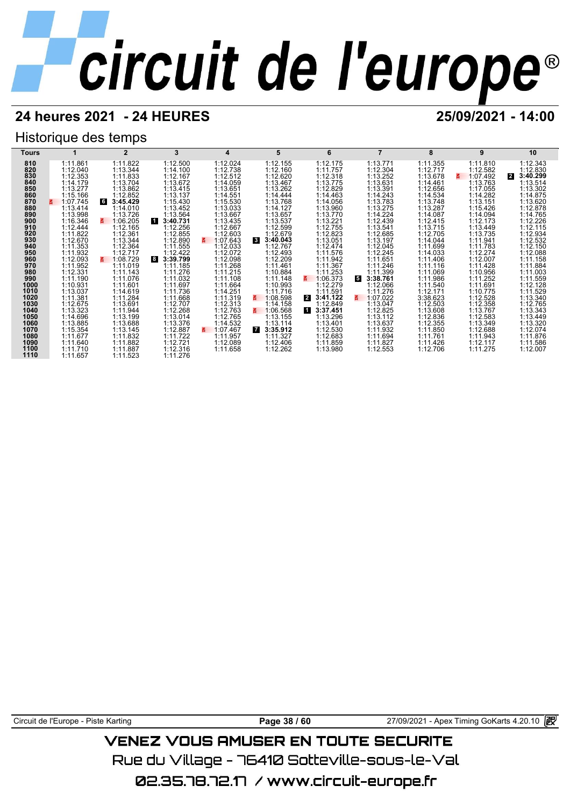## **24 heures 2021 - 24 HEURES 25/09/2021 - 14:00**

## Historique des temps



Circuit de l'Europe - Piste Karting **Page 38 / 60 Page 38 / 60** 27/09/2021 - Apex Timing GoKarts 4.20.10

## VENEZ VOUS AMUSER EN TOUTE SECURITE

Rue du Village – 76410 Sotteville-sous-le-Val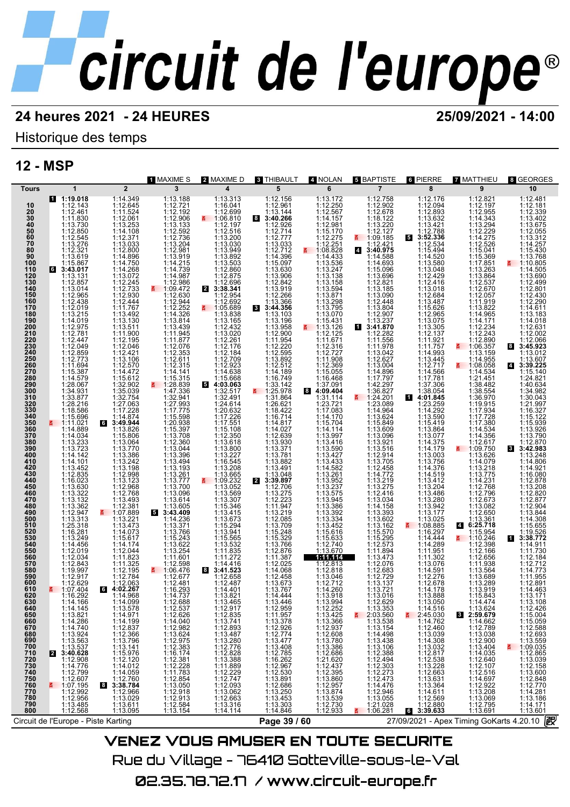## Historique des temps

## **12 - MSP**

|                                                                                  |                                                                                                                                                                                                                                               | 1 MAXIME S                                                                                                      | 2 MAXIME D                                                                                                                     | 3 THIBAULT                                                                                                                                                             | 4 NOLAN                                                                                                          | <b>5 BAPTISTE</b>                                                                                                           | 6 PIERRE                                                                                                                                                        | 7 MATTHIEU                                                                                                 | 8 GEORGES                                                                                                                      |  |  |  |
|----------------------------------------------------------------------------------|-----------------------------------------------------------------------------------------------------------------------------------------------------------------------------------------------------------------------------------------------|-----------------------------------------------------------------------------------------------------------------|--------------------------------------------------------------------------------------------------------------------------------|------------------------------------------------------------------------------------------------------------------------------------------------------------------------|------------------------------------------------------------------------------------------------------------------|-----------------------------------------------------------------------------------------------------------------------------|-----------------------------------------------------------------------------------------------------------------------------------------------------------------|------------------------------------------------------------------------------------------------------------|--------------------------------------------------------------------------------------------------------------------------------|--|--|--|
| <b>Tours</b>                                                                     | $\overline{2}$<br>$\mathbf{1}$                                                                                                                                                                                                                | 3                                                                                                               | $\overline{\mathbf{4}}$                                                                                                        | 5                                                                                                                                                                      | 6                                                                                                                | $\overline{7}$                                                                                                              | 8                                                                                                                                                               | 9                                                                                                          | 10                                                                                                                             |  |  |  |
| 10<br>$\frac{20}{30}$<br>$\frac{40}{50}$<br>60<br>70                             | 1:19.018<br>1:14.349<br>1:12.645<br>1:12.143<br>1:12.461<br>1:11.830<br>1:13.730<br>1:11.524<br>1:12.061<br>1:13.253<br>1:12.850<br>1:14.108<br>1:12.545<br>1:13.276<br>1:12.371<br>1:13.033                                                  | 1:13.188<br>1:12.721<br>1:12.192<br>1:12.906<br>1:13.133<br>1:12.592<br>1:12.736<br>1:13.204                    | 1:13.313<br>1:16.041<br>1:12.699<br>₹ 1:06.810<br>1:12.197<br>1:12.516                                                         | 1:12.156<br>1:12.961<br>1:13.144<br>83:40.266<br>1:12.926<br>1:12.714<br>1:12.777<br>1:13.033                                                                          | 1:13.172<br>1:12.250<br>1:12.567<br>1:14.157<br>1:12.981<br>1:15.170<br>$1:12.275$<br>1:12.251<br>1:08.828       | 1:12.758<br>1:12.902<br>1:12.678<br>1:18.122<br>1:13.220<br>1:12.127<br>$\frac{11.09.185}{1.12.421}$                        | 1:12.176<br>1:12.094<br>$1:12.893$<br>$1:13.632$<br>$1:13.421$<br>1:12.788<br>5<br>3:52.336<br>1:12.534                                                         | 1:12.821<br>1:12.197<br>1:12.955<br>1:14.343<br>1:13.294<br>1:12.229<br>1:14.275<br>1:12.526               | 1:12.481<br>1:12.181<br>1:12.339<br>1:13.402<br>1:13.675<br>1:12.055<br>1:13.312<br>1:14.257                                   |  |  |  |
| 80<br>90<br>100<br>110<br>$\frac{120}{130}$<br>140<br>150                        | 1:12.321<br>1:12.800<br>1:13.619<br>1:14.896<br>1:14.750<br>1:15.867<br>1:14.268<br>1:13.072<br><b>G</b><br>3:43.017<br>1:13.131<br>1:12.857<br>1:13.014<br>$1:12.245$<br>$1:12.733$<br>1:12.930<br>1:12.444<br>1:12.965<br>1:12.438          | 1:12.981<br>1:13.919<br>1:14.215<br>1:14.739<br>1:14.987<br>$\frac{1:12.986}{1:09.472}$<br>1:12.630<br>1:12.944 | $1:13.200$<br>$1:13.030$<br>$1:13.949$<br>$1:13.892$<br>1:13.503<br>1:12.860<br>1:12.875<br>$4:12.696$<br>3:38.341<br>1:12.954 | 1:12.712<br>$1:14.396$<br>1:15.097<br>1:13.630<br>1:13.906<br>1:12.842<br>1:12.266                                                                                     | 1:14.433<br>1:13.536<br>1:13.247<br>1:13.138<br>1:13.158<br>1:13.594<br>1:13.871                                 | 3:40.975<br>$\overline{4}$<br>1:14.588<br>1:14.693<br>1:15.096<br>1:13.696<br>1:12.821<br>1:13.090<br>1:12.448              | 1:15.494<br>1:14.520<br>1:13.580<br>1:13.048<br>1:12.429<br>1:12.416<br>1:13.018<br>1:12.684<br>1:13.487                                                        | 1:15.041<br>1:15.369<br>1:17.851<br>1:13.263<br>1:13.864<br>1:12.537<br>1:12.670<br>1:12.057<br>1:11.919   | 1:15.430<br>1:13.768<br>$\frac{2}{9}$ 1:10.805<br>1:14.505<br>1:13.690<br>1:12.499<br>1:12.801<br>1:12.430                     |  |  |  |
| 160<br>170<br>180<br>190<br>200<br>210<br>220<br>230                             | 1:11.767<br>1:12.019<br>1:13.215<br>$1:13.492$<br>$1:13.130$<br>1:14.019<br>1:13.511<br>1:12.975<br>1:12.781<br>1:11.900<br>1:12.195<br>1:12.046<br>1:12.447<br>1:12.049                                                                      | 1:12.252<br>1:14.326<br>1:13.814<br>1:13.439<br>1:11.945<br>1:11.877<br>1:12.076                                | 1:12.692<br>1:05.689<br>1:13.838<br>1:13.165<br>1:12.432<br>1:13.020<br>1:12.261<br>1:12.176                                   | 1:13.366<br>3<br>3:44.356<br>1:13.103<br>1:13.196<br>1:13.958<br>1:12.900<br>1:11.954                                                                                  | 1:13.298<br>1:13.795<br>1:13.070<br>1:15.431<br>4:13.126<br>1:12.125<br>1:11.671<br>1:12.316                     | 1:13.804<br>1:12.907<br>1:13.237<br>1<br>3:41.870<br>1:12.282<br>1:11.556                                                   | 1:15.626<br>1:12.965<br>1:13.075<br>1:13.305<br>1:12.137<br>1:11.921<br>1:11.757                                                                                | 1:13.822<br>1:14.965<br>1:14.171<br>1:12.234<br>1:12.243<br>$1:12.890$<br>1:06.357                         | 1:12.290<br>1:14.611<br>1:13.183<br>1:14.018<br>1:12.631<br>1:12.002<br>1:12.066<br>3:45.923<br>8                              |  |  |  |
| 240<br>250<br>260<br>270<br>280<br>290<br>300<br>310<br>320                      | 1:12.859<br>1:12.773<br>$1:12.421$<br>$1:13.106$<br>1:11.694<br>1:12.570<br>1:15.387<br>1:14.472<br>1:15.612<br>1:14.579<br>1:32.902<br>1:28.067<br>1:34.931<br>1:35.039<br>1:33.877<br>1:32.754<br>1:27.063<br>1:28.216                      | 1:12.353<br>$1:12.315$<br>1:14.141<br>1:15.315<br>$\frac{2}{1.47.336}$<br>1:32.941<br>1:27.993                  | 1:12.184<br>1:12.923<br>1:14.638<br>1:15.668<br>5 4:03.063<br>1:32.517<br>1:32.491<br>1:24.614                                 | 1:12.595<br>1:13.892<br>1:12.512<br>1:14.189<br>1:16.749<br>$1:33.142$<br>$\overline{5}$ 1:25.978<br>1:31.864<br>1:26.621                                              | 1:12.727<br>1:11.908<br>1:12.369<br>1:15.055<br>1:16.468<br>1:37.091<br>$8$ 4:09.404<br>1:31.114<br>1:23.721     | 1:11.978<br>1:13.042<br>1:12.627<br>1:13.004<br>1:14.896<br>1:17.797<br>1:42.297<br>1:36.827<br>1:24.201<br>1:23.089<br>E.  | 1:14.993<br>1:12.717<br>1:14.566<br>1:17.781<br>1:37.306<br>1:38.054<br>И                                                                                       | 1:13.159<br>1:14.955<br>₹ 1:08.058<br>1:14.534<br>1:21.451<br>1:38.482<br>1:38.554<br>1:36.970<br>1:19.915 | 1:13.012<br>1:13.607<br>3:39.225<br>4<br>1:15.140<br>1:24.821<br>1:40.634<br>1:34.982<br>1:30.043<br>1:21.997                  |  |  |  |
| 330<br>340<br>350<br>360<br>370<br>380<br>390<br>400<br>410                      | 1:18.586<br>1:17.228<br>1:14.874<br>1:11.021<br>6<br>3:49.944<br>1:14.889<br>1:13.826<br>1:14.034<br>1:15.806<br>$\begin{array}{c} 1:13.233 \\ 1:13.723 \\ 1:14.142 \end{array}$<br>1:13.064<br>1:13.770<br>1:13.386<br>1:13.242<br>1:14.101  | 1:17.775<br>1:15.598<br>1:20.938<br>1:15.397<br>1:13.708<br>1:12.360<br>1:13.044<br>1:13.396<br>1:13.494        | $1:20.632$ $1:17.226$ $1:17.551$ $1:16.108$<br>1:12.350<br>1:13.618<br>$1:13.800$<br>$1:13.227$<br>$1:16.545$                  | 1:18.422<br>1:16.714<br>1:14.817<br>1:14.027<br>1:12.639<br>1:13.930<br>1:13.371<br>1:13.781<br>1:13.882                                                               | 1:17.083<br>1:14.170<br>1:15.704<br>1:14.114<br>1:13.997<br>$1:13.416$<br>$1:13.590$<br>$1:13.427$<br>$1:13.433$ | 1:14.964<br>1:15.849<br>1:13.609<br>1:13.096<br>$\begin{array}{r} 1:13.921 \\ 1:13.516 \\ 1:12.914 \\ 1:13.705 \end{array}$ | 4:01.845<br>1:23.259<br>1:14.292<br>1:13.590<br>1:15.419<br>1:13.864<br>1:13.077<br>1:14.375<br>$\begin{array}{c} 1:14.179 \\ 1:13.003 \\ 1:13.756 \end{array}$ | 1:17.934<br>1:17.380<br>1:14.534<br>1:14.356<br>1:12.617<br>$\frac{2}{1}$ 1:09.750<br>1:13.626<br>1:14.079 | 1:16.327<br>1:15.122<br>1:15.939<br>1:13.926<br>1:13.790<br>1:12.870<br>8 3:42.983<br>1:13.248<br>1:14.806                     |  |  |  |
| 420<br>430<br>440<br>450<br>460<br>470<br>480<br>490                             | 1:13.452<br>1:12.835<br>1:13.198<br>1:16.023<br>1:13.630<br>1:13.123<br>1:12.968<br>1:12.768<br>1:13.322<br>$1:12.700\n1:12.381\n1:07.889\n1:13.221\n1:13.473\n1:14.073$<br>1:13.132<br>1:13.362                                              | 1:13.193<br>1:13.261<br>$1:13.777$<br>$1:13.700$<br>$1:13.096$<br>1:13.614<br>$1:13.605$<br>3:43.409            | 1:13.208<br>1:13.665<br>1:09.232<br>1:13.052<br>1:13.569<br>1:13.307<br>1:15.346<br>1:13.415<br>1:13.673                       | 1:13.491<br>1:13.048<br>$\mathbf{z}$<br>3:39.897<br>1:12.706<br>1:13.275<br>1:12.223<br>1:11.947<br>1:13.219<br>1:12.085                                               | 1:14.582<br>1:13.261<br>1:13.952<br>1:13.575<br>1:13.945<br>1:13.386<br>1:13.392<br>1:13.334                     | $1:13.7058$<br>$1:14.772$<br>$1:13.275$<br>$1:13.275$<br>$1:12.416$<br>$1:13.034$<br>$1:14.158$<br>$1:13.602$<br>$1:13.602$ | 1:14.376<br>1:14.519<br>1:13.412<br>1:13.204<br>1:13.486<br>1:13.280<br>1:13.942<br>1:13.177<br>1:13.025                                                        | 1:13.218<br>1:14.231<br>1:12.768<br>1:12.796<br>1:12.673<br>1:13.082<br>1:12.650<br>1:13.361               | 1:14.921<br>1:16.080<br>1:12.878<br>1:13.208<br>1:12.820<br>1:12.877<br>1:12.904<br>1:13.844                                   |  |  |  |
| 500<br>510<br>520<br>530<br>540<br>550<br>560<br>570<br>580                      | $1:12.947$<br>$1:13.313$<br>$1:25.318$<br>1:16.281<br>1:13.249<br>1:15.617<br>1:14.456<br>1:14.174<br>1:12.044<br>1:12.019<br>1:11.823<br>1:12.034<br>1:12.843<br>1:11.325                                                                    | 1:14.236<br>1:13.371<br>1:13.766<br>1:15.243<br>$1:13.622$<br>$1:13.254$<br>1:11.601<br>1:12.598                | 1:15.294<br>1:13.941<br>1:15.565<br>1:13.532<br>1:11.835<br>1:11.272<br>1:14.416                                               | $1:13.709$<br>$1:15.248$<br>$1:15.329$<br>$1:13.766$<br>1:12.876<br>1:11.387<br>1:12.025                                                                               | 1:13.452<br>1:15.616<br>1:15.633<br>1:12.740<br>1:13.670<br>1:11.114<br>1:12.813<br>1:12.818                     | $1:13.162$<br>$1:15.570$<br>$1:15.295$<br>$1:12.573$<br>1:11.894<br>1:13.473<br>1:12.076                                    | 1:08.885<br>1:14.444<br>1:14.289<br>1:11.951<br>1:11.302<br>1:13.076                                                                                            | 6:25.718<br>$\overline{4}$<br>1:15.954<br>₹ 1:10.246<br>1:12.398<br>1:12.166<br>1:12.656<br>1:11.938       | 1:14.308<br>1:15.655<br>1:19.526<br>3:38.772<br>Ш<br>1:14.911<br>1:11.730<br>1:12.184<br>1:12.712                              |  |  |  |
| 590<br>600<br>610<br>620<br>630<br>640<br>650<br>660                             | 1:12.195<br>1:19.997<br>1:12.917<br>1:12.629<br>1:12.784<br>1:12.063<br><b>4:02.267</b><br>1:07.404<br>6<br>呂<br>1:16.292<br>1:14.968<br>1:14.166<br>1:14.099<br>1:13.578<br>1:14.971                                                         | $\frac{2}{1}$ 1:06.476<br>1:12.677<br>1:12.481<br>1:16.293<br>1:14.737<br>1:12.688<br>1:12.537<br>1:12.626      | 3:41.523<br>8<br>1:12.658<br>1:12.487<br>1:14.401<br>1:13.821<br>1:13.465<br>1:12.917<br>1:12.835                              | 1:14.068<br>1:12.458<br>1:13.673<br>1:13.767<br>1:14.444<br>1:13.446<br>1:12.959<br>1:11.957                                                                           | 1:13.046<br>1:12.712<br>1:14.260<br>1:13.918<br>1:13.994<br>1:12.252<br>1:13.425                                 | 1:12.683<br>1:12.729<br>1:13.137<br>1:13.721<br>1:13.016<br>1:12.629                                                        | 1:14.591<br>1:12.276<br>1:12.678<br>1:14.178<br>1:13.888<br>1:13.050<br>1:14.516<br>2:45.030<br>1:14.762                                                        | 1:13.564<br>1:13.689<br>1:13.289<br>1:13.919<br>1:15.843<br>1:14.474<br>1:13.624<br>8 2:59.679             | 1:14.773<br>1:11.955<br>1:12.891<br>1:14.463<br>1:13.171<br>1:13.108<br>1:12.426<br>1:15.004                                   |  |  |  |
| 670<br>680<br>690<br>700<br>710<br>720<br>730<br>740<br>750<br>750<br>760<br>770 | 1:14.145<br>1:13.821<br>1:14.286<br>1:14.740<br>1:13.563<br>1:13.553<br>1:13.537<br>$1:14.199$ $1:12.837$ $1:13.796$ $1:13.141$<br>3:40.628<br>1:15.976<br>1:12.120<br>2<br>1:12.908                                                          | 1:14.040<br>1:12.982<br>1:13.624<br>1:12.975<br>1:12.383<br>$1:16.174$<br>$1:12.381$<br>$1:12.228$              | $1:13.741$<br>$1:12.893$<br>$1:13.487$<br>$1:13.280$<br>$1:12.776$<br>1:12.770<br>1:13.388<br>1:11.889<br>1:12.229<br>1:12.747 | 1:11.9578<br>1:12.972<br>1:12.9774<br>1:13.477<br>1:13.477<br>1:13.477<br>1:12.530<br>1:12.530<br>1:13.850<br>1:13.250<br>1:13.453<br>1:13.450<br>1:13.450<br>1:13.450 | 1:13.366<br>1:12.937<br>1:12.608<br>1:13.780<br>1:13.386<br>1:12.686<br>1:21.620<br>1:12.437<br>1:13.860         | $1:13.353$<br>2:03.560<br>2:03.560<br>1:13.538<br>1:14.498<br>1:14.498<br>1:12.273<br>1:12.476<br>1:12.476<br>1:14.476      | $1:12.460$<br>$1:13.039$<br>$1:14.308$<br>$1:13.032$<br>$1:12.817$<br>$1:12.538$<br>$1:13.228$<br>$1:12.663$<br>$1:13.631$<br>$1:13.364$                        | 1:14.662<br>1:12.789<br>1:13.038<br>1:12.900<br>1:13.404<br>1:12.640<br>1:12.640<br>1:12.107               | $\begin{array}{r} 1:15.059 \\ 1:12.588 \\ 1:12.693 \\ 1:13.559 \\ \end{array}$<br>1:09.035<br>1:12.865<br>1:13.039<br>1:12.158 |  |  |  |
| 780<br>790<br>800                                                                | $1:14.776$ $1:12.799$ $1:12.607$ $1:12.992$ $1:12.996$ $1:12.996$<br>$1:14.012$ $1:14.059$ $1:12.760$ $3:38.784$ $1:12.966$ $1:13.029$ $1:13.024$<br>8<br>1:13.485<br>1:12.568<br>1:13.611<br>1:13.095<br>Circuit de l'Europe - Piste Karting | $1:11.783$<br>$1:12.854$<br>$1:13.050$<br>$1:12.918$<br>$1:12.913$<br>1:12.584<br>1:13.154                      | 1:12.747<br>1:12.093<br>1:13.062<br>1:13.316<br>1:14.114                                                                       | 1:13.303<br>1:14.846<br>Page 39 / 60                                                                                                                                   | 1:12.957<br>1:13.874<br>1:13.539<br>1:12.730<br>1:12.933                                                         | $1:14.476$<br>$1:12.946$<br>$1:13.055$<br>1:21.028<br>1:06.281                                                              | 1:14.611<br>1:12.569<br>$1:12.880$<br><b>6</b> 3:39.633                                                                                                         | 1:12.516<br>1:14.697<br>1:12.922<br>1:13.208<br>1:13.069<br>1:12.795<br>1:13.691                           | 1:13.600<br>1:12.848<br>1:12.770<br>1:14.281<br>1:13.186<br>1:14.171<br>1:13.601<br>歐                                          |  |  |  |
|                                                                                  | 27/09/2021 - Apex Timing GoKarts 4.20.10                                                                                                                                                                                                      |                                                                                                                 |                                                                                                                                |                                                                                                                                                                        |                                                                                                                  |                                                                                                                             |                                                                                                                                                                 |                                                                                                            |                                                                                                                                |  |  |  |
|                                                                                  |                                                                                                                                                                                                                                               |                                                                                                                 |                                                                                                                                | <b>VENEZ VOUS AMUSER EN TOUTE SECURITE</b>                                                                                                                             |                                                                                                                  |                                                                                                                             |                                                                                                                                                                 |                                                                                                            |                                                                                                                                |  |  |  |

Rue du Village – 76410 Sotteville-sous-le-Val 02.35.78.72.17 / www.circuit-europe.fr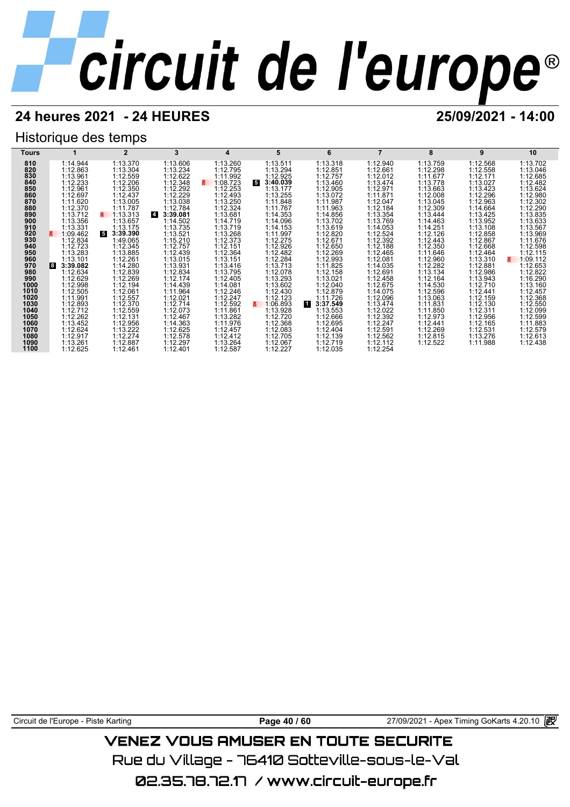## **24 heures 2021 - 24 HEURES 25/09/2021 - 14:00**

## Historique des temps

| Tours        |                      | $\overline{2}$       | 3                          |                      | 5                    | 6                    |                      | 8                    | 9                    | 10                   |
|--------------|----------------------|----------------------|----------------------------|----------------------|----------------------|----------------------|----------------------|----------------------|----------------------|----------------------|
| 810          | 1:14.944             | 1:13.370             | 1:13.606                   | 1:13.260             | 1:13.511             | 1:13.318             | 1:12.940             | 1:13.759             | 1:12.568             | 1:13.702             |
| 820          | 1:12.863             | 1:13.304             | 1:13.234                   | 1:12.795             | 1:13.294             | 1:12.851             | 1:12.661             | 1:12.298             | 1:12.558             | 1:13.046             |
| 830          | 1:13.961             | 1:12.559             | 1:12.622                   | 1:11.992             | 1:12.925             | 1:12.757             | 1:12.012             | 1:11.677             | 1:12.171             | 1:12.685             |
| 840          | 1:12.233             | 1:12.206             | 1:12.348                   | 1:08.723<br>3.       | 5<br>3:40.039        | 1:13.460             | 1:13.474             | 1:13.778             | 1:13.027             | 1:12.482             |
| 850          | 1:12.961             | 1:12.350             | 1:12.292                   | 1:12.253             | 1:13.177             | 1:12.905             | 1:12.971             | 1:13.663             | 1:13.423             | 1:13.624             |
| 860<br>870   | 1:12.697             | 1:12.437             | 1:12.229                   | 1:12.493             | 1:13.255             | 1:13.072             | 1:11.871             | 1:12.008             | 1:12.296             | 1:12.980             |
| 880          | 1:11.620<br>1:12.370 | 1:13.005<br>1:11.787 | 1:13.038<br>1:12.784       | 1:13.250<br>1:12.324 | 1:11.848<br>1:11.767 | 1:11.987<br>1:11.963 | 1:12.047<br>1:12.184 | 1:13.045<br>1:12.309 | 1:12.963<br>1:14.664 | 1:12.302<br>1:12.290 |
| 890          | 1:13.712             | 1:13.313<br>z        | $\overline{4}$<br>3:39.081 | 1:13.681             | 1:14.353             | 1:14.856             | 1:13.354             | 1:13.444             | 1:13.425             | 1:13.835             |
| 900          | 1:13.356             | 1:13.657             | 1:14.502                   | 1:14.719             | 1:14.096             | 1:13.702             | 1:13.769             | 1:14.463             | 1:13.952             | 1:13.633             |
| 910          | 1:13.331             | 1:13.175             | 1:13.735                   | 1:13.719             | 1:14.153             | 1:13.619             | 1:14.053             | 1:14.251             | 1:13.108             | 1:13.567             |
| 920          | 1:09.462             | 5<br>3:39.390        | 1:13.521                   | 1:13.268             | 1:11.997             | 1:12.820             | 1:12.524             | 1:12.126             | 1:12.858             | 1:13.969             |
| 930          | 1:12.834             | 1:49.065             | 1:15.210                   | 1:12.373             | 1:12.275             | 1:12.671             | 1:12.392             | 1:12.443             | 1:12.867             | 1:11.676             |
| 940          | 1:12.723             | 1:12.345             | 1:12.757                   | 1:12.151             | 1:12.926             | 1:12.650             | 1:12.188             | 1:12.350             | 1:12.668             | 1:12.598             |
| 950          | 1:13.283             | 1:13.885             | 1:12.439                   | 1:12.364             | 1:12.482             | 1:12.269             | 1:12.465             | 1:11.646             | 1:12.464             | 1:12.115             |
| 960          | 1:13.101             | 1:12.261             | 1:13.015                   | 1:13.151             | 1:12.284             | 1:12.993             | 1:12.081             | 1:12.960             | 1:13.310             | 1:09.112<br>3.       |
| 970          | 3:39.082<br><b>8</b> | 1:14.280             | 1:13.931                   | 1:13.416             | 1:13.713             | 1:11.825             | 1:14.035             | 1:12.282             | 1:12.881             | 1:12.653             |
| 980          | 1:12.634             | 1:12.839             | 1:12.834                   | 1:13.795             | 1:12.078             | 1:12.158             | 1:12.691             | 1:13.134             | 1:12.986             | 1:12.822             |
| 990          | 1:12.629             | 1:12.269             | 1:12.174                   | 1:12.405             | 1:13.293             | 1:13.021             | 1:12.458             | 1:12.164             | 1:13.943             | 1:16.290             |
| 1000<br>1010 | 1:12.998<br>1:12.505 | 1:12.194<br>1:12.061 | 1:14.439<br>1:11.964       | 1:14.081<br>1:12.246 | 1:13.602<br>1:12.430 | 1:12.040<br>1:12.879 | 1:12.675<br>1:14.075 | 1:14.530<br>1:12.596 | 1:12.710<br>1:12.441 | 1:13.160<br>1:12.457 |
| 1020         | 1:11.991             | 1:12.557             | 1:12.021                   | 1:12.247             | 1:12.123             | 1:11.726             | 1:12.096             | 1:13.063             | 1:12.159             | 1:12.368             |
| 1030         | 1:12.893             | 1:12.370             | 1:12.714                   | 1:12.592             | 1:06.893<br>3.       | и.<br>3:37.549       | 1:13.474             | 1:11.831             | 1:12.130             | 1:12.550             |
| 1040         | 1:12.712             | 1:12.559             | 1:12.073                   | 1:11.861             | 1:13.928             | 1:13.553             | 1:12.022             | 1:11.850             | 1:12.311             | 1:12.099             |
| 1050         | 1:12.262             | 1:12.131             | 1:12.467                   | 1:13.282             | 1:12.720             | 1:12.666             | 1:12.392             | 1:12.973             | 1:12.956             | 1:12.599             |
| 1060         | 1:13.452             | 1:12.956             | 1:14.363                   | 1:11.976             | 1:12.368             | 1:12.695             | 1:12.247             | 1:12.441             | 1:12.165             | 1:11.883             |
| 1070         | 1:12.624             | 1:13.222             | 1:12.625                   | 1:12.457             | 1:12.083             | 1:12.404             | 1:12.591             | 1:12.269             | 1:12.531             | 1:12.579             |
| 1080         | 1:12.917             | 1:12.274             | 1:12.578                   | 1:12.412             | 1:12.705             | 1:12.139             | 1:12.562             | 1:12.815             | 1:13.276             | 1:12.613             |
| 1090         | 1:13.261             | 1:12.887             | 1:12.297                   | 1:13.264             | 1:12.067             | 1:12.719             | 1:12.112             | 1:12.522             | 1:11.988             | 1:12.438             |
| 1100         | 1:12.625             | 1:12.461             | 1:12.401                   | 1:12.587             | 1:12.227             | 1:12.035             | 1:12.254             |                      |                      |                      |

Circuit de l'Europe - Piste Karting **Page 40 / 60** Page 40 / 60 27/09/2021 - Apex Timing GoKarts 4.20.10 图

## **VENEZ VOUS AMUSER EN TOUTE SECURITE**

Rue du Village – 76410 Sotteville-sous-le-Val

02.35.78.72.17 / www.circuit-europe.fr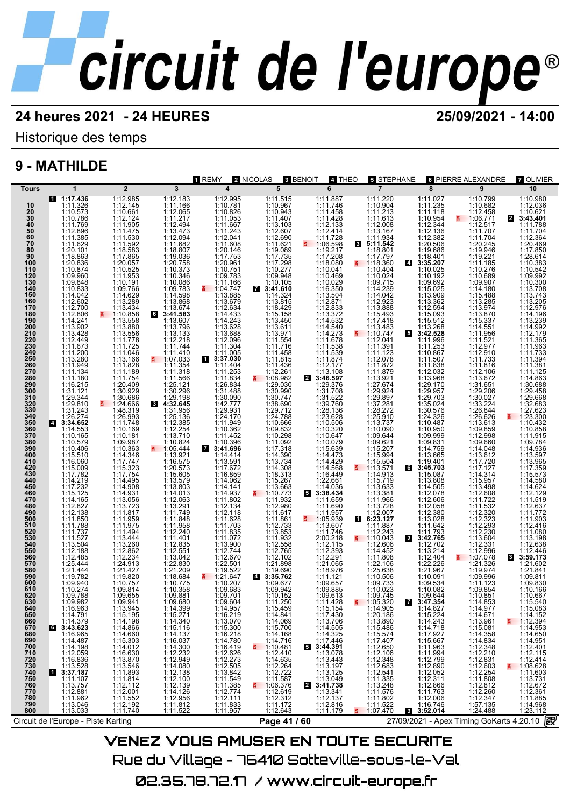Historique des temps

## **9 - MATHILDE**

| Tours<br>10                                                                                                                                                                                                    | $\mathbf 1$<br>$1:17.436$<br>1:11.326                                                                                                                                                                                                               | $\overline{2}$<br>1:12.985<br>1:12.145                                                                                                                                                                                                          | $\overline{3}$                                                                                                                                                                                                                                              | 1 REMY<br>$\overline{\mathbf{4}}$                                                                                                                                                                                           | 2 NICOLAS<br>3 BENOIT<br>5                                                                                                                                                                                                                                  | 4 THEO<br>6                                                                                                                                                                                                                                                        | <b>5 STEPHANE</b><br>$\overline{7}$                                                                                                                                                                                  | 8                                                                                                                                                                                              | 6 PIERRE ALEXANDRE<br>9                                                                                                                                                                                                                                           | <b>7 OLIVIER</b><br>10                                                                                                                                                                                                                                                                             |
|----------------------------------------------------------------------------------------------------------------------------------------------------------------------------------------------------------------|-----------------------------------------------------------------------------------------------------------------------------------------------------------------------------------------------------------------------------------------------------|-------------------------------------------------------------------------------------------------------------------------------------------------------------------------------------------------------------------------------------------------|-------------------------------------------------------------------------------------------------------------------------------------------------------------------------------------------------------------------------------------------------------------|-----------------------------------------------------------------------------------------------------------------------------------------------------------------------------------------------------------------------------|-------------------------------------------------------------------------------------------------------------------------------------------------------------------------------------------------------------------------------------------------------------|--------------------------------------------------------------------------------------------------------------------------------------------------------------------------------------------------------------------------------------------------------------------|----------------------------------------------------------------------------------------------------------------------------------------------------------------------------------------------------------------------|------------------------------------------------------------------------------------------------------------------------------------------------------------------------------------------------|-------------------------------------------------------------------------------------------------------------------------------------------------------------------------------------------------------------------------------------------------------------------|----------------------------------------------------------------------------------------------------------------------------------------------------------------------------------------------------------------------------------------------------------------------------------------------------|
|                                                                                                                                                                                                                |                                                                                                                                                                                                                                                     |                                                                                                                                                                                                                                                 |                                                                                                                                                                                                                                                             |                                                                                                                                                                                                                             |                                                                                                                                                                                                                                                             |                                                                                                                                                                                                                                                                    |                                                                                                                                                                                                                      |                                                                                                                                                                                                |                                                                                                                                                                                                                                                                   |                                                                                                                                                                                                                                                                                                    |
| 510<br>520<br>530<br>540<br>550<br>560<br>570<br>580<br>600<br>610<br>620<br>630<br>640<br>650<br>660<br>670<br>680<br>690<br>700<br>710<br>720<br>730<br>740<br>750<br>750<br>760<br>770<br>780<br>790<br>800 | 1:16.963<br>1:14.791<br>$1:14.379$<br>3:43.623<br>1:16.965<br>1:14.487<br>1:14.198<br>$1:12.059$<br>1:16.836<br>1:13.528<br>3:37.187<br>1:11.107<br>1:13.757<br>1:12.881<br>1:11.962<br>1:13.046<br>1:13.033<br>Circuit de l'Europe - Piste Karting | 1:13.945<br>1:15.195<br>$\begin{array}{r}\n 1:14.198 \\  1:14.866 \\  1:15.303 \\  1:14.012 \\  1:14.012\n \end{array}$<br>1:14.012<br>1:16.630<br>1:13.870<br>1:13.846<br>1:11.893<br>1:11.814<br>1:12.001<br>1:11.552<br>1:11.740<br>1:11.740 | 1:09.680<br>1:14.399<br>1:15.271<br>1:14.340<br>1:15.116<br>$\begin{array}{r} 1.14.137 \\ 1.14.307 \\ 1.14.300 \\ 1.12.232 \\ 1.12.949 \end{array}$<br>$1:12.349$ $1:12.138$ $1:12.100$ $1:12.139$ $1:14.126$ $1:12.956$ $1:14.949$<br>1:11.812<br>1:11.522 | 1:09.604<br>1:14.957<br>1:16.219<br>$\begin{array}{c} 1:13.070 \\ 1:15.300 \\ 1:16.218 \\ 1:14.780 \\ 1:16.419 \\ 1:12.273 \\ 1:12.505 \\ 1:13.842 \\ 1:11.385 \\ 1:12.774 \\ 1:12.111 \\ 1:11.333 \\ 1:11.957 \end{array}$ | 1:15.459<br>1:14.841<br>$1:14.069$ $1:14.168$ $1:14.716$ $1:10.481$ $1:12.410$ $1:14.635$ $1:14.635$<br>1:12.264<br>$\begin{array}{r}\n 1:12.722 \\  1:11.587 \\  1:06.376 \\  1:12.619 \\  1:12.312\n \end{array}$<br>1:11.172<br>1:12.643<br>Page 41 / 60 | 1:09.613<br>1:11.428<br>1:15.154<br>1:17.430<br>1:13.706<br>$1:14.505$<br>$1:14.325$<br>$1:17.446$<br><b>5</b> 3:44.391<br>1:13.078<br>$1:13.443$<br>$1:13.197$<br>$1:13.125$<br>$1:13.049$<br><b>2</b> $3:41.738$<br>1:13.341<br>1:12.137<br>1:12.816<br>1:11.179 | 1:14.905<br>1:20.186<br>1:13.890<br>1:15.486<br>1:15.574<br>1:17.407<br>1:12.650<br>1:12.348<br>1:12.543<br>1:13.248<br>1:11.576<br>1:11.576<br>1:11.576<br>1:11.577<br>1:11.577<br>1:11.577<br>1:11.577<br>1:11.572 | 1:14.827<br>1:15.224<br>1:14.243<br>1:14.718<br>1:17.927<br>1:15.667<br>1:11.963<br>1:11.994<br>1:12.799<br>1:12.890<br>1:12.311<br>1:12.866<br>1:11.763<br>1:12.006<br>$1:16.746$<br>3:52.014 | 1:10.851<br>1:14.853<br>1:14.977<br>1:14.671<br>1:13.961<br>1:15.081<br>1:14.358<br>1:14.8348<br>1:12.848<br>1:12.831<br>1:12.603<br>1:12.603<br>1:12.254<br>1:12.812<br>1:12.347<br>1:12.347<br>1:57.135<br>1:24.488<br>27/09/2021 - Apex Timing GoKarts 4.20.10 | 1:21.602<br>1:21.841<br>1:09.811<br>1:09.830<br>1:10.166<br>1:10.667<br>1:15.540<br>1:15.083<br>1:14.152<br>$1:14.953$<br>$1:14.953$<br>$1:14.951$<br>$1:14.951$<br>$1:12.415$<br>$1:12.415$<br>$112.414$<br>1:08.628<br>1:11.603<br>1:12.672<br>1:12.361<br>1:11.885<br>1:14.968<br>1:23.112<br>毆 |
|                                                                                                                                                                                                                |                                                                                                                                                                                                                                                     |                                                                                                                                                                                                                                                 |                                                                                                                                                                                                                                                             |                                                                                                                                                                                                                             |                                                                                                                                                                                                                                                             |                                                                                                                                                                                                                                                                    |                                                                                                                                                                                                                      |                                                                                                                                                                                                |                                                                                                                                                                                                                                                                   |                                                                                                                                                                                                                                                                                                    |
|                                                                                                                                                                                                                |                                                                                                                                                                                                                                                     |                                                                                                                                                                                                                                                 |                                                                                                                                                                                                                                                             |                                                                                                                                                                                                                             | VENEZ VOLIE OMLIEED EN TOLITE EECLIDITE                                                                                                                                                                                                                     |                                                                                                                                                                                                                                                                    |                                                                                                                                                                                                                      |                                                                                                                                                                                                |                                                                                                                                                                                                                                                                   |                                                                                                                                                                                                                                                                                                    |

Rue du Village – 76410 Sotteville-sous-le-Val 02.35.78.72.17 /www.circuit-europe.fr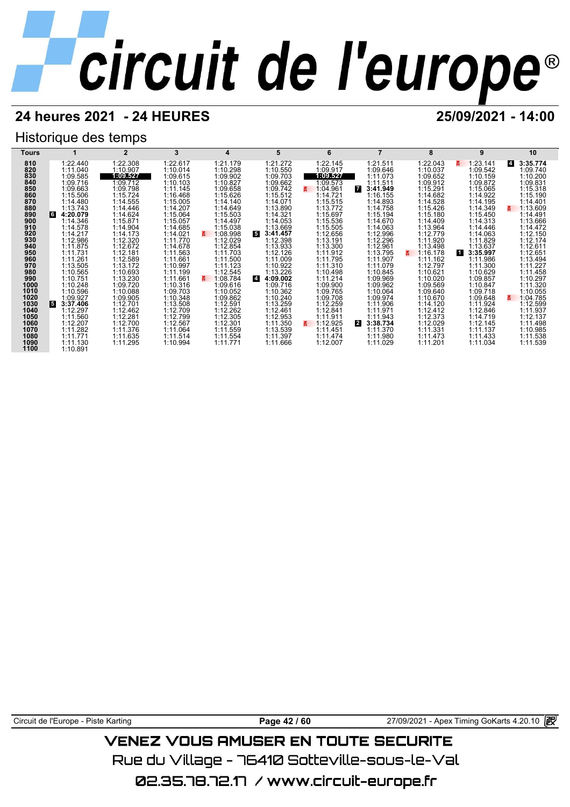## **24 heures 2021 - 24 HEURES 25/09/2021 - 14:00**

## Historique des temps



Circuit de l'Europe - Piste Karting **Page 42 / 60** 27/09/2021 - Apex Timing GoKarts 4.20.10

## VENEZ VOUS AMUSER EN TOUTE SECURITE

Rue du Village – 76410 Sotteville-sous-le-Val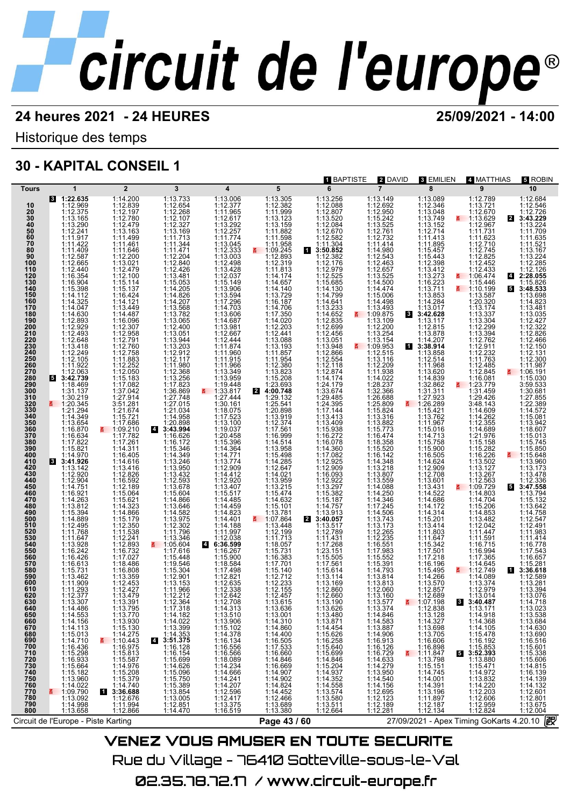## **24 heures 2021 - 24 HEURES 25/09/2021 - 14:00**

Historique des temps

## **30 - KAPITAL CONSEIL 1**

|                                                                                                                                                                                                                                                                                                                                                                                                                                                                            |                                                                                                                                                                                                                                                                                                                                                                                                                                                                                                                                                                                                                                                                                                                                                                                                                                |                                                                                                                                                                                                                                                                                                                                                                                                                                                                                                                                                                                                                                                                                                                                                                                                                                                                                            |                                                                                                                                                                                                                                                                                                                                                                                                                                                                                                                                                                                                                                                                                                                                                                                                                                                               |                                                                                                                                                                                                                                                                                                                                                                                                                                                                                                                                                                                                                                                                                                                                                                                                                     |                                                                                                                                                                                                                                                                                                                                                                                                                                                                                                                                                                                                                                                                                                                                                                                                 | <b>1 BAPTISTE</b>                                                                                                                                                                                                                                                                                                                                                                                                                                                                                                                                                                                                                                                                                                                                                                 | 2 DAVID                                                                                                                                                                                                                                                                                                                                                                                                                                                                                                                                                                                                                                                                                                                                                                                                                 | 3 EMILIEN                                                                                                                                                                                                                                                                                                                                                                                                                                                                                                                                                                                                                                                                                                                                                                                                                                                                                                  | 4 MATTHIAS                                                                                                                                                                                                                                                                                                                                                                                                                                                                                                                                                                                                                                                                                                                                                                                                                               | 5 ROBIN                                                                                                                                                                                                                                                                                                                                                                                                                                                                                                                                                                                                                                                                                                                                                                                                         |
|----------------------------------------------------------------------------------------------------------------------------------------------------------------------------------------------------------------------------------------------------------------------------------------------------------------------------------------------------------------------------------------------------------------------------------------------------------------------------|--------------------------------------------------------------------------------------------------------------------------------------------------------------------------------------------------------------------------------------------------------------------------------------------------------------------------------------------------------------------------------------------------------------------------------------------------------------------------------------------------------------------------------------------------------------------------------------------------------------------------------------------------------------------------------------------------------------------------------------------------------------------------------------------------------------------------------|--------------------------------------------------------------------------------------------------------------------------------------------------------------------------------------------------------------------------------------------------------------------------------------------------------------------------------------------------------------------------------------------------------------------------------------------------------------------------------------------------------------------------------------------------------------------------------------------------------------------------------------------------------------------------------------------------------------------------------------------------------------------------------------------------------------------------------------------------------------------------------------------|---------------------------------------------------------------------------------------------------------------------------------------------------------------------------------------------------------------------------------------------------------------------------------------------------------------------------------------------------------------------------------------------------------------------------------------------------------------------------------------------------------------------------------------------------------------------------------------------------------------------------------------------------------------------------------------------------------------------------------------------------------------------------------------------------------------------------------------------------------------|---------------------------------------------------------------------------------------------------------------------------------------------------------------------------------------------------------------------------------------------------------------------------------------------------------------------------------------------------------------------------------------------------------------------------------------------------------------------------------------------------------------------------------------------------------------------------------------------------------------------------------------------------------------------------------------------------------------------------------------------------------------------------------------------------------------------|-------------------------------------------------------------------------------------------------------------------------------------------------------------------------------------------------------------------------------------------------------------------------------------------------------------------------------------------------------------------------------------------------------------------------------------------------------------------------------------------------------------------------------------------------------------------------------------------------------------------------------------------------------------------------------------------------------------------------------------------------------------------------------------------------|-----------------------------------------------------------------------------------------------------------------------------------------------------------------------------------------------------------------------------------------------------------------------------------------------------------------------------------------------------------------------------------------------------------------------------------------------------------------------------------------------------------------------------------------------------------------------------------------------------------------------------------------------------------------------------------------------------------------------------------------------------------------------------------|-------------------------------------------------------------------------------------------------------------------------------------------------------------------------------------------------------------------------------------------------------------------------------------------------------------------------------------------------------------------------------------------------------------------------------------------------------------------------------------------------------------------------------------------------------------------------------------------------------------------------------------------------------------------------------------------------------------------------------------------------------------------------------------------------------------------------|------------------------------------------------------------------------------------------------------------------------------------------------------------------------------------------------------------------------------------------------------------------------------------------------------------------------------------------------------------------------------------------------------------------------------------------------------------------------------------------------------------------------------------------------------------------------------------------------------------------------------------------------------------------------------------------------------------------------------------------------------------------------------------------------------------------------------------------------------------------------------------------------------------|------------------------------------------------------------------------------------------------------------------------------------------------------------------------------------------------------------------------------------------------------------------------------------------------------------------------------------------------------------------------------------------------------------------------------------------------------------------------------------------------------------------------------------------------------------------------------------------------------------------------------------------------------------------------------------------------------------------------------------------------------------------------------------------------------------------------------------------|-----------------------------------------------------------------------------------------------------------------------------------------------------------------------------------------------------------------------------------------------------------------------------------------------------------------------------------------------------------------------------------------------------------------------------------------------------------------------------------------------------------------------------------------------------------------------------------------------------------------------------------------------------------------------------------------------------------------------------------------------------------------------------------------------------------------|
|                                                                                                                                                                                                                                                                                                                                                                                                                                                                            |                                                                                                                                                                                                                                                                                                                                                                                                                                                                                                                                                                                                                                                                                                                                                                                                                                |                                                                                                                                                                                                                                                                                                                                                                                                                                                                                                                                                                                                                                                                                                                                                                                                                                                                                            |                                                                                                                                                                                                                                                                                                                                                                                                                                                                                                                                                                                                                                                                                                                                                                                                                                                               |                                                                                                                                                                                                                                                                                                                                                                                                                                                                                                                                                                                                                                                                                                                                                                                                                     |                                                                                                                                                                                                                                                                                                                                                                                                                                                                                                                                                                                                                                                                                                                                                                                                 |                                                                                                                                                                                                                                                                                                                                                                                                                                                                                                                                                                                                                                                                                                                                                                                   |                                                                                                                                                                                                                                                                                                                                                                                                                                                                                                                                                                                                                                                                                                                                                                                                                         |                                                                                                                                                                                                                                                                                                                                                                                                                                                                                                                                                                                                                                                                                                                                                                                                                                                                                                            |                                                                                                                                                                                                                                                                                                                                                                                                                                                                                                                                                                                                                                                                                                                                                                                                                                          |                                                                                                                                                                                                                                                                                                                                                                                                                                                                                                                                                                                                                                                                                                                                                                                                                 |
| <b>Tours</b><br>10<br>$\frac{20}{30}$<br>40<br>50<br>$\frac{60}{70}$<br>80<br>90<br>100<br>110<br>120<br>130<br>140<br>150<br>160<br>170<br>180<br>190<br>200<br>210<br>220<br>230<br>240<br>250<br>260<br>270<br>280<br>290<br>300<br>310<br>320<br>330<br>340<br>350<br>360<br>370<br>380<br>390<br>400<br>410<br>420<br>430<br>440<br>450<br>460<br>470<br>480<br>490<br>500<br>510<br>520<br>530<br>540<br>550<br>560<br>570<br>580<br>590<br>600<br>610<br>620<br>630 | $\mathbf{1}$<br>8 1:22.635<br>1:12.969<br>1:12.375<br>1:13.165<br>1:13.290<br>1:12.241<br>1:11.917<br>1:11.422<br>1:11.409<br>1:12.665<br>1:12.440<br>$1:16.354$<br>$1:16.904$<br>$1:15.398$<br>1:14.112<br>1:14.325<br>1:14.047<br>1:14.630<br>1:12.893<br>1:12.493<br>1:12.648<br>1:13.418<br>1:12.249<br>1:12.105<br>1:11.922<br>1:12.063<br>3:42.739<br>1:18.469<br>1:31.137<br>1:30.219<br>■ 1:20.345<br>1:21.294<br>1:14.349<br>1:13.654<br>1:16.870<br>1:16.634<br>1:15.821<br>1:14.970<br>8 3:41.926<br>1:13.142<br>1:12.920<br>1:12.904<br>1:14.751<br>1:16.921<br>1:14.263<br>1:13.812<br>1:14.889<br>1:12.495<br>1:11.768<br>1:11.647<br>1:13.928<br>1:16.242<br>1:16.426<br>1:16.613<br>1:15.731<br>1:13.462<br>1:11.909<br>1:11.293<br>1:12.377<br>1:13.307<br>$1:14.486$<br>$1:14.553$<br>$1:14.156$<br>1:14.113 | $\overline{2}$<br>1:14.200<br>1:12.839<br>1:12.197<br>1:12.780<br>1:12.479<br>1:13.163<br>1:11.499<br>1:11.461<br>1:11.646<br>1:12.200<br>1:13.021<br>1:12.479<br>1:12.100<br>1:15.114<br>1:15.137<br>1:16.424<br>1:14.121<br>1:13.449<br>1:14.487<br>1:16.096<br>1:12.307<br>1:12.958<br>1:12.791<br>1:12.760<br>1:12.758<br>1:11.883<br>1:12.252<br>1:12.050<br>1:15.183<br>1:17.082<br>1:37.042<br>1:27.914<br>3:51.281<br>1:21.674<br>1:15.721<br>1:17.686<br>1:17.782<br>1:17.261<br>1:14.311<br>1:16.405<br>1:14.616<br>1:13.416<br>1:12.826<br>1:16.592<br>1:12.189<br>1:15.064<br>1:15.621<br>1:14.323<br>1:14.866<br>1:15.179<br>1:12.350<br>1:11.538<br>1:12.241<br>1:12.893<br>1:17.027<br>1:18.486<br>1:16.808<br>1:13.359<br>1:12.453<br>1:12.427<br>1:13.479<br>$1:13.491$<br>$1:13.770$<br>$1:13.770$<br>$1:13.930$<br>$1:14.275$<br>$1:10.443$<br>$1:16.973$<br>$1:16.973$ | 3<br>1:13.733<br>1:12.654<br>1:12.268<br>1:12.107<br>1:12.327<br>1:13.169<br>1:11.713<br>1:11.344<br>1:11.471<br>1:12.204<br>1:12.840<br>1:12.426<br>$\begin{array}{c} 1:13.481 \\ 1:15.053 \\ 1:14.205 \end{array}$<br>1:14.826<br>1:14.207<br>1:13.568<br>1:13.782<br>1:13.065<br>1:12.400<br>1:13.051<br>1:13.944<br>$\begin{array}{c} 1:13.203 \\ 1:12.912 \\ 1:12.117 \end{array}$<br>1:11.980<br>1:12.368<br>$1:13.256$<br>$1:17.823$<br>$1:36.869$<br>1:27.748<br>1:27.015<br>1:21.034<br>1:14.958<br>1:20.898<br>4 3:43.994<br>1:16.626<br>1:16.172<br>1:15.346<br>1:14.349<br>1:13.246<br>1:13.950<br>1:13.432<br>1:12.593<br>1:13.678<br>1:15.604<br>1:14.866<br>1:13.646<br>1:13.975<br>1:12.302<br>1:11.796<br>1:13.346<br>$\frac{2}{5}$ 1:05.604<br>1:17.616<br>1:15.448<br>1:19.546<br>1:15.304<br>1:12.901<br>1:13.153<br>1:11.966<br>1:12.212 | 4<br>1:13.006<br>1:12.377<br>1:11.965<br>1:12.617<br>1:13.292<br>1:12.257<br>1:11.774<br>1:13.045<br>1:12.333<br>1:13.003<br>1:12.498<br>1:13.428<br>1:12.037<br>1:15.149<br>1:13.906<br>1:13.594<br>1:17.296<br>1:14.703<br>1:13.606<br>1:14.687<br>1:13.981<br>1:12.667<br>1:12.444<br>1:11.874<br>1:11.960<br>1:11.915<br>1:11.966<br>1:13.349<br>1:13.959<br>1:19.448<br>$\frac{2}{1.33.817}$<br>1:27.444<br>1:30.161<br>1:18.075<br>1:17.523<br>1:13.100<br>1:19.037<br>1:20.458<br>1:15.396<br>1:14.364<br>1:14.771<br>1:13.774<br>1:12.909<br>1:14.412<br>1:12.920<br>1:13.407<br>1:15.517<br>1:14.485<br>1:14.459<br>1:14.823<br>1:14.401<br>1:14.188<br>1:11.997<br>1:12.038<br>6:36.599<br>$\overline{4}$<br>1:16.267<br>1:15.900<br>1:18.584<br>1:17.498<br>1:12.821<br>1:12.635<br>1:12.338<br>1:12.642 | 5<br>1:13.305<br>1:12.382<br>1:11.999<br>1:13.123<br>1:13.159<br>1:11.882<br>1:11.598<br>1:11.958<br>$\frac{11.09.245}{1.12.893}$<br>1:12.319<br>1:11.813<br>1:14.174<br>1:14.657<br>1:14.140<br>1:13.729<br>1:16.187<br>1:14.706<br>1:17.350<br>1:14.020<br>1:12.203<br>1:12.441<br>1:13.088<br>1:13.193<br>1:11.857<br>1:11.954<br>1:12.380<br>1:13.823<br>1:15.208<br>$\frac{24:00.748}{1:29.132}$<br>1:25.541<br>1:20.898<br>1:13.919<br>1:12.374<br>1:17.561<br>1:16.999<br>1:14.514<br>1:13.958<br>1:15.498<br>$1:14.285$<br>$1:12.647$<br>1:14.021<br>1:13.959<br>1:13.215<br>1:15.474<br>1:14.632<br>1:15.101<br>1:13.781<br>₹ 1:07.864<br>1:13.448<br>1:12.199<br>1:11.713<br>1:18.057<br>1:15.731<br>1:16.383<br>1:17.701<br>1:15.140<br>1:12.712<br>1:12.233<br>1:12.155<br>1:12.457 | 6<br>1:13.256<br>1:12.088<br>1:12.807<br>1:13.520<br>1:12.084<br>1:12.670<br>1:12.582<br>1:11.304<br>13:50.852<br>1:12.382<br>1:12.176<br>1:12.979<br>1:12.525<br>1:15.685<br>1:14.130<br>1:14.799<br>1:14.641<br>1:13.233<br>1:14.652<br>1:12.835<br>1:12.456<br>1:13.051<br>1:13.948<br>1:12.866<br>1:12.554<br>1:12.118<br>1:12.874<br>1:14.174<br>1:24.179<br>1:33.674<br>1:29.485<br>1:24.395<br>1:17.144<br>1:13.413<br>$1:13.409$ $1:15.938$ $1:16.272$ $1:16.078$<br>1:14.360<br>1:17.082<br>1:12.925<br>1:12.909<br>1:16.093<br>$1:12.922$<br>$1:13.297$<br>$1:15.382$<br>1:15.187<br>1:14.757<br>1:13.913<br>2 3:40.057<br>1:13.517<br>1:12.789<br>1:11.431<br>1:17.268<br>1:23.151<br>1:15.505<br>1:17.561<br>1:15.614<br>1:13.114<br>1:13.169<br>1:12.860<br>1:12.660 | $\overline{7}$<br>1:13.149<br>1:12.692<br>1:12.950<br>1:15.242<br>1:13.525<br>1:12.761<br>1:12.732<br>1:11.414<br>1:14.980<br>1:12.543<br>1:12.463<br>1:12.657<br>1:13.525<br>1:14.500<br>1:14.474<br>1:15.006<br>1:14.498<br>$1:13.493$<br>1:09.875<br>3<br>1:13.109<br>1:12.200<br>1:13.254<br>1:13.154<br>$\frac{11.09.953}{1.12.515}$<br>1:13.116<br>1:12.209<br>1:11.938<br>1:14.022<br>1:28.237<br>1:32.366<br>1:26.688<br>1:25.809<br>E.<br>1:15.824<br>1:13.316<br>1:13.882<br>1:15.773<br>1:16.474<br>1:18.358<br>1:15.520<br>1:16.142<br>1:14.348<br>1:13.218<br>1:13.807<br>1:13.559<br>1:14.088<br>1:14.250<br>1:14.346<br>1:17.245<br>1:14.506<br>1:13.743<br>1:13.173<br>1:12.265<br>1:12.235<br>1:16.551<br>1:17.983<br>1:15.552<br>1:15.391<br>1:14.793<br>1:13.814<br>1:13.813<br>1:12.060<br>1:13.160 | 8<br>1:13.089<br>1:12.346<br>1:13.048<br>1:13.749<br>1:12.714<br>1:11.413<br>1:11.895<br>1:15.457<br>1:15.443<br>1:12.398<br>1:13.412<br>$\begin{array}{c} 1:13.273 \\ 1:16.223 \\ 1:13.711 \end{array}$<br>1:13.853<br>1:14.284<br>1:13.017<br>3:42.628<br>1:13.117<br>1:12.815<br>1:13.878<br>1:14.207<br>13:38.914<br>1:13.858<br>1:12.514<br>1:11.968<br>1:13.620<br>$1:14.839$ $1:32.862$ $1:31.311$ $1:27.923$<br>E.<br>1:26.289<br>1:15.421<br>1:13.762<br>1:11.967<br>1:15.016<br>$1:14.713$<br>$1:15.758$<br>$1:15.900$<br>$1:16.505$<br>1:14.624<br>1:12.909<br>1:12.708<br>$\begin{array}{c} 1:13.601 \\ 1:13.431 \\ 1:14.522 \\ 1:14.686 \\ \end{array}$<br>$1:14.172$<br>$1:14.314$<br>$1:15.201$<br>$1:13.414$<br>1:11.803<br>1:11.647<br>1:15.342<br>1:17.501<br>1:17.218<br>1:16.196<br>1:15.495<br>1:14.266<br>1:13.570<br>1:12.857<br>1:12.689<br>$\mathbf{3}$<br>$\frac{2}{1}$ 1:07.198 | 9<br>1:12.789<br>1:13.721<br>1:12.670<br>₹ 1:13.629<br>1:12.967<br>1:11.731<br>1:11.623<br>1:12.710<br>1:12.745<br>1:12.825<br>1:12.452<br>1:12.433<br>₹ 1:06.474<br>1:15.446<br>1:10.199<br>1:13.587<br>1:20.320<br>1:13.174<br>1:13.337<br>1:13.304<br>1:12.299<br>1:13.394<br>1:12.762<br>$\begin{array}{c} 1:12.911 \\ 1:12.232 \\ 1:11.763 \end{array}$<br>1:12.485<br>1:12.845<br>1:16.081<br>1:23.779<br>1:31.459<br>1:29.426<br>3:48.143<br>1:14.609<br>1:14.262<br>1:12.355<br>1:14.689<br>1:21.976<br>1:15.158<br>1:15.282<br>1:16.226<br>1:13.502<br>1:13.127<br>1:13.267<br>$1:12.563$<br>1:09.729<br>1:14.803<br>1:14.704<br>1:15.206<br>1:14.853<br>1:13.482<br>1:12.042<br>1:11.447<br>1:11.591<br>1:16.715<br>1:16.994<br>1:17.365<br>1:14.645<br>₹ 1:12.749<br>1:14.089<br>1:13.374<br>1:12.979<br>1:13.014<br>3:40.487 | 10<br>1:12.684<br>1:12.546<br>1:12.726<br>2 3:43.229<br>1:13.224<br>1:11.709<br>1:11.635<br>1:11.521<br>1:13.167<br>1:13.224<br>1:12.285<br>1:12.126<br>42:28.055<br>1:15.826<br>5 3:48.533<br>1:13.698<br>1:14.823<br>1:13.481<br>1:13.035<br>1:12.427<br>1:12.322<br>1:12.826<br>1:12.466<br>1:12.150<br>1:12.131<br>1:12.300<br>1:11.987<br>$\frac{2}{9}$ 1:06.191<br>1:15.030<br>3:59.533<br>1:30.681<br>1:27.855<br>1:22.389<br>1:14.572<br>1:15.081<br>1:13.942<br>1:18.607<br>1:15.013<br>1:15.745<br>1:15.850<br>₹ 1:15.648<br>1:13.960<br>1:13.173<br>1:13.478<br>1:12.336<br>5 3:47.558<br>1:13.794<br>1:15.132<br>1:13.642<br>1:14.758<br>1:12.547<br>1:12.491<br>1:11.983<br>1:11.414<br>1:16.778<br>1:17.543<br>1:16.657<br>1:15.281<br>1 3:36.618<br>1:12.589<br>1:13.281<br>1:13.394<br>1:13.076 |
| 800                                                                                                                                                                                                                                                                                                                                                                                                                                                                        | 1:14.710<br>1:14.710 1:16.436<br>1:16.436 1:15.298<br>1:15.564<br>1:15.564<br>1:14.022<br>1:14.022<br>1:14.092<br>1:14.092<br>1:14.998<br>1:13.658                                                                                                                                                                                                                                                                                                                                                                                                                                                                                                                                                                                                                                                                             | $1:15.813$ $1:15.813$ $1:15.376$ $1:15.379$ $1:14.740$ $1:25.89$<br>3:36.688<br>1:12.676<br>и<br>1:11.994<br>1:12.866                                                                                                                                                                                                                                                                                                                                                                                                                                                                                                                                                                                                                                                                                                                                                                      | $1:12.364\n1:14.182\n1:14.182\n1:14.1839\n1:14.3363\n3:51.375\n1:16.128\n1:16.128\n1:15.696\n1:15.750\n1:15.750\n1:15.385\n1:13.854\n1:13.005\n1:14.470\n$<br>$\overline{a}$                                                                                                                                                                                                                                                                                                                                                                                                                                                                                                                                                                                                                                                                                  | 1:12.708<br>1:13.510<br>1:13.510<br>1:13.906<br>1:14.376<br>1:14.376<br>1:16.556<br>1:14.240<br>1:14.240<br>1:14.240<br>1:14.240<br>1:14.240<br>1:14.240<br>1:14.240<br>1:14.240<br>1:14.240<br>1:14.240                                                                                                                                                                                                                                                                                                                                                                                                                                                                                                                                                                                                            | $\begin{array}{c} 1:13.615 \\ 1:13.636 \\ 1:13.001 \\ 1:14.300 \\ 1:14.400 \\ 1:14.400 \\ 1:14.400 \\ 1:17.533 \\ 1:16.660 \\ 1:14.900 \\ 1:14.902 \\ 1:14.452 \\ 1:12.466 \\ 1:13.380 \end{array}$                                                                                                                                                                                                                                                                                                                                                                                                                                                                                                                                                                                             | $\begin{smallmatrix} 1:13.190 \\ 1:13.626 \\ 1:13.480 \\ 1:14.454 \\ 1:15.626 \\ 1:15.6258 \\ 1:15.640 \\ 1:15.644 \\ 1:14.937 \\ 1:14.357 \\ 1:13.574 \\ 1:13.574 \\ 1:13.574 \\ 1:13.574 \\ 1:13.580 \\ 1:12.664 \end{smallmatrix}$                                                                                                                                                                                                                                                                                                                                                                                                                                                                                                                                             | 1:13.577<br>1:13.374<br>1:13.374<br>1:13.3887<br>1:13.887<br>1:13.887<br>1:16.912<br>1:16.912<br>1:14.633<br>1:14.540<br>1:11.279<br>1:11.27<br>1:11.27<br>1:11.27<br>1:11.3.95<br>1:11.14.540<br>1:12.695<br>1:12.123<br>1:12.189<br>1:12.281                                                                                                                                                                                                                                                                                                                                                                                                                                                                                                                                                                          | 1:07.1988<br>1:13.4287<br>1:13.1287<br>1:13.705<br>1:13.705<br>1:13.706<br>1:13.798<br>1:11.8478<br>1:11.4.745<br>1:11.4.745<br>1:11.4.745<br>1:11.4.745<br>1:11.4.745<br>1:11.4.745<br>1:11.5.75<br>1:11.5.11.11.4.00<br>1:11.5.11.11.4.00<br>1:11.4.20<br>1:11.4.20<br>5<br>$1:12.187$<br>$1:12.134$                                                                                                                                                                                                                                                                                                                                                                                                                                                                                                                                                                                                     | 3:40.467<br>1:13.171<br>1:14.918<br>1:14.105<br>1:15.478<br>1:15.853<br>3:52.393<br>3:52.393<br>1:15.880<br>1:15.471<br>1:14.972<br>1:14.220<br>1:12.203<br>1:12.829<br>1:12.824                                                                                                                                                                                                                                                                                                                                                                                                                                                                                                                                                                                                                                                         | $1:14.718$<br>$1:14.718$<br>$1:13.538$<br>$1:14.630$<br>$1:14.630$<br>$1:14.630$<br>$1:15.606$<br>$1:15.338$<br>$1:15.606$<br>$1:16.139$<br>$1:14.132$<br>$1:14.132$<br>$1:14.132$<br>$1:14.132$<br>1:12.601<br>1:12.801<br>1:13.675<br>1:12.004                                                                                                                                                                                                                                                                                                                                                                                                                                                                                                                                                                |
|                                                                                                                                                                                                                                                                                                                                                                                                                                                                            | Circuit de l'Europe - Piste Karting                                                                                                                                                                                                                                                                                                                                                                                                                                                                                                                                                                                                                                                                                                                                                                                            |                                                                                                                                                                                                                                                                                                                                                                                                                                                                                                                                                                                                                                                                                                                                                                                                                                                                                            |                                                                                                                                                                                                                                                                                                                                                                                                                                                                                                                                                                                                                                                                                                                                                                                                                                                               |                                                                                                                                                                                                                                                                                                                                                                                                                                                                                                                                                                                                                                                                                                                                                                                                                     | Page 43 / 60                                                                                                                                                                                                                                                                                                                                                                                                                                                                                                                                                                                                                                                                                                                                                                                    |                                                                                                                                                                                                                                                                                                                                                                                                                                                                                                                                                                                                                                                                                                                                                                                   |                                                                                                                                                                                                                                                                                                                                                                                                                                                                                                                                                                                                                                                                                                                                                                                                                         |                                                                                                                                                                                                                                                                                                                                                                                                                                                                                                                                                                                                                                                                                                                                                                                                                                                                                                            | 27/09/2021 - Apex Timing GoKarts 4.20.10                                                                                                                                                                                                                                                                                                                                                                                                                                                                                                                                                                                                                                                                                                                                                                                                 | 飮                                                                                                                                                                                                                                                                                                                                                                                                                                                                                                                                                                                                                                                                                                                                                                                                               |
|                                                                                                                                                                                                                                                                                                                                                                                                                                                                            |                                                                                                                                                                                                                                                                                                                                                                                                                                                                                                                                                                                                                                                                                                                                                                                                                                |                                                                                                                                                                                                                                                                                                                                                                                                                                                                                                                                                                                                                                                                                                                                                                                                                                                                                            |                                                                                                                                                                                                                                                                                                                                                                                                                                                                                                                                                                                                                                                                                                                                                                                                                                                               |                                                                                                                                                                                                                                                                                                                                                                                                                                                                                                                                                                                                                                                                                                                                                                                                                     |                                                                                                                                                                                                                                                                                                                                                                                                                                                                                                                                                                                                                                                                                                                                                                                                 | <b>VENEZ VOUS AMUSER EN TOUTE SECURITE</b>                                                                                                                                                                                                                                                                                                                                                                                                                                                                                                                                                                                                                                                                                                                                        |                                                                                                                                                                                                                                                                                                                                                                                                                                                                                                                                                                                                                                                                                                                                                                                                                         |                                                                                                                                                                                                                                                                                                                                                                                                                                                                                                                                                                                                                                                                                                                                                                                                                                                                                                            |                                                                                                                                                                                                                                                                                                                                                                                                                                                                                                                                                                                                                                                                                                                                                                                                                                          |                                                                                                                                                                                                                                                                                                                                                                                                                                                                                                                                                                                                                                                                                                                                                                                                                 |

Rue du Village – 76410 Sotteville-sous-le-Val 02.35.78.72.17 / www.circuit-europe.fr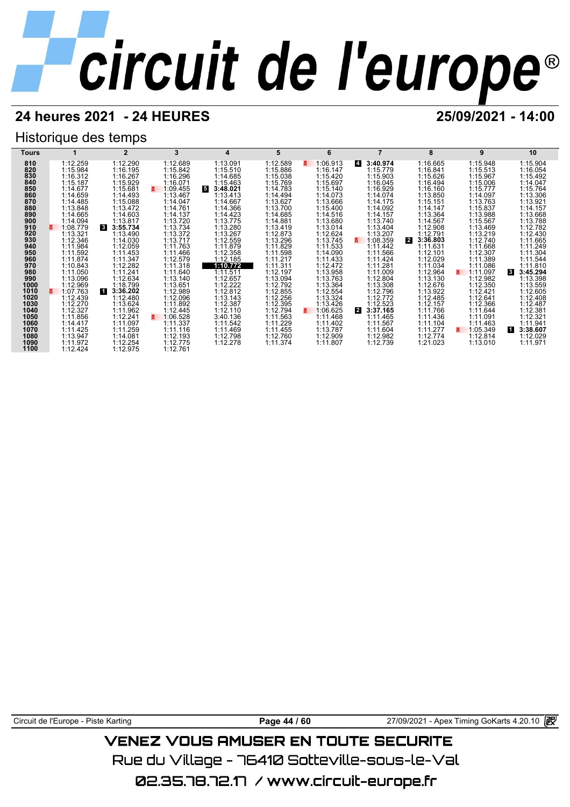## **24 heures 2021 - 24 HEURES 25/09/2021 - 14:00**

## Historique des temps



Circuit de l'Europe - Piste Karting **Page 44 / 60** Page 44 / 60 27/09/2021 - Apex Timing GoKarts 4.20.10 **in** 

## VENEZ VOUS AMUSER EN TOUTE SECURITE

Rue du Village – 76410 Sotteville-sous-le-Val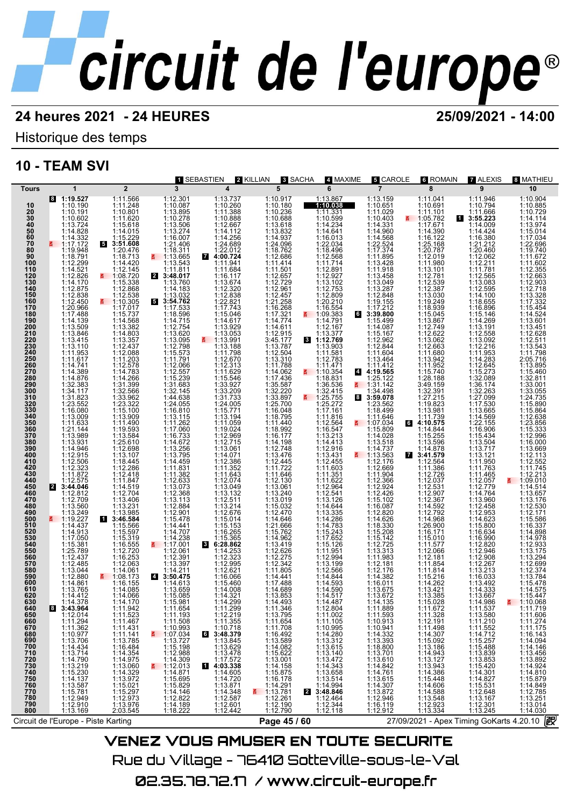Historique des temps

## **10 - TEAM SVI**

|                                                                                                                                                                                                                                                                                                                                                                                                                 |                                                                                                                                                                                                                                                                                                                                                                                                                                                                                                                                                                                                                                                                                                                                                                    |                                                                                                                                                                                                                                                                                                                                                                                                                                                                                                                                                                                                                                                                                                                                                                                                                                                      | 1 SEBASTIEN                                                                                                                                                                                                                                                                                                                                                                                                                                                                                                                                                                                                                                                                                                                                                                                                                                                 |                                                                                                                                                                                                                                                                                                                                                                                                                                                                                                                                                                                                                                                                                                                                                  | 8 SACHA                                                                                                                                                                                                                                                                                                                                                                                                                                                                                                                                                                                                                                                                                                                                       | 4 MAXIME                                                                                                                                                                                                                                                                                                                                                                                                                                                                                                                                                                                                                                                                                                                                                                                         |                                                                                                                                                                                                                                                                                                                                                                                                                                                                                                                                                                                                                                                                                                                                                                                                                                        |                                                                                                                                                                                                                                                                                                                                                                                                                                                                                                                                                                                                                                                                                                                                           |                                                                                                                                                                                                                                                                                                                                                                                                                                                                                                                                                                                                                                                                                                                                             |                                                                                                                                                                                                                                                                                                                                                                                                                                                                                                                                                                                                                                                                                                                                  |
|-----------------------------------------------------------------------------------------------------------------------------------------------------------------------------------------------------------------------------------------------------------------------------------------------------------------------------------------------------------------------------------------------------------------|--------------------------------------------------------------------------------------------------------------------------------------------------------------------------------------------------------------------------------------------------------------------------------------------------------------------------------------------------------------------------------------------------------------------------------------------------------------------------------------------------------------------------------------------------------------------------------------------------------------------------------------------------------------------------------------------------------------------------------------------------------------------|------------------------------------------------------------------------------------------------------------------------------------------------------------------------------------------------------------------------------------------------------------------------------------------------------------------------------------------------------------------------------------------------------------------------------------------------------------------------------------------------------------------------------------------------------------------------------------------------------------------------------------------------------------------------------------------------------------------------------------------------------------------------------------------------------------------------------------------------------|-------------------------------------------------------------------------------------------------------------------------------------------------------------------------------------------------------------------------------------------------------------------------------------------------------------------------------------------------------------------------------------------------------------------------------------------------------------------------------------------------------------------------------------------------------------------------------------------------------------------------------------------------------------------------------------------------------------------------------------------------------------------------------------------------------------------------------------------------------------|--------------------------------------------------------------------------------------------------------------------------------------------------------------------------------------------------------------------------------------------------------------------------------------------------------------------------------------------------------------------------------------------------------------------------------------------------------------------------------------------------------------------------------------------------------------------------------------------------------------------------------------------------------------------------------------------------------------------------------------------------|-----------------------------------------------------------------------------------------------------------------------------------------------------------------------------------------------------------------------------------------------------------------------------------------------------------------------------------------------------------------------------------------------------------------------------------------------------------------------------------------------------------------------------------------------------------------------------------------------------------------------------------------------------------------------------------------------------------------------------------------------|--------------------------------------------------------------------------------------------------------------------------------------------------------------------------------------------------------------------------------------------------------------------------------------------------------------------------------------------------------------------------------------------------------------------------------------------------------------------------------------------------------------------------------------------------------------------------------------------------------------------------------------------------------------------------------------------------------------------------------------------------------------------------------------------------|----------------------------------------------------------------------------------------------------------------------------------------------------------------------------------------------------------------------------------------------------------------------------------------------------------------------------------------------------------------------------------------------------------------------------------------------------------------------------------------------------------------------------------------------------------------------------------------------------------------------------------------------------------------------------------------------------------------------------------------------------------------------------------------------------------------------------------------|-------------------------------------------------------------------------------------------------------------------------------------------------------------------------------------------------------------------------------------------------------------------------------------------------------------------------------------------------------------------------------------------------------------------------------------------------------------------------------------------------------------------------------------------------------------------------------------------------------------------------------------------------------------------------------------------------------------------------------------------|---------------------------------------------------------------------------------------------------------------------------------------------------------------------------------------------------------------------------------------------------------------------------------------------------------------------------------------------------------------------------------------------------------------------------------------------------------------------------------------------------------------------------------------------------------------------------------------------------------------------------------------------------------------------------------------------------------------------------------------------|----------------------------------------------------------------------------------------------------------------------------------------------------------------------------------------------------------------------------------------------------------------------------------------------------------------------------------------------------------------------------------------------------------------------------------------------------------------------------------------------------------------------------------------------------------------------------------------------------------------------------------------------------------------------------------------------------------------------------------|
| <b>Tours</b>                                                                                                                                                                                                                                                                                                                                                                                                    |                                                                                                                                                                                                                                                                                                                                                                                                                                                                                                                                                                                                                                                                                                                                                                    |                                                                                                                                                                                                                                                                                                                                                                                                                                                                                                                                                                                                                                                                                                                                                                                                                                                      |                                                                                                                                                                                                                                                                                                                                                                                                                                                                                                                                                                                                                                                                                                                                                                                                                                                             |                                                                                                                                                                                                                                                                                                                                                                                                                                                                                                                                                                                                                                                                                                                                                  |                                                                                                                                                                                                                                                                                                                                                                                                                                                                                                                                                                                                                                                                                                                                               |                                                                                                                                                                                                                                                                                                                                                                                                                                                                                                                                                                                                                                                                                                                                                                                                  |                                                                                                                                                                                                                                                                                                                                                                                                                                                                                                                                                                                                                                                                                                                                                                                                                                        |                                                                                                                                                                                                                                                                                                                                                                                                                                                                                                                                                                                                                                                                                                                                           |                                                                                                                                                                                                                                                                                                                                                                                                                                                                                                                                                                                                                                                                                                                                             |                                                                                                                                                                                                                                                                                                                                                                                                                                                                                                                                                                                                                                                                                                                                  |
| 10<br>20<br>30<br>40<br>50<br>50<br>60<br>70<br>80<br>90<br>100<br>110<br>120<br>130<br>140<br>150<br>160<br>170<br>180<br>190<br>200<br>210<br>220<br>230<br>240<br>250<br>260<br>270<br>280<br>290<br>300<br>310<br>320<br>330<br>340<br>350<br>360<br>370<br>380<br>390<br>400<br>410<br>420<br>430<br>440<br>450<br>460<br>470<br>480<br>490<br>500<br>510<br>520<br>530<br>540<br>550<br>560<br>570<br>580 | $\mathbf{1}$<br>1:19.527<br>8<br>1:10.190<br>1:10.191<br>1:10.602<br>1:13.724<br>1:14.828<br>$1:14.332$<br>$\overline{5}$ 1:17.172<br>1:19.948<br>1:12.299<br>1:14.521<br>1:12.826<br>$\begin{array}{c} 1:14.70 \\ 1:12.875 \\ 1:12.838 \\ 1:12.450 \end{array}$<br>1:20.966<br>1:17.488<br>1:14.139<br>1:13.509<br>1:13.846<br>1:13.415<br>1:13.110<br>1:11.953<br>1:11.617<br>1:14.741<br>1:14.389<br>1:14.876<br>1:32.383<br>1:34.117<br>1:31.823<br>1:23.552<br>1:16.080<br>1:11.633<br>1:21.144<br>1:13.989<br>1:13.931<br>1:14.946<br>1:12.915<br>1:12.506<br>1:12.323<br>1:11.872<br>$4:12.575$<br>3:44.046<br>1:12.812<br>1:12.709<br>1:13.560<br>1:13.249<br>1:14.437<br>1:14.913<br>1:17.050<br>1:15.381<br>1:25.789<br>1:12.437<br>1:12.485<br>1:13.044 | $\overline{2}$<br>1:11.566<br>1:11.248<br>$\begin{array}{c} 1:10.801 \\ 1:11.620 \\ 1:15.618 \end{array}$<br>1:14.015<br>$1:15.229$<br>3:51.608<br>1:20.476<br>1:14.420<br>$1:12.145$<br>1:08.720<br>1:15.338<br>1:12.868<br>1:12.538<br>$\frac{2}{1}$ 1:10.305<br>$1:17.017$<br>$1:15.737$<br>$1:14.568$<br>$1:13.382$<br>$1:14.803$<br>$1:14.803$<br>$1:12.437$<br>$1:12.088$<br>$1:11.203$<br>$1:14.783$<br>$1:14.266$<br>$1:31.399$<br>$1:32.566$<br>$\begin{array}{r} 1:33.962 \\ 1:23.322 \\ 1:15.100 \\ 1:13.909 \end{array}$<br>1:11.490<br>1:19.593<br>1:13.584<br>1:25.610<br>$1:12.698$<br>$1:13.107$<br>$1:18.445$<br>$1:12.286$<br>$1:12.418$<br>$1:11.847$<br>$1:14.519$<br>1:12.704<br>1:13.406<br>1:13.231<br>$1:13.985$<br>3:46.584<br>1:15.566<br>1:15.597<br>1:15.319<br>1:16.555<br>1:12.720<br>1:16.253<br>1:12.063<br>1:14.061 | 3<br>1:12.301<br>1:10.087<br>$\begin{array}{r}\n 1:13.895 \\  1:10.278 \\  1:13.506 \\  1:13.274\n \end{array}$<br>1:16.007<br>1:21.406<br>1:18.311<br>$\frac{1:22.012}{4:00.724}$<br>$\frac{1113.665}{1:13.543}$<br>$4:11.811$<br>3:48.017<br>1:13.760<br>1:14.183<br>$\begin{array}{r}\n 1:13.032 \\  \hline\n 3:54.762 \\  1:17.533\n \end{array}$<br>1:18.596<br>1:14.715<br>1:12.754<br>1:13.620<br>1:13.095<br>1:12.798<br>$\frac{2}{1}$ 1:13.991<br>1:15.573<br>1:12.066<br>1:12.557<br>1:15.239<br>1:31.683<br>1:32.145<br>1:44.638<br>1:24.055<br>1:16.810<br>1:13.115<br>1:11.262<br>1:17.060<br>1:16.733<br>1:14.672<br>1:13.795<br>1:14.459<br>$1:11.831$<br>1:11.382<br>1:12.633<br>1:13.073<br>1:12.368<br>1:13.113<br>1:12.884<br>1:12.901<br>1:15.478<br>1:14.441<br>1:14.707<br>1:14.238<br>$1:15.365$<br>6:28.862<br>1:12.061<br>1:12.391 | 2 KILLIAN<br>$\overline{\mathbf{4}}$<br>1:13.737<br>1:10.260<br>1:11.388<br>1:10.888<br>1:12.667<br>1:14.112<br>1:14.256<br>1:24.689<br>1:11.941<br>1:11.684<br>$1:13.674$<br>$1:12.320$<br>$1:12.838$<br>$1:22.821$<br>1:17.743<br>1:15.046<br>1:14.617<br>1:13.929<br>1:13.053<br>1:13.188<br>1:11.798<br>1:12.670<br>1:12.313<br>1:11.629<br>1:15.546<br>1:33.927<br>1:33.209<br>1:31.733<br>1:24.005<br>$1:15.771$<br>$1:13.194$<br>$1:11.059$<br>$1:19.024$<br>$1:12.969$<br>$1:12.715$<br>$1:13.061$<br>$1:14.071$<br>$1:12.386$<br>$1:11.352$<br>$1:11.643$<br>$1:12.074$<br>$1:13.143$<br>$1:13.132$<br>$1:12.511$<br>$1:13.214$<br>$1:12.676$<br>$1:15.014$<br>$1:16.265$<br>$1:16.265$<br>1:14.253<br>1:12.323<br>1:12.995<br>1:12.621 | 5<br>1:10.917<br>1:10.180<br>$\begin{array}{r}\n 1:10.236 \\  1:10.688 \\  1:13.618 \\  1:13.832 \\  \end{array}$<br>$1:14.937$<br>$1:24.096$<br>$1:18.762$<br>$1:12.686$<br>1:11.414<br>1:11.501<br>1:12.657<br>1:12.729<br>1:12.457<br>1:21.258<br>1:16.268<br>1:14.774<br>$1:14.611$<br>1:12.915<br>3:45.177<br>$1:13.787$<br>$1:12.504$<br>$1:13.310$<br>1:11.788<br>1:14.062<br>1:17.436<br>1:35.587<br>1:32.220<br>1:33.897<br>1:25.700<br>1:16.048<br>1:18.795<br>1:11.440<br>1:16.177<br>1:14.198<br>1:12.748<br>1:12.445<br>1:12.445<br>1:11.646<br>1:12.130<br>1:13.061<br>1:13.240<br>1:13.019<br>1:15.032<br>1:12.470<br>1:14.646<br>1:21.666<br>1:15.762<br>1:14.962<br>1:13.419<br>1:12.626<br>1:12.275<br>1:12.342<br>1:11.805 | 6<br>1:13.867<br>1:10.038<br>1:11.331<br>1:10.599<br>1:14.234<br>1:14.641<br>1:16.013<br>1:22.034<br>1:18.496<br>1:12.568<br>1:11.714<br>$1:12.891$<br>$1:12.927$<br>$1:13.102$<br>$1:12.753$<br>$1:12.809$<br>$1:20.210$<br>1:16.554<br>$\frac{1109.383}{114.791}$<br>1:14.791<br>1:12.167<br>1:13.377<br>1:12.769<br>1:13.903<br>1:11.581<br>1:12.783<br>$1:11.471$<br>1:10.354<br>$\overline{4}$<br>$1:18.831$<br>$1:36.536$<br>$1:32.415$<br>$1:25.755$<br>$1:25.272$<br>1:17.161<br>1:11.816<br>1:12.564<br>1:16.547<br>$1:13.213$ $1:14.413$ $1:12.916$ $1:13.431$ $1:12.455$<br>$1:11.603$<br>1:11.351<br>1:11.622<br>1:12.964<br>1:12.541<br>1:13.126<br>1:14.644<br>$1:13.335$ $1:14.286$ $1:14.783$ $1:15.243$<br>1:17.652<br>1:15.126<br>1:11.951<br>1:12.994<br>1:13.199<br>1:12.566 | <del>រ</del> CAROLE<br>$\overline{7}$<br>1:13.159<br>1:10.651<br>1:11.029<br>1:10.403<br>1:14.331<br>1:14.568<br>1:22.524<br>1:17.524<br>$\begin{array}{c} 1.27.374 \\ 1.17.374 \\ 1.11.895 \\ 1.13.428 \end{array}$<br>1:11.918<br>1:11.918<br>1:13.049<br>1:12.848<br>1:12.848<br>1:17.212<br>1:17.212<br>$3:39.\overline{800}$<br>1:15.499<br>1:14.087<br>1:15.167<br>$1:12.962$<br>$1:12.844$<br>$1:11.604$<br>$1:13.464$<br>1:11.412<br>4:19.565<br>1:25.122<br>$\frac{3}{2}$ 1:31.142<br>1:34.498<br>$8$ 3:59.078<br>1:23.562<br>1:18.499<br>$\frac{2}{107.034}$<br>1:15.809<br>1:13.518<br>$1:14.737$ $1:14.737$ $1:12.176$ $1:12.969$ $1:11.904$ $1:12.924$ $1:12.942$<br>1:12.426<br>1:15.102<br>$1:16.087$ $1:12.820$ $1:14.626$ $1:18.330$ $1:15.208$<br>$1:15.142$ $1:12.725$ $1:13.313$ $1:11.983$ $1:12.181$<br>1:12.176 | 6 ROMAIN<br>8<br>1:11.041<br>1:10.691<br>$1:10.91$<br>1.11.101<br>1.105.782<br>1.17.671<br>1.14.390<br>1.20.787<br>1.11.980<br>1.11.11.380<br>1:13.101<br>1:12.781<br>$\begin{array}{l} 1:12.539\\ 1:12.387\\ 1:13.030\\ 1:13.030\\ 1:18.939\\ 1:18.949\\ 1:13.867\\ 1:12.622\\ 1:12.663\\ 1:11.680\\ 1:11.942\\ 1:11.952\\ 1:15.740 \end{array}$<br>1:28.188<br>3:49.159<br>1:32.391<br>$1:27.215$<br>$1:19.823$<br>$1:13.981$<br>$1:11.739$<br>$4:10.575$<br>6<br>$1:14.844$<br>$1:15.255$<br>$1:13.596$<br>$1:14.878$<br>3:41.579<br>1:12.564<br>7<br>1:11.386<br>1:12.726<br>1:12.037<br>1:12.531<br>1:12.907<br>1:12.367<br>1:14.592<br>1:14.968<br>1:26.900<br>1:16.171<br>1:15.010<br>1:11.577<br>1:12.066<br>1:12.181<br>1:11.854 | 7 ALEXIS<br>9<br>1:11.946<br>1:10.794<br>$1:11.666$<br>3:55.223<br>1:14.009<br>1:14.424<br>1:16.380<br>1:21.212<br>1:20.460<br>1:12.062<br>1:12.211<br>1:11.781<br>1:12.565<br>1:13.083<br>1:12.595<br>1:14.100<br>1:18.655<br>1:16.896<br>1:15.146<br>1:15.140<br>1:13.191<br>1:12.558<br>1:12.558<br>1:12.216<br>1:14.283<br>1:12.645<br>1:15.273<br>1:32.089<br>1:36.174<br>1:32.263<br>1:32.269<br>1:27.099<br>1:17.530<br>1:13.665<br>1:14.569<br>1:22.155<br>1:16.906<br>1:15.434<br>$1:13.504$<br>$1:13.717$<br>1:13.121<br>1:11.950<br>1:11.763<br>1:11.465<br>1:12.057<br>1:12.779<br>1:14.764<br>1:13.960<br>1:12.458<br>1:12.953<br>1:14.623<br>1:15.800<br>1:16.634<br>1:16.990<br>1:12.820<br>1:12.946<br>1:12.908<br>1:12.267 | 8 MATHIEU<br>10<br>1:10.904<br>1:10.885<br>1:10.729<br>1:14.114<br>1:13.974<br>1:15.014<br>1:17.034<br>1:22.696<br>1:19.740<br>1:11.672<br>1:11.602<br>1:12.355<br>1:12.663<br>1:12.903<br>1:12.718<br>1:13.328<br>1:17.332<br>1:15.454<br>1:14.524<br>1:13.601<br>1:13.451<br>1:12.628<br>1:12.511<br>1:13.543<br>1:11.798<br>2:05.716<br>1:13.895<br>1:15.460<br>1:32.811<br>1:33.001<br>1:33.055<br>1:24.735<br>1:15.890<br>1:15.864<br>1:23.856<br>1:15.333<br>1:12.996<br>1:16.000<br>1:13.669<br>1:12.113<br>1:12.552<br>1:11.745<br>1:12.213<br>昌<br>1:09.010<br>1:14.514<br>1:13.657<br>1:13.176<br>1:12.530<br>1:12.171<br>1:15.586<br>1:16.337<br>1:14.898<br>1:14.978<br>1:12.933<br>1:13.175<br>1:13.294<br>1:12.699 |
| 590<br>600<br>610<br>620<br>630<br>640<br>650<br>660<br>670<br>680<br>690<br>700<br>710<br>720<br>730<br>740<br>750<br>760<br>770<br>780<br>790<br>800                                                                                                                                                                                                                                                          | 1:12.880<br>1:14.861<br>1:13.765<br>1:14.412<br>1:14.378<br>$\sqrt{3}$<br>3:43.964<br>1:12.014<br>1:11.294<br>1:11.362<br>1:10.977<br>1:13.706<br>1:14.434<br>1:13.714<br>1:14.790<br>1:13.219<br>1:15.219<br>1:14.137<br>1:14.137<br>1:12.949<br>1:12.949<br>1:13.169                                                                                                                                                                                                                                                                                                                                                                                                                                                                                             | $\frac{1108.173}{1:16.155}$<br>1:14.085<br>1:14.066<br>1:14.170<br>1:11.942<br>1:11.523<br>1:11.467<br>1:11.431<br>$1:11.141$<br>$1:13.785$<br>$1:16.484$<br>1:14.354<br>1:13.060<br>1:14.329<br>1:13.972<br>1:15.021<br>1:15.297<br>1:12.973<br>1:13.976<br>2:03.545                                                                                                                                                                                                                                                                                                                                                                                                                                                                                                                                                                                | $1:13.397$<br>1:14.211<br>3:50.475<br>1:14.613<br>1:13.659<br>1:15.085<br>1:15.981<br>1:11.654<br>1:11.193<br>$1:11.355$<br>$1:10.718$<br>3:48.379<br>4:43.845<br>1:11.508<br>1:10.993<br>$\frac{1107.034}{113.727}$<br>1:15.198<br>1:12.988<br>1:14.309<br>$\frac{2}{1}$ 1:12.013<br>4:03.338<br>1:14.871<br>1:15.695<br>1:15.829<br>1:14.146<br>1:12.822<br>1:14.189<br>1:18.222                                                                                                                                                                                                                                                                                                                                                                                                                                                                          | 1:16.066<br>1:15.460<br>1:14.008<br>1:14.321<br>1:14.299<br>1:11.299<br>1:12.219<br>1:13.845<br>1:13.629<br>1:13.478<br>1:14.605<br>1:14.720<br>1:14.720<br>1:14.348<br>1:12.587<br>1:12.601<br>1:12.442                                                                                                                                                                                                                                                                                                                                                                                                                                                                                                                                         | 1:14.441<br>1:17.488<br>1:14.689<br>1:13.853<br>1:14.493<br>1:11.346<br>1:13.795<br>1:11.654<br>1:11.708<br>$1:16.492$<br>$1:13.589$<br>$1:14.082$<br>1:15.622<br>1:13.001<br>1:14.158<br>$1:15.875$<br>1:16.178<br>1:14.291<br>5 1:13.781<br>1:12.261<br>1:12.190<br>1:12.790                                                                                                                                                                                                                                                                                                                                                                                                                                                                | 1:14.844<br>1:14.593<br>1:14.590<br>1:14.517<br>1:14.487<br>1:12.804<br>1:11.002<br>$\begin{array}{r} 1:11.105 \\ 1:10.995 \\ 1:14.280 \\ 1:13.312 \\ 1:13.615 \end{array}$<br>1:13.140<br>1:13.472<br>$1:14.343$<br>$1:13.658$<br>$1:13.514$<br>$1:14.994$<br><b>2</b> 3:48.846<br>1:12.464<br>1:12.344<br>1:12.118                                                                                                                                                                                                                                                                                                                                                                                                                                                                             | 1:14.382<br>1:16.011<br>1:13.675<br>1:13.672<br>1:14.135<br>1:11.889<br>1:11.593<br>$1:10.913$<br>$1:10.941$<br>$1:14.332$<br>$1:13.393$<br>$1:18.800$<br>$1:13.701$ $1:13.610$ $1:14.842$ $1:14.761$ $1:13.872$ $1:14.307$ $1:14.946$<br>1:16.119<br>1:12.912                                                                                                                                                                                                                                                                                                                                                                                                                                                                                                                                                                         | $1:11.834$ $1:15.216$ $1:14.262$ $1:13.421$<br>1:13.385<br>1:15.028<br>1:11.672<br>1:11.328<br>1:12.191<br>1:11.498<br>1:14.307<br>1:15.092<br>1:13.186<br>1:14.943<br>1:13.127<br>$\begin{array}{r}\n 1:13.943 \\  1:14.386 \\  1:15.448 \\  1:14.606\n \end{array}$<br>$1:14.588$<br>$1:13.548$<br>$1:12.923$<br>$1:13.334$                                                                                                                                                                                                                                                                                                                                                                                                             | 1:13.213<br>1:16.033<br>1:13.492<br>1:14.333<br>1:13.667<br>1:14.986<br>1:11.537<br>$1:13.580$<br>$1:11.210$<br>$1:11.552$<br>$\begin{array}{c} 1:14.712 \\ 1:15.257 \\ 1:15.488 \\ 1:13.839 \\ 1:13.873 \end{array}$<br>$\begin{array}{r} 1.13.853 \\ 1.15.420 \\ 1.14.301 \\ 1.14.827 \\ 1.15.531 \end{array}$<br>1:12.648<br>1:13.167<br>1:12.301<br>1:13.245                                                                                                                                                                                                                                                                                                                                                                            | 1:12.374<br>1:13.784<br>1:15.478<br>1:14.575<br>1:15.447<br>₹ 1:10.068<br>1:11.719<br>1:11.606<br>1:11.274<br>1:11.175<br>1:16.143<br>1:14.094<br>1:14.146<br>1:13.456<br>1:13.892<br>$\begin{array}{c} 1.19.824 \\ 1.14.810 \\ 1.15.879 \end{array}$<br>1:14.849<br>1:12.785<br>1:13.251<br>1:13.014<br>1:14.030                                                                                                                                                                                                                                                                                                                                                                                                                |
|                                                                                                                                                                                                                                                                                                                                                                                                                 | Circuit de l'Europe - Piste Karting                                                                                                                                                                                                                                                                                                                                                                                                                                                                                                                                                                                                                                                                                                                                |                                                                                                                                                                                                                                                                                                                                                                                                                                                                                                                                                                                                                                                                                                                                                                                                                                                      |                                                                                                                                                                                                                                                                                                                                                                                                                                                                                                                                                                                                                                                                                                                                                                                                                                                             |                                                                                                                                                                                                                                                                                                                                                                                                                                                                                                                                                                                                                                                                                                                                                  | Page 45 / 60                                                                                                                                                                                                                                                                                                                                                                                                                                                                                                                                                                                                                                                                                                                                  |                                                                                                                                                                                                                                                                                                                                                                                                                                                                                                                                                                                                                                                                                                                                                                                                  |                                                                                                                                                                                                                                                                                                                                                                                                                                                                                                                                                                                                                                                                                                                                                                                                                                        | 27/09/2021 - Apex Timing GoKarts 4.20.10                                                                                                                                                                                                                                                                                                                                                                                                                                                                                                                                                                                                                                                                                                  |                                                                                                                                                                                                                                                                                                                                                                                                                                                                                                                                                                                                                                                                                                                                             | 毆                                                                                                                                                                                                                                                                                                                                                                                                                                                                                                                                                                                                                                                                                                                                |
|                                                                                                                                                                                                                                                                                                                                                                                                                 |                                                                                                                                                                                                                                                                                                                                                                                                                                                                                                                                                                                                                                                                                                                                                                    |                                                                                                                                                                                                                                                                                                                                                                                                                                                                                                                                                                                                                                                                                                                                                                                                                                                      |                                                                                                                                                                                                                                                                                                                                                                                                                                                                                                                                                                                                                                                                                                                                                                                                                                                             |                                                                                                                                                                                                                                                                                                                                                                                                                                                                                                                                                                                                                                                                                                                                                  |                                                                                                                                                                                                                                                                                                                                                                                                                                                                                                                                                                                                                                                                                                                                               |                                                                                                                                                                                                                                                                                                                                                                                                                                                                                                                                                                                                                                                                                                                                                                                                  |                                                                                                                                                                                                                                                                                                                                                                                                                                                                                                                                                                                                                                                                                                                                                                                                                                        |                                                                                                                                                                                                                                                                                                                                                                                                                                                                                                                                                                                                                                                                                                                                           |                                                                                                                                                                                                                                                                                                                                                                                                                                                                                                                                                                                                                                                                                                                                             |                                                                                                                                                                                                                                                                                                                                                                                                                                                                                                                                                                                                                                                                                                                                  |
|                                                                                                                                                                                                                                                                                                                                                                                                                 |                                                                                                                                                                                                                                                                                                                                                                                                                                                                                                                                                                                                                                                                                                                                                                    |                                                                                                                                                                                                                                                                                                                                                                                                                                                                                                                                                                                                                                                                                                                                                                                                                                                      | VENEZ VOUC OM ICED EN TOUTE CECUDITE                                                                                                                                                                                                                                                                                                                                                                                                                                                                                                                                                                                                                                                                                                                                                                                                                        |                                                                                                                                                                                                                                                                                                                                                                                                                                                                                                                                                                                                                                                                                                                                                  |                                                                                                                                                                                                                                                                                                                                                                                                                                                                                                                                                                                                                                                                                                                                               |                                                                                                                                                                                                                                                                                                                                                                                                                                                                                                                                                                                                                                                                                                                                                                                                  |                                                                                                                                                                                                                                                                                                                                                                                                                                                                                                                                                                                                                                                                                                                                                                                                                                        |                                                                                                                                                                                                                                                                                                                                                                                                                                                                                                                                                                                                                                                                                                                                           |                                                                                                                                                                                                                                                                                                                                                                                                                                                                                                                                                                                                                                                                                                                                             |                                                                                                                                                                                                                                                                                                                                                                                                                                                                                                                                                                                                                                                                                                                                  |

VENEZ VOUS AMUSER EN TOUTE SECURITE Rue du Village – 76410 Sotteville-sous-le-Val 02.35.78.72.17 / www.circuit-europe.fr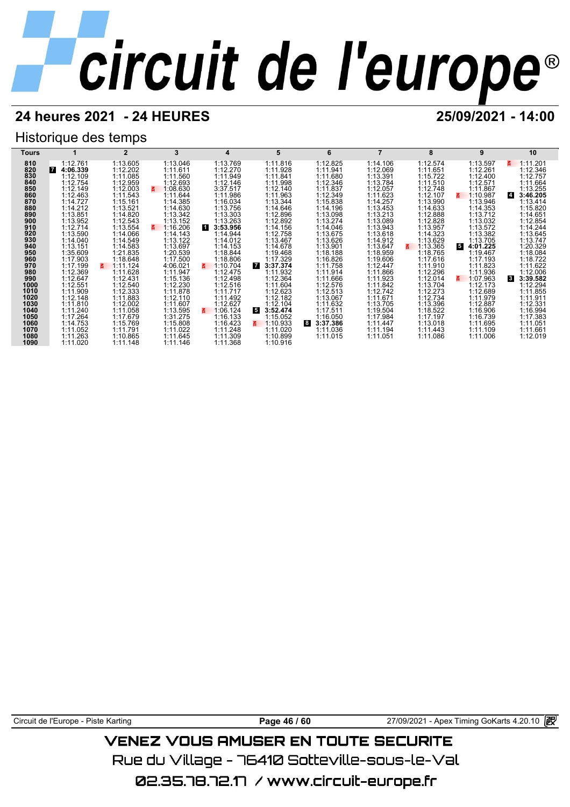## **24 heures 2021 - 24 HEURES 25/09/2021 - 14:00**

## Historique des temps

| Tours       |                      |                      | 3                    | 4                    | 5                    | 6                    |                      | 8                    | 9                          | 10                               |
|-------------|----------------------|----------------------|----------------------|----------------------|----------------------|----------------------|----------------------|----------------------|----------------------------|----------------------------------|
| 810         | 1:12.761             | 1:13.605             | 1:13.046             | 1:13.769             | 1:11.816             | 1:12.825             | 1:14.106             | 1:12.574             | 1:13.597                   | 1:11.201<br>3.                   |
| 820         | 7<br>4:06.339        | 1:12.202             | 1:11.611             | 1:12.270             | 1:11.928             | 1:11.941             | 1:12.069             | 1:11.651             | 1:12.261                   | 1:12.346                         |
| 830         | 1:12.109             | 1:11.085             | 1:11.560             | 1:11.949             | 1:11.841             | 1:11.680             | 1:13.391             | 1:15.722             | 1:12.400                   | 1:12.757                         |
| 840         | 1:12.754             | 1:12.959             | 1:12.693             | 1:12.146             | 1:11.998             | 1:12.346             | 1:13.784             | 1:11.510             | 1:12.571                   | 1:11.664                         |
| 850         | 1:12.149             | 1:12.003             | 1:08.630<br>z.       | 3:37.517             | 1:12.140             | 1:11.837             | 1:12.057             | 1:12.748             | 1:11.867                   | 1:13.255                         |
| 860         | 1:12.463             | 1:11.543             | 1:11.644             | 1:11.986             | 1:11.963             | 1:12.349             | 1:11.623             | 1:12.107             | 1:10.987<br>3.             | 3:46.205<br>$\vert 4 \vert$      |
| 870<br>880  | 1:14.727<br>1:14.212 | 1:15.161<br>1:13.521 | 1:14.385<br>1:14.630 | 1:16.034<br>1:13.756 | 1:13.344<br>1:14.646 | 1:15.838<br>1:14.196 | 1:14.257<br>1:13.453 | 1:13.990<br>1:14.633 | 1:13.946<br>1:14.353       | 1:13.414<br>1:15.820             |
| 890         | 1:13.851             | 1:14.820             | 1:13.342             | 1:13.303             | 1:12.896             | 1:13.098             | 1:13.213             | 1:12.888             | 1:13.712                   | 1:14.651                         |
| 900         | 1:13.952             | 1:12.543             | 1:13.152             | 1:13.263             | 1:12.892             | 1:13.274             | 1:13.089             | 1:12.828             | 1:13.032                   | 1:12.854                         |
| 910         | 1:12.714             | 1:13.554             | 1:16.206<br>z.       | 1<br>3:53.956        | 1:14.156             | 1:14.046             | 1:13.943             | 1:13.957             | 1:13.572                   | 1:14.244                         |
| 920         | 1:13.590             | 1:14.066             | 1:14.143             | 1:14.944             | 1:12.758             | 1:13.675             | 1:13.618             | 1:14.323             | 1:13.382                   | 1:13.645                         |
| 930         | 1:14.040             | 1:14.549             | 1:13.122             | 1:14.012             | 1:13.467             | 1:13.626             | 1:14.912             | 1:13.629             | 1:13.705                   | 1:13.747                         |
| 940         | 1:13.151             | 1:14.583             | 1:13.697             | 1:14.153             | 1:14.678             | 1:13.901             | 1:13.647             | 1:13.365             | 5<br>4:01.225              | 1:20.329                         |
| 950         | 1:35.609             | 1:21.835             | 1:20.539             | 1:18.844             | 1:19.468             | 1:18.188             | 1:18.959             | 1:18.765             | 1:19.467                   | 1:18.084                         |
| 960         | 1:17.903             | 1:18.648             | 1:17.500             | 1:18.806             | 1:17.329             | 1:16.826             | 1:19.606             | 1:17.616             | 1:17.193                   | 1:18.722                         |
| 970         | 1:17.199             | 1:11.124             | 4:06.021             | 1:10.704<br>3.       | <b>7</b><br>3:37.374 | 1:11.758             | 1:12.447             | 1:11.910             | 1:11.823                   | 1:11.622                         |
| 980         | 1:12.369             | 1:11.628             | 1:11.947             | 1:12.475             | 1:11.932             | 1:11.914             | 1:11.866             | 1:12.296             | 1:11.936                   | 1:12.006                         |
| 990<br>1000 | 1:12.647<br>1:12.551 | 1:12.431<br>1:12.540 | 1:15.136<br>1:12.230 | 1:12.498<br>1:12.516 | 1:12.364<br>1:11.604 | 1:11.666<br>1:12.576 | 1:11.923<br>1:11.842 | 1:12.014<br>1:13.704 | 1:07.963<br>3.<br>1:12.173 | <b>3</b><br>3:39.582<br>1:12.294 |
| 1010        | 1:11.909             | 1:12.333             | 1:11.878             | 1:11.717             | 1:12.623             | 1:12.513             | 1:12.742             | 1:12.273             | 1:12.689                   | 1:11.855                         |
| 1020        | 1:12.148             | 1:11.883             | 1:12.110             | 1:11.492             | 1:12.182             | 1:13.067             | 1:11.671             | 1:12.734             | 1:11.979                   | 1:11.911                         |
| 1030        | 1:11.810             | 1:12.002             | 1:11.607             | 1:12.627             | 1:12.104             | 1:11.632             | 1:13.705             | 1:13.396             | 1:12.887                   | 1:12.331                         |
| 1040        | 1:11.240             | 1:11.058             | 1:13.595             | 1:06.124<br>3.       | 3:52.474<br>5.       | 1:17.511             | 1:19.504             | 1:18.522             | 1:16.906                   | 1:16.994                         |
| 1050        | 1:17.264             | 1:17.679             | 1:31.275             | 1:16.133             | 1:15.052             | 1:16.050             | 1:17.984             | 1:17.197             | 1:16.739                   | 1:17.383                         |
| 1060        | 1:14.753             | 1:15.769             | 1:15.808             | 1:16.423             | 1:10.933<br>3.       | 3:37.386<br>8        | 1:11.447             | 1:13.018             | 1:11.695                   | 1:11.051                         |
| 1070        | 1:11.052             | 1:11.791             | 1:11.022             | 1:11.248             | 1:11.020             | 1:11.036             | 1:11.194             | 1:11.443             | 1:11.109                   | 1:11.661                         |
| 1080        | 1:11.263             | 1:10.865             | 1:11.645             | 1:11.309             | 1:10.899             | 1:11.015             | 1:11.051             | 1:11.086             | 1:11.006                   | 1:12.019                         |
| 1090        | 1:11.020             | 1:11.148             | 1:11.146             | 1:11.368             | 1:10.916             |                      |                      |                      |                            |                                  |

Circuit de l'Europe - Piste Karting **Page 46 / 60** Page 46 / 60 27/09/2021 - Apex Timing GoKarts 4.20.10 **图** 

## **VENEZ VOUS AMUSER EN TOUTE SECURITE**

Rue du Village – 76410 Sotteville-sous-le-Val

02.35.78.72.17 / www.circuit-europe.fr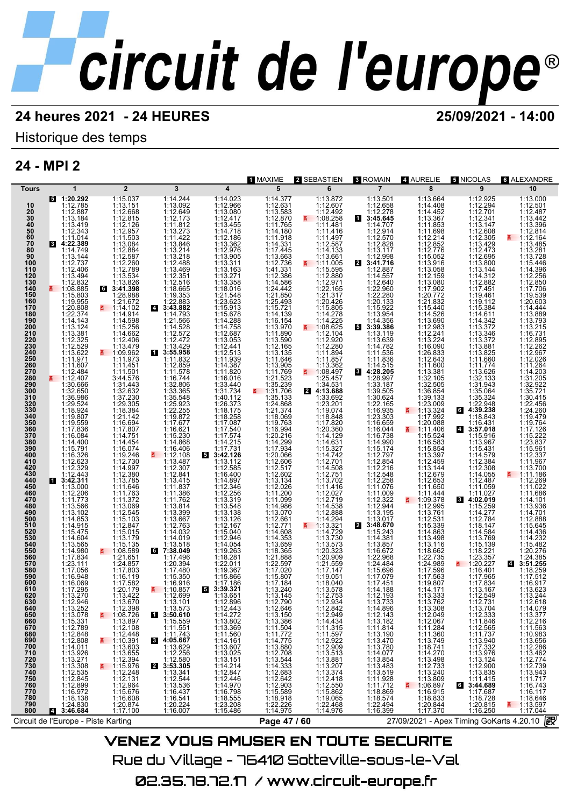## Historique des temps

## **24 - MPI 2**

| $\overline{\mathbf{4}}$<br>5<br>6<br>$\overline{7}$<br>$\overline{2}$<br>3<br>8<br>9<br>10<br>$\mathbf 1$<br><b>Tours</b><br>1:15.037<br>1:13.151<br>1:13.000<br>$\frac{5}{1120.292}$<br>1:12.785<br>1:14.244<br>1:14.023<br>1:14.377<br>1:12.631<br>1:13.872<br>1:12.607<br>1:12.492<br>1:13.501<br>1:12.658<br>1:13.664<br>1:12.925<br>1:12.294<br>1:13.092<br>1:14.408<br>1:12.501<br>1:12.966<br>10<br>1:12.668<br>1:12.815<br>1:13.080<br>1:13.583<br>1:12.278<br>1:14.452<br>1:13.367<br>1:12.701<br>1:12.487<br>$\frac{20}{30}$<br>$\frac{40}{50}$<br>1:12.887<br>1:12.649<br>$\frac{11.05.155}{1.08.258}$<br>1:12.173<br>1:12.417<br>13:45.645<br>1:12.341<br>1:13.442<br>1:13.184<br>1:13.455<br>1:11.853<br>1:13.419<br>1:12.126<br>1:11.812<br>1:11.765<br>1:11.481<br>1:14.707<br>1:13.147<br>1:13.396<br>$1:12.957$<br>$1:11.503$<br>1:13.273<br>1:14.718<br>1:12.343<br>1:14.180<br>1:12.914<br>1:12.608<br>1:11.416<br>1:11.698<br>1:12.814<br>1:11.422<br>1:12.570<br>1:12.828<br>60<br>1:11.014<br>1:12.186<br>1:13.362<br>1:12.976<br>$1:11.918$<br>$1:14.331$<br>$1:17.445$<br>$1:13.663$<br>1:11.497<br>$1:12.214$ $1:12.852$ $1:12.776$ $1:15.052$ $1:13.916$<br>1:12.305<br>1:13.429<br>1:12.473<br>E 1:12.164<br>$\frac{70}{80}$<br>$1:11.503\n1:12.884\n1:12.587\n1:12.789\n1:13.534\n1:13.826\n3:41.398\n5\n1:28.988$<br>$1:13.846$ $1:13.214$ $1:13.218$ $1:12.488$<br>8 4:22.389<br>1:13.485<br>1:12.587<br>1:13.117<br>1:12.998<br>1:14.749<br>1:14.133<br>1:13.281<br>1:13.144<br>1:13.905<br>1:13.661<br>1:12.695<br>1:13.800<br>1:13.728<br>90<br>1:13.311<br>1:12.736<br>₹ 1:11.005<br>2 3:41.716<br>100<br>1:12.737<br>1:15.446<br>1:12.406<br>1:13.494<br>1:13.469<br>1:12.351<br>1:41.331<br>1:12.386<br>1:13.144<br>110<br>1:15.595<br>1:12.887<br>1:14.396<br>1:12.880<br>1:14.557<br>1:14.312<br>1:12.256                                                                                                                                                                                                                                                                                                                                                                                                                                                                                                                                                                                                                                                                                                                                         |
|-----------------------------------------------------------------------------------------------------------------------------------------------------------------------------------------------------------------------------------------------------------------------------------------------------------------------------------------------------------------------------------------------------------------------------------------------------------------------------------------------------------------------------------------------------------------------------------------------------------------------------------------------------------------------------------------------------------------------------------------------------------------------------------------------------------------------------------------------------------------------------------------------------------------------------------------------------------------------------------------------------------------------------------------------------------------------------------------------------------------------------------------------------------------------------------------------------------------------------------------------------------------------------------------------------------------------------------------------------------------------------------------------------------------------------------------------------------------------------------------------------------------------------------------------------------------------------------------------------------------------------------------------------------------------------------------------------------------------------------------------------------------------------------------------------------------------------------------------------------------------------------------------------------------------------------------------------------------------------------------------------------------------------------------------------------------------------------------------------------------------------------------------------------------------------------------------------------------------------------------------------------------------------------------------------------------------------------------------------------------------------------------------------------------------------------------------------------------------------------------------------------------------------------------------------------------------------------------|
|                                                                                                                                                                                                                                                                                                                                                                                                                                                                                                                                                                                                                                                                                                                                                                                                                                                                                                                                                                                                                                                                                                                                                                                                                                                                                                                                                                                                                                                                                                                                                                                                                                                                                                                                                                                                                                                                                                                                                                                                                                                                                                                                                                                                                                                                                                                                                                                                                                                                                                                                                                                         |
| $1:13.163$<br>$1:13.271$<br>$1:13.358$<br>$1:18.016$<br>$\begin{array}{r}\n 1:13.058 \\  1:12.159 \\  1:13.080 \\  1:17.902 \\  \end{array}$<br>120<br>130<br>1:12.832<br>1:12.516<br>1:18.665<br>1:14.586<br>1:24.442<br>1:21.850<br>1:25.493<br>1:15.721<br>1:14.139<br>1:12.971<br>1:22.165<br>$1:12.640$<br>$1:22.960$<br>$1:22.280$<br>$1:20.133$<br>1:12.882<br>1:17.451<br>1:12.850<br>1:17.706<br>140<br>1:20.772<br>1:21.832<br>150<br>1:15.803<br>1:19.955<br>1:28.988<br>1:19.353<br>1:22.883<br>1:21.548<br>1:23.623<br>1:21.317<br>1:20.426<br>1:15.805<br>1:19.461<br>1:19.112<br>1:15.384<br>1:19.539<br>1:21.672<br>1:20.603<br>160<br>1:20.808<br>1:22.374<br>170<br>■ 1:14.102<br>$4\quad 3:43.882$<br>1:15.913<br>1:15.678<br>1:15.922<br>1:15.440<br>1:14.444<br>$1:14.278$<br>1:14.225<br>1:08.625<br>1:14.526<br>180<br>1:14.914<br>1:14.793<br>1:13.954<br>1:14.611<br>1:13.889<br>1:14.288<br>1:14.356<br>$\begin{array}{c} 1:13.690 \\ 1:12.983 \\ 1:12.241 \end{array}$<br>1:14.342<br>190<br>1:14.143<br>1:21.566<br>1:16.154<br>1:13.793<br>1:13.124<br>1:15.256<br>1:13.970<br>1:11.890<br>1:13.372<br>200<br>1:14.528<br>1:12.572<br>53:39.386<br>1:13.215<br>210<br>1:13.381<br>1:14.662<br>1:12.687<br>1:12.104<br>1:16.731<br>1:13.119<br>1:13.346<br>1:12.325<br>1:12.529<br>1:12.406<br>1:12.472<br>1:13.053<br>1:13.590<br>1:12.165<br>1:12.920<br>1:12.280<br>1:13.224<br>1:16.090<br>1:13.372<br>220<br>230<br>1:13.639<br>1:14.782<br>1:11.536<br>1:11.836<br>1:12.895<br>1:13.479<br>1:09.962<br>1:11.973<br>$\begin{array}{r}\n 1:13.429 \\  \hline\n 3:55.958 \\  1:11.832 \\  \end{array}$<br>$\begin{array}{c} 1:12.441 \\ 1:12.513 \\ 1:11.939 \\ 1:14.387 \end{array}$<br>1:13.881<br>1:12.262<br>$\begin{array}{c} 1.12.280 \\ 1.11.894 \\ 1.11.857 \\ 1.13.362 \end{array}$<br>240<br>1:13.622<br>1:11.971<br>$1:13.135$<br>$1:11.646$<br>$1:11.769$<br>$1:21.523$<br>$1:35.239$<br>$1:35.239$<br>$1:36.702$<br>1:26.833<br>1:13.825<br>1:11.660<br>1:12.967<br>1:12.026<br>250<br>1:11.607<br>1:11.774<br>260<br>1:11.451<br>1:12.859<br>1:14.515<br>1:11.600<br>1:11.264<br>1:11.820<br>8 4:28.205<br>1:13.381<br>270<br>1:12.484<br>1:11.501<br>3:44.576<br>1:11.578<br>₹ 1:08.497<br>1:13.626<br>1:32.133<br>$1:14.\overline{203}$                                                                                                                                                                                                                                                                                                  |
| 280<br>1:25.457<br>■ 1:12.407<br>1:16.744<br>1:32.806<br>1:33.365<br>1:16.016<br>1:33.440<br>1:31.734<br>1:28.997<br>1:32.105<br>1:32.505<br>1:36.854<br>1:31.205<br>290<br>1:31.443<br>1:32.632<br>1:34.531<br>1:30.666<br>1:32.650<br>1:33.187<br>1:31.943<br>1:32.922<br>300<br>2 4:13.688<br>1:39.505<br>1:35.721<br>1:37.230<br>1:29.305<br>1:40.112<br>1:26.373<br>1:18.175<br>1:17.087<br>1:17.540<br>1:35.133<br>1:24.868<br>$1:30.624$<br>$1:22.165$<br>$1:16.935$<br>$1:23.303$<br>1:39.133<br>1:23.009<br>1:35.324<br>310<br>1:36.986<br>1:29.524<br>1:35.548<br>1:25.923<br>1:22.255<br>1:19.872<br>1:17.677<br>1:33.692<br>1:23.201<br>1:19.074<br>1:18.848<br>1:17.820<br>1:30.415<br>320<br>330<br>1:22.948<br>1:22.456<br>1:18.924<br>1:18.384<br>1:21.374<br>1:18.069<br>1:19.763<br>1:16.994<br>1:12.0.216<br>1:17.934<br>1:12.0.066<br>$\frac{1113.324}{1:17.992}$<br>$4:39.238$<br>1:18.843<br>6<br>1:24.260<br>1:19.479<br>340<br>1:20.088<br>350<br>1:19.559<br>1:17.836<br>1:16.694<br>1:17.807<br>1:16.659<br>1:16.044<br>1:16.431<br>1:19.764<br>1:16.621<br>1:15.230<br>1:20.360<br>360<br>4 3:57.018<br>1:17.126<br>1:17.574<br>1:14.129<br>370<br>1:16.084<br>$1:14.751$<br>$1:14.454$<br>$1:16.074$<br>1:16.738<br>1:14.990<br>1:15.174<br>1:12.797<br>1:12.548<br>1:12.548<br>1:15.524<br>1:15.916<br>1:15.222<br>$1:14.400$<br>$1:15.791$<br>$1:16.326$<br>1:14.868<br>$1:14.215$ $1:17.731$ $3:42.126$ $1:13.112$<br>1:16.583<br>1:23.837<br>380<br>1:14.129<br>1:15.327<br>1:14.742<br>1:12.701<br>1:14.508<br>1:12.751<br>1:13.967<br>390<br>1:16.406<br>1:15.854<br>1:13.397<br>1:12.459<br>1:15.431<br>1:15.961<br>1:12.337<br>1:19.246<br>1:12.730<br>1:14.997<br>1:12.380<br>1:13.785<br>1:11.646<br>$\frac{1112.108}{1.13.487}$<br>1:14.579<br>1:12.384<br>400<br>1:12.623<br>1:12.606<br>1:11.967<br>410<br>$1:12.329$<br>$1:12.443$<br>1:12.307<br>1:12.841<br>1:12.585<br>$1:12.517$<br>$1:12.602$<br>$1:13.134$<br>$1:12.026$<br>$\begin{array}{r} 1:13.144 \\ 1:12.679 \\ 1:12.653 \\ 1:11.650 \end{array}$<br>$1:12.308$<br>$1:14.055$<br>$1:12.487$<br>$1:11.059$<br>420<br>430<br>1:13.700<br>1:16.400<br>1:11.186<br>E.<br>440<br>13:42.311<br>$1:13.415$<br>1:11.837<br>1:14.897<br>1:12.346<br>1:13.702<br>1:11.416<br>1:12.258<br>1:11.076<br>1:12.269                                                                                                                                                                                                                                                                               |
| 450<br>1:13.000<br>1:11.022<br>1:11.200<br>1:11.099<br>460<br>1:12.206<br>1:11.773<br>1:11.763<br>1:11.386<br>$1:12.256$<br>$1:13.319$<br>$1:13.548$<br>$1:13.138$<br>$1:13.126$<br>$1:12.167$<br>1:12.027<br>1:12.719<br>1:11.009<br>1:11.444<br>1:11.027<br>1:11.686<br>1:11.762<br>1:12.322<br>$\frac{1109.378}{6}$<br>1:11.372<br>84:02.019<br>470<br>1:14.101<br>1:14.986<br>1:13.070<br>1:12.661<br>$1:12.995$<br>$1:13.761$<br>$1:12.531$<br>480<br>1:13.566<br>1:13.069<br>1:13.814<br>1:14.538<br>$\begin{array}{c} 1:12.944 \\ 1:13.195 \\ 1:13.017 \end{array}$<br>1:15.259<br>1:13.936<br>1:13.102<br>1:14.853<br>$\begin{array}{c} 1.13.399 \\ 1.13.399 \\ 1.13.667 \\ 1.12.763 \\ 1.14.032 \end{array}$<br>$1:14.388$<br>1:14.294<br>1:13.321<br>$1:14.277$ $1:12.784$ $1:18.147$ $1:14.584$<br>1:14.701<br>490<br>$1:12.545$<br>$1:15.103$<br>500<br>1:12.888<br>1:14.915<br>1:15.475<br>$1:12.847$<br>$1:15.015$<br>1:12.771<br>1:14.608<br>2 3:48.670<br>1:15.339<br>1:14.863<br>1:15.645<br>510<br>520<br>1:15.040<br>1:14.729<br>1:15.243<br>1:14.436<br>530<br>1:14.604<br>1:13.179<br>1:14.019<br>1:12.946<br>1:14.353<br>1:13.730<br>1:13.498<br>1:13.769<br>1:14.381<br>1:14.232<br>1:13.518<br>540<br>1:13.116<br>1:13.565<br>1:15.135<br>1:14.054<br>1:13.573<br>1:13.857<br>1:15.139<br>1:15.482<br>1:08.589<br>550<br>1:14.980<br>$\begin{array}{r} 6 \\ 7:38.049 \\ 1:17.496 \end{array}$<br>1:19.263<br>1:18.365<br>1:20.323<br>1:16.672<br>1:22.968<br>1:18.662<br>1:18.221<br>1:20.276<br>1:17.834<br>$1:21.651$<br>$1:24.857$<br>$1:17.803$<br>1:21.888<br>1:18.281<br>1:20.909<br>1:22.735<br>1:23.357<br>1:24.385<br>560<br>1:22.597<br>1:24.989<br>1:17.596<br>₹ 1:20.227<br>570<br>1:23.111<br>1:17.056<br>$1:20.394$<br>$1:17.480$<br>$1:15.350$<br>$1:16.916$<br>1:22.011<br>1:21.559<br>1:24.484<br>4 3:51.255<br>1:17.020<br>1:17.147<br>1:15.696<br>1:17.079<br>1:17.451<br>1:14.188<br>580<br>1:19.367<br>1:16.401<br>1:18.259<br>590<br>1:17.563<br>1:16.948<br>1:16.119<br>1:17.582<br>1:15.866<br>1:17.186<br>1:15.807<br>1:17.184<br>1:13.240<br>1:19.051<br>1:18.040<br>1:13.578<br>1:17.965<br>1:17.512<br>600<br>1:16.069<br>1:17.295<br>1:19.807<br>1:14.171<br>1:17.834<br>1:16.917<br>610<br>1:20.179<br>₹ 1:10.857<br>53:39.321<br>1:13.167<br>1:13.623<br>1:13.270<br>1:13.422<br>1:12.699<br>$1:13.\overline{1}45$<br>1:12.753<br>1:13.333<br>1:12.549<br>620<br>1:13.651<br>1:12.193<br>1:13.244<br>630<br>1:13.670<br>1:12.946<br>1:13.101<br>1:12.896<br>1:12.790<br>1:12.934<br>1:13.733<br>1:13.762<br>1:12.731<br>1:12.618 |
| 640<br>1:13.252<br>1:13.078<br>1:12.398<br>1:08.726<br>1:13.573<br>1:12.443<br>1:14.272<br>1:12.646<br>1:12.842<br>1:12.949<br>1:14.896<br>1:12.143<br>1:13.308<br>1:13.704<br>1:12.333<br>1:14.079<br>1:13.150<br>1:13.377<br>650<br>13:50.610<br>1:12.049<br>1:15.331<br>1:12.789<br>1:13.897<br>1:12.108<br>1:13.802<br>1:13.369<br>1:13.386<br>1:11.504<br>$1:13.182$ $1:11.814$ $1:13.190$ $1:13.470$ $1:13.780$<br>1:12.067<br>1:11.284<br>$1:11.846$<br>$1:12.565$<br>1:12.216<br>1:11.563<br>660<br>1:15.559<br>1:11.551<br>1:14.434<br>1:11.315<br>670<br>680<br>1:11.560<br>1:14.161<br>1:12.848<br>1:12.808<br>1:14.011<br>$1:12.448$ $1:10.391$ $1:13.603$ $1:13.655$ $1:12.394$<br>1:11.743<br>$1:11.\overline{772}$<br>$1:11.597$ $1:12.922$ $1:13.513$ $1:13.881$ $1:13.807$<br>$1:11.\overline{360}$<br>$1:13.749$<br>$1:18.741$<br>$1:11.737$<br>$1:13.940$<br>$1:17.332$<br>$1:13.976$<br>$1:13.124$<br>1:10.983<br>1:13.656<br>690<br>$4:05.667$<br>1:13.629<br>1:12.256<br>1:12.580<br>$1:14.775$<br>1:13.880<br>1:12.708<br>1:13.544<br>1:14.333<br>1:12.642<br>1:12.903<br>1:15.589<br>1:15.589<br>1:13.607<br>1:12.286<br>700<br>1:13.926<br>1:13.271<br>1:13.025<br>$1:14.270$<br>$1:13.498$<br>$1:12.733$<br>710<br>720<br>730<br>1:14.077<br>1:13.462<br>1:13.151<br>$1:13.854$<br>$1:13.483$<br>$1:13.519$<br>$1:11.928$<br>$1:11.712$<br>1:12.774<br>4:15.976<br>2 3:53.305<br>1:14.214<br>1:13.207<br>1:12.900<br>1:13.308<br>1:12.739<br>740<br>1:12.535<br>1:12.845<br>$1:12.248$ $1:12.131$ $1:12.964$ $1:15.676$ $1:16.603$<br>1:12.847<br>1:12.446<br>$1:13.374$<br>$1:12.418$<br>$1:12.550$<br>$1:15.862$<br>$1:13.240$<br>1:13.809<br>1:06.897<br>$1:13.835$<br>1:11.415<br>1:344.689<br>1:17.687<br>1:49.739<br>1:13.943<br>1:11.717<br>1:13.341<br>1:12.544<br>1:13.536<br>750<br>1:14.970<br>1:16.798<br>1:18.555<br>1:23.208<br>1:15.486<br>760<br>1:12.899<br>E.<br>1:16.743<br>770<br>1:16.972<br>1:16.437<br>1:18.869<br>1:18.574<br>1:16.915<br>1:18.833<br>$1:16.117$ $1:18.646$ $-1:13.597$ $1:17.044$<br>780<br>1:18.138<br>1:16.541<br>1:20.224<br>1:16.007<br>1:18.918<br>1:22.226<br>1:14.975<br>1:19.065<br>1:22.468<br>1:14.976<br>1:18.728<br>790<br>1:22.494<br>1:16.399<br>1:20.815<br>1:16.250<br>1:24.830<br>1:20.874<br>1:17.100<br>1:20.844<br>1:17.370<br>4 3:46.684<br>800<br>毆<br>27/09/2021 - Apex Timing GoKarts 4.20.10<br>Page 47 / 60<br>Circuit de l'Europe - Piste Karting                                                                                                                                         |

VENEZ VOUS AMUSER EN TOUTE SECURITE Rue du Village – 76410 Sotteville-sous-le-Val 02.35.78.72.17 / www.circuit-europe.fr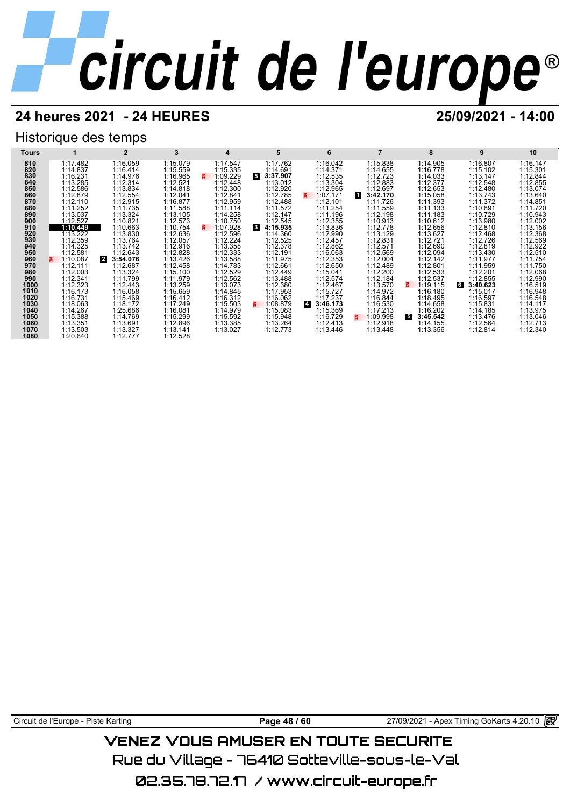## **24 heures 2021 - 24 HEURES 25/09/2021 - 14:00**

## Historique des temps



Circuit de l'Europe - Piste Karting **Page 48 / 60** Page 48 / 60 27/09/2021 - Apex Timing GoKarts 4.20.10 **in** 

## VENEZ VOUS AMUSER EN TOUTE SECURITE

Rue du Village – 76410 Sotteville-sous-le-Val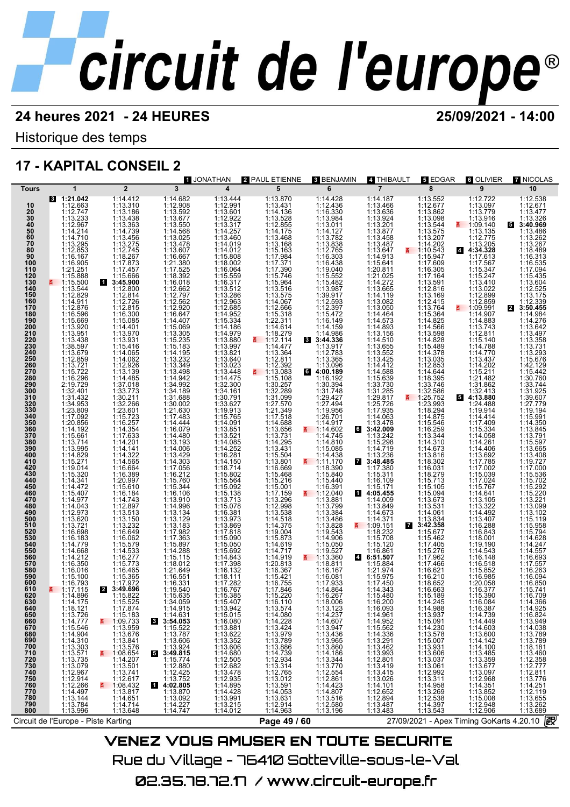Historique des temps

## **17 - KAPITAL CONSEIL 2**

|                                                                                                                                                                                                                                                                                                                                                                                                                                                                                                                                                        |                                                                                                                                                                                                                                                                                                                                                                                                                                                                                                                                                                                                                                                                                                                                                                                                                                                                                                                                                                                         |                                                                                                                                                                                                                                                                                                                                                                                                                                                                                                                                                                                                                                                                                                                                                                                                                                                                                                                                       |                                                                                                                                                                                                                                                                                                                                                                                                                 | 1 JONATHAN                                                                                                                                                                                                                                                                                                                                                                                                                                                                                                                                                                                                                                                                                        | 2 PAUL ETIENNE                                                                                                                                                                                                                                                                                                                                                                                                                                                                                                                                                                                                                                                                                                                                                                                                                                                                                                                                                                                                    | 3 BENJAMIN                                                                                                                                                                                                                                                                                                                                                                                                                                                                                                                                                                                                                                                                                                                                                                                                                                                               | 4 THIBAULT                                                                                                                                                                                                                                                                                                                                                                                                                                                                                                                                                                                                                                                                                                                                                                                                                                                                                                                                                                                                                                                                                                                          | $\overline{\mathbf{s}}$ EDGAR                                                                                                                                                                                                                                                                                                                                                                                                                                                                                                                                                                                                                                                                                                                                                                                                                                                                                                             | 6 OLIVIER                                                                                                                                                                                                                                                                                                                                                                                                                                                                                                                                                                                                                                                                                                                                                                                                                                                                                                                                 | <b>7 NICOLAS</b>                                                                                                                                                                                                                                                                                                                                                                                                                                                                                                                                                                                                                                                                                                                                                                                                                                                                                                                                                                                                              |
|--------------------------------------------------------------------------------------------------------------------------------------------------------------------------------------------------------------------------------------------------------------------------------------------------------------------------------------------------------------------------------------------------------------------------------------------------------------------------------------------------------------------------------------------------------|-----------------------------------------------------------------------------------------------------------------------------------------------------------------------------------------------------------------------------------------------------------------------------------------------------------------------------------------------------------------------------------------------------------------------------------------------------------------------------------------------------------------------------------------------------------------------------------------------------------------------------------------------------------------------------------------------------------------------------------------------------------------------------------------------------------------------------------------------------------------------------------------------------------------------------------------------------------------------------------------|---------------------------------------------------------------------------------------------------------------------------------------------------------------------------------------------------------------------------------------------------------------------------------------------------------------------------------------------------------------------------------------------------------------------------------------------------------------------------------------------------------------------------------------------------------------------------------------------------------------------------------------------------------------------------------------------------------------------------------------------------------------------------------------------------------------------------------------------------------------------------------------------------------------------------------------|-----------------------------------------------------------------------------------------------------------------------------------------------------------------------------------------------------------------------------------------------------------------------------------------------------------------------------------------------------------------------------------------------------------------|---------------------------------------------------------------------------------------------------------------------------------------------------------------------------------------------------------------------------------------------------------------------------------------------------------------------------------------------------------------------------------------------------------------------------------------------------------------------------------------------------------------------------------------------------------------------------------------------------------------------------------------------------------------------------------------------------|-------------------------------------------------------------------------------------------------------------------------------------------------------------------------------------------------------------------------------------------------------------------------------------------------------------------------------------------------------------------------------------------------------------------------------------------------------------------------------------------------------------------------------------------------------------------------------------------------------------------------------------------------------------------------------------------------------------------------------------------------------------------------------------------------------------------------------------------------------------------------------------------------------------------------------------------------------------------------------------------------------------------|--------------------------------------------------------------------------------------------------------------------------------------------------------------------------------------------------------------------------------------------------------------------------------------------------------------------------------------------------------------------------------------------------------------------------------------------------------------------------------------------------------------------------------------------------------------------------------------------------------------------------------------------------------------------------------------------------------------------------------------------------------------------------------------------------------------------------------------------------------------------------|-------------------------------------------------------------------------------------------------------------------------------------------------------------------------------------------------------------------------------------------------------------------------------------------------------------------------------------------------------------------------------------------------------------------------------------------------------------------------------------------------------------------------------------------------------------------------------------------------------------------------------------------------------------------------------------------------------------------------------------------------------------------------------------------------------------------------------------------------------------------------------------------------------------------------------------------------------------------------------------------------------------------------------------------------------------------------------------------------------------------------------------|-------------------------------------------------------------------------------------------------------------------------------------------------------------------------------------------------------------------------------------------------------------------------------------------------------------------------------------------------------------------------------------------------------------------------------------------------------------------------------------------------------------------------------------------------------------------------------------------------------------------------------------------------------------------------------------------------------------------------------------------------------------------------------------------------------------------------------------------------------------------------------------------------------------------------------------------|-------------------------------------------------------------------------------------------------------------------------------------------------------------------------------------------------------------------------------------------------------------------------------------------------------------------------------------------------------------------------------------------------------------------------------------------------------------------------------------------------------------------------------------------------------------------------------------------------------------------------------------------------------------------------------------------------------------------------------------------------------------------------------------------------------------------------------------------------------------------------------------------------------------------------------------------|-------------------------------------------------------------------------------------------------------------------------------------------------------------------------------------------------------------------------------------------------------------------------------------------------------------------------------------------------------------------------------------------------------------------------------------------------------------------------------------------------------------------------------------------------------------------------------------------------------------------------------------------------------------------------------------------------------------------------------------------------------------------------------------------------------------------------------------------------------------------------------------------------------------------------------------------------------------------------------------------------------------------------------|
| <b>Tours</b>                                                                                                                                                                                                                                                                                                                                                                                                                                                                                                                                           | $\mathbf{1}$                                                                                                                                                                                                                                                                                                                                                                                                                                                                                                                                                                                                                                                                                                                                                                                                                                                                                                                                                                            | $\overline{2}$                                                                                                                                                                                                                                                                                                                                                                                                                                                                                                                                                                                                                                                                                                                                                                                                                                                                                                                        |                                                                                                                                                                                                                                                                                                                                                                                                                 | $\overline{\mathbf{4}}$                                                                                                                                                                                                                                                                                                                                                                                                                                                                                                                                                                                                                                                                           |                                                                                                                                                                                                                                                                                                                                                                                                                                                                                                                                                                                                                                                                                                                                                                                                                                                                                                                                                                                                                   |                                                                                                                                                                                                                                                                                                                                                                                                                                                                                                                                                                                                                                                                                                                                                                                                                                                                          |                                                                                                                                                                                                                                                                                                                                                                                                                                                                                                                                                                                                                                                                                                                                                                                                                                                                                                                                                                                                                                                                                                                                     | 8                                                                                                                                                                                                                                                                                                                                                                                                                                                                                                                                                                                                                                                                                                                                                                                                                                                                                                                                         |                                                                                                                                                                                                                                                                                                                                                                                                                                                                                                                                                                                                                                                                                                                                                                                                                                                                                                                                           |                                                                                                                                                                                                                                                                                                                                                                                                                                                                                                                                                                                                                                                                                                                                                                                                                                                                                                                                                                                                                               |
| 10<br>20<br>30<br>40<br>50<br>50<br>70<br>80<br>90<br>100<br>110<br>$\frac{120}{130}$<br>140<br>150<br>160<br>170<br>180<br>190<br>200<br>210<br>220<br>230<br>240<br>250<br>260<br>270<br>280<br>290<br>300<br>310<br>320<br>320<br>330<br>340<br>350<br>360<br>370<br>380<br>390<br>400<br>410<br>$420$<br>$430$<br>$440$<br>$450$<br>460<br>470<br>480<br>490<br>500<br>510<br>520<br>520<br>530<br>540<br>550<br>560<br>570<br>580<br>590<br>600<br>610<br>620<br>630<br>640<br>650<br>660<br>670<br>680<br>690<br>700<br>710<br>720<br>730<br>740 | 1:21.042<br><b>3</b><br>1:12.663<br>1:12.747<br>1:13.233<br>1:12.967<br>1:14.214<br>1:14.710<br>1:13.295<br>1:12.853<br>1:16.167<br>1:16.905<br>1:21.251<br>1:15.888<br>1:15.500<br>1:13.544<br>1:12.829<br>1:14.911<br>1:16.596<br>1:16.596<br>る<br>1:15.669<br>1:13.920<br>1:13.951<br>$1:13.438$<br>$1:38.597$<br>$1:13.679$<br>$1:12.859$<br>$1:13.721$<br>1:15.722<br>$\begin{array}{r} 1.16.296 \\ 2.19.729 \\ 1.32.401 \end{array}$<br>$\begin{array}{r} 1.31.432 \\ 1.34.953 \\ 1.23.809 \\ 1.17.092 \end{array}$<br>1:20.856<br>1:14.192<br>1:15.661<br>1:13.714<br>1:13.995<br>1:14.829<br>1:15.271<br>1:19.014<br>1:15.320<br>1:14.341<br>1:14.472<br>1:15.407<br>1:14.977<br>1:14.043<br>1:12.973<br>1:13.620<br>1:13.721<br>1:16.698<br>1:16.183<br>1:14.779<br>1:14.668<br>1:14.212<br>1:16.350<br>1:16.016<br>$1:15.100$<br>1:16.793<br>1:14.896<br>1:14.175<br>1:18.121<br>1:13.726<br>1:14.777<br>1:14.777<br>1:15.546<br>1:14.310<br>1:13.303<br>1:13.735<br>1:13.079 | 1:14.412<br>1:13.310<br>1:13.186<br>1:13.438<br>1:13.363<br>$1:14.739$<br>$1:14.739$<br>$1:13.275$<br>$1:12.745$<br>$1:18.267$<br>$1:17.873$<br>$1:17.457$<br>1:15.666<br>3:45.900<br>1:12.800<br>$1:12.814$<br>$1:12.726$<br>$1:12.815$<br>1:16.300<br>1:14.401<br>1:14.401<br>1:13.970<br>1:13.931<br>1:15.416<br>1:14.062<br>1:12.926<br>1:14.485<br>$1:14.485$<br>$1:37.018$<br>$1:33.773$<br>$1:30.211$ $1:32.266$ $1:23.601$ $1:15.723$ $1:16.257$ $1:14.354$<br>1:17.633<br>1:14.201<br>1:14.322<br>1:14.565<br>1:16.664<br>1:15.609<br>1:15.610<br>1:15.41<br>$1:16.184$ $1:14.743$ $1:12.897$ $1:13.513$ $1:13.150$ $1:13.232$ $1:16.649$ $1:16.670$<br>1:15.579<br>$1:14.533$<br>$1:16.277$<br>$1:15.773$<br>$1:16.465$<br>$1:15.365$<br>$1:17.972$<br>$3:49.696$<br>$\mathbf{2}$<br>1:15.822<br>1:15.525<br>1:17.874<br>1:15.183<br>$\frac{1109.733}{113.959}$<br>1:13.959<br>1:13.841<br>1:13.576<br>1:08.654<br>1:14.207 | $\overline{3}$<br>$\begin{array}{c} 1:14.682\\ 1:12.908\\ 1:13.592\\ 1:13.677\\ 1:14.568\\ 1:13.478\\ 1:13.478\\ 1:16.667\\ 1:21.380\\ 1:17.525\\ 1:16.392\\ 1:17.525\\ 1:16.039\\ \end{array}$<br>1:15.635<br>1:34.059<br>1:14.915<br>1:14.631<br>$\begin{array}{r} 61 \ 3:54.053 \\ 1:15.522 \end{array}$<br>1:13.787<br>1:13.606<br>1:13.924<br>$\begin{array}{r} 5 \ \ 3:49.815 \ \ 1:15.774 \ \end{array}$ | 1:13.444<br>$\begin{array}{r} 1:12.991 \\ 1:13.601 \\ 1:12.922 \\ 1:13.317 \end{array}$<br>$1:14.475$<br>$1:32.300$<br>$1:34.161$<br>$1:30.791$<br>$1:33.627$<br>$1:19.913$<br>$1:15.765$<br>$1:14.091$<br>$1:13.851$<br>$1:13.851$<br>$1:14.085$<br>$1:14.252$<br>$1:14.150$<br>$1:14.150$<br>$1:15.802$<br>$1:15.564$<br>$1:15.092$<br>$1:15.092$<br>$1:15.138$<br>$1:15.171$<br>$1:15.078$<br>$1:16.381$<br>$1:13.869$<br>$1:17.818$<br>$1:17.818$<br>$1:17.8180$<br>$1:15.090$<br>$1:15.692$<br>$1:14.843$<br>$1:17.398$<br>$1:16.132$<br>$1:18.111$<br>$1:17.282$<br>$1:16.7875$<br>1:15.385<br>1:15.407<br>1:13.942<br>1:15.015<br>1:16.080<br>1:13.881<br>1:13.622<br>1:13.352<br>1:13.606 | 5<br>1:13.870<br>1:13.431<br>1:14.136<br>1:13.528<br>1:12.855<br>1:14.175<br>$\begin{array}{c} 1:13.468\\ 1:15.168\\ 1:17.984\\ 1:17.399\\ 1:17.399\\ 1:17.390\\ 1:15.964\\ 1:15.964\\ 1:15.575\\ 1:14.675\\ 1:14.614\\ 1:12.311\\ 1:14.614\\ 1:14.614\\ 1:14.614\\ \end{array}$<br>$\frac{1112.114}{1.14.477}$<br>1:13.364<br>1:12.811<br>1:12.392<br>1:13.083<br>1:15.108<br>1:30.257<br>1:32.289<br>1:31.099<br>1:27.570<br>1:21.349<br>1:14.688<br>1:13.656<br>1:13.731<br>1:14.295<br>1:13.431<br>1:15.504<br>1:13.801<br>1:16.669<br>1:15.468<br>1:15.216<br>1:15.001<br>1:17.159<br>$1:13.296$<br>$1:12.998$<br>$1:13.538$<br>$1:14.518$<br>$1:14.375$<br>$1:19.004$<br>1:15.873<br>1:14.619<br>1:14.717<br>1:14.717<br>1:14.919<br>1:16.367<br>1:15.421<br>1:16.755<br>1:17.846<br>1:15.222<br>1:16.110<br>1:13.574<br>1:14.080<br>$1:14.228$<br>$1:13.424$<br>$1:13.424$<br>$1:13.789$<br>$1:13.789$<br>$1:14.739$<br>$1:14.739$<br>$1:11.3.611$<br>$1:13.631$<br>$1:11.633$<br>$1:11.633$<br>$1:12.631$ | 6<br>$114.428\n1:16.330\n1:16.330\n1:16.330\n1:14.127\n1:13.782\n1:16.303\n1:14.127\n1:13.838\n1:16.303\n1:19.040\n1:15.552\n1:13.997\n1:12.397\n1:12.397\n1:12.397\n1:12.397\n1:12.397\n1:12.397\n1:14.459\n1:14.449\n1:14.44986\n1:14.44986\n1:14.459\n1$<br>1:16.192<br>$1:16.192\n1:30.394\n1:29.427\n1:27.494\n1:19.956\n1:26.701\n1:14.602\n5\n1:14.745$<br>$1:14.745$<br>1:14.810<br>1:15.085<br>1:14.438<br>5<br>1:11.170<br>1:18.390<br>1:15.840<br>1:15.440<br>1:16.391<br>$\frac{2}{1}$ 1:12.040<br>1:12.040<br>1:13.799<br>1:13.799<br>1:13.384<br>1:13.828<br>1:13.828<br>1:15.550<br>1:15.557<br>1:13.380<br>1:15.557<br>1:13.380<br>1:13.380<br>1:18.811<br>$\begin{array}{c} 1.10.011 \\ 1.16.167 \\ 1.17.933 \\ 1.14.864 \end{array}$<br>1:16.267<br>1:18.006<br>1:13.123<br>1:14.237<br>1:14.607<br>1:13.947<br>$1:13.436$<br>$1:13.965$<br>$1:13.860$ | $\overline{7}$<br>1:14.187<br>1:13.466<br>1:13.636<br>1:13.924<br>1:13.201<br>$\begin{smallmatrix} 1.13.877 & 1.13.487 & 1.13.487 & 1.13.487 & 1.13.487 & 1.14.913 & 1.14.913 & 1.14.913 & 1.14.14.14 & 1.12.12 & 1.13.085 & 1.14.464 & 1.14.873 & 1.14.873 & 1.14.873 & 1.13.156 & 1.14.893 & 1.13.156 & 1.14.893 & 1.13.156 & 1.14.893 & 1.$<br>$1:14.510$<br>$1:13.655$<br>$1:13.552$<br>$1:13.425$<br>$1:14.412$<br>$1:14.588$<br>$114.583$<br>$1:33.730$<br>$1:31.285$<br>$1:29.817$<br>$1:17.935$<br>$1:14.063$<br>$1:13.478$<br>3:42.009<br>$1:13.478$<br>1:13.242<br>1:15.298<br>1:14.719<br>1:13.236<br>3:48.485<br>1:17.380<br>1:15.311<br>$1:16.109$<br>$1:15.171$<br>14:05.455<br>1:14.009<br>1:13.849<br>1:13.849<br>1:14.371<br>1:14.371<br>1:18.232<br>1:15.708<br>1:15.708<br>6:51.507<br>1:15.887<br>1:15.887<br>1:15.887<br>7<br>1:15.884<br>1:21.974<br>1:15.975<br>1:17.450<br>1:14.343<br>1:15.480<br>1:16.200<br>1:16.093<br>1:14.961<br>$1:14.961$<br>$1:15.562$<br>$1:15.562$<br>$1:15.562$<br>$1:13.291$<br>$1:13.993$<br>$1:13.419$<br>$1:13.415$<br>$1:13.026$<br>$1:14.101$<br>$1:12.652$<br>$1:13.487$ | 1:13.552<br>1:12.677<br>1:13.862<br>1:13.098<br>1:13.544<br>1:13.575<br>1:13.207<br>1:14.202<br>1:10.543<br>1:15.947<br>1:17.609<br>1:16.305<br>1:17.164<br>$1:17.194$<br>$1:12.816$<br>$1:12.415$<br>$1:13.764$<br>$1:13.764$<br>$1:14.825$<br>$1:14.566$<br>$1:14.8298$<br>1:14.828<br>1:15.489<br>1:14.378<br>1:13.035<br>1:12.853<br>1:14.644<br>1:18.395<br>1:33.746<br>1:25.752<br>5 1:25.752<br>1:29.994<br>$1:23.993$<br>$1:14.875$<br>$1:14.875$<br>$1:14.875$<br>$1:16.259$<br>$1:14.310$<br>$1:14.673$<br>$1:14.6302$<br>$1:16.031$<br>$1:15.713$<br>$1:15.094$<br>$\begin{array}{c} 1.15.094 \\ 1.13.673 \\ 1.13.531 \end{array}$<br>$1:14.061$<br>$1:13.834$<br>$3:42.358$<br>$1:15.677$<br>1:15.077<br>1:17.405<br>1:17.405<br>1:17.406<br>1:17.466<br>1:16.210<br>1:18.652<br>1:16.603<br>1:15.189<br>1:14.245<br>1:14.988<br>1:13.937<br>1:15.091<br>1:14.230<br>1:13.578<br>1:15.007<br>1:13.931<br>1:13.606<br>1:13.037 | 9<br>1:12.722<br>1:13.097<br>1:13.779<br>1:13.916<br>1:13.135<br>1:12.775<br>1:13.205<br>4:344338<br>4:147.613<br>1:17.613<br>$1:15.347$ $1:15.247$ $1:13.410$ $1:12.899$ $1:12.859$ $1:00.004$<br>₹ 1:09.991<br>1:14.907<br>1:14.883<br>1:13.743<br>1:12.811<br>1:15.140<br>1:14.788<br>1:14.770<br>1:13.437<br>1:14.202<br>1:14.482<br>$1:21.482$<br>$1:32.413$<br>$1:32.413$<br>$1:24.488$<br>$1:19.914$<br>$1:17.409$<br>$1:15.409$<br>1:17.409<br>1:15.334<br>1:14.058<br>1:14.406<br>1:17.785<br>1:17.002<br>1:17.002<br>1:15.039<br>$1:17.024$<br>$1:15.767$<br>$1:14.641$<br>$1:13.105$<br>$1:13.322$<br>$1:14.492$<br>$1:13.407$<br>$1:16.288$<br>$1:16.843$<br>1:18.843<br>1:19.190<br>1:14.543<br>1:16.148<br>1:16.518<br>1:16.852<br>1:16.985<br>1:16.985<br>1:16.985<br>1:16.337<br>1:16.337<br>1:15.390<br>1:16.084<br>1:16.387<br>1:14.739<br>$1:14.789$ $1:14.449$ $1:14.603$ $1:14.142$ $1:14.100$ $1:13.859$ $1:13.677$ | 10<br>1:12.538<br>1:12.671<br>$1:13.477$<br>$1:13.326$<br><b>3:40.969</b><br>$\overline{5}$<br>1:13.486<br>1:13.262<br>1:13.267<br>1:18.489<br>1:16.313<br>1:16.535<br>1:17.094<br>1:15.435<br>1:13.604<br>1:12.525<br>1:13.175<br>1:12.339<br>2<br>3:50.455<br>1:14.984<br>1:14.276<br>1:13.642<br>1:13.497<br>1:13.358<br>1:13.731<br>1:13.293<br>1:15.676<br>1:42.129<br>1:15.442<br>1:30.760<br>1:33.744<br>1:31.925<br>1:39.607<br>1:27.779<br>1:19.194<br>1:15.991<br>1:14.350<br>1:13.845<br>1:13.791<br>1:15.597<br>1:13.665<br>1:13.408<br>1:19.727<br>1:17.000<br>1:15.536<br>1:15.702<br>1:15.292<br>1:15.220<br>1:13.221<br>1:13.099<br>$1:13.102$<br>$1:15.119$<br>$1:15.958$<br>$1:15.794$<br>1:14.628<br>1:14.247<br>1:14.557<br>1:16.693<br>1:17.557<br>$1:16.263$<br>$1:16.094$<br>$1:16.850$<br>$1:15.741$<br>1:16.709<br>1:14.366<br>1:14.925<br>1:16.824<br>$\begin{array}{r} 1:13.949 \\ 1:14.038 \\ 1:13.789 \\ 1:13.789 \\ 1:13.789 \end{array}$<br>1:18.181<br>$1:13.460$<br>$1:12.358$<br>$1:12.777$ |
| 750<br>760                                                                                                                                                                                                                                                                                                                                                                                                                                                                                                                                             | $1:12.967$<br>$1:12.914$<br>$1:12.266$<br>$1:14.497$<br>$1:13.144$                                                                                                                                                                                                                                                                                                                                                                                                                                                                                                                                                                                                                                                                                                                                                                                                                                                                                                                      | 1:13.501<br>$1:13.741$<br>1:12.617<br>4:13.842<br>1:13.817<br>1:14.651                                                                                                                                                                                                                                                                                                                                                                                                                                                                                                                                                                                                                                                                                                                                                                                                                                                                | 1:12.880                                                                                                                                                                                                                                                                                                                                                                                                        | 1:14.680<br>1:12.505<br>1:12.682<br>1:13.478<br>1:14.895<br>1:14.895                                                                                                                                                                                                                                                                                                                                                                                                                                                                                                                                                                                                                              |                                                                                                                                                                                                                                                                                                                                                                                                                                                                                                                                                                                                                                                                                                                                                                                                                                                                                                                                                                                                                   |                                                                                                                                                                                                                                                                                                                                                                                                                                                                                                                                                                                                                                                                                                                                                                                                                                                                          |                                                                                                                                                                                                                                                                                                                                                                                                                                                                                                                                                                                                                                                                                                                                                                                                                                                                                                                                                                                                                                                                                                                                     |                                                                                                                                                                                                                                                                                                                                                                                                                                                                                                                                                                                                                                                                                                                                                                                                                                                                                                                                           |                                                                                                                                                                                                                                                                                                                                                                                                                                                                                                                                                                                                                                                                                                                                                                                                                                                                                                                                           |                                                                                                                                                                                                                                                                                                                                                                                                                                                                                                                                                                                                                                                                                                                                                                                                                                                                                                                                                                                                                               |
| 770<br>780<br>790<br>800                                                                                                                                                                                                                                                                                                                                                                                                                                                                                                                               | 1:13.784<br>1:13.996                                                                                                                                                                                                                                                                                                                                                                                                                                                                                                                                                                                                                                                                                                                                                                                                                                                                                                                                                                    | 1:14.714<br>1:13.648                                                                                                                                                                                                                                                                                                                                                                                                                                                                                                                                                                                                                                                                                                                                                                                                                                                                                                                  | $1:12.425\n1:13.752\n1:13.870\n1:13.870\n1:13.092\n1:14.227\n1:14.747$                                                                                                                                                                                                                                                                                                                                          | 1:14.428<br>1:13.991<br>1:13.215<br>1:14.012                                                                                                                                                                                                                                                                                                                                                                                                                                                                                                                                                                                                                                                      | 1:12.914<br>1:14.963                                                                                                                                                                                                                                                                                                                                                                                                                                                                                                                                                                                                                                                                                                                                                                                                                                                                                                                                                                                              | 1:14.186<br>1:14.186<br>1:13.344<br>1:13.770<br>1:12.554<br>1:14.423<br>1:14.807<br>1:13.516<br>1:12.580<br>1:13.196                                                                                                                                                                                                                                                                                                                                                                                                                                                                                                                                                                                                                                                                                                                                                     | 1:13.487                                                                                                                                                                                                                                                                                                                                                                                                                                                                                                                                                                                                                                                                                                                                                                                                                                                                                                                                                                                                                                                                                                                            | 1:13.061<br>1:12.992<br>1:13.311<br>1:14.958<br>1:12.538<br>1:14.397<br>1:13.543                                                                                                                                                                                                                                                                                                                                                                                                                                                                                                                                                                                                                                                                                                                                                                                                                                                          | 1:13.097<br>1:12.968<br>1:14.351<br>1:13.852<br>1:15.008<br>1:12.948<br>1:12.906                                                                                                                                                                                                                                                                                                                                                                                                                                                                                                                                                                                                                                                                                                                                                                                                                                                          | 1:12.811<br>1:13.776<br>1:14.251<br>1:12.119<br>1:13.655<br>1:13.262<br>1:13.689                                                                                                                                                                                                                                                                                                                                                                                                                                                                                                                                                                                                                                                                                                                                                                                                                                                                                                                                              |
|                                                                                                                                                                                                                                                                                                                                                                                                                                                                                                                                                        | Circuit de l'Europe - Piste Karting                                                                                                                                                                                                                                                                                                                                                                                                                                                                                                                                                                                                                                                                                                                                                                                                                                                                                                                                                     |                                                                                                                                                                                                                                                                                                                                                                                                                                                                                                                                                                                                                                                                                                                                                                                                                                                                                                                                       |                                                                                                                                                                                                                                                                                                                                                                                                                 |                                                                                                                                                                                                                                                                                                                                                                                                                                                                                                                                                                                                                                                                                                   | Page 49 / 60                                                                                                                                                                                                                                                                                                                                                                                                                                                                                                                                                                                                                                                                                                                                                                                                                                                                                                                                                                                                      |                                                                                                                                                                                                                                                                                                                                                                                                                                                                                                                                                                                                                                                                                                                                                                                                                                                                          |                                                                                                                                                                                                                                                                                                                                                                                                                                                                                                                                                                                                                                                                                                                                                                                                                                                                                                                                                                                                                                                                                                                                     | 27/09/2021 - Apex Timing GoKarts 4.20.10                                                                                                                                                                                                                                                                                                                                                                                                                                                                                                                                                                                                                                                                                                                                                                                                                                                                                                  |                                                                                                                                                                                                                                                                                                                                                                                                                                                                                                                                                                                                                                                                                                                                                                                                                                                                                                                                           | 毆                                                                                                                                                                                                                                                                                                                                                                                                                                                                                                                                                                                                                                                                                                                                                                                                                                                                                                                                                                                                                             |
|                                                                                                                                                                                                                                                                                                                                                                                                                                                                                                                                                        |                                                                                                                                                                                                                                                                                                                                                                                                                                                                                                                                                                                                                                                                                                                                                                                                                                                                                                                                                                                         |                                                                                                                                                                                                                                                                                                                                                                                                                                                                                                                                                                                                                                                                                                                                                                                                                                                                                                                                       |                                                                                                                                                                                                                                                                                                                                                                                                                 |                                                                                                                                                                                                                                                                                                                                                                                                                                                                                                                                                                                                                                                                                                   |                                                                                                                                                                                                                                                                                                                                                                                                                                                                                                                                                                                                                                                                                                                                                                                                                                                                                                                                                                                                                   |                                                                                                                                                                                                                                                                                                                                                                                                                                                                                                                                                                                                                                                                                                                                                                                                                                                                          |                                                                                                                                                                                                                                                                                                                                                                                                                                                                                                                                                                                                                                                                                                                                                                                                                                                                                                                                                                                                                                                                                                                                     |                                                                                                                                                                                                                                                                                                                                                                                                                                                                                                                                                                                                                                                                                                                                                                                                                                                                                                                                           |                                                                                                                                                                                                                                                                                                                                                                                                                                                                                                                                                                                                                                                                                                                                                                                                                                                                                                                                           |                                                                                                                                                                                                                                                                                                                                                                                                                                                                                                                                                                                                                                                                                                                                                                                                                                                                                                                                                                                                                               |
|                                                                                                                                                                                                                                                                                                                                                                                                                                                                                                                                                        |                                                                                                                                                                                                                                                                                                                                                                                                                                                                                                                                                                                                                                                                                                                                                                                                                                                                                                                                                                                         |                                                                                                                                                                                                                                                                                                                                                                                                                                                                                                                                                                                                                                                                                                                                                                                                                                                                                                                                       |                                                                                                                                                                                                                                                                                                                                                                                                                 |                                                                                                                                                                                                                                                                                                                                                                                                                                                                                                                                                                                                                                                                                                   |                                                                                                                                                                                                                                                                                                                                                                                                                                                                                                                                                                                                                                                                                                                                                                                                                                                                                                                                                                                                                   |                                                                                                                                                                                                                                                                                                                                                                                                                                                                                                                                                                                                                                                                                                                                                                                                                                                                          |                                                                                                                                                                                                                                                                                                                                                                                                                                                                                                                                                                                                                                                                                                                                                                                                                                                                                                                                                                                                                                                                                                                                     |                                                                                                                                                                                                                                                                                                                                                                                                                                                                                                                                                                                                                                                                                                                                                                                                                                                                                                                                           |                                                                                                                                                                                                                                                                                                                                                                                                                                                                                                                                                                                                                                                                                                                                                                                                                                                                                                                                           |                                                                                                                                                                                                                                                                                                                                                                                                                                                                                                                                                                                                                                                                                                                                                                                                                                                                                                                                                                                                                               |

VENEZ VOUS AMUSER EN TOUTE SECURITE Rue du Village – 76410 Sotteville-sous-le-Val 02.35.78.72.17 /www.circuit-europe.fr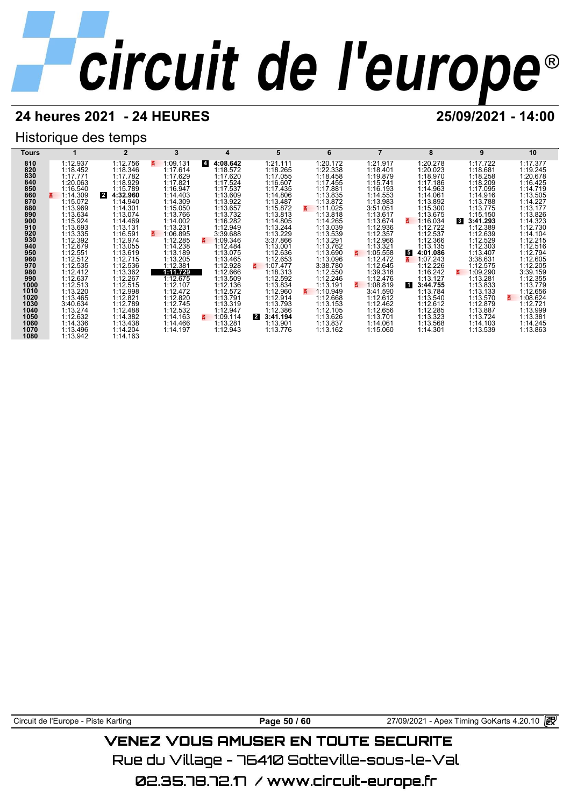## **24 heures 2021 - 24 HEURES 25/09/2021 - 14:00**

## Historique des temps



Circuit de l'Europe - Piste Karting **Page 50 / 60** 27/09/2021 - Apex Timing GoKarts 4.20.10

## VENEZ VOUS AMUSER EN TOUTE SECURITE

Rue du Village – 76410 Sotteville-sous-le-Val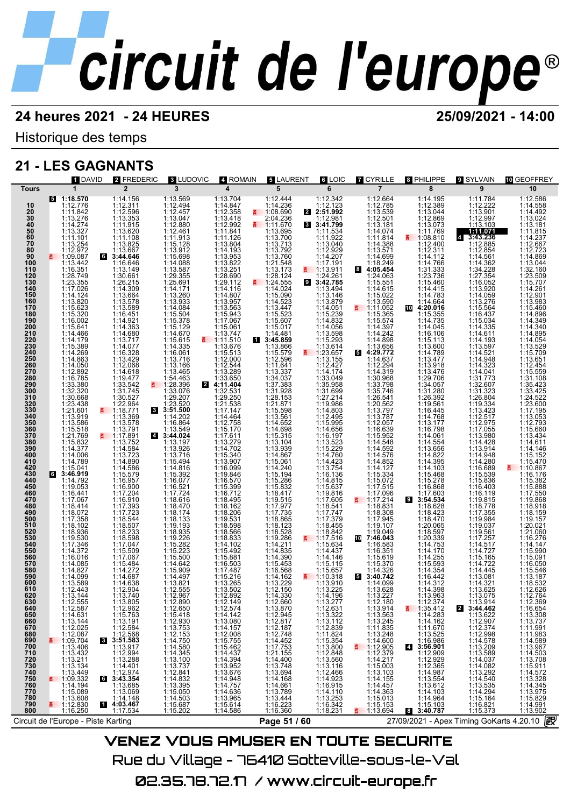Historique des temps

## **21 - LES GAGNANTS**

| 1 DAVID                                                                                                                                                                                                                                                                                                                                                                                                                                                                                                                                                                                                                                                                                                                                                                                                                                                                                                                                                                                                                                                                                                                                                                                                                                                                                                                                                                                                                                       | 2 FREDERIC                                                                                                                                                                                                                                                                                                                                                                                                                                                                                                                                                                                                                                                                                                                                                                                                                                                                                                                                           | <b>8 LUDOVIC</b>                                                                                                                                                                                                                                                                                                                                                                                                                                                                                                                                                                                                                                                                                                                                                                                                                                                                            | 4 ROMAIN                                                                                                                                                                                                                                                                                                                                                                                                                                                                                                                                                                                                                                                                                                                                                                                                                                      | <b>5 LAURENT</b>                                                                                                                                                                                                                                                                                                                                                                                                                                                                                                                                                                                                                                                                                                                                                                                                                                                     | <b>6 LOIC</b>                                                                                                                                                                                                                                                                                                                                                                                                                                                                                                                                                                                                                                                                                                                                                                                                               | <b>Z</b> CYRILLE                                                                                                                                                                                                                                                                                                                                                                                                                                                                                                                                                                                                                                                                                                                                                                                                                                                               | 8 PHILIPPE                                                                                                                                                                                                                                                                                                                                                                                                                                                                                                                                                                                                                                                                                                                                                                                                                                                 | <b>9 SYLVAIN</b>                                                                                                                                                                                                                                                                                                                                                                                                                                                                                                                                                                                                                                     | <b>TO GEOFFREY</b>                                                                                                                                                                                                                                                                                                                                                                                                                                                                                                                                                                                                                                                                                                                                                                 |
|-----------------------------------------------------------------------------------------------------------------------------------------------------------------------------------------------------------------------------------------------------------------------------------------------------------------------------------------------------------------------------------------------------------------------------------------------------------------------------------------------------------------------------------------------------------------------------------------------------------------------------------------------------------------------------------------------------------------------------------------------------------------------------------------------------------------------------------------------------------------------------------------------------------------------------------------------------------------------------------------------------------------------------------------------------------------------------------------------------------------------------------------------------------------------------------------------------------------------------------------------------------------------------------------------------------------------------------------------------------------------------------------------------------------------------------------------|------------------------------------------------------------------------------------------------------------------------------------------------------------------------------------------------------------------------------------------------------------------------------------------------------------------------------------------------------------------------------------------------------------------------------------------------------------------------------------------------------------------------------------------------------------------------------------------------------------------------------------------------------------------------------------------------------------------------------------------------------------------------------------------------------------------------------------------------------------------------------------------------------------------------------------------------------|---------------------------------------------------------------------------------------------------------------------------------------------------------------------------------------------------------------------------------------------------------------------------------------------------------------------------------------------------------------------------------------------------------------------------------------------------------------------------------------------------------------------------------------------------------------------------------------------------------------------------------------------------------------------------------------------------------------------------------------------------------------------------------------------------------------------------------------------------------------------------------------------|-----------------------------------------------------------------------------------------------------------------------------------------------------------------------------------------------------------------------------------------------------------------------------------------------------------------------------------------------------------------------------------------------------------------------------------------------------------------------------------------------------------------------------------------------------------------------------------------------------------------------------------------------------------------------------------------------------------------------------------------------------------------------------------------------------------------------------------------------|----------------------------------------------------------------------------------------------------------------------------------------------------------------------------------------------------------------------------------------------------------------------------------------------------------------------------------------------------------------------------------------------------------------------------------------------------------------------------------------------------------------------------------------------------------------------------------------------------------------------------------------------------------------------------------------------------------------------------------------------------------------------------------------------------------------------------------------------------------------------|-----------------------------------------------------------------------------------------------------------------------------------------------------------------------------------------------------------------------------------------------------------------------------------------------------------------------------------------------------------------------------------------------------------------------------------------------------------------------------------------------------------------------------------------------------------------------------------------------------------------------------------------------------------------------------------------------------------------------------------------------------------------------------------------------------------------------------|--------------------------------------------------------------------------------------------------------------------------------------------------------------------------------------------------------------------------------------------------------------------------------------------------------------------------------------------------------------------------------------------------------------------------------------------------------------------------------------------------------------------------------------------------------------------------------------------------------------------------------------------------------------------------------------------------------------------------------------------------------------------------------------------------------------------------------------------------------------------------------|------------------------------------------------------------------------------------------------------------------------------------------------------------------------------------------------------------------------------------------------------------------------------------------------------------------------------------------------------------------------------------------------------------------------------------------------------------------------------------------------------------------------------------------------------------------------------------------------------------------------------------------------------------------------------------------------------------------------------------------------------------------------------------------------------------------------------------------------------------|------------------------------------------------------------------------------------------------------------------------------------------------------------------------------------------------------------------------------------------------------------------------------------------------------------------------------------------------------------------------------------------------------------------------------------------------------------------------------------------------------------------------------------------------------------------------------------------------------------------------------------------------------|------------------------------------------------------------------------------------------------------------------------------------------------------------------------------------------------------------------------------------------------------------------------------------------------------------------------------------------------------------------------------------------------------------------------------------------------------------------------------------------------------------------------------------------------------------------------------------------------------------------------------------------------------------------------------------------------------------------------------------------------------------------------------------|
| $\mathbf{1}$<br>Tours                                                                                                                                                                                                                                                                                                                                                                                                                                                                                                                                                                                                                                                                                                                                                                                                                                                                                                                                                                                                                                                                                                                                                                                                                                                                                                                                                                                                                         | $\overline{2}$                                                                                                                                                                                                                                                                                                                                                                                                                                                                                                                                                                                                                                                                                                                                                                                                                                                                                                                                       | 3                                                                                                                                                                                                                                                                                                                                                                                                                                                                                                                                                                                                                                                                                                                                                                                                                                                                                           | 4                                                                                                                                                                                                                                                                                                                                                                                                                                                                                                                                                                                                                                                                                                                                                                                                                                             | 5                                                                                                                                                                                                                                                                                                                                                                                                                                                                                                                                                                                                                                                                                                                                                                                                                                                                    | 6                                                                                                                                                                                                                                                                                                                                                                                                                                                                                                                                                                                                                                                                                                                                                                                                                           | $\overline{7}$                                                                                                                                                                                                                                                                                                                                                                                                                                                                                                                                                                                                                                                                                                                                                                                                                                                                 | 8                                                                                                                                                                                                                                                                                                                                                                                                                                                                                                                                                                                                                                                                                                                                                                                                                                                          | 9                                                                                                                                                                                                                                                                                                                                                                                                                                                                                                                                                                                                                                                    | 10                                                                                                                                                                                                                                                                                                                                                                                                                                                                                                                                                                                                                                                                                                                                                                                 |
| $5 - 1:18.570$<br>1:12.776<br>10<br>$\frac{20}{30}$<br>1:11.842<br>$\begin{array}{c} 1:13.276 \\ 1:14.274 \\ 1:13.327 \end{array}$<br>$\frac{40}{50}$<br>60<br>$1:11.101$<br>1:13.254<br>$\frac{5}{6}$<br>80<br>1:12.972<br>90<br>$\frac{1109.087}{2}$<br>100<br>1:13.442<br>$\begin{array}{r} 1:16.351 \\ 1:28.749 \\ 1:23.355 \\ 1:17.029 \end{array}$<br>110<br>120<br>$\frac{1}{1}$<br>140<br>150<br>160<br>1:14.124<br>1:13.820<br>170<br>180<br>1:15.623<br>1:15.320<br>190<br>$1:16.002$<br>$1:15.641$<br>$1:14.466$<br>$1:14.179$<br>200<br>210<br>220<br>230<br>1:15.389<br>240<br>1:14.269<br>250<br>1:14.863<br>260<br>270<br>1:14.050<br>1:12.892<br>280<br>$1:16.785$<br>$1:33.380$<br>$1:32.320$<br>$1:30.668$<br>$1:23.438$<br>$1:21.601$<br>290<br>300<br>310<br>320<br>$\frac{3\bar{3}0}{340}$<br>1:13.919<br>350<br>360<br>1:13.586<br>1:15.518<br>370<br>380<br>1:21.769<br>1:15.832<br>390<br>1:14.377<br>1:14.006<br>400<br>410<br>1:14.789<br>1:15.041<br>420<br>430<br>63:46.919<br>440<br>1:14.792<br>1:19.053<br>450<br>460<br>470<br>$1:16.441$<br>$1:17.067$<br>$1:18.414$<br>$1:18.072$<br>$1:17.358$<br>$1:18.102$<br>480<br>490<br>500<br>510<br>520<br>1:18.936<br>530<br>540<br>1:19.530<br>1:17.346<br>1:14.372<br>550<br>560<br>1:16.016<br>570<br>1:14.085<br>580<br>1:14.827<br>590<br>1:14.099<br>1:13.589<br>600<br>610<br>1:12.443<br>1:13.144<br>620<br>630<br>640<br>650<br>660<br>670<br>680<br>690 | 1:14.156<br>$\begin{array}{r} 111.131 \\ 1:12.596 \\ 1:13.353 \\ 1:11.915 \\ 1:13.620 \end{array}$<br>1:11.108<br>1:13.825<br>$1:13.667$<br>3:44.646<br>1:16.646<br>1:13.149<br>$1:30.661$<br>$1:26.215$<br>$1:14.309$<br>$1:13.664$<br>$1:13.578$<br>$1:13.5789$<br>$1:16.451$<br>$1:14.921$<br>$1:14.363$<br>$1:14.680$<br>$1:13.717$<br>$1:14.077$<br>$1:16.328$<br>$1:13.4298$<br>1:12.068<br>1:14.618<br>$1:19.477$<br>$1:33.542$<br>$1:31.745$<br>1:30.527<br>1:22.964<br>₹ 1:18.771<br>1:13.369<br>1:13.578<br>1:13.791<br>1:13.791<br>1:13.792<br>1:14.584<br>1:14.890<br>1:14.890<br>1:14.890<br>1:15.579<br>1:16.957<br>1:16.900<br>1:17.204<br>1:17.204<br>1:17.393<br>1:17.723<br>1:18.507<br>1:18.507<br>1:18.503<br>1:18.508<br>$1:17.047$ $1:15.509$ $1:17.067$ $1:16.484$ $1:14.272$<br>1:14.687<br>1:14.638<br>1:12.904<br>1:13.740<br>$1:13.805$<br>$1:12.962$<br>$1:15.763$<br>$1:13.191$<br>$1:12.584$<br>$1:12.568$<br>3:51.583 | 1:13.569<br>1:12.494<br>$1:12.457$<br>$1:13.047$<br>$1:12.880$<br>$1:12.461$<br>$\begin{array}{r} 1:11.913 \\ 1:15.128 \\ 1:13.912 \\ 1:15.698 \\ \end{array}$<br>$1:14.088$<br>$1:13.587$<br>$1:29.355$<br>$1:25.691$<br>$1:14.171$<br>$1:14.171$<br>$1:13.260$<br>$1:13.933$<br>$1:14.084$<br>$1:15.504$<br>$1:15.378$<br>$1:14.670$<br>$1:13.716$<br>$1:13.716$<br>$1:13.716$<br>1:13.166<br>1:13.465<br>$1:54.463$<br>$1:28.396$<br>$1:33.076$<br>$1:29.207$<br>1:23.520<br>8 3:51.500<br>1:14.202<br>1:16.864<br>1:13.549<br>$1:13.549$<br>$3:44.024$<br>$1:13.197$<br>$1:13.716$<br>$1:14.816$<br>$1:15.392$<br>$1:16.077$<br>$1:16.077$<br>$1:17.724$<br>1:17.724<br>1:18.616<br>1:18.470<br>1:18.174<br>1:18.935<br>1:18.935<br>1:18.280<br>1:15.282<br>1:15.223<br>1:15.500<br>1:14.642<br>1:15.909<br>$\begin{array}{c} 1:14.497 \\ 1:13.821 \\ 1:12.555 \\ 1:12.967 \end{array}$ | 1:13.704<br>1:14.847<br>1:12.358<br>1:13.418<br>1:12.992<br>1:11.841<br>1:11.126<br>$1:13.804$<br>$1:14.193$<br>$1:13.953$<br>$1:13.822\n1:13.251\n1:28.690\n1:29.112\n1:14.116\n1:14.807\n1:13.957\n1:13.957$<br>$\begin{array}{r} 1:13.563 \\ 1:15.943 \\ 1:17.067 \\ 1:15.061 \\ \end{array}$<br>$1:13.747$<br>1:11.510<br>1:13.676<br>1:15.513<br>1:12.000<br>1:12.544<br>1:13.289<br>$4:33.\overline{650}$<br>1:32.531<br>1:29.250<br>1:21.538<br>1:17.147<br>$1:14.464$<br>$1:12.758$<br>$1:15.170$<br>$1:17.611$<br>$1:13.279$<br>$1:14.702$<br>$1:15.340$<br>$1:16.099$<br>$1:16.099$<br>1:19.846<br>1:16.570<br>1:15.399<br>$1:16.712$<br>$1:18.495$<br>$1:18.162$<br>$1:18.206$<br>$1:19.531$<br>$1:18.598$<br>1:18.566<br>1:18.833<br>1:14.102<br>1:15.881<br>1:15.881<br>1:17.487<br>1:17.487<br>1:13.265<br>1:13.502<br>1:12.892 | 1:12.444<br>1:14.236<br>1:08.690<br>2:04.236<br>1:13.695<br>1:13.700<br>1:13.713<br>1:13.760<br>1:13.173<br>1:13.173<br>$1:13.173$<br>$1:28.124$<br>$1:24.555$<br>$1:14.024$<br>$1:15.090$<br>$1:13.447$<br>$1:15.607$<br>$1:15.607$<br>$1:14.481$<br>1:14.481<br>13:45.859<br>1:13.866<br>$1:13.866$<br>$1:12.596$<br>$1:12.596$<br>$1:13.337$<br>$1:37.383$<br>$1:37.383$<br>$1:37.383$<br>$1:37.383$<br>$1:31.928$<br>$1:28.153$<br>$1:15.598$<br>$1:15.596$<br>$1:14.652$<br>$1:15.315$<br>$1:14.036$<br>$1:13.104$<br>$1:13.104$<br>$1:14.867$<br>$1:14.240$<br>$1:15.194$<br>$1:15.286$<br>$1:15.286$<br>$1:15.2362$<br>$1:18.417$<br>$1:19.515$<br>$1:17.977$<br>$1:17.735$<br>$1:18.865$<br>$1:18.123$<br>$1:19.286$<br>$1:14.214$<br>$1:14.211$<br>$1:14.835$<br>$1:14.390$<br>1:15.453<br>1:16.568<br>$1:14.162$<br>$1:13.229$<br>$1:12.150$<br>$1:14.330$ | $1:12.342$<br>1:12.123<br>2:51.992<br>$\overline{3:}41.799$<br>1:11.534<br>1:11.922<br>1:13.040<br>1:12.929<br>1:14.207<br>1:17.191<br>$\frac{1113.911}{1124.261}$<br>1:13.494<br>1:13.146<br>1:13.879<br>1:14.051<br>1:15.239<br>$\begin{array}{r}\n 1:14.832 \\  1:14.056 \\  1:13.598 \\  1:15.293\n \end{array}$<br>$1:13.614$<br>1:23.657<br>1:13.155<br>1:12.427<br>1:14.174<br>$1:14.174$<br>$1:35.958$<br>$1:31.699$<br>$1:27.214$<br>$1:19.986$<br>$1:14.803$<br>$1:12.495$<br>$1:15.995$<br>$1:14.656$<br>1:14.6567<br>1:16.1523<br>1:15.229<br>1:14.760<br>1:14.754<br>1:16.136<br>1:14.815<br>1:16.637<br>1:10.8316<br>1:17.605<br>1:17.747<br>1:17.747<br>1:17.3842<br>1:18.842<br>1:17.516<br>1:15.634<br>1:14.437<br>1:14.146<br>1:15.115<br>$\frac{1110.318}{1:13.910}$<br>1:13.225<br>1:14.196<br>1:13.277 | 1:12.664<br>1:12.785<br>1:13.539<br>$1:12.501$<br>$1:13.181$<br>$1:14.074$<br>$1:11.814$<br>$1:14.388$<br>1:13.571<br>1:14.699<br>1:18.249<br>8 4:05.454<br>1:24.063<br>$1:15.551$<br>$1:14.615$<br>$1:15.022$<br>1:13.590<br>$\frac{2}{9}$ 1:11.052<br>1:15.365<br>$1:15.574$<br>$1:14.397$<br>$1:14.242$<br>$1:14.898$<br>1:13.656<br>54:29.772<br>1:14.637<br>1:12.294<br>1:14.319<br>1:14.31988<br>1:33.7486<br>1:33.746<br>1:26.541<br>1:13.787<br>1:13.787<br>1:15.653<br>1:16.639<br>$1:15.952$<br>$1:14.548$<br>$1:14.592$<br>$1:14.576$<br>$1:14.852$<br>$1:14.127$<br>$1:15.334$<br>1:15.072<br>1:17.515<br>$\begin{array}{r} 1.17.313 \\ 1.17.096 \\ 1.17.214 \\ 1.18.831 \\ 1.18.308 \\ 1.17.945 \\ 1.19.107 \end{array}$<br>1:19.049<br>$10$ 7:46.043<br>1:16.583<br>1:16.351<br>1:15.619<br>1:15.370<br>1:14.326<br>3:40.742<br>1:14.099<br>1:13.628<br>1:13.227 | 1:14.195<br>1:12.389<br>1:13.044<br>1:12.869<br>1:13.073<br>1:11.769<br>$\frac{2}{9}$ 1:08.810<br>1:12.400<br>$\begin{array}{c} 1:12.311 \\ 1:14.112 \\ 1:14.766 \end{array}$<br>1:31.333<br>1:23.736<br>1:15.460<br>1:14.415<br>1:14.783<br>1:14.664<br>$1:19.016\n1:15.355\n1:14.735\n1:14.045$<br>$1:16.106$ $1:15.113$ $1:13.600$ $1:14.789$ $1:13.477$<br>$\begin{array}{c} 1:13.918\\ 1:13.476\\ 1:29.706\\ 1:34.057\\ 1:31.280\\ 1:31.280\\ 1:16.445\\ 1:16.476\\ 1:11.177\\ 1:11.16.654\\ 1:11.4.825\\ 1:14.325\\ 1:14.305\\ 1:14.307\\ \end{array}$<br>$1:15.468$<br>$1:15.278$<br>$1:16.868$<br>$1:17.603$<br>3:54.534<br>3:54.534<br>1:18.623<br>1:18.470<br>1:18.470<br>1:18.597<br>1:18.597<br>1:14.753<br>1:14.255<br>1:14.354<br>1:14.354<br>1:14.354<br>$\begin{array}{r}\n 1:16.442 \\  1:14.312 \\  1:14.398 \\  1:13.963\n \end{array}$ | 1:11.784<br>1:12.222<br>1:13.901<br>1:12.997<br>1:13.103<br>1:11.071<br>$4$ 3:43.236<br>1:12.885<br>1:12.854<br>1:14.362<br>$1.34.228411113284111322841132284113226413322641332564133256413325641333264133326413332641333264133425275131332641133425175117.055$<br>$\begin{array}{r} 1.13.980 \\ 1.14.428 \\ 1.13.914 \\ 1.14.948 \\ 1.14.280 \end{array}$<br>1:16.689<br>1:15.539<br>1:15.836<br>1:16.403<br>1:16.119<br>$1:19.815$<br>$1:18.778$<br>$1:17.355$<br>$1:19.984$<br>$1:19.037$<br>1:19.561<br>1:17.257<br>$1:14.517$<br>$1:14.727$<br>$1:14.722$<br>$1:14.445$<br>$1:13.081$<br>$1:14.321$<br>$1:13.075$<br>$1:13.074$<br>$\mathbf{2}$ | 1:12.586<br>1:14.558<br>1:14.492<br>1:13.024<br>1:13.181<br>1:11.815<br>1:14.237<br>1:12.667<br>1:12.723<br>1:14.869<br>1:13.044<br>1:32.160<br>1:23.509<br>1:15.707<br>1:14.261<br>1:12.901<br>1:13.983<br>1:15.460<br>1:14.896<br>1:14.349<br>1:14.340<br>1:14.895<br>1:14.054<br>1:13.529<br>1:15.709<br>1:13.651<br>1:12.454<br>1:15.559<br>1:31.108<br>1:35.423<br>1:33.425<br>1:24.522<br>1:23.600<br>1:17.195<br>1:13.053<br>1:12.793<br>1:15.660<br>1:13.434<br>1:14.611<br>1:14.146<br>1:15.152<br>1:15.470<br>₹ 1:10.867<br>1:16.176<br>1:15.382<br>1:15.888<br>1:17.550<br>1:19.868<br>1:18.918<br>1:18.159<br>1:19.157<br>1:20.021<br>1:21.060<br>1:16.276<br>1:14.147<br>1:15.990<br>1:15.091<br>1:16.050<br>1:15.546<br>1:13.187<br>1:18.532<br>1:12.626<br>1:12.764 |
| 1:12.587<br>1:12.587<br>1:12.587<br>1:13.144<br>1:12.025<br>1:13.144<br>1:13.40<br>1:13.421<br>1:13.421<br>1:13.421<br>1:13.421<br>1:13.422<br>1:13.422<br>1:13.422<br>1:13.422<br>1:13.422<br>1:13.42<br>1:13.42<br>1:13.42<br>1:14.42<br>1:13.42<br>1:14.42<br>1:14.42<br><br>710                                                                                                                                                                                                                                                                                                                                                                                                                                                                                                                                                                                                                                                                                                                                                                                                                                                                                                                                                                                                                                                                                                                                                           |                                                                                                                                                                                                                                                                                                                                                                                                                                                                                                                                                                                                                                                                                                                                                                                                                                                                                                                                                      | $1:12.890\n1:15.418\n1:12.930\n1:15.418\n1:12.153\n1:12.153\n1:14.750\n1:14.3845\n1:13.737\n1:12.844\n1:13.395\n1:15.607\n1:15.607\n1:15.607\n1:15.202\n1:15.202\n1:15.202\n1:15.202\n1:15.202\n1:15.202\$                                                                                                                                                                                                                                                                                                                                                                                                                                                                                                                                                                                                                                                                                  | $1:12.574\n1:14.442\n1:14.142.080\n1:14.147\n1:15.755\n1:12.008\n1:12.008\n1:15.4437\n1:14.3942\n1:14.3942\n1:14.757\n1:14.636\n1:15.614\n1:16.614\n1:17.614\n1:18.614\n1:19.614\n1:19.614\n1:19.614\n1:19.614\n1:19.614\n1:19.614\n1:19.614\n1:19.6$                                                                                                                                                                                                                                                                                                                                                                                                                                                                                                                                                                                         | 1:12.660<br>1:12.94577<br>1:12.94577748<br>1:12.748<br>1:12.748<br>1:12.748<br>1:14.400<br>1:13.749<br>1:13.86<br>1:13.444<br>1:13.444<br>1:13.444<br>1:13.444<br>1:13.444<br>1:13.444<br>1:13.444<br>1:13.749                                                                                                                                                                                                                                                                                                                                                                                                                                                                                                                                                                                                                                                       | 1:13.277<br>1:13.322<br>1:13.322<br>1:13.324<br>1:12.839<br>1:15.350<br>1:15.350<br>1:12.848<br>1:12.466<br>1:12.466<br>1:14.923                                                                                                                                                                                                                                                                                                                                                                                                                                                                                                                                                                                                                                                                                            | $1:13.227$ 1:12.1863<br>1:13.963<br>1:13.444<br>1:13.245<br>1:11.2489<br>1:14.400<br>1:14.247<br>1:14.15.153<br>1:14.457<br>1:15.153<br>1:15.153<br>1:15.153<br>1:15.153<br>1:15.153<br>1:15.153<br>1:13.69<br>1:15.153<br>1:15.153<br>1:15.153<br>1:15.153<br>1:15.1                                                                                                                                                                                                                                                                                                                                                                                                                                                                                                                                                                                                          | $\begin{array}{rl} 1:13.963\\ \textbf{5} & 1:35.742\\ 1:14.283\\ 1:114.662\\ 1:114.670\\ 1:11.670\\ 1:11.670\\ 1:11.6986\\ \textbf{1}:12.909\\ 1:12.3285\\ 1:14.987\\ 1:13.6542\\ 1:14.103\\ 1:15.6642\\ 1:14.103\\ 1:15.6642\\ \textbf{1}:14.964\\ 1:15.6642\\ \textbf{1}:14.964$                                                                                                                                                                                                                                                                                                                                                                                                                                                                                                                                                                         | 1:13.914<br>1:13.622<br>1:12.907<br>1:12.907<br>1:12.998<br>1:14.578<br>1:13.209<br>1:14.087<br>1:13.589<br>1:14.087<br>1:13.539<br>1:14.087<br>1:14.540<br>1:14.540<br>1:14.540<br>1:14.540                                                                                                                                                                                                                                                                                                                                                                                                                                                         | $1:12.3694111.06654111.06764111.06764111.09311.09311.09311.09311.09311.09311.09311.09311.09311.09311.09311.09311.09311.09311.09311.09311.09311.09311.09311.09311.09311.09311.09311.09311.09311.09311.09311.09311.09311.09311.$                                                                                                                                                                                                                                                                                                                                                                                                                                                                                                                                                     |
| 720<br>730<br>740<br>750<br>760<br>770<br>780<br>790<br>6<br>1:15.089<br>1:13.608<br>$\frac{2}{112.830}$<br>1:16.250<br>800<br>Circuit de l'Europe - Piste Karting                                                                                                                                                                                                                                                                                                                                                                                                                                                                                                                                                                                                                                                                                                                                                                                                                                                                                                                                                                                                                                                                                                                                                                                                                                                                            | $1:13.917$ $1:12.994$ $1:13.288$ $1:14.4014$ $1:12.974$ $3:43.354$ $1:13.685$<br>1:13.069<br>1:14.148<br>14:03.467<br>1:17.534                                                                                                                                                                                                                                                                                                                                                                                                                                                                                                                                                                                                                                                                                                                                                                                                                       | <u> 1980 - Johann Barnett, fransk politiker (</u>                                                                                                                                                                                                                                                                                                                                                                                                                                                                                                                                                                                                                                                                                                                                                                                                                                           |                                                                                                                                                                                                                                                                                                                                                                                                                                                                                                                                                                                                                                                                                                                                                                                                                                               | Page 51 / 60                                                                                                                                                                                                                                                                                                                                                                                                                                                                                                                                                                                                                                                                                                                                                                                                                                                         | $1:16.915$ $1:14.110$ $1:13.253$ $1:16.342$ $1:18.231$                                                                                                                                                                                                                                                                                                                                                                                                                                                                                                                                                                                                                                                                                                                                                                      |                                                                                                                                                                                                                                                                                                                                                                                                                                                                                                                                                                                                                                                                                                                                                                                                                                                                                | $1:15.103$<br>3:40.787                                                                                                                                                                                                                                                                                                                                                                                                                                                                                                                                                                                                                                                                                                                                                                                                                                     | 1:16.821<br>1:15.373                                                                                                                                                                                                                                                                                                                                                                                                                                                                                                                                                                                                                                 | 27/09/2021 - Apex Timing GoKarts 4.20.10 2                                                                                                                                                                                                                                                                                                                                                                                                                                                                                                                                                                                                                                                                                                                                         |

VENEZ VOUS AMUSER EN TOUTE SECURITE Rue du Village – 76410 Sotteville-sous-le-Val 02.35.78.72.17 / www.circuit-europe.fr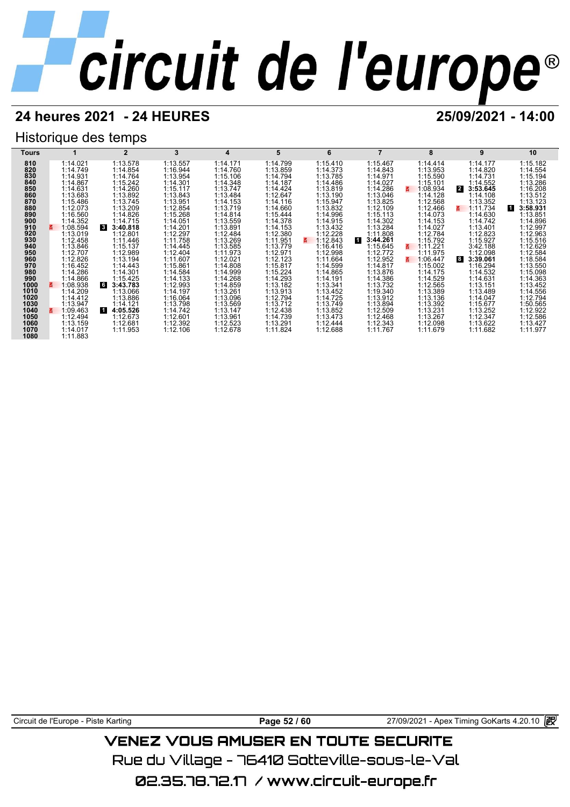## **24 heures 2021 - 24 HEURES 25/09/2021 - 14:00**

## Historique des temps

| Tours        |                      | $\mathbf{2}$              | 3                    | 4                    | 5                    | 6                    |                      | 8                    | 9                            | 10                    |
|--------------|----------------------|---------------------------|----------------------|----------------------|----------------------|----------------------|----------------------|----------------------|------------------------------|-----------------------|
| 810          | 1:14.021             | 1:13.578                  | 1:13.557             | 1:14.171             | 1:14.799             | 1:15.410             | 1:15.467             | 1:14.414             | 1:14.177                     | 1:15.182              |
| 820          | 1:14.749             | 1:14.854                  | 1:16.944             | 1:14.760             | 1:13.859             | 1:14.373             | 1:14.843             | 1:13.953             | 1:14.820                     | 1:14.554              |
| 830          | 1:14.931             | 1:14.764                  | 1:13.954             | 1:15.106             | 1:14.794             | 1:13.785             | 1:14.971             | 1:15.590             | 1:14.731                     | 1:15.194              |
| 840          | 1:14.867             | 1:15.242                  | 1:14.301             | 1:14.348             | 1:14.187             | 1:14.486             | 1:14.027             | 1:15.101             | 1:14.552                     | 1:13.286              |
| 850          | 1:14.631             | 1:14.260                  | 1:15.117             | 1:13.747             | 1:14.424             | 1:13.819             | 1:14.286             | 1:08.934             | $\overline{2}$<br>3:53.645   | 1:16.208              |
| 860          | 1:13.683             | 1:13.892                  | 1:13.843             | 1:13.484             | 1:12.647             | 1:13.190             | 1:13.046             | 1:14.128             | 1:14.108                     | 1:13.512              |
| 870          | 1:15.486             | 1:13.745                  | 1:13.951             | 1:14.153             | 1:14.116             | 1:15.947             | 1:13.825             | 1:12.568             | 1:13.352                     | 1:13.123              |
| 880          | 1:12.073             | 1:13.209                  | 1:12.854             | 1:13.719             | 1:14.660             | 1:13.832             | 1:12.109             | 1:12.466             | 1:11.734<br>3.               | 3:58.931<br><b>11</b> |
| 890          | 1:16.560             | 1:14.826                  | 1:15.268             | 1:14.814             | 1:15.444             | 1:14.996             | 1:15.113             | 1:14.073             | 1:14.630                     | 1:13.851              |
| 900          | 1:14.352             | 1:14.715                  | 1:14.051             | 1:13.559             | 1:14.378             | 1:14.915             | 1:14.302             | 1:14.153             | 1:14.742                     | 1:14.896              |
| 910          | 1:08.594             | $\mathbf{3}$<br>3:40.818  | 1:14.201             | 1:13.891             | 1:14.153             | 1:13.432             | 1:13.284             | 1:14.027             | 1:13.401                     | 1:12.997              |
| 920          | 1:13.019             | 1:12.801                  | 1:12.297             | 1:12.484             | 1:12.380             | 1:12.228             | 1:11.808             | 1:12.784             | 1:12.823                     | 1:12.963              |
| 930          | 1:12.458             | 1:11.446                  | 1:11.758             | 1:13.269             | 1:11.951             | 1:12.843<br>3.       | 3:44.261             | 1:15.792             | 1:15.927                     | 1:15.516              |
| 940          | 1:13.846             | 1:15.137                  | 1:14.445             | 1:13.585             | 1:13.779             | 1:16.416             | 1:15.645             | 1:11.221             | 3:42.188                     | 1:12.629              |
| 950          | 1:12.707             | 1:12.989                  | 1:12.404             | 1:11.973             | 1:12.971             | 1:12.998             | 1:12.772             | 1:11.975             | 1:12.098                     | 1:12.584              |
| 960          | 1:12.826             | 1:13.194                  | 1:11.607             | 1:12.021             | 1:12.123             | 1:11.664             | 1:12.952             | 1:06.447             | $\boldsymbol{8}$<br>3:39.061 | 1:18.584              |
| 970          | 1:16.452             | 1:14.443                  | 1:15.861             | 1:14.808             | 1:15.817             | 1:14.599             | 1:14.817             | 1:15.002             | 1:16.294                     | 1:13.550              |
| 980          | 1:14.286             | 1:14.301                  | 1:14.584             | 1:14.999             | 1:15.224             | 1:14.865             | 1:13.876             | 1:14.175             | 1:14.532                     | 1:15.098              |
| 990          | 1:14.866             | 1:15.425                  | 1:14.133<br>1:12.993 | 1:14.268             | 1:14.293             | 1:14.191             | 1:14.386<br>1:13.732 | 1:14.529<br>1:12.565 | 1:14.631                     | 1:14.363              |
| 1000<br>1010 | 1:08.938<br>1:14.209 | 6<br>3:43.783<br>1:13.066 | 1:14.197             | 1:14.859<br>1:13.261 | 1:13.182<br>1:13.913 | 1:13.341<br>1:13.452 | 1:19.340             | 1:13.389             | 1:13.151<br>1:13.489         | 1:13.452<br>1:14.556  |
| 1020         | 1:14.412             | 1:13.886                  | 1:16.064             | 1:13.096             | 1:12.794             | 1:14.725             | 1:13.912             | 1:13.136             | 1:14.047                     | 1:12.794              |
| 1030         | 1:13.947             | 1:14.121                  | 1:13.798             | 1:13.569             | 1:13.712             | 1:13.749             | 1:13.894             | 1:13.392             | 1:15.677                     | 1:50.565              |
| 1040         | 1:09.463             | <b>11</b><br>4:05.526     | 1:14.742             | 1:13.147             | 1:12.438             | 1:13.852             | 1:12.509             | 1:13.231             | 1:13.252                     | 1:12.922              |
| 1050         | 1:12.494             | 1:12.673                  | 1:12.601             | 1:13.961             | 1:14.739             | 1:13.473             | 1:12.468             | 1:13.267             | 1:12.347                     | 1:12.586              |
| 1060         | 1:13.159             | 1:12.681                  | 1:12.392             | 1:12.523             | 1:13.291             | 1:12.444             | 1:12.343             | 1:12.098             | 1:13.622                     | 1:13.427              |
| 1070         | 1:14.017             | 1:11.953                  | 1:12.106             | 1:12.678             | 1:11.824             | 1:12.688             | 1:11.767             | 1:11.679             | 1:11.682                     | 1:11.977              |
| 1080         | 1:11.883             |                           |                      |                      |                      |                      |                      |                      |                              |                       |

Circuit de l'Europe - Piste Karting **Page 52 / 60 Page 52 / 60** 27/09/2021 - Apex Timing GoKarts 4.20.10

## **VENEZ VOUS AMUSER EN TOUTE SECURITE**

Rue du Village – 76410 Sotteville-sous-le-Val

02.35.78.72.17 /www.circuit-europe.fr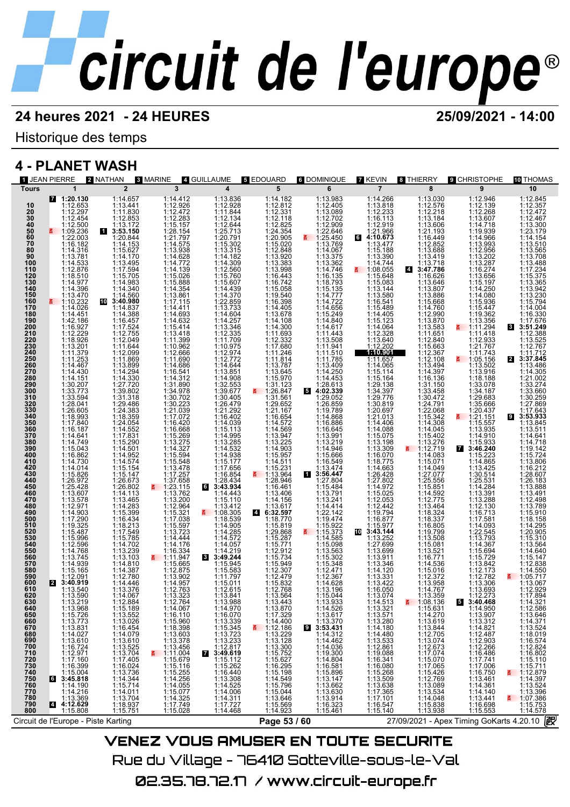Historique des temps

## **4 - PLANET WASH**

| <b>1 JEAN PIERRE</b>                                                                                                                                                                                                                                                                                                                                                                                                                                                                                                                                                                                                                                                                                                                                                                                                                                                               | 2 NATHAN                                                                                                                                                                                                                                                                                                                                                                                                                                                     | 3 MARINE 4 GUILLAUME                                                                                                                                                                                                                                                                                                                                                                                                                                                                                                                                                                                                                                                                                                             |                                                                                                                                                                                                                                                                                                                                                                                                                                                                                                                                                                                                                      | <b>5 EDOUARD</b>                                                                                                                                                                                                                                                                                                                                                                                           | <b>6 DOMINIQUE</b>                                                                                                                                                                                                                                                                                                                                                                         | <b>7 KEVIN</b>                                                                                                                                                                                                                                                                                                                                                                                                                                                                                        | 8 THIERRY                                                                                                                                                                                                                                                                                                                                                                                                                                                                                                      | <b>9 CHRISTOPHE</b>                                                                                                                                                                                                                                                                                                                                                      | <b>THOMAS</b>                                                                                                                                                                                                                                                                                                                                                                                                                                                                                                  |
|------------------------------------------------------------------------------------------------------------------------------------------------------------------------------------------------------------------------------------------------------------------------------------------------------------------------------------------------------------------------------------------------------------------------------------------------------------------------------------------------------------------------------------------------------------------------------------------------------------------------------------------------------------------------------------------------------------------------------------------------------------------------------------------------------------------------------------------------------------------------------------|--------------------------------------------------------------------------------------------------------------------------------------------------------------------------------------------------------------------------------------------------------------------------------------------------------------------------------------------------------------------------------------------------------------------------------------------------------------|----------------------------------------------------------------------------------------------------------------------------------------------------------------------------------------------------------------------------------------------------------------------------------------------------------------------------------------------------------------------------------------------------------------------------------------------------------------------------------------------------------------------------------------------------------------------------------------------------------------------------------------------------------------------------------------------------------------------------------|----------------------------------------------------------------------------------------------------------------------------------------------------------------------------------------------------------------------------------------------------------------------------------------------------------------------------------------------------------------------------------------------------------------------------------------------------------------------------------------------------------------------------------------------------------------------------------------------------------------------|------------------------------------------------------------------------------------------------------------------------------------------------------------------------------------------------------------------------------------------------------------------------------------------------------------------------------------------------------------------------------------------------------------|--------------------------------------------------------------------------------------------------------------------------------------------------------------------------------------------------------------------------------------------------------------------------------------------------------------------------------------------------------------------------------------------|-------------------------------------------------------------------------------------------------------------------------------------------------------------------------------------------------------------------------------------------------------------------------------------------------------------------------------------------------------------------------------------------------------------------------------------------------------------------------------------------------------|----------------------------------------------------------------------------------------------------------------------------------------------------------------------------------------------------------------------------------------------------------------------------------------------------------------------------------------------------------------------------------------------------------------------------------------------------------------------------------------------------------------|--------------------------------------------------------------------------------------------------------------------------------------------------------------------------------------------------------------------------------------------------------------------------------------------------------------------------------------------------------------------------|----------------------------------------------------------------------------------------------------------------------------------------------------------------------------------------------------------------------------------------------------------------------------------------------------------------------------------------------------------------------------------------------------------------------------------------------------------------------------------------------------------------|
| $\mathbf{1}$<br><b>Tours</b>                                                                                                                                                                                                                                                                                                                                                                                                                                                                                                                                                                                                                                                                                                                                                                                                                                                       |                                                                                                                                                                                                                                                                                                                                                                                                                                                              |                                                                                                                                                                                                                                                                                                                                                                                                                                                                                                                                                                                                                                                                                                                                  |                                                                                                                                                                                                                                                                                                                                                                                                                                                                                                                                                                                                                      |                                                                                                                                                                                                                                                                                                                                                                                                            | 6                                                                                                                                                                                                                                                                                                                                                                                          |                                                                                                                                                                                                                                                                                                                                                                                                                                                                                                       |                                                                                                                                                                                                                                                                                                                                                                                                                                                                                                                | 9                                                                                                                                                                                                                                                                                                                                                                        | 10                                                                                                                                                                                                                                                                                                                                                                                                                                                                                                             |
| 74:20.130<br>10<br>20<br>30<br>40<br>50<br>50<br>70<br>80<br>1:12.653<br>$1:12.297$ $1:12.454$ $1:12.500$ $1:09.236$ $1:22.003$<br>1:16.182<br>$1:14.376$<br>$1:14.3781$<br>$1:14.533$<br>$1:12.876$<br>$1:14.977$<br>$1:14.396$<br>$1:14.3476$<br>$\frac{90}{100}$<br>110<br>120<br>130<br>140<br>150<br>1:13.470<br>160<br>170<br>$1:14.026$<br>$1:14.451$<br>$1:14.451$<br>$1:16.927$<br>$1:12.229$<br>$1:13.201$<br>$1:11.279$<br>$1:11.267$<br>180<br>190<br>200<br>210<br>220<br>230<br>240<br>250<br>260<br>270<br>280<br>1:14.467<br>1:14.430<br>1:14.151<br>290<br>300                                                                                                                                                                                                                                                                                                    | $\overline{2}$<br>1:14.657<br>1:13.441<br>1:11.830<br>1:13.172<br>1:3.150<br>3.53.150<br>3:53.150<br>1:20.844<br>1:15.627<br>1:15.627<br>1:14.170<br>1:14.560<br>1:14.560<br>1:14.560<br>3:40.880<br>$10$ 3:40.980<br>1:14.837<br>1:14.388<br>$1:16.457$ $1:16.457$ $1:12.755$ $1:12.049$ $1:11.644$ $1:12.099$ $1:13.809$                                                                                                                                   | $\overline{\mathbf{3}}$<br>$\begin{smallmatrix} 1:14.412\\ 1:12.926\\ 1:12.272\\ 1:15.154\\ 1:22.155\\ 1:25.154\\ 1:21.797\\ 1:14.575\\ 1:14.772\\ 1:15.026\\ 1:15.888\\ 1:13.861\\ 1:17.115\\ 1:19.111\\ 1:19.111\\ 1:19.111\\ 1:19.111\\ 1:19.111\\ 1:19.111\\ 1:19.111\\ 1:19.111\\ 1:1$                                                                                                                                                                                                                                                                                                                                                                                                                                      | $\overline{\mathbf{4}}$<br>$\begin{array}{l} 1:13.836\\ 1:12.928\\ 1:11.844\\ 1:12.644\\ 1:12.644\\ 1:20.791\\ 1:15.302\\ 1:14.330\\ 1:14.300\\ 1:15.660\\ 1:15.600\\ 1:15.600\\ 1:14.430\\ 1:15.760\\ 1:14.430\\ 1:12.859 \end{array}$<br>1:22.859<br>1:14.604<br>1:14.257<br>1:14.257<br>1:12.335<br>1:12.335<br>1:12.977<br>1:12.772<br>1:14.644<br>1:14.644<br>1:30.677<br>1:30.405<br>1:30.405                                                                                                                                                                                                                  | 5<br>1:14.182<br>1:12.812                                                                                                                                                                                                                                                                                                                                                                                  | 1:13.983<br>1:13.009 122.646 0702 1:23.646 0702 1:24.640 1:14.2405<br>1:13.009 1:22.646 0707 1:33.62 1:44.7722 646 0702 1:44.656 0702 1:44.656 0702 1:44.656 0702 1:44.656 0702 1:44.656 0702 1:44.656 0702 1:44.656 0702 1:44.656                                                                                                                                                         | $\overline{7}$<br>1:14.266<br>1:13.818<br>$1:12.233$<br>$1:16.113$<br>$1:12.919$<br>$1:21.966$<br>64:10.673<br>1:13.477<br>$\begin{array}{r} 1:13.477 \\ 1:15.880 \\ 1:14.744 \\ 1:13.390 \\ 1:14.744 \\ 1:15.648 \\ 1:15.683 \\ 1:13.544 \\ 1:13.544 \\ 1:13.549 \\ 1:14.405 \\ 1:14.064 \\ 1:14.064 \\ 1:12.328 \\ 1:12.328 \\ 1:12.328 \\ 1:14.065 \\ 1:14.065 \end{array}$<br>$1:14.065$<br>$1:15.114$<br>$1:15.164$                                                                              | 8<br>$\begin{smallmatrix} 1:13.030\\ 1:12.278\\ 1:13.184\\ 1:13.006\\ 1:12.218\\ 1:13.608\\ 1:13.449\\ 1:13.347\\ 1:13.477\\ 1:16.626\\ 1:13.840\\ 1:14.760\\ 1:14.760\\ 1:14.760\\ 1:11.651\\ 1:11.651\\ 1:11.651\\ 1:11.651\\ 1:11.662\\ 1:11.651\\ 1:12.840\\ 1:1$<br>1:12.367<br>1:12.108<br>$1:13.494$<br>$1:14.397$<br>$1:16.136$                                                                                                                                                                        | $1:12.268$ $1:12.268$ $1:12.268$ $1:12.268$ $1:13.8078$ $1:19.993$ $1:19.993$ $1:12.956$ $1:12.2674$ $1:13.2674$ $1:13.654$ $1:14.2690$ $1:15.947$ $1:12.956$ $1:14.2693$ $1:11.418$ $1:11.418$<br>1:12.933<br>1:21.767<br>$1:11.743$<br>1:05.156<br>1:13.502<br>1:13.916<br>1:18.188                                                                                    | 1:12.845<br>1:12.357<br>1:12.472<br>1:12.467<br>1:13.300<br>1:23.179<br>1:14.154<br>1:13.510<br>1:13.565<br>1:13.708<br>1:13.488<br>1:17.234<br>1:15.375<br>$\begin{array}{c} 1:13.365 \\ 1:13.942 \\ 1:13.230 \\ 1:15.794 \end{array}$<br>1:14.004<br>1:16.330<br>1:17.676<br>$\mathbf{3}$<br>3:51.249<br>1:12.388<br>1:13.525<br>1:12.767<br>1:11.712<br>2 3:37.845<br>1:13.486<br>1:14.305<br>1:21.002<br>1:33.274<br>1:33.660                                                                              |
| $1:30.207$<br>$1:33.773$<br>$1:33.594$<br>$1:28.041$<br>$1:26.605$<br>$1:18.993$<br>$1:17.840$<br>$1:14.641$<br>310<br>320<br>330<br>330<br>340<br>350<br>360<br>370<br>380<br>390<br>$\begin{array}{r} 1.14.641 \\ 1.14.749 \\ 1.15.043 \\ 1.16.862 \\ 1.14.730 \end{array}$<br>400<br>410<br>420<br>430<br>1:14.014<br>1:15.826<br>440<br>450<br>460<br>1:26.972<br>1:25.428<br>1:13.607<br>1:13.578<br>1:12.971<br>1:14.903<br>1:17.290<br>470<br>480<br>490<br>500<br>510<br>1:19.325<br>510<br>520<br>530<br>540<br>550<br>1:15.487<br>1:15.996<br>1:12.596<br>1:14.768<br>560<br>1:13.745<br>1:14.939<br>570<br>580<br>590<br>1:15.165<br>1:12.091<br>600<br><b>2</b> 3:40.919<br>610<br>620<br>630<br>1:13.590<br>1:13.219<br>640<br>650<br>1:13.219<br>1:15.726<br>1:15.726<br>1:13.831<br>1:14.027<br>1:16.724<br>1:12.971<br>1:12.971<br>660<br>670<br>680<br>690<br>700 | $\begin{array}{c} 1:13.899\\ 1:14.294\\ 1:27.720\\ 1:33.802\\ 1:27.720\\ 1:39.802\\ 1:29.486\\ 1:24.383\\ 1:24.359\\ 1:14.552\\ 1:17.831\\ 1:15.290\\ 1:14.952\\ 1:14.574\\ \end{array}$<br>1:15.154<br>1:15.147<br>1:26.673<br>1:26.802<br>1:14.113<br>1:13.465<br>1:15.389<br>1:15.399<br>1:16.434<br>1:16.434<br>1:16.785<br>1:14.702<br>1:14.810<br>1:14.810<br>1:14.810<br>$1:14.387$<br>$1:12.780$<br>$1:14.446$<br>$1:13.376$<br>1:14.067<br>1:12.884 | $11.14.6324$<br>$11.14.6344$<br>$11.15.411$<br>$11.13.99626$<br>$11.15.411$<br>$11.1.3966$<br>$11.14.686$<br>$11.14.630$<br>$11.14.320$<br>$11.13.276$<br>$11.15.26$<br>$11.16.666$<br>$11.17.25$<br>$11.16.471$<br>$11.16.472$<br>$11.15.594$<br>$11.15.594$<br>$11.17.265$<br>$11$<br>$\begin{array}{ll} \textbf{5} & 1:23.715 \\ \textbf{1}:32.004 \\ \textbf{1}:13.200 \\ \textbf{1}:12.964 \\ \textbf{1}:17.038 \\ \textbf{1}:15.597 \\ \textbf{1}:14.444 \\ \textbf{1}:14.476 \\ \textbf{1}:11.4476 \\ \textbf{1}:11.9347 \\ \textbf{1}:15.665 \\ \textbf{1}:13.902 \end{array}$<br>$1:13.902$<br>$1:14.957$<br>$1:12.763$<br>1:13.323<br>1:12.764<br>1:14.067<br>1:16.110<br>1:15.960<br>1:13.898<br>1:13.378<br>1:13.456 | $1:39.677$<br>$1:26.479$<br>$1:21.292$<br>$1:16.402$<br>$1:14.039$<br>$1:14.995$<br>$1:13.285$<br>$1:14.938$<br>$1:177$<br>$1:17.756$<br>1:17.656<br>1:16.854<br>$1:28.434$<br>3:43.934<br>1:14.443<br>1:15.110<br>$\begin{array}{l} 111.410 \\ 113.412 \\ 1108.305 \\ 114.985 \\ 114.905 \\ 114.4285 \\ 114.4277 \\ 114.277 \\ 114.274 \\ 114.274 \\ 114.2383 \\ 114.583 \\ 1115.071 \\ 111.261 \\ 111.261 \\ 111.261 \\ 111.261 \\ 111.261 \\ 111.261 \\ 111.261 \\ 111.261 \\ 111.261 \\ 111.261 \\ $<br>1:13.841<br>1:13.988<br>$1:14.970$<br>$1:16.070$<br>$1:13.339$<br>$1:15.345$<br>$1:13.233$<br>$1:12.812$ | $1:29.667$<br>$1:11.6654$<br>$1:14.572$<br>$1:14.569$<br>$1:13.947$<br>$1:13.225$<br>$1:14.903$<br>$1:15.957$<br>$1:14.531$<br>$1:15.231$<br>1:13.964<br>1:28.946<br>1:16.461<br>$1:13.406$ $1:14.156$ $1:13.617$ $6:32.597$ $1:18.770$<br>1:18.770<br>1:129.868<br>1:15.287<br>1:15.771<br>1:15.734<br>1:15.734<br>1:12.479<br>1:12.479<br>1:12.768<br>1:12.768<br>1:13.768<br>1:13.564<br>1:13.443<br>E. | $1:13.474$<br>3:56.447<br>1:27.804<br>1:15.484<br>1:13.241<br>1:13.241<br>1:14.414<br>1:22.1424<br>1:15.97<br>$1:15.922$<br>1:15.373<br>$1:15.373$<br>$1:15.988$<br>$1:15.302$<br>$1:15.302$<br>$1:15.348$<br>$1:12.471$<br>$1:12.367$<br>$1:14.628$<br>$1:14.696$<br>1:15.044<br>1:13.933<br>$1:14.526$<br>$1:13.617$<br>$1:13.370$<br>3:53.431<br>$1:14.312$<br>$1:14.036$<br>$1:19.390$ | $1:29.13$<br>$1:29.13$<br>$1:29.776$<br>$1:29.776$<br>$1:20.697$<br>$1:21.013$<br>$1:14.406$<br>$1:14.088$<br>$1:13.309$<br>$1:16.070$<br>$1:14.663$<br>1:18.775<br>1:26.428<br>1:27.802<br>1:14.972<br>1:15.025<br>1:12.442<br>1:19.794<br>1:16.877<br>1:15.977<br>$10$ 3:43.144<br>1:13.252<br>1:27.699<br>1:13.699<br>1:13.346<br>1:14.120<br>$1:13.331$<br>$1:13.422$<br>$1:16.050$<br>1:13.074<br>1:14.513<br>$1:13.321$<br>1:13.571<br>1:13.280<br>1:14.480<br>1:14.480<br>1:12.861<br>1:12.869 | 1:16.130<br>1:31.150<br>1:33.458<br>1:30.472<br>1:22.068<br>1:15.342<br>1:14.045<br>1:15.4045<br>1:15.402<br>$\begin{array}{r}\n 113.276 \\  113.276 \\  112.719 \\  114.083 \\  115.071\n \end{array}$<br>$1:14.049$<br>$1:27.077$<br>$1:25.556$<br>$1:15.851$<br>$\begin{array}{l} 1:12.77 \\ 1:12.77 \\ 1:13.464 \\ 1:13.464 \\ 1:18.337 \\ 1:16.805 \\ 1:16.808 \\ 1:16.808 \\ 1:13.521 \\ 1:13.965 \\ 1:13.971 \\ 1:14.761 \\ 1:12.372 \\ 1:14.767 \\ \end{array}$<br>1:13.359<br>$\overline{5}$ 1:08.136 | $1:18.188$ $1:34.187$ $1:29.683$ $1:35.666$ $1:20.437$ $1:115.557$<br>1113.910<br>1114.865<br>1114.865<br>1114.865<br>1114.865<br>1114.865<br>1114.239<br>1114.239<br>1114.239<br>1114.239<br>1114.239<br>1114.239<br>1114.239<br>1114.239<br>1114.239<br>1114.239<br>1114.239<br>1114.239<br>1114.238<br>11114.09<br>1114.25<br>11111.25<br>1<br>$1:12.273$<br>3:40.468 | 1:30.259<br>1:27.869<br>$1:17.643$<br>3:53.933<br>1:13.845<br>1:13.511<br>1:14.641<br>1:14.718<br>$1:19.142$<br>$1:15.724$<br>1:13.806<br>1:16.212<br>1:28.607<br>1:26.183<br>1:13.888<br>1:13.491<br>1:12.498<br>1:13.789<br>1:15.910<br>1:18.158<br>1:14.295<br>1:20.905<br>1:15.310<br>1:13.564<br>1:14.640<br>1:15.147<br>1:12.838<br>1:14.550<br>■ 1:05.717<br>1:13.067<br>1:12.929<br>1:17.894<br>1:14.321<br>1:12.586<br>1:13.646<br>$1:14.371$<br>$1:13.524$<br>$1:18.019$<br>$1:16.574$<br>$1:12.824$ |
| 710<br>720<br>730<br>740<br>750<br>760<br>770<br>$1:17.160$ $1:16.399$ $1:15.004$ $3:45.818$ $1:14.190$<br>$1:14.216$ $1:13.369$ $4:12.629$<br>780<br>790<br>800<br>1:15.808<br>Circuit de l'Europe - Piste Karting                                                                                                                                                                                                                                                                                                                                                                                                                                                                                                                                                                                                                                                                | $1:13.552\newline 1:33.026\newline 1:13.026\newline 1:16.454\newline 1:14.079\newline 1:13.525\newline 1:14.070\newline 1:13.525\newline 1:13.704\newline 1:13.734\newline 1:15.714\newline 1:13.704\newline 1:15.714\newline 1:13.937\newline 1:15.751\newline 1:13.937\newline 1:15.751\newline 1:13.937\newline 1:15.751\newline$                                                                                                                         | $\begin{array}{ll} 113.456\, \text{at}\ & 111.004\, \text{at}\ & 115.679\, \text{at}\ & 115.679\, \text{at}\ & 115.675\, \text{at}\ & 114.256\, \text{at}\ & 114.256\, \text{at}\ & 114.325\, \text{at}\ & 111.4325\, \text{at}\ & 117.749\, \text{at}\ & 115.028\ \end{array}$                                                                                                                                                                                                                                                                                                                                                                                                                                                  | $\begin{array}{ll} \textbf{7:} & 3:49.619 \\ \textbf{3:} & 49.619 \\ \textbf{1:15.112} & 1:15.262 \\ \textbf{1:16.440} & 1:16.449 \\ \textbf{1:14.308} & 1:14.525 \\ \textbf{1:14.4301} & 1:17.727 \\ \textbf{1:14.468} \end{array}$                                                                                                                                                                                                                                                                                                                                                                                 | $1:13.443$<br>$1:17.329$<br>$1:14.400$<br>$1:13.300$<br>$1:12.186$<br>$1:13.300$<br>$1:15.725$<br>$1:16.295$<br>$1:15.796$<br>$1:15.796$<br>$1:15.796$<br>$1:15.796$<br>$1:15.796$<br>$1:15.796$<br>$1:15.796$<br>1:15.569<br>1:14.923<br>Page 53 / 60                                                                                                                                                     | 1:14.036<br>1:19.300<br>1:16.581<br>1:16.581<br>1:15.896<br>1:13.662<br>1:13.6323<br>1:16.323<br>1:15.461<br>\/=\!=ㅋ \/^! !^ ^\! !^=^ =\! ?^! !?~ ^=~! !^!?=                                                                                                                                                                                                                               | 1:12.861<br>1:19.088<br>1:16.341<br>1:16.360<br>1:15.268<br>1:13.509<br>1:17.365<br>1:17.101<br>1:16.547<br>1:15.140                                                                                                                                                                                                                                                                                                                                                                                  | $\begin{smallmatrix} 1:13.631\\ 1:14.270\\ 1:13.619\\ 1:13.844\\ 1:12.705\\ 1:12.673\\ 1:17.074\\ 1:17.065\\ 1:15.426\\ 1:13.089\\ 1:13.534\\ 1:14.048\\ 1:13.938\\ \end{smallmatrix}$                                                                                                                                                                                                                                                                                                                         | 1:13.950<br>1:13.312<br>1:13.312<br>1:14.821<br>1:12.487<br>1:12.2006<br>1:16.750<br>1:14.361<br>1:14.3461<br>1:11.3.441<br>1:13.441<br>1:15.655<br>1:15.655<br>1:15.650<br>27/09/2021 - Apex Timing GoKarts 4.20.10 2                                                                                                                                                   | 1:12.824<br>1:15.110<br>1:15.711<br>1:12.879<br><b>1:14.397</b><br>1:14.397<br>1:13.524<br>1:07.396<br>1:15.753<br>1:14.578<br>1:14.578                                                                                                                                                                                                                                                                                                                                                                        |

VENEZ VOUS AMUSER EN TOUTE SECURITE Rue du Village – 76410 Sotteville-sous-le-Val 02.35.78.72.17 /www.circuit-europe.fr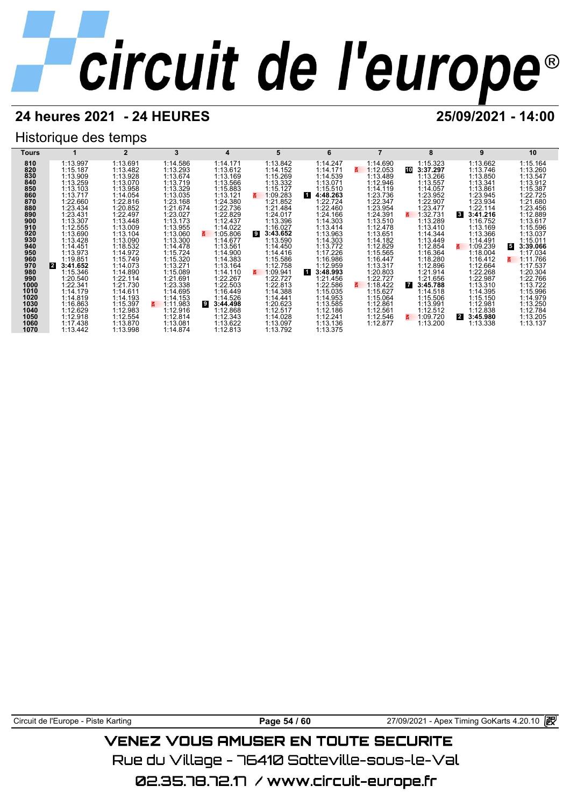## **24 heures 2021 - 24 HEURES 25/09/2021 - 14:00**

## Historique des temps

| Tours        |                      |                      | 3                          | 4                         | 5                    |                      |                      | 8                          | 9                          | 10                   |
|--------------|----------------------|----------------------|----------------------------|---------------------------|----------------------|----------------------|----------------------|----------------------------|----------------------------|----------------------|
| 810          | 1:13.997             | 1:13.691             | 1:14.586                   | 1:14.171                  | 1:13.842             | 1:14.247             | 1:14.690             | 1:15.323                   | 1:13.662                   | 1:15.164             |
| 820          | 1:15.187             | 1:13.482             | 1:13.293                   | 1:13.612                  | 1:14.152             | 1:14.171             | 1:12.053             | 10<br>3:37.297             | 1:13.746                   | 1:13.260             |
| 830          | 1:13.909             | 1:13.928             | 1:13.674                   | 1:13.169                  | 1:15.269             | 1:14.539             | 1:13.489             | 1:13.266                   | 1:13.850                   | 1:13.547             |
| 840          | 1:13.259             | 1:13.070             | 1:13.719                   | 1:13.566                  | 1:13.332             | 1:13.071             | 1:12.946             | 1:13.557                   | 1:13.341                   | 1:13.912             |
| 850          | 1:13.103             | 1:13.958             | 1:13.329                   | 1:15.883                  | 1:15.127             | 1:15.510             | 1:14.119             | 1:14.057                   | 1:13.861                   | 1:15.387             |
| 860          | 1:13.717             | 1:14.054             | 1:13.035                   | 1:13.121                  | 1:09.283<br>B.       | 1<br>4:48.263        | 1:23.736             | 1:23.952                   | 1:23.945                   | 1:22.725             |
| 870          | 1:22.660             | 1:22.816             | 1:23.168                   | 1:24.380                  | 1:21.852             | :22.724              | 1:22.347             | 1:22.907                   | 1:23.934                   | 1:21.680             |
| 880          | 1:23.434             | 1:20.852             | 1:21.674                   | 1:22.736                  | 1:21.484             | 1:22.460             | 1:23.954             | 1:23.477                   | 1:22.114                   | 1:23.456             |
| 890          | 1:23.431             | 1:22.497             | 1:23.027                   | 1:22.829                  | 1:24.017             | 1:24.166             | 1:24.391             | 1:32.731<br>z              | $\mathbf{3}$<br>3:41.216   | 1:12.889             |
| 900          | 1:13.307             | 1:13.448             | 1:13.173                   | 1:12.437                  | 1:13.396             | 1:14.303             | 1:13.510             | 1:13.289                   | 1:16.752                   | 1:13.617             |
| 910          | 1:12.555             | 1:13.009             | 1:13.955                   | 1:14.022                  | 1:16.027             | 1:13.414             | 1:12.478             | 1:13.410                   | 1:13.169                   | 1:15.596             |
| 920          | 1:13.690             | 1:13.104             | 1:13.060                   | 1:05.806<br>3.            | 9<br>3:43.652        | 1:13.963             | 1:13.651             | 1:14.344                   | 1:13.366                   | 1:13.037             |
| 930          | 1:13.428             | 1:13.090             | 1:13.300                   | 1:14.677                  | 1:13.590             | 1:14.303             | 1:14.182             | 1:13.449                   | 1:14.491                   | 1:15.011             |
| 940          | 1:14.451             | 1:18.532             | 1:14.478                   | 1:13.561                  | 1:14.450             | 1:13.772             | 1:12.829             | 1:12.854                   | 1:09.239<br>3.             | 5<br>3:39.066        |
| 950          | 1:13.973             | 1:14.972             | 1:15.724                   | 1:14.900                  | 1:14.416             | 1:17.226             | 1:15.565             | 1:16.364                   | 1:18.004                   | 1:17.034             |
| 960          | 1:19.851             | 1:15.749             | 1:15.320                   | 1:14.383                  | 1:15.586             | 1:16.986             | 1:16.447             | 1:18.280                   | 1:16.412                   | 1:11.766<br>3.       |
| 970          | 12<br>3:41.652       | 1:14.073             | 1:13.271                   | 1:13.164                  | 1:12.758             | 1:12.959             | 1:13.317             | 1:12.896                   | 1:12.664                   | 1:17.537             |
| 980          | 1:15.346             | 1:14.890             | 1:15.089                   | 1:14.110                  | 1:09.941<br>g.       | и.<br>3:48.993       | 1:20.803             | 1:21.914                   | 1:22.268                   | 1:20.304             |
| 990          | :20.540              | 1:22.114             | 1:21.691                   | 1:22.267                  | 1:22.727             | 1:21.456             | 1:22.727             | 1:21.656                   | 1:22.987                   | 1:22.766             |
| 1000<br>1010 | 1:22.341             | 1:21.730             | 1:23.338<br>1:14.695       | 1:22.503                  | 1:22.813             | 1:22.586             | 1:18.422             | $\overline{7}$<br>3:45.788 | 1:13.310                   | 1:13.722<br>1:15.996 |
| 1020         | 1:14.179             | 1:14.611             |                            | 1:16.449                  | 1:14.388             | 1:15.035             | 1:15.627<br>1:15.064 | 1:14.518                   | 1:14.395                   |                      |
| 1030         | 1:14.819<br>1:16.863 | 1:14.193<br>1:15.397 | 1:14.153<br>1:11.983<br>z. | 1:14.526<br>9<br>3:44.498 | 1:14.441<br>1:20.623 | 1:14.953<br>1:13.585 | 1:12.861             | 1:15.506<br>1:13.991       | 1:15.150<br>1:12.981       | 1:14.979<br>1:13.250 |
| 1040         | 1:12.629             | 1:12.983             | 1:12.916                   | 1:12.868                  | 1:12.517             | 1:12.186             | 1:12.561             | 1:12.512                   | 1:12.838                   | 1:12.784             |
| 1050         | 1:12.918             | 1:12.554             | 1:12.814                   | 1:12.343                  | 1:14.028             | 1:12.241             | 1:12.546             | 1:09.720                   | $\overline{2}$<br>3:45.980 | 1:13.205             |
| 1060         | 1:17.438             | 1:13.870             | 1:13.081                   | 1:13.622                  | 1:13.097             | 1:13.136             | 1:12.877             | 1:13.200                   | 1:13.338                   | 1:13.137             |
| 1070         | 1:13.442             | 1:13.998             | 1:14.874                   | 1:12.813                  | 1:13.792             | 1:13.375             |                      |                            |                            |                      |
|              |                      |                      |                            |                           |                      |                      |                      |                            |                            |                      |

Circuit de l'Europe - Piste Karting **Page 54 / 60** Page 54 / 60 27/09/2021 - Apex Timing GoKarts 4.20.10 图

## **VENEZ VOUS AMUSER EN TOUTE SECURITE**

Rue du Village – 76410 Sotteville-sous-le-Val

02.35.78.72.17 / www.circuit-europe.fr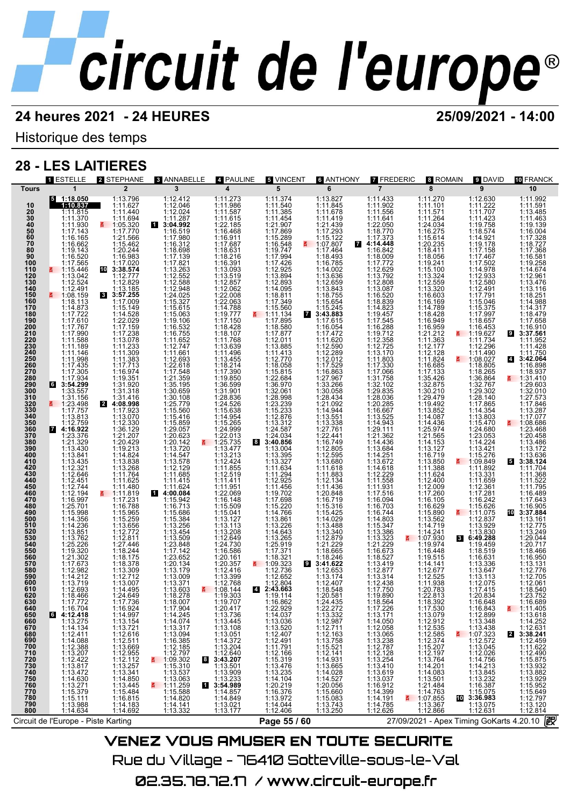Historique des temps

## **28 - LES LAITIERES**

|                                                                                                      | <b>1 ESTELLE</b>                                                                                                                                                                                             | 2 STEPHANE                                                                       | <b>8 ANNABELLE</b>                                                                                                                                         | 4 PAULINE                                                                                                                                                                                                                                                                   | <b>5 VINCENT</b>                                                                                        | <b>6 ANTHONY</b>                                                                                                                                                                                                                                                                              | <b>7 FREDERIC</b>                                                                                                                                                                      | 8 ROMAIN                                                                                                                                                                                                                                                                  | 9 DAVID                                                                                                                                                                                                                                                                     | <b>10 FRANCK</b>                                                                                                                                                                                                           |
|------------------------------------------------------------------------------------------------------|--------------------------------------------------------------------------------------------------------------------------------------------------------------------------------------------------------------|----------------------------------------------------------------------------------|------------------------------------------------------------------------------------------------------------------------------------------------------------|-----------------------------------------------------------------------------------------------------------------------------------------------------------------------------------------------------------------------------------------------------------------------------|---------------------------------------------------------------------------------------------------------|-----------------------------------------------------------------------------------------------------------------------------------------------------------------------------------------------------------------------------------------------------------------------------------------------|----------------------------------------------------------------------------------------------------------------------------------------------------------------------------------------|---------------------------------------------------------------------------------------------------------------------------------------------------------------------------------------------------------------------------------------------------------------------------|-----------------------------------------------------------------------------------------------------------------------------------------------------------------------------------------------------------------------------------------------------------------------------|----------------------------------------------------------------------------------------------------------------------------------------------------------------------------------------------------------------------------|
| <b>Tours</b>                                                                                         | $\mathbf{1}$                                                                                                                                                                                                 | $\overline{2}$                                                                   | 3                                                                                                                                                          | $\overline{\mathbf{4}}$                                                                                                                                                                                                                                                     | 5                                                                                                       | 6                                                                                                                                                                                                                                                                                             | $\overline{7}$                                                                                                                                                                         | 8                                                                                                                                                                                                                                                                         | 9                                                                                                                                                                                                                                                                           | 10                                                                                                                                                                                                                         |
| 10                                                                                                   | $5 - 1:18.050$<br>1:10.837                                                                                                                                                                                   | 1:13.796<br>1:11.627                                                             | 1:12.412<br>1:12.046                                                                                                                                       | 1:11.273<br>1:11.986                                                                                                                                                                                                                                                        | 1:11.374<br>1:11.540                                                                                    | 1:13.827<br>1:11.845                                                                                                                                                                                                                                                                          | 1:11.433<br>1:11.902                                                                                                                                                                   | 1:11.270<br>1:11.101                                                                                                                                                                                                                                                      | 1:12.630<br>1:11.222<br>1:11.707                                                                                                                                                                                                                                            | 1:11.992<br>1:11.591                                                                                                                                                                                                       |
|                                                                                                      | 1:11.815                                                                                                                                                                                                     | 1:11.440                                                                         | 1:12.024                                                                                                                                                   |                                                                                                                                                                                                                                                                             | 1:11.385                                                                                                | 1:11.678                                                                                                                                                                                                                                                                                      | 1:11.556                                                                                                                                                                               | 1:11.571                                                                                                                                                                                                                                                                  |                                                                                                                                                                                                                                                                             | 1:13.485                                                                                                                                                                                                                   |
| $\frac{20}{30}$<br>40                                                                                |                                                                                                                                                                                                              | $1:11.694$<br>1:05.320                                                           | $1:11.287$<br>3:04.992                                                                                                                                     |                                                                                                                                                                                                                                                                             | 1:11.454<br>1:21.907                                                                                    | 1:11.419<br>1:21.439                                                                                                                                                                                                                                                                          | 1:11.641                                                                                                                                                                               |                                                                                                                                                                                                                                                                           |                                                                                                                                                                                                                                                                             | 1:11.463<br>1:19.139                                                                                                                                                                                                       |
| $\frac{50}{60}$                                                                                      | $\begin{array}{c} 1:11.370 \\ 1:11.930 \\ 1:17.143 \end{array}$                                                                                                                                              | 1:17.770                                                                         | 1:16.519                                                                                                                                                   | 1:11.587<br>1:11.615<br>1:22.185<br>1:16.468<br>1:16.911                                                                                                                                                                                                                    | 1:17.869<br>1:15.289                                                                                    | 1:17.293                                                                                                                                                                                                                                                                                      | 1:18.770<br>1:17.373                                                                                                                                                                   | $1:11.264$<br>$1:24.034$<br>$1:16.275$                                                                                                                                                                                                                                    | $\begin{array}{c} 1111.707 \\ 111.423 \\ 119.758 \\ 118.574 \\ 114.921 \\ \end{array}$                                                                                                                                                                                      | 1:16.004                                                                                                                                                                                                                   |
|                                                                                                      | 1:16.165                                                                                                                                                                                                     | 1:21.566                                                                         | 1:17.980                                                                                                                                                   |                                                                                                                                                                                                                                                                             |                                                                                                         | 1:15.122                                                                                                                                                                                                                                                                                      | 4:14.448                                                                                                                                                                               | 1:15.614                                                                                                                                                                                                                                                                  |                                                                                                                                                                                                                                                                             | 1:17.328<br>1:18.727                                                                                                                                                                                                       |
| $\frac{70}{80}$                                                                                      | 1:16.662<br>1:19.143                                                                                                                                                                                         | $1:15.462$<br>$1:20.244$<br>$1:16.983$                                           | 1:16.312<br>1:18.698<br>1:17.139                                                                                                                           | $1:17.687$<br>$1:18.631$<br>$1:18.216$<br>$1:16.391$                                                                                                                                                                                                                        | 1:16.548<br>1:19.747<br>1:17.994                                                                        | $\frac{2}{117.464}$                                                                                                                                                                                                                                                                           | 1:16.842                                                                                                                                                                               | $\begin{array}{c} 1:20.235 \\ 1:18.411 \\ 1:18.056 \end{array}$                                                                                                                                                                                                           | 1:19.178<br>1:17.158                                                                                                                                                                                                                                                        | 1:17.368                                                                                                                                                                                                                   |
| 90<br>100                                                                                            | 1:16.520                                                                                                                                                                                                     |                                                                                  |                                                                                                                                                            |                                                                                                                                                                                                                                                                             | 1:17.426                                                                                                | 1:18.493<br>1:16.785                                                                                                                                                                                                                                                                          | 1:18.009                                                                                                                                                                               | 1:19.241                                                                                                                                                                                                                                                                  | 1:17.467<br>1:17.502                                                                                                                                                                                                                                                        | 1:16.581                                                                                                                                                                                                                   |
| 110                                                                                                  | 1:17.565<br>■ 1:15.446                                                                                                                                                                                       | 1:17.020<br>10 3:38.574                                                          | 1:17.821<br>1:13.263                                                                                                                                       | 1:13.093                                                                                                                                                                                                                                                                    |                                                                                                         | 1:14.002                                                                                                                                                                                                                                                                                      | 1:17.772<br>1:12.629                                                                                                                                                                   | 1:15.100                                                                                                                                                                                                                                                                  | 1:14.978                                                                                                                                                                                                                                                                    | 1:19.258<br>1:14.674                                                                                                                                                                                                       |
| $\frac{120}{130}$                                                                                    | 1:13.042                                                                                                                                                                                                     | 1:12.777                                                                         | 1:12.552<br>1:12.588<br>1:12.948<br>1:24.025                                                                                                               |                                                                                                                                                                                                                                                                             | 1:12.925<br>1:13.894                                                                                    | $\begin{array}{r} 114.082 \\ 1:13.636 \\ 1:12.659 \\ 1:13.843 \\ 1:18.755 \end{array}$                                                                                                                                                                                                        | $1:13.792$<br>$1:12.808$<br>$1:13.087$<br>$1:16.520$                                                                                                                                   | 1:13.324<br>1:12.559<br>1:13.320<br>1:16.603                                                                                                                                                                                                                              | $1:12.933\n1:12.580\n1:12.491\n1:17.791$                                                                                                                                                                                                                                    | 1:12.961                                                                                                                                                                                                                   |
| 140                                                                                                  | 1:12.524<br>1:12.491                                                                                                                                                                                         | 1:12.829<br>1:13.185                                                             |                                                                                                                                                            |                                                                                                                                                                                                                                                                             | $1:12.893$<br>$1:14.095$<br>$1:18.811$                                                                  |                                                                                                                                                                                                                                                                                               |                                                                                                                                                                                        |                                                                                                                                                                                                                                                                           |                                                                                                                                                                                                                                                                             | 1:13.476<br>1:13.116                                                                                                                                                                                                       |
| 150<br>160                                                                                           | ■ 1:08.159<br>1:18.113                                                                                                                                                                                       | 3:57.255<br>1:17.009                                                             |                                                                                                                                                            | 1:13.519<br>1:12.857<br>1:12.062<br>1:22.008<br>1:14.788                                                                                                                                                                                                                    |                                                                                                         |                                                                                                                                                                                                                                                                                               |                                                                                                                                                                                        | 1:16.169                                                                                                                                                                                                                                                                  |                                                                                                                                                                                                                                                                             | 1:18.251<br>1:14.988                                                                                                                                                                                                       |
| 170                                                                                                  | 1:14.873                                                                                                                                                                                                     | 1:15.149                                                                         | 1:15.327<br>1:15.615                                                                                                                                       |                                                                                                                                                                                                                                                                             | 1:17.349<br>1:15.560                                                                                    | 1:15.654<br>1:15.245                                                                                                                                                                                                                                                                          | 1:18.839<br>1:14.823                                                                                                                                                                   | 1:14.789                                                                                                                                                                                                                                                                  | 1:15.046<br>1:15.375                                                                                                                                                                                                                                                        | 1:14.317                                                                                                                                                                                                                   |
| 180                                                                                                  | 1:17.722                                                                                                                                                                                                     |                                                                                  |                                                                                                                                                            | 1:19.777<br>1:17.150                                                                                                                                                                                                                                                        |                                                                                                         | 3:43.883                                                                                                                                                                                                                                                                                      |                                                                                                                                                                                        |                                                                                                                                                                                                                                                                           | 1:17.997                                                                                                                                                                                                                                                                    | 1:18.479<br>1:17.658                                                                                                                                                                                                       |
| 190<br>200                                                                                           | 1:17.610                                                                                                                                                                                                     | 1:14.528<br>1:22.029<br>1:17.159                                                 |                                                                                                                                                            | 1:18.428                                                                                                                                                                                                                                                                    | $\frac{1111134}{1:17.895}$<br>1:18.580                                                                  | 1:17.615<br>1:16.054                                                                                                                                                                                                                                                                          | $\begin{array}{c} 1:19.457 \\ 1:17.545 \\ 1:16.288 \\ 1:19.712 \end{array}$                                                                                                            | $1:18.428$<br>$1:16.949$<br>$1:16.959$                                                                                                                                                                                                                                    | 1:18.657<br>1:16.453                                                                                                                                                                                                                                                        | 1:16.910                                                                                                                                                                                                                   |
| 210                                                                                                  | 1:17.767<br>1:17.990<br>1:11.588                                                                                                                                                                             |                                                                                  |                                                                                                                                                            | 1:18.107                                                                                                                                                                                                                                                                    | 1:17.877                                                                                                | 1:17.472                                                                                                                                                                                                                                                                                      |                                                                                                                                                                                        | 1:21.212                                                                                                                                                                                                                                                                  | $\frac{2}{1}$ 1:19.627                                                                                                                                                                                                                                                      | $9$ 3:37.561                                                                                                                                                                                                               |
| 220<br>230<br>240                                                                                    | 1:11.189                                                                                                                                                                                                     |                                                                                  | $1:15.063$ $1:19.106$ $1:16.532$ $1:16.755$ $1:11.652$ $1:12.747$                                                                                          | 1:11.768<br>1:13.639                                                                                                                                                                                                                                                        | 1:12.011<br>1:13.885                                                                                    |                                                                                                                                                                                                                                                                                               |                                                                                                                                                                                        | 1:11.363<br>1:12.177                                                                                                                                                                                                                                                      | 1:11.734<br>1:12.296                                                                                                                                                                                                                                                        | 1:11.952<br>1:11.428                                                                                                                                                                                                       |
| 250                                                                                                  | 1:11.146                                                                                                                                                                                                     | $1:17.238$<br>$1:13.078$<br>$1:11.233$<br>$1:11.309$<br>$1:11.383$<br>$1:17.713$ | $\begin{array}{c} 1:11.661 \\ 1:12.693 \\ 1:22.618 \end{array}$                                                                                            | 1:11.496                                                                                                                                                                                                                                                                    | 1:11.413<br>1:12.770<br>1:18.058                                                                        | $1:11.620$ $1:12.590$ $1:12.012$ $1:17.529$ $1:17.529$                                                                                                                                                                                                                                        | $\begin{array}{r} 1:12.358 \\ 1:12.725 \\ 1:13.170 \\ 1:11.803 \\ 1:17.330 \\ \end{array}$                                                                                             | $1:12.128$<br>$1:11.824$                                                                                                                                                                                                                                                  | 1:11.490<br>$\frac{1}{2}$ 1:08.027                                                                                                                                                                                                                                          | 1:11.750<br>$4\quad 3:42.064$                                                                                                                                                                                              |
| 260                                                                                                  | 1:11.998<br>1:17.435                                                                                                                                                                                         |                                                                                  |                                                                                                                                                            | 1:13.455<br>1:18.214                                                                                                                                                                                                                                                        |                                                                                                         |                                                                                                                                                                                                                                                                                               |                                                                                                                                                                                        | 1:16.685                                                                                                                                                                                                                                                                  | 1:18.805                                                                                                                                                                                                                                                                    | 1:16.898                                                                                                                                                                                                                   |
| 270<br>280                                                                                           | 1:17.305<br>1:17.934                                                                                                                                                                                         | 1:16.974<br>1:19.351                                                             | 1:17.548<br>1:21.359                                                                                                                                       | 1:17.390<br>1:19.850                                                                                                                                                                                                                                                        | 1:15.815<br>1:22.684                                                                                    | 1:16.863<br>1:27.967                                                                                                                                                                                                                                                                          | 1:17.066<br>1:31.758                                                                                                                                                                   | 1:17.133<br>1:35.426                                                                                                                                                                                                                                                      | 1:18.265<br>1:36.864                                                                                                                                                                                                                                                        | 1:18.937<br>₹ 1:31.410                                                                                                                                                                                                     |
| 290<br>300                                                                                           | 63:54.299                                                                                                                                                                                                    | 1:31.920<br>1:31.318                                                             | 1:35.195<br>1:30.659                                                                                                                                       | 1:36.599<br>1:31.901                                                                                                                                                                                                                                                        | 1:36.970<br>1:32.061                                                                                    | 1:33.266<br>1:30.058                                                                                                                                                                                                                                                                          | 1:32.102<br>1:29.835                                                                                                                                                                   |                                                                                                                                                                                                                                                                           | 1:32.767<br>1:29.302                                                                                                                                                                                                                                                        | 1:29.603<br>1:32.010                                                                                                                                                                                                       |
| 310                                                                                                  | 1:33.557<br>1:31.156                                                                                                                                                                                         | 1:31.416                                                                         |                                                                                                                                                            |                                                                                                                                                                                                                                                                             |                                                                                                         |                                                                                                                                                                                                                                                                                               |                                                                                                                                                                                        | 1:32.875<br>1:30.210<br>1:29.479<br>1:19.492<br>1:13.852                                                                                                                                                                                                                  |                                                                                                                                                                                                                                                                             | 1:27.573                                                                                                                                                                                                                   |
| 320<br>330                                                                                           | $\frac{2}{5}$ 1:23.498                                                                                                                                                                                       | 2 4:08.998                                                                       |                                                                                                                                                            | 1:28.836<br>1:24.526                                                                                                                                                                                                                                                        |                                                                                                         | 1:28.434<br>1:21.092                                                                                                                                                                                                                                                                          | 1:28.036<br>1:20.285                                                                                                                                                                   |                                                                                                                                                                                                                                                                           | 1:28.140<br>1:17.865<br>1:14.354                                                                                                                                                                                                                                            | 1:17.846                                                                                                                                                                                                                   |
| 340                                                                                                  | 1:17.757                                                                                                                                                                                                     | 1:17.923<br>1:13.070                                                             |                                                                                                                                                            | 1:15.638                                                                                                                                                                                                                                                                    |                                                                                                         | 1:14.944                                                                                                                                                                                                                                                                                      | 1:16.667                                                                                                                                                                               |                                                                                                                                                                                                                                                                           |                                                                                                                                                                                                                                                                             | 1:13.287<br>1:17.077                                                                                                                                                                                                       |
| 350                                                                                                  | 1:13.813                                                                                                                                                                                                     | 1:12.330                                                                         | 1:30.108<br>1:25.779<br>1:15.560<br>1:15.416<br>1:15.859                                                                                                   | 1:14.954<br>1:15.265                                                                                                                                                                                                                                                        | 1:28.998<br>1:23.239<br>1:15.233<br>1:12.876<br>1:13.312                                                | 1:13.551<br>1:13.338                                                                                                                                                                                                                                                                          | $1:13.525$<br>$1:14.943$<br>$1:29.111$<br>$1:21.362$                                                                                                                                   | 1:14.087<br>1:14.436                                                                                                                                                                                                                                                      | 1:13.803<br>1:15.470                                                                                                                                                                                                                                                        | $\frac{2}{5}$ 1:08.686                                                                                                                                                                                                     |
| 360<br>370                                                                                           | $\sqrt{2}$ 4:16.922                                                                                                                                                                                          | 1:36.129<br>1:21.207                                                             | 1:29.057<br>1:20.623                                                                                                                                       | 1:24.999<br>1:22.013                                                                                                                                                                                                                                                        | 1:24.587<br>1:24.034                                                                                    | 1:27.761                                                                                                                                                                                                                                                                                      |                                                                                                                                                                                        | 1:25.974<br>1:21.565                                                                                                                                                                                                                                                      | 1:24.680<br>1:23.053                                                                                                                                                                                                                                                        | 1:23.468<br>1:20.458                                                                                                                                                                                                       |
| 380                                                                                                  |                                                                                                                                                                                                              | 1:20.429                                                                         |                                                                                                                                                            | $\frac{1}{25.735}$                                                                                                                                                                                                                                                          | 83:40.856                                                                                               |                                                                                                                                                                                                                                                                                               |                                                                                                                                                                                        | 1:14.153                                                                                                                                                                                                                                                                  |                                                                                                                                                                                                                                                                             | 1:13.486                                                                                                                                                                                                                   |
| 390<br>400                                                                                           | $1:23.376$ $1:21.329$ $1:13.430$ $1:13.435$ $1:13.435$                                                                                                                                                       | 1:19.213<br>1:14.824<br>1:13.838<br>1:13.268<br>1:11.764                         | 1:20.142<br>1:13.720<br>1:14.547<br>1:13.578<br>1:12.129                                                                                                   | $1:13.477$<br>$1:13.213$<br>$1:12.424$                                                                                                                                                                                                                                      | 1:13.004                                                                                                | 1:22.441<br>1:16.749<br>1:12.805<br>1:12.595<br>1:11.618                                                                                                                                                                                                                                      | 1:14.436<br>1:13.684<br>1:14.251<br>1:13.672<br>1:14.618                                                                                                                               | $1:13.127$<br>$1:16.719$<br>$1:13.850$                                                                                                                                                                                                                                    | $1:14.224$ $1:13.421$ $1:15.276$ $\blacksquare$ $1:09.849$                                                                                                                                                                                                                  | 1:13.172<br>1:13.636                                                                                                                                                                                                       |
| 410                                                                                                  |                                                                                                                                                                                                              |                                                                                  |                                                                                                                                                            |                                                                                                                                                                                                                                                                             | 1:13.395<br>1:13.327                                                                                    |                                                                                                                                                                                                                                                                                               |                                                                                                                                                                                        |                                                                                                                                                                                                                                                                           |                                                                                                                                                                                                                                                                             | 53:38.124                                                                                                                                                                                                                  |
| 420<br>430<br>440                                                                                    | 1:12.321<br>1:12.646                                                                                                                                                                                         |                                                                                  | 1:11.685                                                                                                                                                   | 1:11.855<br>1:12.519                                                                                                                                                                                                                                                        |                                                                                                         |                                                                                                                                                                                                                                                                                               | 1:12.229                                                                                                                                                                               | 1:11.388<br>1:11.624                                                                                                                                                                                                                                                      | 1:11.892<br>1:13.331                                                                                                                                                                                                                                                        | 1:11.704<br>1:11.368                                                                                                                                                                                                       |
|                                                                                                      | 1:12.451                                                                                                                                                                                                     | 1:11.625                                                                         | 1:11.415                                                                                                                                                   | 1:11.411                                                                                                                                                                                                                                                                    |                                                                                                         |                                                                                                                                                                                                                                                                                               | 1:11.558                                                                                                                                                                               |                                                                                                                                                                                                                                                                           | 1:11.659                                                                                                                                                                                                                                                                    | 1:11.522                                                                                                                                                                                                                   |
| 450<br>460                                                                                           | 1:12.744<br>1:12.194                                                                                                                                                                                         | 1:11.480<br>₹ 1:11.819                                                           | 1:11.624<br>14:00.084                                                                                                                                      | $1:11.951$<br>1:22.069                                                                                                                                                                                                                                                      | $1:11.634$ $1:11.294$ $1:12.925$ $1:11.456$ $1:19.702$                                                  | 1:11.618<br>1:12.134<br>1:11.436<br>1:16.719<br>1:15.316<br>1:15.425<br>1:14.029<br>1:13.488                                                                                                                                                                                                  |                                                                                                                                                                                        | 1:12.400<br>1:12.009<br>1:17.260                                                                                                                                                                                                                                          | 1:12.361<br>1:17.281                                                                                                                                                                                                                                                        | 1:11.795<br>1:16.489                                                                                                                                                                                                       |
| 470<br>480                                                                                           | 1:16.997<br>1:25.701                                                                                                                                                                                         | 1:17.231<br>1:16.788                                                             |                                                                                                                                                            | $1:16.148$<br>$1:15.509$<br>$1:15.041$<br>$1:13.127$                                                                                                                                                                                                                        | $1:17.698$<br>$1:15.220$<br>$1:14.766$<br>$1:13.861$                                                    |                                                                                                                                                                                                                                                                                               |                                                                                                                                                                                        | 1:16.105                                                                                                                                                                                                                                                                  | 1:16.242<br>1:15.626                                                                                                                                                                                                                                                        | 1:17.643                                                                                                                                                                                                                   |
| 490                                                                                                  |                                                                                                                                                                                                              |                                                                                  |                                                                                                                                                            |                                                                                                                                                                                                                                                                             |                                                                                                         |                                                                                                                                                                                                                                                                                               |                                                                                                                                                                                        | 1:16.629                                                                                                                                                                                                                                                                  | $\frac{2}{1}$ 1:11.075                                                                                                                                                                                                                                                      | 1:16.905<br>10 3:37.884                                                                                                                                                                                                    |
| 500                                                                                                  | 1:15.998<br>1:14.356                                                                                                                                                                                         |                                                                                  |                                                                                                                                                            |                                                                                                                                                                                                                                                                             |                                                                                                         |                                                                                                                                                                                                                                                                                               |                                                                                                                                                                                        | 1:15.890<br>1:13.562                                                                                                                                                                                                                                                      | 1:12.837                                                                                                                                                                                                                                                                    | 1:13.161                                                                                                                                                                                                                   |
| 510                                                                                                  | 1:14.236<br>1:13.851                                                                                                                                                                                         | $\begin{array}{r} 1:15.965 \\ 1:15.259 \\ 1:13.656 \\ 1:12.772 \end{array}$      |                                                                                                                                                            | 1:13.113<br>1:13.208                                                                                                                                                                                                                                                        | 1:13.226<br>1:14.643                                                                                    |                                                                                                                                                                                                                                                                                               | $1:11.931\n1:17.516\n1:16.094\n1:16.703\n1:16.744\n1:14.803\n1:15.347\n1:13.386$                                                                                                       | 1:14.719<br>1:14.241                                                                                                                                                                                                                                                      | 1:13.929<br>1:13.830                                                                                                                                                                                                                                                        | 1:12.775<br>1:13.249                                                                                                                                                                                                       |
| 520<br>530                                                                                           | 1:13.762                                                                                                                                                                                                     |                                                                                  | 4:05.044<br>1:15.942<br>1:15.686<br>1:15.384<br>1:13.256<br>1:13.454<br>1:13.509                                                                           |                                                                                                                                                                                                                                                                             | 1:13.265                                                                                                |                                                                                                                                                                                                                                                                                               |                                                                                                                                                                                        | ₹ 1:07.930                                                                                                                                                                                                                                                                | 8 6:49.288                                                                                                                                                                                                                                                                  | 1:29.044                                                                                                                                                                                                                   |
| 540<br>550                                                                                           | 1:25.226<br>1:19.320                                                                                                                                                                                         | $\begin{array}{c} 1:12.811 \\ 1:27.446 \\ 1:18.244 \end{array}$                  | 1:23.848                                                                                                                                                   | 1:12.649<br>1:24.730<br>1:16.586                                                                                                                                                                                                                                            | $1:25.919$<br>$1:17.371$<br>$1:18.321$                                                                  | 1:13.340<br>1:12.879<br>1:21.229<br>1:18.665                                                                                                                                                                                                                                                  | 1:13.323<br>1:21.229<br>1:16.673                                                                                                                                                       | 1:19.974<br>1:16.448                                                                                                                                                                                                                                                      | 1:19.459<br>1:18.519                                                                                                                                                                                                                                                        | 1:20.717<br>1:18.466                                                                                                                                                                                                       |
| 560                                                                                                  | 1:21.302                                                                                                                                                                                                     | 1:18.175                                                                         | 1:23.652<br>1:20.134                                                                                                                                       |                                                                                                                                                                                                                                                                             |                                                                                                         | $1:18.246$<br>3:41.622                                                                                                                                                                                                                                                                        | 1:18.527                                                                                                                                                                               | 1:19.515                                                                                                                                                                                                                                                                  | 1:16.631<br>1:13.336                                                                                                                                                                                                                                                        | 1:16.950                                                                                                                                                                                                                   |
| 570<br>580                                                                                           | 1:17.673                                                                                                                                                                                                     | 1:18.378                                                                         | 1:13.179                                                                                                                                                   |                                                                                                                                                                                                                                                                             | ₹ 1:09.323                                                                                              | 1:12.653                                                                                                                                                                                                                                                                                      | 1:13.419                                                                                                                                                                               | 1:14.141                                                                                                                                                                                                                                                                  |                                                                                                                                                                                                                                                                             | 1:13.131<br>1:12.776                                                                                                                                                                                                       |
| 590                                                                                                  | $\begin{array}{c} 1:12.982 \\ 1:14.212 \\ 1:13.719 \end{array}$                                                                                                                                              | 1:13.309<br>1:12.712<br>1:13.007                                                 | 1:13.009<br>1:13.371                                                                                                                                       | $1:20.161$ $1:20.357$ $1:12.416$ $1:13.399$ $1:12.768$ $1:10.144$                                                                                                                                                                                                           | 1:12.736                                                                                                | 1:13.174                                                                                                                                                                                                                                                                                      | $1:12.877$ $1:13.314$ $1:12.438$ $1:17.750$                                                                                                                                            | 1:12.677<br>1:12.525                                                                                                                                                                                                                                                      | $\begin{array}{c} 1:13.647 \\ 1:13.113 \\ 1:12.075 \\ 1:17.415 \end{array}$                                                                                                                                                                                                 | 1:12.705                                                                                                                                                                                                                   |
| 600<br>610                                                                                           | 1:12.693                                                                                                                                                                                                     | 1:14.495                                                                         | 1:13.603                                                                                                                                                   |                                                                                                                                                                                                                                                                             | 1:12.804<br>4 2:43.663                                                                                  | 1:12.407<br>1:18.548                                                                                                                                                                                                                                                                          |                                                                                                                                                                                        | 1:11.938<br>1:20.783                                                                                                                                                                                                                                                      |                                                                                                                                                                                                                                                                             | 1:12.061<br>1:18.540                                                                                                                                                                                                       |
| 620<br>630                                                                                           | 1:18.466                                                                                                                                                                                                     | 1:24.649<br>1:17.736                                                             | 1:18.278                                                                                                                                                   | 1:19.303<br>1:19.707                                                                                                                                                                                                                                                        | 1:19.114                                                                                                | 1:20.581                                                                                                                                                                                                                                                                                      | 1:19.890                                                                                                                                                                               | 1:22.813<br>1:18.392                                                                                                                                                                                                                                                      | 1:20.834                                                                                                                                                                                                                                                                    | 1:23.752                                                                                                                                                                                                                   |
|                                                                                                      | 1:17.772                                                                                                                                                                                                     |                                                                                  | 1:18.007                                                                                                                                                   |                                                                                                                                                                                                                                                                             | 1:16.862                                                                                                | 1:24.435                                                                                                                                                                                                                                                                                      | 1:18.564                                                                                                                                                                               |                                                                                                                                                                                                                                                                           | 1:16.648                                                                                                                                                                                                                                                                    | 1:16.689<br>$1:11.405$<br>$1:11.405$<br>$1:13.618$<br>$1:12.631$<br>$1:12.631$<br>$3:38.241$<br>$1:12.490$<br>$1:12.490$<br>$1:11.687$<br>$1:11.687$<br>$1:13.932$<br>$1:13.892$<br>$1:13.892$<br>$1:13.892$<br>$1:13.997$ |
| 640<br>650<br>660                                                                                    | 6                                                                                                                                                                                                            |                                                                                  |                                                                                                                                                            |                                                                                                                                                                                                                                                                             |                                                                                                         |                                                                                                                                                                                                                                                                                               |                                                                                                                                                                                        |                                                                                                                                                                                                                                                                           |                                                                                                                                                                                                                                                                             |                                                                                                                                                                                                                            |
|                                                                                                      |                                                                                                                                                                                                              |                                                                                  |                                                                                                                                                            |                                                                                                                                                                                                                                                                             | $1:22.929$<br>$1:14.037$<br>$1:13.036$<br>$1:13.520$<br>$1:12.491$<br>$1:11.796$                        |                                                                                                                                                                                                                                                                                               |                                                                                                                                                                                        |                                                                                                                                                                                                                                                                           |                                                                                                                                                                                                                                                                             |                                                                                                                                                                                                                            |
| 670<br>680<br>690<br>700                                                                             |                                                                                                                                                                                                              |                                                                                  |                                                                                                                                                            |                                                                                                                                                                                                                                                                             |                                                                                                         |                                                                                                                                                                                                                                                                                               |                                                                                                                                                                                        |                                                                                                                                                                                                                                                                           |                                                                                                                                                                                                                                                                             |                                                                                                                                                                                                                            |
|                                                                                                      |                                                                                                                                                                                                              |                                                                                  |                                                                                                                                                            |                                                                                                                                                                                                                                                                             |                                                                                                         |                                                                                                                                                                                                                                                                                               |                                                                                                                                                                                        |                                                                                                                                                                                                                                                                           |                                                                                                                                                                                                                                                                             |                                                                                                                                                                                                                            |
| 710<br>720<br>730<br>740<br>750<br>760<br>770                                                        |                                                                                                                                                                                                              |                                                                                  |                                                                                                                                                            |                                                                                                                                                                                                                                                                             |                                                                                                         |                                                                                                                                                                                                                                                                                               |                                                                                                                                                                                        |                                                                                                                                                                                                                                                                           |                                                                                                                                                                                                                                                                             |                                                                                                                                                                                                                            |
|                                                                                                      |                                                                                                                                                                                                              |                                                                                  |                                                                                                                                                            |                                                                                                                                                                                                                                                                             |                                                                                                         |                                                                                                                                                                                                                                                                                               |                                                                                                                                                                                        |                                                                                                                                                                                                                                                                           |                                                                                                                                                                                                                                                                             |                                                                                                                                                                                                                            |
|                                                                                                      |                                                                                                                                                                                                              |                                                                                  |                                                                                                                                                            |                                                                                                                                                                                                                                                                             |                                                                                                         |                                                                                                                                                                                                                                                                                               |                                                                                                                                                                                        |                                                                                                                                                                                                                                                                           |                                                                                                                                                                                                                                                                             |                                                                                                                                                                                                                            |
|                                                                                                      |                                                                                                                                                                                                              |                                                                                  |                                                                                                                                                            |                                                                                                                                                                                                                                                                             |                                                                                                         |                                                                                                                                                                                                                                                                                               |                                                                                                                                                                                        |                                                                                                                                                                                                                                                                           |                                                                                                                                                                                                                                                                             |                                                                                                                                                                                                                            |
|                                                                                                      |                                                                                                                                                                                                              |                                                                                  |                                                                                                                                                            |                                                                                                                                                                                                                                                                             |                                                                                                         |                                                                                                                                                                                                                                                                                               |                                                                                                                                                                                        |                                                                                                                                                                                                                                                                           |                                                                                                                                                                                                                                                                             |                                                                                                                                                                                                                            |
| 780<br>790                                                                                           | $\begin{array}{l} 1.16.704\\ 4.12.418\\ 1.13.275\\ 1.14.134\\ 1.14.411\\ 1.14.411\\ 1.14.408\\ 1.12.388\\ 1.13.207\\ 1.13.817\\ 1.13.472\\ 1.13.271\\ 1.13.271\\ 1.15.379\\ 1.15.198\\ 1.14.634 \end{array}$ |                                                                                  |                                                                                                                                                            |                                                                                                                                                                                                                                                                             | 1:11.791<br>1:15.319<br>1:13.476<br>1:13.476<br>1:13.235<br>1:14.04<br>1:16.376<br>1:14.044<br>1:12.406 | 1:22.272<br>1:12.337<br>1:12.7113.158<br>1:12.758<br>1:13.758<br>1:13.521<br>1:13.866<br>1:14.508<br>1:12.056<br>1:15.083<br>1:12.056<br>1:15.083<br>1:14.502<br>1:12.07.5<br>1:12.72.05<br>1:15.08<br>1:12.07.14.50<br>1:12.07.14.50<br>1:12.07.14.14.50<br>1:15.08<br>1:14.50<br>1:12.12.14 | $\begin{smallmatrix} 1:17.226\\ 1:14.050\\ 1:14.050\\ 1:12.058\\ 1:13.065\\ 1:13.2787\\ 1:12.128\\ 1:13.254\\ 1:13.6197\\ 1:14.399\\ 1:14.795\\ 1:14.785\\ 1:12.626 \end{smallmatrix}$ |                                                                                                                                                                                                                                                                           |                                                                                                                                                                                                                                                                             | 1:15.952<br>1:15.649<br>1:12.797<br>1:13.120<br>1:12.814                                                                                                                                                                   |
| 800                                                                                                  |                                                                                                                                                                                                              |                                                                                  | $1:18.007$ $1:14.245$ $1:14.2745$ $1:13.394$ $1:13.394$ $1:12.185$ $1:12.797$ $1:09.302$ $1:13.363$ $1:11.259$ $1:13.063$ $1:11.259$ $1:14.441$ $1:13.332$ | 1:120.417<br>1:20.417<br>1:13.736<br>1:13.736<br>1:13.736<br>1:13.205<br>1:14.372<br>1:12.644<br>3:43.207<br>1:13.501<br>1:13.501<br>1:13.203<br>3:54.989<br>1:14.85<br>1:14.85<br>1:14.85<br>1:14.85<br>1:14.85<br>1:14.85<br>1:14.85<br>1:14.85<br>1:14.85<br>1:14.85<br> |                                                                                                         |                                                                                                                                                                                                                                                                                               |                                                                                                                                                                                        | 1:18.392<br>1:13.079<br>1:13.079<br>1:13.079<br>1:12.535<br>1:12.374<br>1:12.374<br>1:12.374<br>1:14.201<br>1:14.201<br>1:14.201<br>1:14.201<br>1:14.201<br>1:14.201<br>1:14.201<br>1:14.201<br>1:14.764<br>1:14.764<br>1:14.764<br>1:14.76<br>1:14.76<br>1:14.76<br>1:14 | 1:16.648<br>1:12.899<br>1:12.899<br>1:13.348<br>1:12.372<br>1:12.572<br>1:12.572<br>1:12.042<br>1:14.756<br>1:14.756<br>1:13.23<br>1:15.88<br>1:15.88<br>1:15.88<br>1:15.88<br>1:15.88<br>1:15.88<br>1:15.88<br>1:15.88<br>1:15.88<br>1:15.88<br>1:15.88<br>1:15.88<br>1:15 |                                                                                                                                                                                                                            |
| 毆<br>27/09/2021 - Apex Timing GoKarts 4.20.10<br>Page 55 / 60<br>Circuit de l'Europe - Piste Karting |                                                                                                                                                                                                              |                                                                                  |                                                                                                                                                            |                                                                                                                                                                                                                                                                             |                                                                                                         |                                                                                                                                                                                                                                                                                               |                                                                                                                                                                                        |                                                                                                                                                                                                                                                                           |                                                                                                                                                                                                                                                                             |                                                                                                                                                                                                                            |
|                                                                                                      |                                                                                                                                                                                                              |                                                                                  |                                                                                                                                                            |                                                                                                                                                                                                                                                                             |                                                                                                         |                                                                                                                                                                                                                                                                                               |                                                                                                                                                                                        |                                                                                                                                                                                                                                                                           |                                                                                                                                                                                                                                                                             |                                                                                                                                                                                                                            |

**VENEZ VOUS AMUSER EN TOUTE SECURITE** Rue du Village – 76410 Sotteville-sous-le-Val 02.35.78.72.17 / www.circuit-europe.fr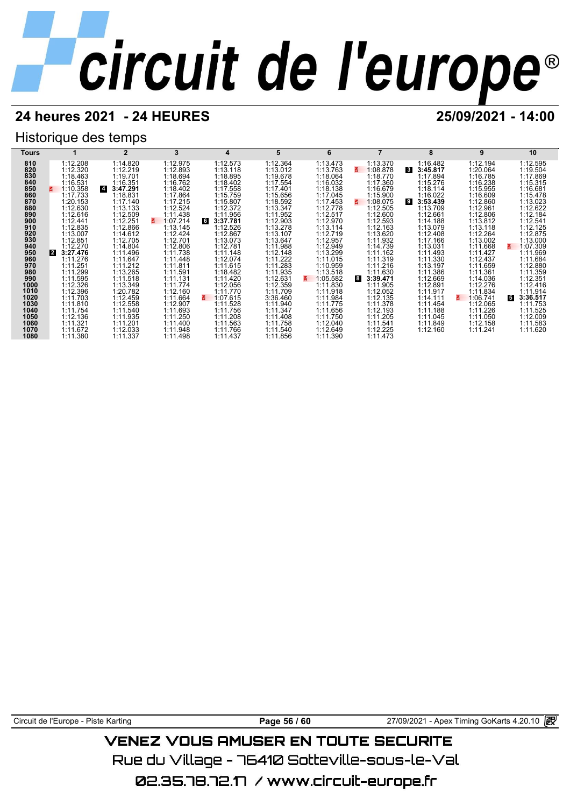## **24 heures 2021 - 24 HEURES 25/09/2021 - 14:00**

## Historique des temps



Circuit de l'Europe - Piste Karting **Page 56 / 60** Page 56 / 60 27/09/2021 - Apex Timing GoKarts 4.20.10 **in** 

## VENEZ VOUS AMUSER EN TOUTE SECURITE

Rue du Village – 76410 Sotteville-sous-le-Val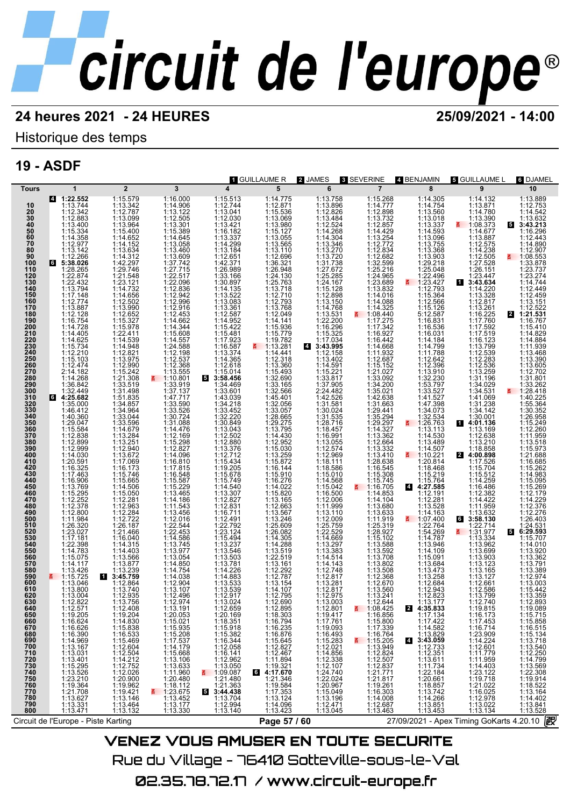## Historique des temps

## **19 - ASDF**

|                                 |                                                                                  |                                                                                                                                                                                                                                                                                  |                                                                                              |                                                                                                                                                                                | 1 GUILLAUME R                                                                                                                                                                                   | 2 JAMES                                                                                                                                                                                                                                                                                       | 3 SEVERINE                                                                                                                                                                | 4 BENJAMIN                                                                                                                                                                                                                                                                                               | ត Guillaume L                                                                                                                             | 6 DJAMEL                                                             |
|---------------------------------|----------------------------------------------------------------------------------|----------------------------------------------------------------------------------------------------------------------------------------------------------------------------------------------------------------------------------------------------------------------------------|----------------------------------------------------------------------------------------------|--------------------------------------------------------------------------------------------------------------------------------------------------------------------------------|-------------------------------------------------------------------------------------------------------------------------------------------------------------------------------------------------|-----------------------------------------------------------------------------------------------------------------------------------------------------------------------------------------------------------------------------------------------------------------------------------------------|---------------------------------------------------------------------------------------------------------------------------------------------------------------------------|----------------------------------------------------------------------------------------------------------------------------------------------------------------------------------------------------------------------------------------------------------------------------------------------------------|-------------------------------------------------------------------------------------------------------------------------------------------|----------------------------------------------------------------------|
| <b>Tours</b>                    | 1                                                                                | $\overline{2}$                                                                                                                                                                                                                                                                   | 3                                                                                            |                                                                                                                                                                                | 5                                                                                                                                                                                               | 6                                                                                                                                                                                                                                                                                             | $\overline{7}$                                                                                                                                                            | 8                                                                                                                                                                                                                                                                                                        | 9                                                                                                                                         | 10                                                                   |
|                                 | 4 1:22.552                                                                       | 1:15.579<br>1:13.342                                                                                                                                                                                                                                                             | 1:16.000                                                                                     | 1:15.513<br>1:12.744<br>1:13.041<br>1:12.030<br>1:13.421                                                                                                                       |                                                                                                                                                                                                 | 1:13.758<br>1:13.896<br>1:12.826<br>1:13.484<br>1:12.524                                                                                                                                                                                                                                      | 1:15.268<br>1:14.777<br>1:12.898<br>1:13.732<br>1:12.857                                                                                                                  | 1:14.754<br>1:13.560<br>1:13.560<br>1:13.560<br>1:14.593<br>1:14.593<br>1:13.368<br>1:13.342<br>1:12.566<br>1:12.566<br>1:15.364<br>1:15.364<br>1:15.364<br>1:15.566<br>1:15.566<br>1:15.56<br>1:15.56<br>1:15.56<br>1:15.56<br>1:15.56<br>1:15.56<br>1:15.56<br>1:15.56<br>1:15.56<br>1:15.56<br>1:15.5 | 1:14.132<br>1:13.871<br>1:14.780<br>1:13.390                                                                                              | 1:13.889                                                             |
| 10                              | 1:13.744                                                                         |                                                                                                                                                                                                                                                                                  | $\begin{array}{c} 1:14.906 \\ 1:13.122 \\ 1:12.505 \\ 1:13.301 \end{array}$                  |                                                                                                                                                                                | $1:14.775$ $1:15.876$ $1:15.836$ $1:15.127$ $1:15.127$ $1:15.127$ $1:13.565$ $1:13.11008321$ $1:12.693248122.763$ $1:22.76372122793$ $1:12.79381122.049$ $1:15.979$ $1:11.414141$ $1:11.414111$ |                                                                                                                                                                                                                                                                                               |                                                                                                                                                                           |                                                                                                                                                                                                                                                                                                          |                                                                                                                                           | 1:12.753<br>1:14.542                                                 |
| $\frac{20}{30}$                 | 1:12.342<br>1:12.883                                                             | 1:12.787<br>1:13.099                                                                                                                                                                                                                                                             |                                                                                              |                                                                                                                                                                                |                                                                                                                                                                                                 |                                                                                                                                                                                                                                                                                               |                                                                                                                                                                           |                                                                                                                                                                                                                                                                                                          |                                                                                                                                           | 1:13.632                                                             |
| $\frac{40}{50}$                 | 1:13.400                                                                         | 1:13.964                                                                                                                                                                                                                                                                         |                                                                                              |                                                                                                                                                                                |                                                                                                                                                                                                 |                                                                                                                                                                                                                                                                                               |                                                                                                                                                                           |                                                                                                                                                                                                                                                                                                          | $\frac{2}{1000}$ 1:08.373                                                                                                                 | $5\phantom{.0}$<br>3:43.213                                          |
| 60                              | 1:15.334                                                                         |                                                                                                                                                                                                                                                                                  |                                                                                              |                                                                                                                                                                                |                                                                                                                                                                                                 |                                                                                                                                                                                                                                                                                               |                                                                                                                                                                           |                                                                                                                                                                                                                                                                                                          | 1:14.677                                                                                                                                  | 1:16.296<br>1:12.443                                                 |
| $\overline{70}$                 | 1:14.358<br>1:12.977                                                             |                                                                                                                                                                                                                                                                                  |                                                                                              |                                                                                                                                                                                |                                                                                                                                                                                                 |                                                                                                                                                                                                                                                                                               | $1:14.429$<br>$1:13.254$<br>$1:12.772$                                                                                                                                    |                                                                                                                                                                                                                                                                                                          | 1:13.887                                                                                                                                  | 1:14.890                                                             |
| 80                              | 1:13.142<br>1:12.266                                                             |                                                                                                                                                                                                                                                                                  |                                                                                              | 1:16.182<br>1:16.182<br>1:13.337<br>1:14.299<br>1:13.184<br>1:12.651<br>1:42.371                                                                                               |                                                                                                                                                                                                 |                                                                                                                                                                                                                                                                                               | $\begin{array}{r} 1.12.834 \\ 1.12.682 \\ 1.32.599 \end{array}$                                                                                                           |                                                                                                                                                                                                                                                                                                          | $\begin{array}{c} 1.14.238 \\ 1.14.238 \\ 1.12.505 \\ 1.27.528 \end{array}$                                                               | 1:12.907                                                             |
| 90<br>100                       | 65:38.026                                                                        |                                                                                                                                                                                                                                                                                  |                                                                                              |                                                                                                                                                                                |                                                                                                                                                                                                 |                                                                                                                                                                                                                                                                                               |                                                                                                                                                                           |                                                                                                                                                                                                                                                                                                          |                                                                                                                                           | $\frac{2}{9}$ 1:08.553<br>1:33.878                                   |
| 110                             | 1:28.265                                                                         |                                                                                                                                                                                                                                                                                  |                                                                                              |                                                                                                                                                                                |                                                                                                                                                                                                 |                                                                                                                                                                                                                                                                                               |                                                                                                                                                                           |                                                                                                                                                                                                                                                                                                          |                                                                                                                                           | 1:23.737                                                             |
| 120<br>130                      | 1:22.874                                                                         | 1:15.4002<br>1:14.652<br>1:14.552<br>1:14.552<br>1:13.634<br>1:13.634<br>1:13.502<br>1:14.6562<br>1:14.5502<br>1:15.32<br>1:15.32<br>1:15.32<br>1:15.32<br>1:15.32<br>1:15.32<br>1:15.32<br>1:15.32<br>1:15.32<br>1:15.32<br>1:15.32<br>1:15.32<br>1:15.32<br>1:15.32<br>1:15.32 | 1:15.301<br>1:15.389<br>1:14.645<br>1:13.058<br>1:13.609<br>1:37.742<br>1:27.715<br>1:22.517 | 1:26.989<br>1:33.166<br>1:30.897<br>1:14.135<br>1:13.083<br>1:13.361                                                                                                           |                                                                                                                                                                                                 |                                                                                                                                                                                                                                                                                               | 1:25.216<br>1:24.965                                                                                                                                                      |                                                                                                                                                                                                                                                                                                          | $1:26.151$<br>$1:23.447$<br><b>3:43.634</b>                                                                                               | 1:23.274                                                             |
| 140                             | $\begin{array}{c} 1:22.432 \\ 1:13.794 \\ 1:17.148 \\ 1:12.774 \end{array}$      |                                                                                                                                                                                                                                                                                  | 1:22.917<br>1:12.836<br>1:12.942<br>1:12.916<br>1:12.916<br>1:14.662<br>1:14.860<br>1:14.667 |                                                                                                                                                                                |                                                                                                                                                                                                 |                                                                                                                                                                                                                                                                                               | 1:23.689<br>1:13.832                                                                                                                                                      |                                                                                                                                                                                                                                                                                                          | П                                                                                                                                         | 1:14.744<br>1:12.449                                                 |
| 150                             |                                                                                  |                                                                                                                                                                                                                                                                                  |                                                                                              |                                                                                                                                                                                |                                                                                                                                                                                                 |                                                                                                                                                                                                                                                                                               |                                                                                                                                                                           |                                                                                                                                                                                                                                                                                                          | $1:14.220$<br>$1:13.328$<br>$1:12.817$                                                                                                    | 1:12.459                                                             |
| 160                             |                                                                                  |                                                                                                                                                                                                                                                                                  |                                                                                              |                                                                                                                                                                                |                                                                                                                                                                                                 |                                                                                                                                                                                                                                                                                               | 1:14.016<br>1:14.088                                                                                                                                                      |                                                                                                                                                                                                                                                                                                          |                                                                                                                                           | 1:13.151                                                             |
| 170<br>180                      | 1:13.887<br>1:12.128                                                             |                                                                                                                                                                                                                                                                                  |                                                                                              |                                                                                                                                                                                |                                                                                                                                                                                                 |                                                                                                                                                                                                                                                                                               |                                                                                                                                                                           |                                                                                                                                                                                                                                                                                                          |                                                                                                                                           | 1:12.522<br>2 1:21.531                                               |
| 190                             |                                                                                  |                                                                                                                                                                                                                                                                                  |                                                                                              |                                                                                                                                                                                |                                                                                                                                                                                                 |                                                                                                                                                                                                                                                                                               | $1:14.325$<br>1:08.440<br>1:17.275<br>1:16.927                                                                                                                            |                                                                                                                                                                                                                                                                                                          |                                                                                                                                           | 1:16.767                                                             |
| 200                             | 1:16.754<br>1:14.728<br>1:14.405                                                 |                                                                                                                                                                                                                                                                                  |                                                                                              |                                                                                                                                                                                |                                                                                                                                                                                                 |                                                                                                                                                                                                                                                                                               |                                                                                                                                                                           |                                                                                                                                                                                                                                                                                                          |                                                                                                                                           | 1:15.410                                                             |
| 210                             |                                                                                  |                                                                                                                                                                                                                                                                                  |                                                                                              | $1:12.587$ $1:14.952$ $1:15.422$ $1:15.481$ $1:17.923$ $1:16.587$ $1:14.365$ $1:14.365$                                                                                        |                                                                                                                                                                                                 |                                                                                                                                                                                                                                                                                               |                                                                                                                                                                           |                                                                                                                                                                                                                                                                                                          | 1:12.817<br>1:16.225<br>1:17.7692<br>1:17.7692<br>1:17.519<br>1:12.539<br>1:12.283<br>1:12.283<br>1:12.283<br>1:13.410<br>1:34.13         | 1:14.829<br>1:14.884                                                 |
| 220<br>230                      | $\begin{array}{r} 1:14.625 \\ 1:15.734 \\ 1:12.210 \\ 1:15.103 \\ \end{array}$   |                                                                                                                                                                                                                                                                                  |                                                                                              |                                                                                                                                                                                | 1:19.782                                                                                                                                                                                        |                                                                                                                                                                                                                                                                                               |                                                                                                                                                                           |                                                                                                                                                                                                                                                                                                          |                                                                                                                                           | 1:11.939                                                             |
| 240<br>250                      |                                                                                  |                                                                                                                                                                                                                                                                                  |                                                                                              |                                                                                                                                                                                | 1:14.441<br>1:12.318                                                                                                                                                                            |                                                                                                                                                                                                                                                                                               |                                                                                                                                                                           |                                                                                                                                                                                                                                                                                                          |                                                                                                                                           | 1:13.468                                                             |
| 260                             | 1:12.474                                                                         |                                                                                                                                                                                                                                                                                  |                                                                                              | 1:12.618                                                                                                                                                                       |                                                                                                                                                                                                 |                                                                                                                                                                                                                                                                                               |                                                                                                                                                                           |                                                                                                                                                                                                                                                                                                          |                                                                                                                                           | 1:13.390<br>1:13.605                                                 |
| 270                             | 2:14.182                                                                         | 1:14.539<br>1:14.948<br>1:12.821<br>1:13.975<br>1:15.242<br>1:15.242                                                                                                                                                                                                             | 1:14.557<br>1:24.588<br>1:12.198<br>1:12.368<br>1:13.555                                     | $1:15.014$<br>3:58.456                                                                                                                                                         |                                                                                                                                                                                                 |                                                                                                                                                                                                                                                                                               |                                                                                                                                                                           |                                                                                                                                                                                                                                                                                                          |                                                                                                                                           | 1:12.702                                                             |
| 280                             | 1:14.268                                                                         | 1:21.308                                                                                                                                                                                                                                                                         |                                                                                              |                                                                                                                                                                                |                                                                                                                                                                                                 |                                                                                                                                                                                                                                                                                               |                                                                                                                                                                           |                                                                                                                                                                                                                                                                                                          |                                                                                                                                           | 1:31.801                                                             |
| 290<br>300                      | 1:36.842<br>1:32.449                                                             | 1:33.519<br>1:31.498                                                                                                                                                                                                                                                             |                                                                                              | 1:34.469<br>1:33.601                                                                                                                                                           | $1:13.360$<br>$1:15.493$<br>$1:32.690$<br>$1:33.165$<br>$1:32.566$                                                                                                                              |                                                                                                                                                                                                                                                                                               | 1:16.947<br>1:16.468<br>1:11.932<br>1:12.687<br>1:15.152<br>1:133.092<br>1:34.200<br>1:34.200<br>1:34.200<br>1:36.021                                                     |                                                                                                                                                                                                                                                                                                          | 1:34.029<br>1:34.531                                                                                                                      | 1:33.262<br>₹ 1:28.418                                               |
| 310                             | $64:25.682$<br>1:35.000                                                          | $1:31.485$<br>$1:34.857$<br>$1:34.964$<br>$1:33.044$<br>$1:33.596$<br>$1:14.679$                                                                                                                                                                                                 |                                                                                              | $1:33.001$<br>$1:34.218$<br>$1:33.452$<br>$1:32.220$<br>$1:30.849$<br>$1:13.043$                                                                                               | 1:45.401<br>1:32.056<br>1:33.057<br>1:28.665<br>1:29.275<br>1:13.795                                                                                                                            | $114.3046$<br>$113.346$<br>$113.3772$<br>$113.7728$<br>$113.7738$<br>$113.7728$<br>$113.7728$<br>$113.776$<br>$12.698$<br>$113.768$<br>$113.899$<br>$113.492$<br>$113.492$<br>$113.492$<br>$113.492$<br>$113.492$<br>$113.492$<br>$113.492$<br>$113.492$<br>$113.492$<br>$113.492$<br>$113.4$ | 1:42.638<br>1:31.663                                                                                                                                                      | $\begin{array}{rl} 1:16.031\\ 1:14.789\\ 1:11.7882\\ 1:11.7882\\ 1:12.396\\ 1:12.3910\\ 1:13.2797\\ 1:141.527\\ 1:147.398\\ 1:132.534\\ 1:26.763\\ 1:12.578\\ 1:141.530\\ \end{array}$                                                                                                                   | $1:41.069$<br>$1:31.238$<br>$1:34.142$<br>$1:30.001$<br>$4:01.136$                                                                        | 1:40.225                                                             |
|                                 |                                                                                  |                                                                                                                                                                                                                                                                                  |                                                                                              |                                                                                                                                                                                |                                                                                                                                                                                                 |                                                                                                                                                                                                                                                                                               |                                                                                                                                                                           |                                                                                                                                                                                                                                                                                                          |                                                                                                                                           | 1:55.364                                                             |
| 320<br>330<br>330<br>340<br>350 | 1:46.412<br>1:40.360                                                             |                                                                                                                                                                                                                                                                                  |                                                                                              |                                                                                                                                                                                |                                                                                                                                                                                                 |                                                                                                                                                                                                                                                                                               | 1:29.441<br>1:35.294<br>1:29.297<br>1:14.327                                                                                                                              |                                                                                                                                                                                                                                                                                                          |                                                                                                                                           | 1:30.352<br>1:26.958                                                 |
|                                 | 1:29.047                                                                         |                                                                                                                                                                                                                                                                                  |                                                                                              |                                                                                                                                                                                |                                                                                                                                                                                                 |                                                                                                                                                                                                                                                                                               |                                                                                                                                                                           |                                                                                                                                                                                                                                                                                                          |                                                                                                                                           | 1:15.249                                                             |
| 360                             | 1:15.584                                                                         |                                                                                                                                                                                                                                                                                  |                                                                                              |                                                                                                                                                                                |                                                                                                                                                                                                 |                                                                                                                                                                                                                                                                                               |                                                                                                                                                                           |                                                                                                                                                                                                                                                                                                          | 1:13.169                                                                                                                                  | 1:12.260                                                             |
| 370                             | 1:12.838<br>1:12.899                                                             |                                                                                                                                                                                                                                                                                  |                                                                                              | 1:12.502                                                                                                                                                                       |                                                                                                                                                                                                 |                                                                                                                                                                                                                                                                                               | 1:13.362<br>1:12.664                                                                                                                                                      |                                                                                                                                                                                                                                                                                                          | 1:12.638                                                                                                                                  | 1:11.959<br>1:13.518                                                 |
| 380<br>390                      | 1:12.099<br>1:14.030<br>1:20.591<br>1:16.325<br>1:17.463<br>1:16.906<br>1:15.769 | 1:14.079<br>1:13.284<br>1:12.940<br>1:13.672<br>1:15.746<br>1:15.746<br>1:15.746<br>1:15.060<br>1:14.506                                                                                                                                                                         |                                                                                              | $\begin{array}{l} 1:12.880 \\ 1:13.376 \\ 1:12.744 \\ 1:15.434 \\ 1:15.434 \\ 1:15.678 \\ 1:15.749 \\ 1:14.540 \\ 1:13.307 \\ 1:12.831 \\ 1:12.792 \\ 1:23.124 \\ \end{array}$ | 1:13.795<br>1:12.952<br>1:12.952<br>1:15.872<br>1:15.872<br>1:15.910<br>1:16.276<br>1:14.0276                                                                                                   |                                                                                                                                                                                                                                                                                               |                                                                                                                                                                           | $1:14.530\n1:13.489\n1:14.507\n1:10.221\n1:20.814$                                                                                                                                                                                                                                                       | $1:13.210$<br>1:18.858<br>4:00.898                                                                                                        | 1:15.973                                                             |
| 400                             |                                                                                  |                                                                                                                                                                                                                                                                                  |                                                                                              |                                                                                                                                                                                |                                                                                                                                                                                                 |                                                                                                                                                                                                                                                                                               | $1:13.332$<br>$1:13.410$<br>$1:28.638$                                                                                                                                    |                                                                                                                                                                                                                                                                                                          |                                                                                                                                           | 1:21.688                                                             |
| 410                             |                                                                                  |                                                                                                                                                                                                                                                                                  |                                                                                              |                                                                                                                                                                                |                                                                                                                                                                                                 |                                                                                                                                                                                                                                                                                               |                                                                                                                                                                           |                                                                                                                                                                                                                                                                                                          | 1:17.526<br>1:15.704<br>1:15.512                                                                                                          | 1:16.685<br>1:15.262                                                 |
| 420<br>430                      |                                                                                  |                                                                                                                                                                                                                                                                                  |                                                                                              |                                                                                                                                                                                |                                                                                                                                                                                                 |                                                                                                                                                                                                                                                                                               | 1:16.545                                                                                                                                                                  | 1:18.468<br>1:15.219                                                                                                                                                                                                                                                                                     |                                                                                                                                           | 1:14.983                                                             |
| 440<br>450                      |                                                                                  |                                                                                                                                                                                                                                                                                  |                                                                                              |                                                                                                                                                                                |                                                                                                                                                                                                 |                                                                                                                                                                                                                                                                                               | 1:15.745                                                                                                                                                                  | 4:27.585                                                                                                                                                                                                                                                                                                 | $1:14.259$ $1:16.486$ $1:12.382$ $1:14.422$ $1:11.959$                                                                                    | 1:15.095<br>1:15.269                                                 |
| 460                             |                                                                                  |                                                                                                                                                                                                                                                                                  |                                                                                              |                                                                                                                                                                                |                                                                                                                                                                                                 |                                                                                                                                                                                                                                                                                               | 1:14.853                                                                                                                                                                  |                                                                                                                                                                                                                                                                                                          |                                                                                                                                           | 1:12.179                                                             |
| 470                             | 1:15.295<br>1:12.252                                                             | 1:15.050<br>1:12.281                                                                                                                                                                                                                                                             |                                                                                              |                                                                                                                                                                                |                                                                                                                                                                                                 |                                                                                                                                                                                                                                                                                               | 1:14.104                                                                                                                                                                  |                                                                                                                                                                                                                                                                                                          |                                                                                                                                           | 1:14.229                                                             |
| 480                             | 1:12.378                                                                         |                                                                                                                                                                                                                                                                                  |                                                                                              |                                                                                                                                                                                |                                                                                                                                                                                                 |                                                                                                                                                                                                                                                                                               | 1:13.680                                                                                                                                                                  |                                                                                                                                                                                                                                                                                                          |                                                                                                                                           | 1:12.376<br>1:12.276                                                 |
| 490<br>500                      | $1:12.800$<br>$1:11.984$<br>$1:26.320$                                           |                                                                                                                                                                                                                                                                                  |                                                                                              |                                                                                                                                                                                |                                                                                                                                                                                                 |                                                                                                                                                                                                                                                                                               |                                                                                                                                                                           | $1:12.191$<br>$1:12.281$<br>$1:13.528$<br>$1:14.163$<br>$\overline{5}$<br>$1:07.404$                                                                                                                                                                                                                     | 1:13.632<br>3:58.130<br>6                                                                                                                 | 1:26.403                                                             |
| 510                             |                                                                                  | 1:12.261<br>1:12.284<br>1:12.722<br>1:26.187<br>1:21.466<br>1:14.315                                                                                                                                                                                                             |                                                                                              |                                                                                                                                                                                | $1:15.820$ $1:13.165$ $1:12.663$ $1:13.567$ $1:13.246$ $1:25.609$ $1:24.2082$                                                                                                                   |                                                                                                                                                                                                                                                                                               | $\begin{array}{l} 1.13.833 \\ 1.11.833 \\ 1.11.919 \\ 1.25.319 \\ 1.28.927 \end{array}$                                                                                   |                                                                                                                                                                                                                                                                                                          | 1:22.714                                                                                                                                  | $1:24.531$<br>6:29.593                                               |
|                                 | 1:23.027                                                                         |                                                                                                                                                                                                                                                                                  |                                                                                              |                                                                                                                                                                                |                                                                                                                                                                                                 |                                                                                                                                                                                                                                                                                               |                                                                                                                                                                           |                                                                                                                                                                                                                                                                                                          | E.<br>1:31.977                                                                                                                            | 5<br>1:15.707                                                        |
| 520<br>530<br>540               | $\begin{array}{c} 1.25.32 \\ 1.17.181 \\ 1.22.398 \\ 1.14.783 \end{array}$       |                                                                                                                                                                                                                                                                                  |                                                                                              |                                                                                                                                                                                | $1:14.305$<br>$1:14.288$<br>$1:13.519$<br>$1:22.519$                                                                                                                                            |                                                                                                                                                                                                                                                                                               |                                                                                                                                                                           |                                                                                                                                                                                                                                                                                                          |                                                                                                                                           | 1:14.010                                                             |
| 550                             |                                                                                  |                                                                                                                                                                                                                                                                                  |                                                                                              |                                                                                                                                                                                |                                                                                                                                                                                                 |                                                                                                                                                                                                                                                                                               |                                                                                                                                                                           |                                                                                                                                                                                                                                                                                                          |                                                                                                                                           | 1:13.920                                                             |
| 560<br>570                      | 1:15.075<br>1:14.117                                                             | 1:14.403<br>1:13.566<br>1:13.877                                                                                                                                                                                                                                                 |                                                                                              | 1:15.494<br>1:13.237<br>1:13.546<br>1:13.781<br>1:13.781                                                                                                                       |                                                                                                                                                                                                 |                                                                                                                                                                                                                                                                                               |                                                                                                                                                                           |                                                                                                                                                                                                                                                                                                          |                                                                                                                                           | 1:13.362<br>1:13.791                                                 |
| 580<br>590                      | 1:13.426                                                                         | $1:13.877$ $1:13.239$ $1:12.864$ $1:13.740$ $1:13.756$ $1:13.756$                                                                                                                                                                                                                |                                                                                              | $1:14.226$<br>$1:14.883$<br>$1:13.533$<br>$1:13.539$<br>$1:12.917$                                                                                                             | $1:13.161$<br>$1:12.292$<br>$1:12.787$<br>$1:13.154$<br>$1:14.107$<br>$1:12.795$                                                                                                                | $\begin{array}{l} 1:14.568\\ 1:15.042\\ 1:16.500\\ 1:11.999\\ 1:11.991\\ 1:12.009\\ 1:12.5.759\\ 1:22.529\\ 1:3.297\\ 1:3.383\\ 1:14.443\\ 1:12.748\\ 1:12.817\\ 1:13.281\\ 1:12.817\\ 1:13.003 \end{array}$                                                                                  | $1:28.927$<br>$1:13.588$<br>$1:13.582$<br>$1:13.708$<br>$1:13.802$<br>$1:13.508$<br>$1:12.670$<br>$1:13.568$<br>$1:12.670$<br>$1:13.504$                                  | 1:07.400<br>1:54.2764<br>1:4.787<br>1:14.787<br>1:14.109<br>1:15.084<br>1:15.084<br>1:13.258<br>1:12.884<br>1:12.884<br>1:12.884<br>1:12.84<br>1:12.84                                                                                                                                                   | $1:31.977$<br>$1:13.334$<br>$1:13.962$<br>$1:13.699$<br>$1:13.123$<br>$1:13.165$<br>$1:13.127$<br>$1:12.661$<br>$1:12.586$<br>$1:12.7940$ | 1:13.389                                                             |
| 600                             | $\frac{1115.725}{1:13.046}$<br>1:13.800                                          |                                                                                                                                                                                                                                                                                  |                                                                                              |                                                                                                                                                                                |                                                                                                                                                                                                 |                                                                                                                                                                                                                                                                                               |                                                                                                                                                                           |                                                                                                                                                                                                                                                                                                          |                                                                                                                                           | 1:12.974<br>1:13.003                                                 |
| 610                             |                                                                                  |                                                                                                                                                                                                                                                                                  |                                                                                              |                                                                                                                                                                                |                                                                                                                                                                                                 |                                                                                                                                                                                                                                                                                               |                                                                                                                                                                           |                                                                                                                                                                                                                                                                                                          |                                                                                                                                           | 1:15.442                                                             |
| 620                             | 1:13.004                                                                         |                                                                                                                                                                                                                                                                                  | 1:12.496                                                                                     |                                                                                                                                                                                |                                                                                                                                                                                                 |                                                                                                                                                                                                                                                                                               | 1:13.241                                                                                                                                                                  |                                                                                                                                                                                                                                                                                                          |                                                                                                                                           | 1:13.359                                                             |
| 630                             | 1:12.822                                                                         |                                                                                                                                                                                                                                                                                  | 1:12.974                                                                                     | 1:13.024                                                                                                                                                                       | 1:12.690                                                                                                                                                                                        |                                                                                                                                                                                                                                                                                               | 1:12.644<br>4:08.425                                                                                                                                                      | 1:13.177<br>2 4:35.833                                                                                                                                                                                                                                                                                   | 1:12.740                                                                                                                                  | 1:12.893                                                             |
| 640<br>650                      | 1:12.571<br>1:19.205                                                             | 1:12.408<br>1:19.204                                                                                                                                                                                                                                                             | 1:13.191<br>1:20.053                                                                         | 1:12.659<br>1:20.169                                                                                                                                                           | 1:12.895<br>1:18.303                                                                                                                                                                            | 1:12.801<br>1:19.417                                                                                                                                                                                                                                                                          | 1:16.856                                                                                                                                                                  | 1:17.134                                                                                                                                                                                                                                                                                                 | 1:19.815<br>1:16.173                                                                                                                      | 1:19.089<br>1:15.715                                                 |
| 660                             | 1:16.624<br>1:16.626<br>1:16.390                                                 | $\begin{array}{r} 1:14.830 \\ 1:15.838 \\ 1:16.533 \\ 1:15.469 \\ 1:12.604 \\ \end{array}$                                                                                                                                                                                       | $1:15.021$<br>$1:15.935$<br>$1:15.208$<br>$1:17.537$<br>$1:14.179$                           | 1:18.351<br>1:15.918                                                                                                                                                           | 1:16.794<br>1:16.235                                                                                                                                                                            | $\begin{array}{r} 1:17.761 \\ 1:19.093 \\ 1:16.493 \\ 1:15.283 \\ 1:12.021 \\ \end{array}$                                                                                                                                                                                                    | 1:15.866<br>1:17.339<br>1:17.339<br>1:16.764<br>1:12.824<br>1:12.857<br>1:12.857<br>1:12.857<br>1:12.87<br>1:12.87<br>1:12.87<br>1:12.87<br>1:12.87<br>1:12.81<br>1:12.81 | 1:17.422<br>1:14.582                                                                                                                                                                                                                                                                                     | 1:17.453<br>1:16.714                                                                                                                      | 1:15.858<br>1:16.515<br>1:15.134<br>1:13.718<br>1:12.250<br>1:14.799 |
| 670<br>680                      |                                                                                  |                                                                                                                                                                                                                                                                                  |                                                                                              |                                                                                                                                                                                |                                                                                                                                                                                                 |                                                                                                                                                                                                                                                                                               |                                                                                                                                                                           |                                                                                                                                                                                                                                                                                                          |                                                                                                                                           |                                                                      |
|                                 |                                                                                  |                                                                                                                                                                                                                                                                                  |                                                                                              | 1:15.382<br>1:16.344<br>1:12.058                                                                                                                                               | 1:16.876<br>1:15.645<br>1:12.827<br>1:12.467<br>1:11.894                                                                                                                                        |                                                                                                                                                                                                                                                                                               |                                                                                                                                                                           | $1:13.829$ $1:12.733$ $1:12.351$ $1:13.611$ $1:14.501$                                                                                                                                                                                                                                                   | 1:23.909<br>1:14.224<br>1:12.601                                                                                                          |                                                                      |
| 690<br>700                      | 1:14.969<br>1:13.167                                                             |                                                                                                                                                                                                                                                                                  |                                                                                              |                                                                                                                                                                                |                                                                                                                                                                                                 |                                                                                                                                                                                                                                                                                               |                                                                                                                                                                           |                                                                                                                                                                                                                                                                                                          |                                                                                                                                           |                                                                      |
| 710                             | $1:13.031$<br>$1:13.401$<br>$1:15.295$                                           | $1:12.504$<br>$1:14.212$<br>$1:12.752$                                                                                                                                                                                                                                           | 1:15.668<br>1:13.106                                                                         | 1:16.141<br>1:12.962                                                                                                                                                           |                                                                                                                                                                                                 |                                                                                                                                                                                                                                                                                               |                                                                                                                                                                           |                                                                                                                                                                                                                                                                                                          | 1:11.779<br>1:11.959<br>1:14.403<br>1:23.122<br>1:19.718                                                                                  |                                                                      |
| 720<br>730<br>740               |                                                                                  |                                                                                                                                                                                                                                                                                  |                                                                                              | 1:13.050                                                                                                                                                                       |                                                                                                                                                                                                 |                                                                                                                                                                                                                                                                                               |                                                                                                                                                                           |                                                                                                                                                                                                                                                                                                          |                                                                                                                                           |                                                                      |
|                                 | 1:13.526<br>1:23.210                                                             | 1:12.026<br>1:20.900                                                                                                                                                                                                                                                             |                                                                                              |                                                                                                                                                                                | $1:19.321$<br><b>6</b> 4:17.670                                                                                                                                                                 |                                                                                                                                                                                                                                                                                               |                                                                                                                                                                           | $1:11.734$<br>$1:22.184$<br>$1:20.661$                                                                                                                                                                                                                                                                   |                                                                                                                                           | 1:13.569<br>1:22.308<br>1:19.914<br>1:18.522                         |
| 750<br>760                      | 1:19.364                                                                         |                                                                                                                                                                                                                                                                                  |                                                                                              | $\frac{1109.087}{1:21.480}$<br>1:21.363                                                                                                                                        | 1:21.346<br>1:19.584                                                                                                                                                                            |                                                                                                                                                                                                                                                                                               |                                                                                                                                                                           |                                                                                                                                                                                                                                                                                                          |                                                                                                                                           |                                                                      |
| 770                             |                                                                                  | $1:19.962$<br>$1:19.421$<br>$1:13.146$                                                                                                                                                                                                                                           |                                                                                              | 53:44.438                                                                                                                                                                      | 1:17.353                                                                                                                                                                                        |                                                                                                                                                                                                                                                                                               |                                                                                                                                                                           | $1:18.857$<br>$1:13.742$                                                                                                                                                                                                                                                                                 | 1:21.022                                                                                                                                  |                                                                      |
| 780                             | 1:21.708<br>1:13.627                                                             |                                                                                                                                                                                                                                                                                  |                                                                                              | 1:13.704                                                                                                                                                                       | 1:13.124                                                                                                                                                                                        |                                                                                                                                                                                                                                                                                               |                                                                                                                                                                           | 1:14.266                                                                                                                                                                                                                                                                                                 |                                                                                                                                           |                                                                      |
| 790                             | 1:13.331<br>1:13.471                                                             | 1:13.464<br>1:13.132                                                                                                                                                                                                                                                             | 1:13.633<br>1:11.960<br>1:20.480<br>1:18.112<br><b>E</b><br>1:13.452<br>1:13.177<br>1:13.330 | 1:12.994<br>1:13.140                                                                                                                                                           | 1:14.096<br>1:13.423                                                                                                                                                                            | 1:12.021<br>1:14.856<br>1:12.338<br>1:2.107<br>1:2.024<br>1:2.024<br>1:15.049<br>1:13.196<br>1:12.471<br>1:13.045                                                                                                                                                                             | 1:12.687<br>1:13.463                                                                                                                                                      | 1:13.851<br>1:13.453                                                                                                                                                                                                                                                                                     | 1:16.025<br>1:12.978<br>1:13.022<br>1:13.134                                                                                              | 1:13.164<br>1:14.402<br>1:13.841<br>1:13.528                         |
| 800                             |                                                                                  |                                                                                                                                                                                                                                                                                  |                                                                                              |                                                                                                                                                                                |                                                                                                                                                                                                 |                                                                                                                                                                                                                                                                                               |                                                                                                                                                                           |                                                                                                                                                                                                                                                                                                          |                                                                                                                                           |                                                                      |
|                                 | Circuit de l'Europe - Piste Karting                                              |                                                                                                                                                                                                                                                                                  |                                                                                              |                                                                                                                                                                                | Page 57 / 60                                                                                                                                                                                    |                                                                                                                                                                                                                                                                                               |                                                                                                                                                                           |                                                                                                                                                                                                                                                                                                          | 27/09/2021 - Apex Timing GoKarts 4.20.10                                                                                                  | 飮                                                                    |
|                                 |                                                                                  |                                                                                                                                                                                                                                                                                  |                                                                                              |                                                                                                                                                                                |                                                                                                                                                                                                 |                                                                                                                                                                                                                                                                                               |                                                                                                                                                                           |                                                                                                                                                                                                                                                                                                          |                                                                                                                                           |                                                                      |

VENEZ VOUS AMUSER EN TOUTE SECURITE Rue du Village – 76410 Sotteville–sous–le–Val 02.35.78.72.17 / www.circuit-europe.fr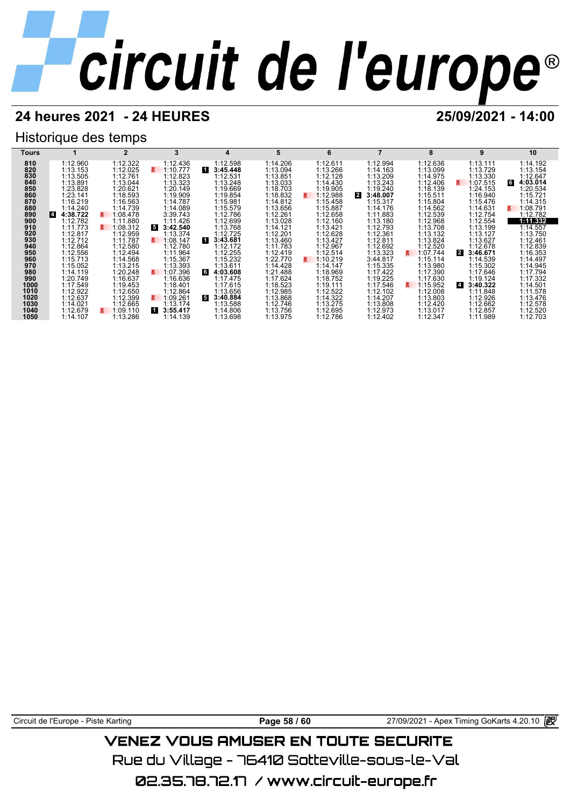## **24 heures 2021 - 24 HEURES 25/09/2021 - 14:00**

## Historique des temps



Circuit de l'Europe - Piste Karting<br> **Page 58 / 60** 27/09/2021 - Apex Timing GoKarts 4.20.10

## VENEZ VOUS AMUSER EN TOUTE SECURITE

Rue du Village – 76410 Sotteville-sous-le-Val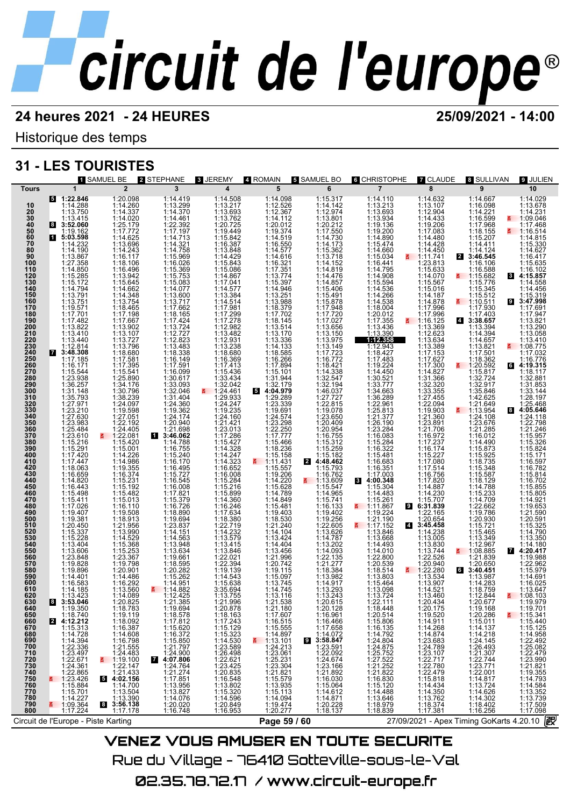Historique des temps

## **31 - LES TOURISTES**

| $5 - 1:22.846$<br>1:14.508<br>1:15.317<br>1:14.142<br>1:12.974<br>1:13.801<br>1:20.212<br>1:14.730<br>1:14.173<br>1:14.152<br>1:14.152<br>$\begin{smallmatrix}1:14.110\\1:13.693\\1:13.934\\1:13.934\\1:14.980\\1:15.497\\1:15.497\\1:15.497\\1:16.441\\1:16.441\\1:16.441\\1:16.441\\1:16.536\\1:14.536\\1:14.436\\1:16.441\\1:16.441\\1:16.441\\1:16.442\\1:17.483\\1:18.442\\1:17.483\\1:19.41\\1:19.422$<br>1:14.029<br>1:20.098<br>1:14.419<br>1:13.299<br>1:14.370<br>1:14.461<br>1:22.392<br>1:17.197<br>1:14.758<br>1:16.969<br>1:15.909<br>1:14.098<br>1:14.632<br>1:14.667<br>1:20.098<br>1:14.2607<br>1:14.020<br>1:25.179<br>1:17.772<br>1:14.025<br>1:14.243<br>1:16.119.11<br>$\begin{array}{c} 1:12.526 \\ 1:12.367 \\ 1:14.112 \\ 1:20.012 \end{array}$<br>1:13.107<br>1:12.904<br>1:14.433<br>1:19.206<br>1:17.083<br>1:14.428<br>1:16.098<br>1:14.221<br>1:16.599<br>1:17.968<br>1:18.155<br>1:15.207<br>1:14.288<br>1:13.750<br>1:13.678<br>10<br>20<br>30<br>40<br>50<br>50<br>70<br>80<br>90<br>$1:14.231$<br>1:09.046<br>1:13.415<br>3:52.060<br>1:17.468<br>8<br>1:19.374<br>1:14.519<br>1:19.162<br>₹ 1:16.514<br>1 5:03.598<br>1:14.815<br>$1:14.411$<br>1:14.124<br>3:46.545<br>1:16.550<br>1:14.577<br>1:14.616<br>1:14.232<br>1:15.330<br>1:14.450<br>1:14.190<br>1:14.627<br>$1:13.867$<br>$1:27.358$<br>$1:14.850$<br>$1:15.285$<br>$1:15.172$<br>$1:14.791$<br>$1:13.751$<br>1:16.417<br>1:18.4962452<br>1:13.942564524456452444.1114.649625277688727766727766727766727776587277765872777653547775887277653554175.5441077766324545175888077588855111558440796638551115584410796684111554410796<br>$1:16.026$ $1:16.369$ $1:15.753$ $1:14.077$ $1:13.600$ $1:13.717$ $1:17.662$<br>1:14.152<br>1:23.813<br>1:15.635<br>1:16.102<br>1:16.106<br>$[\begin{smallmatrix}114.819\\114.476\end{smallmatrix} \  \, 114.487\\ \begin{smallmatrix}114.4676\end{smallmatrix} \  \, 114.876\\ \begin{smallmatrix}115.4948\end{smallmatrix} \  \, 115.497\\ \begin{smallmatrix}117.722\end{smallmatrix} \  \, 117.7721\\ \begin{smallmatrix}111.3.3149\end{smallmatrix} \  \, 111.3149\\ \begin{smallmatrix}111.3149\end{smallmatrix} \  \, 111.31421\\ \begin{smallmatrix}111.$<br>$1:16.588$<br>1:15.682<br>1:15.776<br>1:15.345<br>1:16.512<br>$\begin{array}{c} 1.19.800 \\ 1.14.070 \\ 1.15.567 \\ 1.15.016 \end{array}$<br>8 4:15.857<br>1:14.558<br>1:14.456<br>1:14.187<br>1:15.319<br>$1:13.751$<br>$1:19.571$<br>$1:17.701$<br>$1:17.482$<br>$1:13.440$<br>$1:13.444$<br>$1:13.444$<br>1:14.878<br>9 3:47.998<br>$\frac{2}{1}$ 1:10.511<br>1:17.930<br>$1:13.717$<br>$1:17.662$<br>$1:18.165$<br>$1:17.424$<br>$1:13.724$<br>$1:12.727$<br>$1:12.823$<br>1:17.996<br>1:17.691<br>1:17.996<br>1:17.403<br>1:17.947<br>$\frac{1116.125}{113.369}$<br>$21 3:38.657\n1:13.394\n1:14.394\n1:14.657$<br>1:13.821<br>1:12.623<br>1:13.058<br>1:13.634<br>1:13.410<br>$\overline{4}$ $\overline{)112.814}$<br>$\overline{3148.308}$<br>1:12.823<br>1:18.388<br>1:16.389<br>1:16.149<br>1:16.099<br>1:30.617<br>1:32.046<br>1:32.046<br>1:34.404<br>1:13.389<br>1:17.153<br>$\begin{array}{c} 1:13.821 \\ 1:17.501 \\ 1:18.362 \end{array}$<br>$\frac{2}{5}$ 1:08.775<br>1:17.032<br>1:17.185<br>1:17.627<br>1:16.776<br>1:17.300<br>$\frac{2}{5}$ 1:20.592<br>1:16.171<br>64:19.315<br>$1:15.101$ $1:31.944$ $1:32.179$ $1:29.289$<br>$1:15.544$<br>$1:23.938$<br>$1:36.257$<br>$1:31.148$<br>1:14.827<br>1:31.366<br>1:32.320<br>1:33.355<br>1:27.455<br>1:15.817<br>1:18.117<br>1:32.881<br>$1:3387$<br>$1:32.549$<br>$1:46.037$<br>$1:27.727$<br>$1:19.078$<br>$1:23.650$<br>$1:20.409$<br>$1:16.755$<br>$1:15.312$<br>$1:15.259$<br>$1:15.259$<br>$1:15.259$<br>$1:15.259$<br>$1:15.259$<br>$[ \begin{smallmatrix} 114.450 \\ 113.0521 \\ 133.777 \\ 1134.663 \\ 1132.877 \\ 121.34.663 \\ 1122.861 \\ 1121.377 \\ 1121.377 \\ 1121.377 \\ 1121.328 \\ 1112.328 \\ 1112.328 \\ 1112.328 \\ 1112.328 \\ 1112.328 \\ 1112.338 \\ 1112.338 \\ 1112.339 \\ 1113.304 \end{smallmatrix} ]$<br>1:32.724<br>$\begin{array}{c} 1.32.917 \\ 1.35.846 \\ 1.42.625 \end{array}$<br>1:31.853<br>1:33.144<br>1:35.793<br>1:28.197<br>1:27.971<br>1:23.210<br>$1:24.360$<br>$1:19.362$<br>$1:24.174$<br>$1:20.940$<br>1:23.339<br>1:19.691<br>1:22.094<br>1:19.903<br>$1:21.649$<br>1:13.954<br>1:25.468<br>84:05.646<br>1:27.630<br>1:23.983<br>1:27.051<br>1:22.192<br>1:24.574<br>1:23.298<br>1:24.108<br>1:23.676<br>$1:19.903$<br>$1:23.891$<br>$1:21.706$<br>$1:17.237$<br>$1:16.772$<br>$1:17.237$<br>$1:16.742$<br>$1:17.614$<br>$1:17.634$<br>$1:14.230$<br>$1:14.230$<br>$1:14.230$<br>$1:14.230$<br>$1:14.230$<br>$1:14.230$<br>$1:14.230$<br>$1:14.230$<br>$1:14.230$<br>$1:14.230$<br>1:24.118<br>1:22.798<br>1:20.949<br>3:46.062<br>1:14.788<br>1:15.240<br>1:15.240<br>1:15.240<br>1:15.277<br>1:15.727<br>1:15.545<br>1:17.829<br>1:17.829<br>1:22.250<br>1:17.777<br>1:15.466<br>1:18.236<br>1:15.158<br>$1:25.484$<br>$1:23.610$<br>$1:15.216$<br>$1:15.291$<br>$1:17.447$<br>$1:18.063$<br>1:24.405<br>1:15.42081<br>1:15.4201<br>1:15.4201<br>1:15.4201<br>1:14.286<br>1:19.5231<br>1:15.401<br>1:15.401<br>1:15.401<br>1:15.401<br>1:15.401<br>1:15.401<br>1:15.401<br>1:15.401<br>1:15.401<br>1:15.401<br>1:15.401<br>1:15.401<br>1:15.203<br>1:15.401<br>1:15.203<br>1:15.401<br>1:15.203<br><br>1:21.285<br>$1:21.246$<br>$1:15.957$<br>$1:15.326$<br>$1:15.824$<br>1:16.012<br>$1:14.490$<br>$1:15.873$<br>$1:15.925$<br>1:15.171<br>$4:48.462$<br>1:15.793<br>1:18.735<br>$\frac{2}{9}$ 1:11.431<br>1:16.597<br>1:16.782<br>1:15.557<br>1:15.348<br>1:16.659<br>1:14.820<br>$1:19.206$ $1:15.628$ $1:15.628$ $1:15.484$ $1:15.481$ $1:15.481$ $1:21.240$ $1:14.404$ $1:13.456$ $1:21.290742$ $1:19.520742$ $1:19.620742$<br>1:15.587<br>1:18.129<br>1:14.788<br>1:15.814<br>$\begin{array}{rl} 111.679 \\ \textbf{5} & 113.609 \\ \textbf{6} & 111.6547 \\ \textbf{7} & 115.547 \\ \textbf{8} & 1115.741 \\ \textbf{9} & 119.402 \\ \textbf{11} & 9.266 \\ \textbf{11} & 2.2605 \\ \textbf{11} & 3.626 \\ \textbf{11} & 4.787 \\ \textbf{11} & 3.626 \\ \textbf{11} & 4.787 \\ \textbf{12} & 3.626 \\ \textbf{12} & 3.626 \\ \$<br>1:16.702<br>1:15.855<br>$1.14.820\n1.16.443\n1.15.411\n1.17.026\n1.19.407\n1.19.381\n1.20.459$<br>$1:15.304$<br>1:14.483<br>1:15.261<br>5<br>1:11.867<br>1:12.11.90<br>1:17.152<br>$\begin{smallmatrix} 1:17.821\\ 1:15.379\\ 1:16.720\\ 1:18.890\\ 1:18.890\\ 1:14.151\\ 1:14.1563\\ 1:14.563\\ 1:13.948\\ 1:19.661\\ 1:18.595\\ 1:15.262\\ 1:14.951\\ \end{smallmatrix}$<br>$1:14.709$<br>$1:14.709$<br>$1:22.662$<br>1:15.805<br>1:14.921<br>1:19.653<br>$\begin{array}{c} 1.21.590 \\ 1.20.591 \\ 1.15.325 \end{array}$<br>1:22.165<br>1:20.654<br>$1:19.786$<br>$1:20.930$<br>$1:15.721$<br>$1:15.465$<br>$1:13.349$<br>1:20.450<br>$\frac{1117.152}{1:13.846}$<br>1:13.846<br>4 3:45.458<br>1:14.790<br>1:15.337<br>1:15.228<br>1:13.404<br>1:13.606<br>1:23.848<br>1:19.828<br>1:14.238<br>1:13.005<br>1:13.350<br>$1:13.202$ $1:14.093$ $1:22.135$ $1:21.277$<br>$1:13.0683$<br>$1:14.4910$<br>$1:22.800$<br>$1:20.539$<br>$1:18.514$<br>$1:13.803$<br>$1:15.464$<br>$1:13.7244$<br>$1:12.967$<br>1:08.885<br>$\overline{4}$ :14.180<br>1:13.830<br>1:13.744<br>1:22.526<br>1:20.940<br>560<br>1:21.839<br>1:19.988<br>1:20.650<br>1:22.962<br>1:19.896<br>1:14.401<br>1:18.384<br>$\frac{1.22.280}{1.13.534}$<br>1:13.534<br>3:40.451<br>$\begin{array}{c} 1:20.901 \\ 1:14.486 \\ 1:16.292 \\ 1:13.560 \\ 1:44.980 \end{array}$<br>1:15.979<br>$1:15.097$<br>$1:13.745$<br>$1:14.745$<br>1:13.982<br>1:14.917<br>590<br>1:13.987<br>1:14.283<br>1:14.691<br>1:16.025<br>1:16.583<br>1:14.185<br>$\frac{2}{11}$ 1:14.882<br>1:13.293<br>1:13.243<br>1:18.759<br>1:13.647<br>1:14.521<br>1:14.089<br>1:13.116<br>1:13.460<br>$\frac{2}{1}$ 1:08.103<br>1:13.423<br>1:12.425<br>1:12.844<br>1:13.423<br>1:19.35046<br>1:19.3502<br>1:19.3742<br>1:14.728<br>1:14.728<br>1:14.2349<br>1:23.497<br>1:22.865<br>1:22.865<br>1:22.865<br>1:123.496<br>1:123.496<br>1:12.349<br>1:12.349<br>1:12.349<br>1:12.349<br>1:12.349<br>1:12.349<br>1:12.349<br>1:12.349<br>1:12.<br>1:21.385<br>1:21.996<br>1:18.1637243<br>1:18.16323<br>1:15.323<br>1:15.323588<br>1:15.320.835<br>1:20.835<br>1:16.548<br>1:16.548<br>1:11.3.320<br>1:14.586<br>1:14.580<br>1:14.580<br>1:14.580<br>1:14.580<br>1:14.580<br>1:13.1188<br>1:21.1807<br>1:17.6075<br>1:11.6075<br>1:11.14.897<br>5:11.13.101<br>1:23.304<br>1:125.231<br>1:23.304<br>1:125.231<br>1:125.232<br>1:125.231<br>1:11.5579<br>1:11.5579<br>1:11.5579<br>1:22.1118<br>1:18.44806<br>1:18.5806<br>1:14.792<br>1:14.792<br>1:14.792<br>1:14.222<br>1:27.522<br>1:12.832<br>1:14.488<br>1:14.488<br>1:14.488<br>1:14.488<br>1:14.488<br>1:14.488<br>1:14.488<br>1:19.701<br>1:15.341<br>1:15.341<br>1:15.440<br>1:14.958<br>1:22.479<br>1:22.479<br>1:12.22.479<br>1:14.584<br>1:14.584<br>1:14.584<br>1:14.584<br>1:14.793<br>1:14.793<br>1:14.793<br>1:14.793<br>1:14.793<br>1:14.793<br>1:14.793<br>1:14.793<br>1:14.089<br>1:18.783<br>1:18.783<br>1:18.783<br>1:19.119.287<br>1:16.387<br>1:16.387<br>1:19.100<br>1:21.443<br>5<br>1:19.1121.43<br>1:14.43<br>1:14.43<br>1:14.43<br>1:14.43<br>1:14.55<br>1:14.121.43<br>1:14.121.43<br>1:14.121.43<br>1:14.02.1<br>1:121.43<br>1:14.02.1<br>1:14.02.1<br>1:14.0<br>1:20.615<br>$1:20.434\atop 1:10.1752\atop 1:10.520\atop 1:14.961\atop 1:14.868\atop 1:23.683\atop 1:23.787\atop 1:22.777\atop 1:22.479\atop 1:5.818\atop 1:14.350\atop 1:17.381\atop 1:17.381$<br>1:21.385<br>1:18.578<br>1:18.578<br>1:18.572<br>1:16.372<br>1:16.372<br>1:16.372<br>1:14.77.806<br>4:24.774<br>1:24.774<br>1:17.85<br>1:124.774<br>1:17.85<br>1:14.765<br>1:14.785<br>1:14.785<br>1:14.785<br>1:14.785<br>1:14.785<br>1:14.785<br>1:14.785<br>1:14.785<br>1:14.785<br>1:14.785<br>1:1<br>ă<br>700<br>710<br>720<br>730<br>740<br>750<br>750<br>770<br>780<br>790<br>$1:14.094$ $1:19.474$ $1:20.277$<br>27/09/2021 - Apex Timing GoKarts 4.20.10 2<br>Page 59 / 60 | <b>1 SAMUEL BE</b>                                                                                                                                                                                                                                                                                                                                                                                                                                                        | 2 STEPHANE | 3 JEREMY                |               | <b>5 SAMUEL BO</b> | <b>6 CHRISTOPHE</b> | <b>7 CLAUDE</b> |                 | <b>9 JULIEN</b> |
|-----------------------------------------------------------------------------------------------------------------------------------------------------------------------------------------------------------------------------------------------------------------------------------------------------------------------------------------------------------------------------------------------------------------------------------------------------------------------------------------------------------------------------------------------------------------------------------------------------------------------------------------------------------------------------------------------------------------------------------------------------------------------------------------------------------------------------------------------------------------------------------------------------------------------------------------------------------------------------------------------------------------------------------------------------------------------------------------------------------------------------------------------------------------------------------------------------------------------------------------------------------------------------------------------------------------------------------------------------------------------------------------------------------------------------------------------------------------------------------------------------------------------------------------------------------------------------------------------------------------------------------------------------------------------------------------------------------------------------------------------------------------------------------------------------------------------------------------------------------------------------------------------------------------------------------------------------------------------------------------------------------------------------------------------------------------------------------------------------------------------------------------------------------------------------------------------------------------------------------------------------------------------------------------------------------------------------------------------------------------------------------------------------------------------------------------------------------------------------------------------------------------------------------------------------------------------------------------------------------------------------------------------------------------------------------------------------------------------------------------------------------------------------------------------------------------------------------------------------------------------------------------------------------------------------------------------------------------------------------------------------------------------------------------------------------------------------------------------------------------------------------------------------------------------------------------------------------------------------------------------------------------------------------------------------------------------------------------------------------------------------------------------------------------------------------------------------------------------------------------------------------------------------------------------------------------------------------------------------------------------------------------------------------------------------------------------------------------------------------------------------------------------------------------------------------------------------------------------------------------------------------------------------------------------------------------------------------------------------------------------------------------------------------------------------------------------------------------------------------------------------------------------------------------------------------------------------------------------------------------------------------------------------------------------------------------------------------------------------------------------------------------------------------------------------------------------------------------------------------------------------------------------------------------------------------------------------------------------------------------------------------------------------------------------------------------------------------------------------------------------------------------------------------------------------------------------------------------------------------------------------------------------------------------------------------------------------------------------------------------------------------------------------------------------------------------------------------------------------------------------------------------------------------------------------------------------------------------------------------------------------------------------------------------------------------------------------------------------------------------------------------------------------------------------------------------------------------------------------------------------------------------------------------------------------------------------------------------------------------------------------------------------------------------------------------------------------------------------------------------------------------------------------------------------------------------------------------------------------------------------------------------------------------------------------------------------------------------------------------------------------------------------------------------------------------------------------------------------------------------------------------------------------------------------------------------------------------------------------------------------------------------------------------------------------------------------------------------------------------------------------------------------------------------------------------------------------------------------------------------------------------------------------------------------------------------------------------------------------------------------------------------------------------------------------------------------------------------------------------------------------------------------------------------------------------------------------------------------------------------------------------------------------------------------------------------------------------------------------------------------------------------------------------------------------------------------------------------------------------------------------------------------------------------------------------------------------------------------------------------------------------------------------------------------------------------------------------------------------------------------------------------------------------------------------------------------------------------------------------------------------------------------------------------------------------------------------------------------------------------------------------------------------------------------------------------------------------------------------------------------------------------------------------------------------------------------------------------------------------------------------------------------------------------------------------------------------------------------------------------------------------------------------------------------------------------------------------------------------------------------------------------------------------------------------------------------------------------------------------------------------------------------------------------------------------------------------------------------------------------------------------------------------------------------------------------------------------------------------------------------------------------------------------------------------------------------------------------------------------------------------------------------------------------------------------------------------------------------------------------------------------------------------------------------------------------------------------------------------------------------------------------------------------------------------------------------------------------------------------------------------------------------------------------------------------------------------------------------------------------------------------------------------------------------------------------------------------------------------------------------------------------------------------------------------------------------------------------------------------------------------------------------------------------------------------------------------------------------------------------------------------------------------------------------------------------------------------------------------------------------------------------------------------------------------------------------------------------------------------------------------------------------------------------------------------------------------------------------------------------------------------------------------------------------------------------------------------------------------------------------------------------------------------------|---------------------------------------------------------------------------------------------------------------------------------------------------------------------------------------------------------------------------------------------------------------------------------------------------------------------------------------------------------------------------------------------------------------------------------------------------------------------------|------------|-------------------------|---------------|--------------------|---------------------|-----------------|-----------------|-----------------|
|                                                                                                                                                                                                                                                                                                                                                                                                                                                                                                                                                                                                                                                                                                                                                                                                                                                                                                                                                                                                                                                                                                                                                                                                                                                                                                                                                                                                                                                                                                                                                                                                                                                                                                                                                                                                                                                                                                                                                                                                                                                                                                                                                                                                                                                                                                                                                                                                                                                                                                                                                                                                                                                                                                                                                                                                                                                                                                                                                                                                                                                                                                                                                                                                                                                                                                                                                                                                                                                                                                                                                                                                                                                                                                                                                                                                                                                                                                                                                                                                                                                                                                                                                                                                                                                                                                                                                                                                                                                                                                                                                                                                                                                                                                                                                                                                                                                                                                                                                                                                                                                                                                                                                                                                                                                                                                                                                                                                                                                                                                                                                                                                                                                                                                                                                                                                                                                                                                                                                                                                                                                                                                                                                                                                                                                                                                                                                                                                                                                                                                                                                                                                                                                                                                                                                                                                                                                                                                                                                                                                                                                                                                                                                                                                                                                                                                                                                                                                                                                                                                                                                                                                                                                                                                                                                                                                                                                                                                                                                                                                                                                                                                                                                                                                                                                                                                                                                                                                                                                                                                                                                                                                                                                                                                                                                                                                                                                                                                                                                                                                                                                                                                                                                                                                                                                                                                                                                                                                                                                                                                                                                                                                                                                                                                                                                                                                                                                                                                                                                                                                                                         | <b>Tours</b>                                                                                                                                                                                                                                                                                                                                                                                                                                                              |            |                         |               |                    |                     |                 |                 |                 |
|                                                                                                                                                                                                                                                                                                                                                                                                                                                                                                                                                                                                                                                                                                                                                                                                                                                                                                                                                                                                                                                                                                                                                                                                                                                                                                                                                                                                                                                                                                                                                                                                                                                                                                                                                                                                                                                                                                                                                                                                                                                                                                                                                                                                                                                                                                                                                                                                                                                                                                                                                                                                                                                                                                                                                                                                                                                                                                                                                                                                                                                                                                                                                                                                                                                                                                                                                                                                                                                                                                                                                                                                                                                                                                                                                                                                                                                                                                                                                                                                                                                                                                                                                                                                                                                                                                                                                                                                                                                                                                                                                                                                                                                                                                                                                                                                                                                                                                                                                                                                                                                                                                                                                                                                                                                                                                                                                                                                                                                                                                                                                                                                                                                                                                                                                                                                                                                                                                                                                                                                                                                                                                                                                                                                                                                                                                                                                                                                                                                                                                                                                                                                                                                                                                                                                                                                                                                                                                                                                                                                                                                                                                                                                                                                                                                                                                                                                                                                                                                                                                                                                                                                                                                                                                                                                                                                                                                                                                                                                                                                                                                                                                                                                                                                                                                                                                                                                                                                                                                                                                                                                                                                                                                                                                                                                                                                                                                                                                                                                                                                                                                                                                                                                                                                                                                                                                                                                                                                                                                                                                                                                                                                                                                                                                                                                                                                                                                                                                                                                                                                                                         | $\overline{2}$<br>$\mathbf{1}$<br>100<br>110<br>$\frac{120}{130}$<br>140<br>150<br>160<br>170<br>180<br>190<br>200<br>210<br>220<br>230<br>230<br>240<br>250<br>260<br>260<br>270<br>280<br>290<br>300<br>310<br>320<br>330<br>340<br>350<br>360<br>370<br>380<br>390<br>400<br>410<br>420<br>430<br>440<br>450<br>460<br>470<br>480<br>490<br>500<br>510<br>520<br>530<br>540<br>550<br>570<br>580<br>600<br>610<br>620<br>630<br>640<br>650<br>660<br>670<br>680<br>690 | 3          | $\overline{\mathbf{4}}$ | 4 ROMAIN<br>5 | 6                  | $\overline{7}$      | 8               | 8 SULLIVAN<br>9 | 10              |
|                                                                                                                                                                                                                                                                                                                                                                                                                                                                                                                                                                                                                                                                                                                                                                                                                                                                                                                                                                                                                                                                                                                                                                                                                                                                                                                                                                                                                                                                                                                                                                                                                                                                                                                                                                                                                                                                                                                                                                                                                                                                                                                                                                                                                                                                                                                                                                                                                                                                                                                                                                                                                                                                                                                                                                                                                                                                                                                                                                                                                                                                                                                                                                                                                                                                                                                                                                                                                                                                                                                                                                                                                                                                                                                                                                                                                                                                                                                                                                                                                                                                                                                                                                                                                                                                                                                                                                                                                                                                                                                                                                                                                                                                                                                                                                                                                                                                                                                                                                                                                                                                                                                                                                                                                                                                                                                                                                                                                                                                                                                                                                                                                                                                                                                                                                                                                                                                                                                                                                                                                                                                                                                                                                                                                                                                                                                                                                                                                                                                                                                                                                                                                                                                                                                                                                                                                                                                                                                                                                                                                                                                                                                                                                                                                                                                                                                                                                                                                                                                                                                                                                                                                                                                                                                                                                                                                                                                                                                                                                                                                                                                                                                                                                                                                                                                                                                                                                                                                                                                                                                                                                                                                                                                                                                                                                                                                                                                                                                                                                                                                                                                                                                                                                                                                                                                                                                                                                                                                                                                                                                                                                                                                                                                                                                                                                                                                                                                                                                                                                                                                                         |                                                                                                                                                                                                                                                                                                                                                                                                                                                                           |            |                         |               |                    |                     |                 |                 |                 |
|                                                                                                                                                                                                                                                                                                                                                                                                                                                                                                                                                                                                                                                                                                                                                                                                                                                                                                                                                                                                                                                                                                                                                                                                                                                                                                                                                                                                                                                                                                                                                                                                                                                                                                                                                                                                                                                                                                                                                                                                                                                                                                                                                                                                                                                                                                                                                                                                                                                                                                                                                                                                                                                                                                                                                                                                                                                                                                                                                                                                                                                                                                                                                                                                                                                                                                                                                                                                                                                                                                                                                                                                                                                                                                                                                                                                                                                                                                                                                                                                                                                                                                                                                                                                                                                                                                                                                                                                                                                                                                                                                                                                                                                                                                                                                                                                                                                                                                                                                                                                                                                                                                                                                                                                                                                                                                                                                                                                                                                                                                                                                                                                                                                                                                                                                                                                                                                                                                                                                                                                                                                                                                                                                                                                                                                                                                                                                                                                                                                                                                                                                                                                                                                                                                                                                                                                                                                                                                                                                                                                                                                                                                                                                                                                                                                                                                                                                                                                                                                                                                                                                                                                                                                                                                                                                                                                                                                                                                                                                                                                                                                                                                                                                                                                                                                                                                                                                                                                                                                                                                                                                                                                                                                                                                                                                                                                                                                                                                                                                                                                                                                                                                                                                                                                                                                                                                                                                                                                                                                                                                                                                                                                                                                                                                                                                                                                                                                                                                                                                                                                                                         | 800                                                                                                                                                                                                                                                                                                                                                                                                                                                                       |            |                         |               |                    |                     |                 |                 |                 |
|                                                                                                                                                                                                                                                                                                                                                                                                                                                                                                                                                                                                                                                                                                                                                                                                                                                                                                                                                                                                                                                                                                                                                                                                                                                                                                                                                                                                                                                                                                                                                                                                                                                                                                                                                                                                                                                                                                                                                                                                                                                                                                                                                                                                                                                                                                                                                                                                                                                                                                                                                                                                                                                                                                                                                                                                                                                                                                                                                                                                                                                                                                                                                                                                                                                                                                                                                                                                                                                                                                                                                                                                                                                                                                                                                                                                                                                                                                                                                                                                                                                                                                                                                                                                                                                                                                                                                                                                                                                                                                                                                                                                                                                                                                                                                                                                                                                                                                                                                                                                                                                                                                                                                                                                                                                                                                                                                                                                                                                                                                                                                                                                                                                                                                                                                                                                                                                                                                                                                                                                                                                                                                                                                                                                                                                                                                                                                                                                                                                                                                                                                                                                                                                                                                                                                                                                                                                                                                                                                                                                                                                                                                                                                                                                                                                                                                                                                                                                                                                                                                                                                                                                                                                                                                                                                                                                                                                                                                                                                                                                                                                                                                                                                                                                                                                                                                                                                                                                                                                                                                                                                                                                                                                                                                                                                                                                                                                                                                                                                                                                                                                                                                                                                                                                                                                                                                                                                                                                                                                                                                                                                                                                                                                                                                                                                                                                                                                                                                                                                                                                                                         | Circuit de l'Europe - Piste Karting                                                                                                                                                                                                                                                                                                                                                                                                                                       |            |                         |               |                    |                     |                 |                 |                 |
|                                                                                                                                                                                                                                                                                                                                                                                                                                                                                                                                                                                                                                                                                                                                                                                                                                                                                                                                                                                                                                                                                                                                                                                                                                                                                                                                                                                                                                                                                                                                                                                                                                                                                                                                                                                                                                                                                                                                                                                                                                                                                                                                                                                                                                                                                                                                                                                                                                                                                                                                                                                                                                                                                                                                                                                                                                                                                                                                                                                                                                                                                                                                                                                                                                                                                                                                                                                                                                                                                                                                                                                                                                                                                                                                                                                                                                                                                                                                                                                                                                                                                                                                                                                                                                                                                                                                                                                                                                                                                                                                                                                                                                                                                                                                                                                                                                                                                                                                                                                                                                                                                                                                                                                                                                                                                                                                                                                                                                                                                                                                                                                                                                                                                                                                                                                                                                                                                                                                                                                                                                                                                                                                                                                                                                                                                                                                                                                                                                                                                                                                                                                                                                                                                                                                                                                                                                                                                                                                                                                                                                                                                                                                                                                                                                                                                                                                                                                                                                                                                                                                                                                                                                                                                                                                                                                                                                                                                                                                                                                                                                                                                                                                                                                                                                                                                                                                                                                                                                                                                                                                                                                                                                                                                                                                                                                                                                                                                                                                                                                                                                                                                                                                                                                                                                                                                                                                                                                                                                                                                                                                                                                                                                                                                                                                                                                                                                                                                                                                                                                                                                         |                                                                                                                                                                                                                                                                                                                                                                                                                                                                           |            |                         |               |                    |                     |                 |                 |                 |

**VENEZ VOUS AMUSER EN TOUTE SECURITE** Rue du Village – 76410 Sotteville-sous-le-Val 02.35.78.72.17 / www.circuit-europe.fr